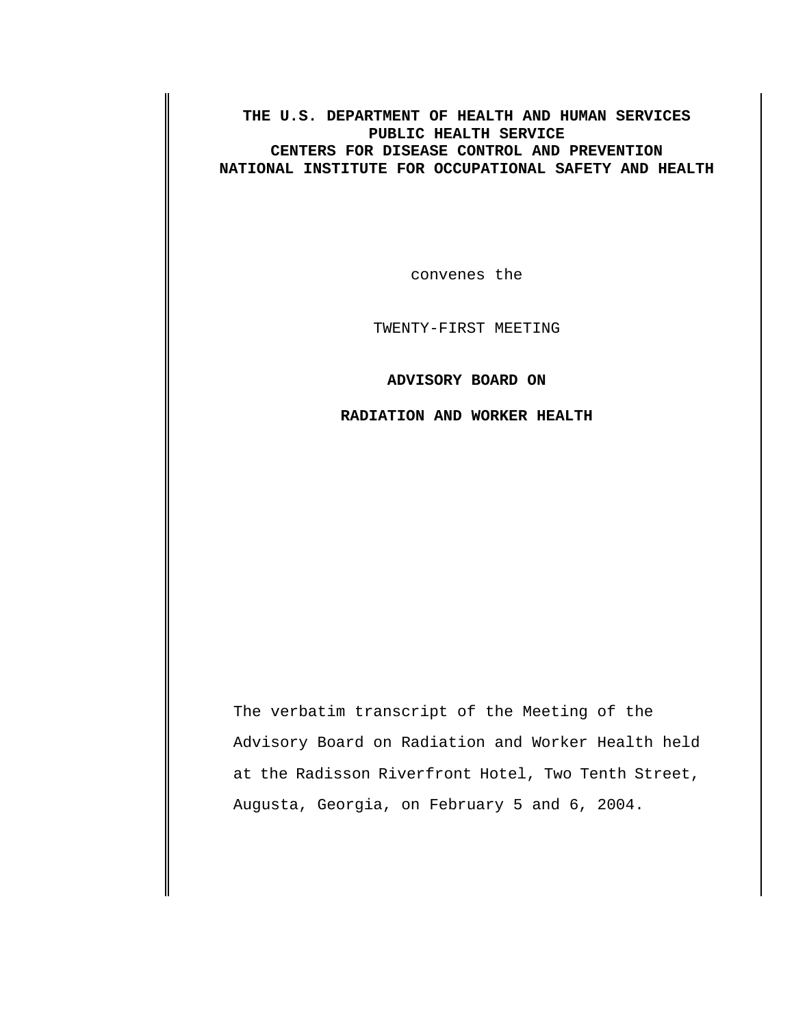**THE U.S. DEPARTMENT OF HEALTH AND HUMAN SERVICES PUBLIC HEALTH SERVICE CENTERS FOR DISEASE CONTROL AND PREVENTION NATIONAL INSTITUTE FOR OCCUPATIONAL SAFETY AND HEALTH**

convenes the

TWENTY-FIRST MEETING

**ADVISORY BOARD ON**

**RADIATION AND WORKER HEALTH**

The verbatim transcript of the Meeting of the Advisory Board on Radiation and Worker Health held at the Radisson Riverfront Hotel, Two Tenth Street, Augusta, Georgia, on February 5 and 6, 2004.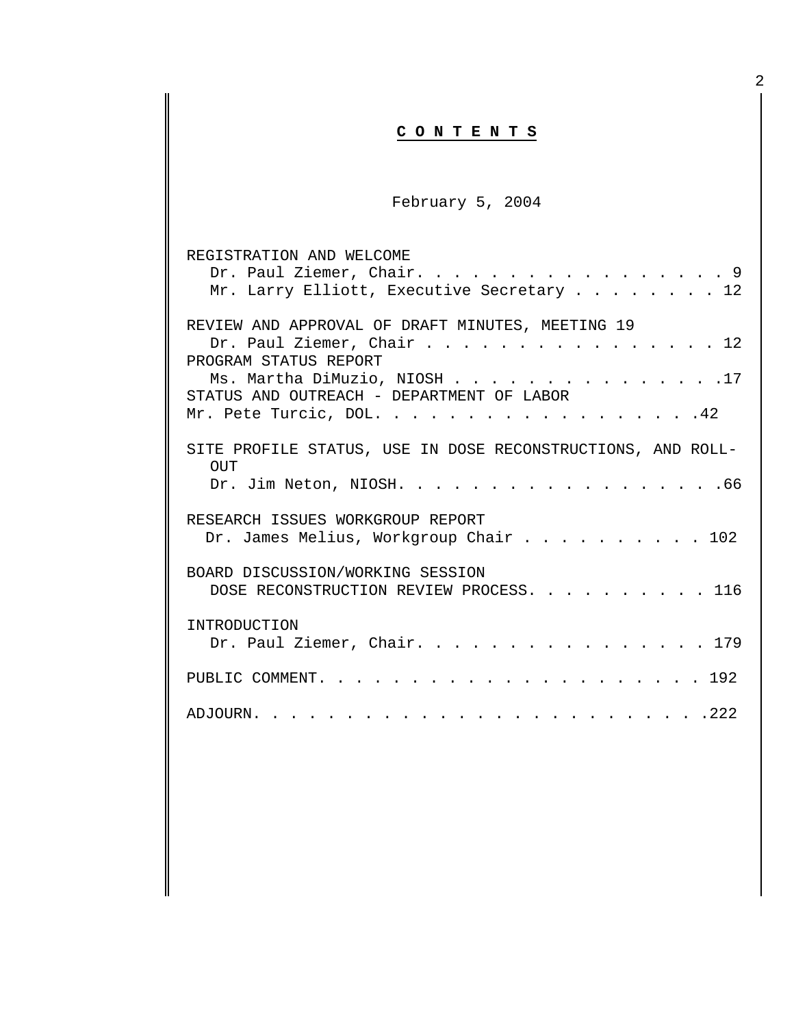# **C O N T E N T S**

February 5, 2004

| REGISTRATION AND WELCOME                                                  |
|---------------------------------------------------------------------------|
| Dr. Paul Ziemer, Chair. 9                                                 |
| Mr. Larry Elliott, Executive Secretary 12                                 |
| REVIEW AND APPROVAL OF DRAFT MINUTES, MEETING 19                          |
| Dr. Paul Ziemer, Chair 12                                                 |
| PROGRAM STATUS REPORT                                                     |
| Ms. Martha DiMuzio, NIOSH 17<br>STATUS AND OUTREACH - DEPARTMENT OF LABOR |
| Mr. Pete Turcic, DOL42                                                    |
| SITE PROFILE STATUS, USE IN DOSE RECONSTRUCTIONS, AND ROLL-               |
| <b>OUT</b>                                                                |
| Dr. Jim Neton, NIOSH. 66                                                  |
| RESEARCH ISSUES WORKGROUP REPORT                                          |
| Dr. James Melius, Workgroup Chair 102                                     |
| BOARD DISCUSSION/WORKING SESSION                                          |
| DOSE RECONSTRUCTION REVIEW PROCESS. 116                                   |
| INTRODUCTION                                                              |
| Dr. Paul Ziemer, Chair. 179                                               |
|                                                                           |
|                                                                           |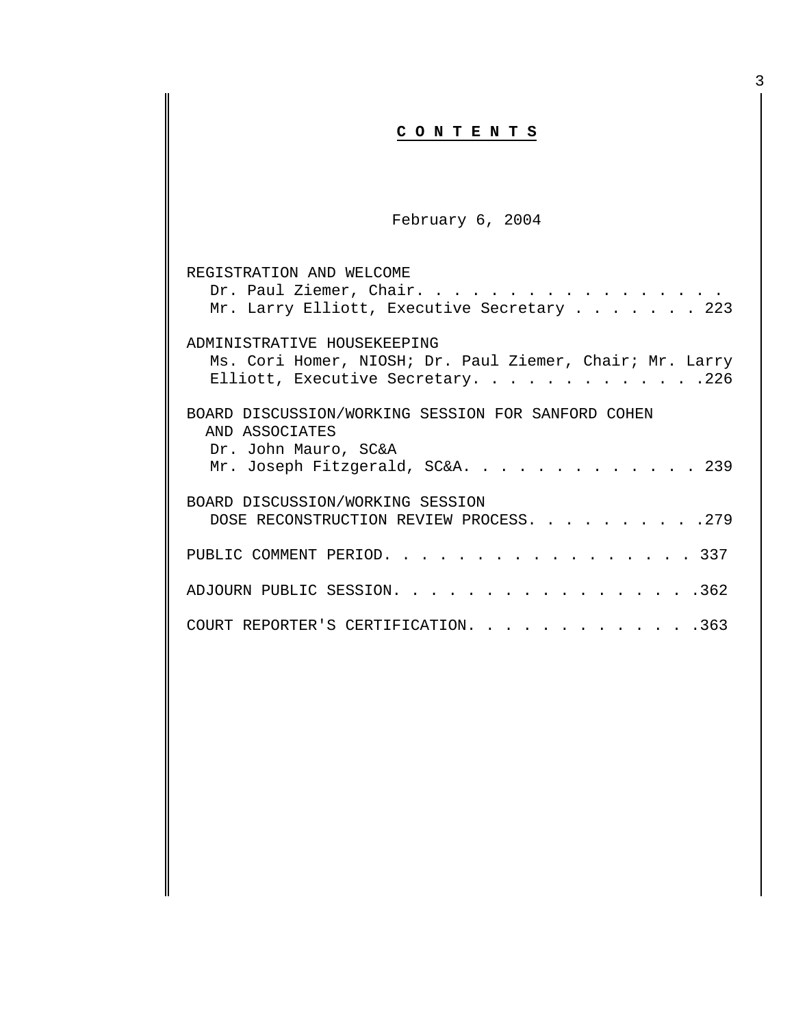# **C O N T E N T S**

February 6, 2004

| REGISTRATION AND WELCOME                                 |
|----------------------------------------------------------|
| Dr. Paul Ziemer, Chair.                                  |
| Mr. Larry Elliott, Executive Secretary 223               |
| ADMINISTRATIVE HOUSEKEEPING                              |
| Ms. Cori Homer, NIOSH; Dr. Paul Ziemer, Chair; Mr. Larry |
| Elliott, Executive Secretary. 226                        |
| BOARD DISCUSSION/WORKING SESSION FOR SANFORD COHEN       |
| AND ASSOCIATES                                           |
| Dr. John Mauro, SC&A                                     |
| Mr. Joseph Fitzgerald, SC&A. 239                         |
| BOARD DISCUSSION/WORKING SESSION                         |
| DOSE RECONSTRUCTION REVIEW PROCESS. 279                  |
| PUBLIC COMMENT PERIOD. 337                               |
| ADJOURN PUBLIC SESSION. 362                              |
| COURT REPORTER'S CERTIFICATION. 363                      |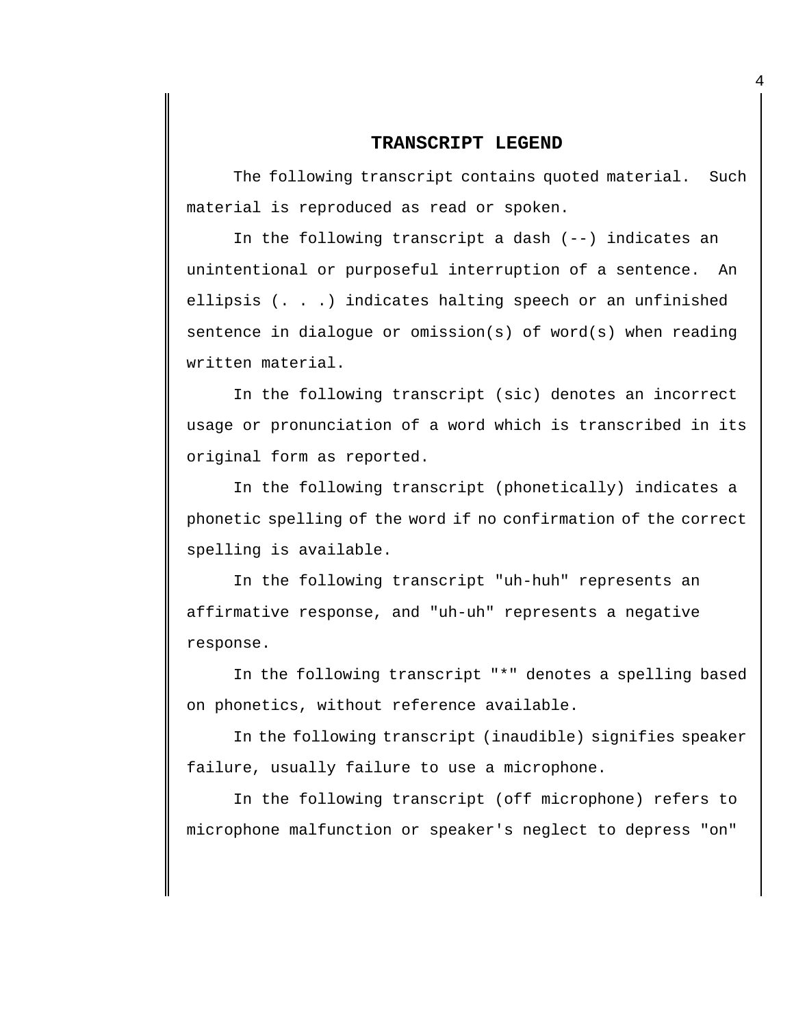# **TRANSCRIPT LEGEND**

The following transcript contains quoted material. Such material is reproduced as read or spoken.

In the following transcript a dash (--) indicates an unintentional or purposeful interruption of a sentence. An ellipsis (. . .) indicates halting speech or an unfinished sentence in dialogue or omission(s) of word(s) when reading written material.

In the following transcript (sic) denotes an incorrect usage or pronunciation of a word which is transcribed in its original form as reported.

In the following transcript (phonetically) indicates a phonetic spelling of the word if no confirmation of the correct spelling is available.

In the following transcript "uh-huh" represents an affirmative response, and "uh-uh" represents a negative response.

In the following transcript "\*" denotes a spelling based on phonetics, without reference available.

In the following transcript (inaudible) signifies speaker failure, usually failure to use a microphone.

In the following transcript (off microphone) refers to microphone malfunction or speaker's neglect to depress "on"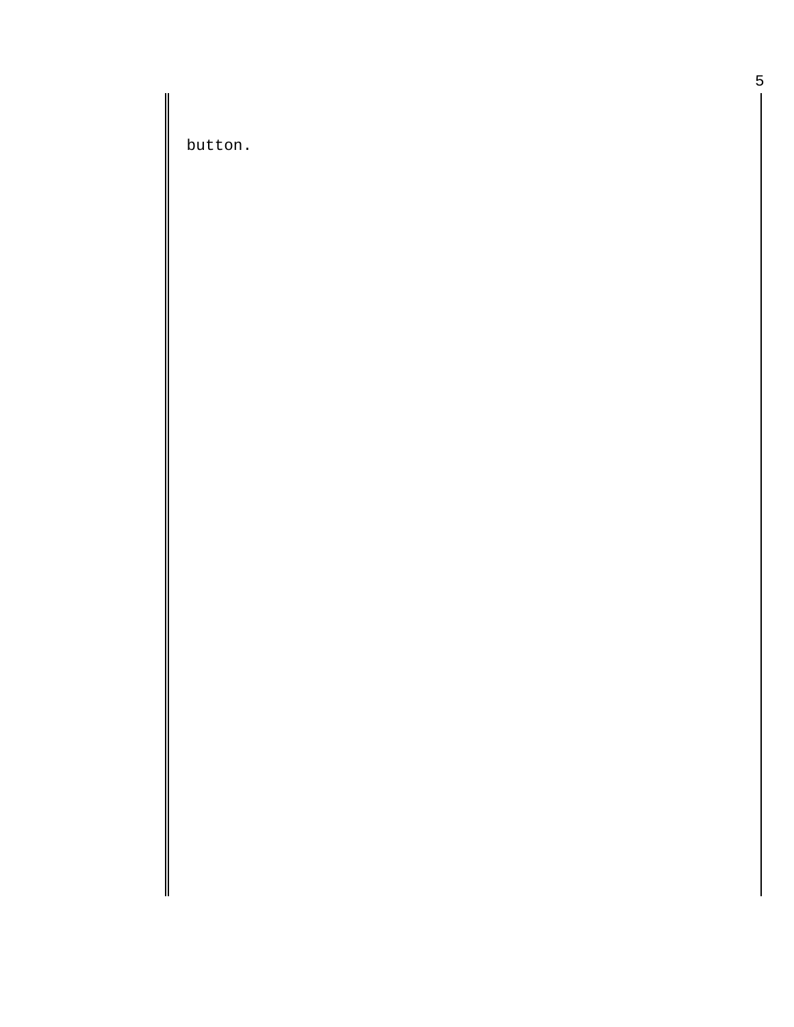button.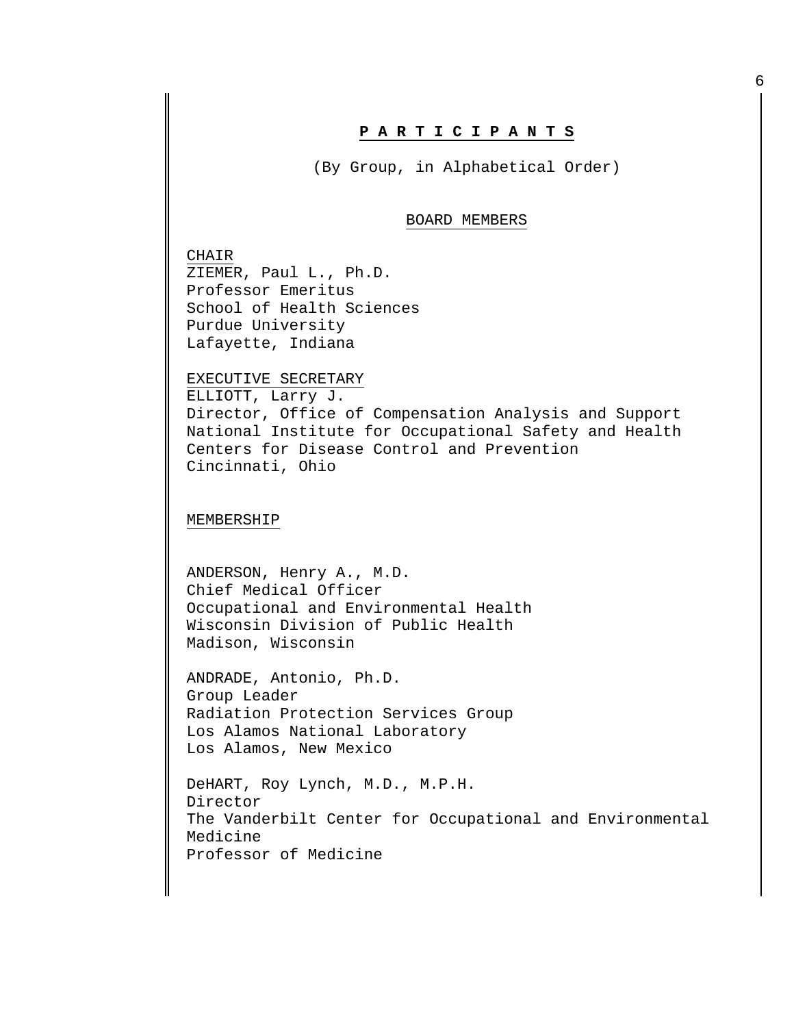### **P A R T I C I P A N T S**

(By Group, in Alphabetical Order)

#### BOARD MEMBERS

CHAIR ZIEMER, Paul L., Ph.D. Professor Emeritus School of Health Sciences Purdue University Lafayette, Indiana

# EXECUTIVE SECRETARY

ELLIOTT, Larry J. Director, Office of Compensation Analysis and Support National Institute for Occupational Safety and Health Centers for Disease Control and Prevention Cincinnati, Ohio

#### MEMBERSHIP

ANDERSON, Henry A., M.D. Chief Medical Officer Occupational and Environmental Health Wisconsin Division of Public Health Madison, Wisconsin

ANDRADE, Antonio, Ph.D. Group Leader Radiation Protection Services Group Los Alamos National Laboratory Los Alamos, New Mexico

DeHART, Roy Lynch, M.D., M.P.H. Director The Vanderbilt Center for Occupational and Environmental Medicine Professor of Medicine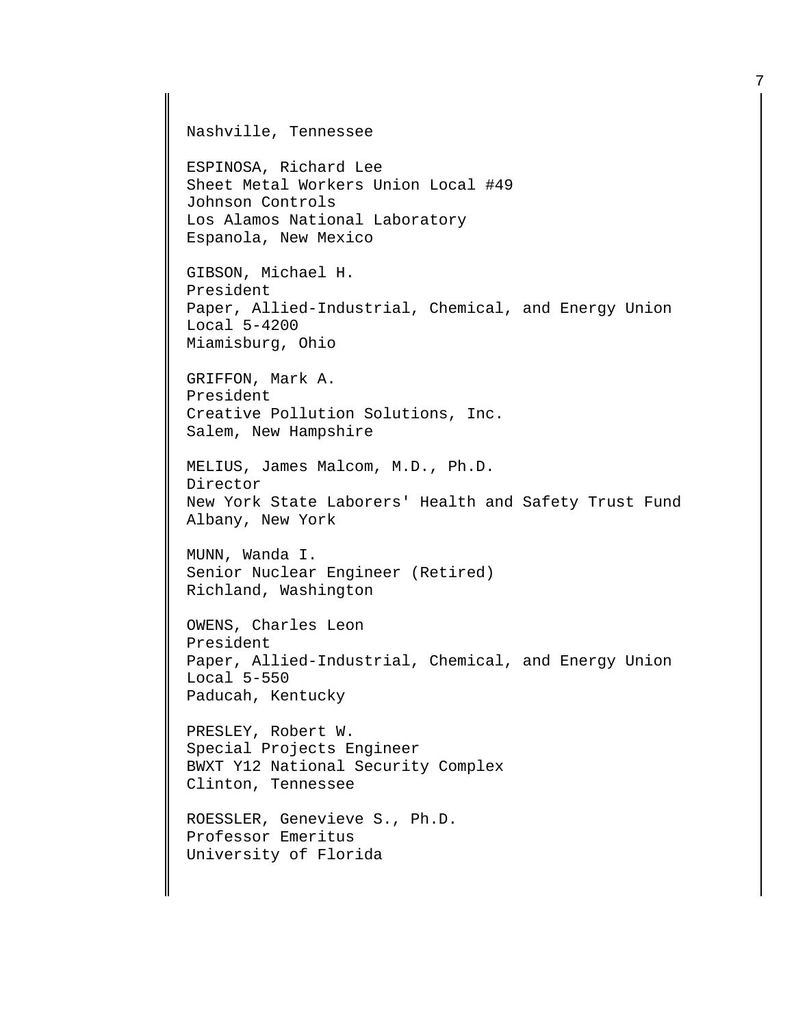Nashville, Tennessee

ESPINOSA, Richard Lee Sheet Metal Workers Union Local #49 Johnson Controls Los Alamos National Laboratory Espanola, New Mexico

GIBSON, Michael H. President Paper, Allied-Industrial, Chemical, and Energy Union Local 5-4200 Miamisburg, Ohio

GRIFFON, Mark A. President Creative Pollution Solutions, Inc. Salem, New Hampshire

MELIUS, James Malcom, M.D., Ph.D. Director New York State Laborers' Health and Safety Trust Fund Albany, New York

MUNN, Wanda I. Senior Nuclear Engineer (Retired) Richland, Washington

OWENS, Charles Leon President Paper, Allied-Industrial, Chemical, and Energy Union Local 5-550 Paducah, Kentucky

PRESLEY, Robert W. Special Projects Engineer BWXT Y12 National Security Complex Clinton, Tennessee

ROESSLER, Genevieve S., Ph.D. Professor Emeritus University of Florida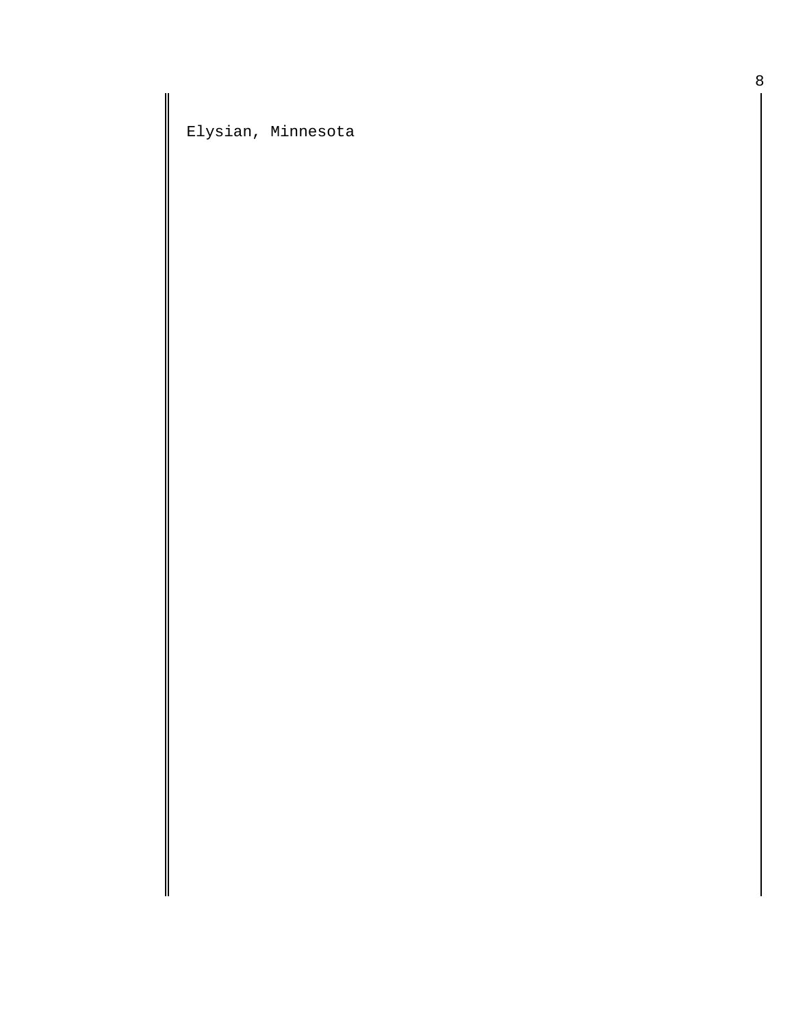Elysian, Minnesota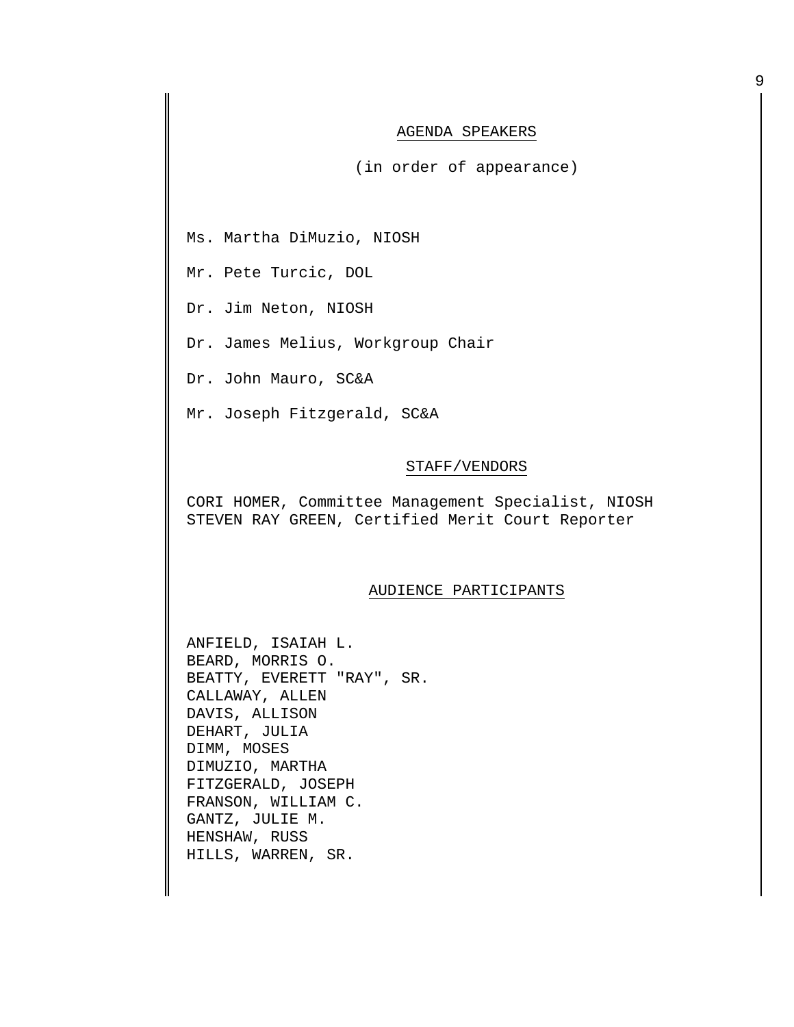### AGENDA SPEAKERS

(in order of appearance)

Ms. Martha DiMuzio, NIOSH

Mr. Pete Turcic, DOL

Dr. Jim Neton, NIOSH

Dr. James Melius, Workgroup Chair

Dr. John Mauro, SC&A

Mr. Joseph Fitzgerald, SC&A

### STAFF/VENDORS

CORI HOMER, Committee Management Specialist, NIOSH STEVEN RAY GREEN, Certified Merit Court Reporter

#### AUDIENCE PARTICIPANTS

ANFIELD, ISAIAH L. BEARD, MORRIS O. BEATTY, EVERETT "RAY", SR. CALLAWAY, ALLEN DAVIS, ALLISON DEHART, JULIA DIMM, MOSES DIMUZIO, MARTHA FITZGERALD, JOSEPH FRANSON, WILLIAM C. GANTZ, JULIE M. HENSHAW, RUSS HILLS, WARREN, SR.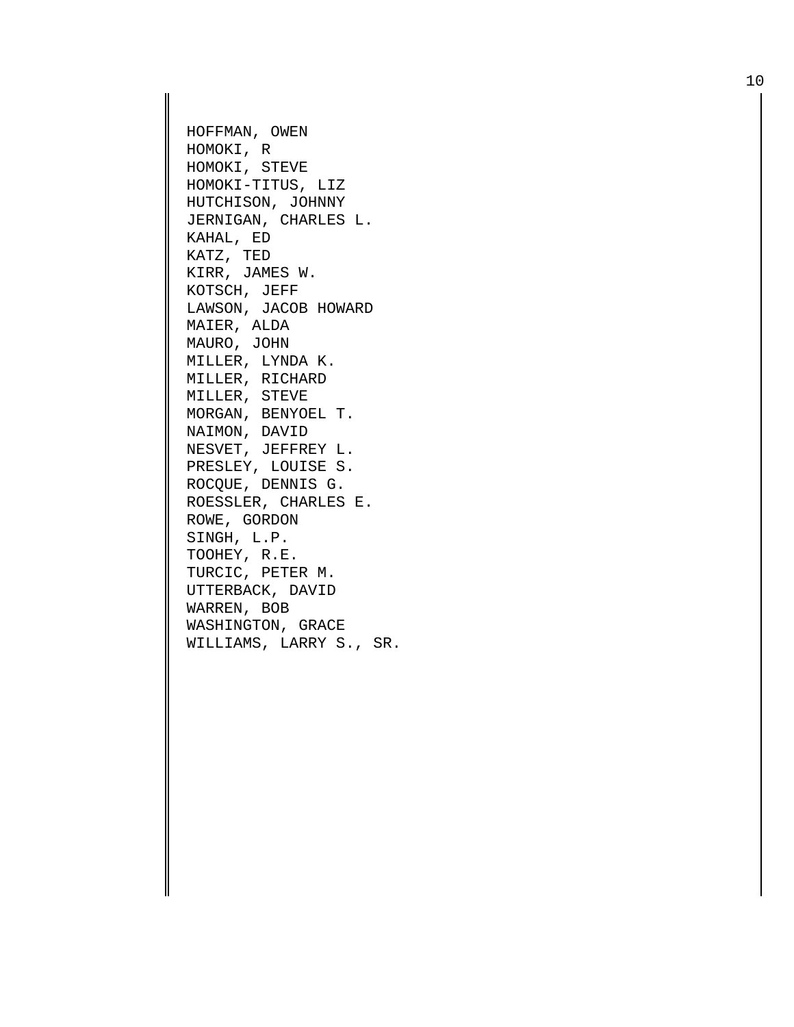HOFFMAN, OWEN HOMOKI, R HOMOKI, STEVE HOMOKI -TITUS, LIZ HUTCHISON, JOHNNY JERNIGAN, CHARLES L. KAHAL, ED KATZ, TED KIRR, JAMES W. KOTSCH, JEFF LAWSON, JACOB HOWARD MAIER, ALDA MAURO, JOHN MILLER, LYNDA K. MILLER, RICHARD MILLER, STEVE MORGAN, BENYOEL T. NAIMON, DAVID NESVET, JEFFREY L. PRESLEY, LOUISE S. ROCQUE, DENNIS G. ROESSLER, CHARLES E. ROWE, GORDON SINGH, L.P. TOOHEY, R.E. TURCIC, PETER M. UTTERBACK, DAVID WARREN, BOB WASHINGTON, GRACE WILLIAMS, LARRY S., SR.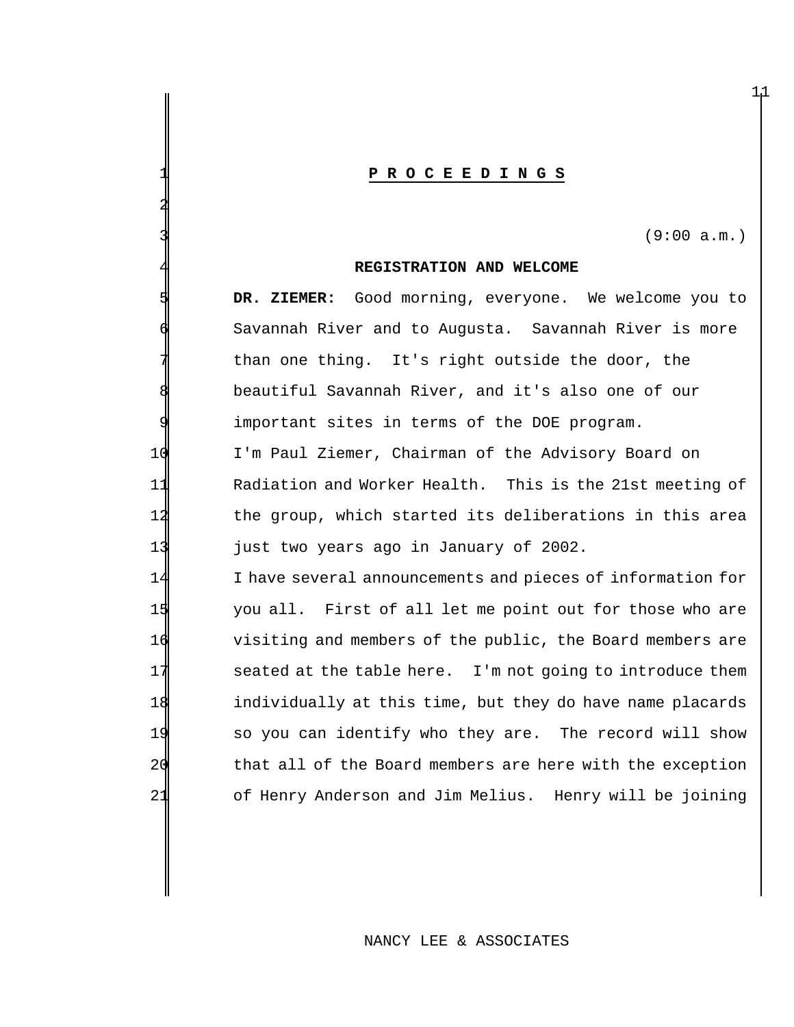#### **P R O C E E D I N G S**

 $(9:00 a.m.)$ 

### **REGISTRATION AND WELCOME**

DR. ZIEMER: Good morning, everyone. We welcome you to Savannah River and to Augusta. Savannah River is more than one thing. It's right outside the door, the beautiful Savannah River, and it's also one of our important sites in terms of the DOE program. I'm Paul Ziemer, Chairman of the Advisory Board on Radiation and Worker Health. This is the 21st meeting of the group, which started its deliberations in this area just two years ago in January of 2002. I have several announcements and pieces of information for you all. First of all let me point out for those who are visiting and members of the public, the Board members are 17 Seated at the table here. I'm not going to introduce them

 individually at this time, but they do have name placards so you can identify who they are. The record will show 20 that all of the Board members are here with the exception of Henry Anderson and Jim Melius. Henry will be joining

## NANCY LEE & ASSOCIATES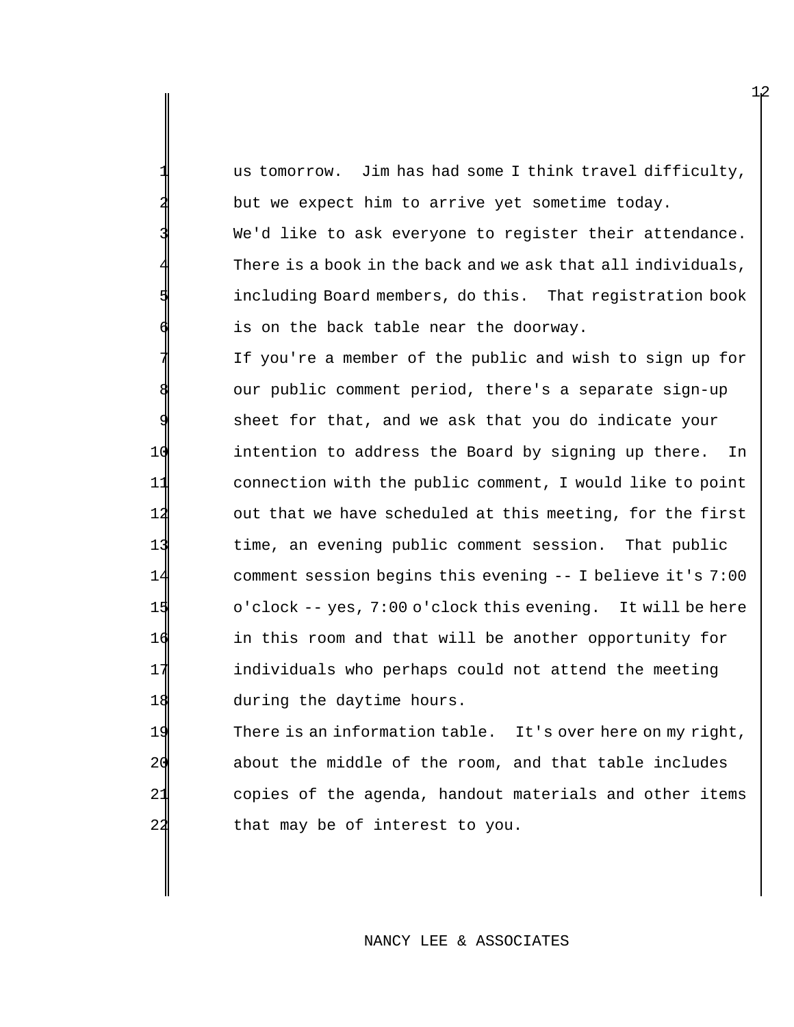us tomorrow. Jim has had some I think travel difficulty, but we expect him to arrive yet sometime today. We'd like to ask everyone to register their attendance. There is a book in the back and we ask that all individuals, including Board members, do this. That registration book is on the back table near the doorway.

If you're a member of the public and wish to sign up for our public comment period, there's a separate sign-up sheet for that, and we ask that you do indicate your intention to address the Board by signing up there. In connection with the public comment, I would like to point 12 out that we have scheduled at this meeting, for the first time, an evening public comment session. That public comment session begins this evening -- I believe it's 7:00 o'clock -- yes, 7:00 o'clock this evening. It will be here in this room and that will be another opportunity for individuals who perhaps could not attend the meeting during the daytime hours.

19 There is an information table. It's over here on my right, 20 about the middle of the room, and that table includes 21 copies of the agenda, handout materials and other items 22 that may be of interest to you.

## NANCY LEE & ASSOCIATES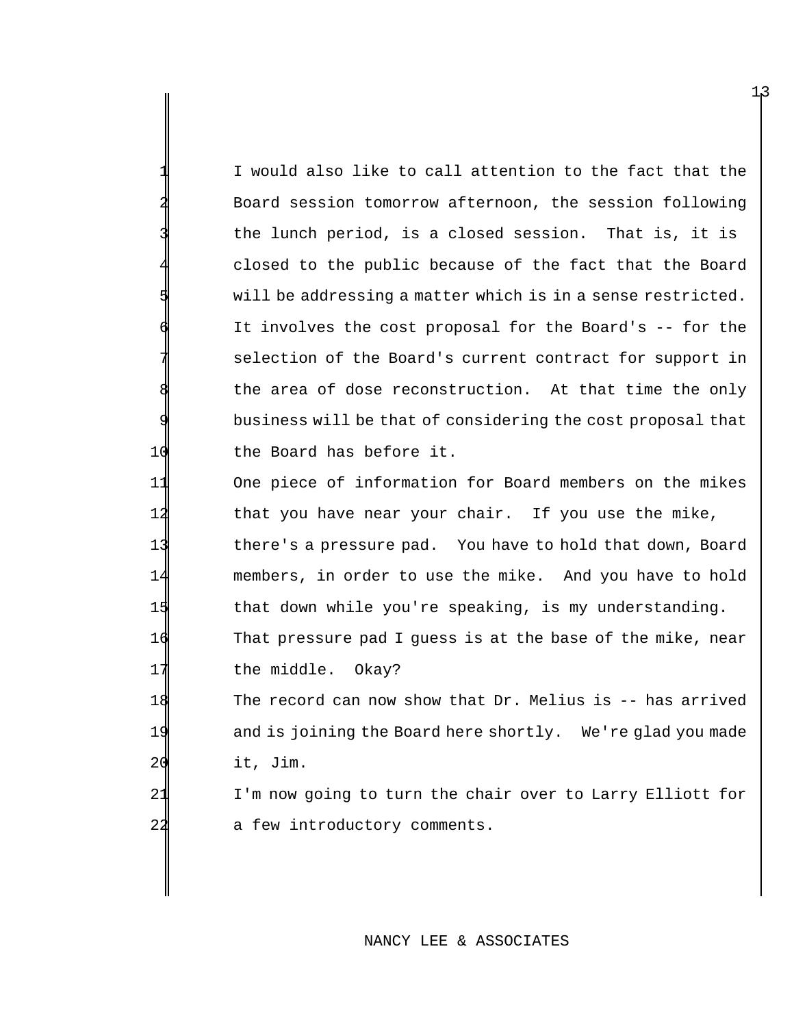I would also like to call attention to the fact that the 2 Board session tomorrow afternoon, the session following the lunch period, is a closed session. That is, it is closed to the public because of the fact that the Board will be addressing a matter which is in a sense restricted. It involves the cost proposal for the Board's -- for the selection of the Board's current contract for support in the area of dose reconstruction. At that time the only business will be that of considering the cost proposal that 10 the Board has before it.

11 One piece of information for Board members on the mikes 12 that you have near your chair. If you use the mike, 13 there's a pressure pad. You have to hold that down, Board 14 members, in order to use the mike. And you have to hold 15 that down while you're speaking, is my understanding. 16 That pressure pad I guess is at the base of the mike, near 17 the middle. Okay?

18 The record can now show that Dr. Melius is -- has arrived 19 and is joining the Board here shortly. We're glad you made 20 it, Jim.

21 I'm now going to turn the chair over to Larry Elliott for 22 a few introductory comments.

## NANCY LEE & ASSOCIATES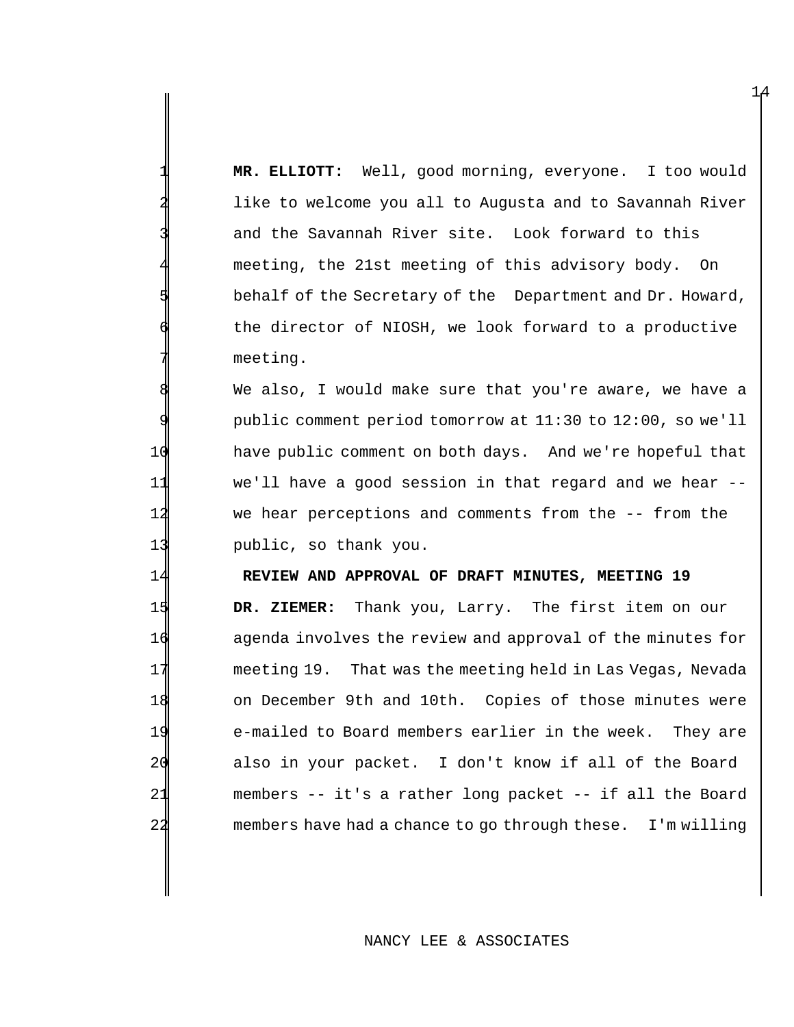**MR. ELLIOTT:** Well, good morning, everyone. I too would like to welcome you all to Augusta and to Savannah River and the Savannah River site. Look forward to this meeting, the 21st meeting of this advisory body. On behalf of the Secretary of the Department and Dr. Howard, the director of NIOSH, we look forward to a productive meeting.

We also, I would make sure that you're aware, we have a public comment period tomorrow at 11:30 to 12:00, so we'll have public comment on both days. And we're hopeful that we'll have a good session in that regard and we hear -- we hear perceptions and comments from the -- from the public, so thank you.

## **REVIEW AND APPROVAL OF DRAFT MINUTES, MEETING 19**

 **DR. ZIEMER:** Thank you, Larry. The first item on our agenda involves the review and approval of the minutes for meeting 19. That was the meeting held in Las Vegas, Nevada on December 9th and 10th. Copies of those minutes were e-mailed to Board members earlier in the week. They are also in your packet. I don't know if all of the Board members -- it's a rather long packet -- if all the Board members have had a chance to go through these. I'm willing

## NANCY LEE & ASSOCIATES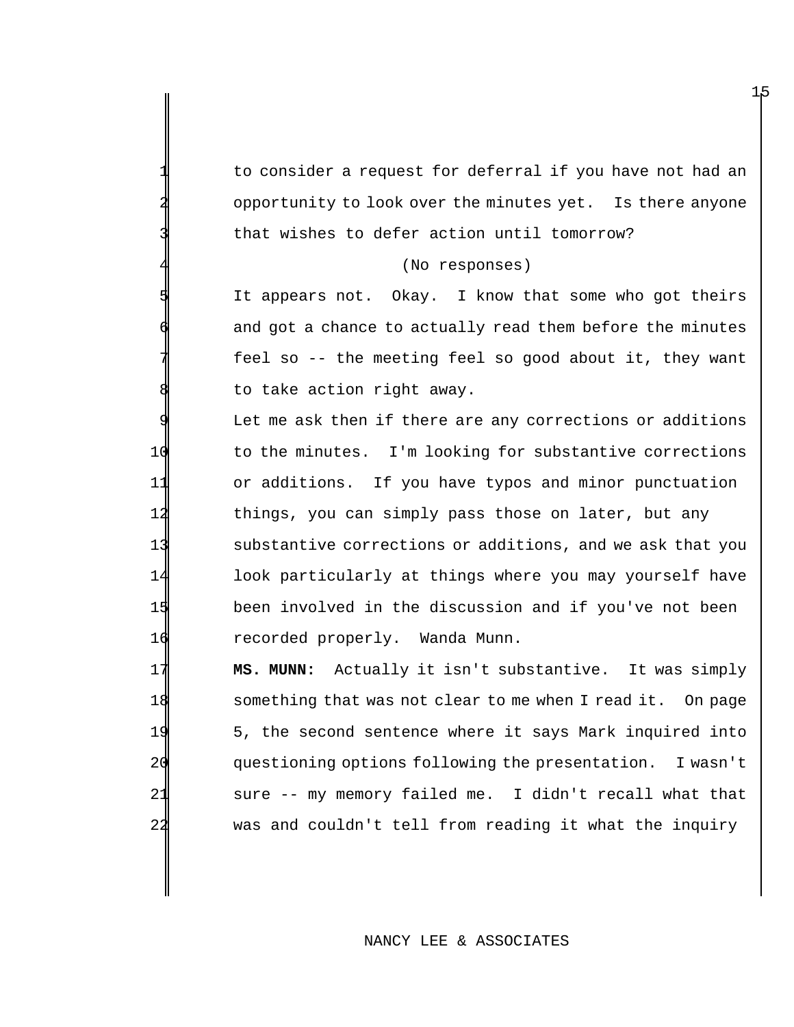to consider a request for deferral if you have not had an opportunity to look over the minutes yet. Is there anyone that wishes to defer action until tomorrow?

4 (No responses)

It appears not. Okay. I know that some who got theirs and got a chance to actually read them before the minutes feel so -- the meeting feel so good about it, they want to take action right away.

Let me ask then if there are any corrections or additions 10 to the minutes. I'm looking for substantive corrections or additions. If you have typos and minor punctuation things, you can simply pass those on later, but any substantive corrections or additions, and we ask that you look particularly at things where you may yourself have been involved in the discussion and if you've not been 16 recorded properly. Wanda Munn.

 **MS. MUNN:** Actually it isn't substantive. It was simply something that was not clear to me when I read it. On page 5, the second sentence where it says Mark inquired into questioning options following the presentation. I wasn't 21 sure -- my memory failed me. I didn't recall what that was and couldn't tell from reading it what the inquiry

# NANCY LEE & ASSOCIATES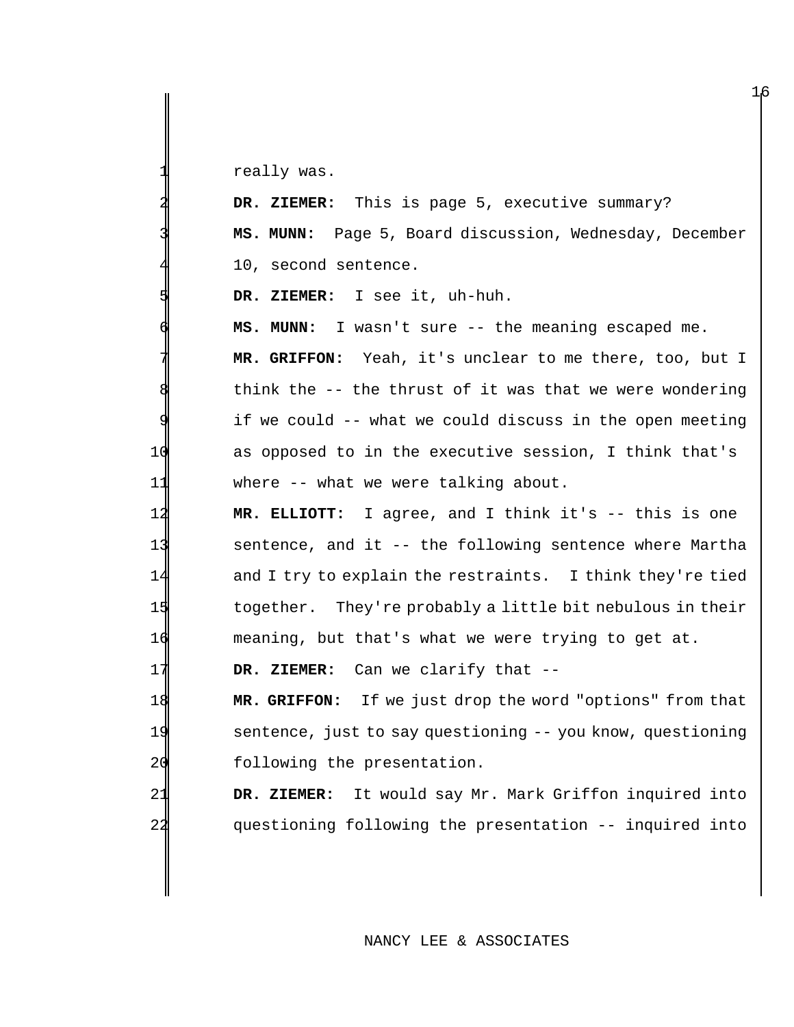really was.

|                 | DR. ZIEMER: This is page 5, executive summary?             |
|-----------------|------------------------------------------------------------|
|                 | MS. MUNN: Page 5, Board discussion, Wednesday, December    |
|                 | 10, second sentence.                                       |
|                 | DR. ZIEMER: I see it, uh-huh.                              |
|                 | I wasn't sure -- the meaning escaped me.<br>MS. MUNN:      |
|                 | MR. GRIFFON: Yeah, it's unclear to me there, too, but I    |
|                 | think the -- the thrust of it was that we were wondering   |
|                 | if we could -- what we could discuss in the open meeting   |
| 1 <sup>1</sup>  | as opposed to in the executive session, I think that's     |
| 11              | where -- what we were talking about.                       |
| 12              | MR. ELLIOTT: I agree, and I think it's -- this is one      |
| 13              | sentence, and it -- the following sentence where Martha    |
| 14              | and I try to explain the restraints. I think they're tied  |
| 15              | together. They're probably a little bit nebulous in their  |
| 16              | meaning, but that's what we were trying to get at.         |
| 17              | DR. ZIEMER: Can we clarify that --                         |
| 18              | MR. GRIFFON: If we just drop the word "options" from that  |
| 19              | sentence, just to say questioning -- you know, questioning |
| 20              | following the presentation.                                |
| 21              | DR. ZIEMER: It would say Mr. Mark Griffon inquired into    |
| $\overline{2}2$ | questioning following the presentation -- inquired into    |
|                 |                                                            |

NANCY LEE & ASSOCIATES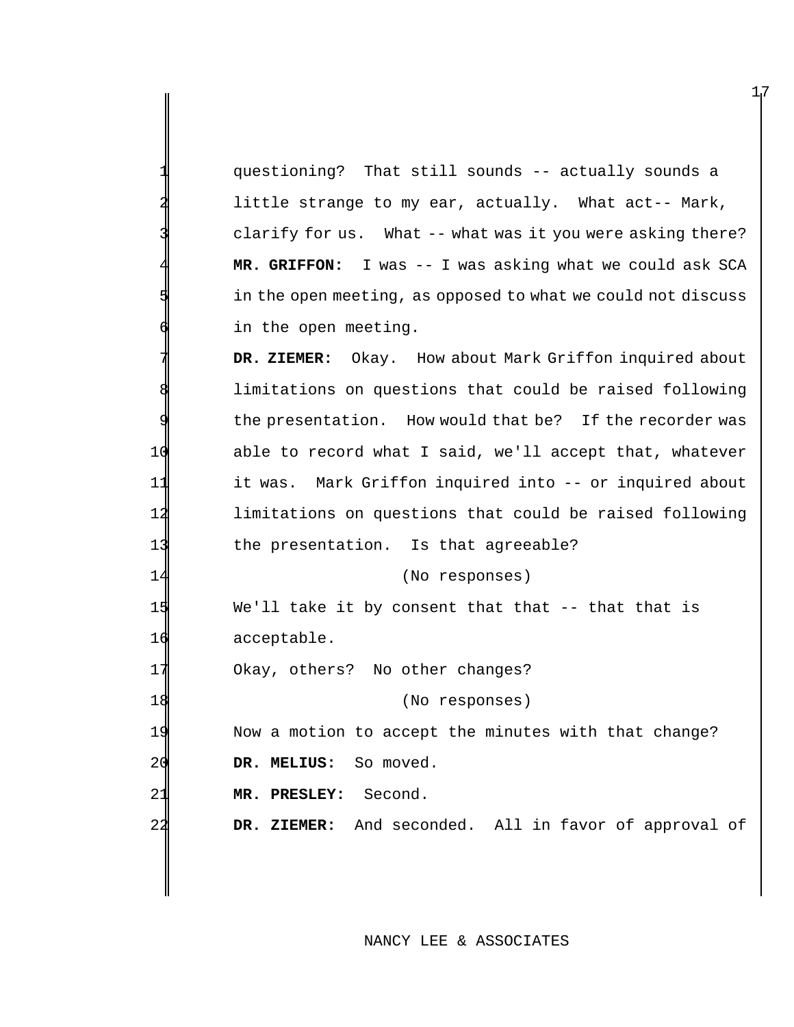questioning? That still sounds -- actually sounds a little strange to my ear, actually. What act-- Mark, clarify for us. What -- what was it you were asking there? MR. GRIFFON: I was -- I was asking what we could ask SCA in the open meeting, as opposed to what we could not discuss in the open meeting.

DR. ZIEMER: Okay. How about Mark Griffon inquired about limitations on questions that could be raised following the presentation. How would that be? If the recorder was 10 able to record what I said, we'll accept that, whatever 11 it was. Mark Griffon inquired into -- or inquired about 12 limitations on questions that could be raised following 13 the presentation. Is that agreeable?

14 (No responses)

15 We'll take it by consent that that -- that that is 16 acceptable.

17 Okay, others? No other changes?

18 (No responses) 19 Now a motion to accept the minutes with that change? 20 **DR. MELIUS:** So moved.

21 **MR. PRESLEY:** Second.

22 **DR. ZIEMER:** And seconded. All in favor of approval of

<sup>1</sup>17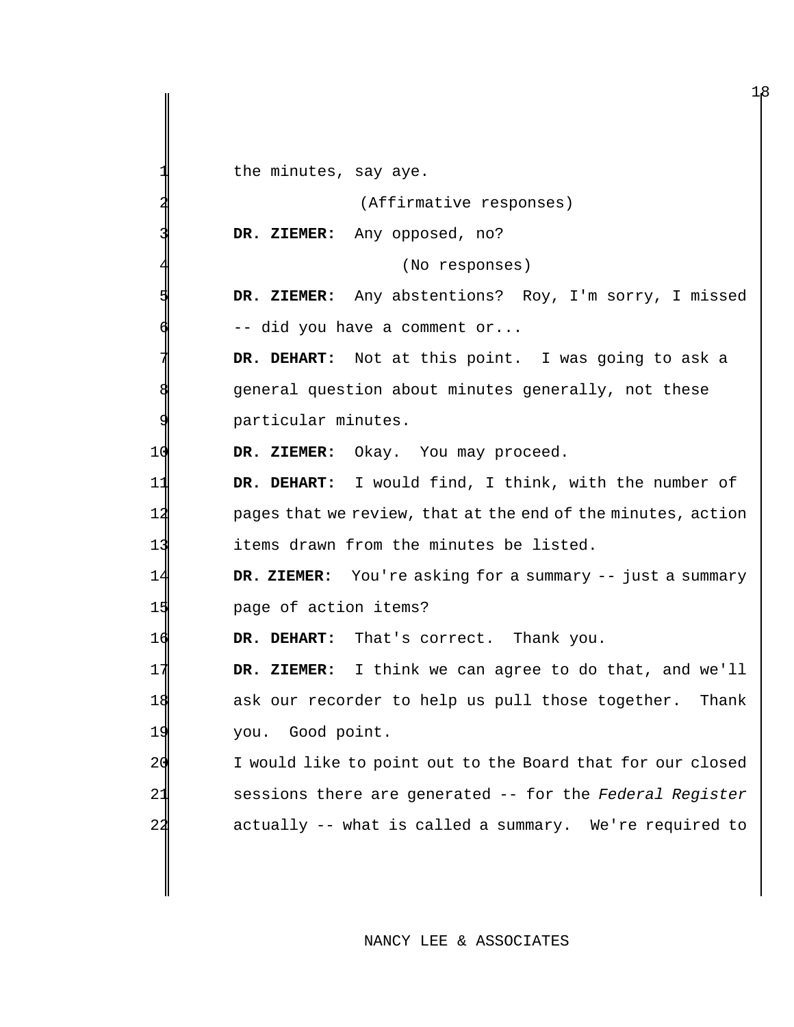the minutes, say aye.

(Affirmative responses)

**DR. ZIEMER:** Any opposed, no?

(No responses)

 **DR. ZIEMER:** Any abstentions? Roy, I'm sorry, I missed -- did you have a comment or...

DR. DEHART: Not at this point. I was going to ask a general question about minutes generally, not these particular minutes.

**DR. ZIEMER:** Okay. You may proceed.

 **DR. DEHART:** I would find, I think, with the number of **pages that we review, that at the end of the minutes, action** 13 items drawn from the minutes be listed.

 **DR. ZIEMER:** You're asking for a summary -- just a summary page of action items?

**DR. DEHART:** That's correct. Thank you.

 **DR. ZIEMER:** I think we can agree to do that, and we'll ask our recorder to help us pull those together. Thank you. Good point.

20 I would like to point out to the Board that for our closed sessions there are generated -- for the *Federal Register* actually -- what is called a summary. We're required to

# NANCY LEE & ASSOCIATES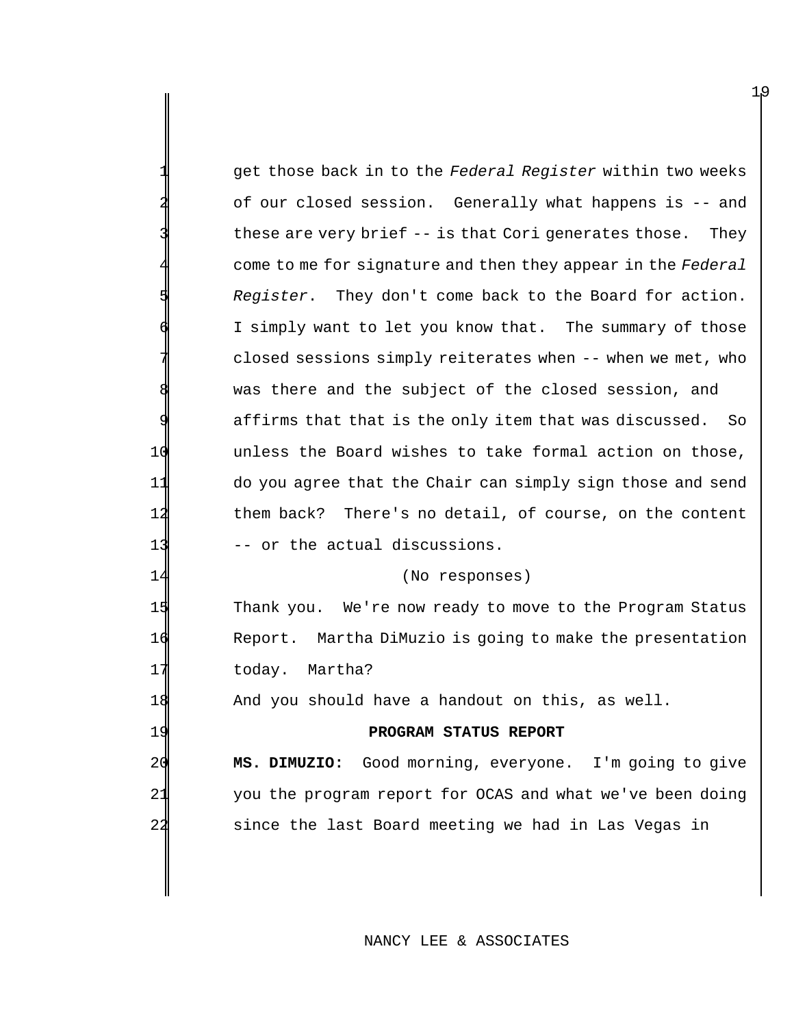|      | get those back in to the Federal Register within two weeks                                                     |
|------|----------------------------------------------------------------------------------------------------------------|
|      | of our closed session. Generally what happens is -- and                                                        |
|      | these are very brief -- is that Cori generates those. They                                                     |
|      | come to me for signature and then they appear in the Federal                                                   |
|      | Register. They don't come back to the Board for action.                                                        |
|      | I simply want to let you know that. The summary of those                                                       |
|      | closed sessions simply reiterates when -- when we met, who                                                     |
|      | was there and the subject of the closed session, and                                                           |
|      | affirms that that is the only item that was discussed. So                                                      |
| 10   | unless the Board wishes to take formal action on those,                                                        |
| 11   | do you agree that the Chair can simply sign those and send                                                     |
| 12   | them back? There's no detail, of course, on the content                                                        |
| 13   | -- or the actual discussions.                                                                                  |
| 14   | (No responses)                                                                                                 |
| 1 di | $m_{\alpha}$ and $\alpha$ is a set of $\alpha$<br>- Usland more coording the more that the Dreamenton Othetics |

15 Thank you. We're now ready to move to the Program Status Report. Martha DiMuzio is going to make the presentation 17 today. Martha?

18 And you should have a handout on this, as well.

## **PROGRAM STATUS REPORT**

 **MS. DIMUZIO:** Good morning, everyone. I'm going to give 21 you the program report for OCAS and what we've been doing since the last Board meeting we had in Las Vegas in

# NANCY LEE & ASSOCIATES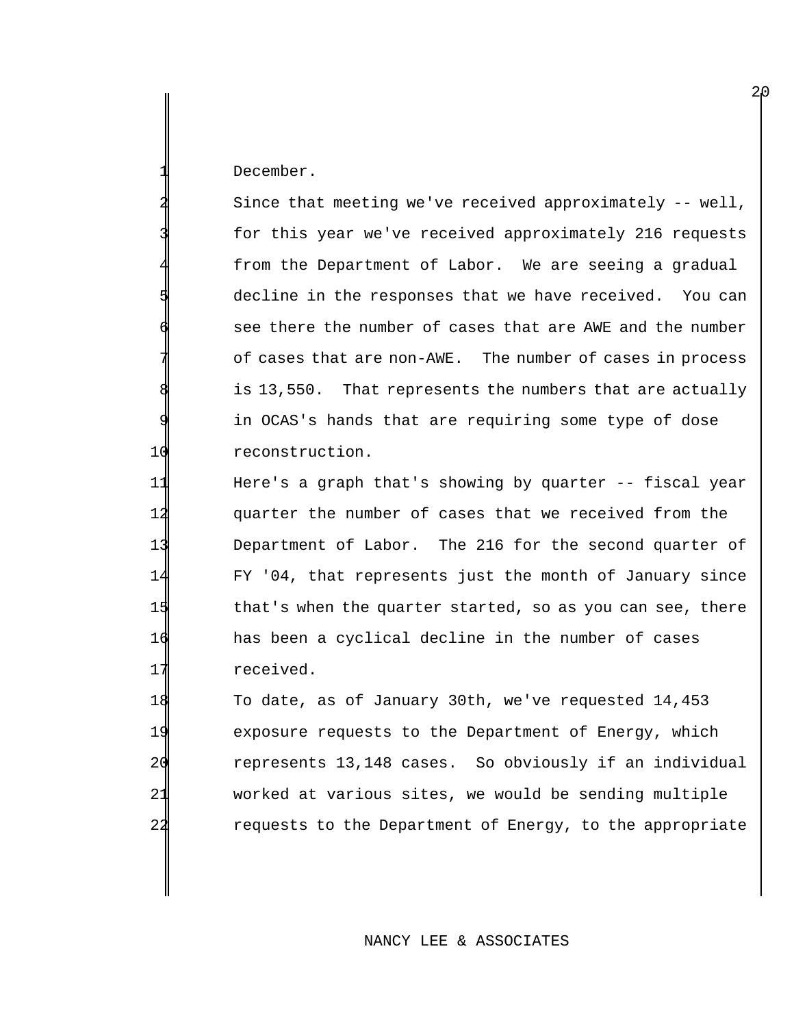December.

Since that meeting we've received approximately  $--$  well, for this year we've received approximately 216 requests from the Department of Labor. We are seeing a gradual decline in the responses that we have received. You can see there the number of cases that are AWE and the number of cases that are non-AWE. The number of cases in process is 13,550. That represents the numbers that are actually in OCAS's hands that are requiring some type of dose 10 reconstruction.

 Here's a graph that's showing by quarter -- fiscal year quarter the number of cases that we received from the Department of Labor. The 216 for the second quarter of FY '04, that represents just the month of January since that's when the quarter started, so as you can see, there has been a cyclical decline in the number of cases received.

18 To date, as of January 30th, we've requested 14,453 exposure requests to the Department of Energy, which represents 13,148 cases. So obviously if an individual worked at various sites, we would be sending multiple requests to the Department of Energy, to the appropriate

## NANCY LEE & ASSOCIATES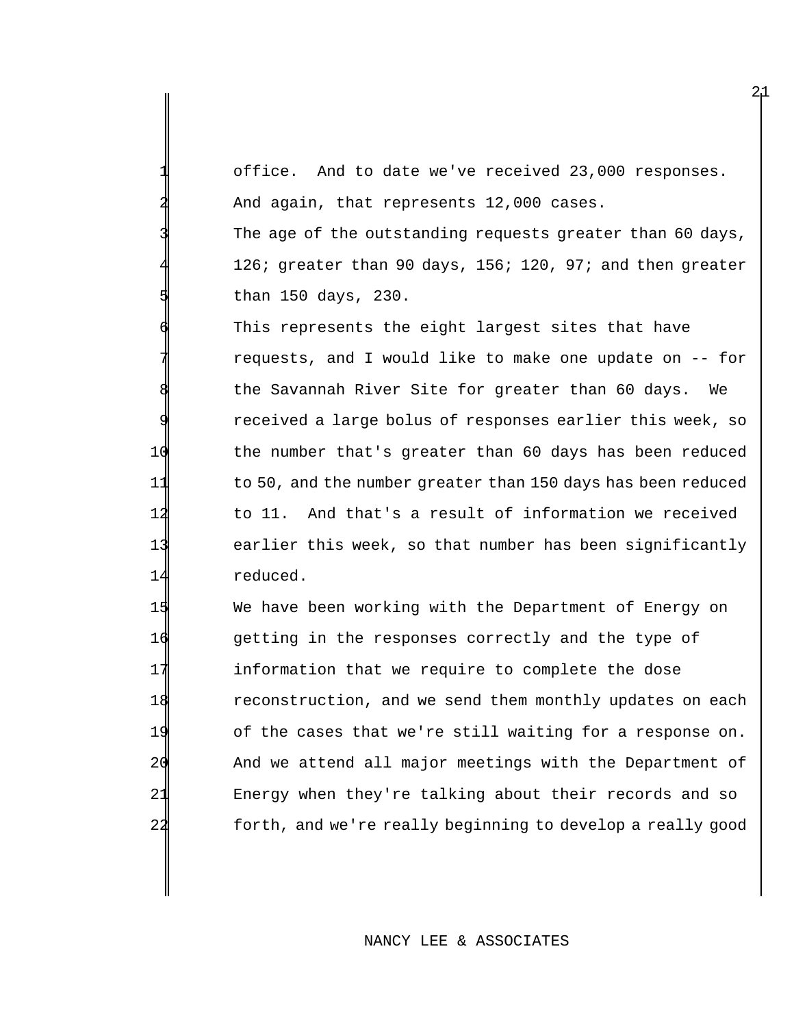office. And to date we've received 23,000 responses. And again, that represents 12,000 cases.

The age of the outstanding requests greater than 60 days, 126; greater than 90 days, 156; 120, 97; and then greater than 150 days, 230.

This represents the eight largest sites that have requests, and I would like to make one update on -- for the Savannah River Site for greater than 60 days. We received a large bolus of responses earlier this week, so the number that's greater than 60 days has been reduced to 50, and the number greater than 150 days has been reduced to 11. And that's a result of information we received earlier this week, so that number has been significantly reduced.

 We have been working with the Department of Energy on getting in the responses correctly and the type of information that we require to complete the dose reconstruction, and we send them monthly updates on each of the cases that we're still waiting for a response on. And we attend all major meetings with the Department of Energy when they're talking about their records and so forth, and we're really beginning to develop a really good

## NANCY LEE & ASSOCIATES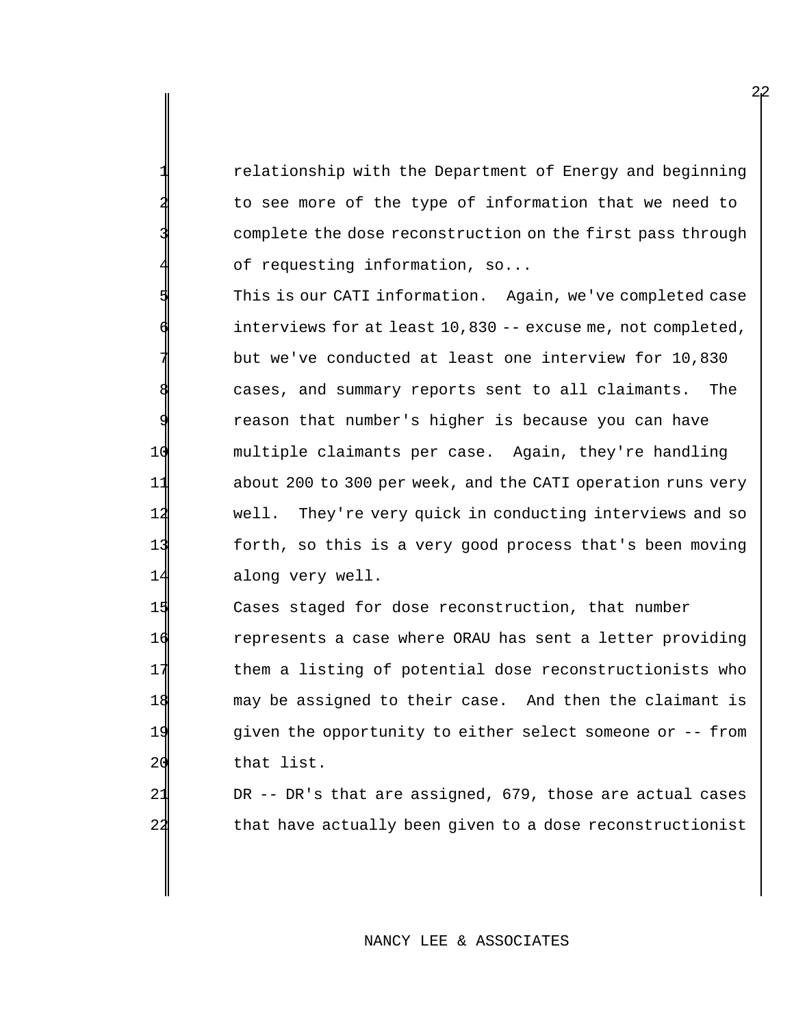relationship with the Department of Energy and beginning to see more of the type of information that we need to complete the dose reconstruction on the first pass through of requesting information, so...

This is our CATI information. Again, we've completed case interviews for at least  $10,830 - -$  excuse me, not completed, but we've conducted at least one interview for 10,830 cases, and summary reports sent to all claimants. The reason that number's higher is because you can have 10 multiple claimants per case. Again, they're handling 11 about 200 to 300 per week, and the CATI operation runs very 12 well. They're very quick in conducting interviews and so 13 forth, so this is a very good process that's been moving 14 along very well.

 Cases staged for dose reconstruction, that number represents a case where ORAU has sent a letter providing them a listing of potential dose reconstructionists who may be assigned to their case. And then the claimant is given the opportunity to either select someone or -- from that list.

21 DR -- DR's that are assigned, 679, those are actual cases 22 that have actually been given to a dose reconstructionist

## NANCY LEE & ASSOCIATES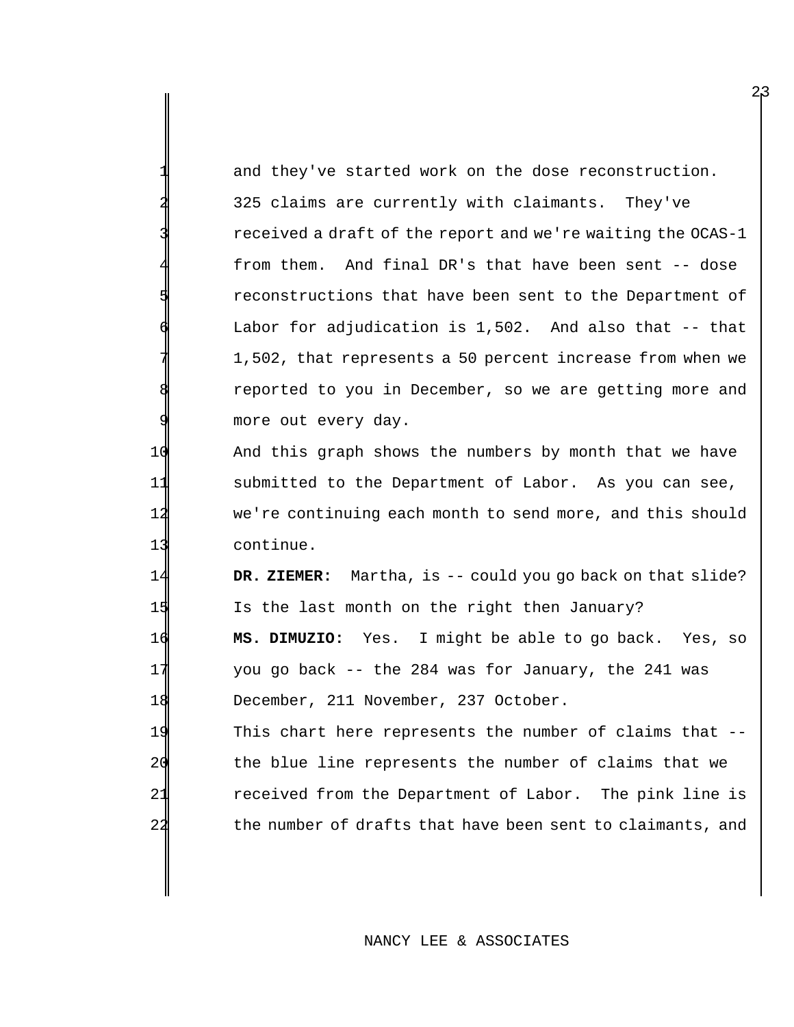and they've started work on the dose reconstruction. 325 claims are currently with claimants. They've received a draft of the report and we're waiting the OCAS-1 from them. And final DR's that have been sent -- dose reconstructions that have been sent to the Department of Labor for adjudication is  $1,502$ . And also that  $-$ - that 1,502, that represents a 50 percent increase from when we reported to you in December, so we are getting more and more out every day.

 And this graph shows the numbers by month that we have submitted to the Department of Labor. As you can see, we're continuing each month to send more, and this should continue.

14 **DR. ZIEMER:** Martha, is -- could you go back on that slide? 15 Is the last month on the right then January? 16 **MS. DIMUZIO:** Yes. I might be able to go back. Yes, so

17 you go back -- the 284 was for January, the 241 was 18 December, 211 November, 237 October.

19 This chart here represents the number of claims that -- 20 the blue line represents the number of claims that we 21 received from the Department of Labor. The pink line is 22 the number of drafts that have been sent to claimants, and

## NANCY LEE & ASSOCIATES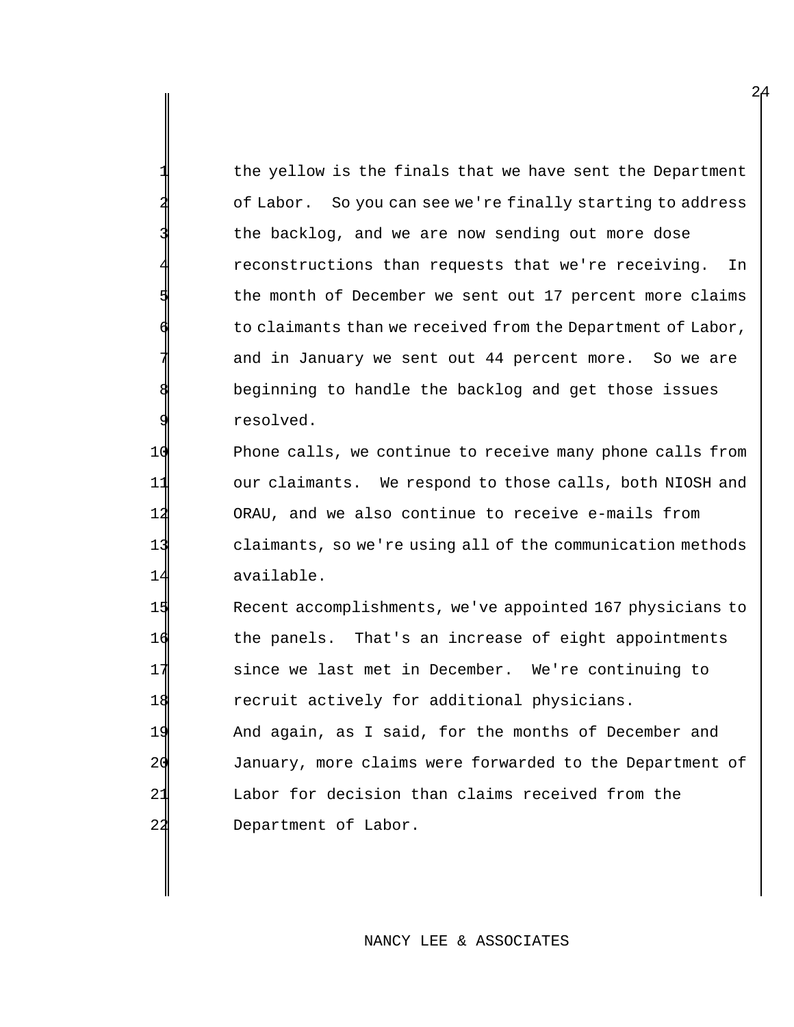the yellow is the finals that we have sent the Department of Labor. So you can see we're finally starting to address the backlog, and we are now sending out more dose reconstructions than requests that we're receiving. In the month of December we sent out 17 percent more claims to claimants than we received from the Department of Labor, and in January we sent out 44 percent more. So we are beginning to handle the backlog and get those issues resolved.

 Phone calls, we continue to receive many phone calls from our claimants. We respond to those calls, both NIOSH and ORAU, and we also continue to receive e-mails from claimants, so we're using all of the communication methods available.

 Recent accomplishments, we've appointed 167 physicians to the panels. That's an increase of eight appointments since we last met in December. We're continuing to recruit actively for additional physicians.

 And again, as I said, for the months of December and January, more claims were forwarded to the Department of Labor for decision than claims received from the Department of Labor.

2<sub>1</sub>4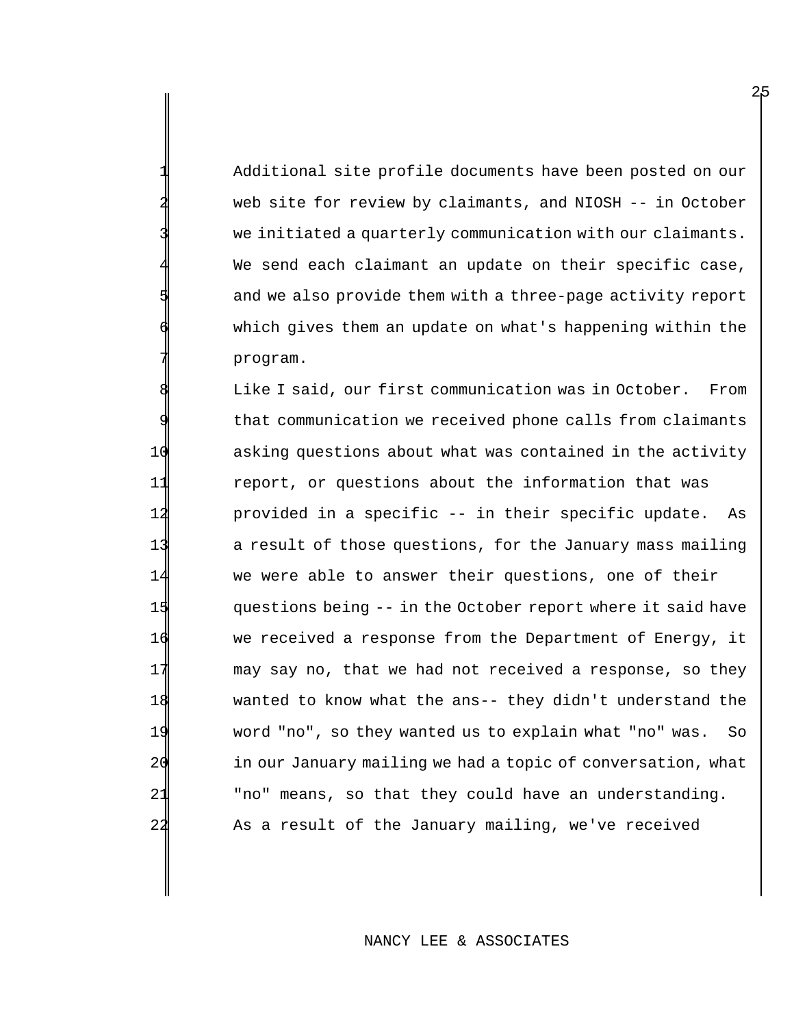Additional site profile documents have been posted on our web site for review by claimants, and NIOSH -- in October we initiated a quarterly communication with our claimants. We send each claimant an update on their specific case, and we also provide them with a three-page activity report which gives them an update on what's happening within the program.

Like I said, our first communication was in October. From that communication we received phone calls from claimants asking questions about what was contained in the activity report, or questions about the information that was provided in a specific -- in their specific update. As a result of those questions, for the January mass mailing we were able to answer their questions, one of their questions being -- in the October report where it said have we received a response from the Department of Energy, it may say no, that we had not received a response, so they wanted to know what the ans-- they didn't understand the word "no", so they wanted us to explain what "no" was. So in our January mailing we had a topic of conversation, what "no" means, so that they could have an understanding. As a result of the January mailing, we've received

## NANCY LEE & ASSOCIATES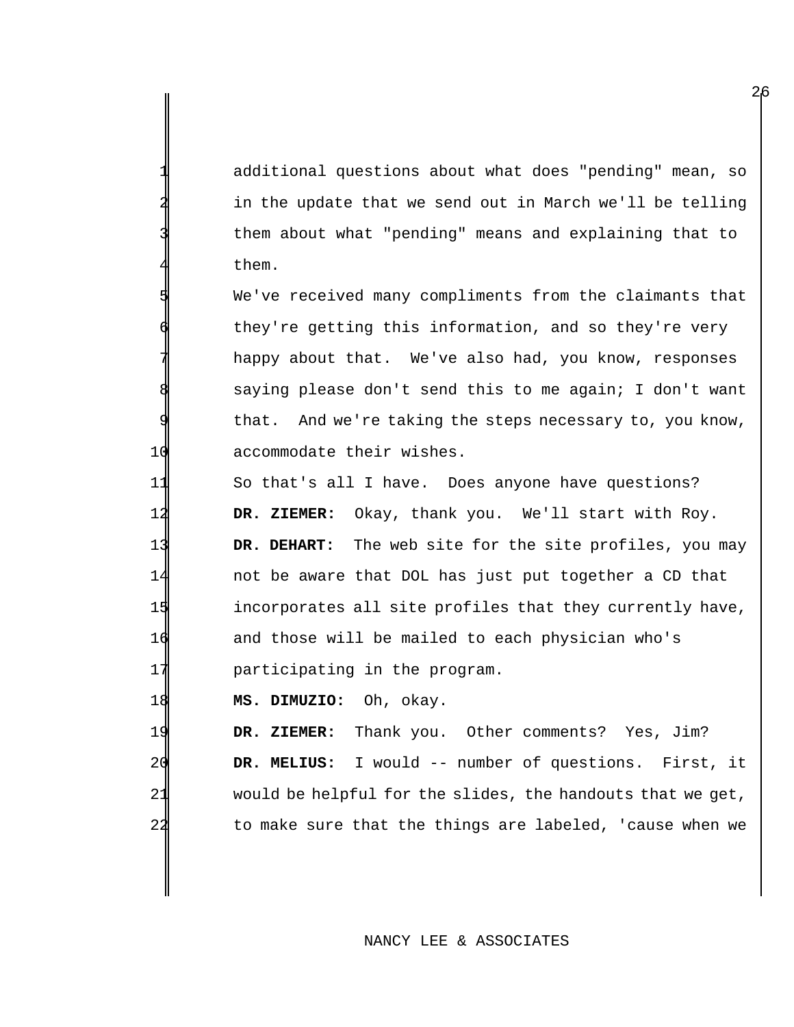additional questions about what does "pending" mean, so in the update that we send out in March we'll be telling them about what "pending" means and explaining that to them.

We've received many compliments from the claimants that they're getting this information, and so they're very happy about that. We've also had, you know, responses saying please don't send this to me again; I don't want that. And we're taking the steps necessary to, you know, 10 accommodate their wishes.

 So that's all I have. Does anyone have questions? **DR. ZIEMER:** Okay, thank you. We'll start with Roy. **DR. DEHART:** The web site for the site profiles, you may not be aware that DOL has just put together a CD that incorporates all site profiles that they currently have, and those will be mailed to each physician who's **participating in the program.** 

18 **MS. DIMUZIO:** Oh, okay.

 **DR. ZIEMER:** Thank you. Other comments? Yes, Jim? **DR. MELIUS:** I would -- number of questions. First, it would be helpful for the slides, the handouts that we get, to make sure that the things are labeled, 'cause when we

## NANCY LEE & ASSOCIATES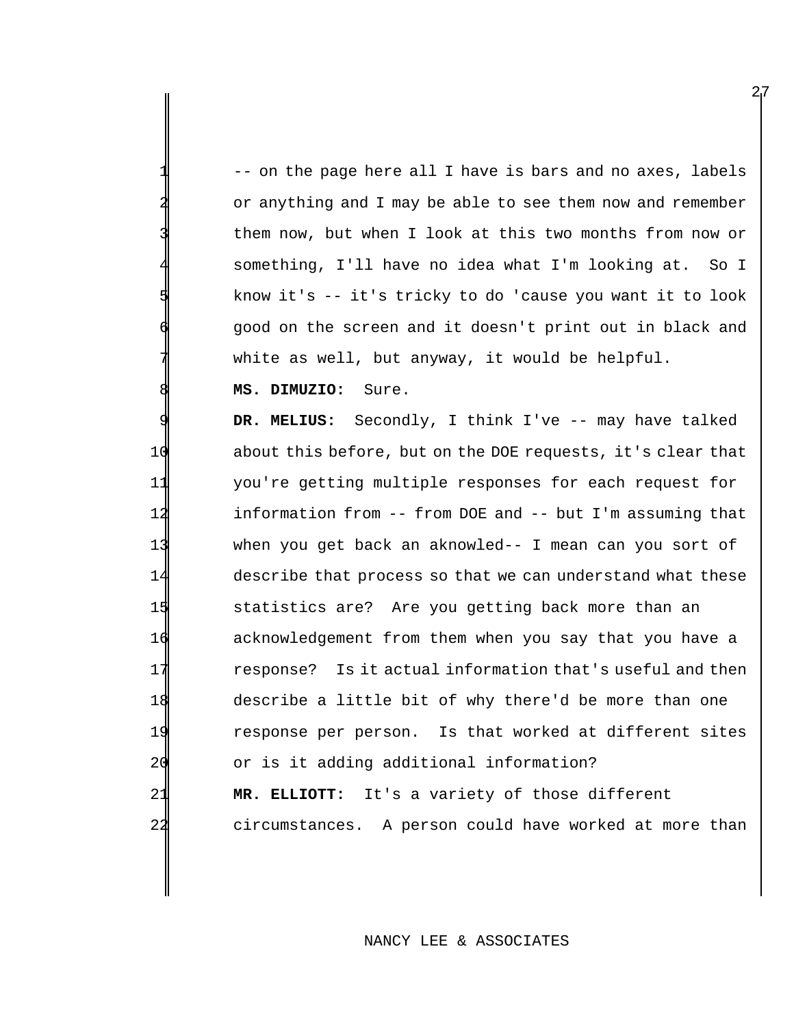-- on the page here all I have is bars and no axes, labels or anything and I may be able to see them now and remember them now, but when I look at this two months from now or something, I'll have no idea what I'm looking at. So I know it's -- it's tricky to do 'cause you want it to look good on the screen and it doesn't print out in black and white as well, but anyway, it would be helpful. **MS. DIMUZIO:** Sure.

 **DR. MELIUS:** Secondly, I think I've -- may have talked about this before, but on the DOE requests, it's clear that you're getting multiple responses for each request for information from -- from DOE and -- but I'm assuming that when you get back an aknowled-- I mean can you sort of describe that process so that we can understand what these statistics are? Are you getting back more than an acknowledgement from them when you say that you have a response? Is it actual information that's useful and then describe a little bit of why there'd be more than one response per person. Is that worked at different sites or is it adding additional information? **MR. ELLIOTT:** It's a variety of those different circumstances. A person could have worked at more than

## NANCY LEE & ASSOCIATES

2<sub>1</sub>7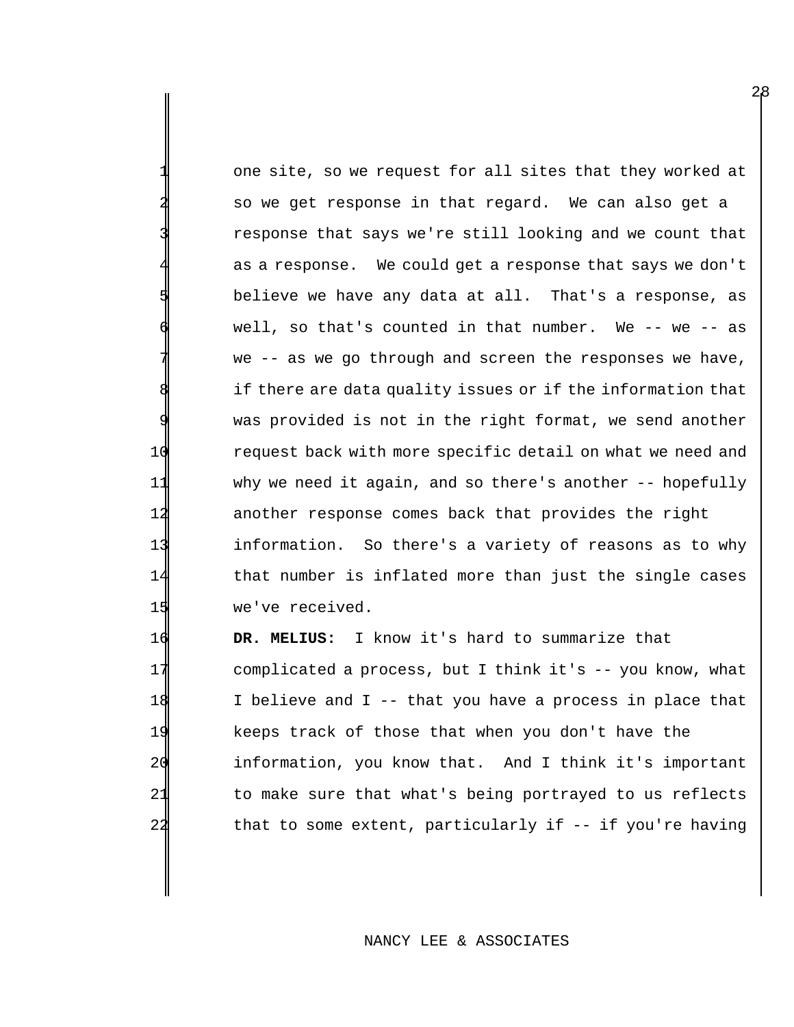one site, so we request for all sites that they worked at so we get response in that regard. We can also get a response that says we're still looking and we count that as a response. We could get a response that says we don't believe we have any data at all. That's a response, as well, so that's counted in that number. We  $--$  we  $--$  as we -- as we go through and screen the responses we have, if there are data quality issues or if the information that was provided is not in the right format, we send another 10 request back with more specific detail on what we need and 11 why we need it again, and so there's another -- hopefully 12 another response comes back that provides the right 13 information. So there's a variety of reasons as to why 14 that number is inflated more than just the single cases 15 we've received.

 **DR. MELIUS:** I know it's hard to summarize that complicated a process, but I think it's -- you know, what 18 I believe and I -- that you have a process in place that keeps track of those that when you don't have the information, you know that. And I think it's important 21 to make sure that what's being portrayed to us reflects that to some extent, particularly if -- if you're having

## NANCY LEE & ASSOCIATES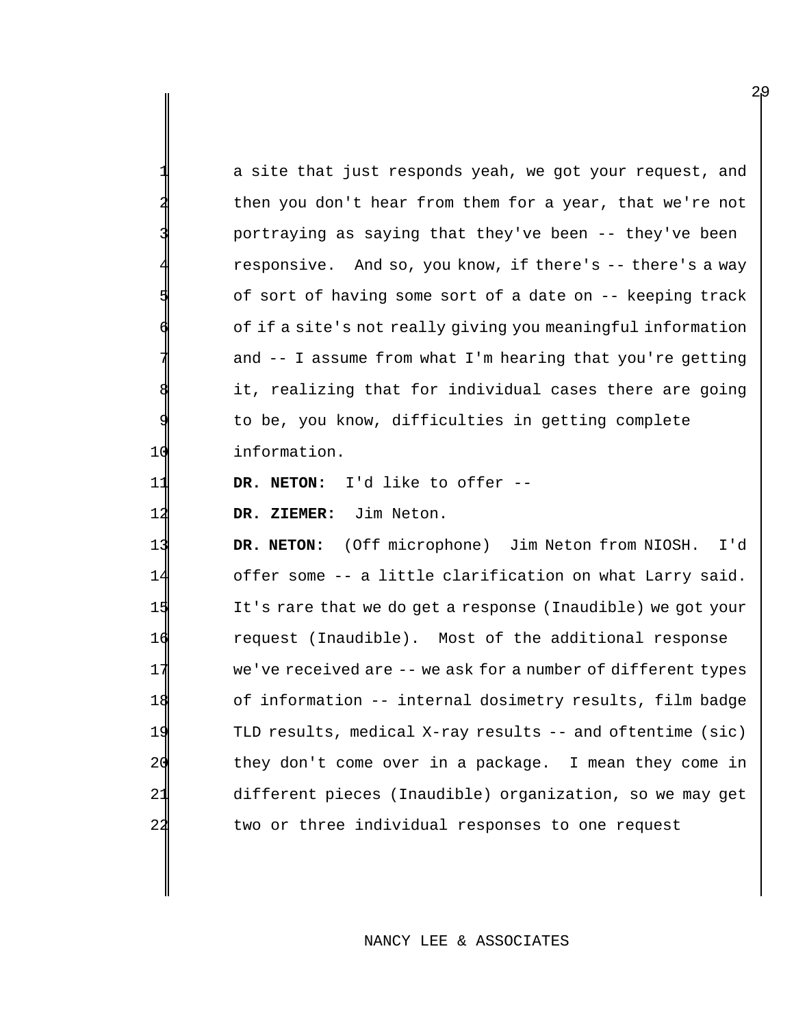|          | a site that just responds yeah, we got your request, and     |
|----------|--------------------------------------------------------------|
|          | then you don't hear from them for a year, that we're not     |
|          | portraying as saying that they've been -- they've been       |
|          | responsive. And so, you know, if there's -- there's a way    |
|          |                                                              |
|          | of sort of having some sort of a date on -- keeping track    |
|          | of if a site's not really giving you meaningful information  |
|          | and $-$ I assume from what I'm hearing that you're getting   |
|          | it, realizing that for individual cases there are going      |
| 9        | to be, you know, difficulties in getting complete            |
| 10       | information.                                                 |
| 11       | DR. NETON: I'd like to offer --                              |
|          |                                                              |
| 12       | DR. ZIEMER: Jim Neton.                                       |
| 13       | DR. NETON: (Off microphone) Jim Neton from NIOSH. I'd        |
| 14       | offer some -- a little clarification on what Larry said.     |
|          | It's rare that we do get a response (Inaudible) we got your  |
| 15<br>16 | request (Inaudible). Most of the additional response         |
|          | we've received are -- we ask for a number of different types |
| 17<br>18 | of information -- internal dosimetry results, film badge     |
| 19       | TLD results, medical X-ray results -- and oftentime (sic)    |
| 20       | they don't come over in a package. I mean they come in       |
| 21       | different pieces (Inaudible) organization, so we may get     |

# NANCY LEE & ASSOCIATES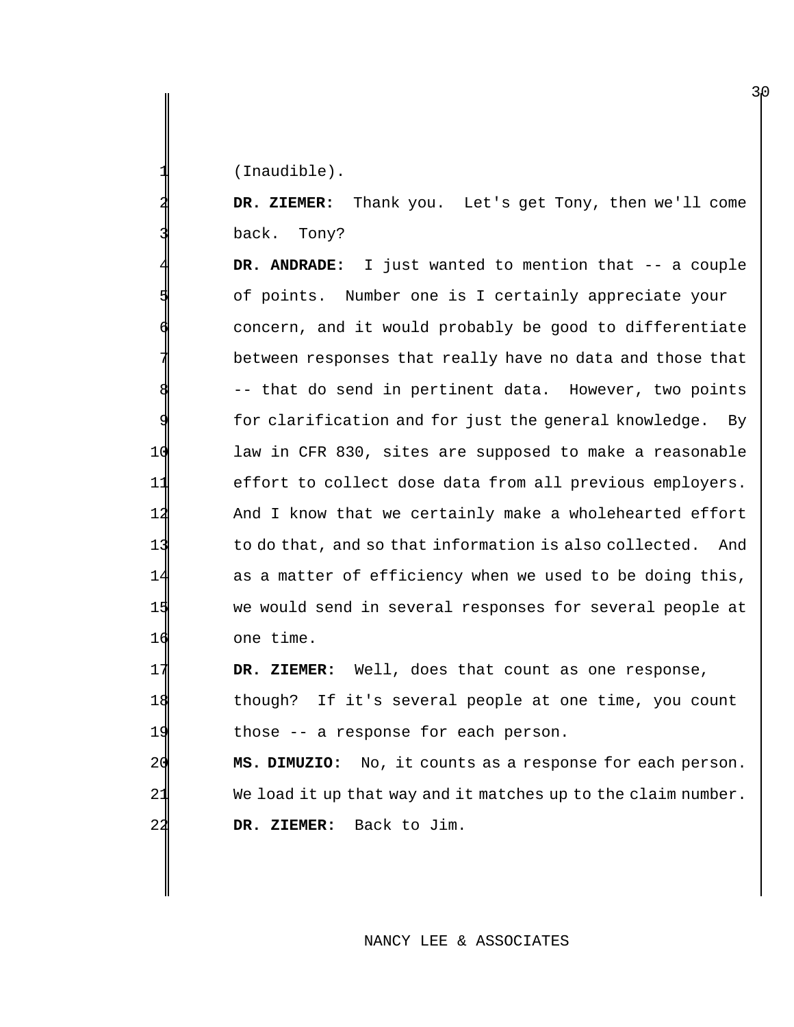1 (Inaudible).

2 **DR. ZIEMER:** Thank you. Let's get Tony, then we'll come back. Tony?

**DR. ANDRADE:** I just wanted to mention that -- a couple of points. Number one is I certainly appreciate your concern, and it would probably be good to differentiate between responses that really have no data and those that -- that do send in pertinent data. However, two points for clarification and for just the general knowledge. By 10 law in CFR 830, sites are supposed to make a reasonable 11 effort to collect dose data from all previous employers. 12 And I know that we certainly make a wholehearted effort 13 to do that, and so that information is also collected. And 14 as a matter of efficiency when we used to be doing this, 15 we would send in several responses for several people at 16 one time.

17 **DR. ZIEMER:** Well, does that count as one response, 18 though? If it's several people at one time, you count 19 those -- a response for each person.

20 **MS. DIMUZIO:** No, it counts as a response for each person. 21 We load it up that way and it matches up to the claim number. 22 **DR. ZIEMER:** Back to Jim.

NANCY LEE & ASSOCIATES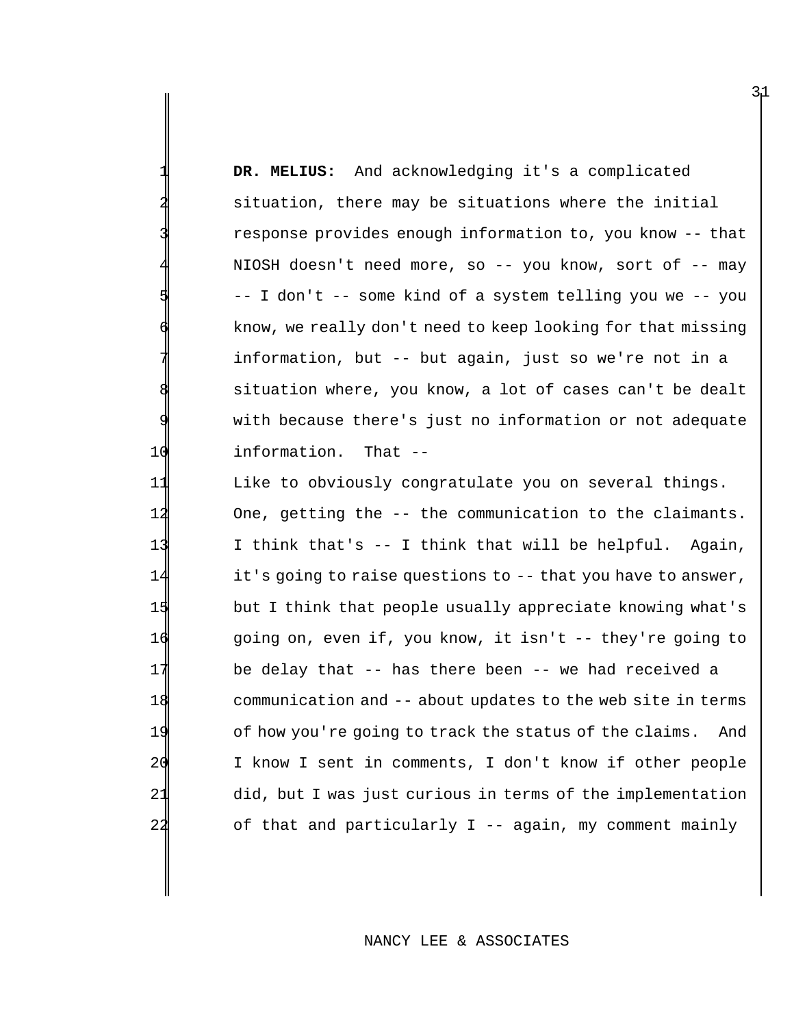DR. MELIUS: And acknowledging it's a complicated situation, there may be situations where the initial response provides enough information to, you know -- that NIOSH doesn't need more, so -- you know, sort of -- may 5 -- I don't -- some kind of a system telling you we -- you know, we really don't need to keep looking for that missing information, but -- but again, just so we're not in a situation where, you know, a lot of cases can't be dealt with because there's just no information or not adequate 10 information. That --

31

 Like to obviously congratulate you on several things. One, getting the -- the communication to the claimants. I think that's -- I think that will be helpful. Again, it's going to raise questions to -- that you have to answer, 15 but I think that people usually appreciate knowing what's going on, even if, you know, it isn't -- they're going to be delay that -- has there been -- we had received a communication and -- about updates to the web site in terms of how you're going to track the status of the claims. And I know I sent in comments, I don't know if other people did, but I was just curious in terms of the implementation of that and particularly I -- again, my comment mainly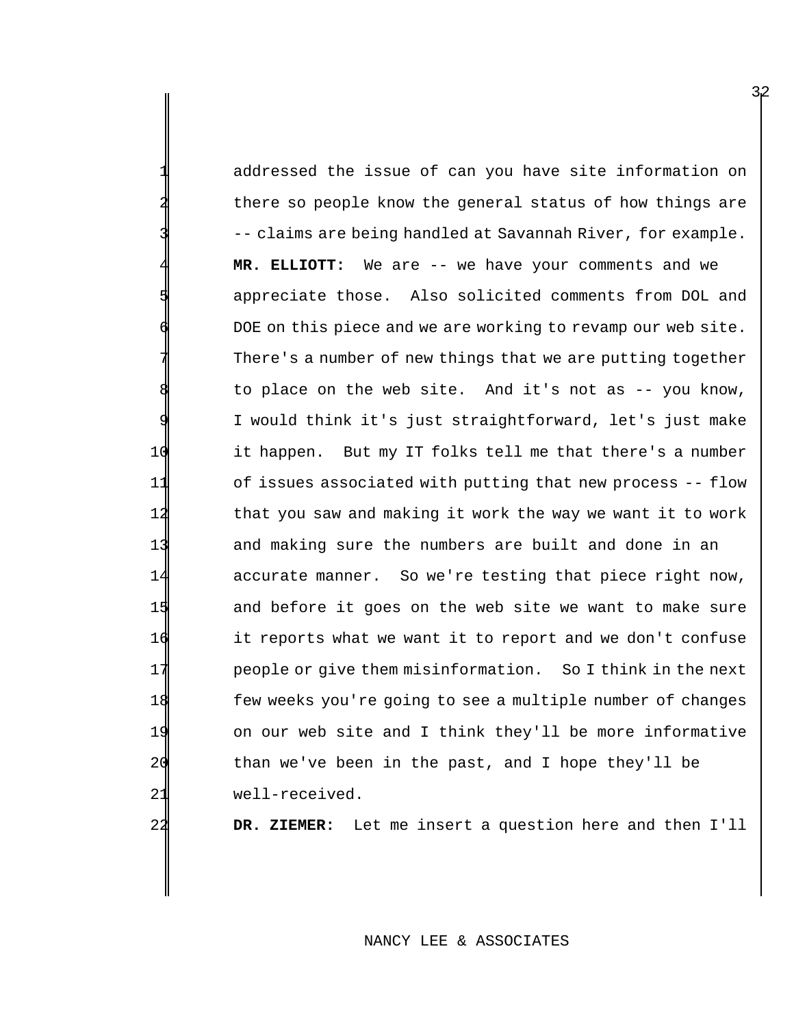addressed the issue of can you have site information on there so people know the general status of how things are -- claims are being handled at Savannah River, for example. MR. ELLIOTT: We are -- we have your comments and we appreciate those. Also solicited comments from DOL and DOE on this piece and we are working to revamp our web site. There's a number of new things that we are putting together to place on the web site. And it's not as -- you know, I would think it's just straightforward, let's just make 10 it happen. But my IT folks tell me that there's a number 11 of issues associated with putting that new process -- flow 12 that you saw and making it work the way we want it to work 13 and making sure the numbers are built and done in an 14 accurate manner. So we're testing that piece right now, 15 and before it goes on the web site we want to make sure 16 it reports what we want it to report and we don't confuse 17 people or give them misinformation. So I think in the next 18 few weeks you're going to see a multiple number of changes 19 on our web site and I think they'll be more informative 20 than we've been in the past, and I hope they'll be 21 well-received.

32

22 **DR. ZIEMER:** Let me insert a question here and then I'll

# NANCY LEE & ASSOCIATES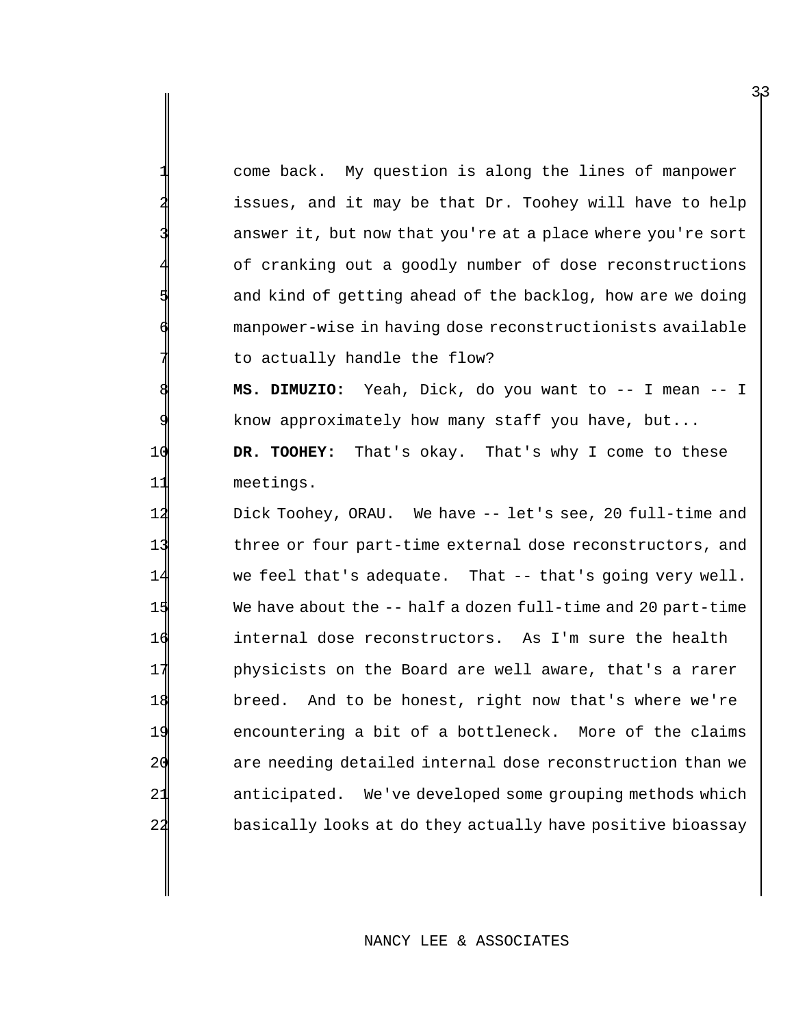come back. My question is along the lines of manpower issues, and it may be that Dr. Toohey will have to help answer it, but now that you're at a place where you're sort of cranking out a goodly number of dose reconstructions and kind of getting ahead of the backlog, how are we doing manpower-wise in having dose reconstructionists available to actually handle the flow?

 **MS. DIMUZIO:** Yeah, Dick, do you want to -- I mean -- I know approximately how many staff you have, but... **DR. TOOHEY:** That's okay. That's why I come to these meetings.

 Dick Toohey, ORAU. We have -- let's see, 20 full-time and three or four part-time external dose reconstructors, and we feel that's adequate. That -- that's going very well. We have about the -- half a dozen full-time and 20 part-time internal dose reconstructors. As I'm sure the health physicists on the Board are well aware, that's a rarer breed. And to be honest, right now that's where we're encountering a bit of a bottleneck. More of the claims are needing detailed internal dose reconstruction than we anticipated. We've developed some grouping methods which basically looks at do they actually have positive bioassay

## NANCY LEE & ASSOCIATES

3<sub>1</sub>3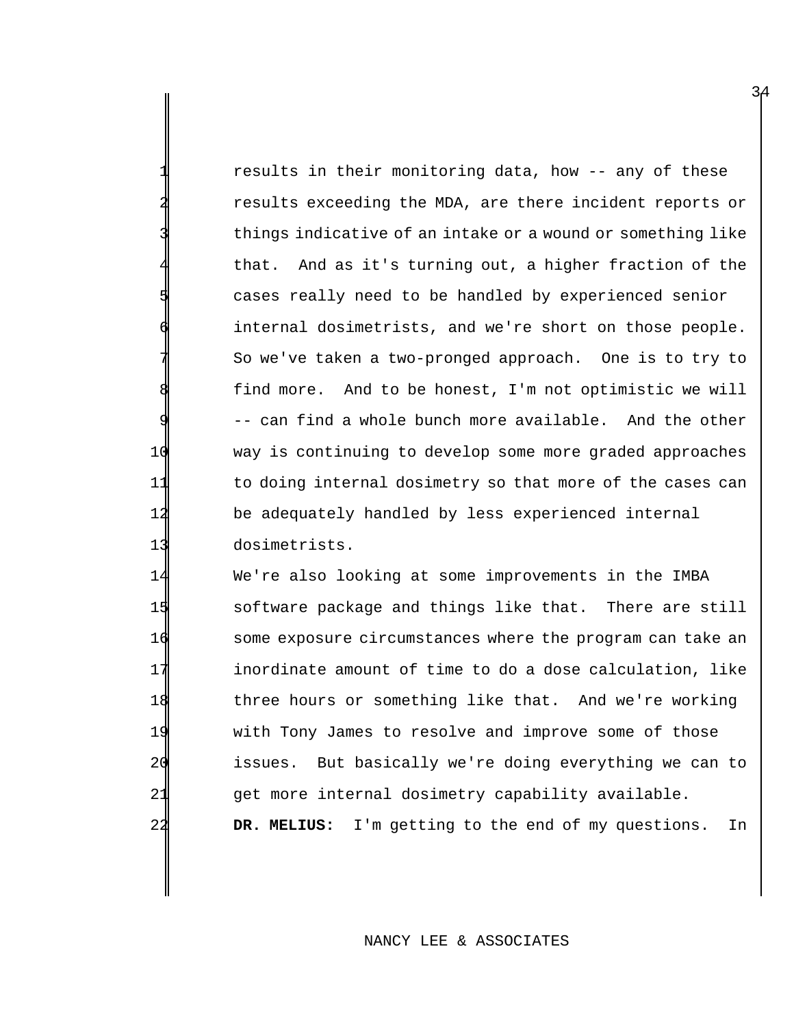results in their monitoring data, how -- any of these results exceeding the MDA, are there incident reports or things indicative of an intake or a wound or something like that. And as it's turning out, a higher fraction of the cases really need to be handled by experienced senior internal dosimetrists, and we're short on those people. So we've taken a two-pronged approach. One is to try to find more. And to be honest, I'm not optimistic we will -- can find a whole bunch more available. And the other way is continuing to develop some more graded approaches to doing internal dosimetry so that more of the cases can be adequately handled by less experienced internal dosimetrists.

 We're also looking at some improvements in the IMBA software package and things like that. There are still some exposure circumstances where the program can take an inordinate amount of time to do a dose calculation, like three hours or something like that. And we're working with Tony James to resolve and improve some of those issues. But basically we're doing everything we can to get more internal dosimetry capability available. **DR. MELIUS:** I'm getting to the end of my questions. In

## NANCY LEE & ASSOCIATES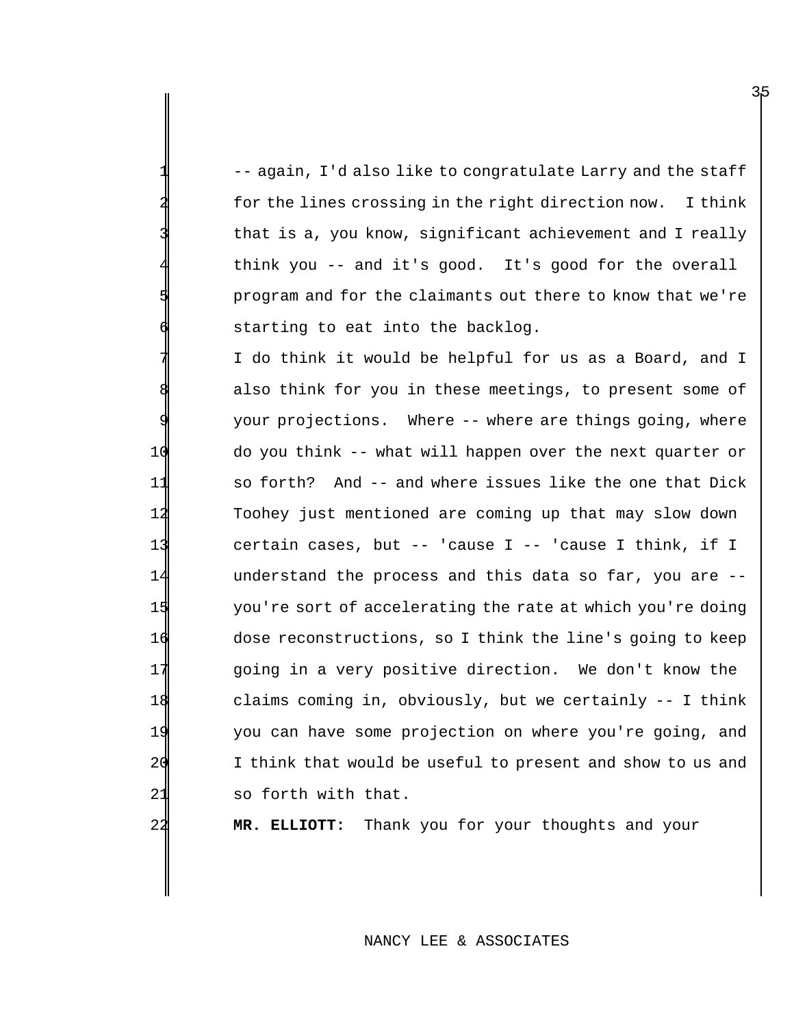-- again, I'd also like to congratulate Larry and the staff for the lines crossing in the right direction now. I think that is a, you know, significant achievement and I really think you -- and it's good. It's good for the overall 5 program and for the claimants out there to know that we're starting to eat into the backlog.

I do think it would be helpful for us as a Board, and I also think for you in these meetings, to present some of your projections. Where -- where are things going, where 10 do you think -- what will happen over the next quarter or 11 so forth? And -- and where issues like the one that Dick 12 Toohey just mentioned are coming up that may slow down 13 certain cases, but -- 'cause I -- 'cause I think, if I 14 understand the process and this data so far, you are -- 15 You're sort of accelerating the rate at which you're doing 16 dose reconstructions, so I think the line's going to keep 17 going in a very positive direction. We don't know the 18 claims coming in, obviously, but we certainly -- I think 19 you can have some projection on where you're going, and 20 I think that would be useful to present and show to us and 21 so forth with that.

22 **MR. ELLIOTT:** Thank you for your thoughts and your

# NANCY LEE & ASSOCIATES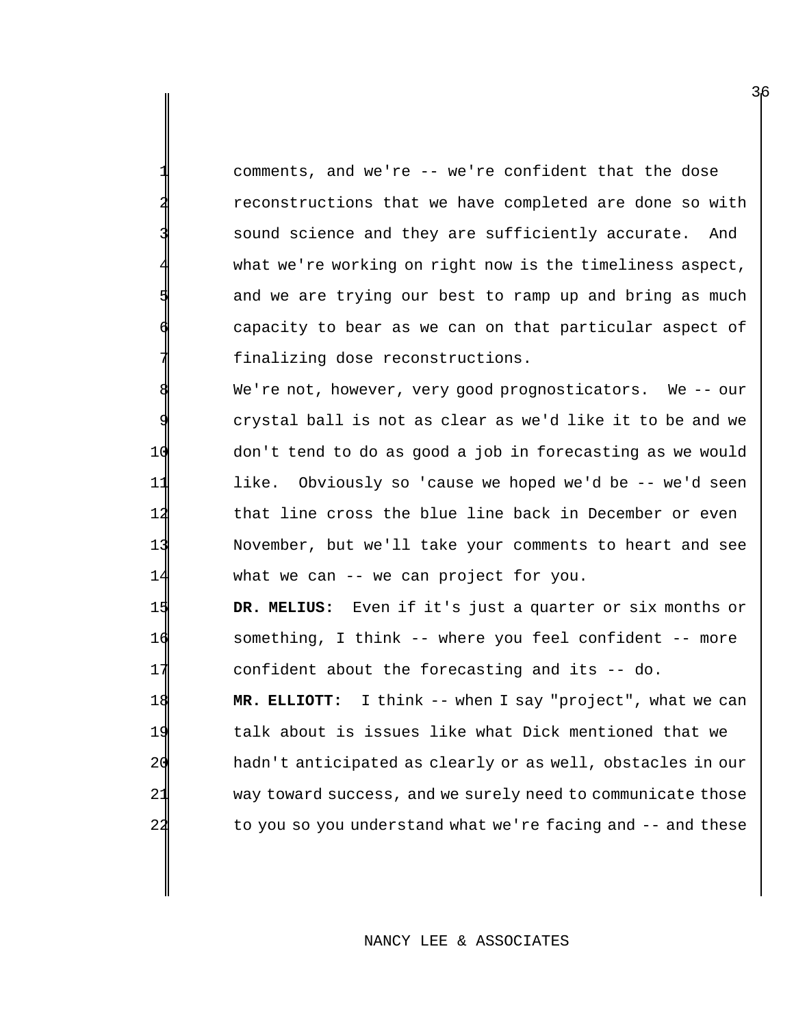comments, and we're -- we're confident that the dose 2 reconstructions that we have completed are done so with sound science and they are sufficiently accurate. And what we're working on right now is the timeliness aspect, and we are trying our best to ramp up and bring as much capacity to bear as we can on that particular aspect of finalizing dose reconstructions.

We're not, however, very good prognosticators. We -- our crystal ball is not as clear as we'd like it to be and we don't tend to do as good a job in forecasting as we would like. Obviously so 'cause we hoped we'd be -- we'd seen that line cross the blue line back in December or even November, but we'll take your comments to heart and see what we can -- we can project for you.

15 **DR. MELIUS:** Even if it's just a quarter or six months or 16 something, I think -- where you feel confident -- more 17 confident about the forecasting and its -- do.

 **MR. ELLIOTT:** I think -- when I say "project", what we can talk about is issues like what Dick mentioned that we hadn't anticipated as clearly or as well, obstacles in our way toward success, and we surely need to communicate those 22 to you so you understand what we're facing and -- and these

## NANCY LEE & ASSOCIATES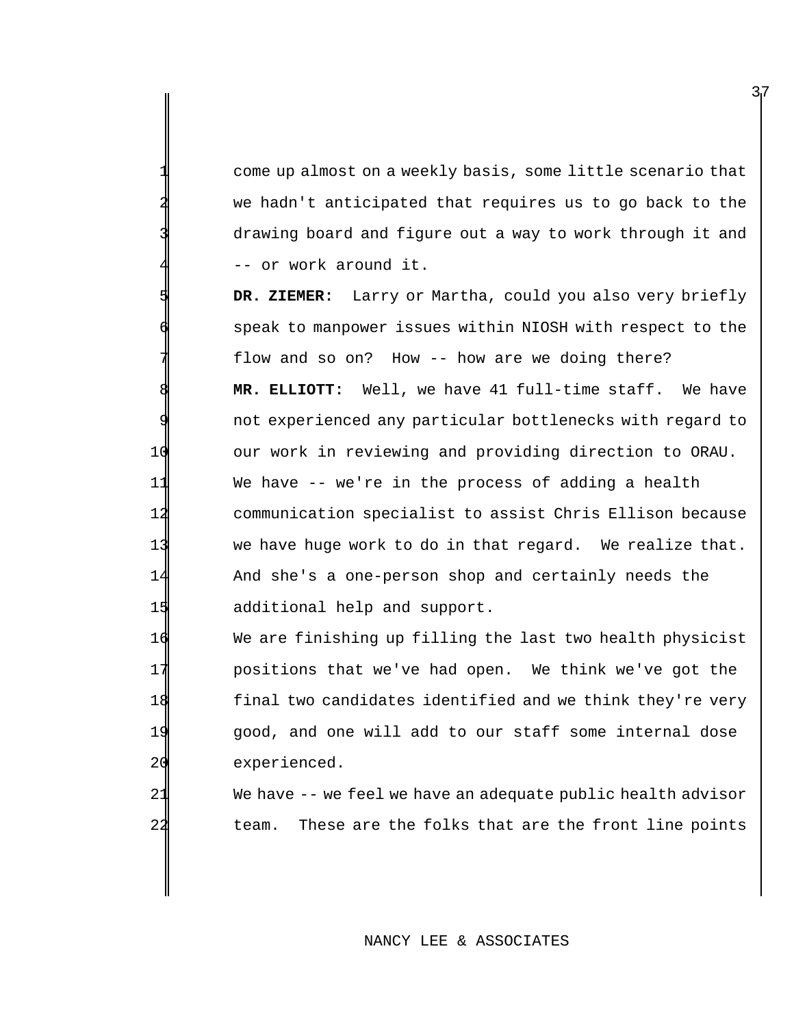come up almost on a weekly basis, some little scenario that we hadn't anticipated that requires us to go back to the drawing board and figure out a way to work through it and -- or work around it.

 **DR. ZIEMER:** Larry or Martha, could you also very briefly speak to manpower issues within NIOSH with respect to the flow and so on? How -- how are we doing there? **MR. ELLIOTT:** Well, we have 41 full-time staff. We have not experienced any particular bottlenecks with regard to our work in reviewing and providing direction to ORAU. We have -- we're in the process of adding a health communication specialist to assist Chris Ellison because we have huge work to do in that regard. We realize that. And she's a one-person shop and certainly needs the 15 additional help and support.

 We are finishing up filling the last two health physicist positions that we've had open. We think we've got the final two candidates identified and we think they're very good, and one will add to our staff some internal dose experienced.

21 We have -- we feel we have an adequate public health advisor 22 team. These are the folks that are the front line points

### NANCY LEE & ASSOCIATES

3<sub>1</sub>7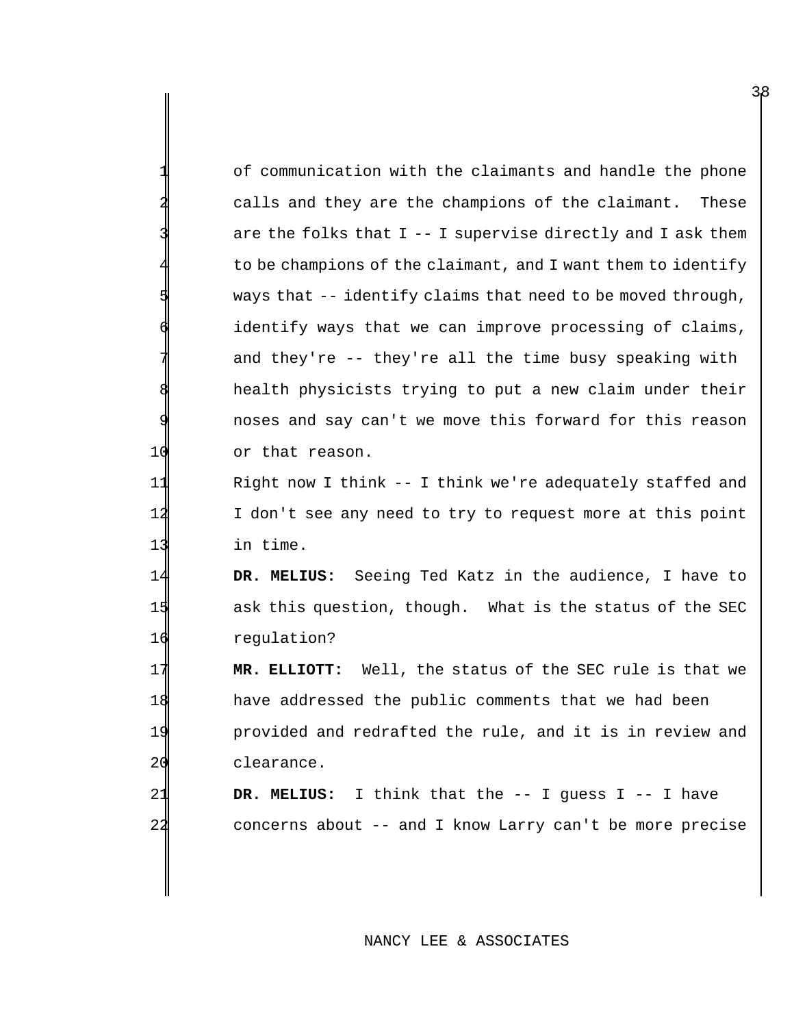of communication with the claimants and handle the phone calls and they are the champions of the claimant. These are the folks that  $I - - I$  supervise directly and I ask them to be champions of the claimant, and I want them to identify ways that -- identify claims that need to be moved through, identify ways that we can improve processing of claims, and they're -- they're all the time busy speaking with health physicists trying to put a new claim under their noses and say can't we move this forward for this reason 10 or that reason.

11 Right now I think -- I think we're adequately staffed and 12 I don't see any need to try to request more at this point 13 in time.

14 **DR. MELIUS:** Seeing Ted Katz in the audience, I have to 15 ask this question, though. What is the status of the SEC 16 regulation?

 **MR. ELLIOTT:** Well, the status of the SEC rule is that we have addressed the public comments that we had been provided and redrafted the rule, and it is in review and clearance.

21 **DR. MELIUS:** I think that the -- I guess I -- I have 22 concerns about -- and I know Larry can't be more precise

## NANCY LEE & ASSOCIATES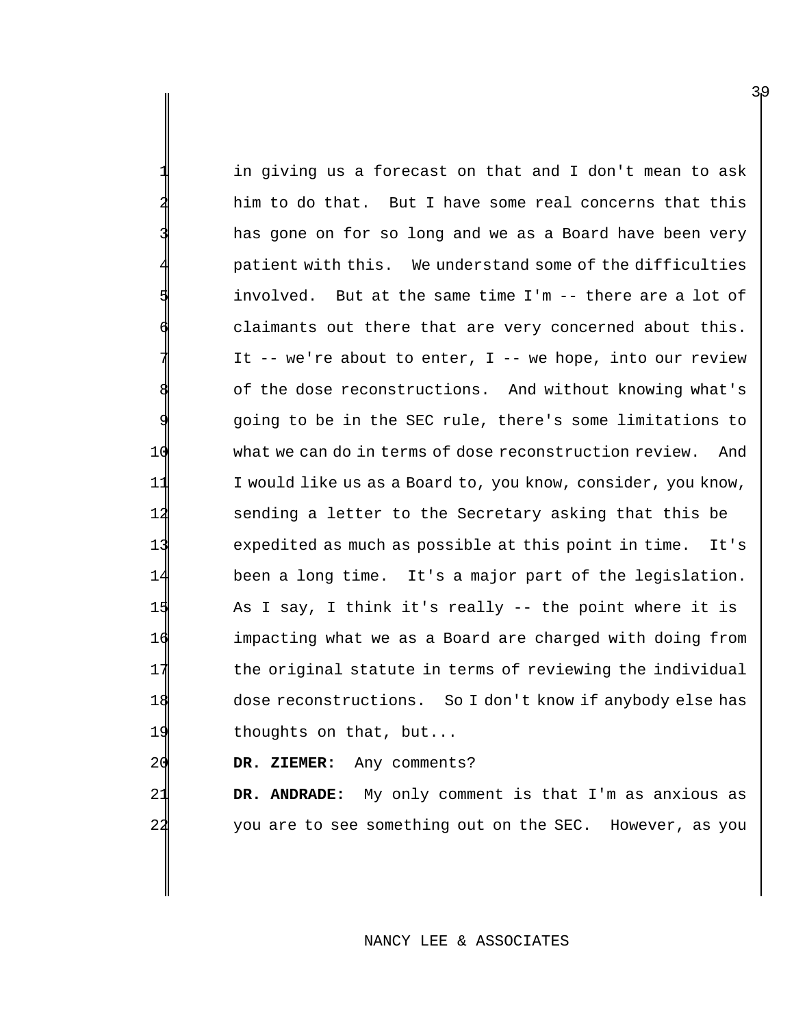in giving us a forecast on that and I don't mean to ask him to do that. But I have some real concerns that this has gone on for so long and we as a Board have been very patient with this. We understand some of the difficulties involved. But at the same time  $I'm --$  there are a lot of claimants out there that are very concerned about this. It  $-$ - we're about to enter, I  $-$ - we hope, into our review of the dose reconstructions. And without knowing what's 9 going to be in the SEC rule, there's some limitations to 10 what we can do in terms of dose reconstruction review. And 11 I would like us as a Board to, you know, consider, you know, 14 sending a letter to the Secretary asking that this be 13 expedited as much as possible at this point in time. It's 14 been a long time. It's a major part of the legislation. 15 As I say, I think it's really -- the point where it is 16 impacting what we as a Board are charged with doing from 17 the original statute in terms of reviewing the individual 18 dose reconstructions. So I don't know if anybody else has 19 thoughts on that, but...

20 **DR. ZIEMER:** Any comments?

21 **DR. ANDRADE:** My only comment is that I'm as anxious as 22 you are to see something out on the SEC. However, as you

## NANCY LEE & ASSOCIATES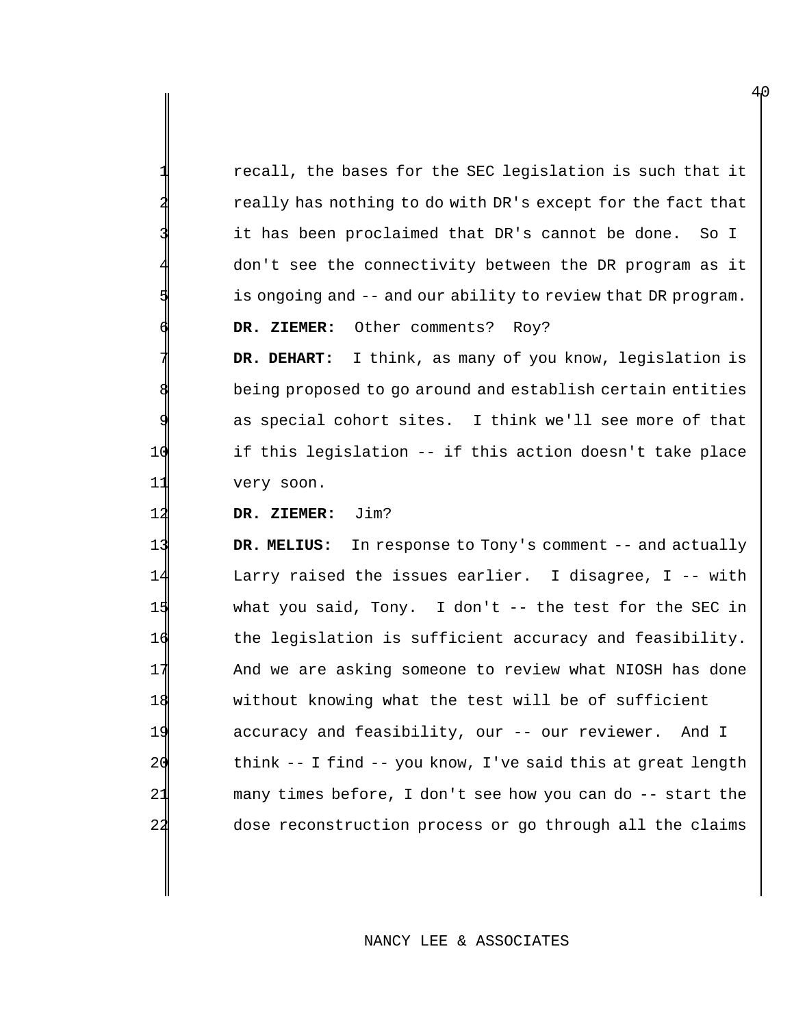| 1  | recall, the bases for the SEC legislation is such that it    |
|----|--------------------------------------------------------------|
|    | really has nothing to do with DR's except for the fact that  |
|    | it has been proclaimed that DR's cannot be done.<br>So I     |
|    | don't see the connectivity between the DR program as it      |
| 51 | is ongoing and -- and our ability to review that DR program. |
| a  | DR. ZIEMER: Other comments?<br>Roy?                          |

DR. DEHART: I think, as many of you know, legislation is being proposed to go around and establish certain entities as special cohort sites. I think we'll see more of that if this legislation -- if this action doesn't take place very soon.

**DR. ZIEMER:** Jim?

 **DR. MELIUS:** In response to Tony's comment -- and actually Larry raised the issues earlier. I disagree, I -- with what you said, Tony. I don't -- the test for the SEC in the legislation is sufficient accuracy and feasibility. 17 And we are asking someone to review what NIOSH has done without knowing what the test will be of sufficient accuracy and feasibility, our -- our reviewer. And I 20 think -- I find -- you know, I've said this at great length many times before, I don't see how you can do -- start the dose reconstruction process or go through all the claims

## NANCY LEE & ASSOCIATES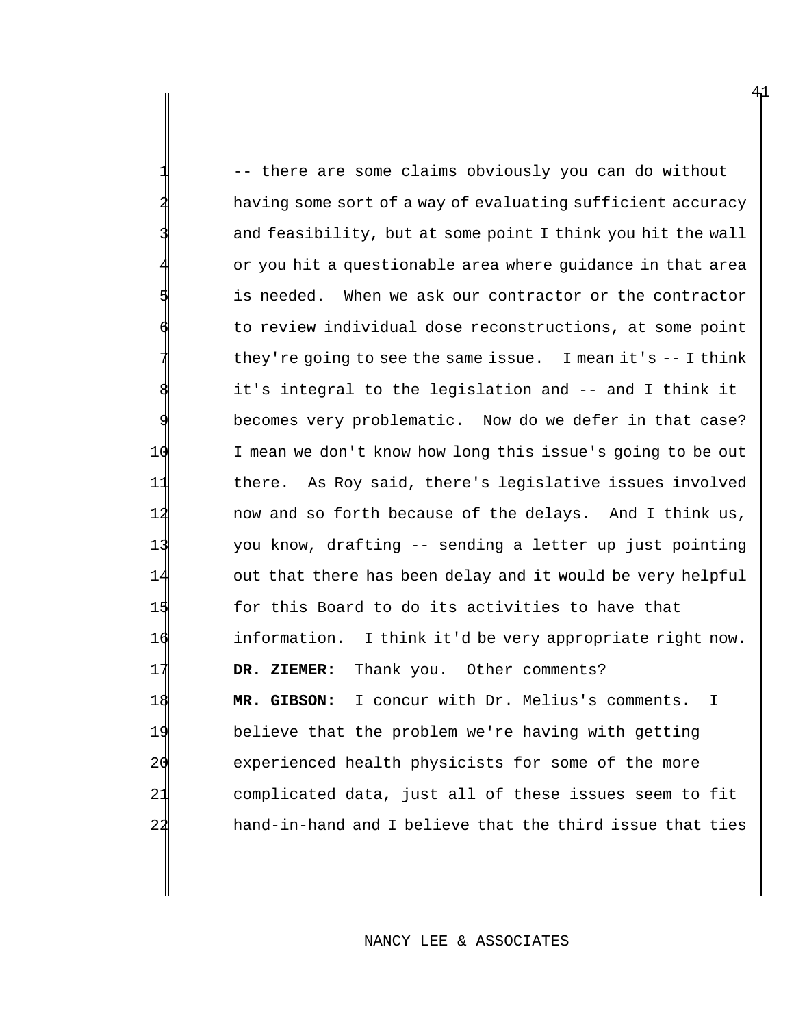-- there are some claims obviously you can do without having some sort of a way of evaluating sufficient accuracy and feasibility, but at some point I think you hit the wall or you hit a questionable area where guidance in that area is needed. When we ask our contractor or the contractor to review individual dose reconstructions, at some point they're going to see the same issue. I mean it's  $-$ -I think it's integral to the legislation and -- and I think it becomes very problematic. Now do we defer in that case? 10 I mean we don't know how long this issue's going to be out 11 there. As Roy said, there's legislative issues involved 12 now and so forth because of the delays. And I think us, 13 you know, drafting -- sending a letter up just pointing 14 out that there has been delay and it would be very helpful 15 for this Board to do its activities to have that 16 information. I think it'd be very appropriate right now. 17 **DR. ZIEMER:** Thank you. Other comments? 18 **MR. GIBSON:** I concur with Dr. Melius's comments. I 19 believe that the problem we're having with getting 20 experienced health physicists for some of the more 21 complicated data, just all of these issues seem to fit 22 hand-in-hand and I believe that the third issue that ties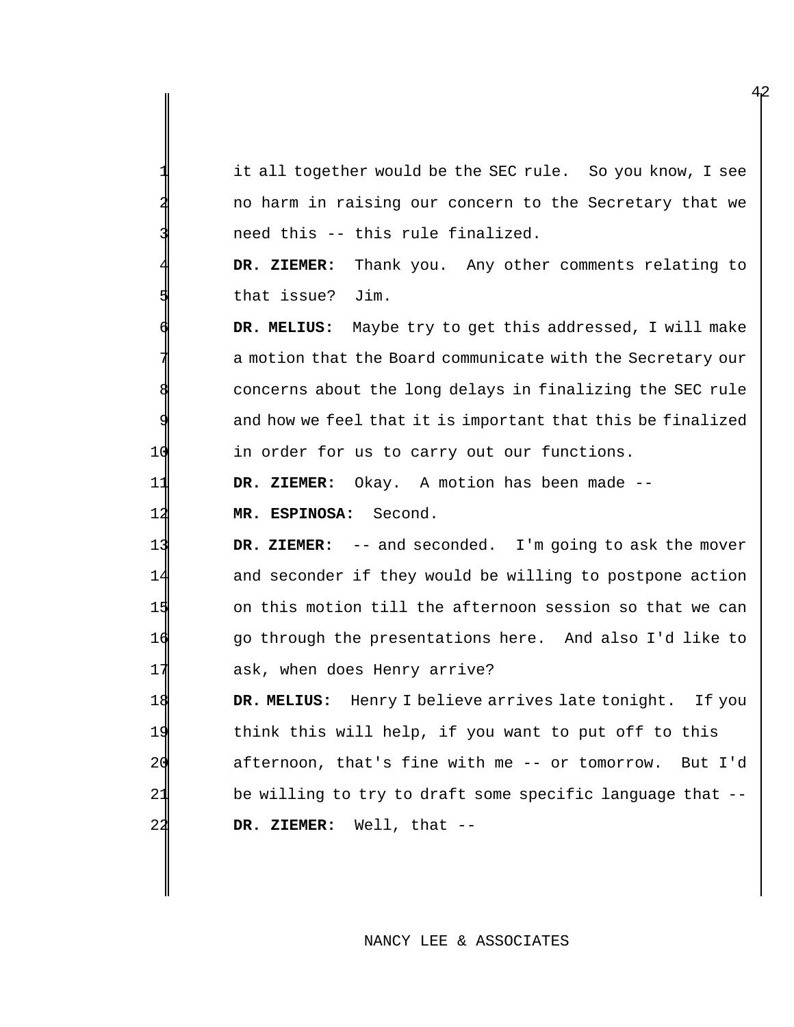it all together would be the SEC rule. So you know, I see no harm in raising our concern to the Secretary that we need this -- this rule finalized.

42

DR. ZIEMER: Thank you. Any other comments relating to that issue? Jim.

6 **DR. MELIUS:** Maybe try to get this addressed, I will make a motion that the Board communicate with the Secretary our concerns about the long delays in finalizing the SEC rule and how we feel that it is important that this be finalized 10 in order for us to carry out our functions.

11 **DR. ZIEMER:** Okay. A motion has been made --

12 **MR. ESPINOSA:** Second.

 **DR. ZIEMER:** -- and seconded. I'm going to ask the mover and seconder if they would be willing to postpone action on this motion till the afternoon session so that we can go through the presentations here. And also I'd like to 17 ask, when does Henry arrive?

 **DR. MELIUS:** Henry I believe arrives late tonight. If you think this will help, if you want to put off to this afternoon, that's fine with me -- or tomorrow. But I'd be willing to try to draft some specific language that -- **DR. ZIEMER:** Well, that --

NANCY LEE & ASSOCIATES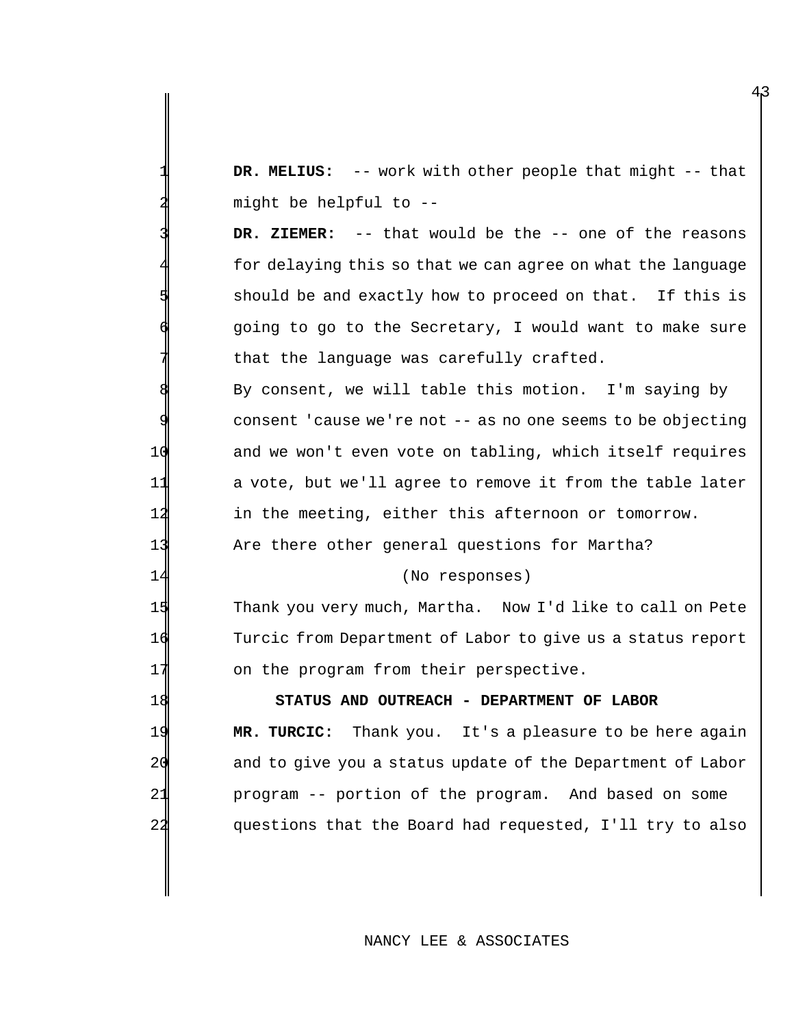DR. MELIUS: -- work with other people that might -- that might be helpful to --

 **DR. ZIEMER:** -- that would be the -- one of the reasons for delaying this so that we can agree on what the language should be and exactly how to proceed on that. If this is going to go to the Secretary, I would want to make sure that the language was carefully crafted.

 By consent, we will table this motion. I'm saying by consent 'cause we're not  $-$ - as no one seems to be objecting and we won't even vote on tabling, which itself requires a vote, but we'll agree to remove it from the table later in the meeting, either this afternoon or tomorrow. Are there other general questions for Martha?

## 14 (No responses)

 Thank you very much, Martha. Now I'd like to call on Pete Turcic from Department of Labor to give us a status report on the program from their perspective.

 **STATUS AND OUTREACH - DEPARTMENT OF LABOR MR. TURCIC:** Thank you. It's a pleasure to be here again and to give you a status update of the Department of Labor program -- portion of the program. And based on some

questions that the Board had requested, I'll try to also

## NANCY LEE & ASSOCIATES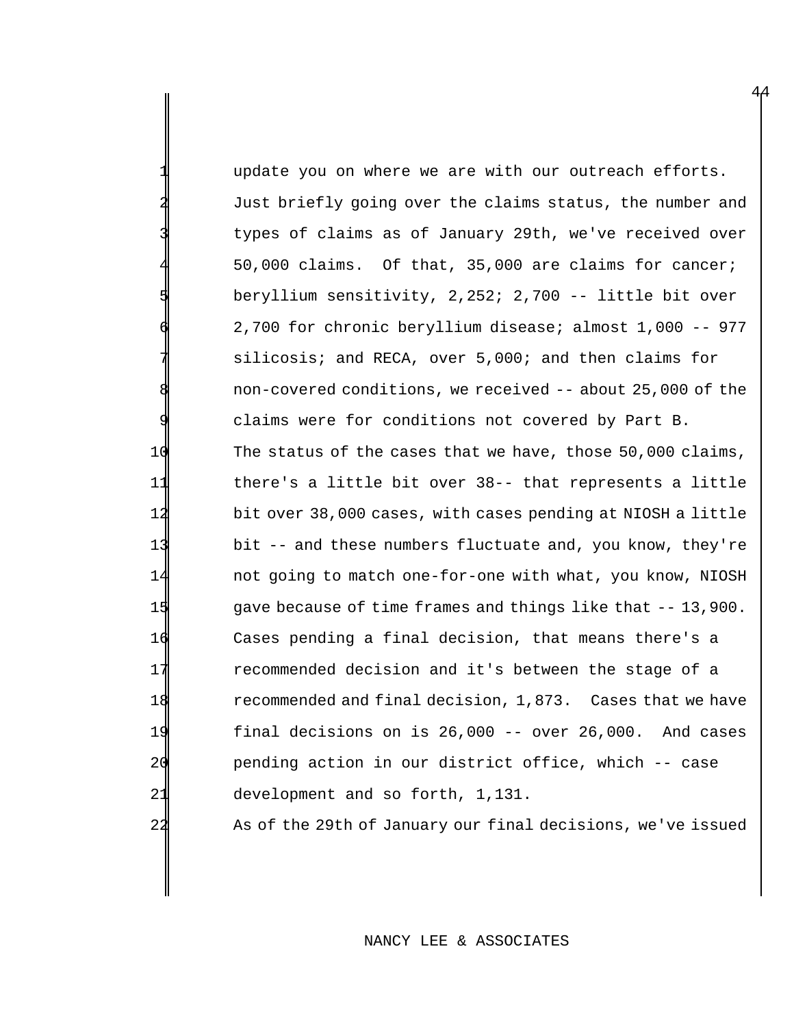update you on where we are with our outreach efforts. Just briefly going over the claims status, the number and types of claims as of January 29th, we've received over 4 50,000 claims. Of that, 35,000 are claims for cancer; 5 beryllium sensitivity, 2,252; 2,700 -- little bit over 6 2,700 for chronic beryllium disease; almost 1,000 -- 977 silicosis; and RECA, over 5,000; and then claims for non-covered conditions, we received -- about 25,000 of the claims were for conditions not covered by Part B. 10 The status of the cases that we have, those 50,000 claims, 11 there's a little bit over 38-- that represents a little 12 bit over 38,000 cases, with cases pending at NIOSH a little 13 bit -- and these numbers fluctuate and, you know, they're 14 not going to match one-for-one with what, you know, NIOSH 15 gave because of time frames and things like that -- 13,900. 16 Cases pending a final decision, that means there's a 17 recommended decision and it's between the stage of a 18 recommended and final decision, 1,873. Cases that we have 19 final decisions on is 26,000 -- over 26,000. And cases 20 pending action in our district office, which -- case 21 development and so forth, 1,131. 22 As of the 29th of January our final decisions, we've issued

## NANCY LEE & ASSOCIATES

 $4\beta$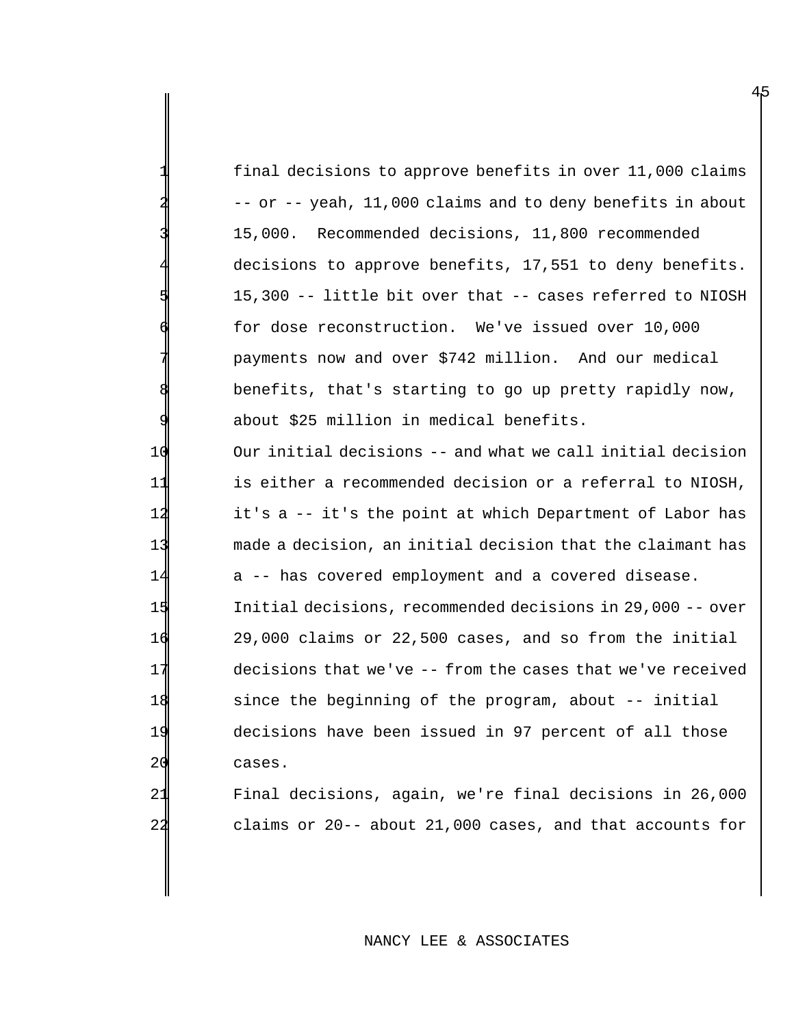|                | final decisions to approve benefits in over 11,000 claims  |
|----------------|------------------------------------------------------------|
|                | -- or -- yeah, 11,000 claims and to deny benefits in about |
|                | 15,000. Recommended decisions, 11,800 recommended          |
|                | decisions to approve benefits, 17,551 to deny benefits.    |
|                | 15,300 -- little bit over that -- cases referred to NIOSH  |
|                | for dose reconstruction. We've issued over 10,000          |
|                | payments now and over \$742 million. And our medical       |
|                | benefits, that's starting to go up pretty rapidly now,     |
|                | about \$25 million in medical benefits.                    |
| 10             | Our initial decisions -- and what we call initial decision |
| 11             | is either a recommended decision or a referral to NIOSH,   |
| 12             | it's a -- it's the point at which Department of Labor has  |
| 13             | made a decision, an initial decision that the claimant has |
| 14             | a -- has covered employment and a covered disease.         |
| 15             | Initial decisions, recommended decisions in 29,000 -- over |
| 16             | 29,000 claims or 22,500 cases, and so from the initial     |
| 17             | decisions that we've -- from the cases that we've received |
| 18             | since the beginning of the program, about -- initial       |
| 19             | decisions have been issued in 97 percent of all those      |
| 20             | cases.                                                     |
| 21             | Final decisions, again, we're final decisions in 26,000    |
| 2 <sub>2</sub> | claims or 20-- about 21,000 cases, and that accounts for   |

# NANCY LEE & ASSOCIATES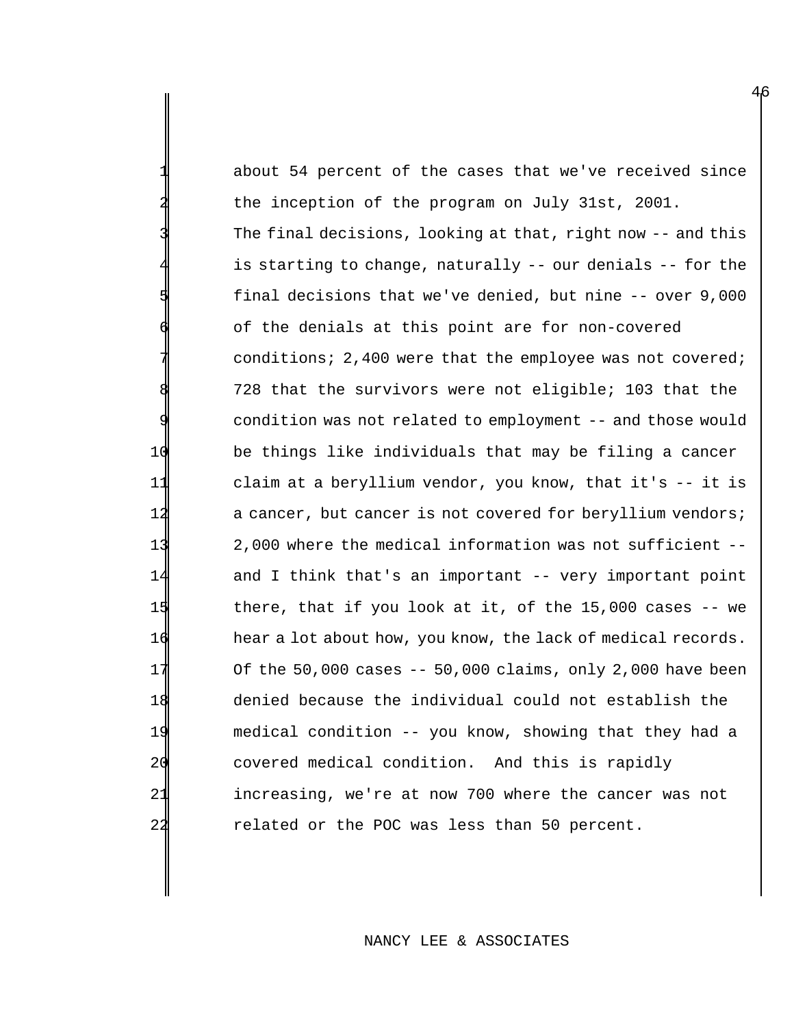about 54 percent of the cases that we've received since 2 the inception of the program on July 31st, 2001. The final decisions, looking at that, right now -- and this is starting to change, naturally -- our denials -- for the 5 final decisions that we've denied, but nine -- over 9,000 of the denials at this point are for non-covered conditions; 2,400 were that the employee was not covered; 728 that the survivors were not eligible; 103 that the condition was not related to employment -- and those would 10 be things like individuals that may be filing a cancer 11 claim at a beryllium vendor, you know, that it's -- it is 12 a cancer, but cancer is not covered for beryllium vendors; 13 2,000 where the medical information was not sufficient -- 14 and I think that's an important -- very important point 15 there, that if you look at it, of the 15,000 cases -- we 16 hear a lot about how, you know, the lack of medical records.  $17$  Of the 50,000 cases -- 50,000 claims, only 2,000 have been 18 denied because the individual could not establish the 19 medical condition -- you know, showing that they had a 20 covered medical condition. And this is rapidly 21 increasing, we're at now 700 where the cancer was not 22 related or the POC was less than 50 percent.

### NANCY LEE & ASSOCIATES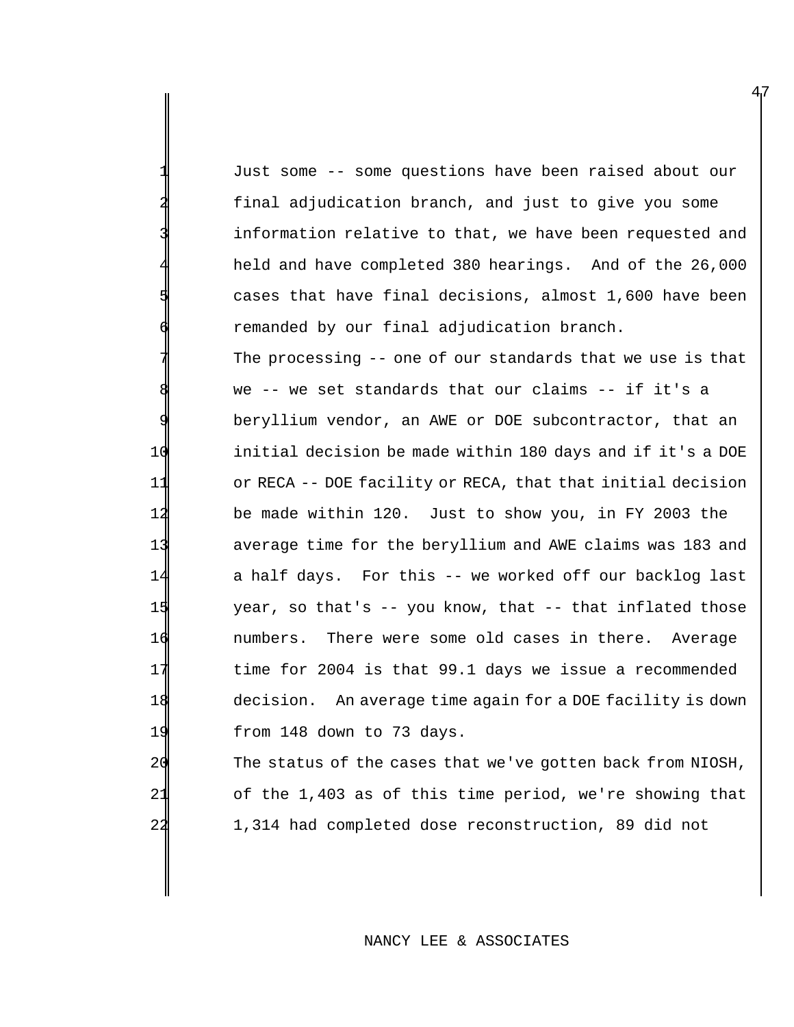Just some -- some questions have been raised about our final adjudication branch, and just to give you some information relative to that, we have been requested and held and have completed 380 hearings. And of the 26,000 cases that have final decisions, almost 1,600 have been remanded by our final adjudication branch.

The processing -- one of our standards that we use is that we -- we set standards that our claims -- if it's a beryllium vendor, an AWE or DOE subcontractor, that an initial decision be made within 180 days and if it's a DOE or RECA -- DOE facility or RECA, that that initial decision be made within 120. Just to show you, in FY 2003 the average time for the beryllium and AWE claims was 183 and a half days. For this -- we worked off our backlog last 15 year, so that's -- you know, that -- that inflated those numbers. There were some old cases in there. Average time for 2004 is that 99.1 days we issue a recommended decision. An average time again for a DOE facility is down from 148 down to 73 days.

20 The status of the cases that we've gotten back from NIOSH, 21 of the 1,403 as of this time period, we're showing that 22 1,314 had completed dose reconstruction, 89 did not

## NANCY LEE & ASSOCIATES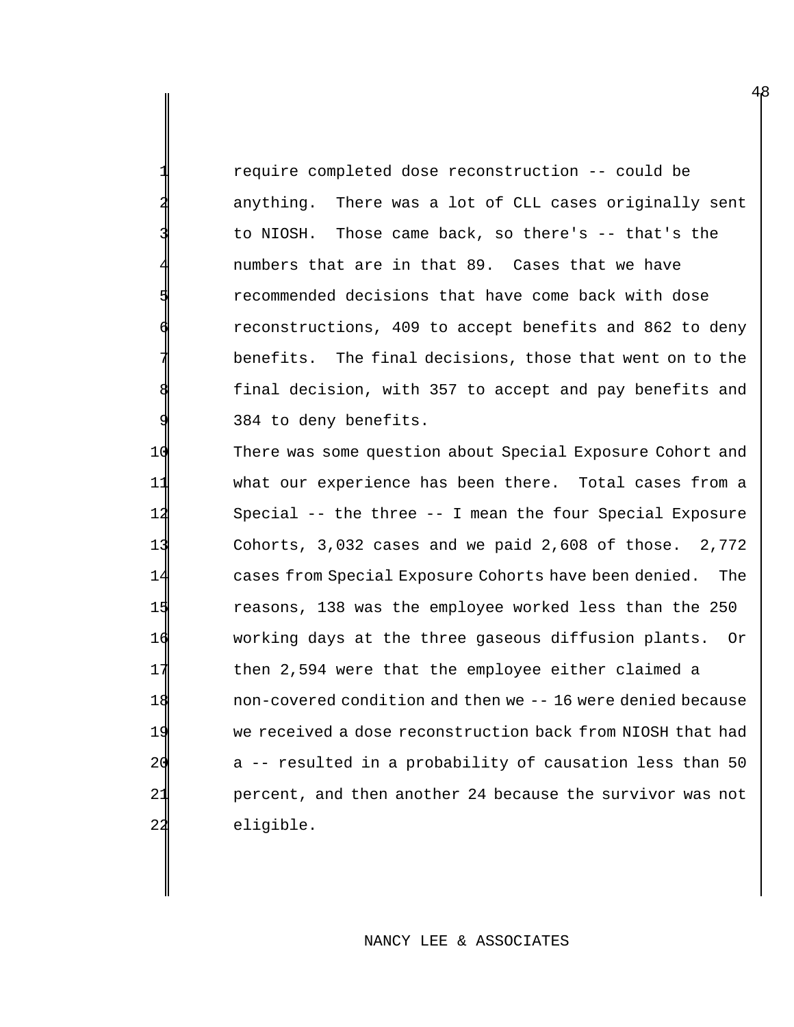require completed dose reconstruction -- could be anything. There was a lot of CLL cases originally sent to NIOSH. Those came back, so there's -- that's the numbers that are in that 89. Cases that we have recommended decisions that have come back with dose reconstructions, 409 to accept benefits and 862 to deny benefits. The final decisions, those that went on to the final decision, with 357 to accept and pay benefits and 384 to deny benefits.

 There was some question about Special Exposure Cohort and what our experience has been there. Total cases from a Special -- the three -- I mean the four Special Exposure Cohorts, 3,032 cases and we paid 2,608 of those. 2,772 cases from Special Exposure Cohorts have been denied. The reasons, 138 was the employee worked less than the 250 working days at the three gaseous diffusion plants. Or then 2,594 were that the employee either claimed a non-covered condition and then we -- 16 were denied because we received a dose reconstruction back from NIOSH that had 20 a -- resulted in a probability of causation less than 50 percent, and then another 24 because the survivor was not eligible.

## NANCY LEE & ASSOCIATES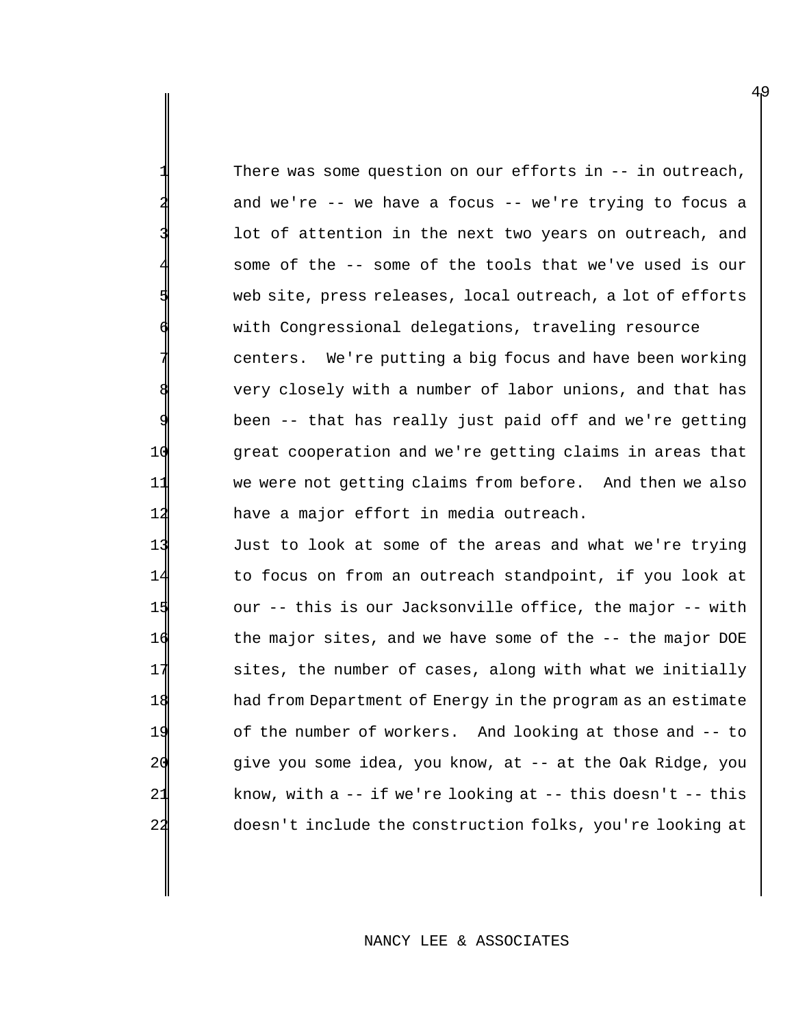There was some question on our efforts in  $-$ - in outreach, and we're  $--$  we have a focus  $--$  we're trying to focus a lot of attention in the next two years on outreach, and some of the -- some of the tools that we've used is our web site, press releases, local outreach, a lot of efforts with Congressional delegations, traveling resource centers. We're putting a big focus and have been working very closely with a number of labor unions, and that has been -- that has really just paid off and we're getting 10 great cooperation and we're getting claims in areas that 11 we were not getting claims from before. And then we also 12 have a major effort in media outreach.

 Just to look at some of the areas and what we're trying to focus on from an outreach standpoint, if you look at 15 our -- this is our Jacksonville office, the major -- with the major sites, and we have some of the -- the major DOE 17 sites, the number of cases, along with what we initially had from Department of Energy in the program as an estimate of the number of workers. And looking at those and -- to give you some idea, you know, at -- at the Oak Ridge, you 21 know, with a -- if we're looking at -- this doesn't -- this doesn't include the construction folks, you're looking at

### NANCY LEE & ASSOCIATES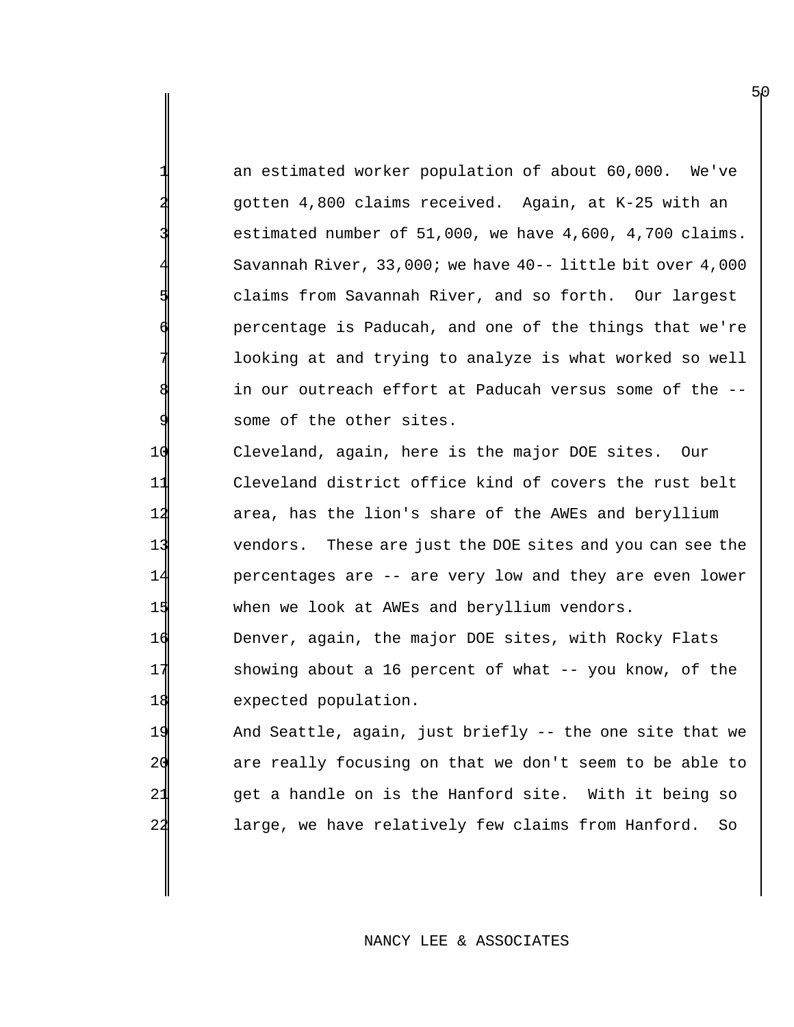an estimated worker population of about 60,000. We've 2 gotten 4,800 claims received. Again, at K-25 with an estimated number of 51,000, we have 4,600, 4,700 claims. Savannah River, 33,000; we have 40-- little bit over 4,000 5 claims from Savannah River, and so forth. Our largest percentage is Paducah, and one of the things that we're looking at and trying to analyze is what worked so well in our outreach effort at Paducah versus some of the -some of the other sites.

 Cleveland, again, here is the major DOE sites. Our Cleveland district office kind of covers the rust belt area, has the lion's share of the AWEs and beryllium vendors. These are just the DOE sites and you can see the percentages are -- are very low and they are even lower when we look at AWEs and beryllium vendors.

16 Denver, again, the major DOE sites, with Rocky Flats 17 showing about a 16 percent of what -- you know, of the 18 expected population.

19 And Seattle, again, just briefly -- the one site that we 20 are really focusing on that we don't seem to be able to 21 get a handle on is the Hanford site. With it being so 22 large, we have relatively few claims from Hanford. So

## NANCY LEE & ASSOCIATES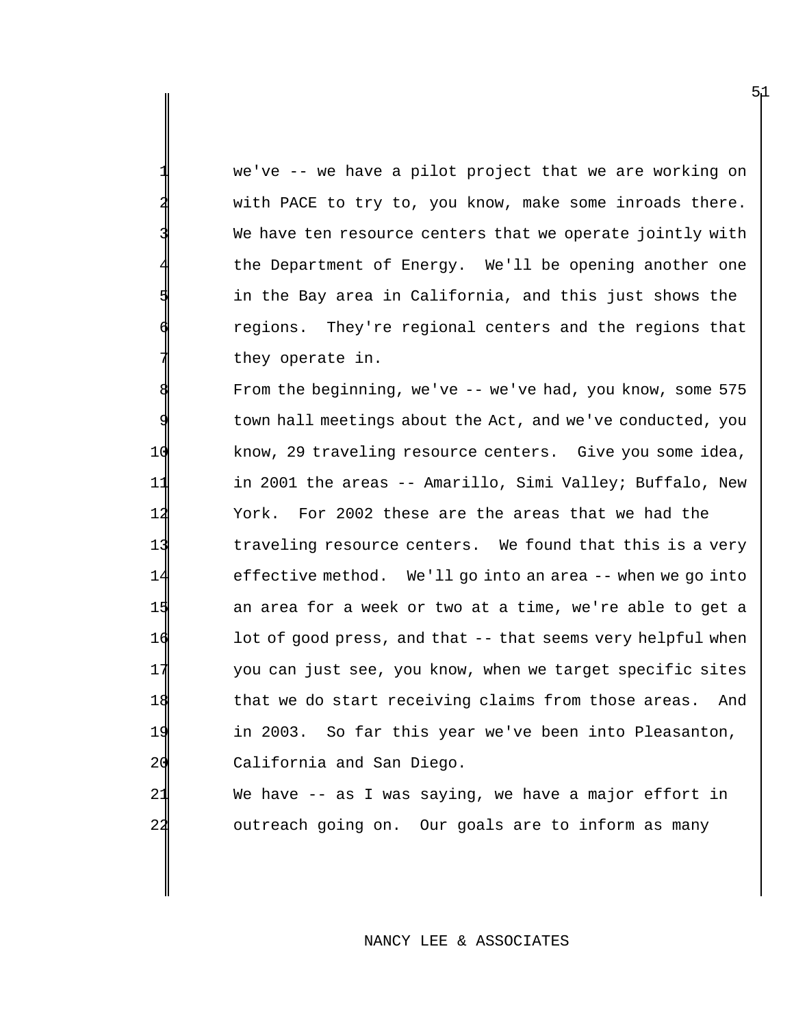we've -- we have a pilot project that we are working on with PACE to try to, you know, make some inroads there. We have ten resource centers that we operate jointly with the Department of Energy. We'll be opening another one in the Bay area in California, and this just shows the regions. They're regional centers and the regions that they operate in.

From the beginning, we've -- we've had, you know, some 575 town hall meetings about the Act, and we've conducted, you know, 29 traveling resource centers. Give you some idea, in 2001 the areas -- Amarillo, Simi Valley; Buffalo, New York. For 2002 these are the areas that we had the traveling resource centers. We found that this is a very effective method. We'll go into an area -- when we go into an area for a week or two at a time, we're able to get a lot of good press, and that -- that seems very helpful when you can just see, you know, when we target specific sites that we do start receiving claims from those areas. And in 2003. So far this year we've been into Pleasanton, 20 California and San Diego.

21 We have -- as I was saying, we have a major effort in 22 outreach going on. Our goals are to inform as many

## NANCY LEE & ASSOCIATES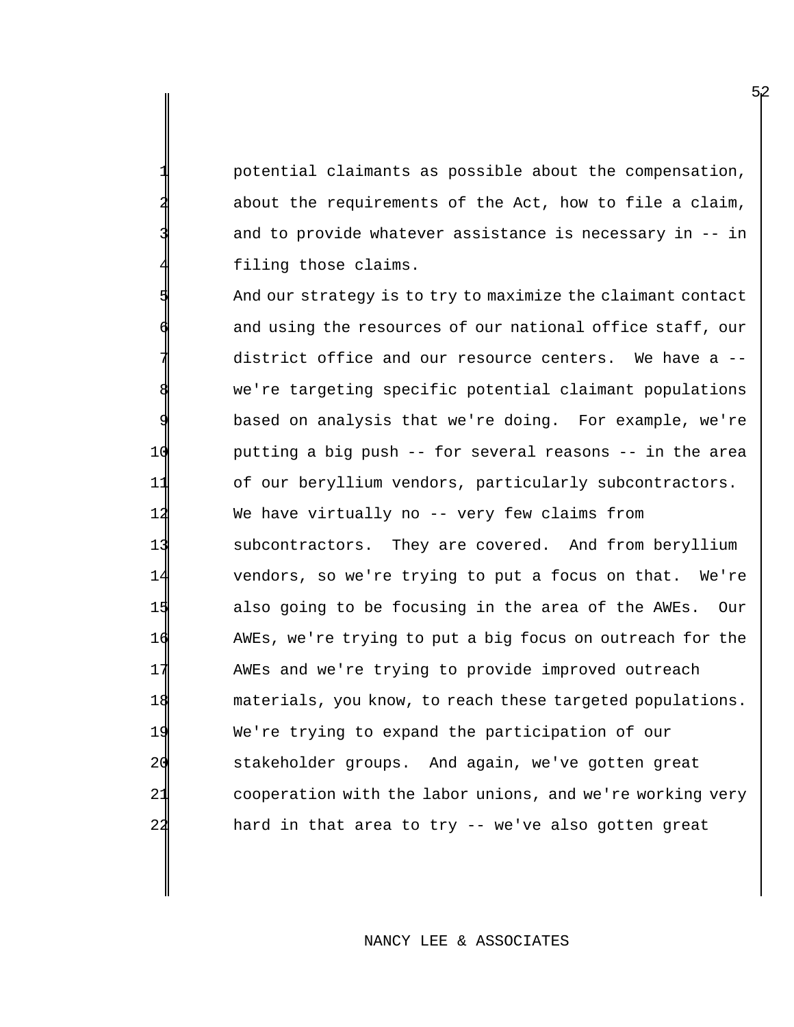potential claimants as possible about the compensation, about the requirements of the Act, how to file a claim, and to provide whatever assistance is necessary in  $-$ - in filing those claims.

And our strategy is to try to maximize the claimant contact and using the resources of our national office staff, our district office and our resource centers. We have a -we're targeting specific potential claimant populations based on analysis that we're doing. For example, we're putting a big push -- for several reasons -- in the area 11 of our beryllium vendors, particularly subcontractors. We have virtually no -- very few claims from subcontractors. They are covered. And from beryllium vendors, so we're trying to put a focus on that. We're 15 also going to be focusing in the area of the AWEs. Our AWEs, we're trying to put a big focus on outreach for the AWEs and we're trying to provide improved outreach materials, you know, to reach these targeted populations. We're trying to expand the participation of our stakeholder groups. And again, we've gotten great cooperation with the labor unions, and we're working very hard in that area to try -- we've also gotten great

#### NANCY LEE & ASSOCIATES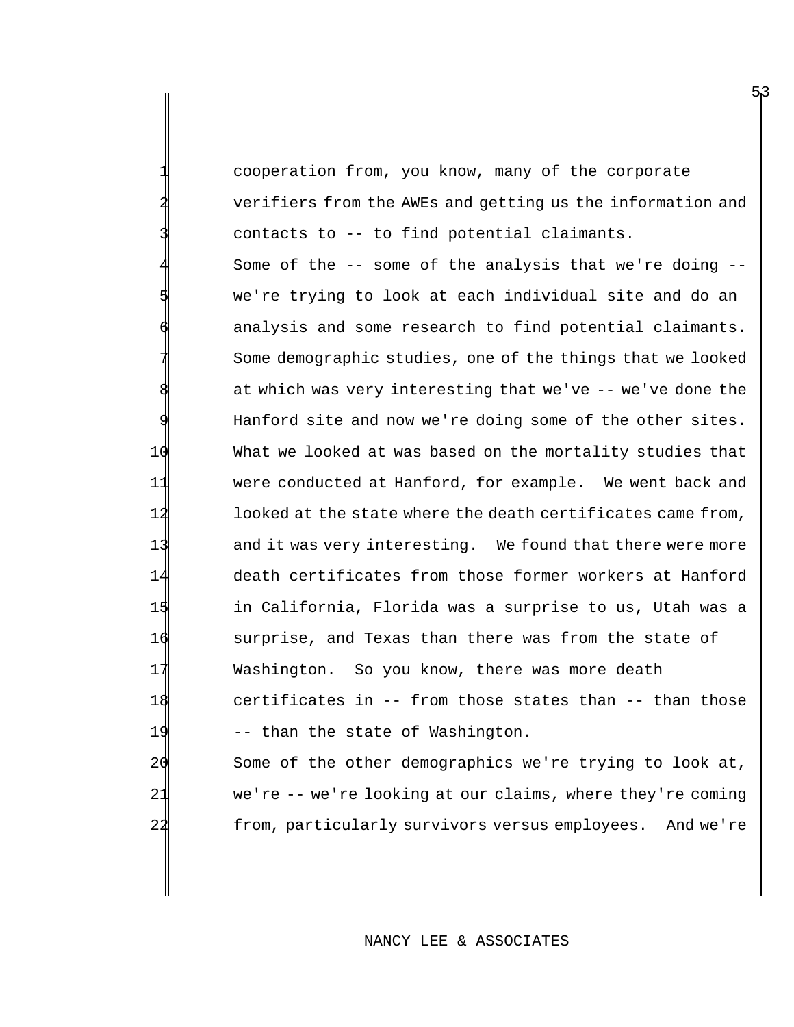cooperation from, you know, many of the corporate verifiers from the AWEs and getting us the information and contacts to -- to find potential claimants.

Some of the  $-$ - some of the analysis that we're doing  $-$ we're trying to look at each individual site and do an analysis and some research to find potential claimants. Some demographic studies, one of the things that we looked at which was very interesting that we've -- we've done the Hanford site and now we're doing some of the other sites. 10 What we looked at was based on the mortality studies that 11 were conducted at Hanford, for example. We went back and 12 looked at the state where the death certificates came from, 13 and it was very interesting. We found that there were more 14 death certificates from those former workers at Hanford 15 in California, Florida was a surprise to us, Utah was a 16 surprise, and Texas than there was from the state of 17 Washington. So you know, there was more death 18 certificates in -- from those states than -- than those 19 -- than the state of Washington.

20 Some of the other demographics we're trying to look at, 21 we're -- we're looking at our claims, where they're coming 22 from, particularly survivors versus employees. And we're

## NANCY LEE & ASSOCIATES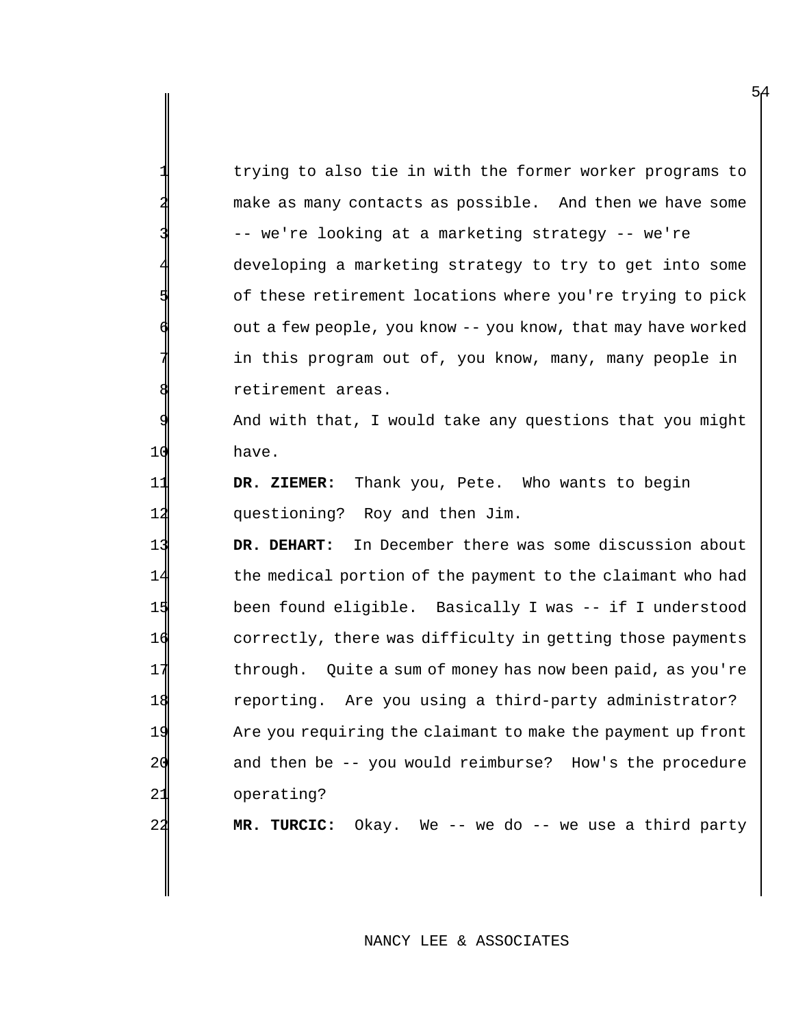|             | trying to also tie in with the former worker programs to     |
|-------------|--------------------------------------------------------------|
|             | make as many contacts as possible. And then we have some     |
|             | -- we're looking at a marketing strategy -- we're            |
|             | developing a marketing strategy to try to get into some      |
|             | of these retirement locations where you're trying to pick    |
|             | out a few people, you know -- you know, that may have worked |
|             | in this program out of, you know, many, many people in       |
|             | retirement areas.                                            |
|             | And with that, I would take any questions that you might     |
| 10          | have.                                                        |
| 11          | Thank you, Pete. Who wants to begin<br>DR. ZIEMER:           |
| 12          | questioning? Roy and then Jim.                               |
| 1:          | DR. DEHART: In December there was some discussion about      |
| 14          | the medical portion of the payment to the claimant who had   |
| 15          | been found eligible. Basically I was -- if I understood      |
| 16          | correctly, there was difficulty in getting those payments    |
| $1^{\circ}$ | through. Quite a sum of money has now been paid, as you're   |
| 18          | reporting. Are you using a third-party administrator?        |
| 19          | Are you requiring the claimant to make the payment up front  |
| 20          | and then be -- you would reimburse? How's the procedure      |
| 21          | operating?                                                   |

**MR. TURCIC:** Okay. We -- we do -- we use a third party

# NANCY LEE & ASSOCIATES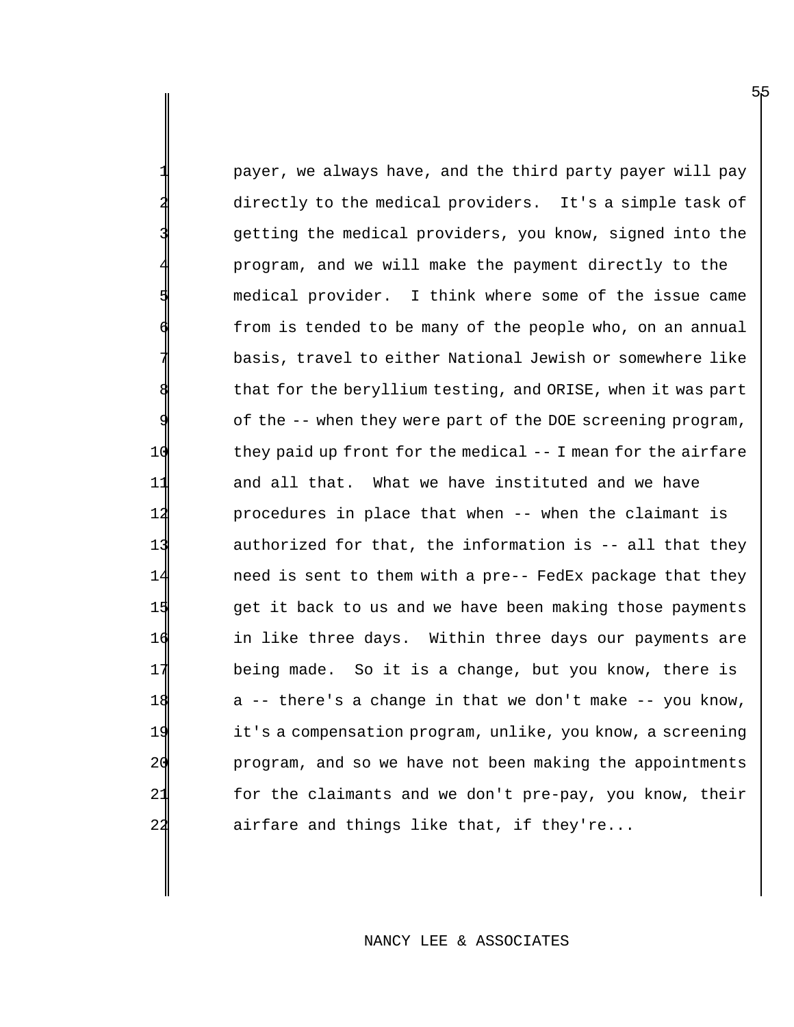payer, we always have, and the third party payer will pay directly to the medical providers. It's a simple task of getting the medical providers, you know, signed into the program, and we will make the payment directly to the medical provider. I think where some of the issue came from is tended to be many of the people who, on an annual basis, travel to either National Jewish or somewhere like that for the beryllium testing, and ORISE, when it was part of the -- when they were part of the DOE screening program, 10 they paid up front for the medical -- I mean for the airfare 11 and all that. What we have instituted and we have 12 procedures in place that when -- when the claimant is 13 authorized for that, the information is -- all that they 14 need is sent to them with a pre-- FedEx package that they 15 get it back to us and we have been making those payments 16 in like three days. Within three days our payments are 17 being made. So it is a change, but you know, there is 18 a -- there's a change in that we don't make -- you know, 19 it's a compensation program, unlike, you know, a screening 20 program, and so we have not been making the appointments 21 for the claimants and we don't pre-pay, you know, their 22 airfare and things like that, if they're...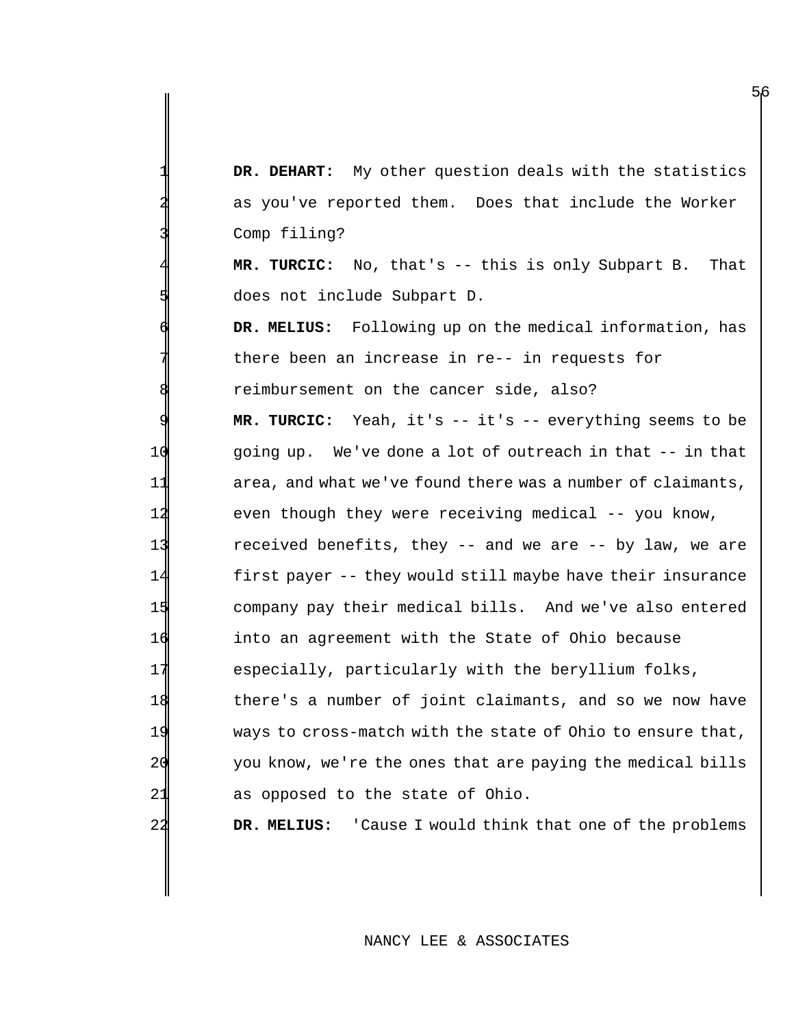DR. DEHART: My other question deals with the statistics as you've reported them. Does that include the Worker Comp filing?

MR. TURCIC: No, that's -- this is only Subpart B. That does not include Subpart D.

DR. MELIUS: Following up on the medical information, has there been an increase in re-- in requests for reimbursement on the cancer side, also?

 **MR. TURCIC:** Yeah, it's -- it's -- everything seems to be going up. We've done a lot of outreach in that -- in that 11 area, and what we've found there was a number of claimants, 14 even though they were receiving medical -- you know, received benefits, they -- and we are -- by law, we are first payer -- they would still maybe have their insurance company pay their medical bills. And we've also entered into an agreement with the State of Ohio because especially, particularly with the beryllium folks, there's a number of joint claimants, and so we now have ways to cross-match with the state of Ohio to ensure that, you know, we're the ones that are paying the medical bills 21 as opposed to the state of Ohio.

22 **DR. MELIUS:** 'Cause I would think that one of the problems

## NANCY LEE & ASSOCIATES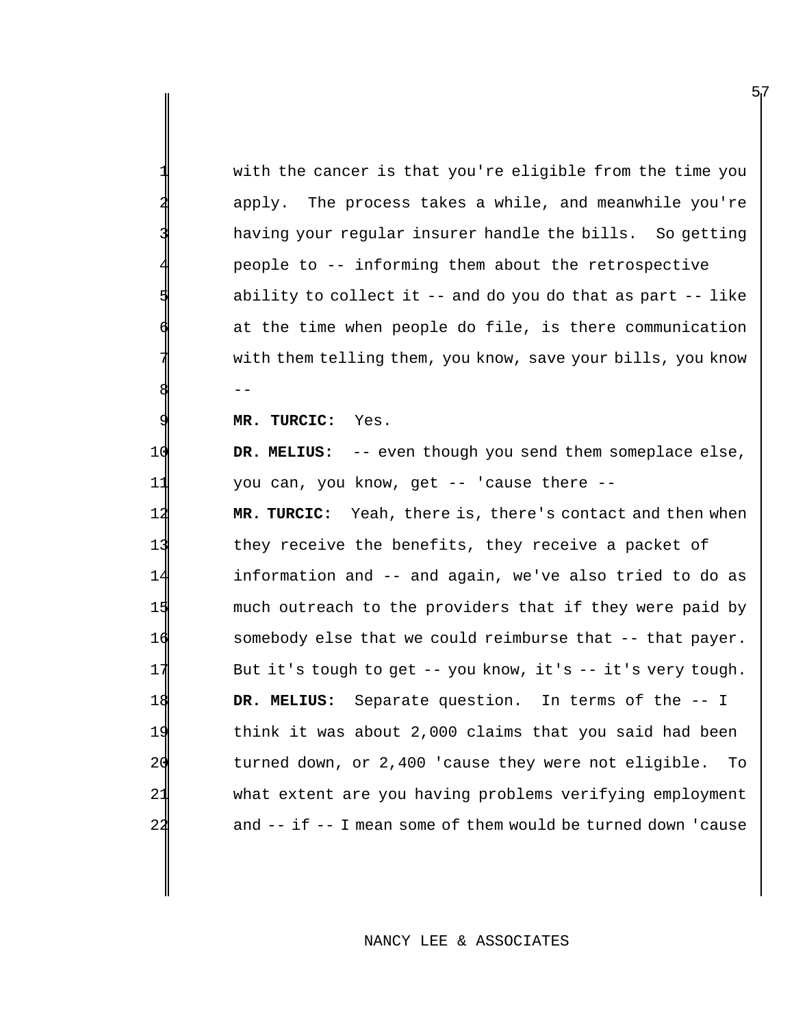|    | with the cancer is that you're eligible from the time you         |
|----|-------------------------------------------------------------------|
|    | apply. The process takes a while, and meanwhile you're            |
|    | having your regular insurer handle the bills. So getting          |
|    | people to -- informing them about the retrospective               |
| ч, | ability to collect it $-$ - and do you do that as part $-$ - like |
|    | at the time when people do file, is there communication           |
|    | with them telling them, you know, save your bills, you know       |
| 8  |                                                                   |

**MR. TURCIC:** Yes.

 **DR. MELIUS:** -- even though you send them someplace else, you can, you know, get -- 'cause there --

12 MR. TURCIC: Yeah, there is, there's contact and then when they receive the benefits, they receive a packet of information and -- and again, we've also tried to do as much outreach to the providers that if they were paid by 16 somebody else that we could reimburse that -- that payer. 17 But it's tough to get -- you know, it's -- it's very tough. **DR. MELIUS:** Separate question. In terms of the -- I think it was about 2,000 claims that you said had been turned down, or 2,400 'cause they were not eligible. To what extent are you having problems verifying employment and -- if -- I mean some of them would be turned down 'cause

### NANCY LEE & ASSOCIATES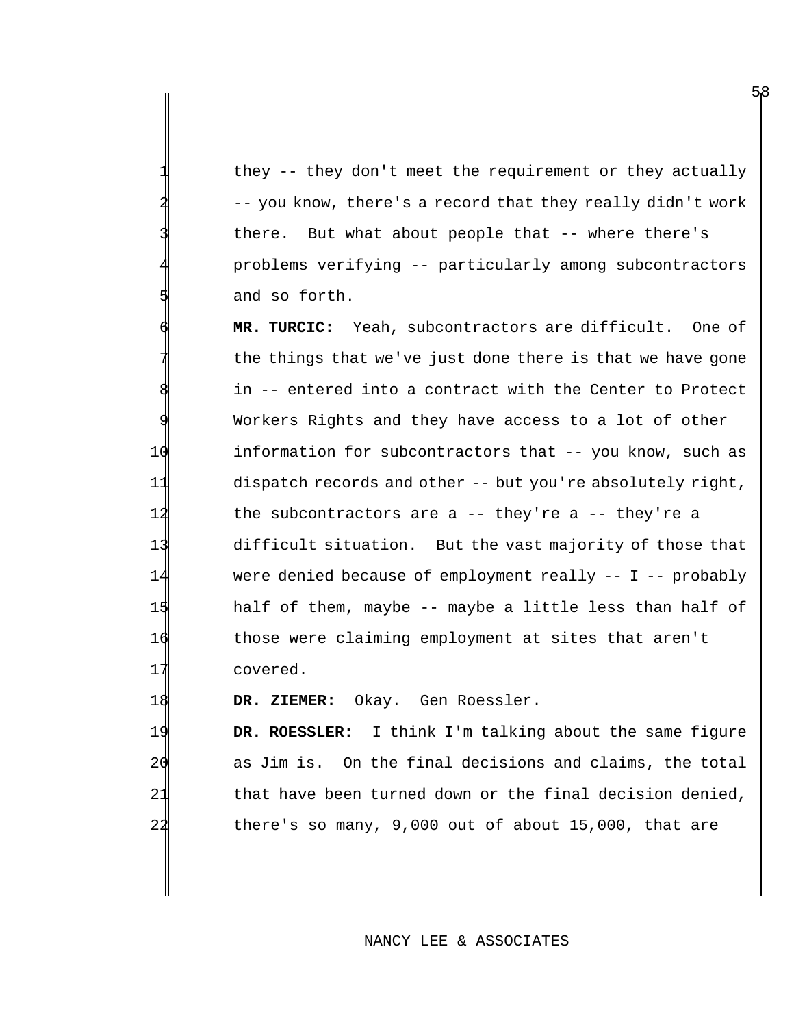they  $-$ - they don't meet the requirement or they actually -- you know, there's a record that they really didn't work there. But what about people that -- where there's problems verifying -- particularly among subcontractors and so forth.

 **MR. TURCIC:** Yeah, subcontractors are difficult. One of the things that we've just done there is that we have gone in -- entered into a contract with the Center to Protect Workers Rights and they have access to a lot of other information for subcontractors that -- you know, such as dispatch records and other -- but you're absolutely right, the subcontractors are a -- they're a -- they're a difficult situation. But the vast majority of those that were denied because of employment really -- I -- probably half of them, maybe -- maybe a little less than half of those were claiming employment at sites that aren't 17 covered.

18 **DR. ZIEMER:** Okay. Gen Roessler.

19 **DR. ROESSLER:** I think I'm talking about the same figure 20 as Jim is. On the final decisions and claims, the total 21 b that have been turned down or the final decision denied, 22 there's so many, 9,000 out of about 15,000, that are

## NANCY LEE & ASSOCIATES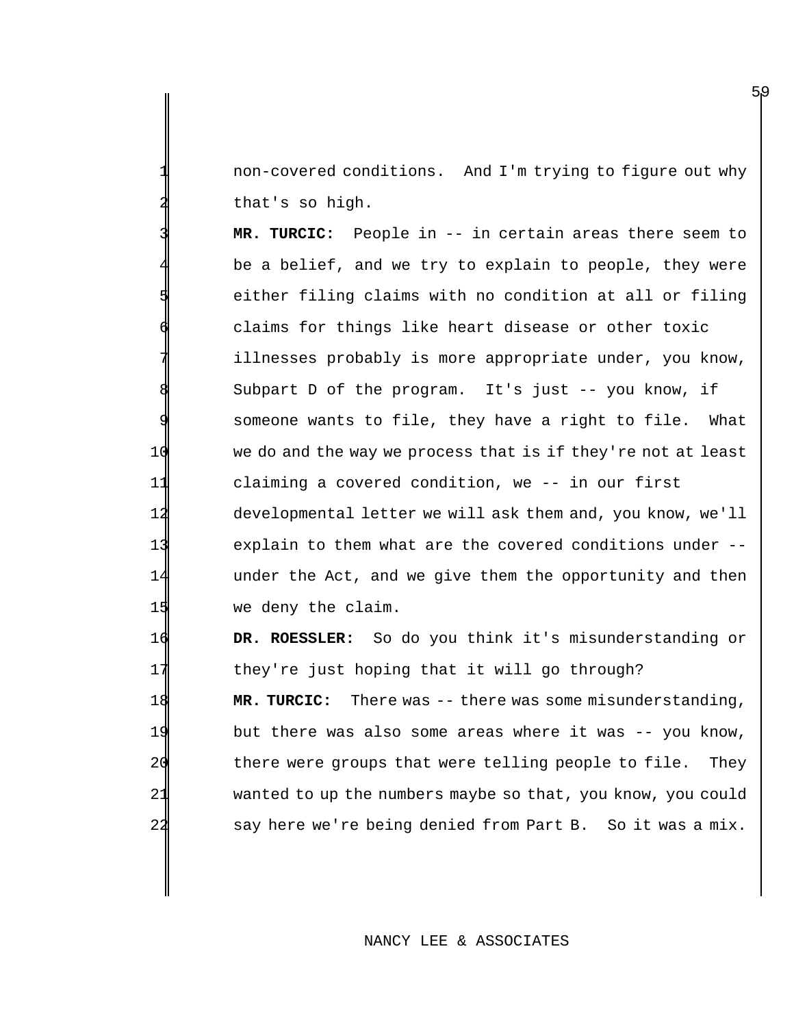1 non-covered conditions. And I'm trying to figure out why that's so high.

MR. TURCIC: People in -- in certain areas there seem to be a belief, and we try to explain to people, they were either filing claims with no condition at all or filing claims for things like heart disease or other toxic illnesses probably is more appropriate under, you know, Subpart D of the program. It's just -- you know, if someone wants to file, they have a right to file. What 10 we do and the way we process that is if they're not at least 11 claiming a covered condition, we -- in our first 12 developmental letter we will ask them and, you know, we'll 13 explain to them what are the covered conditions under -- 14 under the Act, and we give them the opportunity and then 15 we deny the claim.

 **DR. ROESSLER:** So do you think it's misunderstanding or 17 they're just hoping that it will go through? **MR. TURCIC:** There was -- there was some misunderstanding, but there was also some areas where it was -- you know, 20 there were groups that were telling people to file. They wanted to up the numbers maybe so that, you know, you could say here we're being denied from Part B. So it was a mix.

## NANCY LEE & ASSOCIATES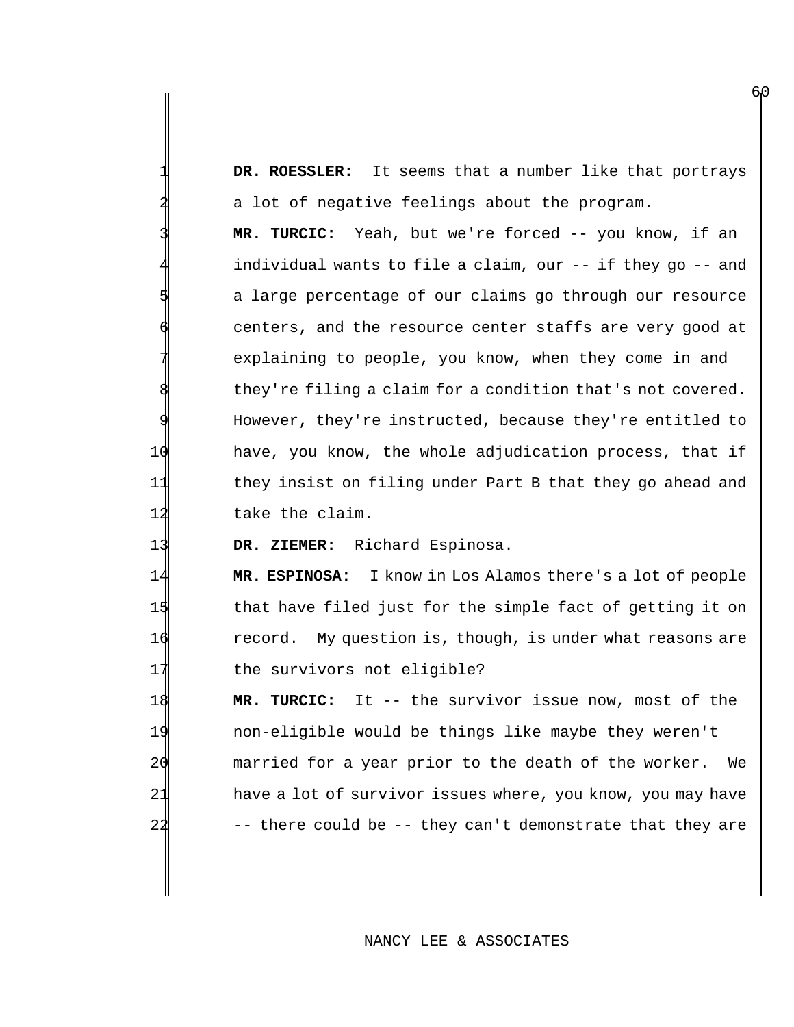DR. ROESSLER: It seems that a number like that portrays a lot of negative feelings about the program.

MR. TURCIC: Yeah, but we're forced -- you know, if an individual wants to file a claim, our  $-$ - if they go  $-$ - and a large percentage of our claims go through our resource centers, and the resource center staffs are very good at explaining to people, you know, when they come in and they're filing a claim for a condition that's not covered. However, they're instructed, because they're entitled to 10 have, you know, the whole adjudication process, that if 11 they insist on filing under Part B that they go ahead and 12 take the claim.

13 **DR. ZIEMER:** Richard Espinosa.

 **MR. ESPINOSA:** I know in Los Alamos there's a lot of people that have filed just for the simple fact of getting it on record. My question is, though, is under what reasons are 17 the survivors not eligible?

18 **MR. TURCIC:** It -- the survivor issue now, most of the 19 non-eligible would be things like maybe they weren't 20 married for a year prior to the death of the worker. We 21 have a lot of survivor issues where, you know, you may have 22 -- there could be -- they can't demonstrate that they are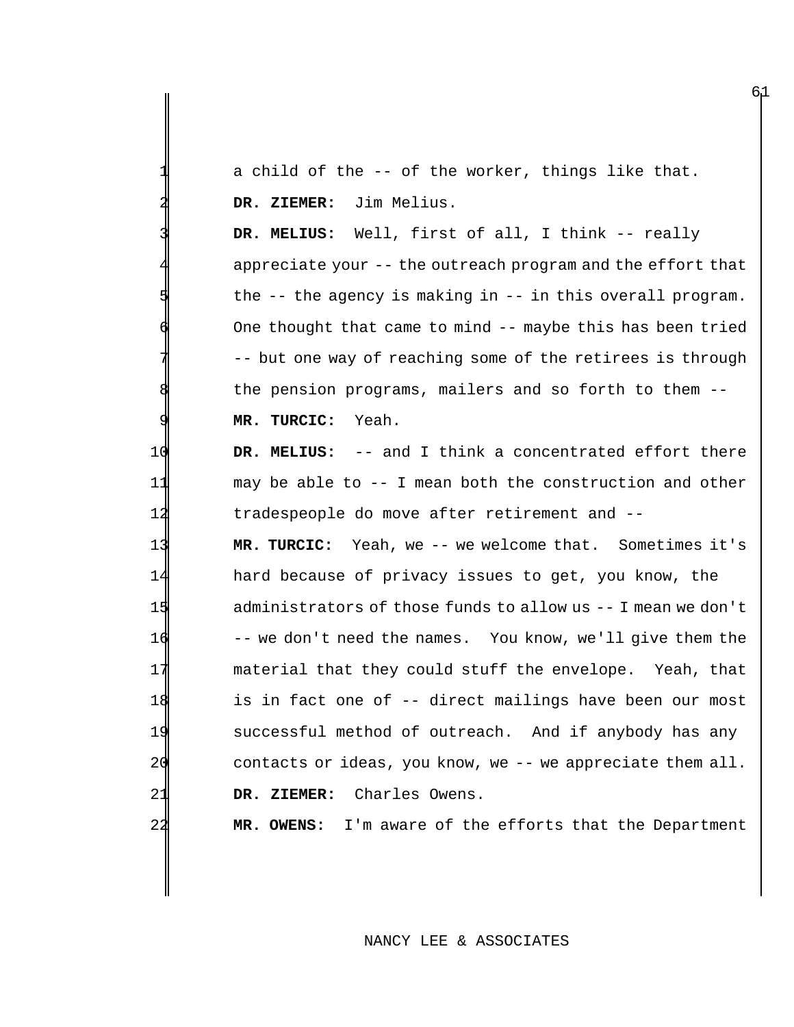|                                       |  |                         |  |  | a child of the -- of the worker, things like that. |  |  |
|---------------------------------------|--|-------------------------|--|--|----------------------------------------------------|--|--|
| $\begin{array}{c} 1 \\ 2 \end{array}$ |  | DR. ZIEMER: Jim Melius. |  |  |                                                    |  |  |

 **DR. MELIUS:** Well, first of all, I think -- really appreciate your -- the outreach program and the effort that the  $-$ - the agency is making in  $-$ - in this overall program. One thought that came to mind -- maybe this has been tried -- but one way of reaching some of the retirees is through the pension programs, mailers and so forth to them --**MR. TURCIC:** Yeah.

**DR. MELIUS:** -- and I think a concentrated effort there may be able to -- I mean both the construction and other tradespeople do move after retirement and --

 **MR. TURCIC:** Yeah, we -- we welcome that. Sometimes it's hard because of privacy issues to get, you know, the administrators of those funds to allow us -- I mean we don't -- we don't need the names. You know, we'll give them the material that they could stuff the envelope. Yeah, that is in fact one of -- direct mailings have been our most successful method of outreach. And if anybody has any contacts or ideas, you know, we -- we appreciate them all. 2<sup>1</sup> DR. ZIEMER: Charles Owens.

**MR. OWENS:** I'm aware of the efforts that the Department

## NANCY LEE & ASSOCIATES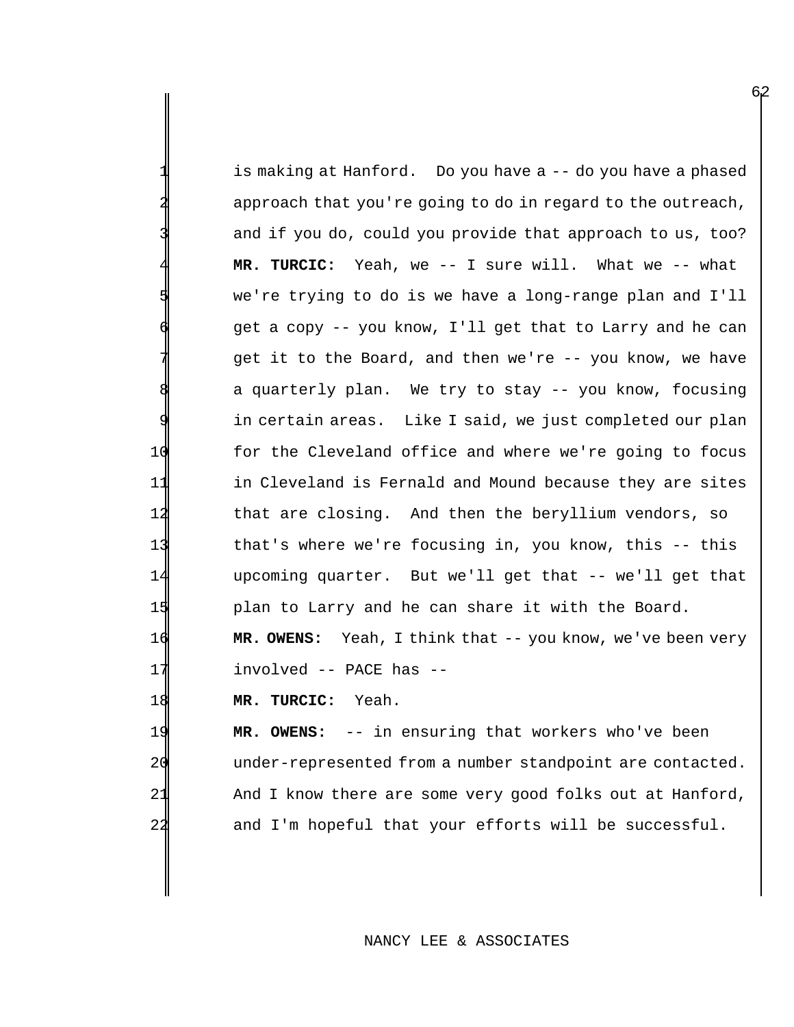is making at Hanford. Do you have a -- do you have a phased approach that you're going to do in regard to the outreach, and if you do, could you provide that approach to us, too? 4 **MR. TURCIC:** Yeah, we -- I sure will. What we -- what we're trying to do is we have a long-range plan and I'll get a copy -- you know, I'll get that to Larry and he can get it to the Board, and then we're -- you know, we have a quarterly plan. We try to stay -- you know, focusing in certain areas. Like I said, we just completed our plan 10 for the Cleveland office and where we're going to focus 11 in Cleveland is Fernald and Mound because they are sites 12 that are closing. And then the beryllium vendors, so 13 that's where we're focusing in, you know, this -- this 14 upcoming quarter. But we'll get that -- we'll get that 15 plan to Larry and he can share it with the Board. 16 **MR. OWENS:** Yeah, I think that -- you know, we've been very 17 involved -- PACE has --

18 **MR. TURCIC:** Yeah.

19 **MR. OWENS:** -- in ensuring that workers who've been 20 under-represented from a number standpoint are contacted. 21 And I know there are some very good folks out at Hanford, 22 and I'm hopeful that your efforts will be successful.

## NANCY LEE & ASSOCIATES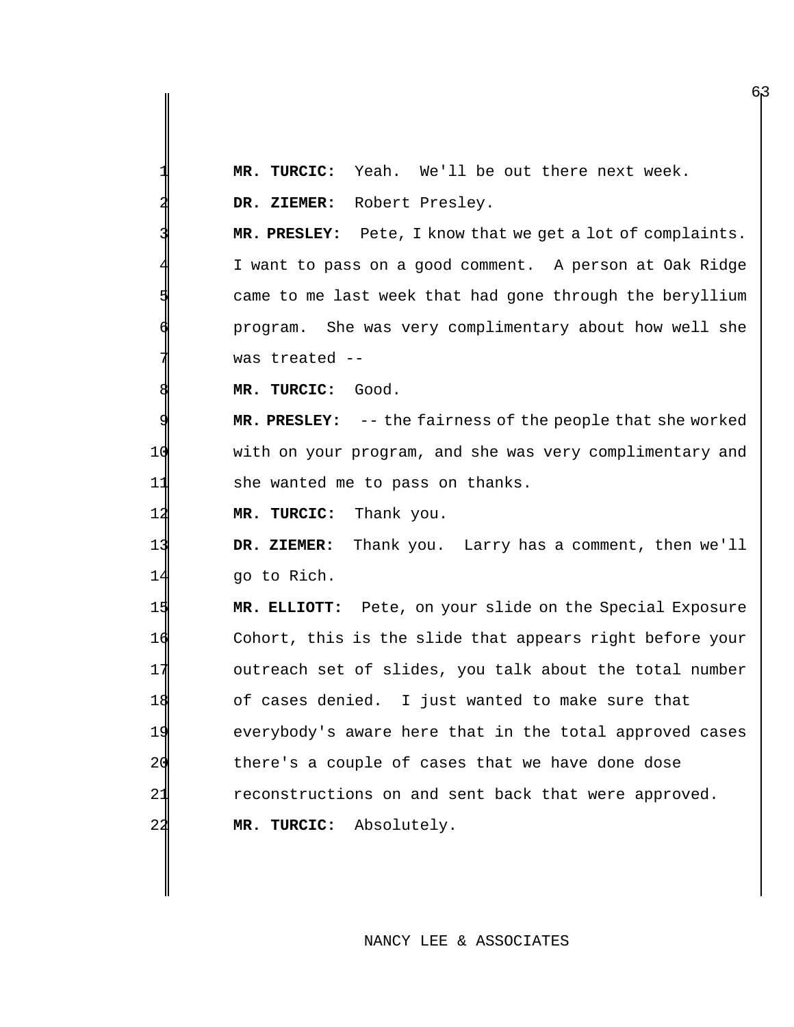|    | Yeah. We'll be out there next week.<br>MR. TURCIC:         |
|----|------------------------------------------------------------|
|    | DR. ZIEMER: Robert Presley.                                |
|    | MR. PRESLEY: Pete, I know that we get a lot of complaints. |
|    | I want to pass on a good comment. A person at Oak Ridge    |
|    | came to me last week that had gone through the beryllium   |
|    | program. She was very complimentary about how well she     |
|    | was treated --                                             |
|    | MR. TURCIC: Good.                                          |
|    | MR. PRESLEY: -- the fairness of the people that she worked |
| 10 | with on your program, and she was very complimentary and   |
| 11 | she wanted me to pass on thanks.                           |
| 12 | MR. TURCIC: Thank you.                                     |
| 13 | DR. ZIEMER:<br>Thank you. Larry has a comment, then we'll  |
| 14 | go to Rich.                                                |
| 15 | MR. ELLIOTT: Pete, on your slide on the Special Exposure   |
| 16 | Cohort, this is the slide that appears right before your   |
| 17 | outreach set of slides, you talk about the total number    |
| 18 | of cases denied. I just wanted to make sure that           |
| 19 | everybody's aware here that in the total approved cases    |
| 20 | there's a couple of cases that we have done dose           |
| 21 | reconstructions on and sent back that were approved.       |
| 22 | MR. TURCIC: Absolutely.                                    |
|    |                                                            |

# NANCY LEE & ASSOCIATES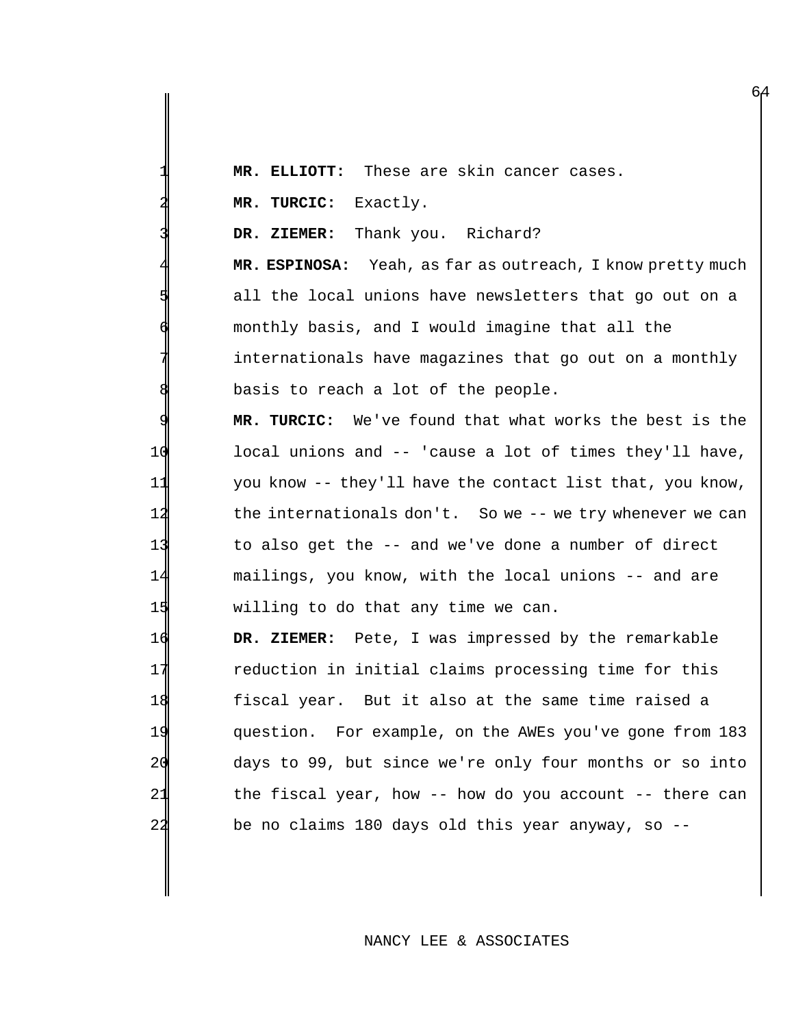MR. ELLIOTT: These are skin cancer cases.

2 **MR. TURCIC:** Exactly.

DR. ZIEMER: Thank you. Richard?

MR. ESPINOSA: Yeah, as far as outreach, I know pretty much all the local unions have newsletters that go out on a monthly basis, and I would imagine that all the internationals have magazines that go out on a monthly basis to reach a lot of the people.

 **MR. TURCIC:** We've found that what works the best is the local unions and -- 'cause a lot of times they'll have, you know -- they'll have the contact list that, you know, the internationals don't. So we -- we try whenever we can to also get the -- and we've done a number of direct mailings, you know, with the local unions -- and are 15 Willing to do that any time we can.

 **DR. ZIEMER:** Pete, I was impressed by the remarkable reduction in initial claims processing time for this fiscal year. But it also at the same time raised a question. For example, on the AWEs you've gone from 183 days to 99, but since we're only four months or so into 21 the fiscal year, how -- how do you account -- there can be no claims 180 days old this year anyway, so --

### NANCY LEE & ASSOCIATES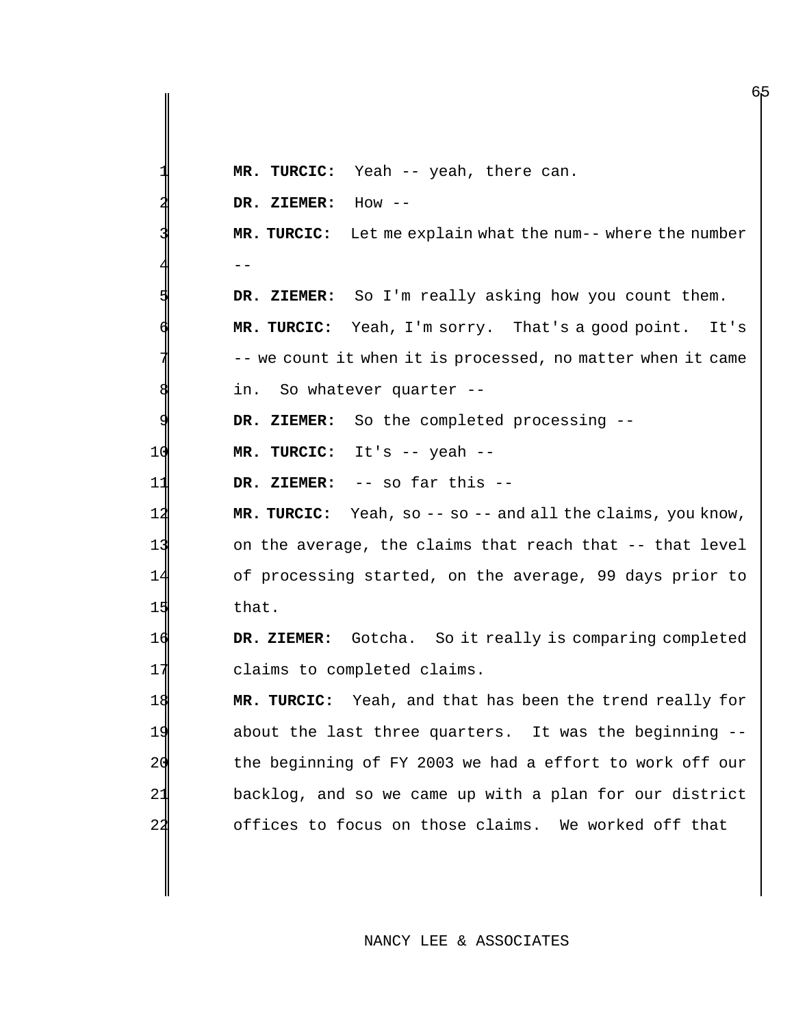|    | MR. TURCIC: Yeah -- yeah, there can.                                   |
|----|------------------------------------------------------------------------|
|    | DR. ZIEMER:<br>How --                                                  |
|    | MR. TURCIC: Let me explain what the num-- where the number             |
|    |                                                                        |
|    | DR. ZIEMER: So I'm really asking how you count them.                   |
|    | MR. TURCIC: Yeah, I'm sorry. That's a good point. It's                 |
|    | -- we count it when it is processed, no matter when it came            |
|    | So whatever quarter --<br>in.                                          |
|    | So the completed processing --<br>DR. ZIEMER:                          |
| 10 | MR. TURCIC: It's $--$ yeah $--$                                        |
| 11 | -- so far this --<br>DR. ZIEMER:                                       |
| 12 | <b>MR. TURCIC:</b> Yeah, so $-$ - so $-$ and all the claims, you know, |
| 13 | on the average, the claims that reach that -- that level               |
| 14 | of processing started, on the average, 99 days prior to                |
| 15 | that.                                                                  |
| 16 | DR. ZIEMER: Gotcha. So it really is comparing completed                |
| 17 | claims to completed claims.                                            |
| 18 | MR. TURCIC: Yeah, and that has been the trend really for               |
| 19 | about the last three quarters. It was the beginning --                 |
| 20 | the beginning of FY 2003 we had a effort to work off our               |
| 21 | backlog, and so we came up with a plan for our district                |
| 22 | offices to focus on those claims. We worked off that                   |
|    |                                                                        |

# NANCY LEE & ASSOCIATES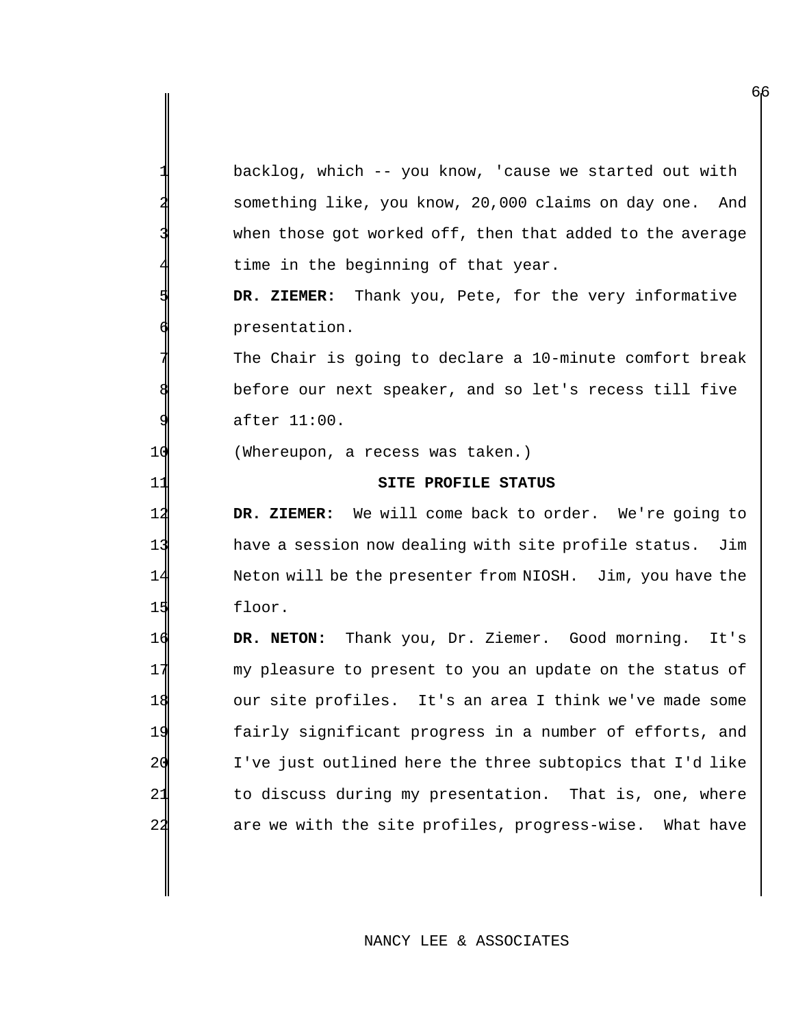backlog, which -- you know, 'cause we started out with something like, you know, 20,000 claims on day one. And when those got worked off, then that added to the average time in the beginning of that year.

 **DR. ZIEMER:** Thank you, Pete, for the very informative presentation.

The Chair is going to declare a 10-minute comfort break before our next speaker, and so let's recess till five after 11:00.

(Whereupon, a recess was taken.)

#### **SITE PROFILE STATUS**

 **DR. ZIEMER:** We will come back to order. We're going to have a session now dealing with site profile status. Jim Neton will be the presenter from NIOSH. Jim, you have the floor.

 **DR. NETON:** Thank you, Dr. Ziemer. Good morning. It's my pleasure to present to you an update on the status of our site profiles. It's an area I think we've made some fairly significant progress in a number of efforts, and I've just outlined here the three subtopics that I'd like to discuss during my presentation. That is, one, where are we with the site profiles, progress-wise. What have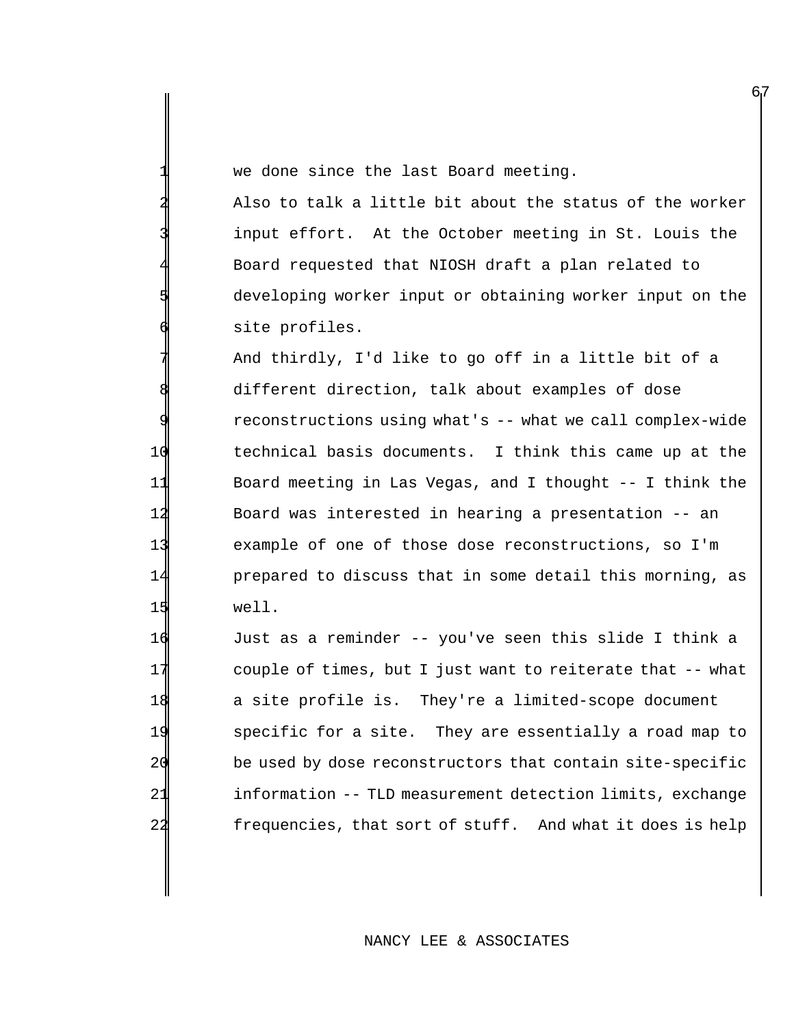we done since the last Board meeting.

Also to talk a little bit about the status of the worker input effort. At the October meeting in St. Louis the 4 Board requested that NIOSH draft a plan related to developing worker input or obtaining worker input on the site profiles.

And thirdly, I'd like to go off in a little bit of a different direction, talk about examples of dose reconstructions using what's -- what we call complex-wide technical basis documents. I think this came up at the Board meeting in Las Vegas, and I thought -- I think the Board was interested in hearing a presentation -- an example of one of those dose reconstructions, so I'm prepared to discuss that in some detail this morning, as 15 well.

 Just as a reminder -- you've seen this slide I think a 17 couple of times, but I just want to reiterate that -- what a site profile is. They're a limited-scope document specific for a site. They are essentially a road map to 20 be used by dose reconstructors that contain site-specific information -- TLD measurement detection limits, exchange frequencies, that sort of stuff. And what it does is help

## NANCY LEE & ASSOCIATES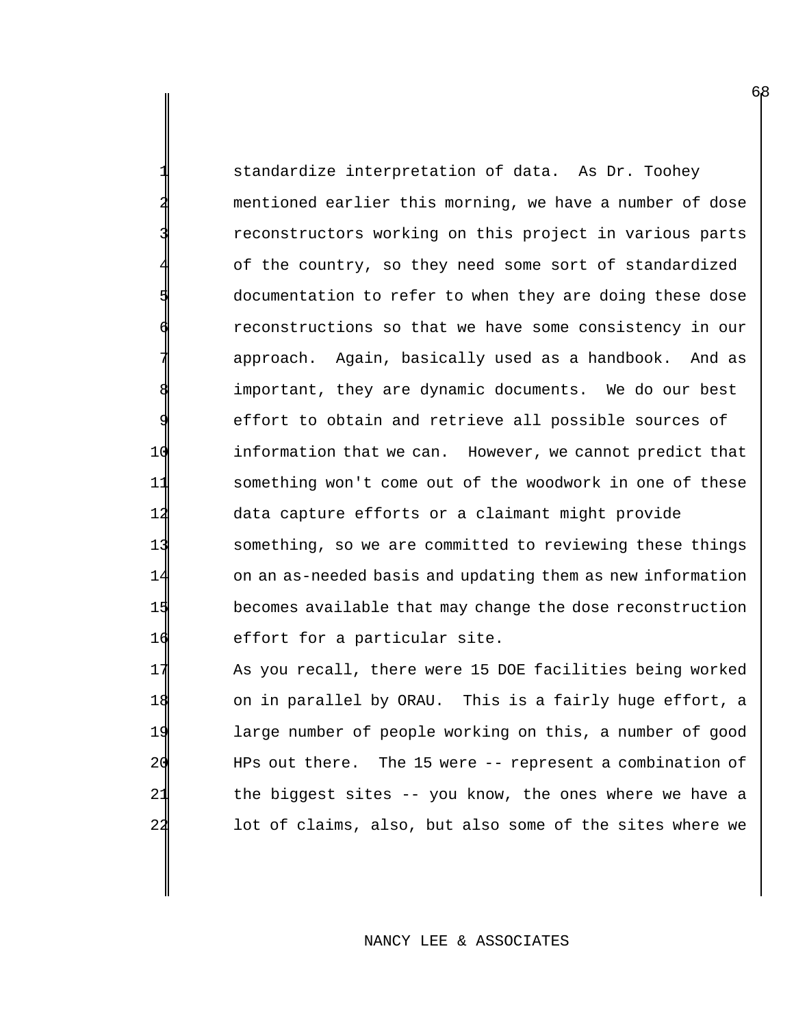standardize interpretation of data. As Dr. Toohey mentioned earlier this morning, we have a number of dose reconstructors working on this project in various parts of the country, so they need some sort of standardized documentation to refer to when they are doing these dose reconstructions so that we have some consistency in our approach. Again, basically used as a handbook. And as important, they are dynamic documents. We do our best effort to obtain and retrieve all possible sources of 10 information that we can. However, we cannot predict that 11 something won't come out of the woodwork in one of these 14 data capture efforts or a claimant might provide 13 something, so we are committed to reviewing these things 14 on an as-needed basis and updating them as new information 15 becomes available that may change the dose reconstruction 16 effort for a particular site.

17 As you recall, there were 15 DOE facilities being worked on in parallel by ORAU. This is a fairly huge effort, a large number of people working on this, a number of good 20 HPs out there. The 15 were -- represent a combination of the biggest sites -- you know, the ones where we have a lot of claims, also, but also some of the sites where we

#### NANCY LEE & ASSOCIATES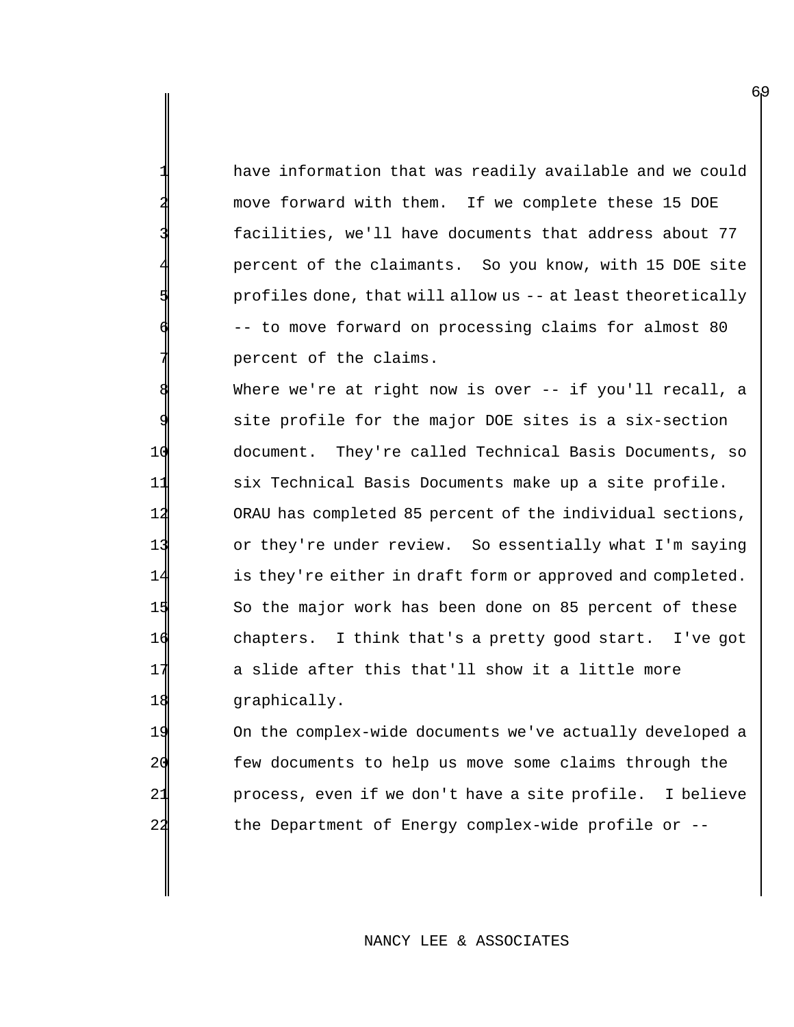have information that was readily available and we could 2 move forward with them. If we complete these 15 DOE facilities, we'll have documents that address about 77 percent of the claimants. So you know, with 15 DOE site profiles done, that will allow us -- at least theoretically -- to move forward on processing claims for almost 80 percent of the claims.

Where we're at right now is over -- if you'll recall, a site profile for the major DOE sites is a six-section 10 document. They're called Technical Basis Documents, so 11 six Technical Basis Documents make up a site profile. 12 ORAU has completed 85 percent of the individual sections, 13 or they're under review. So essentially what I'm saying 14 is they're either in draft form or approved and completed. 15 So the major work has been done on 85 percent of these 16 chapters. I think that's a pretty good start. I've got 17 a slide after this that'll show it a little more 18 graphically.

 On the complex-wide documents we've actually developed a few documents to help us move some claims through the process, even if we don't have a site profile. I believe the Department of Energy complex-wide profile or --

### NANCY LEE & ASSOCIATES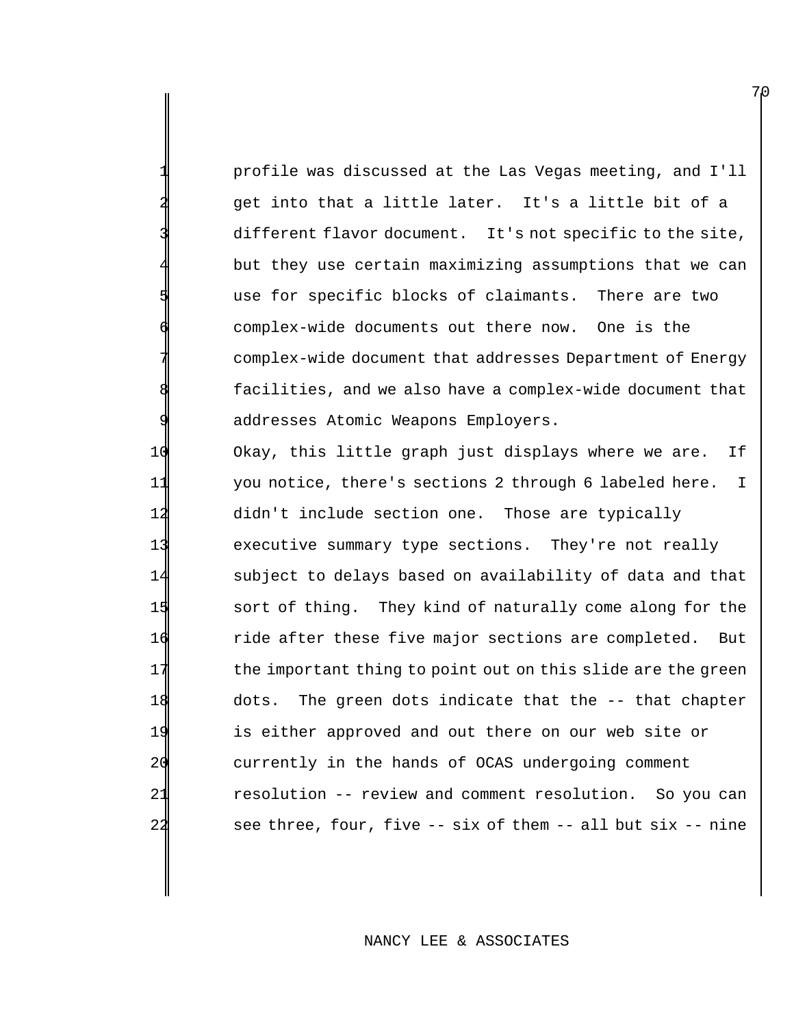profile was discussed at the Las Vegas meeting, and I'll get into that a little later. It's a little bit of a different flavor document. It's not specific to the site, but they use certain maximizing assumptions that we can use for specific blocks of claimants. There are two complex-wide documents out there now. One is the complex-wide document that addresses Department of Energy facilities, and we also have a complex-wide document that addresses Atomic Weapons Employers.

 Okay, this little graph just displays where we are. If you notice, there's sections 2 through 6 labeled here. I didn't include section one. Those are typically executive summary type sections. They're not really subject to delays based on availability of data and that sort of thing. They kind of naturally come along for the ride after these five major sections are completed. But 17 the important thing to point out on this slide are the green dots. The green dots indicate that the -- that chapter is either approved and out there on our web site or currently in the hands of OCAS undergoing comment 21 resolution -- review and comment resolution. So you can see three, four, five -- six of them -- all but six -- nine

### NANCY LEE & ASSOCIATES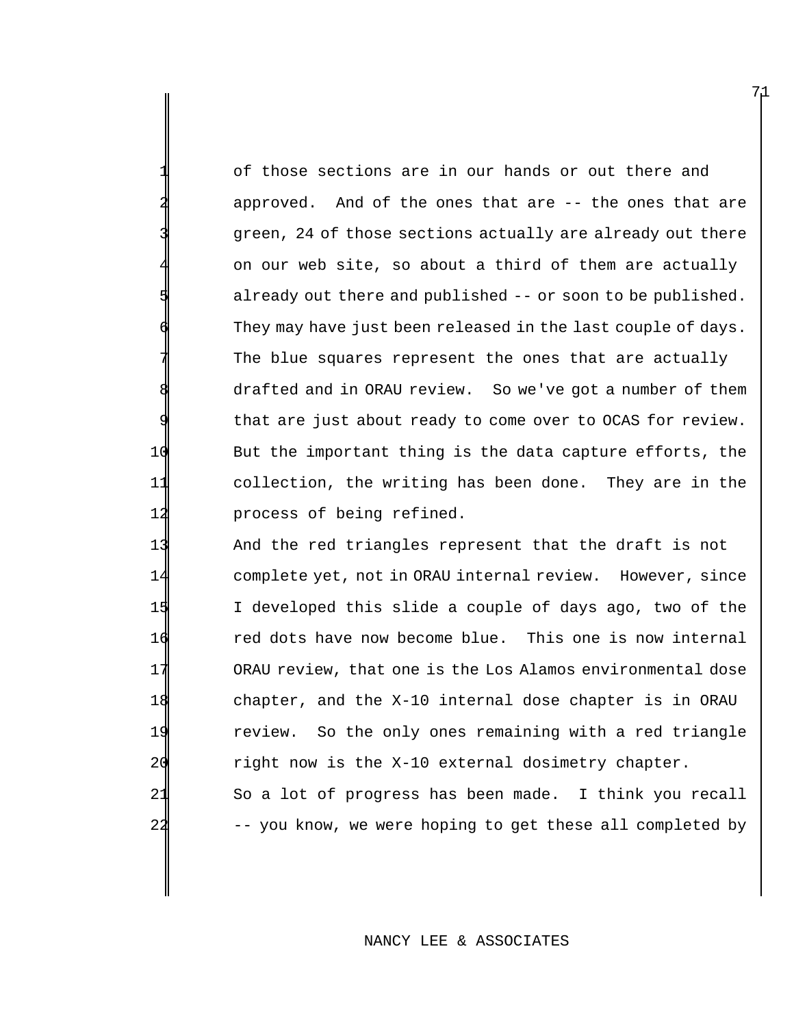of those sections are in our hands or out there and approved. And of the ones that are -- the ones that are green, 24 of those sections actually are already out there on our web site, so about a third of them are actually already out there and published -- or soon to be published. They may have just been released in the last couple of days. The blue squares represent the ones that are actually drafted and in ORAU review. So we've got a number of them that are just about ready to come over to OCAS for review. 10 But the important thing is the data capture efforts, the 11 collection, the writing has been done. They are in the 12 **process of being refined.** 

71

 And the red triangles represent that the draft is not complete yet, not in ORAU internal review. However, since I developed this slide a couple of days ago, two of the 16 red dots have now become blue. This one is now internal ORAU review, that one is the Los Alamos environmental dose chapter, and the X-10 internal dose chapter is in ORAU review. So the only ones remaining with a red triangle 20 right now is the X-10 external dosimetry chapter. So a lot of progress has been made. I think you recall 22 -- you know, we were hoping to get these all completed by

## NANCY LEE & ASSOCIATES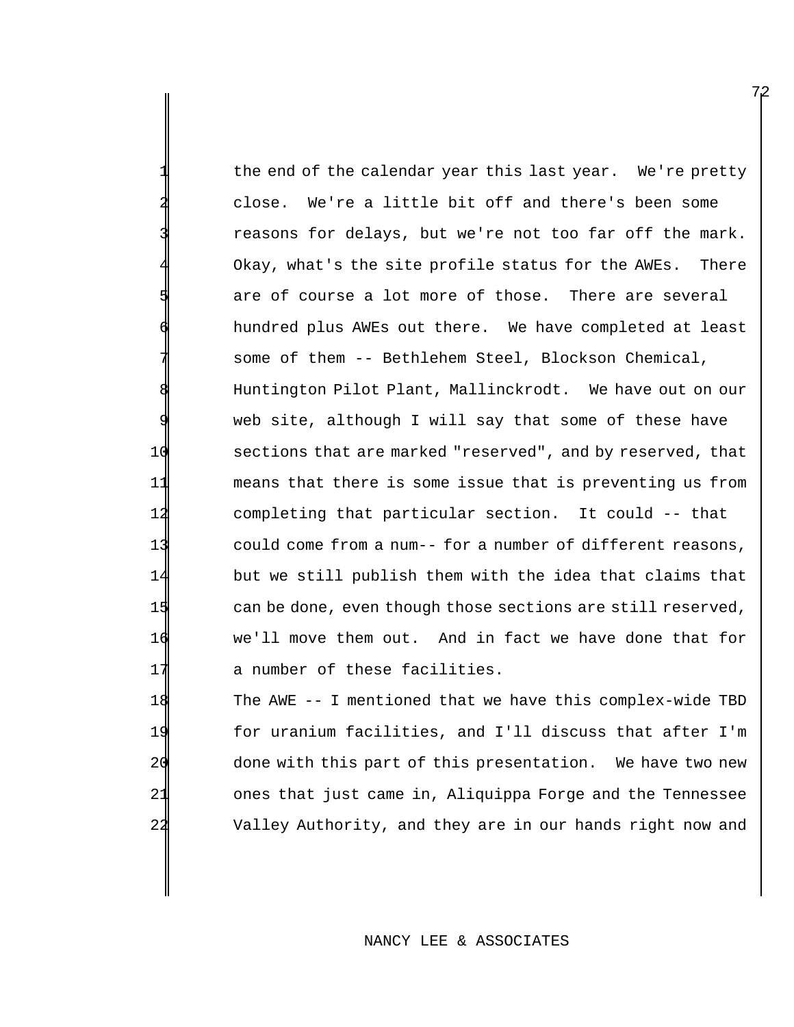the end of the calendar year this last year. We're pretty 2 close. We're a little bit off and there's been some reasons for delays, but we're not too far off the mark. Okay, what's the site profile status for the AWEs. There are of course a lot more of those. There are several hundred plus AWEs out there. We have completed at least some of them -- Bethlehem Steel, Blockson Chemical, Huntington Pilot Plant, Mallinckrodt. We have out on our web site, although I will say that some of these have 10 sections that are marked "reserved", and by reserved, that 11 means that there is some issue that is preventing us from 12 completing that particular section. It could -- that 13 could come from a num-- for a number of different reasons, 14 but we still publish them with the idea that claims that 15 can be done, even though those sections are still reserved, 16 we'll move them out. And in fact we have done that for 17 a number of these facilities.

 The AWE -- I mentioned that we have this complex-wide TBD for uranium facilities, and I'll discuss that after I'm done with this part of this presentation. We have two new ones that just came in, Aliquippa Forge and the Tennessee Valley Authority, and they are in our hands right now and

## NANCY LEE & ASSOCIATES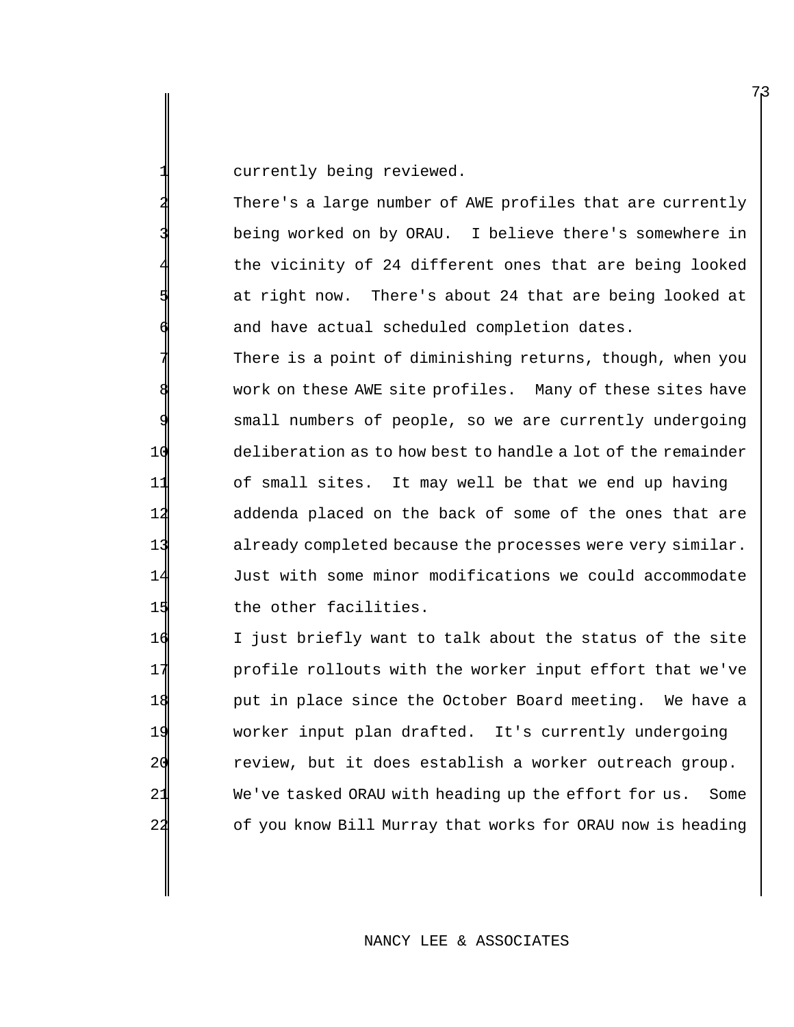currently being reviewed.

There's a large number of AWE profiles that are currently being worked on by ORAU. I believe there's somewhere in the vicinity of 24 different ones that are being looked at right now. There's about 24 that are being looked at and have actual scheduled completion dates.

There is a point of diminishing returns, though, when you work on these AWE site profiles. Many of these sites have small numbers of people, so we are currently undergoing 10 deliberation as to how best to handle a lot of the remainder 11 of small sites. It may well be that we end up having 12 addenda placed on the back of some of the ones that are 13 already completed because the processes were very similar. 14 Just with some minor modifications we could accommodate 15 the other facilities.

 I just briefly want to talk about the status of the site **profile rollouts with the worker input effort that we've put in place since the October Board meeting.** We have a worker input plan drafted. It's currently undergoing review, but it does establish a worker outreach group. We've tasked ORAU with heading up the effort for us. Some of you know Bill Murray that works for ORAU now is heading

## NANCY LEE & ASSOCIATES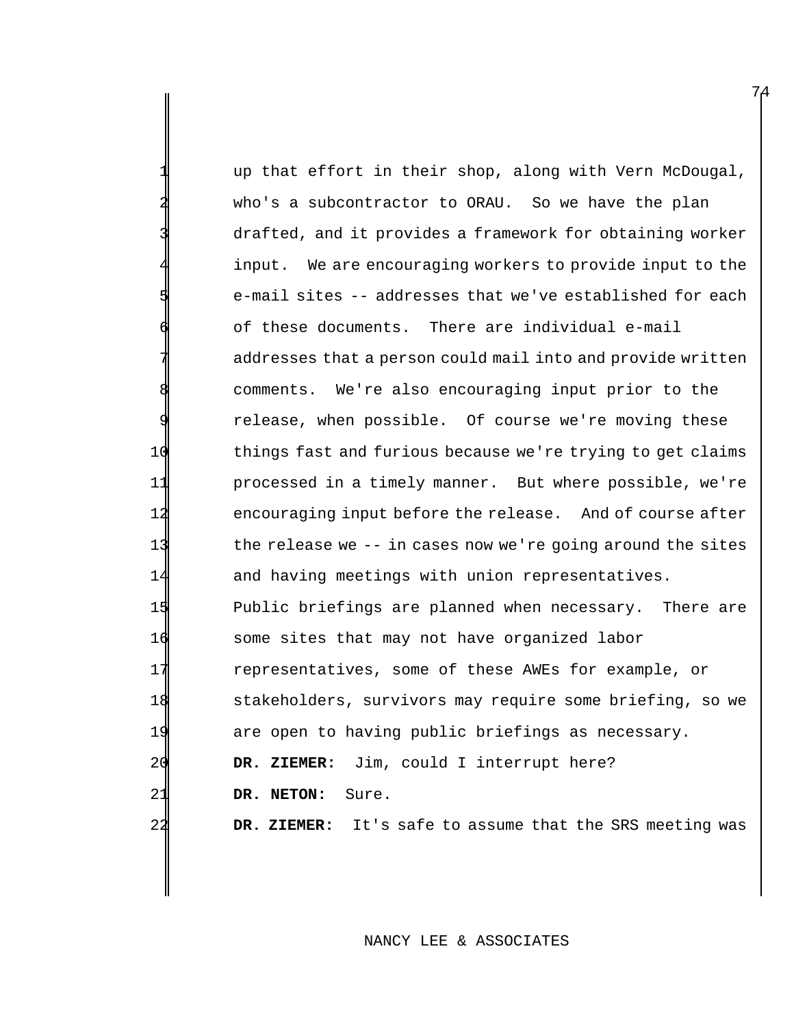|                 | up that effort in their shop, along with Vern McDougal,     |
|-----------------|-------------------------------------------------------------|
|                 | who's a subcontractor to ORAU. So we have the plan          |
|                 | drafted, and it provides a framework for obtaining worker   |
|                 | input. We are encouraging workers to provide input to the   |
|                 | e-mail sites -- addresses that we've established for each   |
|                 | of these documents. There are individual e-mail             |
|                 | addresses that a person could mail into and provide written |
|                 | comments. We're also encouraging input prior to the         |
|                 | release, when possible. Of course we're moving these        |
| 1 <sub>0</sub>  | things fast and furious because we're trying to get claims  |
| 1               | processed in a timely manner. But where possible, we're     |
| 12              | encouraging input before the release. And of course after   |
| 13              | the release we -- in cases now we're going around the sites |
| 14              | and having meetings with union representatives.             |
| 15              | Public briefings are planned when necessary. There are      |
| 16              | some sites that may not have organized labor                |
| 17              | representatives, some of these AWEs for example, or         |
| 18              | stakeholders, survivors may require some briefing, so we    |
| 19              | are open to having public briefings as necessary.           |
| 20              | DR. ZIEMER: Jim, could I interrupt here?                    |
| $\overline{21}$ | DR. NETON:<br>Sure.                                         |
| 22              | It's safe to assume that the SRS meeting was<br>DR. ZIEMER: |

NANCY LEE & ASSOCIATES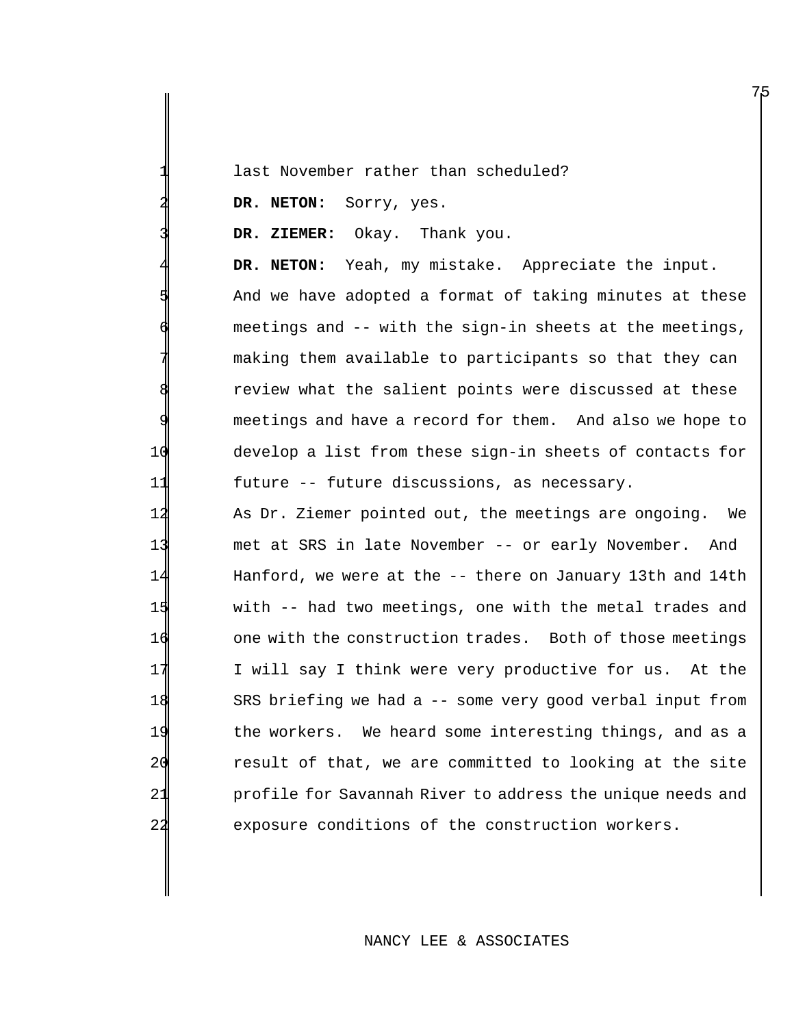| 4 |  |  | last November rather than scheduled? |
|---|--|--|--------------------------------------|
|   |  |  |                                      |

2 **DR. NETON:** Sorry, yes.

3 **DR. ZIEMER:** Okay. Thank you.

DR. NETON: Yeah, my mistake. Appreciate the input. And we have adopted a format of taking minutes at these meetings and -- with the sign-in sheets at the meetings, making them available to participants so that they can review what the salient points were discussed at these meetings and have a record for them. And also we hope to 10 develop a list from these sign-in sheets of contacts for 11 future -- future discussions, as necessary.

 As Dr. Ziemer pointed out, the meetings are ongoing. We met at SRS in late November -- or early November. And Hanford, we were at the -- there on January 13th and 14th with -- had two meetings, one with the metal trades and 16 one with the construction trades. Both of those meetings I will say I think were very productive for us. At the 18 SRS briefing we had a -- some very good verbal input from 19 the workers. We heard some interesting things, and as a result of that, we are committed to looking at the site profile for Savannah River to address the unique needs and exposure conditions of the construction workers.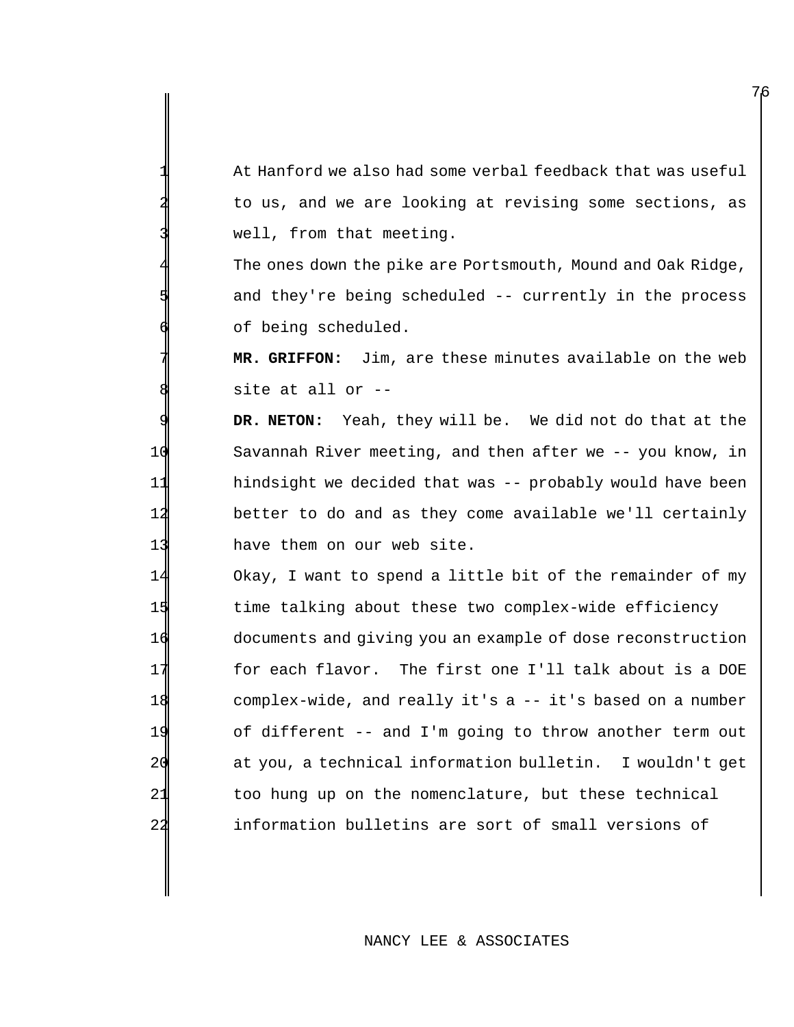At Hanford we also had some verbal feedback that was useful to us, and we are looking at revising some sections, as well, from that meeting.

The ones down the pike are Portsmouth, Mound and Oak Ridge, and they're being scheduled  $-$  currently in the process of being scheduled.

MR. GRIFFON: Jim, are these minutes available on the web site at all or --

 **DR. NETON:** Yeah, they will be. We did not do that at the Savannah River meeting, and then after we -- you know, in hindsight we decided that was -- probably would have been better to do and as they come available we'll certainly have them on our web site.

 Okay, I want to spend a little bit of the remainder of my time talking about these two complex-wide efficiency documents and giving you an example of dose reconstruction for each flavor. The first one I'll talk about is a DOE complex-wide, and really it's a -- it's based on a number of different -- and I'm going to throw another term out at you, a technical information bulletin. I wouldn't get 21 too hung up on the nomenclature, but these technical information bulletins are sort of small versions of

# NANCY LEE & ASSOCIATES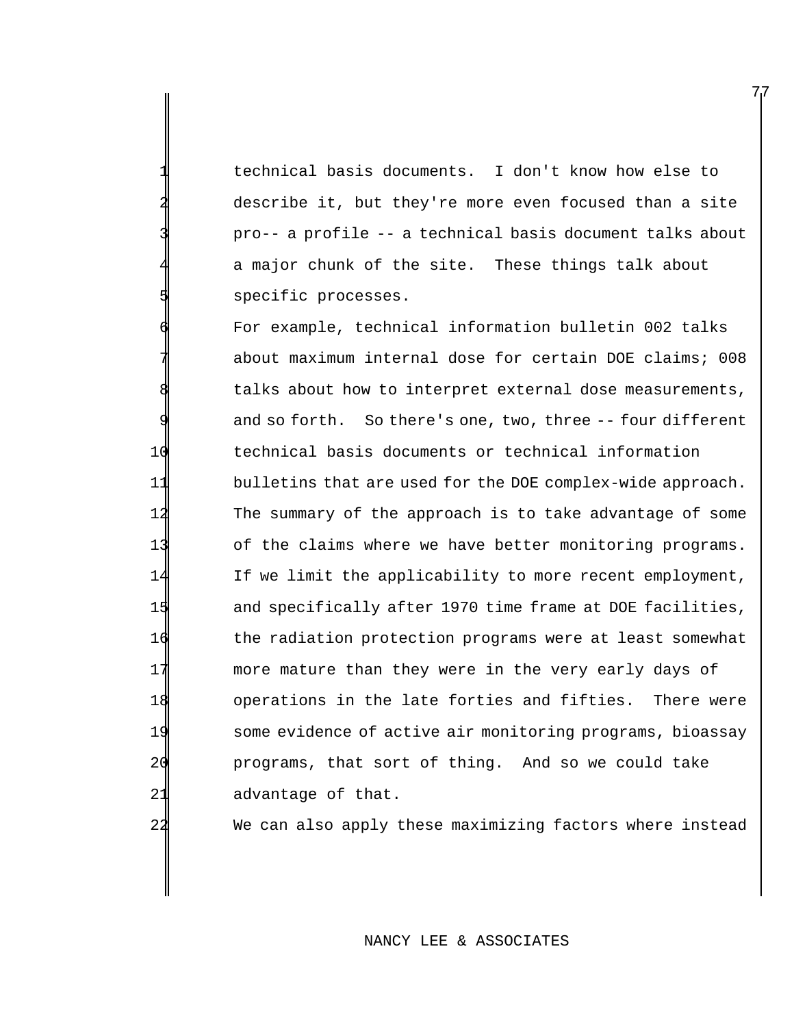1 technical basis documents. I don't know how else to describe it, but they're more even focused than a site pro-- a profile -- a technical basis document talks about a major chunk of the site. These things talk about 5 specific processes.

77

For example, technical information bulletin 002 talks about maximum internal dose for certain DOE claims; 008 talks about how to interpret external dose measurements, and so forth. So there's one, two, three -- four different 10 technical basis documents or technical information 11 bulletins that are used for the DOE complex-wide approach. 12 The summary of the approach is to take advantage of some 13 of the claims where we have better monitoring programs. 14 If we limit the applicability to more recent employment, 15 and specifically after 1970 time frame at DOE facilities, 16 the radiation protection programs were at least somewhat 17 more mature than they were in the very early days of 18 operations in the late forties and fifties. There were 19 some evidence of active air monitoring programs, bioassay 20 programs, that sort of thing. And so we could take 21 advantage of that.

22 We can also apply these maximizing factors where instead

# NANCY LEE & ASSOCIATES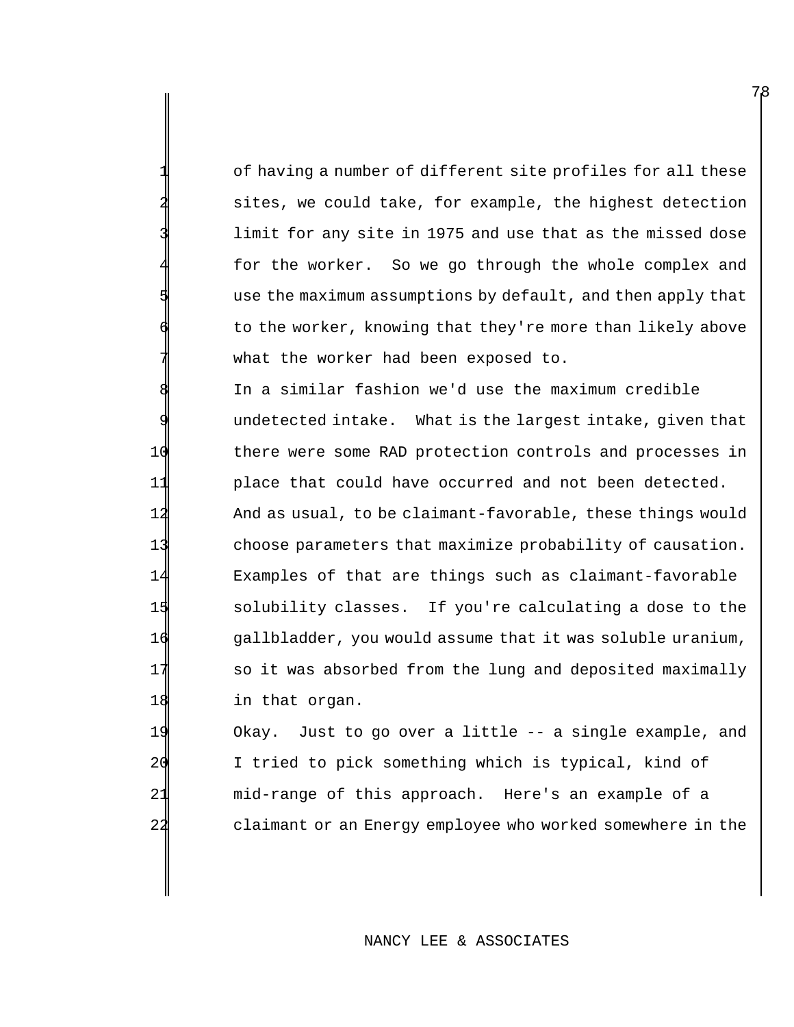of having a number of different site profiles for all these sites, we could take, for example, the highest detection limit for any site in 1975 and use that as the missed dose for the worker. So we go through the whole complex and use the maximum assumptions by default, and then apply that to the worker, knowing that they're more than likely above what the worker had been exposed to.

In a similar fashion we'd use the maximum credible undetected intake. What is the largest intake, given that there were some RAD protection controls and processes in 11 place that could have occurred and not been detected. And as usual, to be claimant-favorable, these things would choose parameters that maximize probability of causation. Examples of that are things such as claimant-favorable solubility classes. If you're calculating a dose to the gallbladder, you would assume that it was soluble uranium, 17 so it was absorbed from the lung and deposited maximally in that organ.

19 Okay. Just to go over a little -- a single example, and I tried to pick something which is typical, kind of mid-range of this approach. Here's an example of a claimant or an Energy employee who worked somewhere in the

## NANCY LEE & ASSOCIATES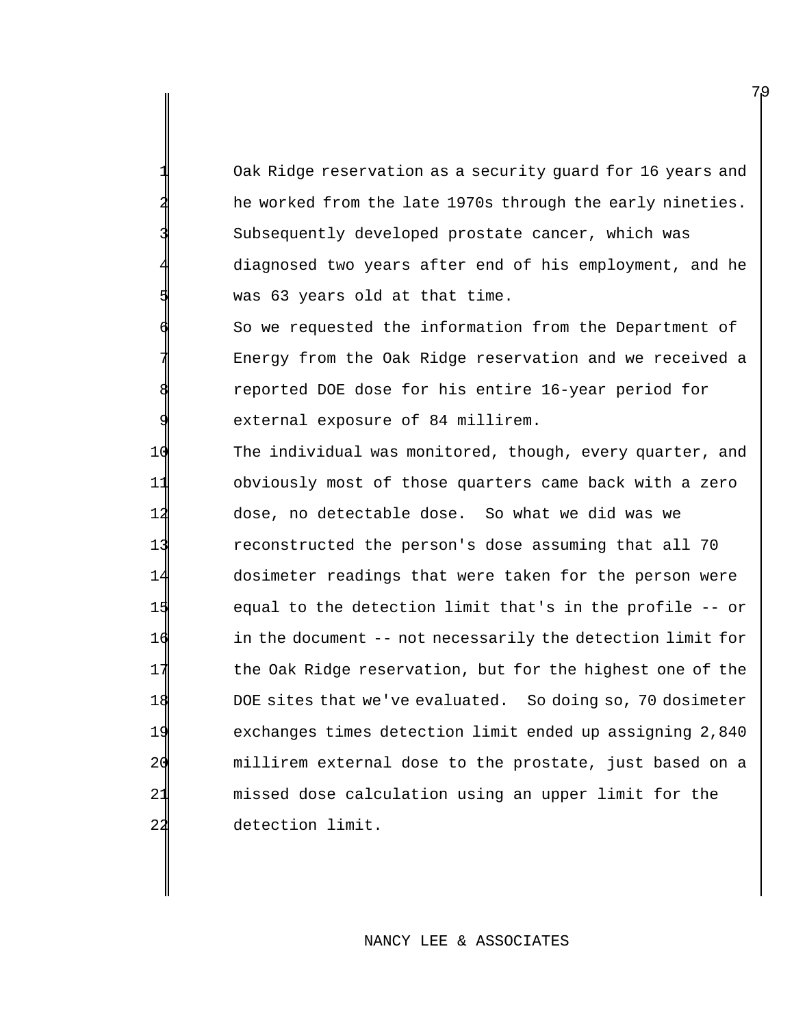0ak Ridge reservation as a security guard for 16 years and he worked from the late 1970s through the early nineties. Subsequently developed prostate cancer, which was 4 diagnosed two years after end of his employment, and he was 63 years old at that time.

6 So we requested the information from the Department of Energy from the Oak Ridge reservation and we received a reported DOE dose for his entire 16-year period for external exposure of 84 millirem.

 The individual was monitored, though, every quarter, and obviously most of those quarters came back with a zero 12 dose, no detectable dose. So what we did was we reconstructed the person's dose assuming that all 70 dosimeter readings that were taken for the person were equal to the detection limit that's in the profile -- or in the document -- not necessarily the detection limit for 17 the Oak Ridge reservation, but for the highest one of the DOE sites that we've evaluated. So doing so, 70 dosimeter exchanges times detection limit ended up assigning 2,840 millirem external dose to the prostate, just based on a missed dose calculation using an upper limit for the detection limit.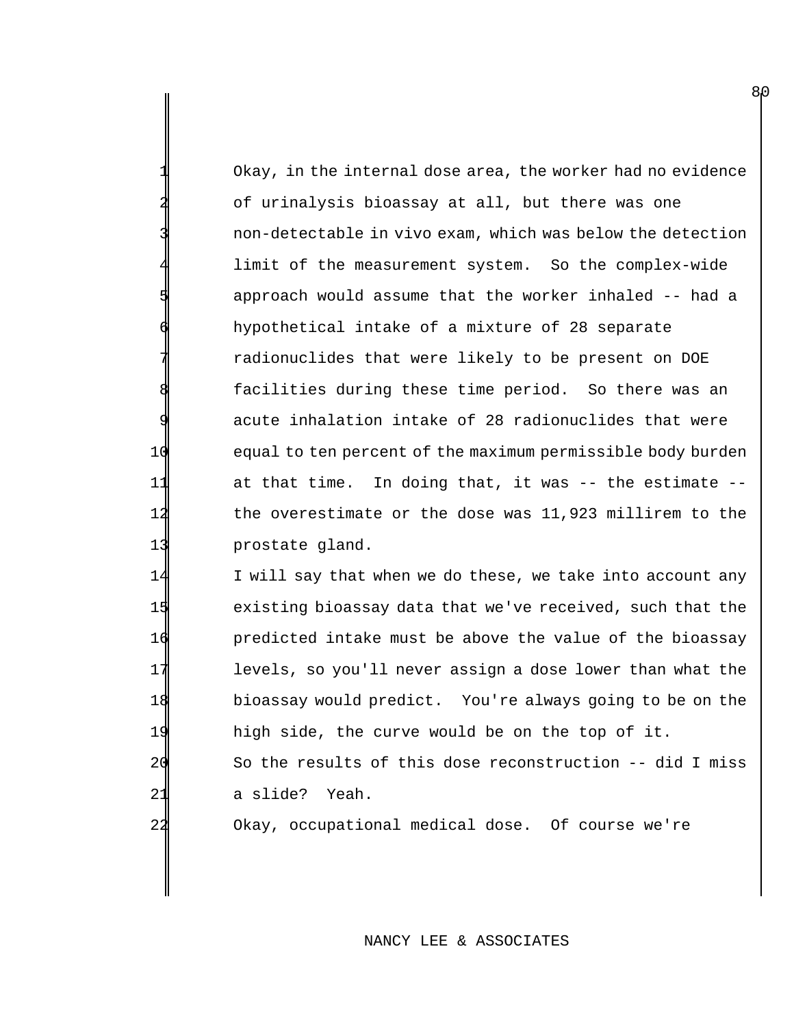Okay, in the internal dose area, the worker had no evidence of urinalysis bioassay at all, but there was one non-detectable in vivo exam, which was below the detection limit of the measurement system. So the complex-wide 5 approach would assume that the worker inhaled -- had a hypothetical intake of a mixture of 28 separate 7 radionuclides that were likely to be present on DOE facilities during these time period. So there was an acute inhalation intake of 28 radionuclides that were 10 equal to ten percent of the maximum permissible body burden 11 at that time. In doing that, it was -- the estimate -- 12 the overestimate or the dose was 11,923 millirem to the 13 **prostate gland.** 

14 I will say that when we do these, we take into account any existing bioassay data that we've received, such that the predicted intake must be above the value of the bioassay levels, so you'll never assign a dose lower than what the bioassay would predict. You're always going to be on the high side, the curve would be on the top of it. 20 So the results of this dose reconstruction -- did I miss

21 a slide? Yeah.

22 Okay, occupational medical dose. Of course we're

## NANCY LEE & ASSOCIATES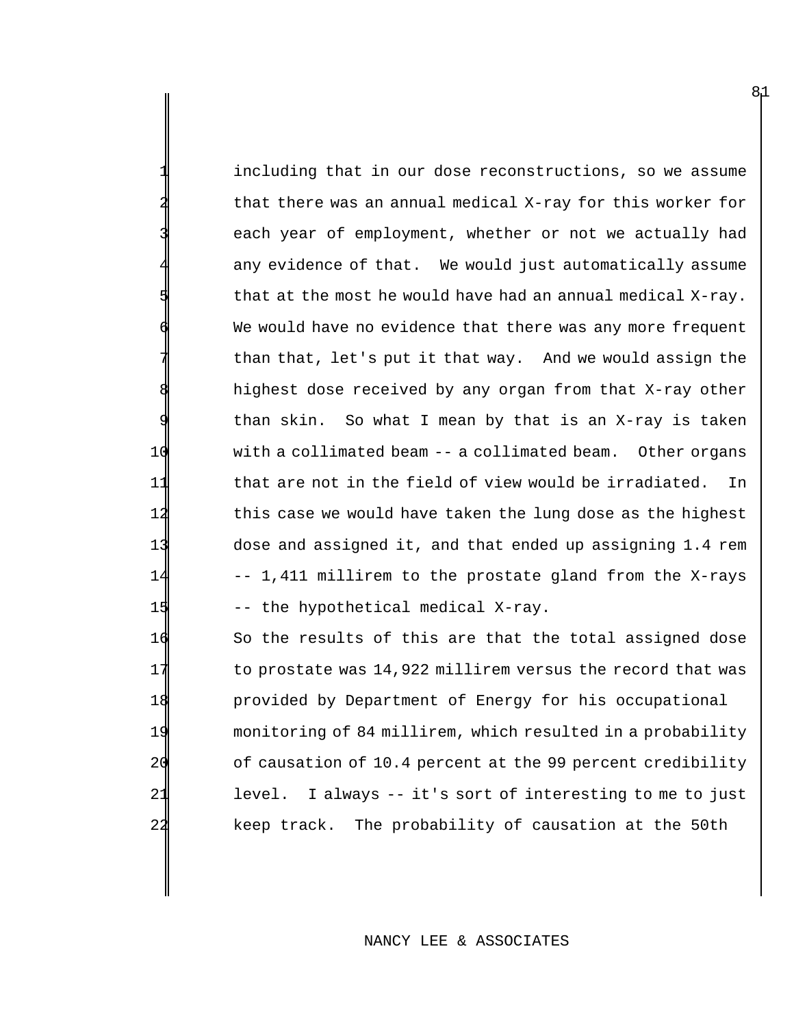including that in our dose reconstructions, so we assume that there was an annual medical X-ray for this worker for each year of employment, whether or not we actually had any evidence of that. We would just automatically assume that at the most he would have had an annual medical  $X-ray$ . We would have no evidence that there was any more frequent than that, let's put it that way. And we would assign the highest dose received by any organ from that X-ray other than skin. So what I mean by that is an X-ray is taken 10 with a collimated beam -- a collimated beam. Other organs 11 that are not in the field of view would be irradiated. In 12 this case we would have taken the lung dose as the highest 13 dose and assigned it, and that ended up assigning 1.4 rem 14 -- 1,411 millirem to the prostate gland from the X-rays 15 -- the hypothetical medical X-ray.

 So the results of this are that the total assigned dose 17 to prostate was 14,922 millirem versus the record that was provided by Department of Energy for his occupational monitoring of 84 millirem, which resulted in a probability 20 of causation of 10.4 percent at the 99 percent credibility level. I always -- it's sort of interesting to me to just keep track. The probability of causation at the 50th

## NANCY LEE & ASSOCIATES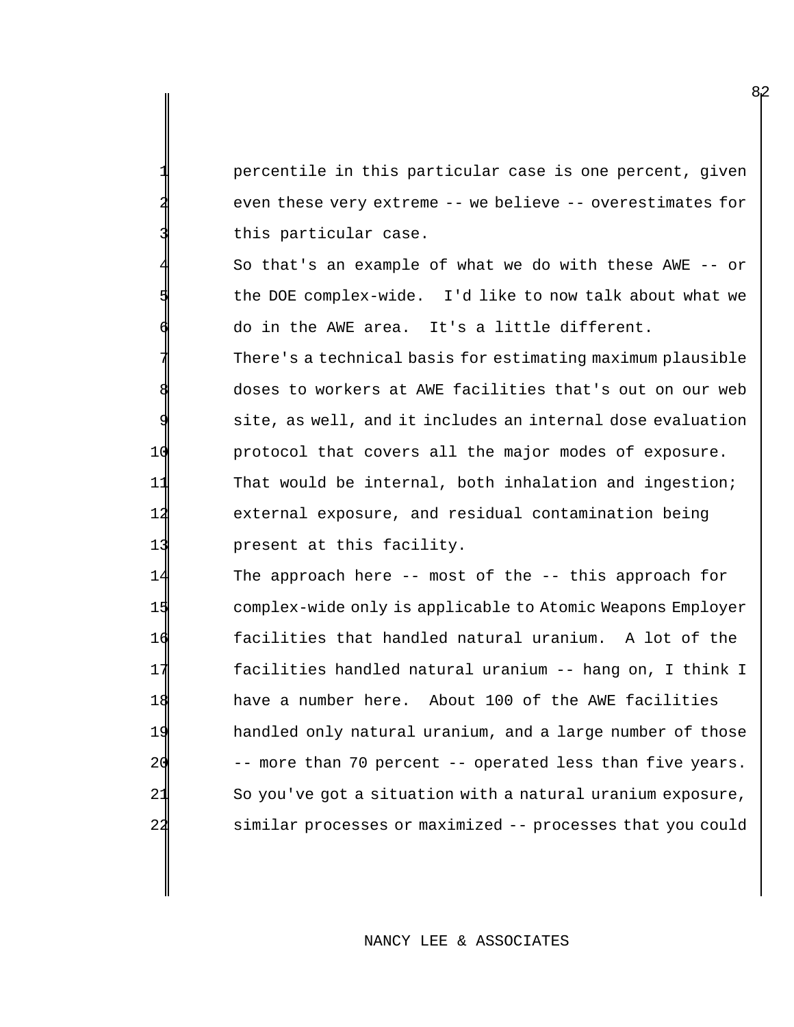percentile in this particular case is one percent, given even these very extreme -- we believe -- overestimates for this particular case.

4 So that's an example of what we do with these AWE -- or the DOE complex-wide. I'd like to now talk about what we 6 do in the AWE area. It's a little different. There's a technical basis for estimating maximum plausible doses to workers at AWE facilities that's out on our web site, as well, and it includes an internal dose evaluation

 protocol that covers all the major modes of exposure. 11 That would be internal, both inhalation and ingestion; external exposure, and residual contamination being present at this facility.

 The approach here -- most of the -- this approach for complex-wide only is applicable to Atomic Weapons Employer 16 facilities that handled natural uranium. A lot of the facilities handled natural uranium -- hang on, I think I have a number here. About 100 of the AWE facilities handled only natural uranium, and a large number of those -- more than 70 percent -- operated less than five years. So you've got a situation with a natural uranium exposure, similar processes or maximized -- processes that you could

## NANCY LEE & ASSOCIATES

82<sup>2</sup>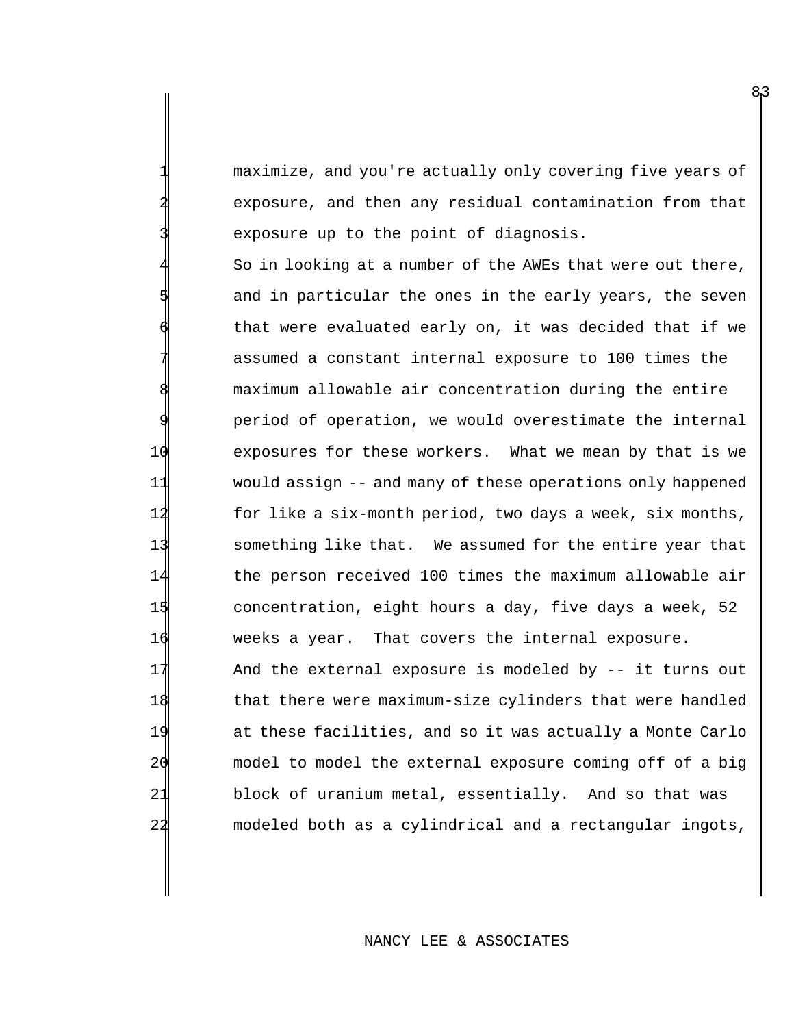maximize, and you're actually only covering five years of exposure, and then any residual contamination from that exposure up to the point of diagnosis.

So in looking at a number of the AWEs that were out there, and in particular the ones in the early years, the seven that were evaluated early on, it was decided that if we assumed a constant internal exposure to 100 times the maximum allowable air concentration during the entire period of operation, we would overestimate the internal 10 exposures for these workers. What we mean by that is we 11 would assign -- and many of these operations only happened 12 for like a six-month period, two days a week, six months, 13 something like that. We assumed for the entire year that 14 the person received 100 times the maximum allowable air 15 concentration, eight hours a day, five days a week, 52 16 weeks a year. That covers the internal exposure. 17 And the external exposure is modeled by -- it turns out 18 that there were maximum-size cylinders that were handled 19 at these facilities, and so it was actually a Monte Carlo 20 model to model the external exposure coming off of a big

22 modeled both as a cylindrical and a rectangular ingots,

21 block of uranium metal, essentially. And so that was

## NANCY LEE & ASSOCIATES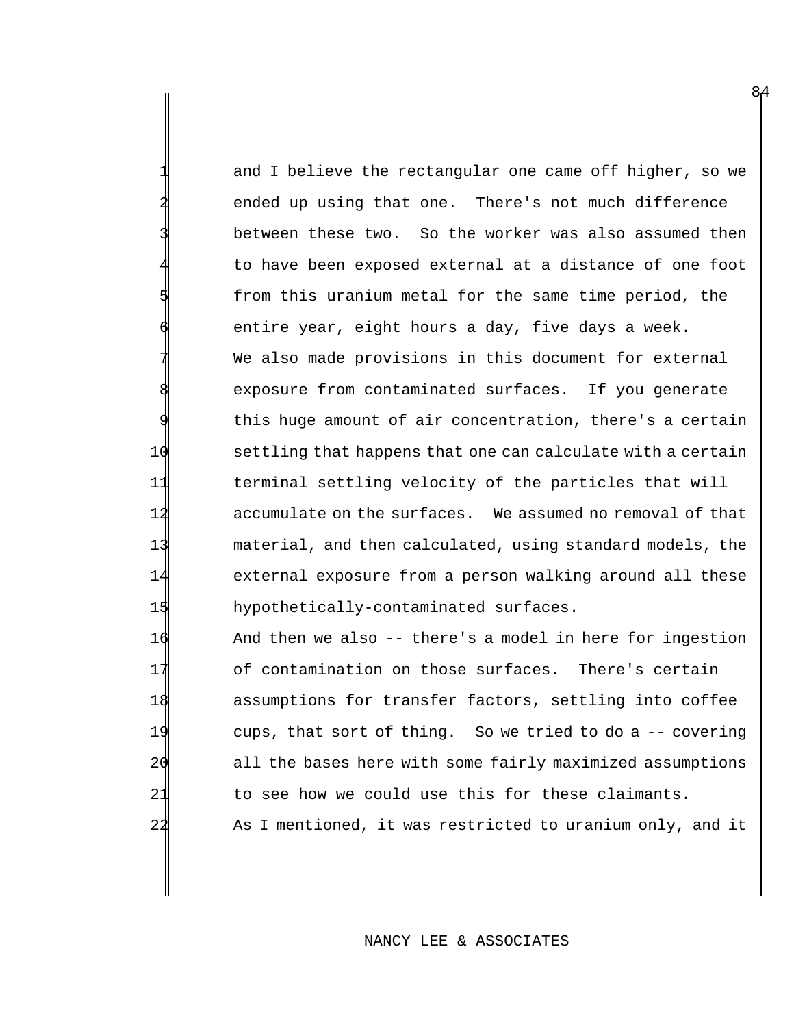and I believe the rectangular one came off higher, so we ended up using that one. There's not much difference between these two. So the worker was also assumed then to have been exposed external at a distance of one foot from this uranium metal for the same time period, the entire year, eight hours a day, five days a week. We also made provisions in this document for external exposure from contaminated surfaces. If you generate this huge amount of air concentration, there's a certain settling that happens that one can calculate with a certain terminal settling velocity of the particles that will accumulate on the surfaces. We assumed no removal of that material, and then calculated, using standard models, the external exposure from a person walking around all these hypothetically-contaminated surfaces.

 And then we also -- there's a model in here for ingestion of contamination on those surfaces. There's certain assumptions for transfer factors, settling into coffee cups, that sort of thing. So we tried to do a -- covering all the bases here with some fairly maximized assumptions 21 to see how we could use this for these claimants. As I mentioned, it was restricted to uranium only, and it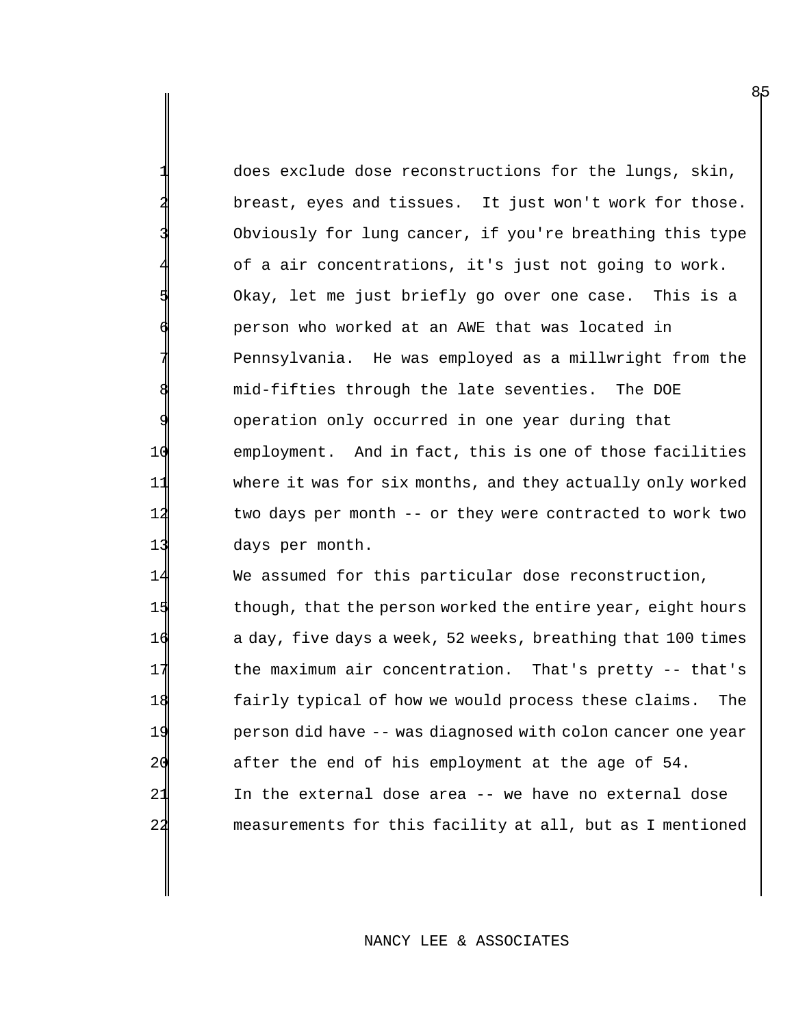does exclude dose reconstructions for the lungs, skin, breast, eyes and tissues. It just won't work for those. Obviously for lung cancer, if you're breathing this type of a air concentrations, it's just not going to work. Okay, let me just briefly go over one case. This is a person who worked at an AWE that was located in Pennsylvania. He was employed as a millwright from the mid-fifties through the late seventies. The DOE operation only occurred in one year during that 10 employment. And in fact, this is one of those facilities 11 where it was for six months, and they actually only worked 12 two days per month -- or they were contracted to work two 13 days per month.

 We assumed for this particular dose reconstruction, 15 though, that the person worked the entire year, eight hours a day, five days a week, 52 weeks, breathing that 100 times the maximum air concentration. That's pretty -- that's fairly typical of how we would process these claims. The person did have -- was diagnosed with colon cancer one year after the end of his employment at the age of 54. In the external dose area -- we have no external dose measurements for this facility at all, but as I mentioned

### NANCY LEE & ASSOCIATES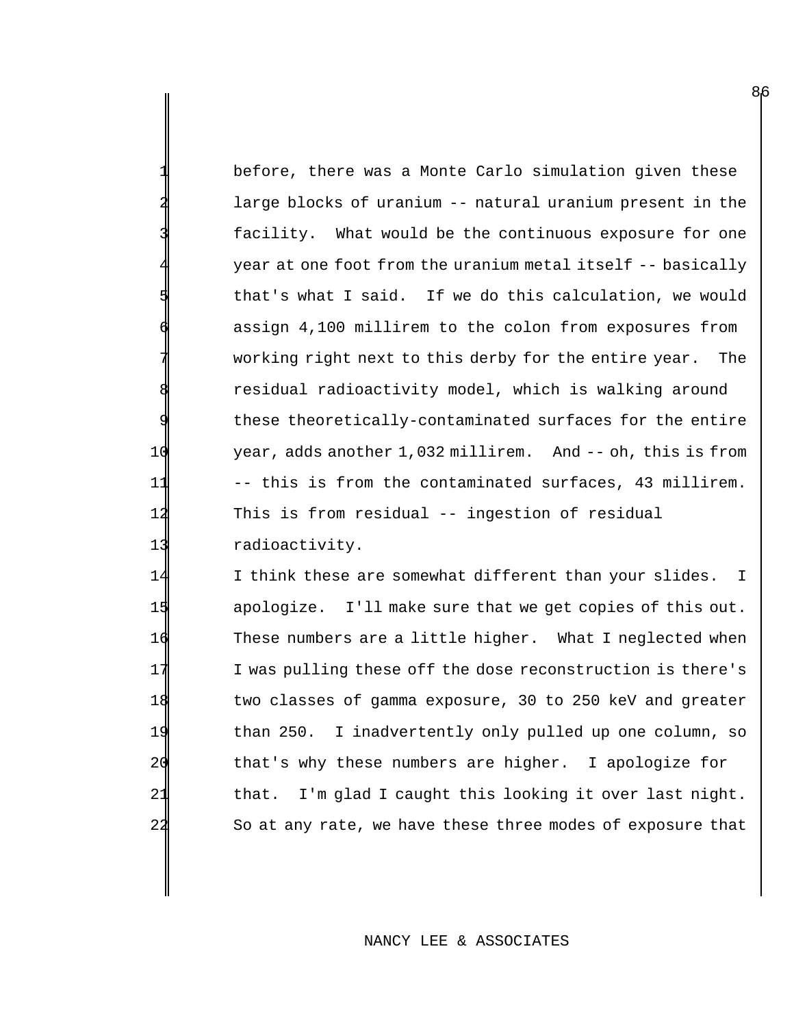before, there was a Monte Carlo simulation given these large blocks of uranium -- natural uranium present in the facility. What would be the continuous exposure for one year at one foot from the uranium metal itself -- basically that's what I said. If we do this calculation, we would assign 4,100 millirem to the colon from exposures from working right next to this derby for the entire year. The residual radioactivity model, which is walking around these theoretically-contaminated surfaces for the entire 10 year, adds another 1,032 millirem. And -- oh, this is from 11 -- this is from the contaminated surfaces, 43 millirem. 12 This is from residual -- ingestion of residual 13 radioactivity.

 I think these are somewhat different than your slides. I apologize. I'll make sure that we get copies of this out. These numbers are a little higher. What I neglected when 17 I was pulling these off the dose reconstruction is there's two classes of gamma exposure, 30 to 250 keV and greater than 250. I inadvertently only pulled up one column, so that's why these numbers are higher. I apologize for 21 that. I'm glad I caught this looking it over last night. 22 So at any rate, we have these three modes of exposure that

### NANCY LEE & ASSOCIATES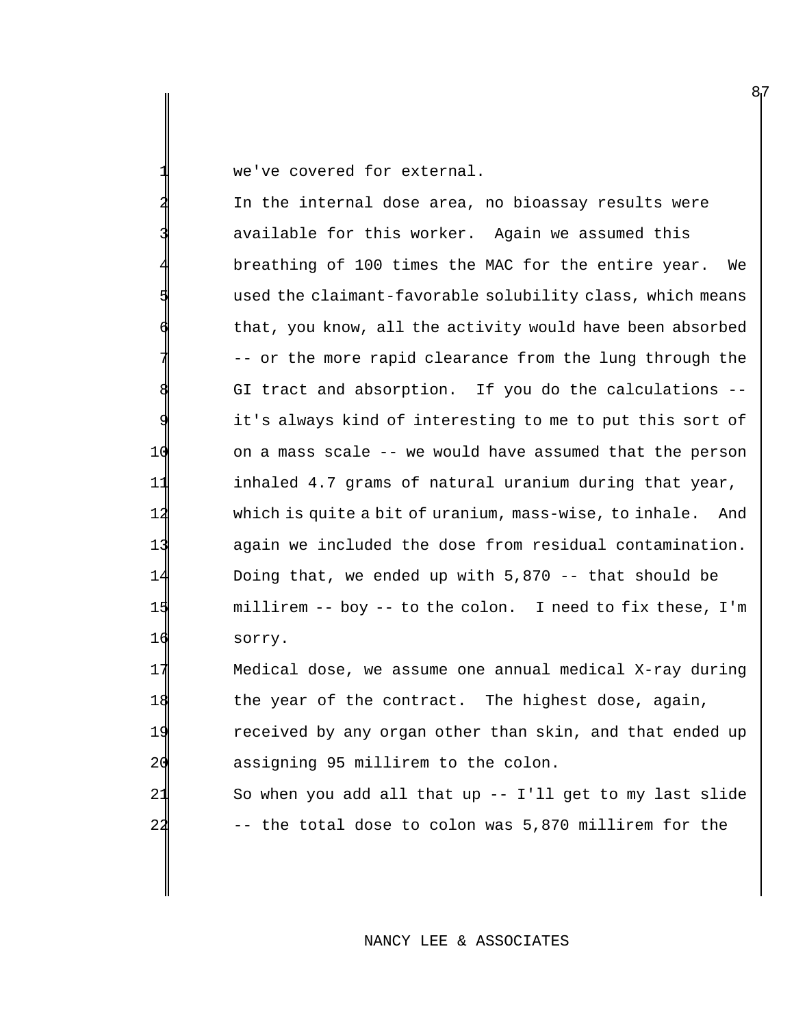we've covered for external.

In the internal dose area, no bioassay results were available for this worker. Again we assumed this breathing of 100 times the MAC for the entire year. We used the claimant-favorable solubility class, which means that, you know, all the activity would have been absorbed 7 -- or the more rapid clearance from the lung through the GI tract and absorption. If you do the calculations -it's always kind of interesting to me to put this sort of 10 on a mass scale -- we would have assumed that the person 11 inhaled 4.7 grams of natural uranium during that year, 12 which is quite a bit of uranium, mass-wise, to inhale. And 13 again we included the dose from residual contamination. 14 Doing that, we ended up with 5,870 -- that should be 15 millirem -- boy -- to the colon. I need to fix these, I'm 16 sorry.

 Medical dose, we assume one annual medical X-ray during 18 the year of the contract. The highest dose, again, received by any organ other than skin, and that ended up assigning 95 millirem to the colon. So when you add all that up -- I'll get to my last slide

22 -- the total dose to colon was 5,870 millirem for the

## NANCY LEE & ASSOCIATES

8<sub>1</sub>7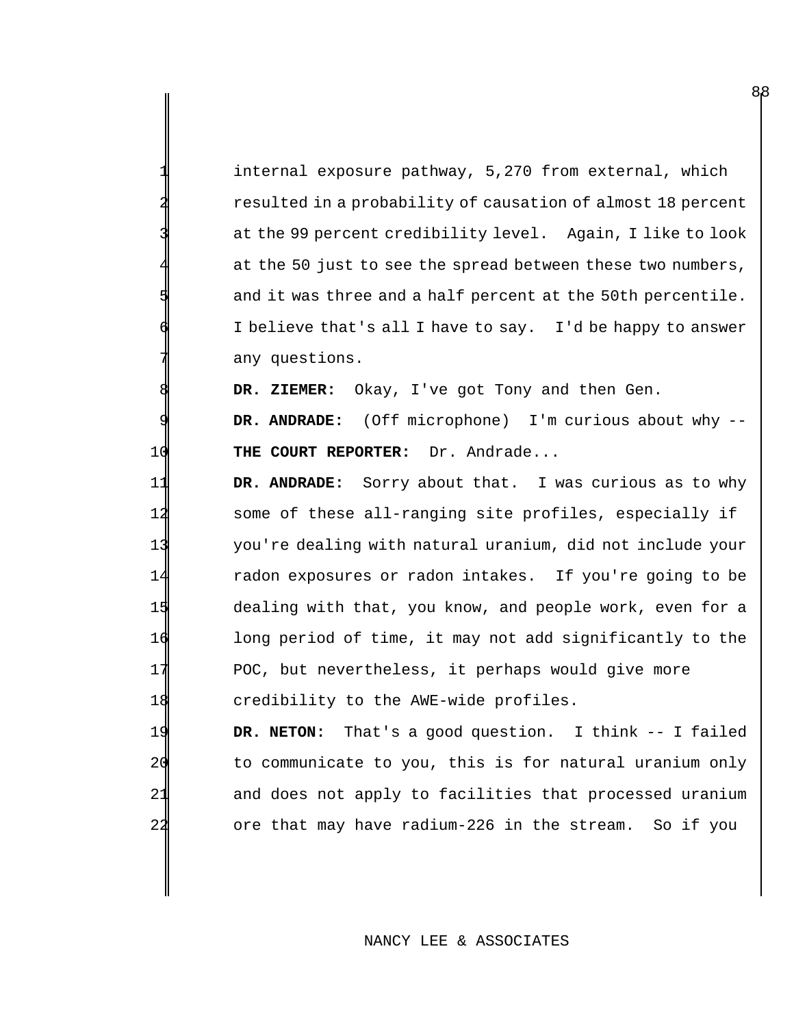internal exposure pathway, 5,270 from external, which resulted in a probability of causation of almost 18 percent at the 99 percent credibility level. Again, I like to look at the 50 just to see the spread between these two numbers, and it was three and a half percent at the 50th percentile. I believe that's all I have to say. I'd be happy to answer any questions.

DR. ZIEMER: Okay, I've got Tony and then Gen.

9 **DR. ANDRADE:** (Off microphone) I'm curious about why -- 10 **THE COURT REPORTER:** Dr. Andrade...

 **DR. ANDRADE:** Sorry about that. I was curious as to why 12 Some of these all-ranging site profiles, especially if you're dealing with natural uranium, did not include your radon exposures or radon intakes. If you're going to be dealing with that, you know, and people work, even for a long period of time, it may not add significantly to the POC, but nevertheless, it perhaps would give more **credibility to the AWE-wide profiles.** 

 **DR. NETON:** That's a good question. I think -- I failed to communicate to you, this is for natural uranium only and does not apply to facilities that processed uranium ore that may have radium-226 in the stream. So if you

## NANCY LEE & ASSOCIATES

88<br>8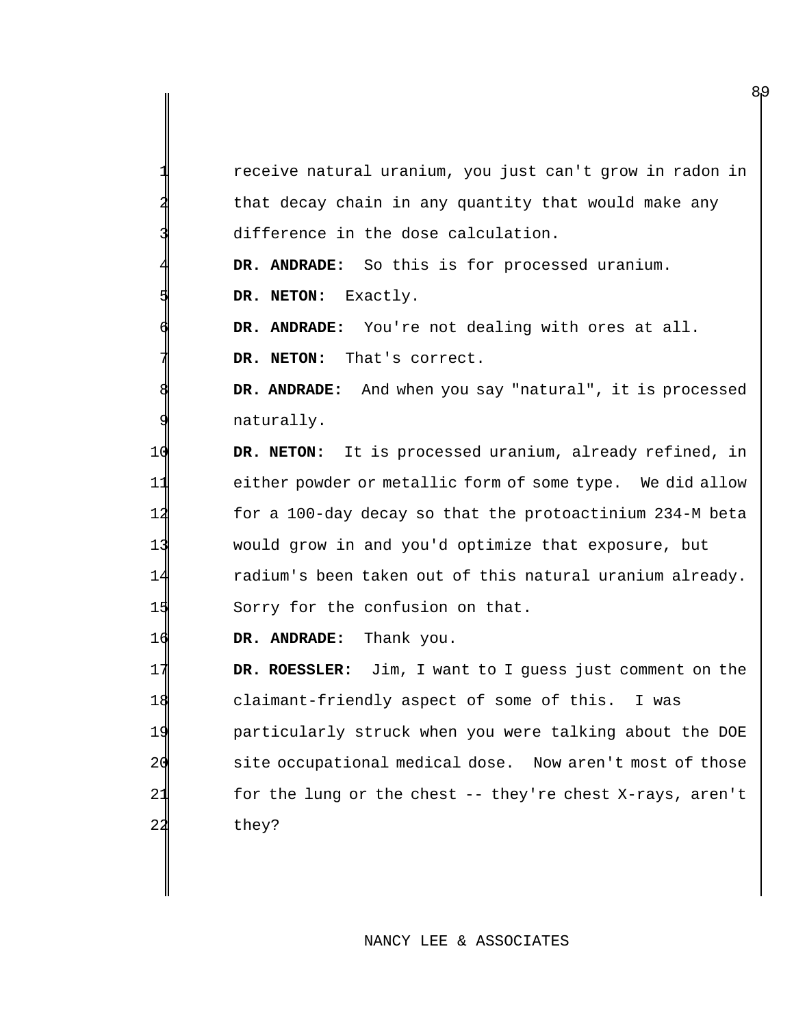receive natural uranium, you just can't grow in radon in that decay chain in any quantity that would make any difference in the dose calculation.

DR. ANDRADE: So this is for processed uranium.

5 **DR. NETON:** Exactly.

DR. ANDRADE: You're not dealing with ores at all. DR. NETON: That's correct.

DR. ANDRADE: And when you say "natural", it is processed naturally.

 **DR. NETON:** It is processed uranium, already refined, in either powder or metallic form of some type. We did allow 14 for a 100-day decay so that the protoactinium 234-M beta would grow in and you'd optimize that exposure, but radium's been taken out of this natural uranium already. 15 Sorry for the confusion on that.

16 **DR. ANDRADE:** Thank you.

 **DR. ROESSLER:** Jim, I want to I guess just comment on the claimant-friendly aspect of some of this. I was particularly struck when you were talking about the DOE site occupational medical dose. Now aren't most of those 21 for the lung or the chest -- they're chest X-rays, aren't 22 they?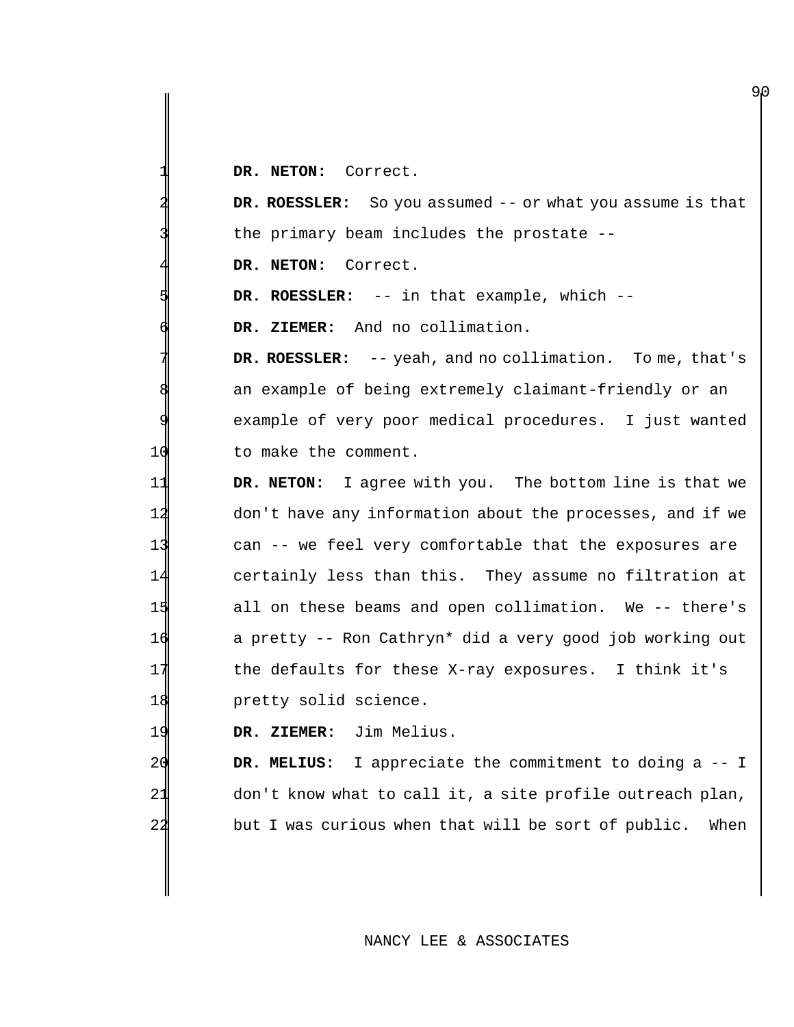DR. NETON: Correct.

|                | <b>DR. ROESSLER:</b> So you assumed -- or what you assume is that |
|----------------|-------------------------------------------------------------------|
|                | the primary beam includes the prostate --                         |
|                | DR. NETON: Correct.                                               |
|                | DR. ROESSLER: -- in that example, which --                        |
|                | DR. ZIEMER: And no collimation.                                   |
|                | DR. ROESSLER: -- yeah, and no collimation. To me, that's          |
|                | an example of being extremely claimant-friendly or an             |
|                | example of very poor medical procedures. I just wanted            |
| 10             | to make the comment.                                              |
| 11             | DR. NETON: I agree with you. The bottom line is that we           |
| 12             | don't have any information about the processes, and if we         |
| 13             | can -- we feel very comfortable that the exposures are            |
| 14             | certainly less than this. They assume no filtration at            |
| 15             | all on these beams and open collimation. We -- there's            |
| 16             | a pretty -- Ron Cathryn* did a very good job working out          |
| 17             | the defaults for these X-ray exposures. I think it's              |
| 18             | pretty solid science.                                             |
| 19             | DR. ZIEMER: Jim Melius.                                           |
| 20             | DR. MELIUS: I appreciate the commitment to doing a -- I           |
| 21             | don't know what to call it, a site profile outreach plan,         |
| 2 <sub>2</sub> | but I was curious when that will be sort of public. When          |

NANCY LEE & ASSOCIATES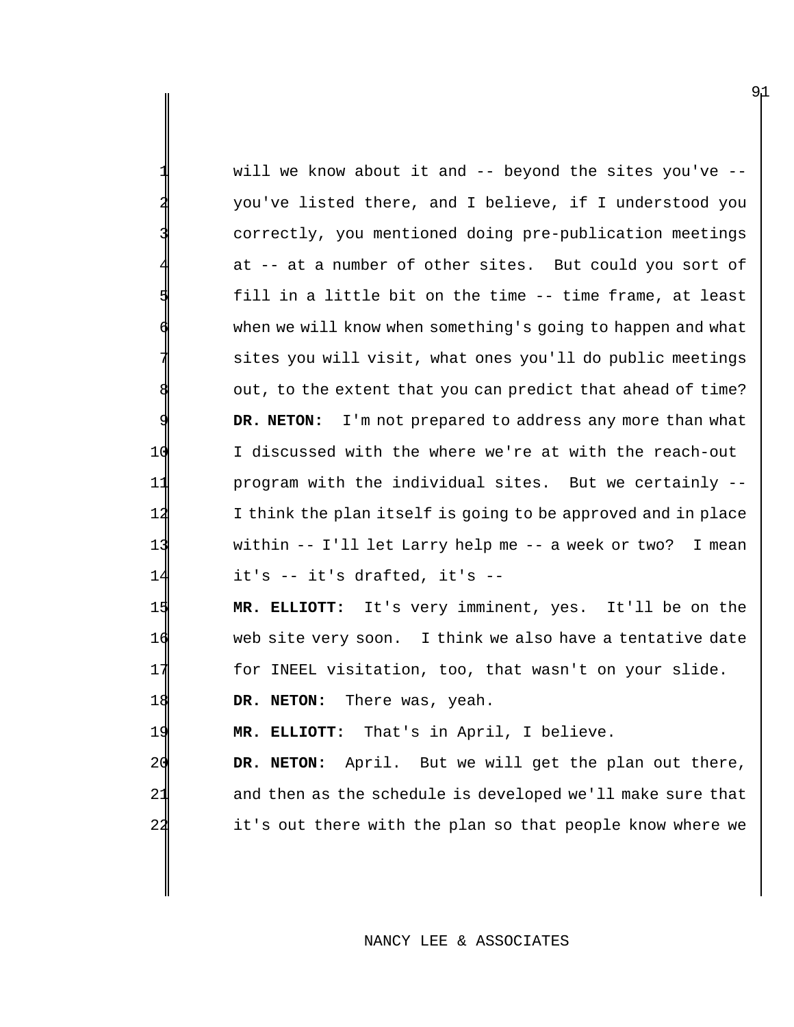will we know about it and  $-$ - beyond the sites you've  $-$ - you've listed there, and I believe, if I understood you correctly, you mentioned doing pre-publication meetings at -- at a number of other sites. But could you sort of fill in a little bit on the time -- time frame, at least when we will know when something's going to happen and what sites you will visit, what ones you'll do public meetings out, to the extent that you can predict that ahead of time? DR. NETON: I'm not prepared to address any more than what I discussed with the where we're at with the reach-out program with the individual sites. But we certainly -- I think the plan itself is going to be approved and in place within -- I'll let Larry help me -- a week or two? I mean it's -- it's drafted, it's --

 **MR. ELLIOTT:** It's very imminent, yes. It'll be on the web site very soon. I think we also have a tentative date for INEEL visitation, too, that wasn't on your slide.

**DR. NETON:** There was, yeah.

**MR. ELLIOTT:** That's in April, I believe.

 **DR. NETON:** April. But we will get the plan out there, 21 and then as the schedule is developed we'll make sure that it's out there with the plan so that people know where we

## NANCY LEE & ASSOCIATES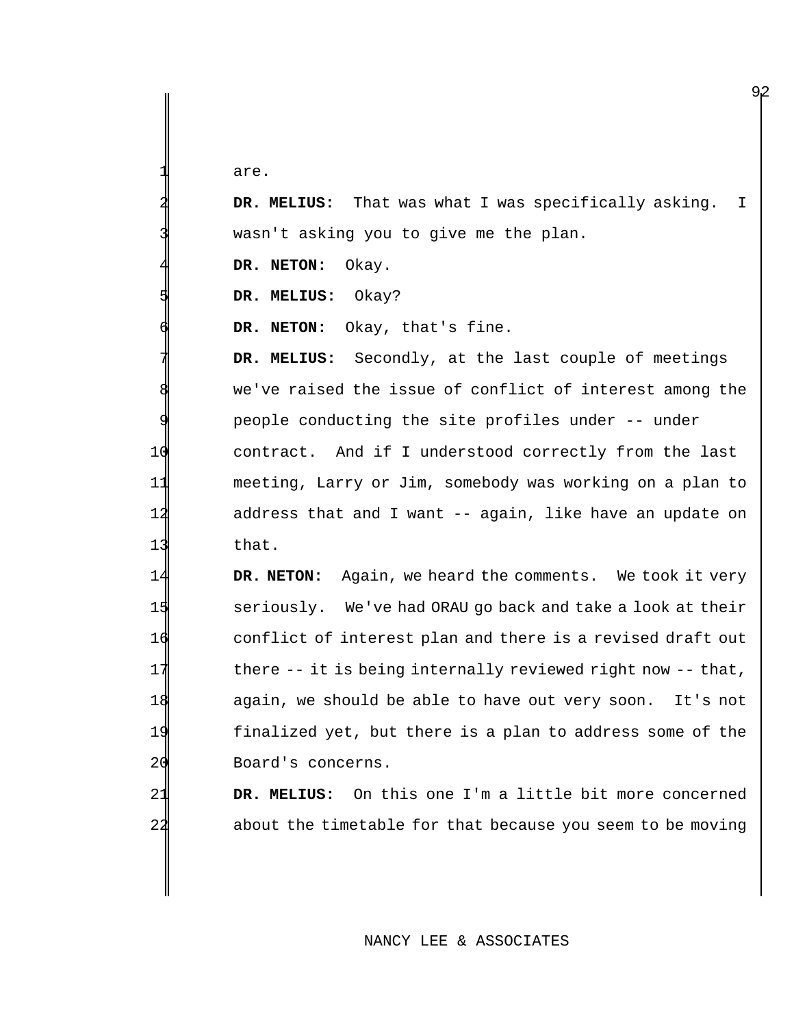are.

|    | DR. MELIUS: That was what I was specifically asking. I     |
|----|------------------------------------------------------------|
|    | wasn't asking you to give me the plan.                     |
|    | DR. NETON: Okay.                                           |
|    | DR. MELIUS: Okay?                                          |
|    | DR. NETON: Okay, that's fine.                              |
|    | DR. MELIUS: Secondly, at the last couple of meetings       |
|    | we've raised the issue of conflict of interest among the   |
|    | people conducting the site profiles under -- under         |
| 10 | contract. And if I understood correctly from the last      |
| 11 | meeting, Larry or Jim, somebody was working on a plan to   |
| 12 | address that and I want -- again, like have an update on   |
| 13 | that.                                                      |
| 14 | DR. NETON: Again, we heard the comments. We took it very   |
| 15 | seriously. We've had ORAU go back and take a look at their |
| 16 | conflict of interest plan and there is a revised draft out |

 there -- it is being internally reviewed right now -- that, again, we should be able to have out very soon. It's not finalized yet, but there is a plan to address some of the Board's concerns.

21 DR. MELIUS: On this one I'm a little bit more concerned 22 about the timetable for that because you seem to be moving

# NANCY LEE & ASSOCIATES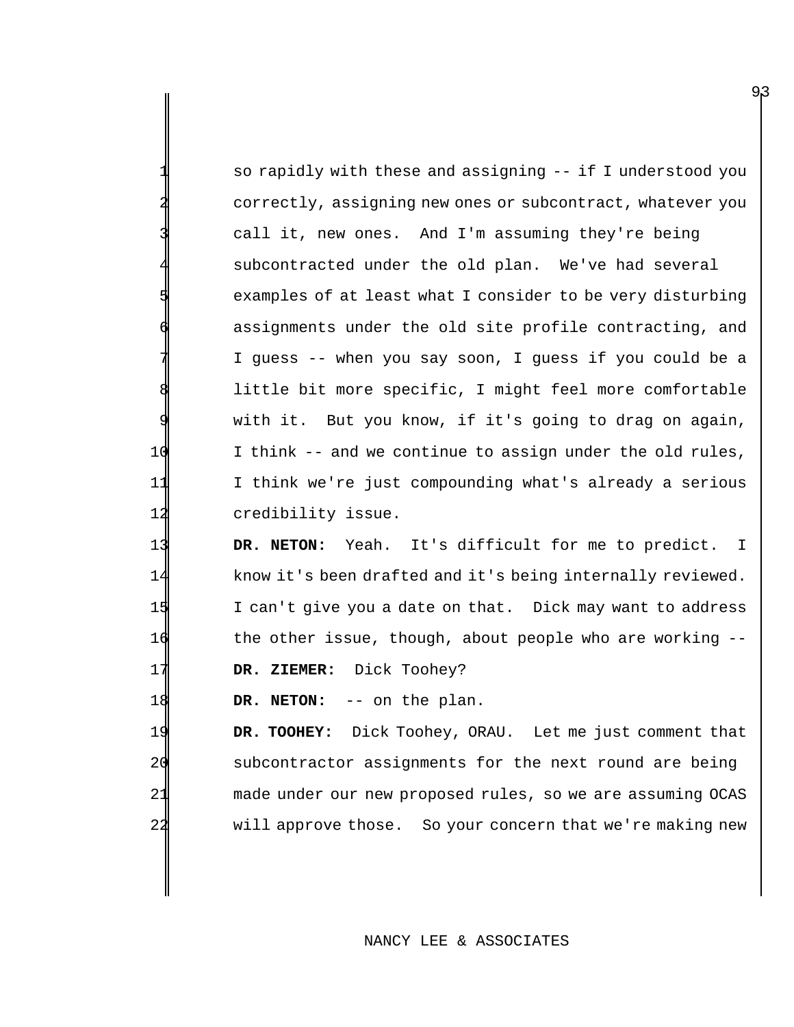so rapidly with these and assigning -- if I understood you correctly, assigning new ones or subcontract, whatever you call it, new ones. And I'm assuming they're being subcontracted under the old plan. We've had several examples of at least what I consider to be very disturbing assignments under the old site profile contracting, and 7 I guess -- when you say soon, I guess if you could be a little bit more specific, I might feel more comfortable with it. But you know, if it's going to drag on again, 10 I think -- and we continue to assign under the old rules, 11 I think we're just compounding what's already a serious 12 credibility issue.

 **DR. NETON:** Yeah. It's difficult for me to predict. I know it's been drafted and it's being internally reviewed. I can't give you a date on that. Dick may want to address the other issue, though, about people who are working -- **DR. ZIEMER:** Dick Toohey?

18 **DR. NETON:** -- on the plan.

 **DR. TOOHEY:** Dick Toohey, ORAU. Let me just comment that subcontractor assignments for the next round are being made under our new proposed rules, so we are assuming OCAS will approve those. So your concern that we're making new

### NANCY LEE & ASSOCIATES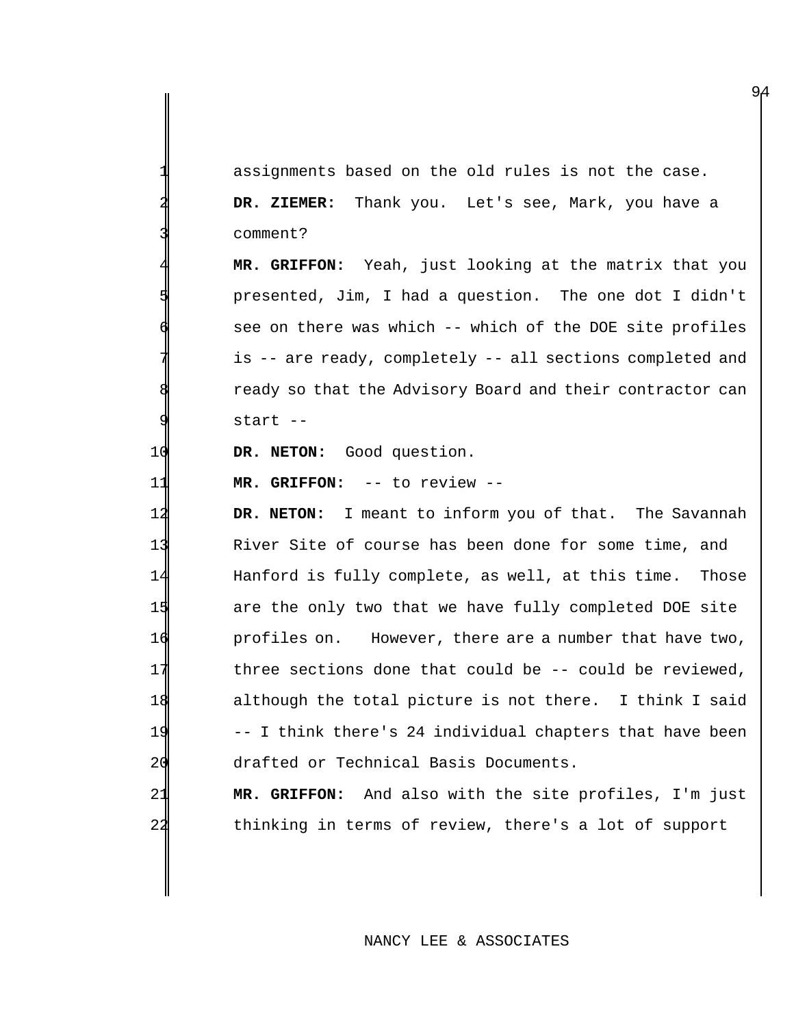assignments based on the old rules is not the case. **DR. ZIEMER:** Thank you. Let's see, Mark, you have a comment?

MR. GRIFFON: Yeah, just looking at the matrix that you presented, Jim, I had a question. The one dot I didn't see on there was which -- which of the DOE site profiles is -- are ready, completely -- all sections completed and ready so that the Advisory Board and their contractor can start --

10 DR. NETON: Good question.

**MR. GRIFFON:** -- to review --

**DR. NETON:** I meant to inform you of that. The Savannah River Site of course has been done for some time, and Hanford is fully complete, as well, at this time. Those are the only two that we have fully completed DOE site profiles on. However, there are a number that have two, 17 three sections done that could be -- could be reviewed, although the total picture is not there. I think I said -- I think there's 24 individual chapters that have been drafted or Technical Basis Documents.

 **MR. GRIFFON:** And also with the site profiles, I'm just thinking in terms of review, there's a lot of support

## NANCY LEE & ASSOCIATES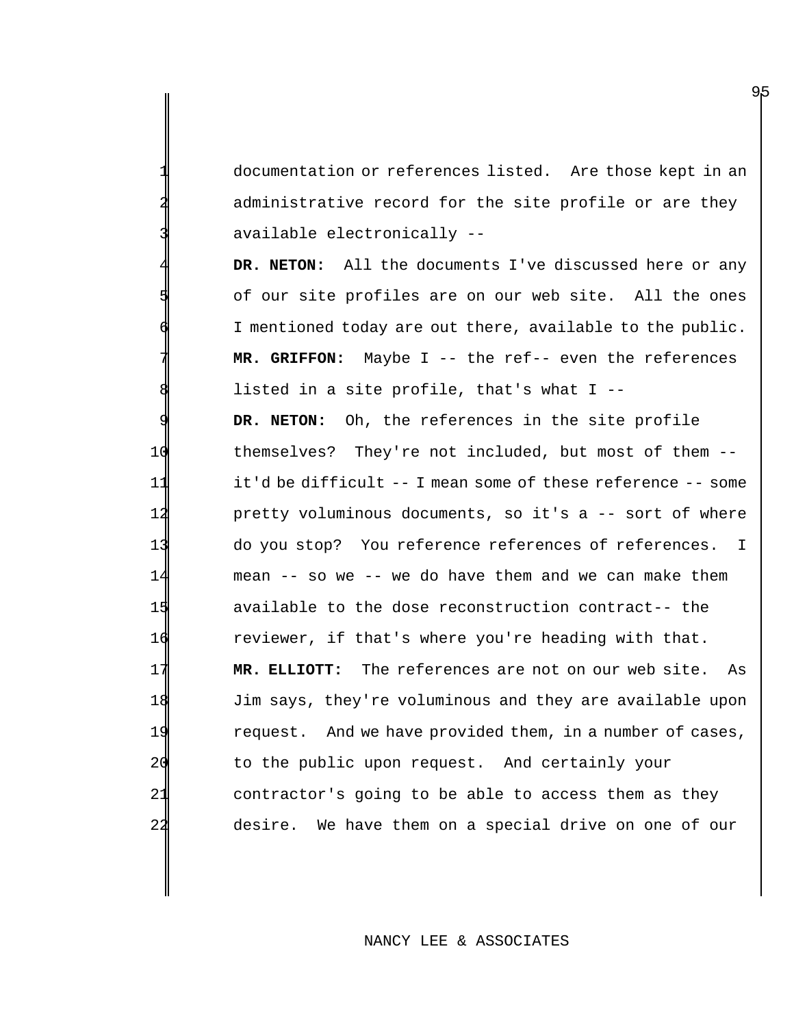documentation or references listed. Are those kept in an administrative record for the site profile or are they available electronically --

DR. NETON: All the documents I've discussed here or any of our site profiles are on our web site. All the ones I mentioned today are out there, available to the public. MR. GRIFFON: Maybe I -- the ref-- even the references listed in a site profile, that's what  $I$  --DR. NETON: Oh, the references in the site profile themselves? They're not included, but most of them -- it'd be difficult -- I mean some of these reference -- some pretty voluminous documents, so it's a -- sort of where do you stop? You reference references of references. I mean -- so we -- we do have them and we can make them available to the dose reconstruction contract-- the reviewer, if that's where you're heading with that. **MR. ELLIOTT:** The references are not on our web site. As Jim says, they're voluminous and they are available upon request. And we have provided them, in a number of cases, 20 to the public upon request. And certainly your contractor's going to be able to access them as they desire. We have them on a special drive on one of our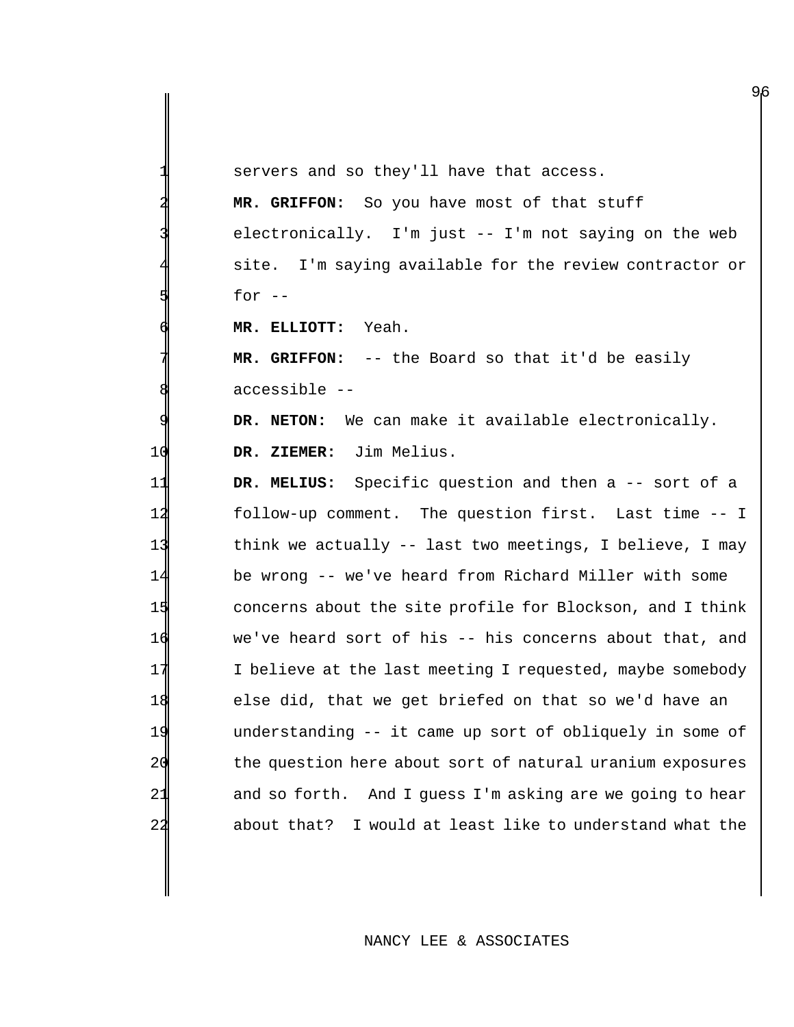servers and so they'll have that access.

MR. GRIFFON: So you have most of that stuff 3 electronically. I'm just -- I'm not saying on the web site. I'm saying available for the review contractor or for  $--$ 

6 **MR. ELLIOTT:** Yeah.

MR. GRIFFON:  $-$ - the Board so that it'd be easily accessible --

DR. NETON: We can make it available electronically. 10 **DR. ZIEMER:** Jim Melius.

 **DR. MELIUS:** Specific question and then a -- sort of a follow-up comment. The question first. Last time -- I think we actually -- last two meetings, I believe, I may be wrong -- we've heard from Richard Miller with some concerns about the site profile for Blockson, and I think we've heard sort of his -- his concerns about that, and 17 I believe at the last meeting I requested, maybe somebody else did, that we get briefed on that so we'd have an understanding -- it came up sort of obliquely in some of the question here about sort of natural uranium exposures 21 and so forth. And I guess I'm asking are we going to hear about that? I would at least like to understand what the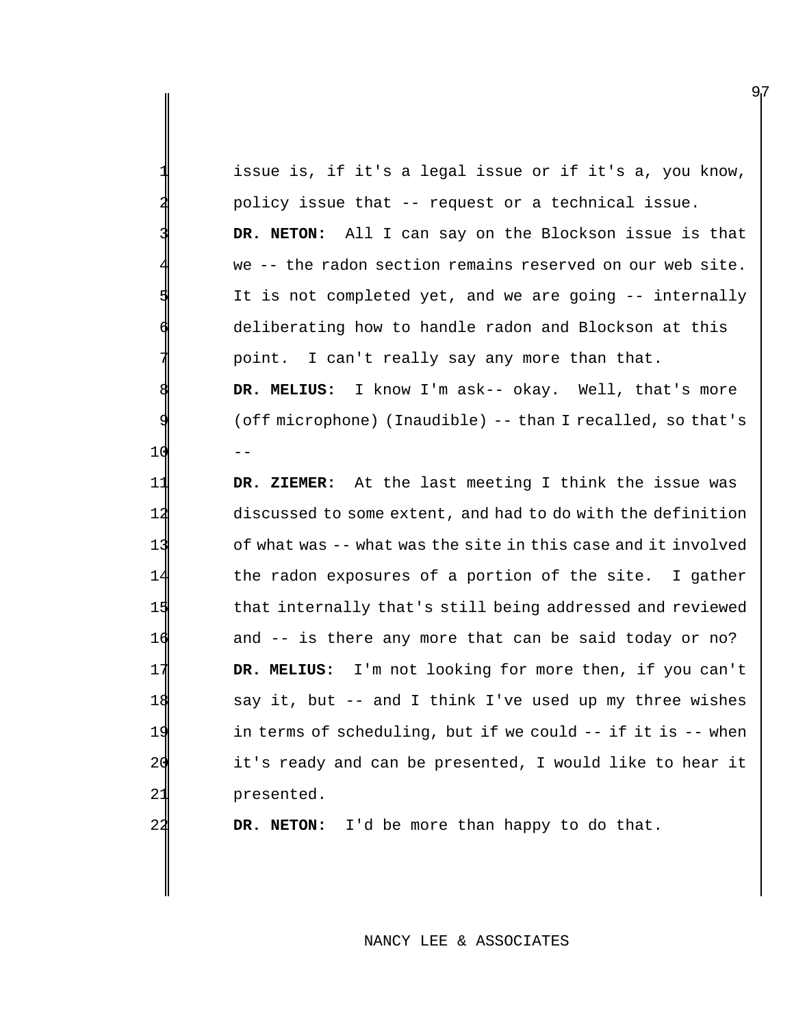issue is, if it's a legal issue or if it's a, you know, 2 policy issue that -- request or a technical issue. DR. NETON: All I can say on the Blockson issue is that we -- the radon section remains reserved on our web site. It is not completed yet, and we are going -- internally deliberating how to handle radon and Blockson at this point. I can't really say any more than that. 8 **DR. MELIUS:** I know I'm ask-- okay. Well, that's more (off microphone) (Inaudible) -- than I recalled, so that's 10 -- 11 **DR. ZIEMER:** At the last meeting I think the issue was 12 discussed to some extent, and had to do with the definition 13 of what was -- what was the site in this case and it involved 14 the radon exposures of a portion of the site. I gather 15 that internally that's still being addressed and reviewed 16 and -- is there any more that can be said today or no?

 **DR. MELIUS:** I'm not looking for more then, if you can't say it, but -- and I think I've used up my three wishes in terms of scheduling, but if we could -- if it is -- when it's ready and can be presented, I would like to hear it presented.

22 **DR. NETON:** I'd be more than happy to do that.

## NANCY LEE & ASSOCIATES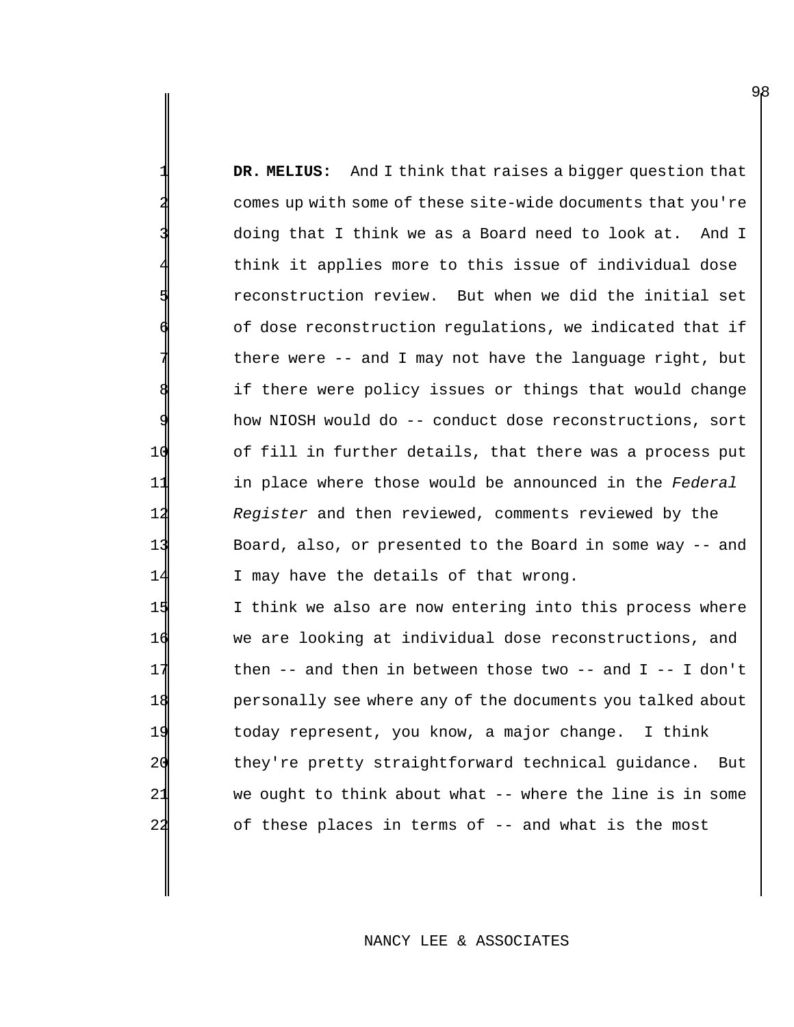DR. MELIUS: And I think that raises a bigger question that comes up with some of these site-wide documents that you're doing that I think we as a Board need to look at. And I think it applies more to this issue of individual dose 5 reconstruction review. But when we did the initial set of dose reconstruction regulations, we indicated that if there were  $--$  and I may not have the language right, but if there were policy issues or things that would change how NIOSH would do -- conduct dose reconstructions, sort 10 of fill in further details, that there was a process put 11 in place where those would be announced in the *Federal*  12 *Register* and then reviewed, comments reviewed by the 13 Board, also, or presented to the Board in some way -- and 14 I may have the details of that wrong.

15 I think we also are now entering into this process where we are looking at individual dose reconstructions, and then -- and then in between those two -- and I -- I don't **personally see where any of the documents you talked about**  today represent, you know, a major change. I think they're pretty straightforward technical guidance. But we ought to think about what -- where the line is in some of these places in terms of -- and what is the most

NANCY LEE & ASSOCIATES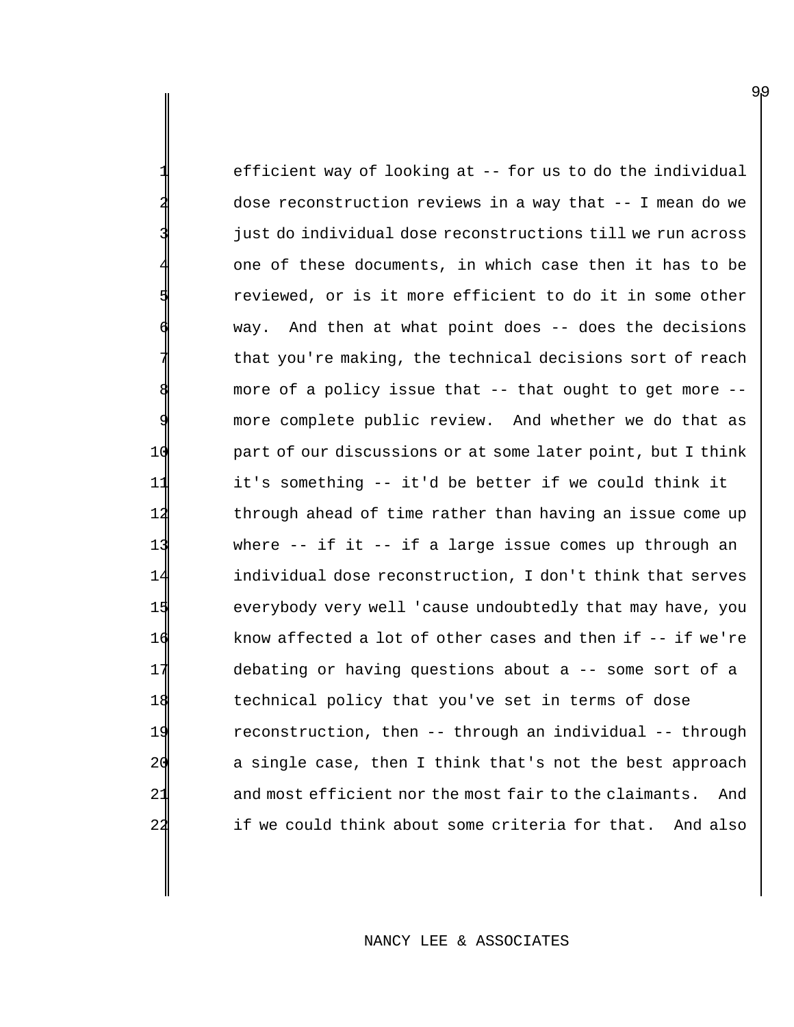efficient way of looking at -- for us to do the individual dose reconstruction reviews in a way that -- I mean do we just do individual dose reconstructions till we run across one of these documents, in which case then it has to be reviewed, or is it more efficient to do it in some other way. And then at what point does -- does the decisions that you're making, the technical decisions sort of reach more of a policy issue that -- that ought to get more -more complete public review. And whether we do that as 10 part of our discussions or at some later point, but I think 11 it's something -- it'd be better if we could think it 12 through ahead of time rather than having an issue come up 13 where -- if it -- if a large issue comes up through an 14 individual dose reconstruction, I don't think that serves 15 everybody very well 'cause undoubtedly that may have, you 16 know affected a lot of other cases and then if -- if we're 17 debating or having questions about a -- some sort of a 18 technical policy that you've set in terms of dose 19 reconstruction, then -- through an individual -- through 20 a single case, then I think that's not the best approach 21 and most efficient nor the most fair to the claimants. And 22 if we could think about some criteria for that. And also

## NANCY LEE & ASSOCIATES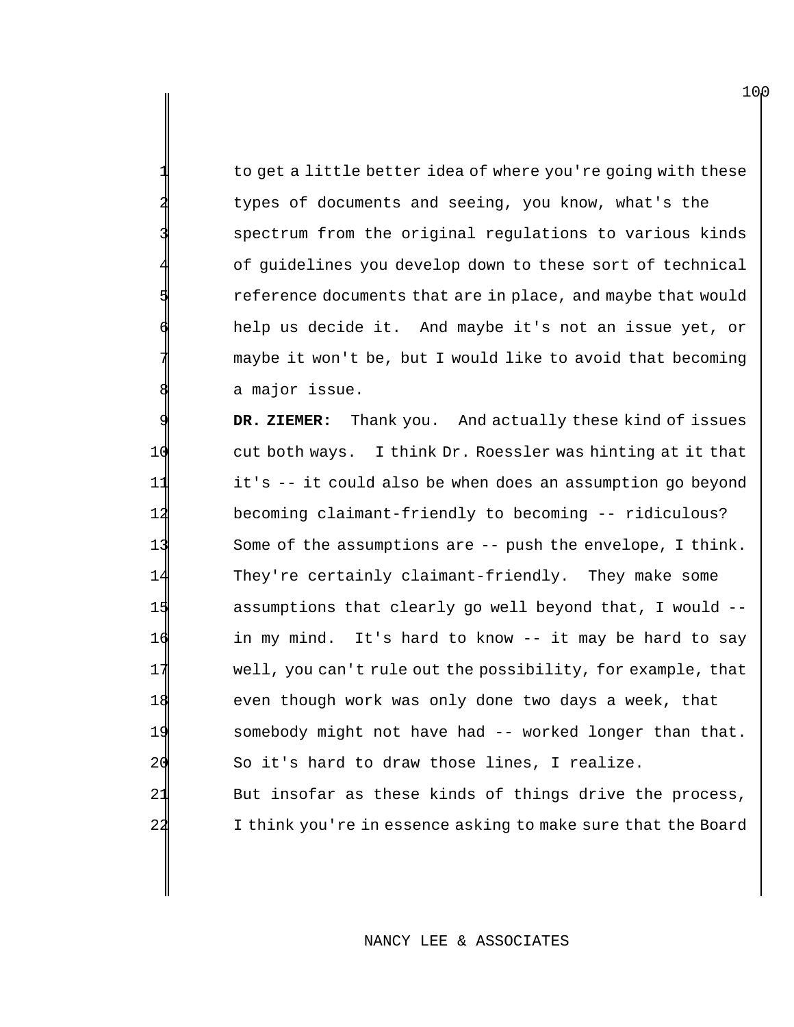to get a little better idea of where you're going with these types of documents and seeing, you know, what's the spectrum from the original regulations to various kinds of guidelines you develop down to these sort of technical reference documents that are in place, and maybe that would help us decide it. And maybe it's not an issue yet, or maybe it won't be, but I would like to avoid that becoming a major issue.

 **DR. ZIEMER:** Thank you. And actually these kind of issues cut both ways. I think Dr. Roessler was hinting at it that it's -- it could also be when does an assumption go beyond becoming claimant-friendly to becoming -- ridiculous? Some of the assumptions are -- push the envelope, I think. They're certainly claimant-friendly. They make some assumptions that clearly go well beyond that, I would -- in my mind. It's hard to know -- it may be hard to say well, you can't rule out the possibility, for example, that even though work was only done two days a week, that somebody might not have had -- worked longer than that. 20 So it's hard to draw those lines, I realize. 21 But insofar as these kinds of things drive the process, I think you're in essence asking to make sure that the Board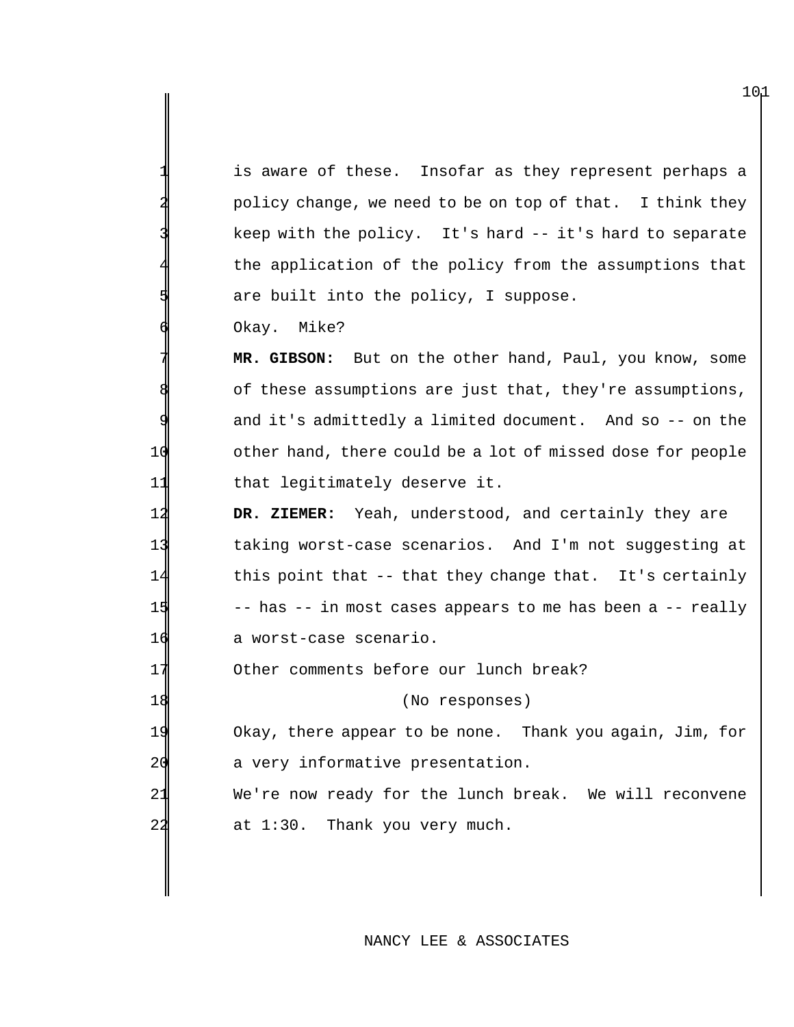is aware of these. Insofar as they represent perhaps a policy change, we need to be on top of that. I think they keep with the policy. It's hard -- it's hard to separate the application of the policy from the assumptions that are built into the policy, I suppose.

Okay. Mike?

MR. GIBSON: But on the other hand, Paul, you know, some of these assumptions are just that, they're assumptions, and it's admittedly a limited document. And so -- on the 10 other hand, there could be a lot of missed dose for people 11 that legitimately deserve it.

**DR. ZIEMER:** Yeah, understood, and certainly they are taking worst-case scenarios. And I'm not suggesting at this point that -- that they change that. It's certainly 15 -- has -- in most cases appears to me has been a -- really a worst-case scenario.

17 Other comments before our lunch break?

18 (No responses)

19 Okay, there appear to be none. Thank you again, Jim, for 20 a very informative presentation.

21 We're now ready for the lunch break. We will reconvene  $24$  at  $1:30$ . Thank you very much.

NANCY LEE & ASSOCIATES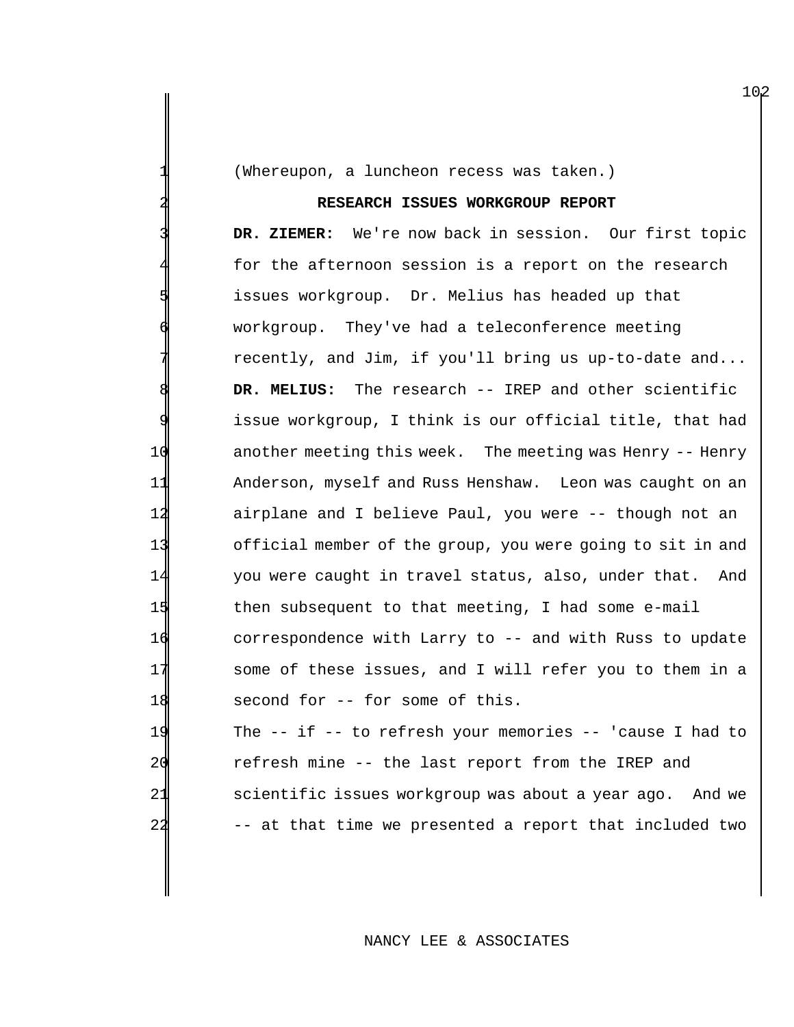(Whereupon, a luncheon recess was taken.)

## **RESEARCH ISSUES WORKGROUP REPORT**

 **DR. ZIEMER:** We're now back in session. Our first topic for the afternoon session is a report on the research issues workgroup. Dr. Melius has headed up that workgroup. They've had a teleconference meeting recently, and Jim, if you'll bring us up-to-date and... **DR. MELIUS:** The research -- IREP and other scientific issue workgroup, I think is our official title, that had another meeting this week. The meeting was Henry -- Henry Anderson, myself and Russ Henshaw. Leon was caught on an airplane and I believe Paul, you were -- though not an official member of the group, you were going to sit in and you were caught in travel status, also, under that. And 15 then subsequent to that meeting, I had some e-mail correspondence with Larry to -- and with Russ to update some of these issues, and I will refer you to them in a 18 second for -- for some of this.

 The -- if -- to refresh your memories -- 'cause I had to refresh mine -- the last report from the IREP and scientific issues workgroup was about a year ago. And we -- at that time we presented a report that included two

### NANCY LEE & ASSOCIATES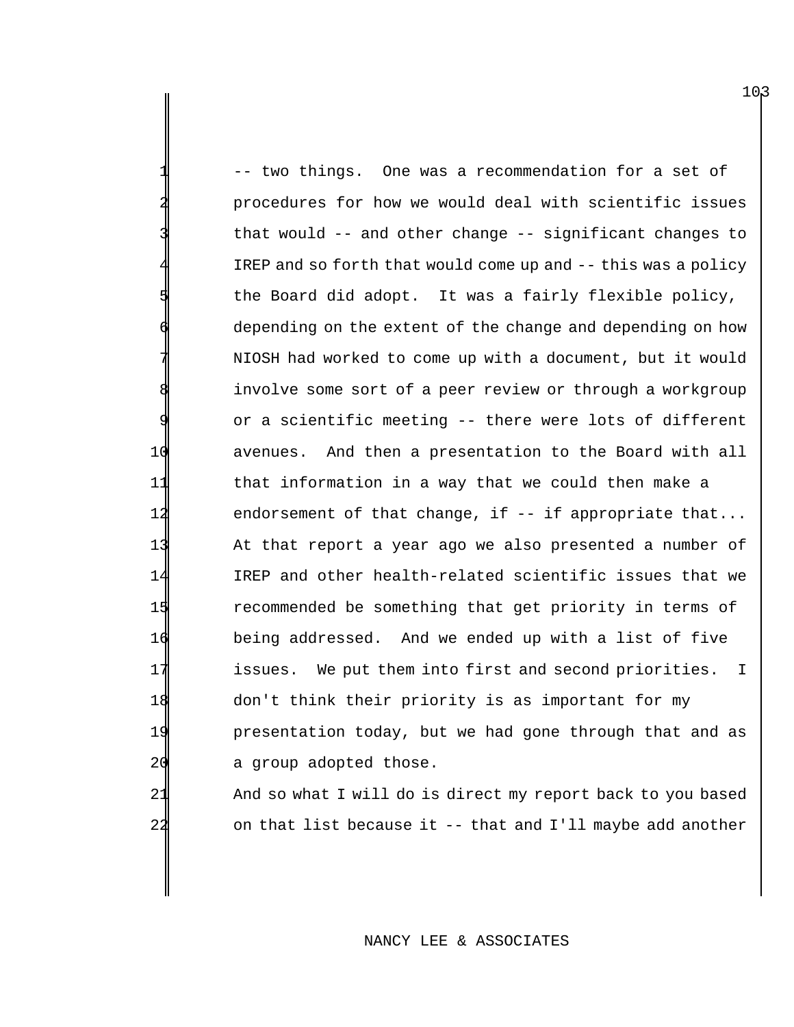-- two things. One was a recommendation for a set of procedures for how we would deal with scientific issues that would -- and other change -- significant changes to IREP and so forth that would come up and -- this was a policy the Board did adopt. It was a fairly flexible policy, depending on the extent of the change and depending on how NIOSH had worked to come up with a document, but it would involve some sort of a peer review or through a workgroup or a scientific meeting -- there were lots of different 10 avenues. And then a presentation to the Board with all 11 that information in a way that we could then make a 12 endorsement of that change, if -- if appropriate that... 13 At that report a year ago we also presented a number of 14 IREP and other health-related scientific issues that we 15 recommended be something that get priority in terms of 16 being addressed. And we ended up with a list of five 17 issues. We put them into first and second priorities. I 18 don't think their priority is as important for my 19 presentation today, but we had gone through that and as 20 a group adopted those.

21 And so what I will do is direct my report back to you based 22 on that list because it -- that and I'll maybe add another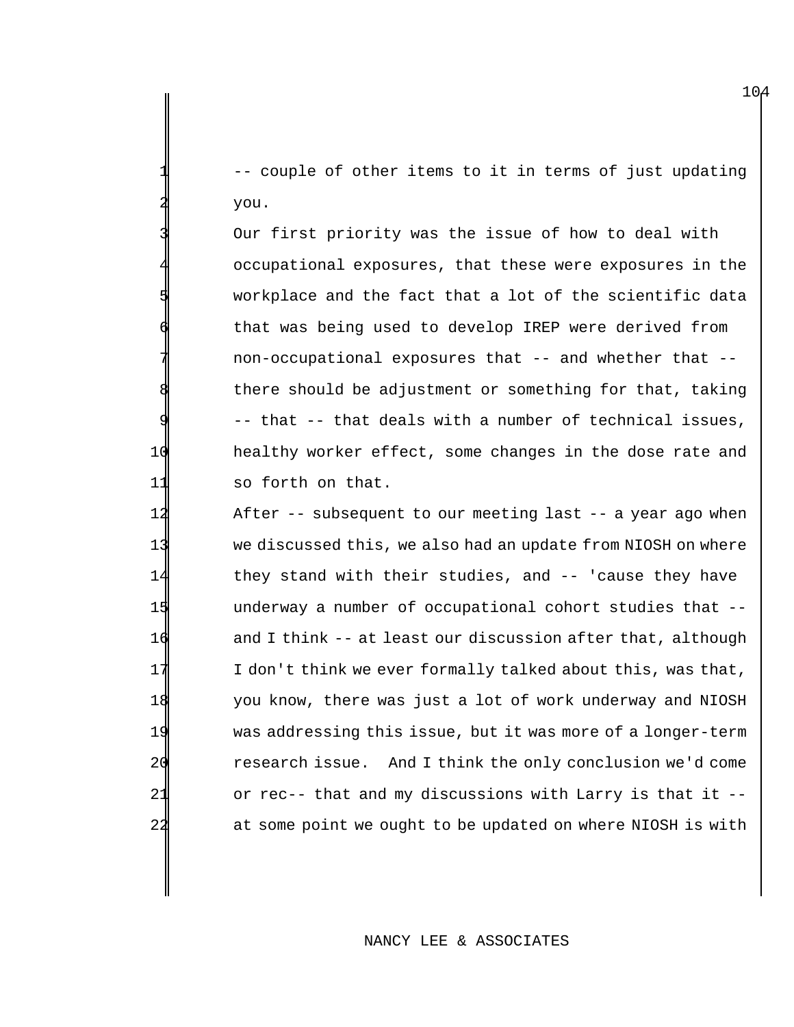-- couple of other items to it in terms of just updating 2 you.

Our first priority was the issue of how to deal with occupational exposures, that these were exposures in the workplace and the fact that a lot of the scientific data that was being used to develop IREP were derived from non-occupational exposures that -- and whether that -there should be adjustment or something for that, taking -- that -- that deals with a number of technical issues, 10 healthy worker effect, some changes in the dose rate and 11 so forth on that.

 After -- subsequent to our meeting last -- a year ago when we discussed this, we also had an update from NIOSH on where they stand with their studies, and -- 'cause they have underway a number of occupational cohort studies that -- 16 and I think -- at least our discussion after that, although 17 I don't think we ever formally talked about this, was that, you know, there was just a lot of work underway and NIOSH was addressing this issue, but it was more of a longer-term research issue. And I think the only conclusion we'd come or rec-- that and my discussions with Larry is that it -- at some point we ought to be updated on where NIOSH is with

## NANCY LEE & ASSOCIATES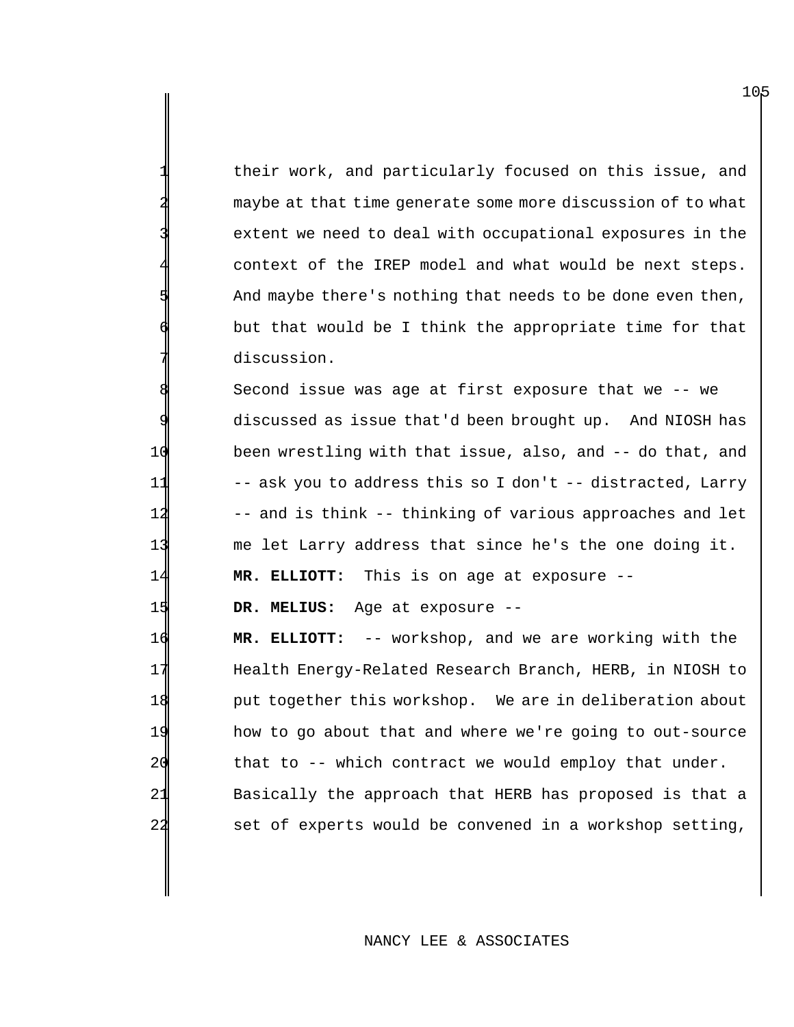their work, and particularly focused on this issue, and maybe at that time generate some more discussion of to what extent we need to deal with occupational exposures in the context of the IREP model and what would be next steps. And maybe there's nothing that needs to be done even then, but that would be I think the appropriate time for that discussion.

8 Second issue was age at first exposure that we -- we discussed as issue that'd been brought up. And NIOSH has 10 been wrestling with that issue, also, and -- do that, and 11 -- ask you to address this so I don't -- distracted, Larry 12 -- and is think -- thinking of various approaches and let 13 me let Larry address that since he's the one doing it. 14 **MR. ELLIOTT:** This is on age at exposure --

15 **DR. MELIUS:** Age at exposure --

 **MR. ELLIOTT:** -- workshop, and we are working with the Health Energy-Related Research Branch, HERB, in NIOSH to **put together this workshop.** We are in deliberation about how to go about that and where we're going to out-source 20 that to -- which contract we would employ that under. Basically the approach that HERB has proposed is that a set of experts would be convened in a workshop setting,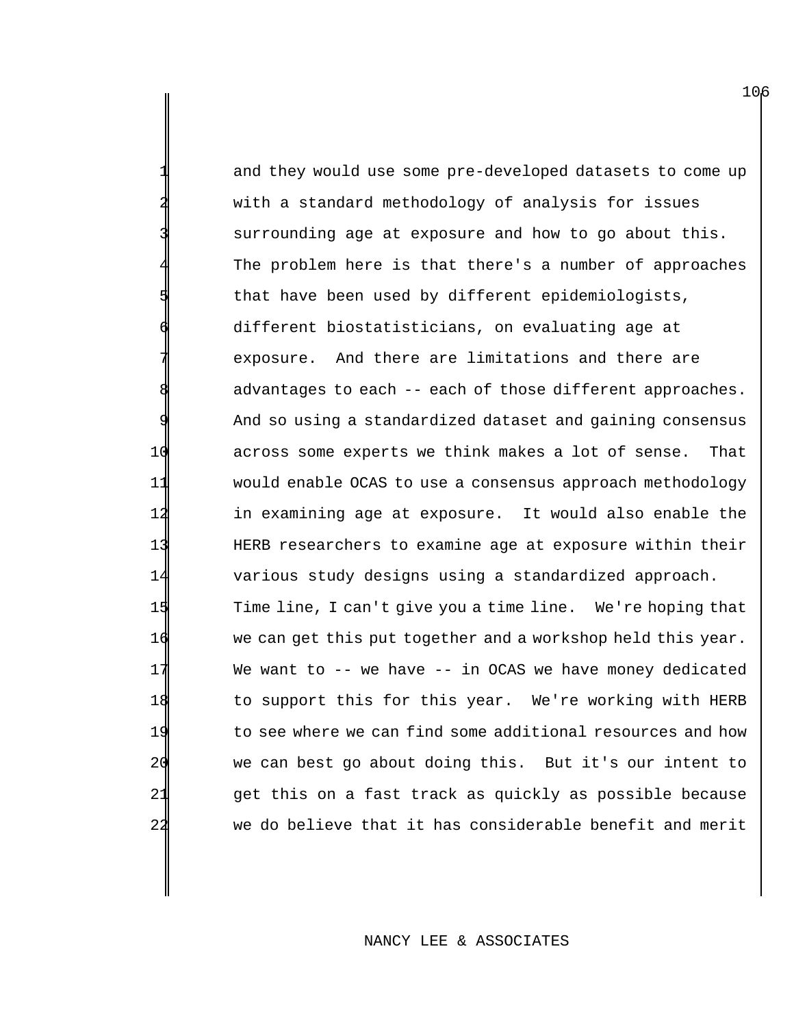and they would use some pre-developed datasets to come up with a standard methodology of analysis for issues surrounding age at exposure and how to go about this. The problem here is that there's a number of approaches that have been used by different epidemiologists, different biostatisticians, on evaluating age at exposure. And there are limitations and there are advantages to each -- each of those different approaches. And so using a standardized dataset and gaining consensus 10 across some experts we think makes a lot of sense. That 11 would enable OCAS to use a consensus approach methodology 12 in examining age at exposure. It would also enable the 13 HERB researchers to examine age at exposure within their 14 various study designs using a standardized approach. 15 Time line, I can't give you a time line. We're hoping that 16 we can get this put together and a workshop held this year. 17 We want to -- we have -- in OCAS we have money dedicated 18 to support this for this year. We're working with HERB 19 to see where we can find some additional resources and how 20 we can best go about doing this. But it's our intent to 21 get this on a fast track as quickly as possible because 22 we do believe that it has considerable benefit and merit

#### NANCY LEE & ASSOCIATES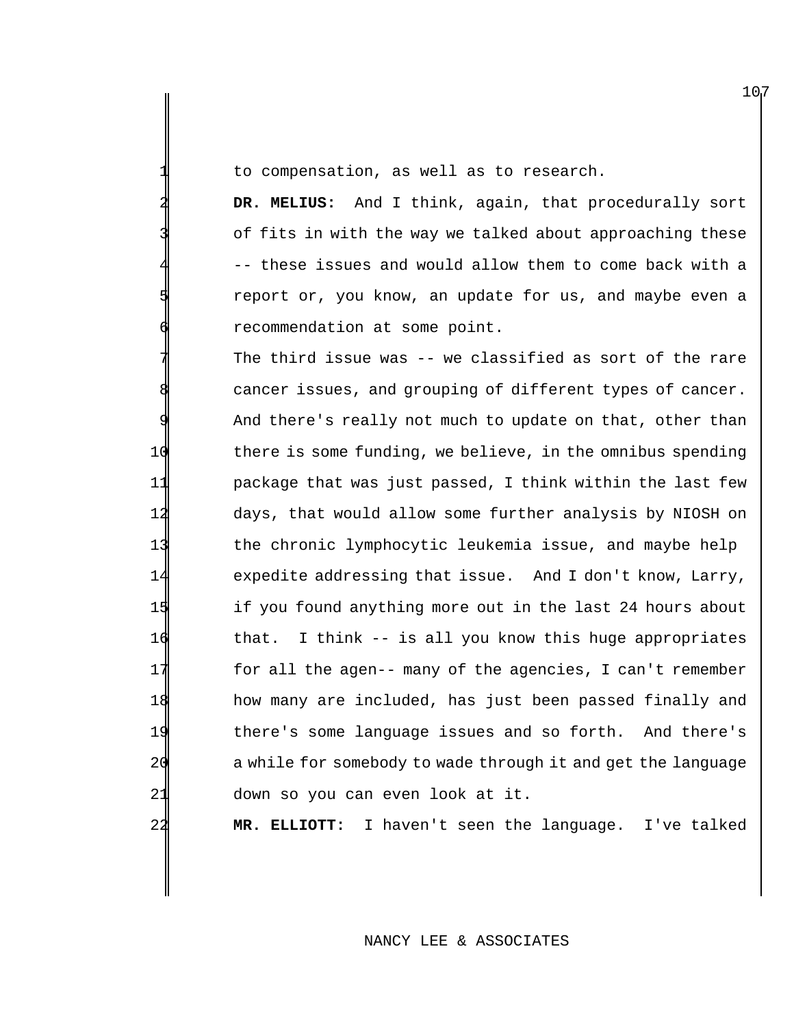to compensation, as well as to research.

2 **DR. MELIUS:** And I think, again, that procedurally sort of fits in with the way we talked about approaching these -- these issues and would allow them to come back with a report or, you know, an update for us, and maybe even a recommendation at some point.

The third issue was -- we classified as sort of the rare cancer issues, and grouping of different types of cancer. And there's really not much to update on that, other than there is some funding, we believe, in the omnibus spending package that was just passed, I think within the last few days, that would allow some further analysis by NIOSH on the chronic lymphocytic leukemia issue, and maybe help expedite addressing that issue. And I don't know, Larry, **if you found anything more out in the last 24 hours about** 16 that. I think -- is all you know this huge appropriates for all the agen-- many of the agencies, I can't remember how many are included, has just been passed finally and there's some language issues and so forth. And there's 20 a while for somebody to wade through it and get the language down so you can even look at it.

22 **MR. ELLIOTT:** I haven't seen the language. I've talked

# NANCY LEE & ASSOCIATES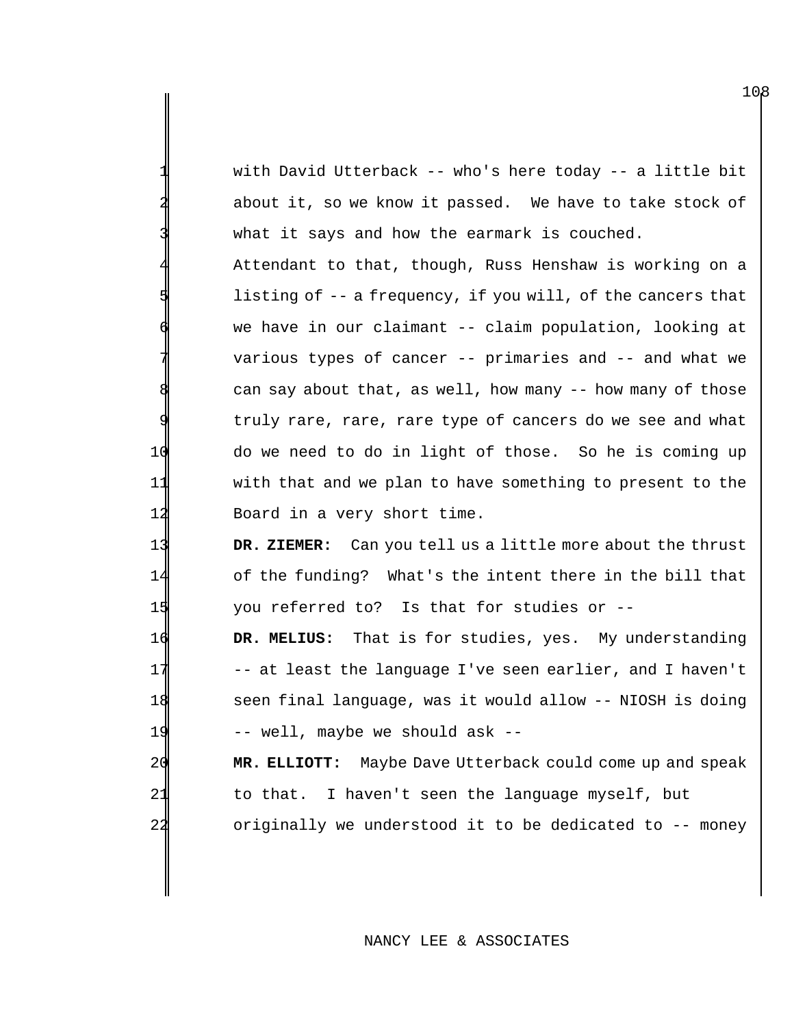with David Utterback -- who's here today -- a little bit about it, so we know it passed. We have to take stock of what it says and how the earmark is couched.

4 Attendant to that, though, Russ Henshaw is working on a listing of -- a frequency, if you will, of the cancers that we have in our claimant -- claim population, looking at various types of cancer -- primaries and -- and what we can say about that, as well, how many  $-$ - how many of those truly rare, rare, rare type of cancers do we see and what 10 do we need to do in light of those. So he is coming up 11 with that and we plan to have something to present to the 12 Board in a very short time.

13 **DR. ZIEMER:** Can you tell us a little more about the thrust 14 of the funding? What's the intent there in the bill that 15 you referred to? Is that for studies or --

**DR. MELIUS:** That is for studies, yes. My understanding -- at least the language I've seen earlier, and I haven't seen final language, was it would allow -- NIOSH is doing -- well, maybe we should ask --

20 **MR. ELLIOTT:** Maybe Dave Utterback could come up and speak 21 to that. I haven't seen the language myself, but 22 originally we understood it to be dedicated to -- money

### NANCY LEE & ASSOCIATES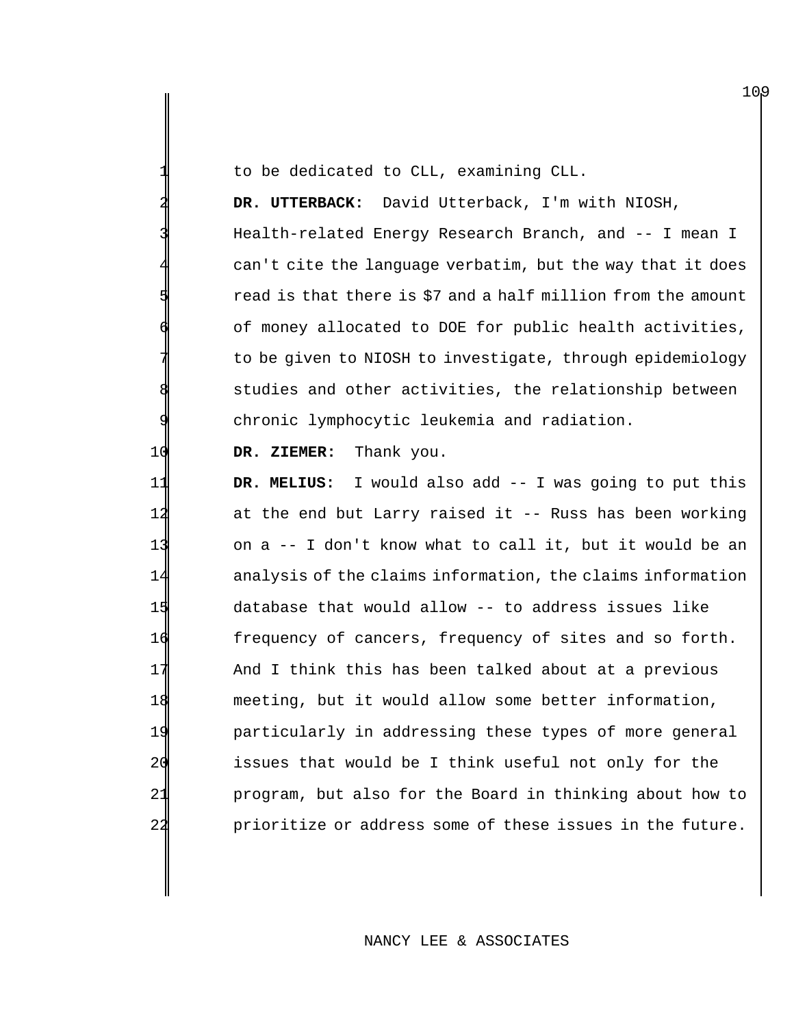| 4 |  |  |  | to be dedicated to CLL, examining CLL. |  |
|---|--|--|--|----------------------------------------|--|
|   |  |  |  |                                        |  |

 **DR. UTTERBACK:** David Utterback, I'm with NIOSH, Health-related Energy Research Branch, and -- I mean I can't cite the language verbatim, but the way that it does read is that there is \$7 and a half million from the amount of money allocated to DOE for public health activities, to be given to NIOSH to investigate, through epidemiology studies and other activities, the relationship between chronic lymphocytic leukemia and radiation.

**DR. ZIEMER:** Thank you.

 **DR. MELIUS:** I would also add -- I was going to put this at the end but Larry raised it -- Russ has been working on a -- I don't know what to call it, but it would be an analysis of the claims information, the claims information database that would allow -- to address issues like frequency of cancers, frequency of sites and so forth. And I think this has been talked about at a previous meeting, but it would allow some better information, particularly in addressing these types of more general 20 issues that would be I think useful not only for the program, but also for the Board in thinking about how to prioritize or address some of these issues in the future.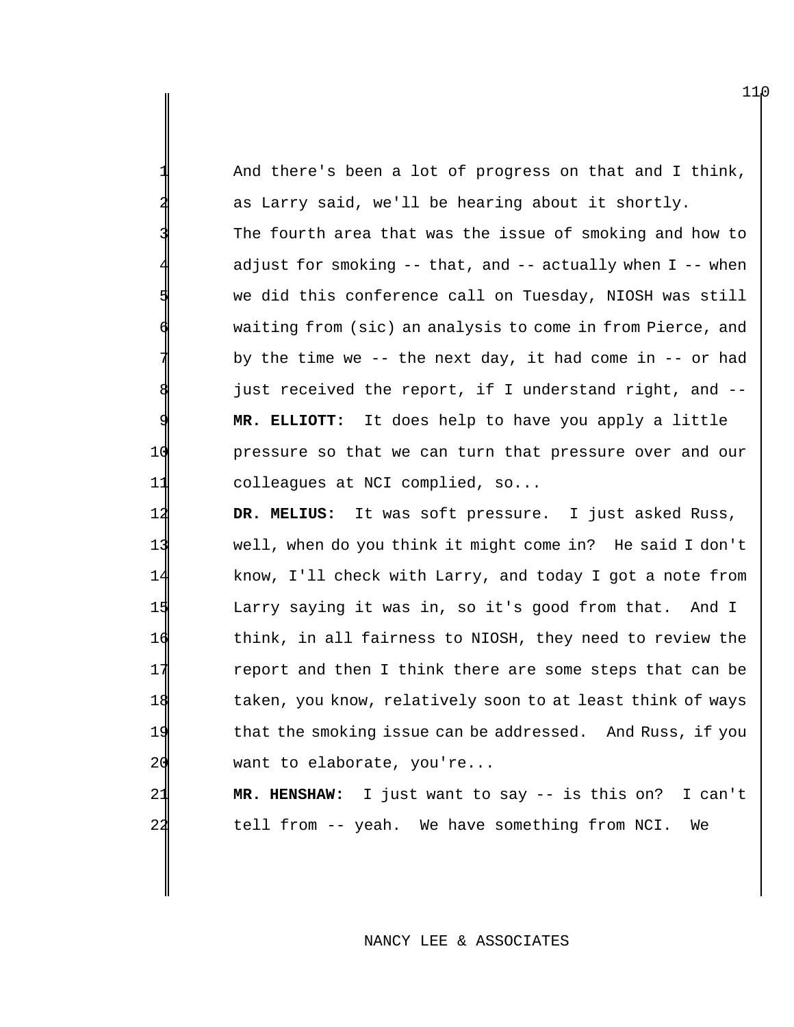And there's been a lot of progress on that and I think, as Larry said, we'll be hearing about it shortly. The fourth area that was the issue of smoking and how to adjust for smoking  $--$  that, and  $--$  actually when I  $--$  when we did this conference call on Tuesday, NIOSH was still waiting from (sic) an analysis to come in from Pierce, and by the time we  $-$ - the next day, it had come in  $-$ - or had just received the report, if I understand right, and --9 **MR. ELLIOTT:** It does help to have you apply a little 10 pressure so that we can turn that pressure over and our 11 colleagues at NCI complied, so...

 **DR. MELIUS:** It was soft pressure. I just asked Russ, well, when do you think it might come in? He said I don't know, I'll check with Larry, and today I got a note from Larry saying it was in, so it's good from that. And I think, in all fairness to NIOSH, they need to review the 17 report and then I think there are some steps that can be taken, you know, relatively soon to at least think of ways that the smoking issue can be addressed. And Russ, if you 20 want to elaborate, you're...

21 **MR. HENSHAW:** I just want to say -- is this on? I can't 22 tell from -- yeah. We have something from NCI. We

## NANCY LEE & ASSOCIATES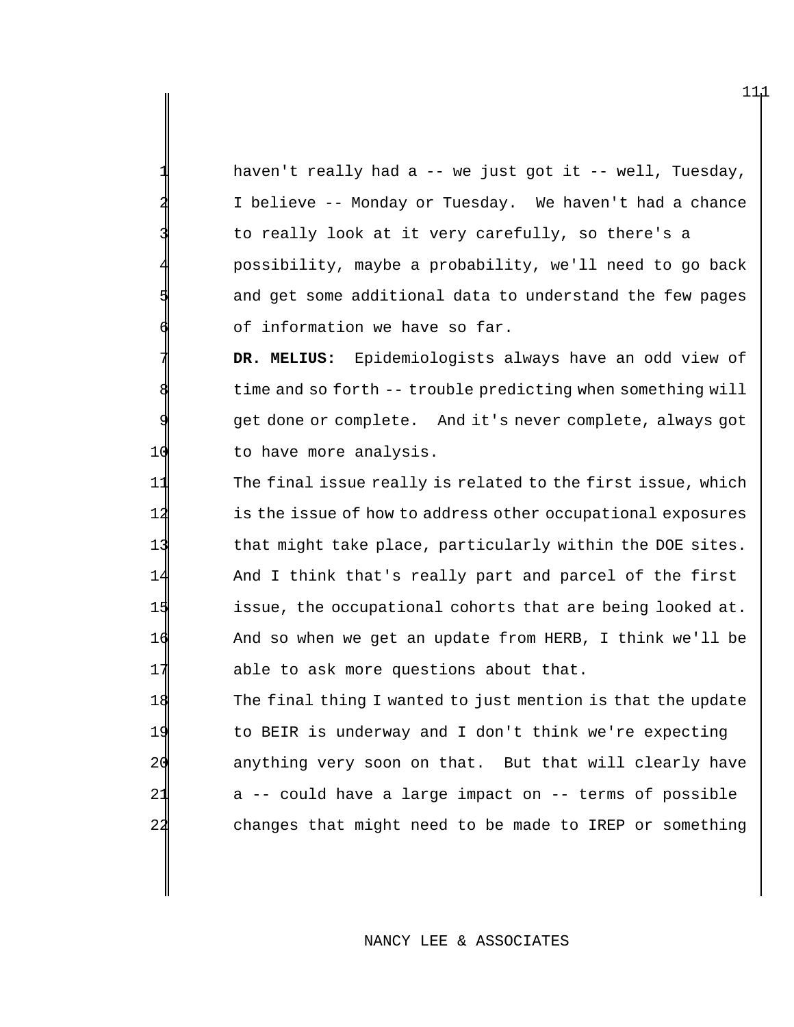haven't really had a -- we just got it -- well, Tuesday, I believe -- Monday or Tuesday. We haven't had a chance to really look at it very carefully, so there's a possibility, maybe a probability, we'll need to go back and get some additional data to understand the few pages of information we have so far.

 **DR. MELIUS:** Epidemiologists always have an odd view of time and so forth -- trouble predicting when something will get done or complete. And it's never complete, always got 10 to have more analysis.

 The final issue really is related to the first issue, which is the issue of how to address other occupational exposures that might take place, particularly within the DOE sites. And I think that's really part and parcel of the first **issue, the occupational cohorts that are being looked at.** 14 And so when we get an update from HERB, I think we'll be able to ask more questions about that.

 The final thing I wanted to just mention is that the update to BEIR is underway and I don't think we're expecting anything very soon on that. But that will clearly have 21 a -- could have a large impact on -- terms of possible changes that might need to be made to IREP or something

## NANCY LEE & ASSOCIATES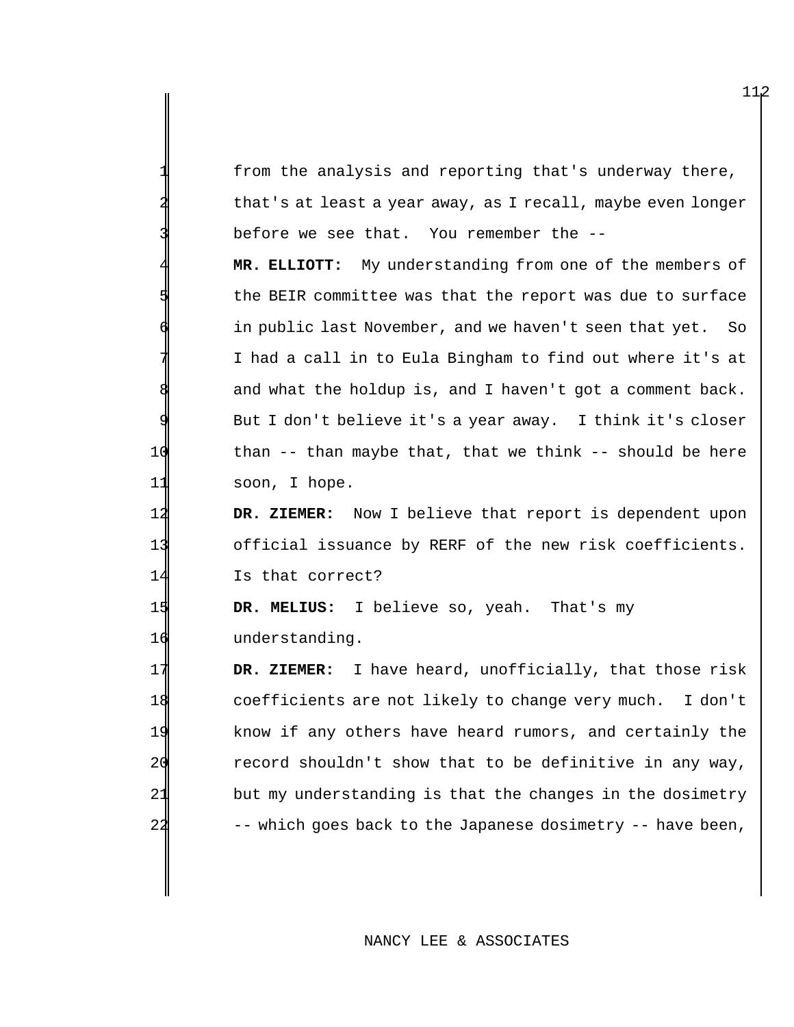| 1  | from the analysis and reporting that's underway there,      |
|----|-------------------------------------------------------------|
| 21 | that's at least a year away, as I recall, maybe even longer |
| ᅨ  | before we see that. You remember the --                     |

MR. ELLIOTT: My understanding from one of the members of the BEIR committee was that the report was due to surface in public last November, and we haven't seen that yet. So I had a call in to Eula Bingham to find out where it's at and what the holdup is, and I haven't got a comment back. But I don't believe it's a year away. I think it's closer 10 than -- than maybe that, that we think -- should be here 11 soon, I hope.

14 **DR. ZIEMER:** Now I believe that report is dependent upon 13 official issuance by RERF of the new risk coefficients. 14 Is that correct?

15 **DR. MELIUS:** I believe so, yeah. That's my 16 understanding.

**DR. ZIEMER:** I have heard, unofficially, that those risk coefficients are not likely to change very much. I don't know if any others have heard rumors, and certainly the record shouldn't show that to be definitive in any way, 21 but my understanding is that the changes in the dosimetry 22 -- which goes back to the Japanese dosimetry -- have been,

## NANCY LEE & ASSOCIATES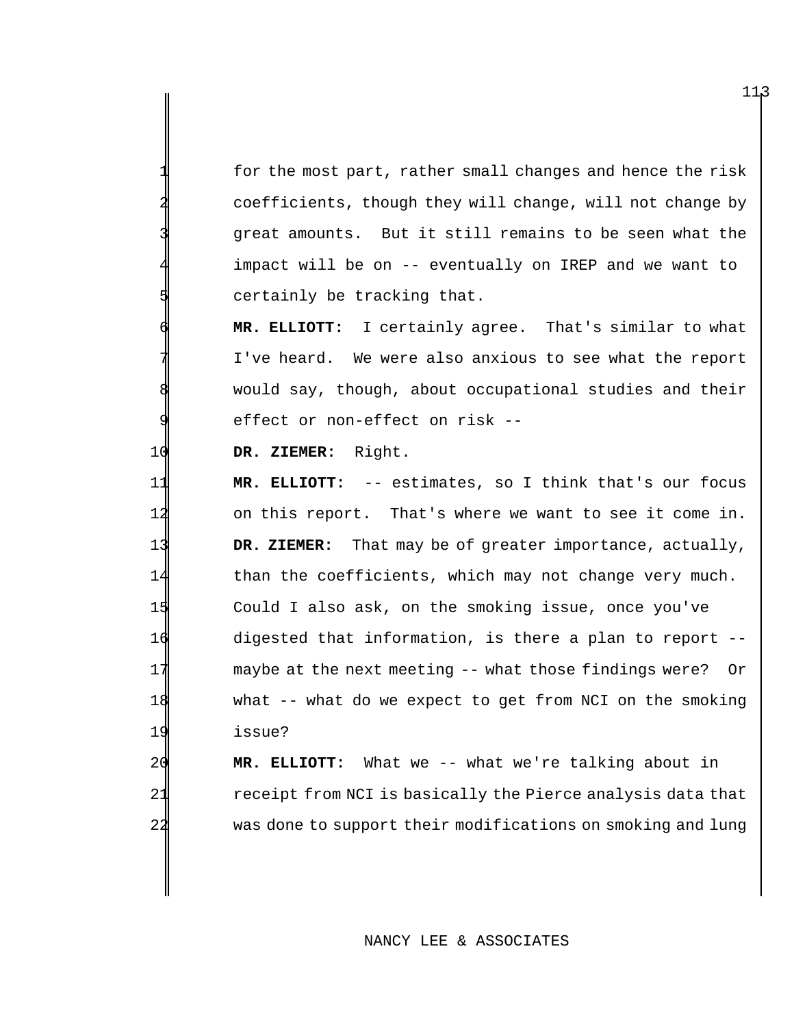for the most part, rather small changes and hence the risk coefficients, though they will change, will not change by great amounts. But it still remains to be seen what the impact will be on -- eventually on IREP and we want to certainly be tracking that.

6 **MR. ELLIOTT:** I certainly agree. That's similar to what I've heard. We were also anxious to see what the report would say, though, about occupational studies and their effect or non-effect on risk --

10 **DR. ZIEMER:** Right.

 **MR. ELLIOTT:** -- estimates, so I think that's our focus on this report. That's where we want to see it come in. **DR. ZIEMER:** That may be of greater importance, actually, 14 than the coefficients, which may not change very much. Could I also ask, on the smoking issue, once you've digested that information, is there a plan to report -- maybe at the next meeting -- what those findings were? Or what -- what do we expect to get from NCI on the smoking 19 issue?

20 **MR. ELLIOTT:** What we -- what we're talking about in 21 receipt from NCI is basically the Pierce analysis data that 22 was done to support their modifications on smoking and lung

## NANCY LEE & ASSOCIATES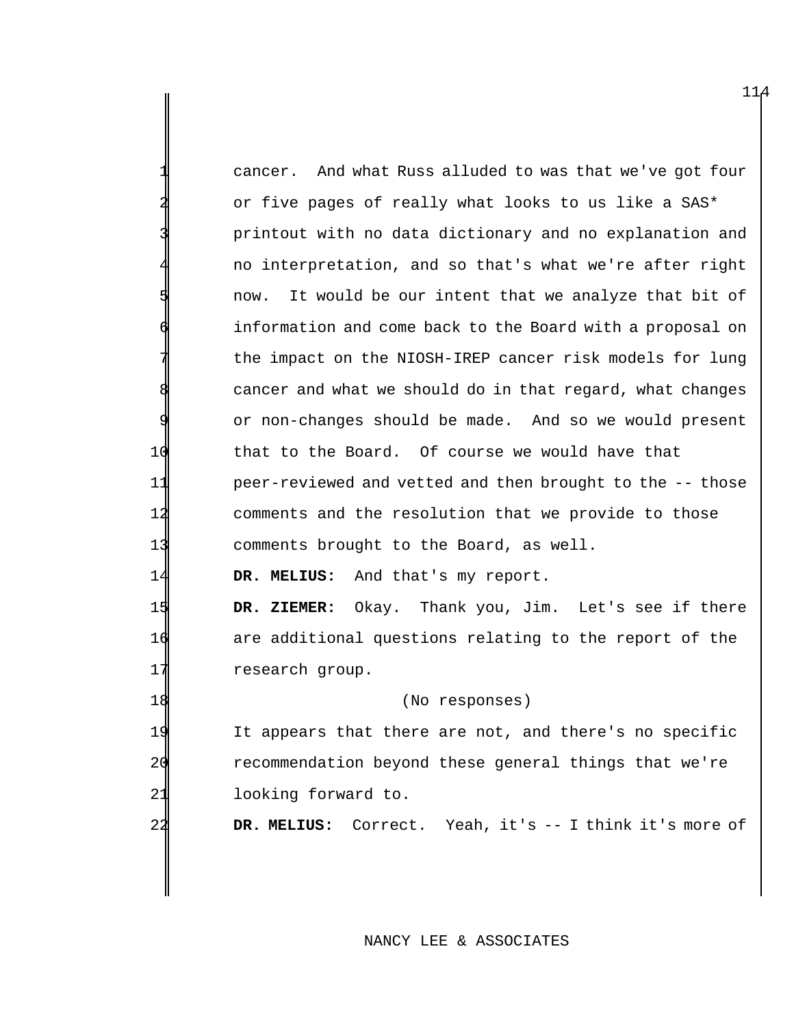|    | And what Russ alluded to was that we've got four<br>cancer.   |
|----|---------------------------------------------------------------|
|    | or five pages of really what looks to us like a SAS*          |
|    | printout with no data dictionary and no explanation and       |
|    | no interpretation, and so that's what we're after right       |
|    | It would be our intent that we analyze that bit of<br>now.    |
|    | information and come back to the Board with a proposal on     |
|    | the impact on the NIOSH-IREP cancer risk models for lung      |
|    | cancer and what we should do in that regard, what changes     |
|    | or non-changes should be made. And so we would present        |
| 10 | that to the Board. Of course we would have that               |
| 11 | peer-reviewed and vetted and then brought to the -- those     |
| 12 | comments and the resolution that we provide to those          |
| 13 | comments brought to the Board, as well.                       |
| 14 | DR. MELIUS: And that's my report.                             |
| 15 | DR. ZIEMER: Okay. Thank you, Jim. Let's see if there          |
| 16 | are additional questions relating to the report of the        |
| 17 | research group.                                               |
| 18 | (No responses)                                                |
| 19 | It appears that there are not, and there's no specific        |
| 20 | recommendation beyond these general things that we're         |
| 21 | looking forward to.                                           |
| 22 | Yeah, it's -- I think it's more of<br>DR. MELIUS:<br>Correct. |

NANCY LEE & ASSOCIATES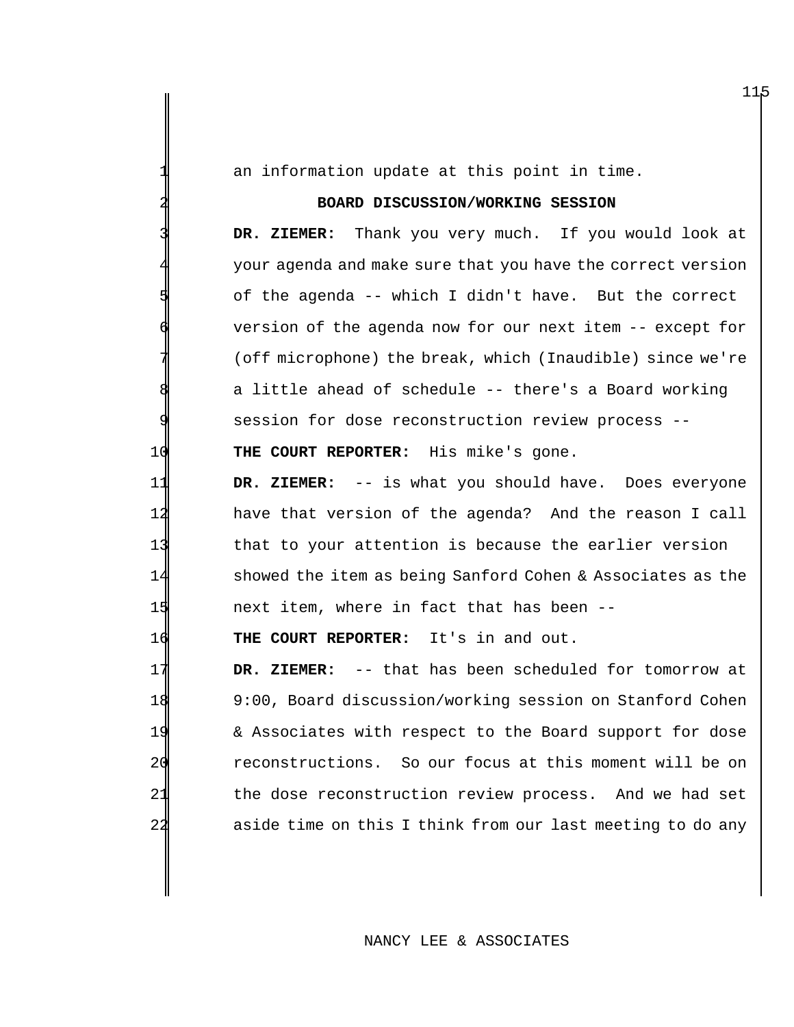an information update at this point in time.

## 2 **BOARD DISCUSSION/WORKING SESSION**

DR. ZIEMER: Thank you very much. If you would look at your agenda and make sure that you have the correct version of the agenda -- which I didn't have. But the correct version of the agenda now for our next item -- except for (off microphone) the break, which (Inaudible) since we're a little ahead of schedule -- there's a Board working session for dose reconstruction review process --

10 **THE COURT REPORTER:** His mike's gone.

 **DR. ZIEMER:** -- is what you should have. Does everyone have that version of the agenda? And the reason I call that to your attention is because the earlier version showed the item as being Sanford Cohen & Associates as the 15 15 next item, where in fact that has been --

16 **THE COURT REPORTER:** It's in and out.

 **DR. ZIEMER:** -- that has been scheduled for tomorrow at 9:00, Board discussion/working session on Stanford Cohen & Associates with respect to the Board support for dose reconstructions. So our focus at this moment will be on the dose reconstruction review process. And we had set 22 aside time on this I think from our last meeting to do any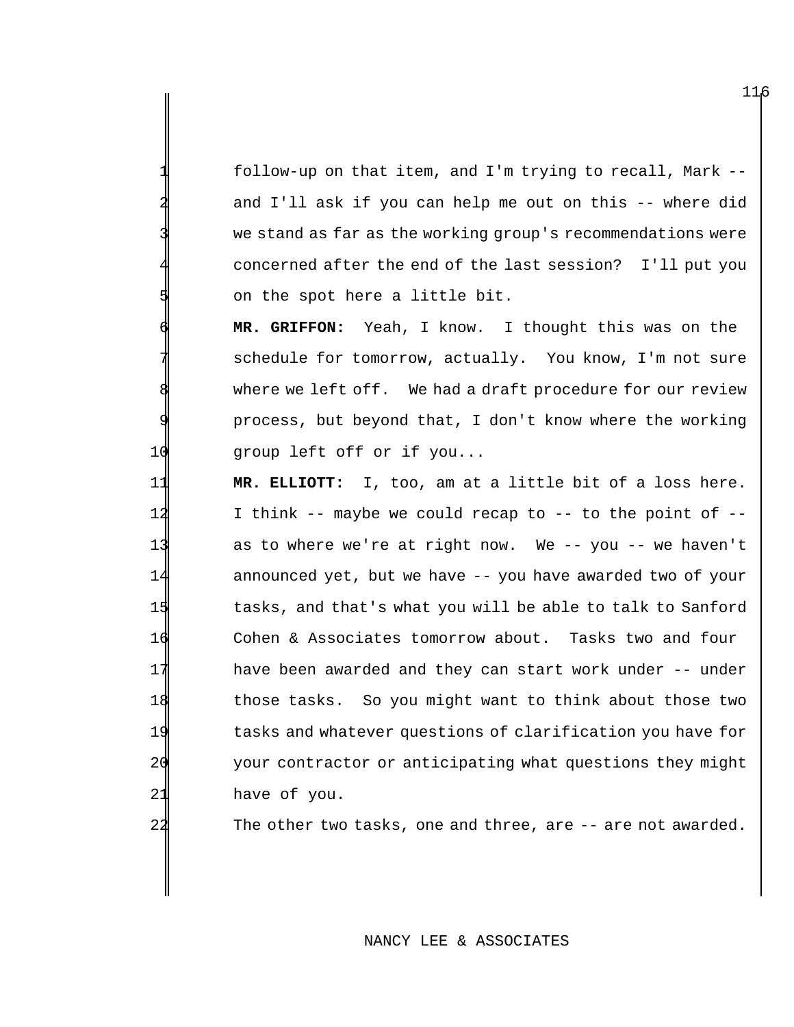1 follow-up on that item, and I'm trying to recall, Mark - and I'll ask if you can help me out on this -- where did we stand as far as the working group's recommendations were 4 concerned after the end of the last session? I'll put you on the spot here a little bit.

6 **MR. GRIFFON:** Yeah, I know. I thought this was on the schedule for tomorrow, actually. You know, I'm not sure where we left off. We had a draft procedure for our review process, but beyond that, I don't know where the working 10 group left off or if you...

 **MR. ELLIOTT:** I, too, am at a little bit of a loss here. I think -- maybe we could recap to -- to the point of -- as to where we're at right now. We -- you -- we haven't announced yet, but we have -- you have awarded two of your 15 tasks, and that's what you will be able to talk to Sanford Cohen & Associates tomorrow about. Tasks two and four have been awarded and they can start work under -- under those tasks. So you might want to think about those two tasks and whatever questions of clarification you have for your contractor or anticipating what questions they might 21 have of you.

22 The other two tasks, one and three, are -- are not awarded.

# NANCY LEE & ASSOCIATES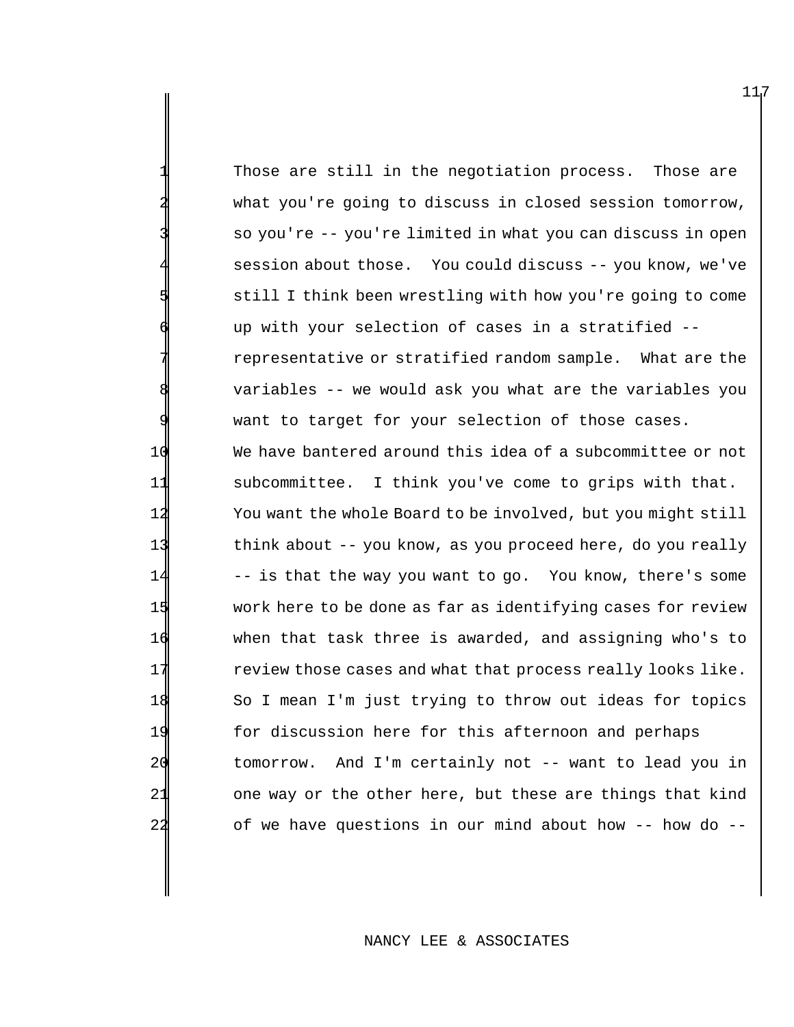Those are still in the negotiation process. Those are what you're going to discuss in closed session tomorrow, so you're -- you're limited in what you can discuss in open session about those. You could discuss -- you know, we've still I think been wrestling with how you're going to come up with your selection of cases in a stratified -representative or stratified random sample. What are the variables -- we would ask you what are the variables you want to target for your selection of those cases. We have bantered around this idea of a subcommittee or not subcommittee. I think you've come to grips with that. You want the whole Board to be involved, but you might still think about -- you know, as you proceed here, do you really -- is that the way you want to go. You know, there's some work here to be done as far as identifying cases for review when that task three is awarded, and assigning who's to **review those cases and what that process really looks like.**  So I mean I'm just trying to throw out ideas for topics for discussion here for this afternoon and perhaps tomorrow. And I'm certainly not -- want to lead you in 21 one way or the other here, but these are things that kind of we have questions in our mind about how -- how do --

#### NANCY LEE & ASSOCIATES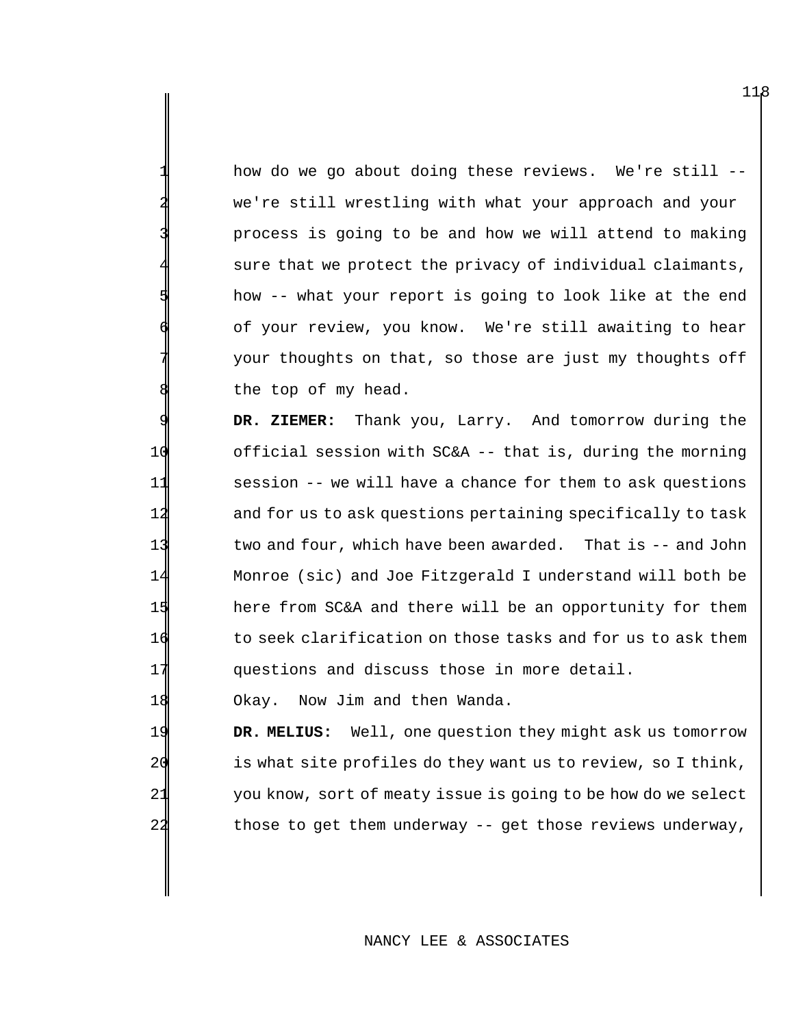how do we go about doing these reviews. We're still -we're still wrestling with what your approach and your process is going to be and how we will attend to making sure that we protect the privacy of individual claimants, how -- what your report is going to look like at the end of your review, you know. We're still awaiting to hear your thoughts on that, so those are just my thoughts off the top of my head.

DR. ZIEMER: Thank you, Larry. And tomorrow during the official session with SC&A -- that is, during the morning session -- we will have a chance for them to ask questions and for us to ask questions pertaining specifically to task two and four, which have been awarded. That is -- and John Monroe (sic) and Joe Fitzgerald I understand will both be 15 here from SC&A and there will be an opportunity for them to seek clarification on those tasks and for us to ask them questions and discuss those in more detail.

18 Okay. Now Jim and then Wanda.

19 **DR. MELIUS:** Well, one question they might ask us tomorrow 20 is what site profiles do they want us to review, so I think, 21 you know, sort of meaty issue is going to be how do we select 22 those to get them underway -- get those reviews underway,

#### NANCY LEE & ASSOCIATES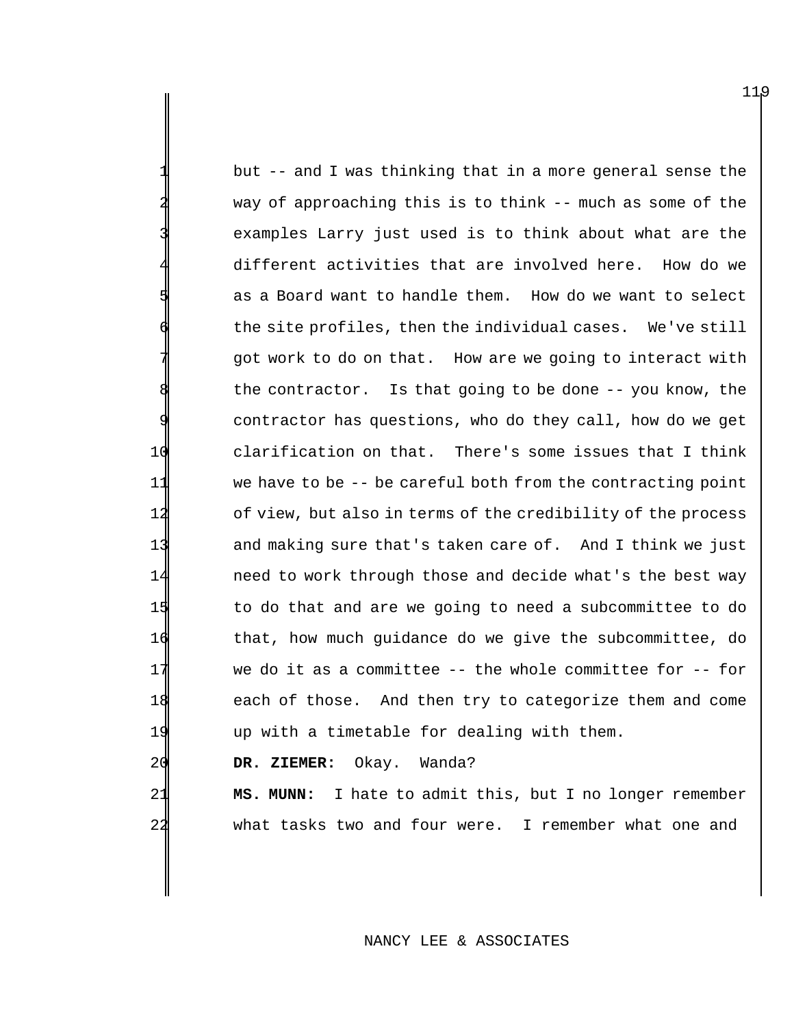but -- and I was thinking that in a more general sense the way of approaching this is to think -- much as some of the examples Larry just used is to think about what are the different activities that are involved here. How do we as a Board want to handle them. How do we want to select the site profiles, then the individual cases. We've still got work to do on that. How are we going to interact with the contractor. Is that going to be done  $-$ - you know, the contractor has questions, who do they call, how do we get clarification on that. There's some issues that I think we have to be -- be careful both from the contracting point of view, but also in terms of the credibility of the process and making sure that's taken care of. And I think we just need to work through those and decide what's the best way to do that and are we going to need a subcommittee to do that, how much guidance do we give the subcommittee, do we do it as a committee -- the whole committee for -- for each of those. And then try to categorize them and come up with a timetable for dealing with them. **DR. ZIEMER:** Okay. Wanda?

 **MS. MUNN:** I hate to admit this, but I no longer remember what tasks two and four were. I remember what one and

## NANCY LEE & ASSOCIATES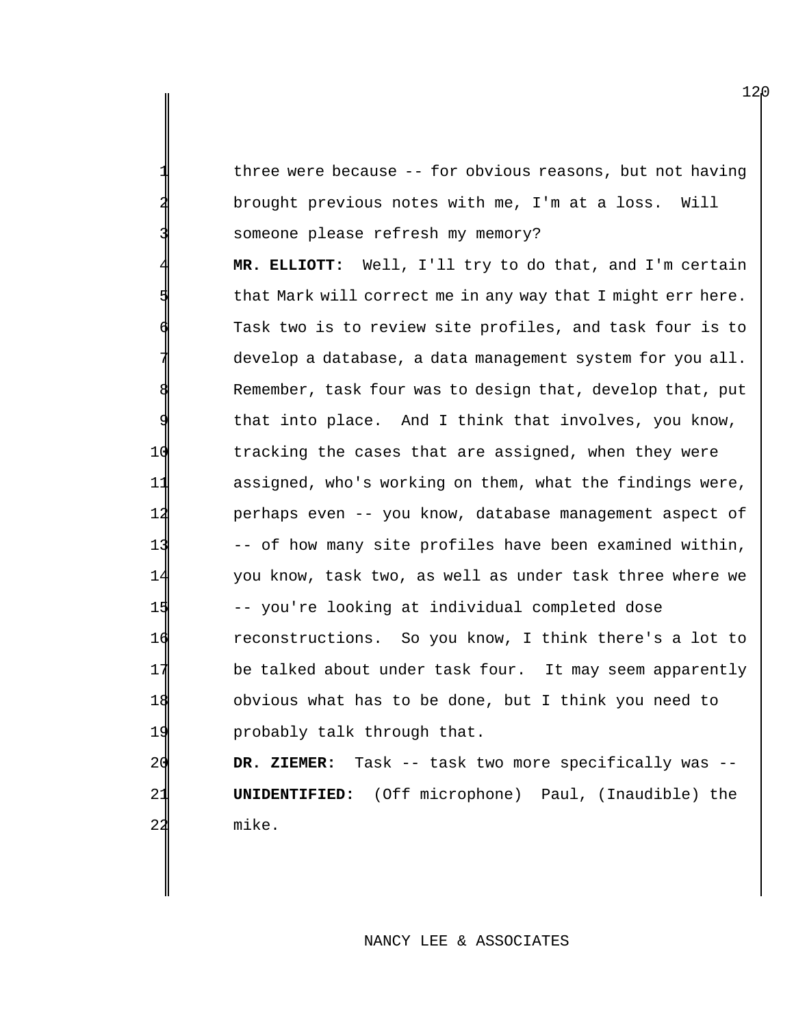three were because  $-$ - for obvious reasons, but not having brought previous notes with me, I'm at a loss. Will someone please refresh my memory?

 **MR. ELLIOTT:** Well, I'll try to do that, and I'm certain that Mark will correct me in any way that I might err here. Task two is to review site profiles, and task four is to develop a database, a data management system for you all. Remember, task four was to design that, develop that, put that into place. And I think that involves, you know, tracking the cases that are assigned, when they were assigned, who's working on them, what the findings were, perhaps even -- you know, database management aspect of -- of how many site profiles have been examined within, you know, task two, as well as under task three where we -- you're looking at individual completed dose reconstructions. So you know, I think there's a lot to be talked about under task four. It may seem apparently obvious what has to be done, but I think you need to **probably talk through that.** 

 **DR. ZIEMER:** Task -- task two more specifically was -- **UNIDENTIFIED:** (Off microphone) Paul, (Inaudible) the mike.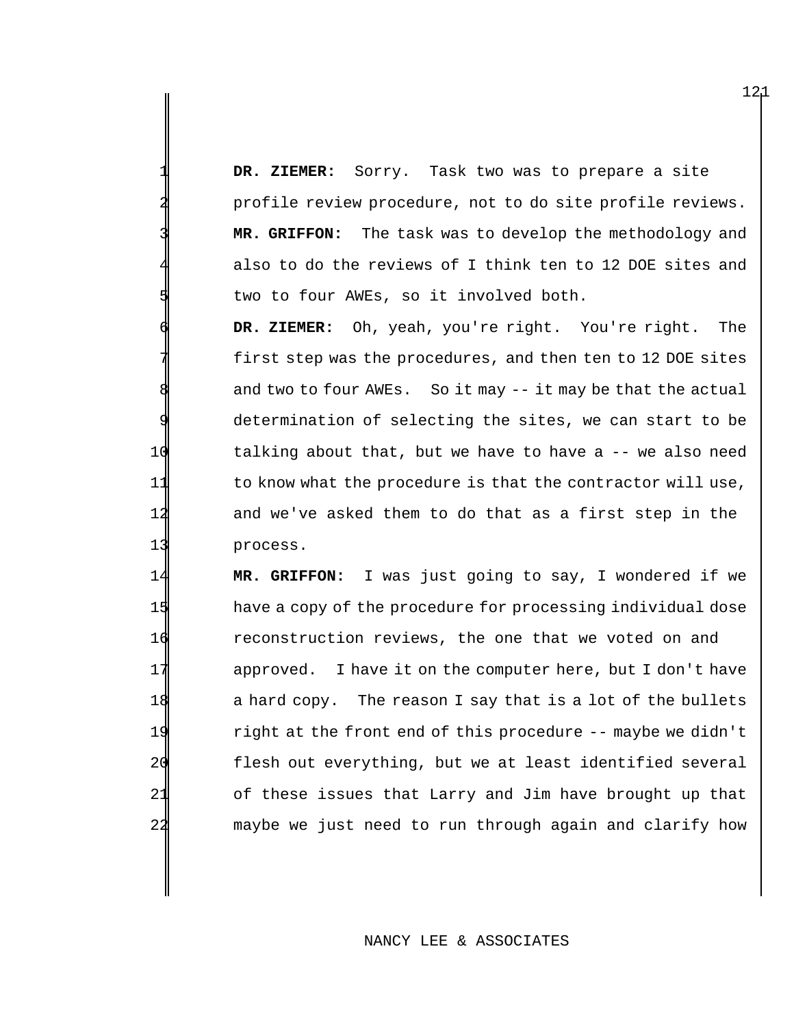DR. ZIEMER: Sorry. Task two was to prepare a site profile review procedure, not to do site profile reviews. MR. GRIFFON: The task was to develop the methodology and also to do the reviews of I think ten to 12 DOE sites and two to four AWEs, so it involved both.

6 **DR. ZIEMER:** Oh, yeah, you're right. You're right. The first step was the procedures, and then ten to 12 DOE sites and two to four AWEs. So it may  $-$  it may be that the actual determination of selecting the sites, we can start to be 10 talking about that, but we have to have a -- we also need 11 to know what the procedure is that the contractor will use, 12 and we've asked them to do that as a first step in the 13 process.

 **MR. GRIFFON:** I was just going to say, I wondered if we 15 have a copy of the procedure for processing individual dose reconstruction reviews, the one that we voted on and 17 approved. I have it on the computer here, but I don't have 18 a hard copy. The reason I say that is a lot of the bullets right at the front end of this procedure -- maybe we didn't flesh out everything, but we at least identified several of these issues that Larry and Jim have brought up that maybe we just need to run through again and clarify how

## NANCY LEE & ASSOCIATES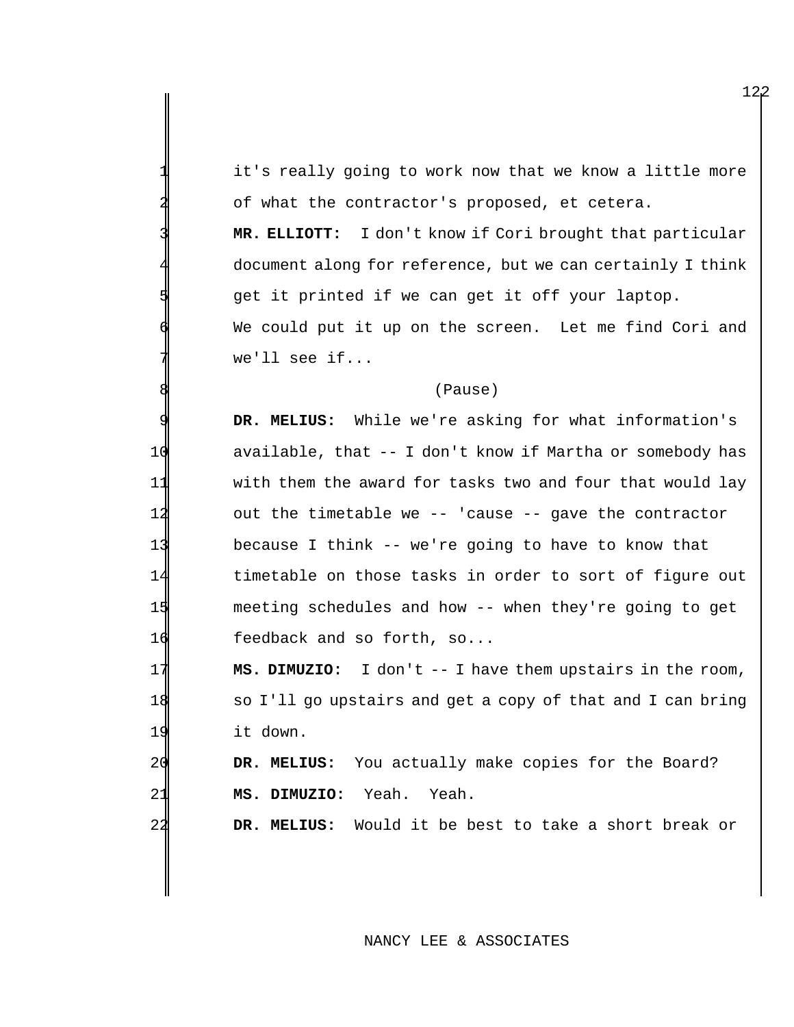it's really going to work now that we know a little more of what the contractor's proposed, et cetera.

 **MR. ELLIOTT:** I don't know if Cori brought that particular document along for reference, but we can certainly I think get it printed if we can get it off your laptop. We could put it up on the screen. Let me find Cori and we'll see if...

#### (Pause)

 **DR. MELIUS:** While we're asking for what information's available, that -- I don't know if Martha or somebody has with them the award for tasks two and four that would lay out the timetable we -- 'cause -- gave the contractor because I think -- we're going to have to know that timetable on those tasks in order to sort of figure out meeting schedules and how -- when they're going to get feedback and so forth, so...

 **MS. DIMUZIO:** I don't -- I have them upstairs in the room, so I'll go upstairs and get a copy of that and I can bring it down.

 **DR. MELIUS:** You actually make copies for the Board? **MS. DIMUZIO:** Yeah. Yeah.

**DR. MELIUS:** Would it be best to take a short break or

# NANCY LEE & ASSOCIATES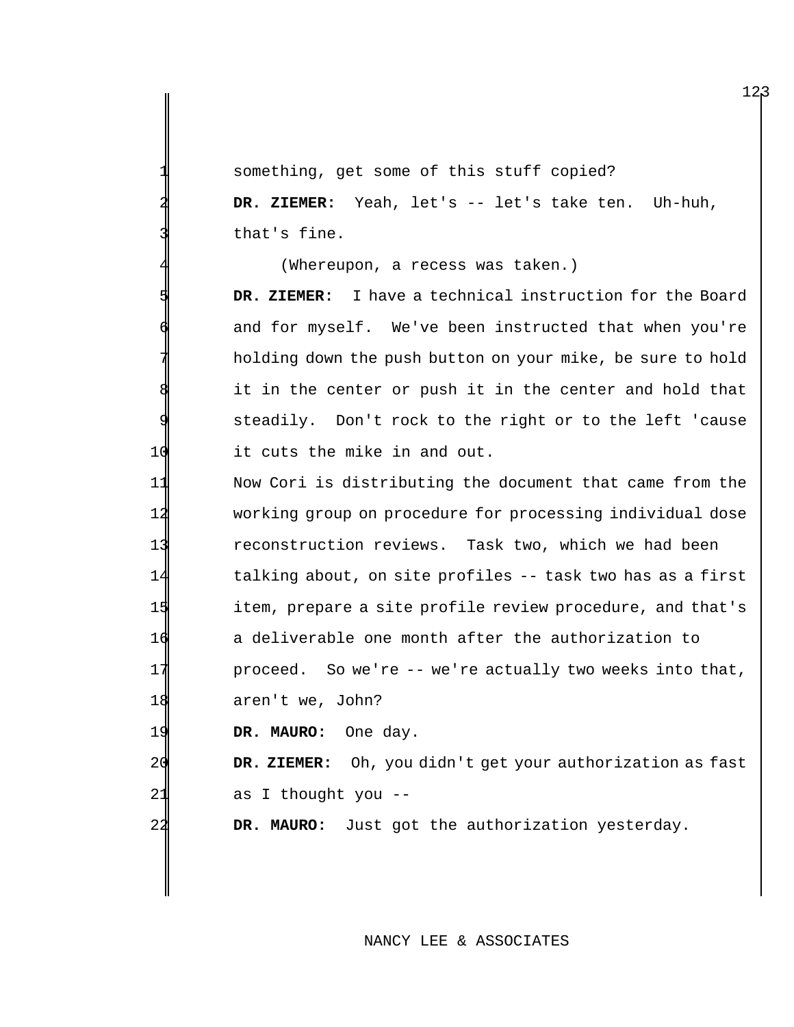something, get some of this stuff copied?

2 **DR. ZIEMER:** Yeah, let's -- let's take ten. Uh-huh, that's fine.

(Whereupon, a recess was taken.)

5 **DR. ZIEMER:** I have a technical instruction for the Board and for myself. We've been instructed that when you're 7 holding down the push button on your mike, be sure to hold it in the center or push it in the center and hold that steadily. Don't rock to the right or to the left 'cause 10 it cuts the mike in and out.

 Now Cori is distributing the document that came from the working group on procedure for processing individual dose reconstruction reviews. Task two, which we had been talking about, on site profiles -- task two has as a first item, prepare a site profile review procedure, and that's a deliverable one month after the authorization to 17 proceed. So we're -- we're actually two weeks into that, 18 aren't we, John?

19 **DR. MAURO:** One day.

20 **DR. ZIEMER:** Oh, you didn't get your authorization as fast 21 as I thought you --

22 **DR. MAURO:** Just got the authorization yesterday.

## NANCY LEE & ASSOCIATES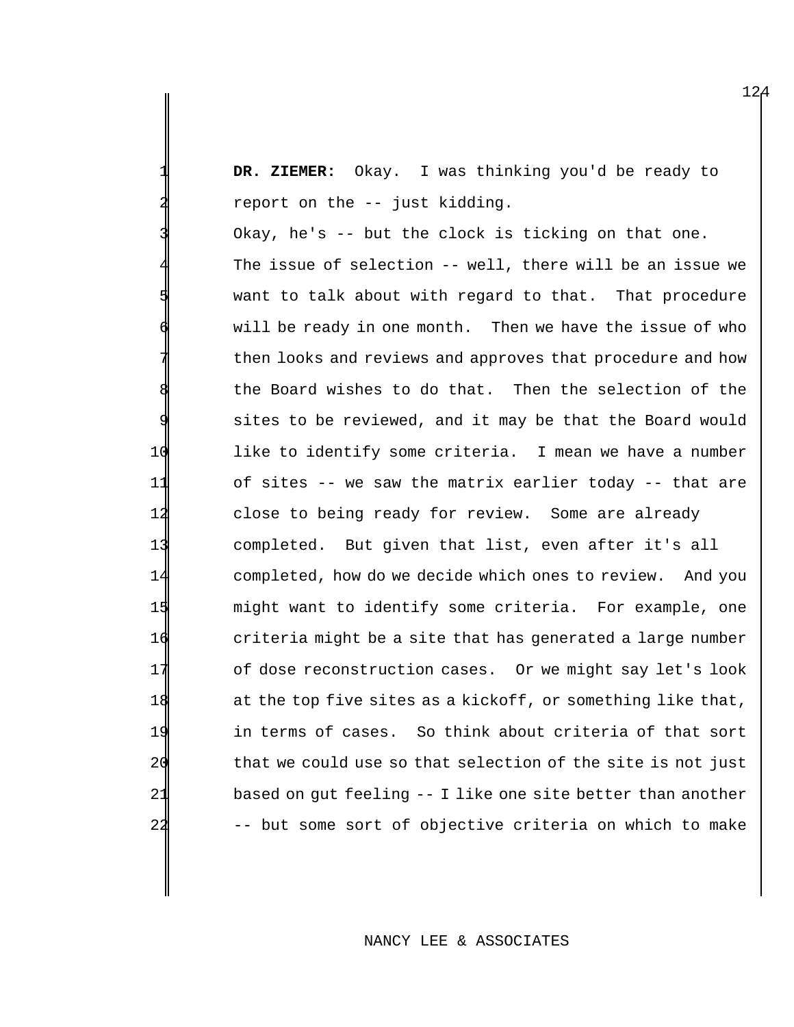DR. ZIEMER: Okay. I was thinking you'd be ready to report on the -- just kidding.

Okay, he's -- but the clock is ticking on that one. The issue of selection -- well, there will be an issue we want to talk about with regard to that. That procedure will be ready in one month. Then we have the issue of who then looks and reviews and approves that procedure and how the Board wishes to do that. Then the selection of the sites to be reviewed, and it may be that the Board would 10 like to identify some criteria. I mean we have a number 11 of sites -- we saw the matrix earlier today -- that are 12 close to being ready for review. Some are already 13 completed. But given that list, even after it's all 14 completed, how do we decide which ones to review. And you 15 might want to identify some criteria. For example, one 16 criteria might be a site that has generated a large number 17 of dose reconstruction cases. Or we might say let's look 18 at the top five sites as a kickoff, or something like that, 19 in terms of cases. So think about criteria of that sort 20 that we could use so that selection of the site is not just 21 based on gut feeling -- I like one site better than another 22 -- but some sort of objective criteria on which to make

## NANCY LEE & ASSOCIATES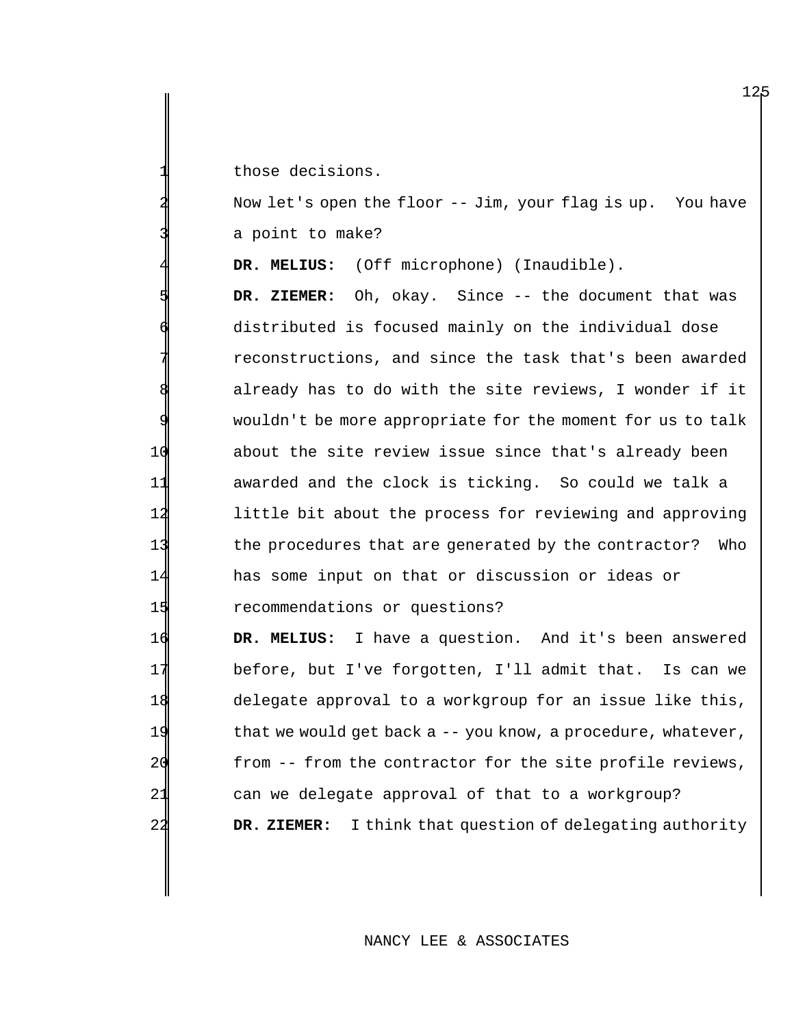those decisions.

Now let's open the floor -- Jim, your flag is up. You have a point to make?

DR. MELIUS: (Off microphone) (Inaudible).

DR. ZIEMER: Oh, okay. Since -- the document that was distributed is focused mainly on the individual dose reconstructions, and since the task that's been awarded already has to do with the site reviews, I wonder if it wouldn't be more appropriate for the moment for us to talk about the site review issue since that's already been awarded and the clock is ticking. So could we talk a little bit about the process for reviewing and approving the procedures that are generated by the contractor? Who has some input on that or discussion or ideas or **15** recommendations or questions?

16 **DR. MELIUS:** I have a question. And it's been answered 17 before, but I've forgotten, I'll admit that. Is can we 18 delegate approval to a workgroup for an issue like this, 19 that we would get back a -- you know, a procedure, whatever, 20 from -- from the contractor for the site profile reviews, 21 can we delegate approval of that to a workgroup? 22 **DR. ZIEMER:** I think that question of delegating authority

## NANCY LEE & ASSOCIATES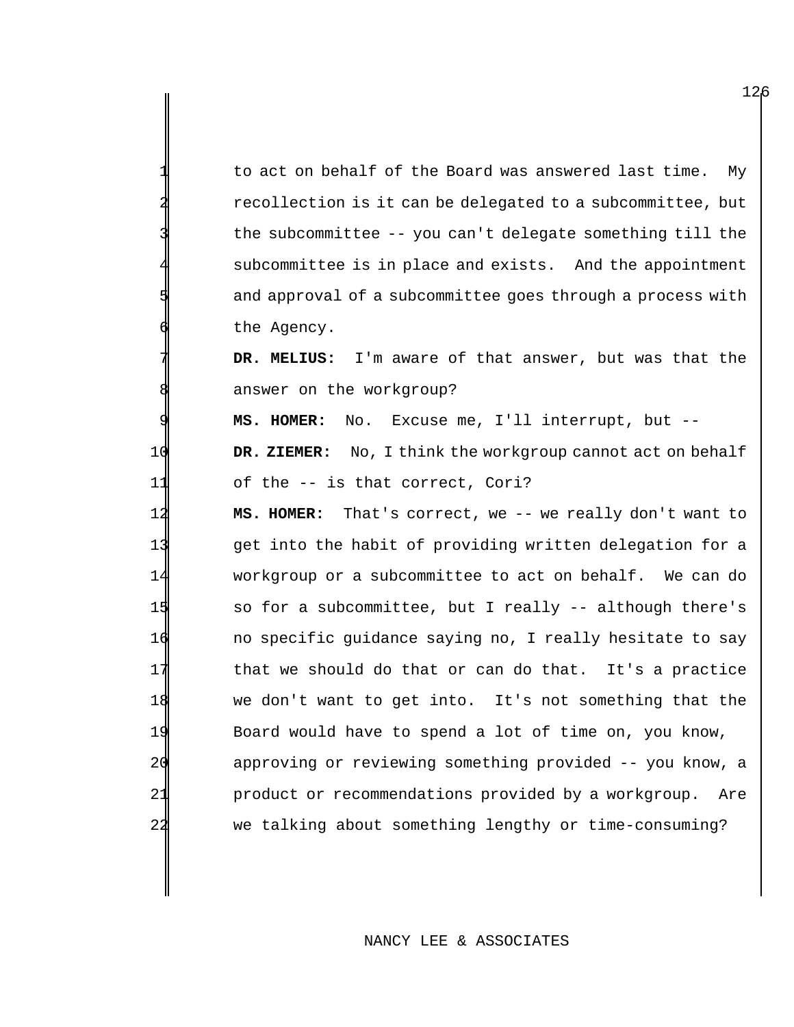to act on behalf of the Board was answered last time. My recollection is it can be delegated to a subcommittee, but the subcommittee  $-$ - you can't delegate something till the subcommittee is in place and exists. And the appointment and approval of a subcommittee goes through a process with the Agency.

DR. MELIUS: I'm aware of that answer, but was that the answer on the workgroup?

9 **MS. HOMER:** No. Excuse me, I'll interrupt, but --

10 **DR. ZIEMER:** No, I think the workgroup cannot act on behalf 11 of the -- is that correct, Cori?

 **MS. HOMER:** That's correct, we -- we really don't want to get into the habit of providing written delegation for a workgroup or a subcommittee to act on behalf. We can do 15 So for a subcommittee, but I really -- although there's no specific guidance saying no, I really hesitate to say that we should do that or can do that. It's a practice we don't want to get into. It's not something that the Board would have to spend a lot of time on, you know, approving or reviewing something provided -- you know, a **product or recommendations provided by a workgroup.** Are we talking about something lengthy or time-consuming?

## NANCY LEE & ASSOCIATES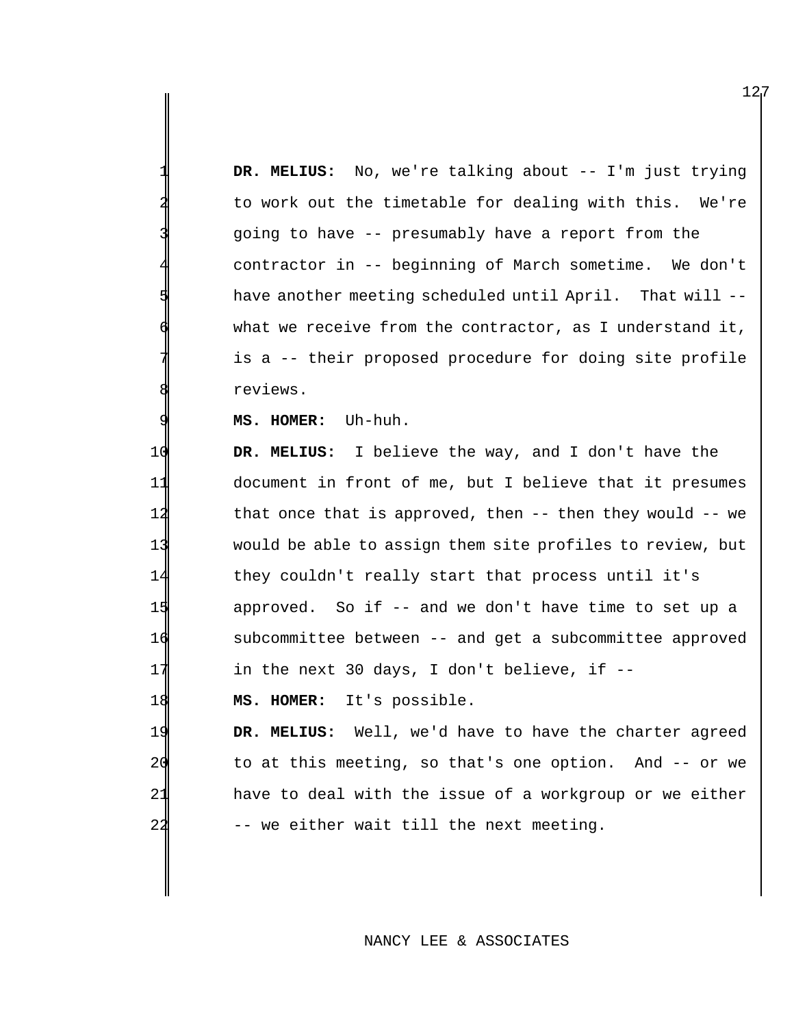DR. MELIUS: No, we're talking about -- I'm just trying to work out the timetable for dealing with this. We're 3 going to have -- presumably have a report from the 4 contractor in -- beginning of March sometime. We don't have another meeting scheduled until April. That will -what we receive from the contractor, as I understand it, is a -- their proposed procedure for doing site profile reviews.

9 **MS. HOMER:** Uh-huh.

 **DR. MELIUS:** I believe the way, and I don't have the document in front of me, but I believe that it presumes that once that is approved, then -- then they would -- we would be able to assign them site profiles to review, but they couldn't really start that process until it's approved. So if -- and we don't have time to set up a subcommittee between -- and get a subcommittee approved 17 in the next 30 days, I don't believe, if --

18 **MS. HOMER:** It's possible.

19 **DR. MELIUS:** Well, we'd have to have the charter agreed 20 to at this meeting, so that's one option. And -- or we 21 have to deal with the issue of a workgroup or we either 22 -- we either wait till the next meeting.

## NANCY LEE & ASSOCIATES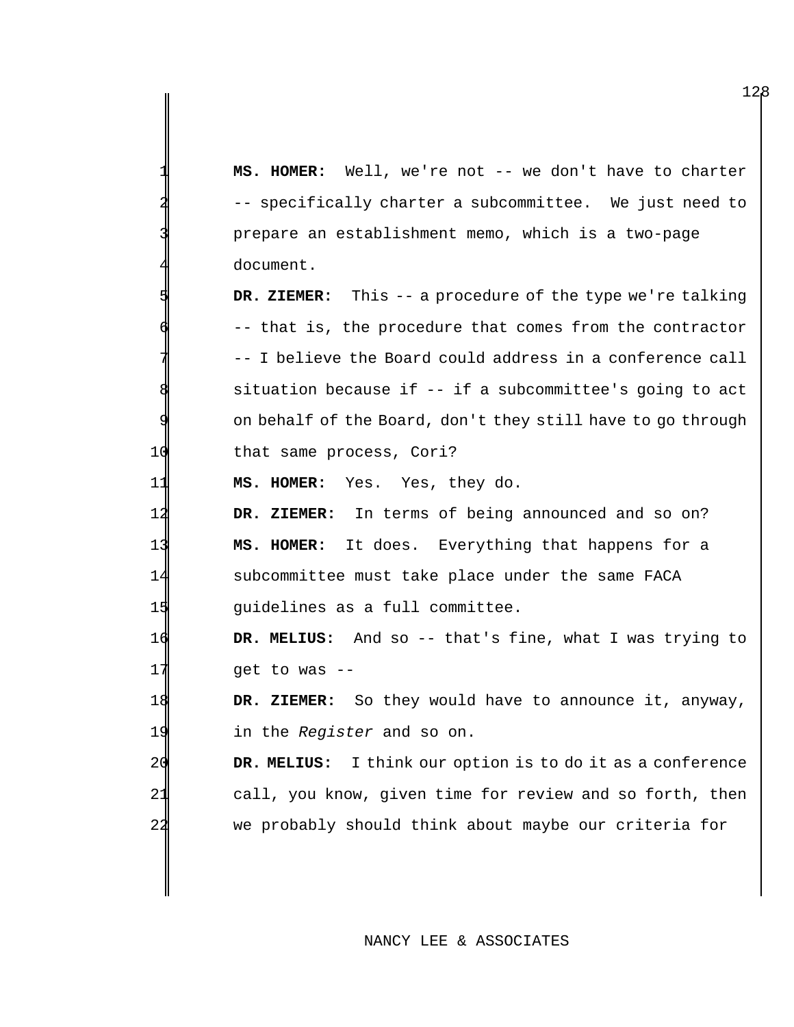**MS. HOMER:** Well, we're not -- we don't have to charter -- specifically charter a subcommittee. We just need to prepare an establishment memo, which is a two-page document.

 **DR. ZIEMER:** This -- a procedure of the type we're talking -- that is, the procedure that comes from the contractor -- I believe the Board could address in a conference call situation because if -- if a subcommittee's going to act on behalf of the Board, don't they still have to go through 10 that same process, Cori?

**MS. HOMER:** Yes. Yes, they do.

**DR. ZIEMER:** In terms of being announced and so on? **MS. HOMER:** It does. Everything that happens for a subcommittee must take place under the same FACA guidelines as a full committee.

 **DR. MELIUS:** And so -- that's fine, what I was trying to get to was --

 **DR. ZIEMER:** So they would have to announce it, anyway, in the *Register* and so on.

 **DR. MELIUS:** I think our option is to do it as a conference call, you know, given time for review and so forth, then we probably should think about maybe our criteria for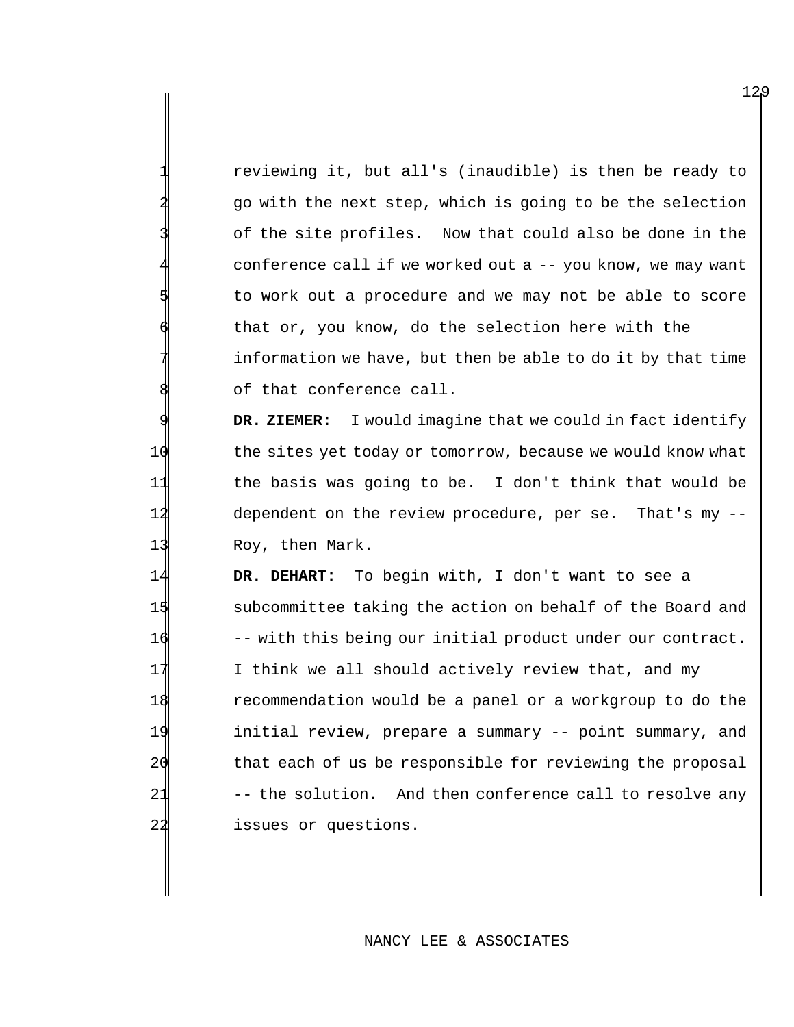reviewing it, but all's (inaudible) is then be ready to 2 go with the next step, which is going to be the selection of the site profiles. Now that could also be done in the conference call if we worked out a  $-$ - you know, we may want 5 to work out a procedure and we may not be able to score that or, you know, do the selection here with the information we have, but then be able to do it by that time of that conference call.

9 **DR. ZIEMER:** I would imagine that we could in fact identify 10 the sites yet today or tomorrow, because we would know what 11 the basis was going to be. I don't think that would be 12 dependent on the review procedure, per se. That's my -- 13 Roy, then Mark.

14 **DR. DEHART:** To begin with, I don't want to see a 15 subcommittee taking the action on behalf of the Board and 16 -- with this being our initial product under our contract. 17 I think we all should actively review that, and my 18 recommendation would be a panel or a workgroup to do the 19 initial review, prepare a summary -- point summary, and 20 that each of us be responsible for reviewing the proposal 21 -- the solution. And then conference call to resolve any 22 issues or questions.

#### NANCY LEE & ASSOCIATES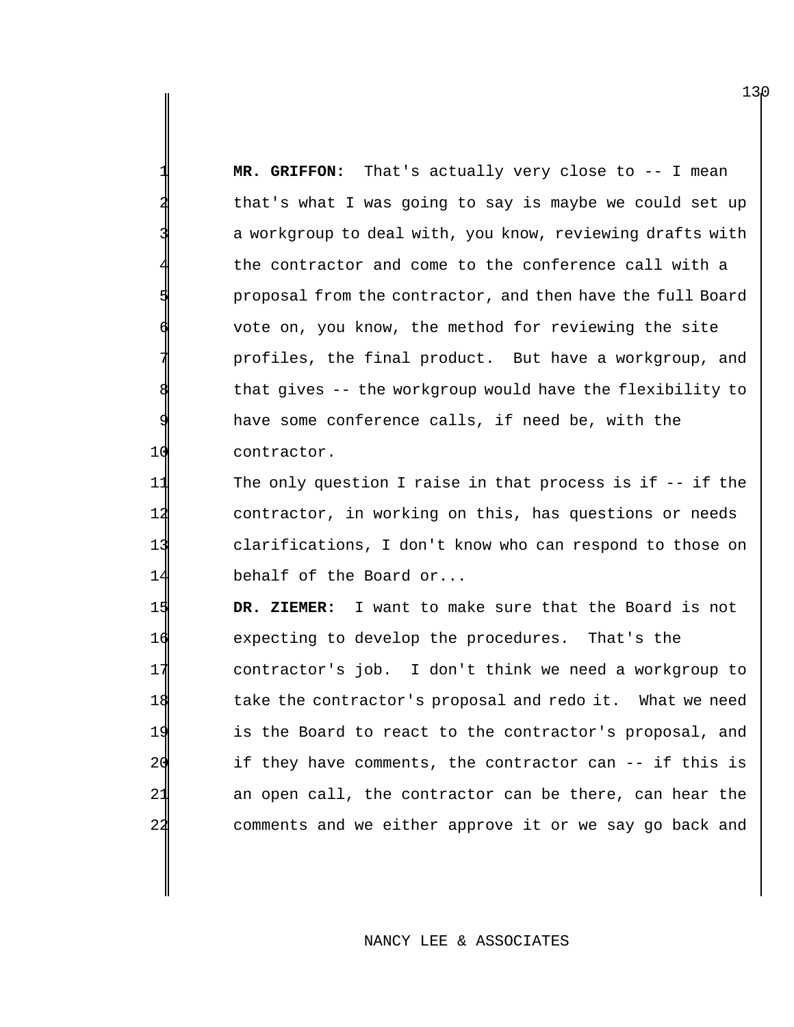MR. GRIFFON: That's actually very close to -- I mean that's what I was going to say is maybe we could set up a workgroup to deal with, you know, reviewing drafts with the contractor and come to the conference call with a 5 proposal from the contractor, and then have the full Board vote on, you know, the method for reviewing the site profiles, the final product. But have a workgroup, and that gives -- the workgroup would have the flexibility to have some conference calls, if need be, with the 10 contractor.

 The only question I raise in that process is if -- if the contractor, in working on this, has questions or needs clarifications, I don't know who can respond to those on 14 behalf of the Board or...

 **DR. ZIEMER:** I want to make sure that the Board is not expecting to develop the procedures. That's the contractor's job. I don't think we need a workgroup to take the contractor's proposal and redo it. What we need is the Board to react to the contractor's proposal, and if they have comments, the contractor can -- if this is an open call, the contractor can be there, can hear the comments and we either approve it or we say go back and

#### NANCY LEE & ASSOCIATES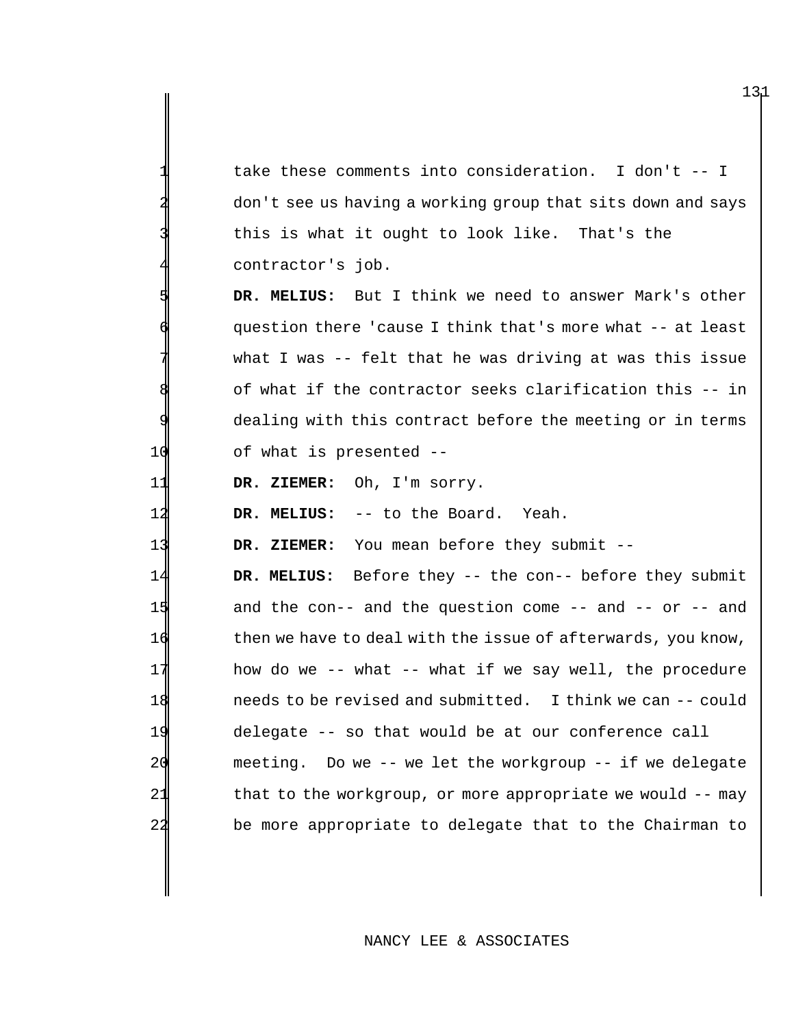take these comments into consideration. I don't -- I don't see us having a working group that sits down and says this is what it ought to look like. That's the contractor's job.

5 **DR. MELIUS:** But I think we need to answer Mark's other question there 'cause I think that's more what -- at least what I was  $-$  felt that he was driving at was this issue of what if the contractor seeks clarification this -- in dealing with this contract before the meeting or in terms 10 of what is presented --

11 **DR. ZIEMER:** Oh, I'm sorry.

12 DR. MELIUS: -- to the Board. Yeah.

13 **DR. ZIEMER:** You mean before they submit --

 **DR. MELIUS:** Before they -- the con-- before they submit and the con-- and the question come -- and -- or -- and 16 then we have to deal with the issue of afterwards, you know, 17 how do we -- what -- what if we say well, the procedure needs to be revised and submitted. I think we can -- could delegate -- so that would be at our conference call meeting. Do we -- we let the workgroup -- if we delegate 21 that to the workgroup, or more appropriate we would -- may be more appropriate to delegate that to the Chairman to

#### NANCY LEE & ASSOCIATES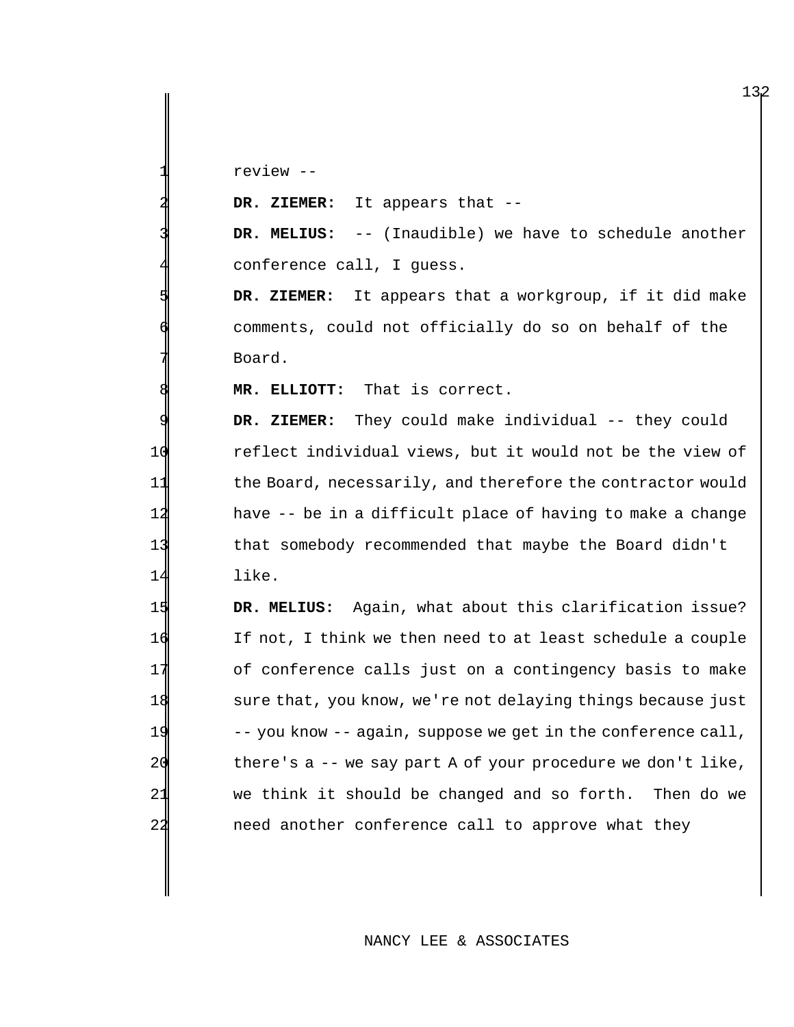review --

**DR. ZIEMER:** It appears that --

 **DR. MELIUS:** -- (Inaudible) we have to schedule another conference call, I guess.

 **DR. ZIEMER:** It appears that a workgroup, if it did make comments, could not officially do so on behalf of the Board.

**MR. ELLIOTT:** That is correct.

DR. ZIEMER: They could make individual -- they could reflect individual views, but it would not be the view of the Board, necessarily, and therefore the contractor would have -- be in a difficult place of having to make a change that somebody recommended that maybe the Board didn't like.

 **DR. MELIUS:** Again, what about this clarification issue? If not, I think we then need to at least schedule a couple of conference calls just on a contingency basis to make 18 sure that, you know, we're not delaying things because just 19 -- you know -- again, suppose we get in the conference call, there's a -- we say part A of your procedure we don't like, we think it should be changed and so forth. Then do we need another conference call to approve what they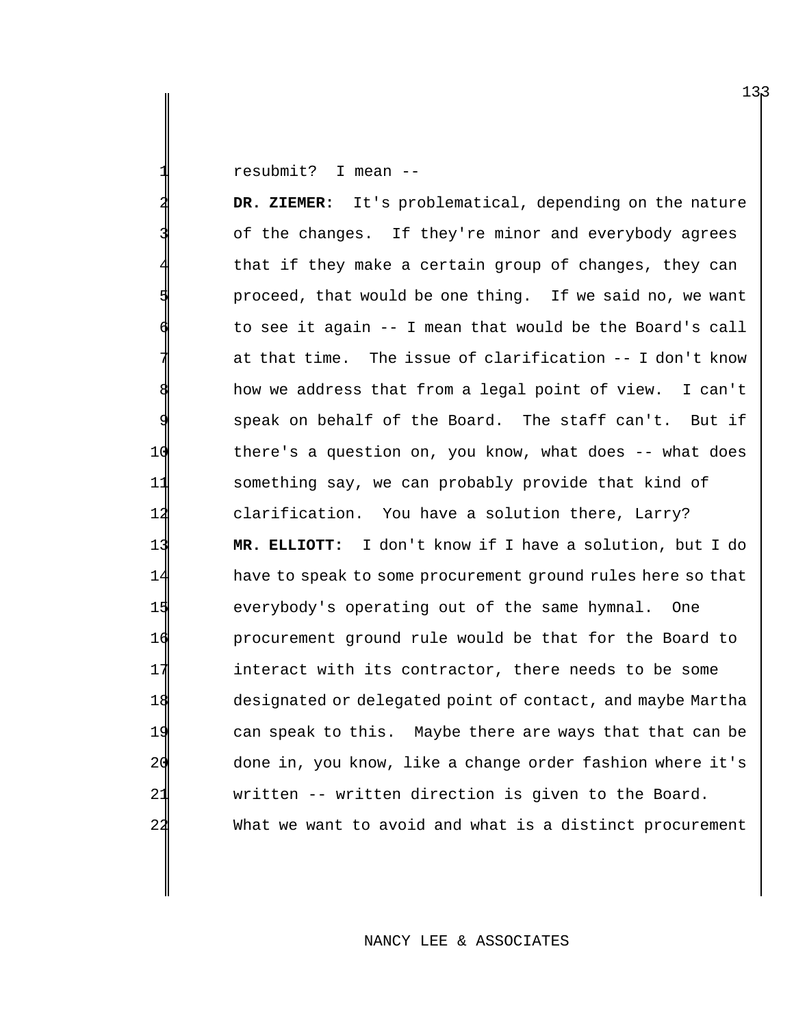resubmit? I mean --

 **DR. ZIEMER:** It's problematical, depending on the nature of the changes. If they're minor and everybody agrees that if they make a certain group of changes, they can proceed, that would be one thing. If we said no, we want to see it again -- I mean that would be the Board's call at that time. The issue of clarification -- I don't know how we address that from a legal point of view. I can't speak on behalf of the Board. The staff can't. But if there's a question on, you know, what does -- what does something say, we can probably provide that kind of clarification. You have a solution there, Larry? **MR. ELLIOTT:** I don't know if I have a solution, but I do have to speak to some procurement ground rules here so that everybody's operating out of the same hymnal. One procurement ground rule would be that for the Board to interact with its contractor, there needs to be some designated or delegated point of contact, and maybe Martha can speak to this. Maybe there are ways that that can be done in, you know, like a change order fashion where it's written -- written direction is given to the Board. What we want to avoid and what is a distinct procurement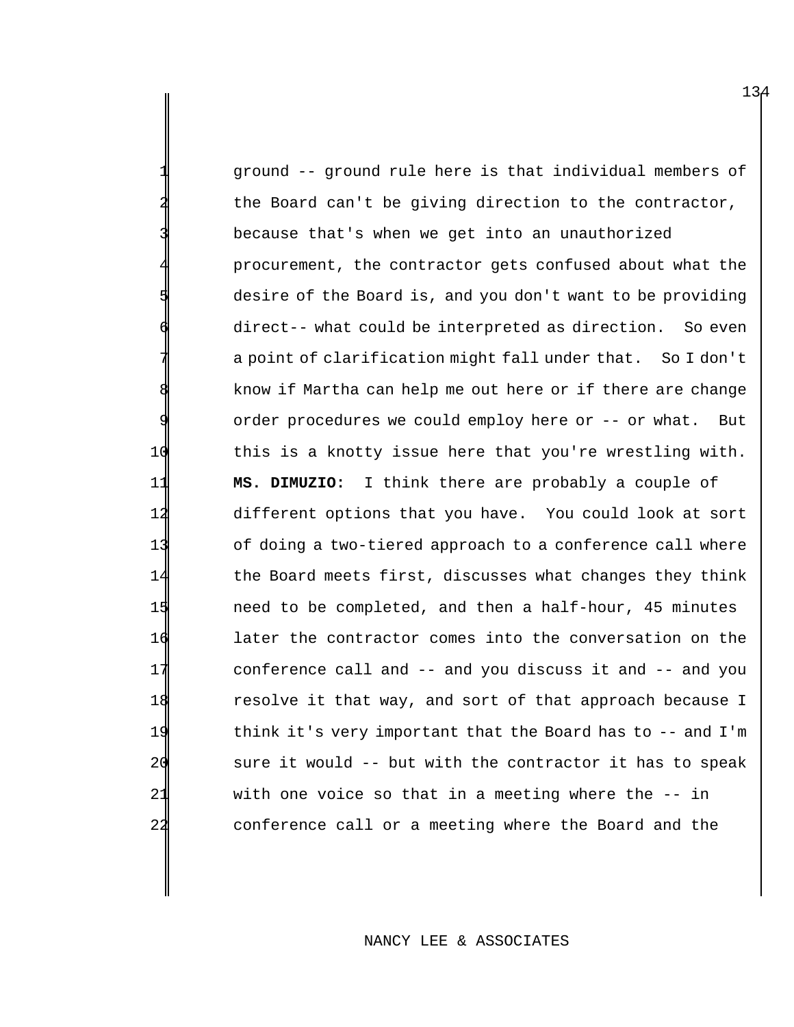ground -- ground rule here is that individual members of the Board can't be giving direction to the contractor, because that's when we get into an unauthorized procurement, the contractor gets confused about what the desire of the Board is, and you don't want to be providing direct-- what could be interpreted as direction. So even a point of clarification might fall under that. So I don't know if Martha can help me out here or if there are change order procedures we could employ here or -- or what. But 10 this is a knotty issue here that you're wrestling with. 11 **MS. DIMUZIO:** I think there are probably a couple of 12 different options that you have. You could look at sort 13 of doing a two-tiered approach to a conference call where 14 the Board meets first, discusses what changes they think 15 need to be completed, and then a half-hour, 45 minutes 16 later the contractor comes into the conversation on the 17 conference call and -- and you discuss it and -- and you 18 resolve it that way, and sort of that approach because I 19 think it's very important that the Board has to -- and I'm 20 sure it would -- but with the contractor it has to speak 21 with one voice so that in a meeting where the -- in 22 conference call or a meeting where the Board and the

#### NANCY LEE & ASSOCIATES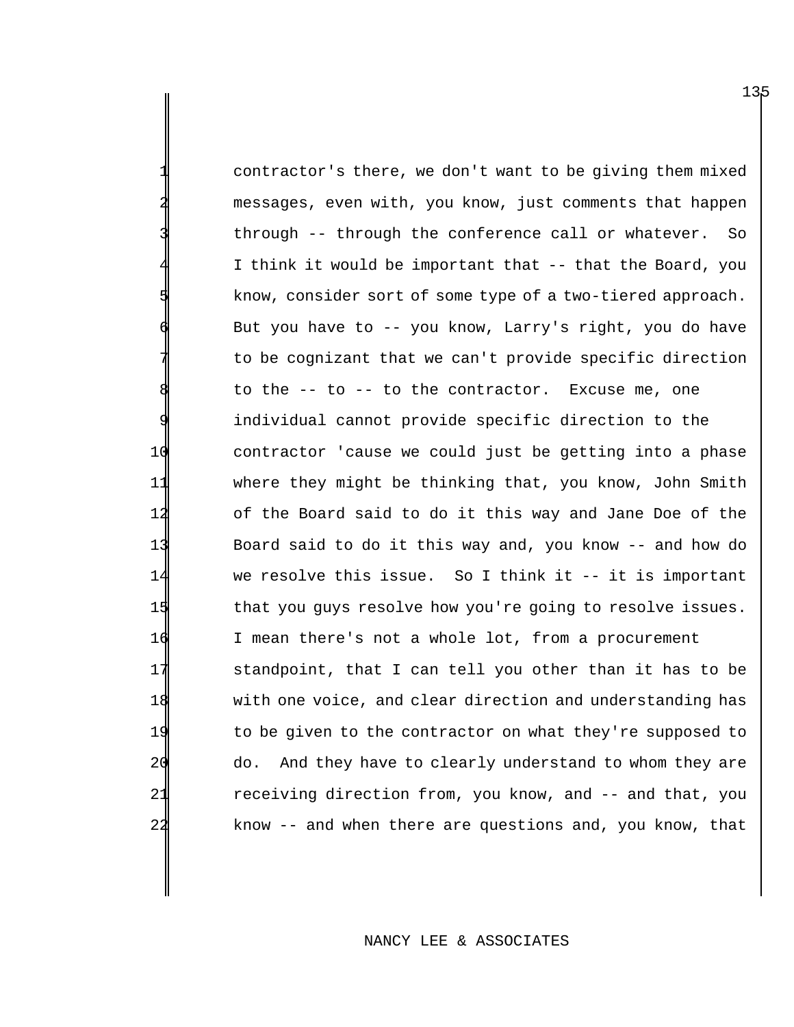contractor's there, we don't want to be giving them mixed messages, even with, you know, just comments that happen through -- through the conference call or whatever. So I think it would be important that -- that the Board, you know, consider sort of some type of a two-tiered approach. But you have to -- you know, Larry's right, you do have to be cognizant that we can't provide specific direction to the  $-$ - to  $-$  to the contractor. Excuse me, one individual cannot provide specific direction to the 10 contractor 'cause we could just be getting into a phase 11 where they might be thinking that, you know, John Smith 12 of the Board said to do it this way and Jane Doe of the 13 Board said to do it this way and, you know -- and how do 14 we resolve this issue. So I think it -- it is important 15 that you guys resolve how you're going to resolve issues. 16 I mean there's not a whole lot, from a procurement 17 standpoint, that I can tell you other than it has to be 18 with one voice, and clear direction and understanding has 19 to be given to the contractor on what they're supposed to 20 do. And they have to clearly understand to whom they are 21 receiving direction from, you know, and -- and that, you 22 know -- and when there are questions and, you know, that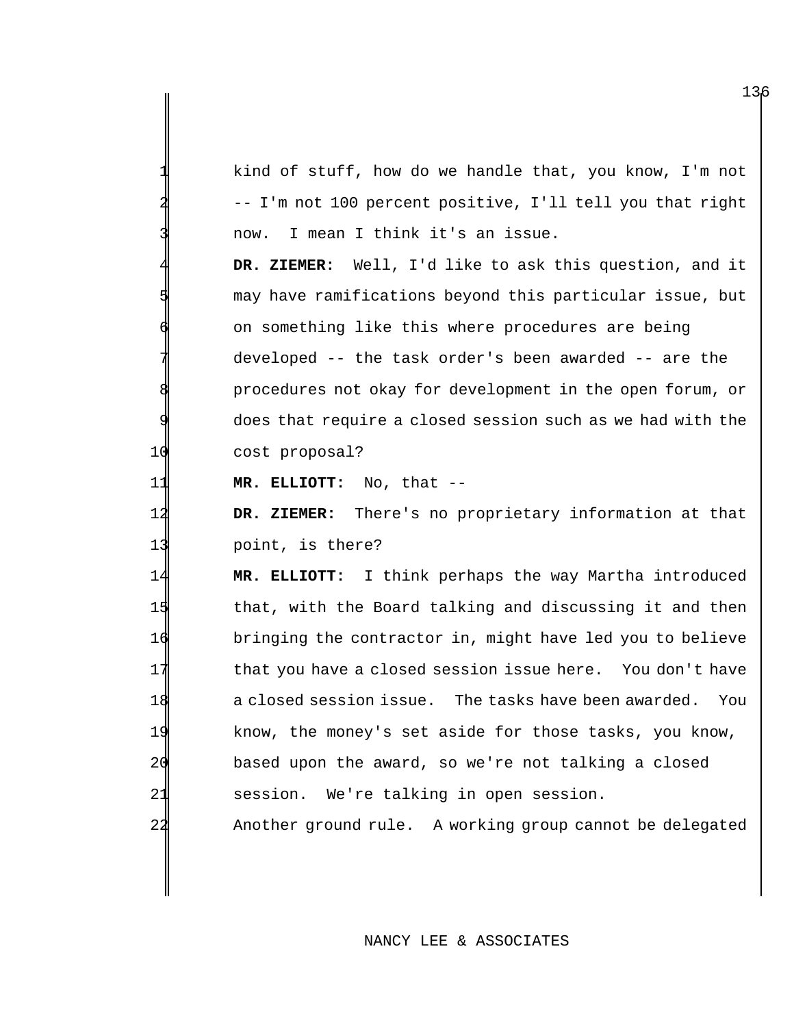kind of stuff, how do we handle that, you know, I'm not -- I'm not 100 percent positive, I'll tell you that right now. I mean I think it's an issue.

4 **DR. ZIEMER:** Well, I'd like to ask this question, and it may have ramifications beyond this particular issue, but on something like this where procedures are being developed -- the task order's been awarded -- are the 8 procedures not okay for development in the open forum, or does that require a closed session such as we had with the 10 cost proposal?

11 **MR. ELLIOTT:** No, that --

14 **DR. ZIEMER:** There's no proprietary information at that 13 point, is there?

 **MR. ELLIOTT:** I think perhaps the way Martha introduced 15 that, with the Board talking and discussing it and then bringing the contractor in, might have led you to believe 17 that you have a closed session issue here. You don't have a closed session issue. The tasks have been awarded. You know, the money's set aside for those tasks, you know, based upon the award, so we're not talking a closed session. We're talking in open session. Another ground rule. A working group cannot be delegated

## NANCY LEE & ASSOCIATES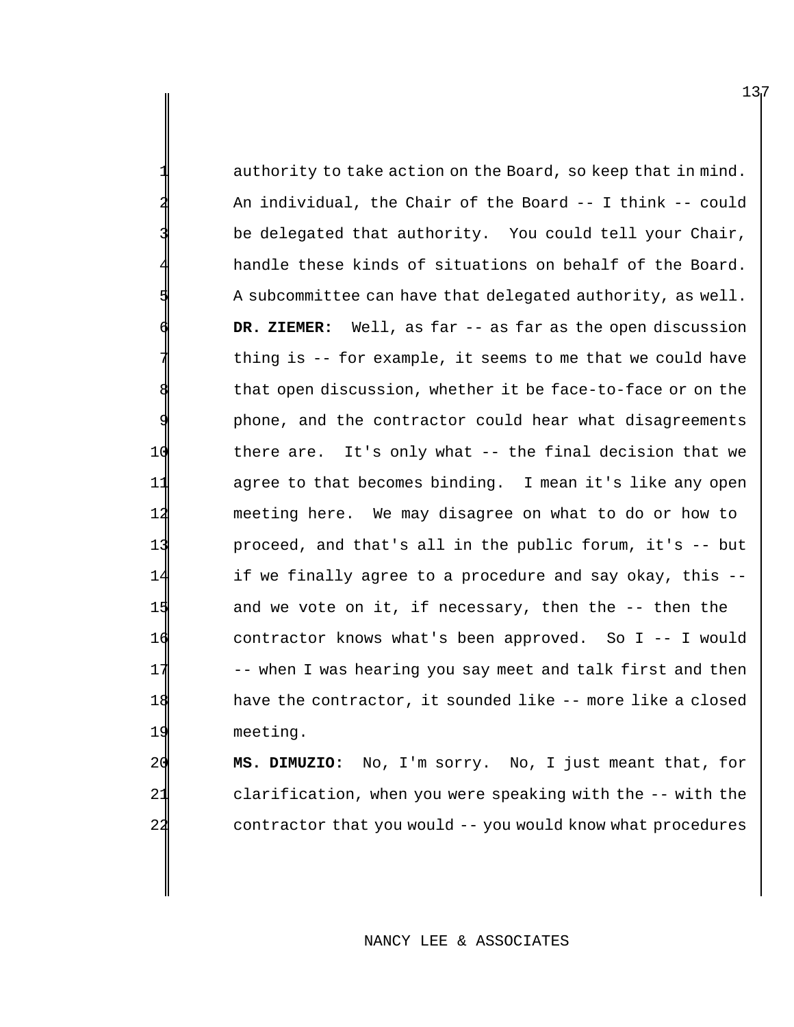authority to take action on the Board, so keep that in mind. An individual, the Chair of the Board -- I think -- could be delegated that authority. You could tell your Chair, handle these kinds of situations on behalf of the Board. A subcommittee can have that delegated authority, as well. **DR. ZIEMER:** Well, as far -- as far as the open discussion thing is -- for example, it seems to me that we could have that open discussion, whether it be face-to-face or on the phone, and the contractor could hear what disagreements there are. It's only what -- the final decision that we agree to that becomes binding. I mean it's like any open meeting here. We may disagree on what to do or how to proceed, and that's all in the public forum, it's -- but if we finally agree to a procedure and say okay, this -- 15 and we vote on it, if necessary, then the -- then the contractor knows what's been approved. So I -- I would 17 -- when I was hearing you say meet and talk first and then have the contractor, it sounded like -- more like a closed meeting.

 **MS. DIMUZIO:** No, I'm sorry. No, I just meant that, for clarification, when you were speaking with the -- with the contractor that you would -- you would know what procedures

## NANCY LEE & ASSOCIATES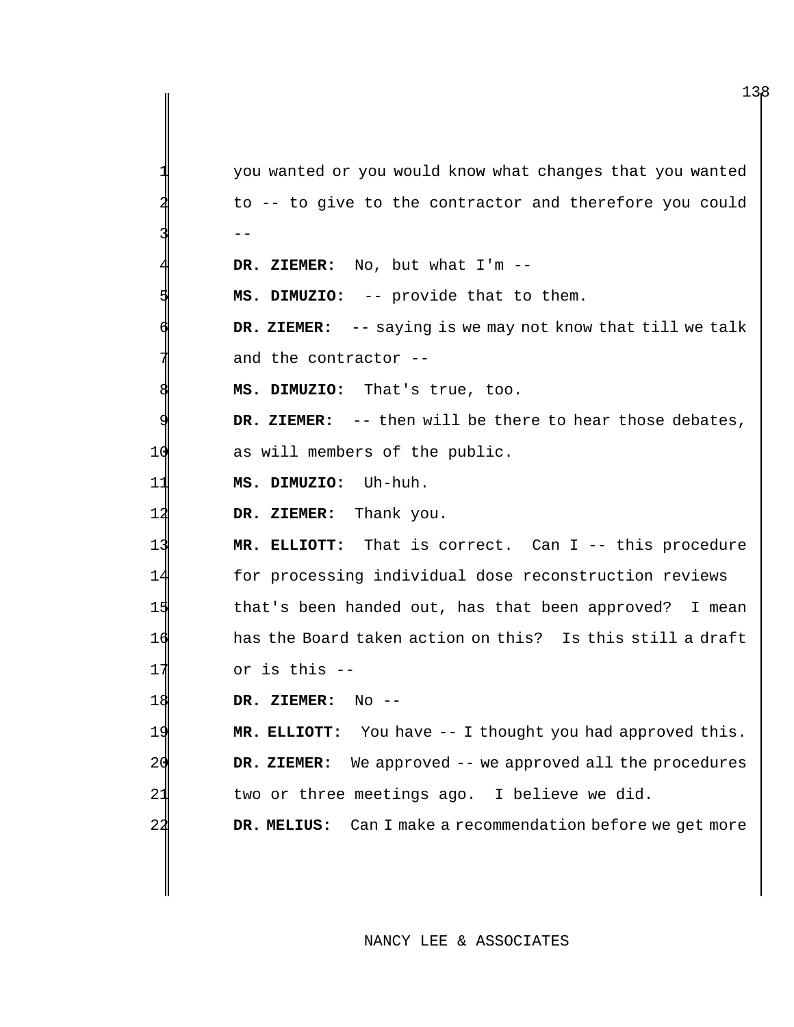you wanted or you would know what changes that you wanted to -- to give to the contractor and therefore you could -- DR. ZIEMER: No, but what I'm -- **MS. DIMUZIO:** -- provide that to them. **DR. ZIEMER:**  $-$ - saying is we may not know that till we talk and the contractor  $-$ - **MS. DIMUZIO:** That's true, too. DR. ZIEMER: -- then will be there to hear those debates, 10 as will members of the public. **MS. DIMUZIO:** Uh-huh. **DR. ZIEMER:** Thank you. **MR. ELLIOTT:** That is correct. Can I -- this procedure for processing individual dose reconstruction reviews that's been handed out, has that been approved? I mean has the Board taken action on this? Is this still a draft or is this -- **DR. ZIEMER:** No -- **MR. ELLIOTT:** You have -- I thought you had approved this. **DR. ZIEMER:** We approved -- we approved all the procedures two or three meetings ago. I believe we did. **DR. MELIUS:** Can I make a recommendation before we get more

# NANCY LEE & ASSOCIATES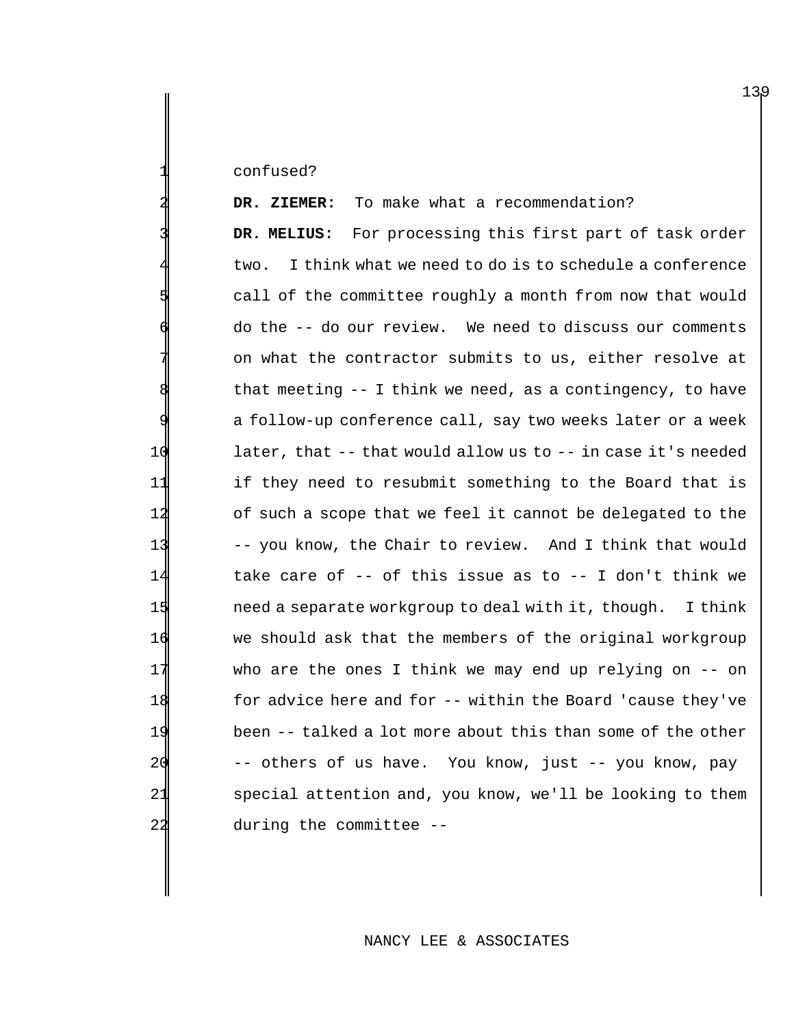confused?

|                | To make what a recommendation?<br>DR. ZIEMER:                  |
|----------------|----------------------------------------------------------------|
|                | For processing this first part of task order<br>DR. MELIUS:    |
|                | I think what we need to do is to schedule a conference<br>two. |
|                | call of the committee roughly a month from now that would      |
|                | do the -- do our review. We need to discuss our comments       |
|                | on what the contractor submits to us, either resolve at        |
|                | that meeting $-1$ think we need, as a contingency, to have     |
|                | a follow-up conference call, say two weeks later or a week     |
| 10             | later, that -- that would allow us to -- in case it's needed   |
| 11             | if they need to resubmit something to the Board that is        |
| 12             | of such a scope that we feel it cannot be delegated to the     |
| 13             | -- you know, the Chair to review. And I think that would       |
| 14             | take care of $-$ - of this issue as to $-$ - I don't think we  |
| 15             | need a separate workgroup to deal with it, though. I think     |
| 16             | we should ask that the members of the original workgroup       |
| 17             | who are the ones I think we may end up relying on $-$ on       |
| 18             | for advice here and for -- within the Board 'cause they've     |
| 19             | been -- talked a lot more about this than some of the other    |
| 20             | -- others of us have. You know, just -- you know, pay          |
| 21             | special attention and, you know, we'll be looking to them      |
| $\overline{2}$ | during the committee --                                        |

# NANCY LEE & ASSOCIATES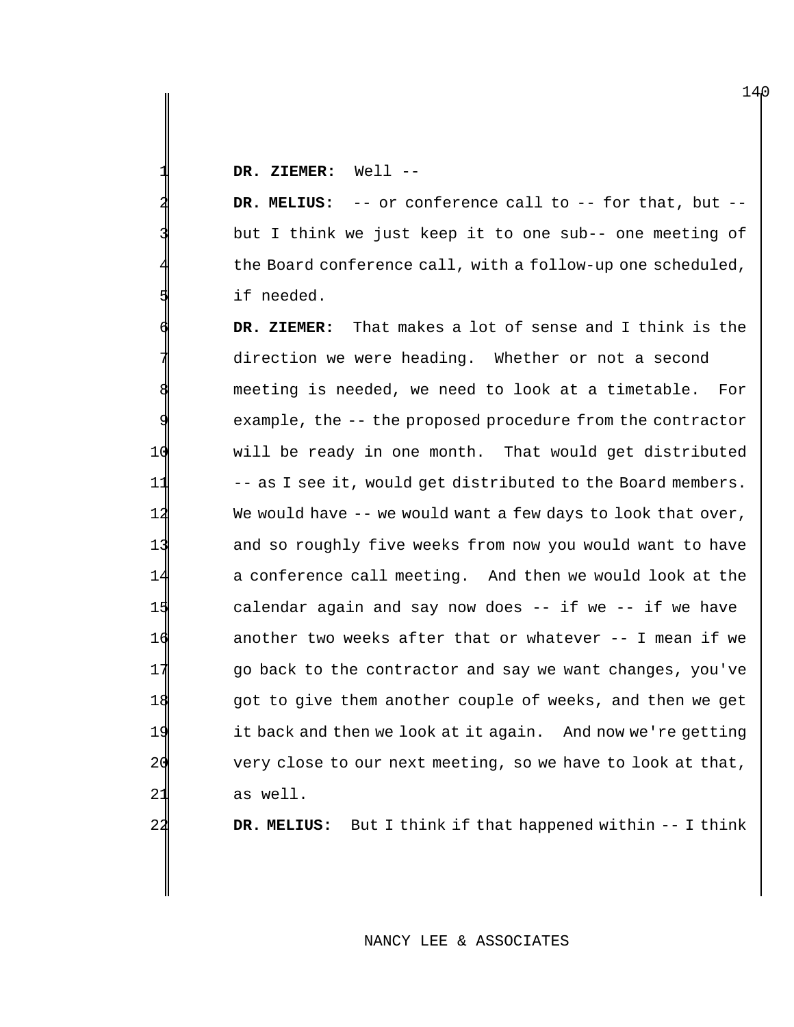DR. ZIEMER: Well --

2 **DR. MELIUS:** -- or conference call to -- for that, but - but I think we just keep it to one sub-- one meeting of the Board conference call, with a follow-up one scheduled, if needed.

6 **DR. ZIEMER:** That makes a lot of sense and I think is the direction we were heading. Whether or not a second meeting is needed, we need to look at a timetable. For example, the -- the proposed procedure from the contractor 10 will be ready in one month. That would get distributed 11 -- as I see it, would get distributed to the Board members. 12 We would have -- we would want a few days to look that over, 13 and so roughly five weeks from now you would want to have 14 a conference call meeting. And then we would look at the 15 calendar again and say now does -- if we -- if we have 16 another two weeks after that or whatever -- I mean if we 17 go back to the contractor and say we want changes, you've 18 got to give them another couple of weeks, and then we get 19 it back and then we look at it again. And now we're getting 20 very close to our next meeting, so we have to look at that, 21 as well.

22 **DR. MELIUS:** But I think if that happened within -- I think

# NANCY LEE & ASSOCIATES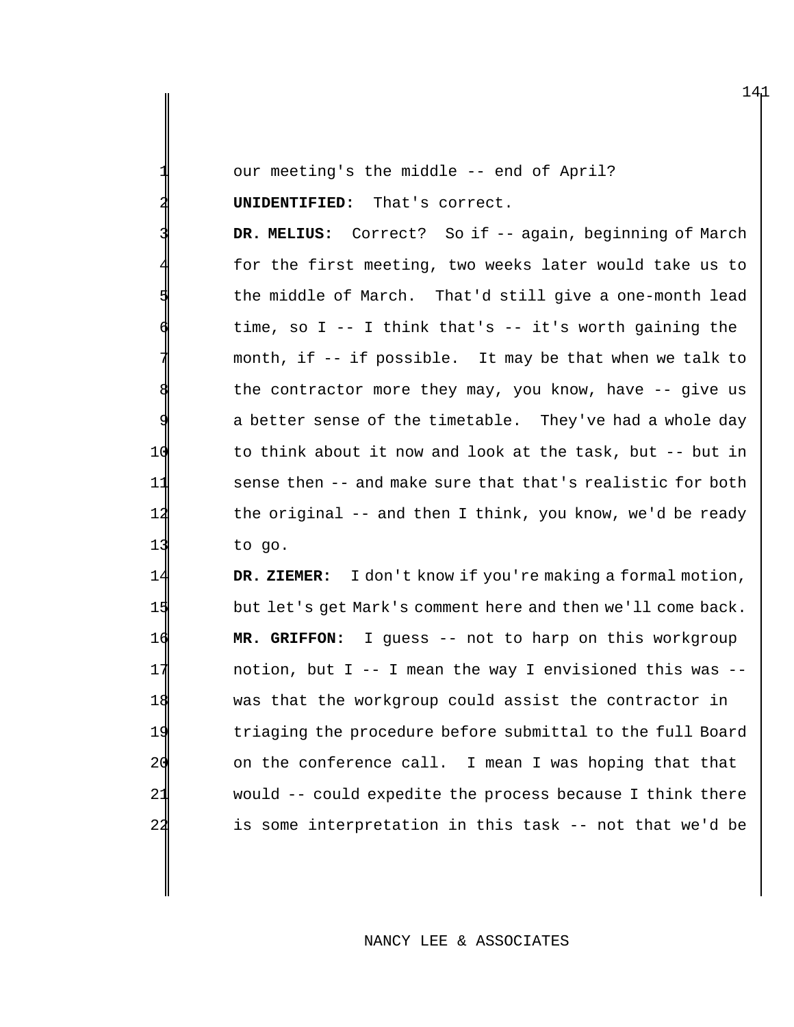our meeting's the middle -- end of April? 2 **UNIDENTIFIED:** That's correct.

DR. MELIUS: Correct? So if -- again, beginning of March for the first meeting, two weeks later would take us to the middle of March. That'd still give a one-month lead time, so I -- I think that's -- it's worth gaining the month, if -- if possible. It may be that when we talk to the contractor more they may, you know, have -- give us a better sense of the timetable. They've had a whole day 10 to think about it now and look at the task, but -- but in 11 sense then -- and make sure that that's realistic for both 12 the original -- and then I think, you know, we'd be ready 13 to go.

 **DR. ZIEMER:** I don't know if you're making a formal motion, but let's get Mark's comment here and then we'll come back. **MR. GRIFFON:** I guess -- not to harp on this workgroup notion, but I -- I mean the way I envisioned this was -- was that the workgroup could assist the contractor in triaging the procedure before submittal to the full Board on the conference call. I mean I was hoping that that would -- could expedite the process because I think there is some interpretation in this task -- not that we'd be

## NANCY LEE & ASSOCIATES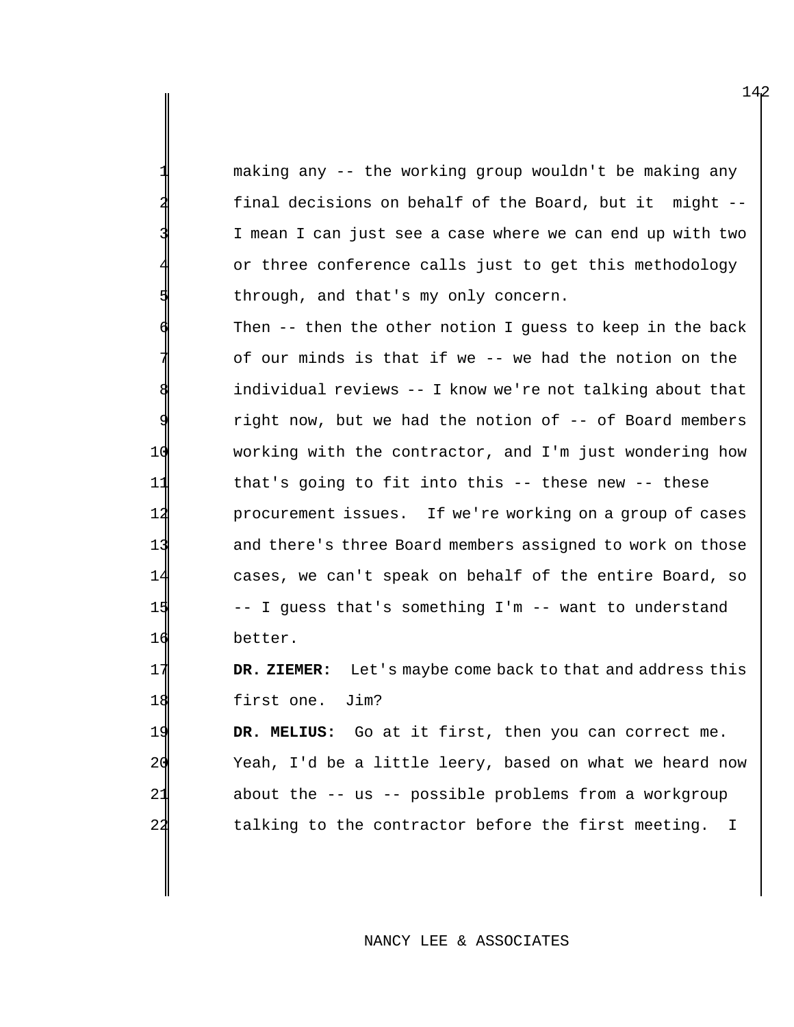making any -- the working group wouldn't be making any final decisions on behalf of the Board, but it might --I mean I can just see a case where we can end up with two or three conference calls just to get this methodology through, and that's my only concern.

Then  $-$  then the other notion I guess to keep in the back of our minds is that if we -- we had the notion on the individual reviews -- I know we're not talking about that right now, but we had the notion of -- of Board members working with the contractor, and I'm just wondering how that's going to fit into this -- these new -- these procurement issues. If we're working on a group of cases and there's three Board members assigned to work on those cases, we can't speak on behalf of the entire Board, so -- I guess that's something I'm -- want to understand 16 better.

17 **DR. ZIEMER:** Let's maybe come back to that and address this 18 first one. Jim?

 **DR. MELIUS:** Go at it first, then you can correct me. Yeah, I'd be a little leery, based on what we heard now about the -- us -- possible problems from a workgroup talking to the contractor before the first meeting. I

## NANCY LEE & ASSOCIATES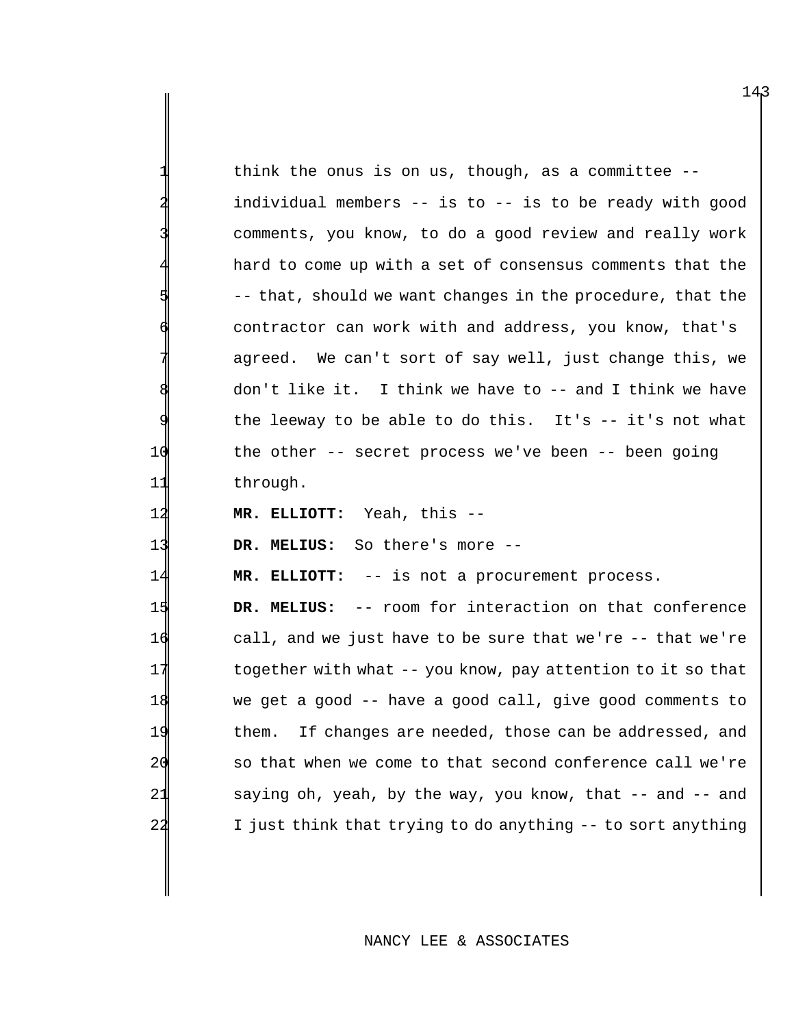think the onus is on us, though, as a committee  $-$ individual members  $--$  is to  $--$  is to be ready with good comments, you know, to do a good review and really work hard to come up with a set of consensus comments that the 5 -- that, should we want changes in the procedure, that the contractor can work with and address, you know, that's agreed. We can't sort of say well, just change this, we  $\phi$  don't like it. I think we have to -- and I think we have the leeway to be able to do this. It's  $-$  it's not what 10 the other -- secret process we've been -- been going 11 through.

12 **MR. ELLIOTT:** Yeah, this --

13 **DR. MELIUS:** So there's more --

14 **MR. ELLIOTT:** -- is not a procurement process.

 **DR. MELIUS:** -- room for interaction on that conference call, and we just have to be sure that we're -- that we're 17 together with what -- you know, pay attention to it so that we get a good -- have a good call, give good comments to them. If changes are needed, those can be addressed, and so that when we come to that second conference call we're saying oh, yeah, by the way, you know, that -- and -- and I just think that trying to do anything -- to sort anything

#### NANCY LEE & ASSOCIATES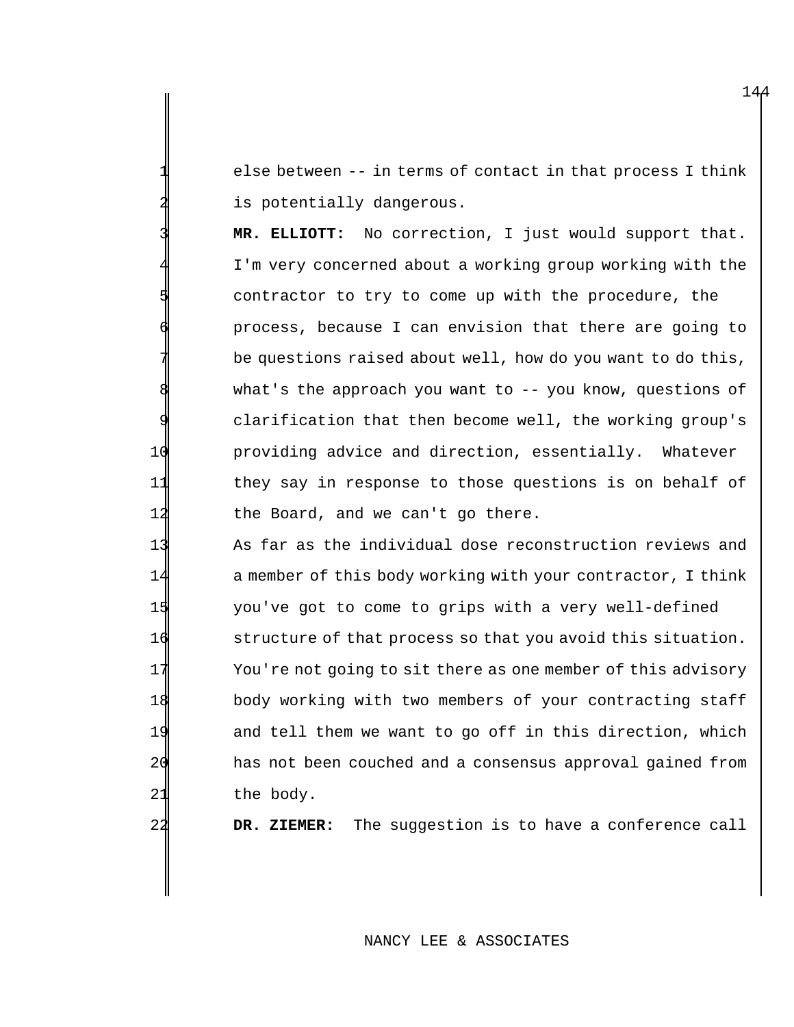else between -- in terms of contact in that process I think is potentially dangerous.

MR. ELLIOTT: No correction, I just would support that. I'm very concerned about a working group working with the contractor to try to come up with the procedure, the process, because I can envision that there are going to be questions raised about well, how do you want to do this, what's the approach you want to  $-$ - you know, questions of 9 clarification that then become well, the working group's 10 providing advice and direction, essentially. Whatever 11 they say in response to those questions is on behalf of 12 the Board, and we can't go there.

 As far as the individual dose reconstruction reviews and a member of this body working with your contractor, I think you've got to come to grips with a very well-defined 16 structure of that process so that you avoid this situation. You're not going to sit there as one member of this advisory body working with two members of your contracting staff and tell them we want to go off in this direction, which has not been couched and a consensus approval gained from the body.

22 **DR. ZIEMER:** The suggestion is to have a conference call

# NANCY LEE & ASSOCIATES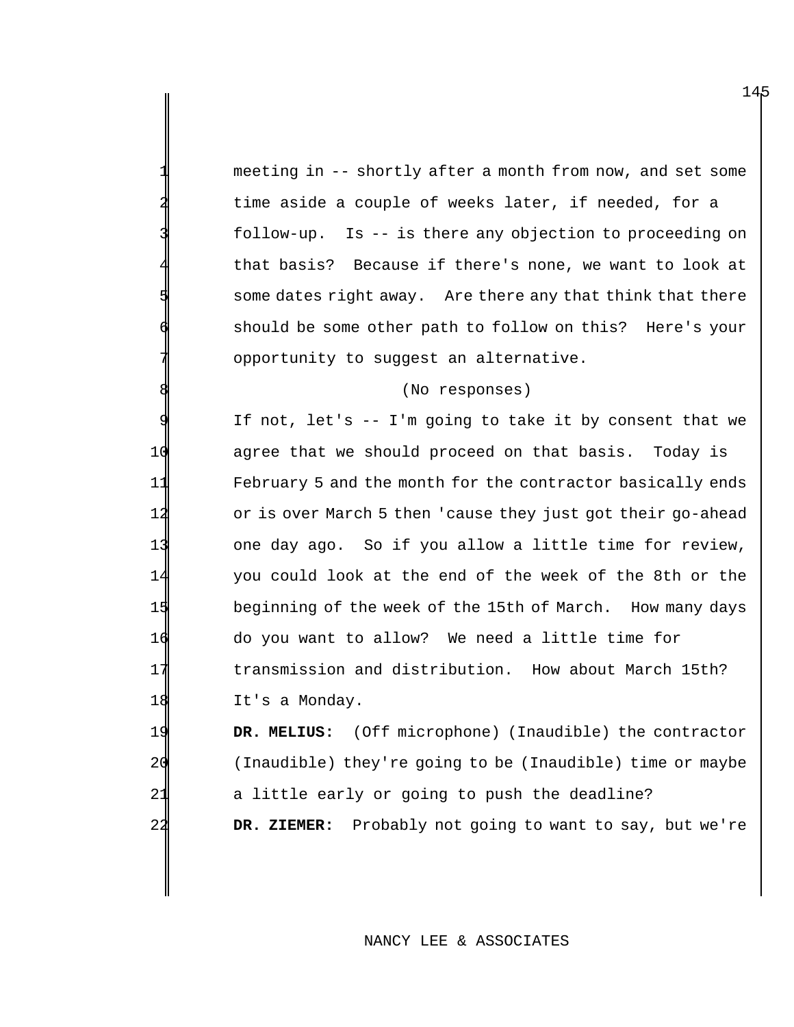meeting in -- shortly after a month from now, and set some time aside a couple of weeks later, if needed, for a follow-up. Is -- is there any objection to proceeding on 4 that basis? Because if there's none, we want to look at some dates right away. Are there any that think that there should be some other path to follow on this? Here's your opportunity to suggest an alternative.

#### (No responses)

If not, let's  $--$  I'm going to take it by consent that we agree that we should proceed on that basis. Today is February 5 and the month for the contractor basically ends 12 or is over March 5 then 'cause they just got their go-ahead one day ago. So if you allow a little time for review, you could look at the end of the week of the 8th or the beginning of the week of the 15th of March. How many days do you want to allow? We need a little time for transmission and distribution. How about March 15th? It's a Monday.

 **DR. MELIUS:** (Off microphone) (Inaudible) the contractor (Inaudible) they're going to be (Inaudible) time or maybe 21 a little early or going to push the deadline? **DR. ZIEMER:** Probably not going to want to say, but we're

#### NANCY LEE & ASSOCIATES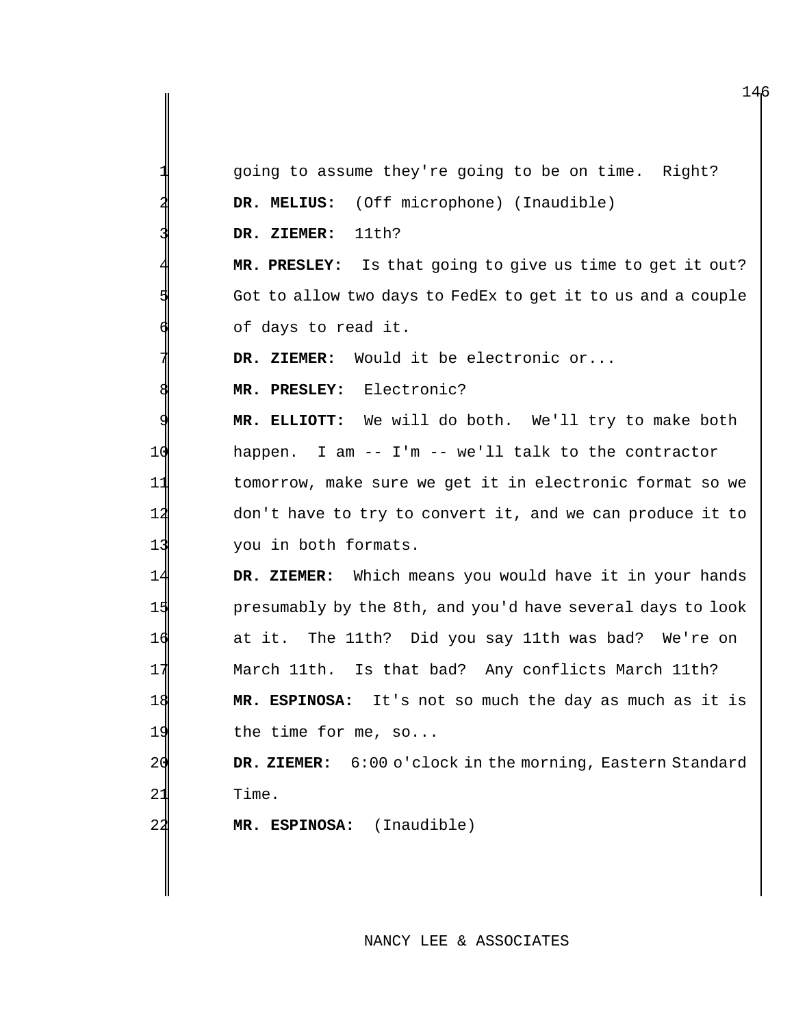|                | going to assume they're going to be on time. Right?         |
|----------------|-------------------------------------------------------------|
|                | DR. MELIUS: (Off microphone) (Inaudible)                    |
|                | 11th?<br>DR. ZIEMER:                                        |
|                | MR. PRESLEY: Is that going to give us time to get it out?   |
|                | Got to allow two days to FedEx to get it to us and a couple |
|                | of days to read it.                                         |
|                | Would it be electronic or<br>DR. ZIEMER:                    |
|                | Electronic?<br>MR. PRESLEY:                                 |
|                | MR. ELLIOTT: We will do both. We'll try to make both        |
| 10             | happen. I am -- I'm -- we'll talk to the contractor         |
| 11             | tomorrow, make sure we get it in electronic format so we    |
| 12             | don't have to try to convert it, and we can produce it to   |
| 13             | you in both formats.                                        |
| 14             | DR. ZIEMER: Which means you would have it in your hands     |
| 15             | presumably by the 8th, and you'd have several days to look  |
| 16             | at it. The 11th? Did you say 11th was bad? We're on         |
| 17             | March 11th. Is that bad? Any conflicts March 11th?          |
| 18             | MR. ESPINOSA: It's not so much the day as much as it is     |
| 19             | the time for me, so                                         |
| 2 <sub>0</sub> | DR. ZIEMER: 6:00 o'clock in the morning, Eastern Standard   |
| 21             | Time.                                                       |
| 22             | (Inaudible)<br>MR. ESPINOSA:                                |
|                |                                                             |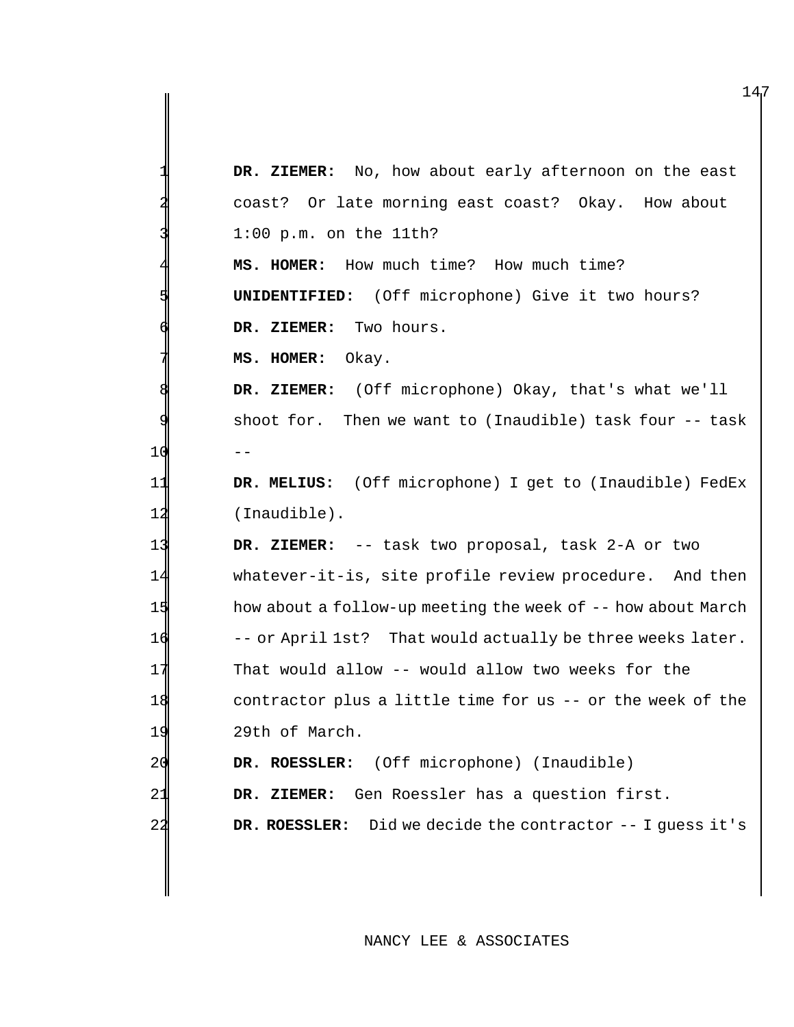|                | DR. ZIEMER: No, how about early afternoon on the east            |
|----------------|------------------------------------------------------------------|
|                | coast? Or late morning east coast? Okay. How about               |
|                | $1:00$ p.m. on the 11th?                                         |
|                | MS. HOMER: How much time? How much time?                         |
|                | <b>UNIDENTIFIED:</b> (Off microphone) Give it two hours?         |
|                | DR. ZIEMER: Two hours.                                           |
|                | MS. HOMER: Okay.                                                 |
|                | DR. ZIEMER: (Off microphone) Okay, that's what we'll             |
|                | shoot for. Then we want to (Inaudible) task four -- task         |
| 1 <sub>0</sub> |                                                                  |
| 1              | DR. MELIUS: (Off microphone) I get to (Inaudible) FedEx          |
| 12             | (Inaudible).                                                     |
| 1              | DR. ZIEMER: -- task two proposal, task 2-A or two                |
| 14             | whatever-it-is, site profile review procedure. And then          |
| 15             | how about a follow-up meeting the week of -- how about March     |
| 16             | -- or April 1st? That would actually be three weeks later.       |
| 17             | That would allow -- would allow two weeks for the                |
| 18             | contractor plus a little time for us -- or the week of the       |
| 19             | 29th of March.                                                   |
| 20             | (Off microphone) (Inaudible)<br>DR. ROESSLER:                    |
| 21             | Gen Roessler has a question first.<br>DR. ZIEMER:                |
| 22             | Did we decide the contractor $-$ - I guess it's<br>DR. ROESSLER: |
|                |                                                                  |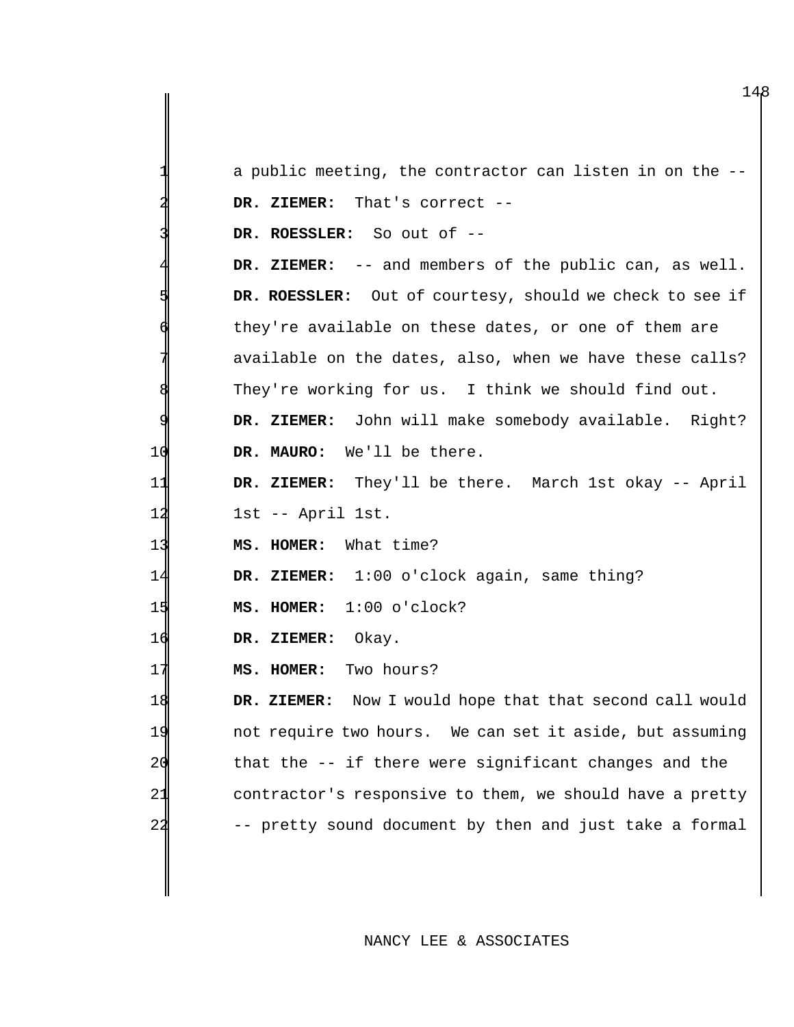|                  | a public meeting, the contractor can listen in on the -- |
|------------------|----------------------------------------------------------|
|                  | DR. ZIEMER: That's correct --                            |
|                  | DR. ROESSLER: So out of --                               |
|                  | DR. ZIEMER: -- and members of the public can, as well.   |
|                  | DR. ROESSLER: Out of courtesy, should we check to see if |
|                  | they're available on these dates, or one of them are     |
|                  | available on the dates, also, when we have these calls?  |
|                  | They're working for us. I think we should find out.      |
| 9                | DR. ZIEMER: John will make somebody available. Right?    |
| 10               | DR. MAURO: We'll be there.                               |
| 11               | DR. ZIEMER: They'll be there. March 1st okay -- April    |
| 12               | 1st -- April 1st.                                        |
| 13               | MS. HOMER: What time?                                    |
| 14               | DR. ZIEMER: 1:00 o'clock again, same thing?              |
| 15               | MS. HOMER: 1:00 o'clock?                                 |
| 16               | DR. ZIEMER: Okay.                                        |
| 17               | MS. HOMER: Two hours?                                    |
| 18               | DR. ZIEMER: Now I would hope that that second call would |
| 19               | not require two hours. We can set it aside, but assuming |
| $\overline{2}$ C | that the -- if there were significant changes and the    |
| 21               | contractor's responsive to them, we should have a pretty |
| 22               | pretty sound document by then and just take a formal     |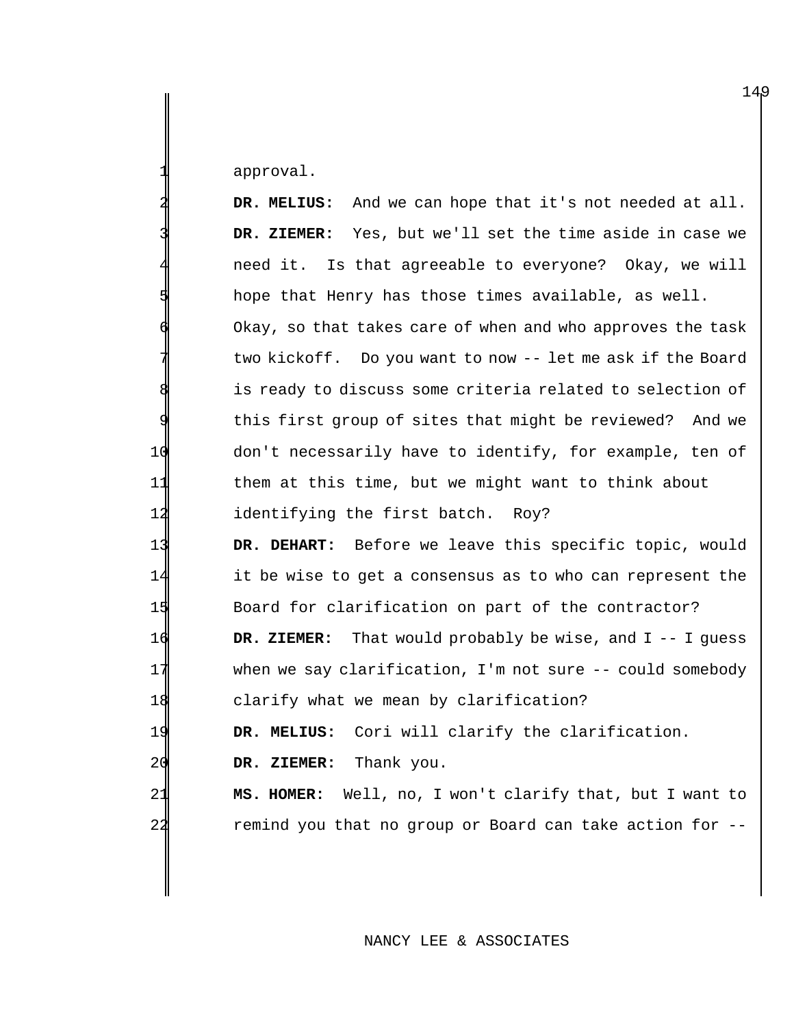approval.

|                | And we can hope that it's not needed at all.<br>DR. MELIUS:    |
|----------------|----------------------------------------------------------------|
|                | DR. ZIEMER: Yes, but we'll set the time aside in case we       |
|                | Is that agreeable to everyone? Okay, we will<br>need it.       |
|                | hope that Henry has those times available, as well.            |
|                | Okay, so that takes care of when and who approves the task     |
|                | two kickoff. Do you want to now -- let me ask if the Board     |
|                | is ready to discuss some criteria related to selection of      |
|                | this first group of sites that might be reviewed? And we       |
| 10             | don't necessarily have to identify, for example, ten of        |
| 11             | them at this time, but we might want to think about            |
| 12             | identifying the first batch. Roy?                              |
| 13             | DR. DEHART: Before we leave this specific topic, would         |
| 14             | it be wise to get a consensus as to who can represent the      |
| 15             | Board for clarification on part of the contractor?             |
| 16             | That would probably be wise, and $I$ -- I guess<br>DR. ZIEMER: |
| 17             | when we say clarification, $I'm$ not sure -- could somebody    |
| 18             | clarify what we mean by clarification?                         |
| 19             | Cori will clarify the clarification.<br>DR. MELIUS:            |
| 20             | DR. ZIEMER: Thank you.                                         |
| 21             | MS. HOMER: Well, no, I won't clarify that, but I want to       |
| $\overline{2}$ | remind you that no group or Board can take action for --       |

# NANCY LEE & ASSOCIATES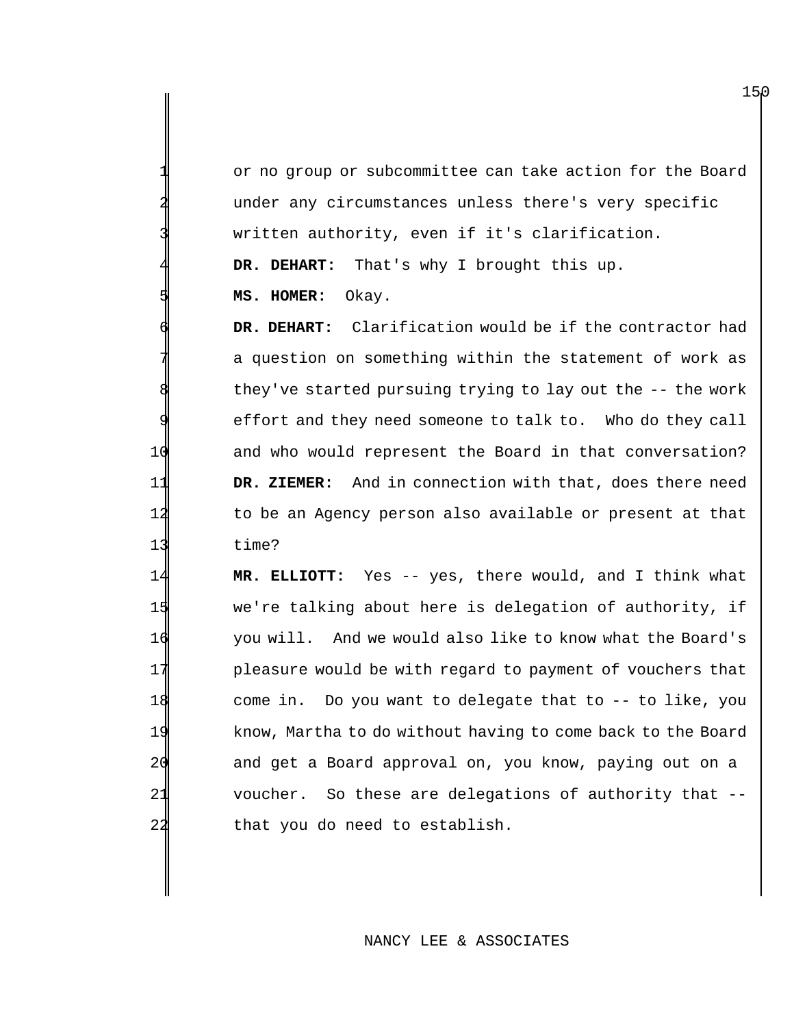or no group or subcommittee can take action for the Board under any circumstances unless there's very specific written authority, even if it's clarification.

DR. DEHART: That's why I brought this up.

5 **MS. HOMER:** Okay.

DR. DEHART: Clarification would be if the contractor had a question on something within the statement of work as they've started pursuing trying to lay out the  $-$ - the work effort and they need someone to talk to. Who do they call 10 and who would represent the Board in that conversation? 11 **DR. ZIEMER:** And in connection with that, does there need 12 to be an Agency person also available or present at that 13 time?

 **MR. ELLIOTT:** Yes -- yes, there would, and I think what we're talking about here is delegation of authority, if you will. And we would also like to know what the Board's **pleasure would be with regard to payment of vouchers that**  come in. Do you want to delegate that to -- to like, you 19 know, Martha to do without having to come back to the Board and get a Board approval on, you know, paying out on a voucher. So these are delegations of authority that -- 22 that you do need to establish.

### NANCY LEE & ASSOCIATES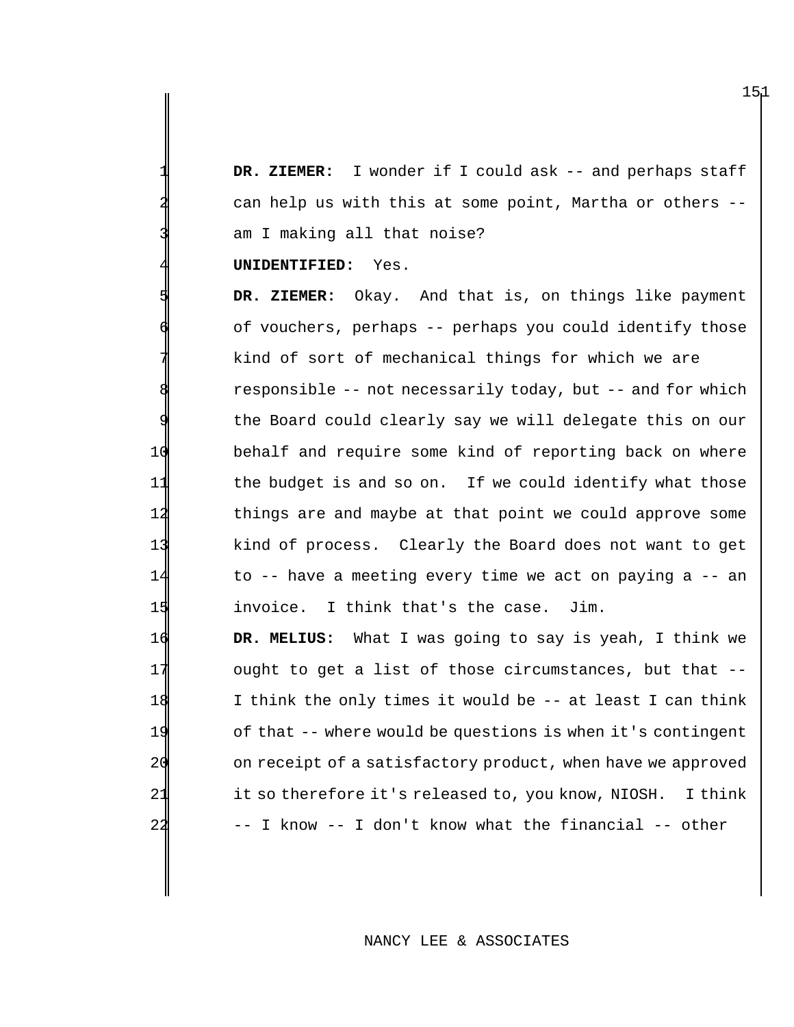DR. ZIEMER: I wonder if I could ask -- and perhaps staff can help us with this at some point, Martha or others -am I making all that noise?

#### **UNIDENTIFIED:** Yes.

 **DR. ZIEMER:** Okay. And that is, on things like payment of vouchers, perhaps -- perhaps you could identify those kind of sort of mechanical things for which we are responsible -- not necessarily today, but -- and for which the Board could clearly say we will delegate this on our behalf and require some kind of reporting back on where the budget is and so on. If we could identify what those things are and maybe at that point we could approve some kind of process. Clearly the Board does not want to get to -- have a meeting every time we act on paying a -- an invoice. I think that's the case. Jim.

**DR. MELIUS:** What I was going to say is yeah, I think we ought to get a list of those circumstances, but that -- I think the only times it would be -- at least I can think of that -- where would be questions is when it's contingent on receipt of a satisfactory product, when have we approved it so therefore it's released to, you know, NIOSH. I think -- I know -- I don't know what the financial -- other

### NANCY LEE & ASSOCIATES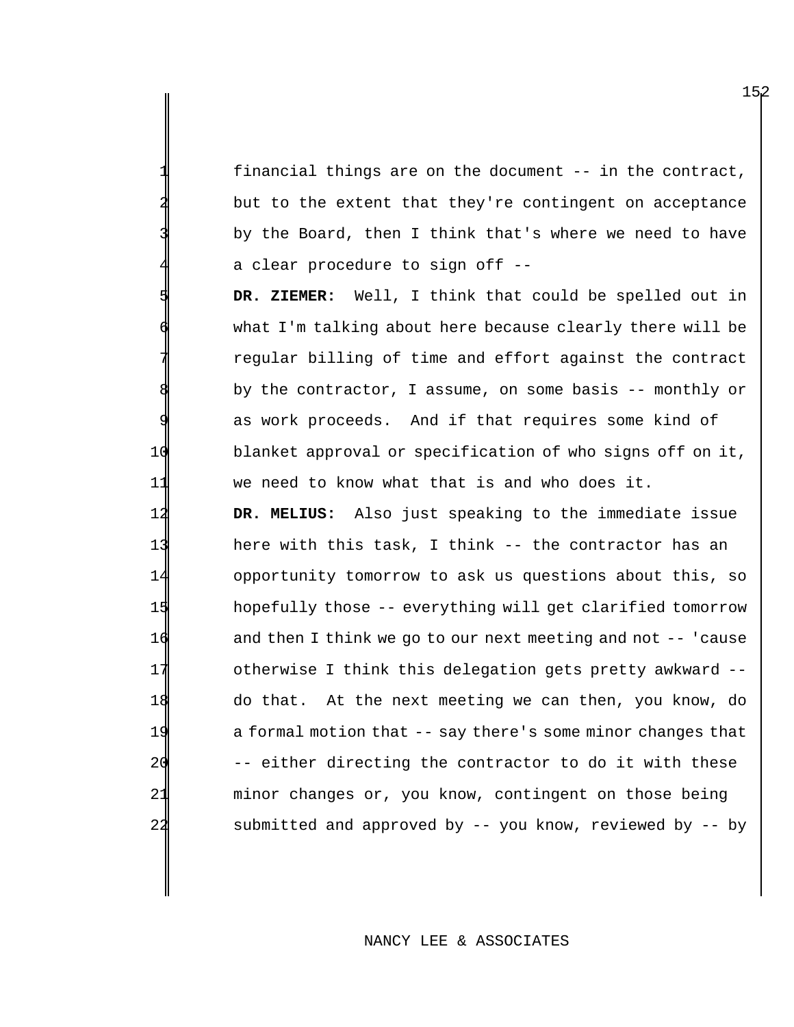financial things are on the document  $--$  in the contract, but to the extent that they're contingent on acceptance by the Board, then I think that's where we need to have a clear procedure to sign off --

5 **DR. ZIEMER:** Well, I think that could be spelled out in what I'm talking about here because clearly there will be regular billing of time and effort against the contract by the contractor, I assume, on some basis -- monthly or as work proceeds. And if that requires some kind of 10 blanket approval or specification of who signs off on it, 11 we need to know what that is and who does it.

 **DR. MELIUS:** Also just speaking to the immediate issue here with this task, I think -- the contractor has an opportunity tomorrow to ask us questions about this, so hopefully those -- everything will get clarified tomorrow 16 and then I think we go to our next meeting and not -- 'cause otherwise I think this delegation gets pretty awkward -- do that. At the next meeting we can then, you know, do a formal motion that -- say there's some minor changes that -- either directing the contractor to do it with these minor changes or, you know, contingent on those being submitted and approved by -- you know, reviewed by -- by

#### NANCY LEE & ASSOCIATES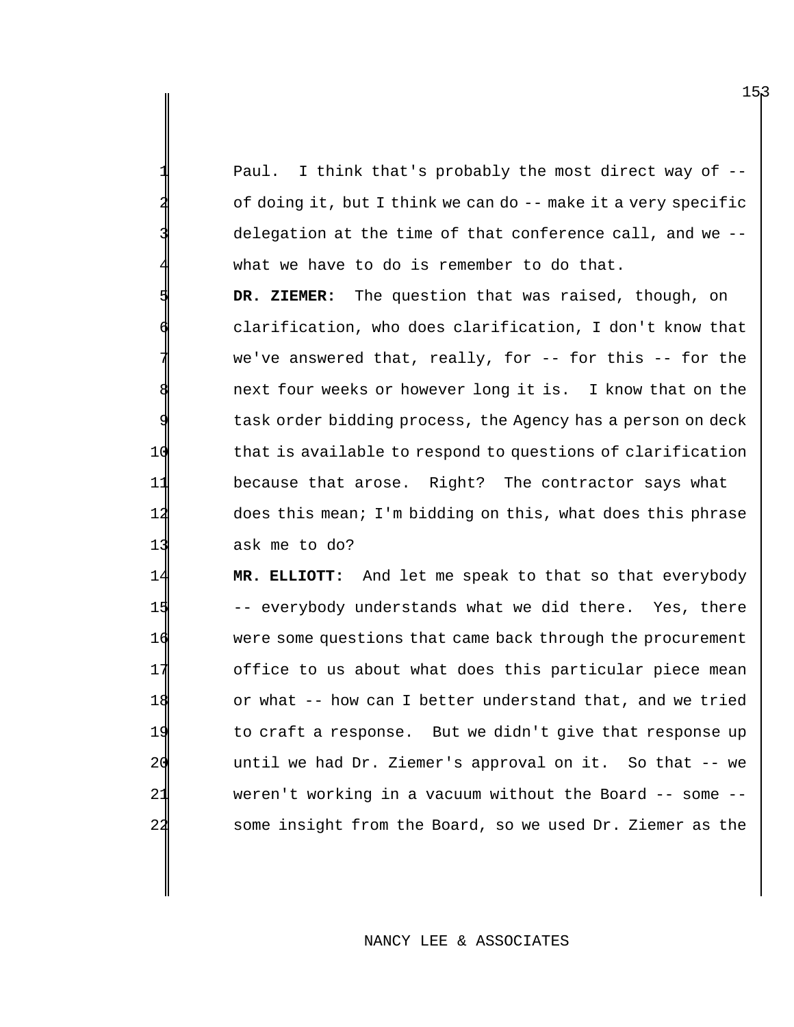Paul. I think that's probably the most direct way of -of doing it, but I think we can do  $-$ - make it a very specific delegation at the time of that conference call, and we -what we have to do is remember to do that.

 **DR. ZIEMER:** The question that was raised, though, on clarification, who does clarification, I don't know that we've answered that, really, for  $-$  for this  $-$  for the next four weeks or however long it is. I know that on the task order bidding process, the Agency has a person on deck that is available to respond to questions of clarification because that arose. Right? The contractor says what does this mean; I'm bidding on this, what does this phrase ask me to do?

 **MR. ELLIOTT:** And let me speak to that so that everybody -- everybody understands what we did there. Yes, there were some questions that came back through the procurement office to us about what does this particular piece mean or what -- how can I better understand that, and we tried to craft a response. But we didn't give that response up until we had Dr. Ziemer's approval on it. So that -- we weren't working in a vacuum without the Board -- some -- some insight from the Board, so we used Dr. Ziemer as the

### NANCY LEE & ASSOCIATES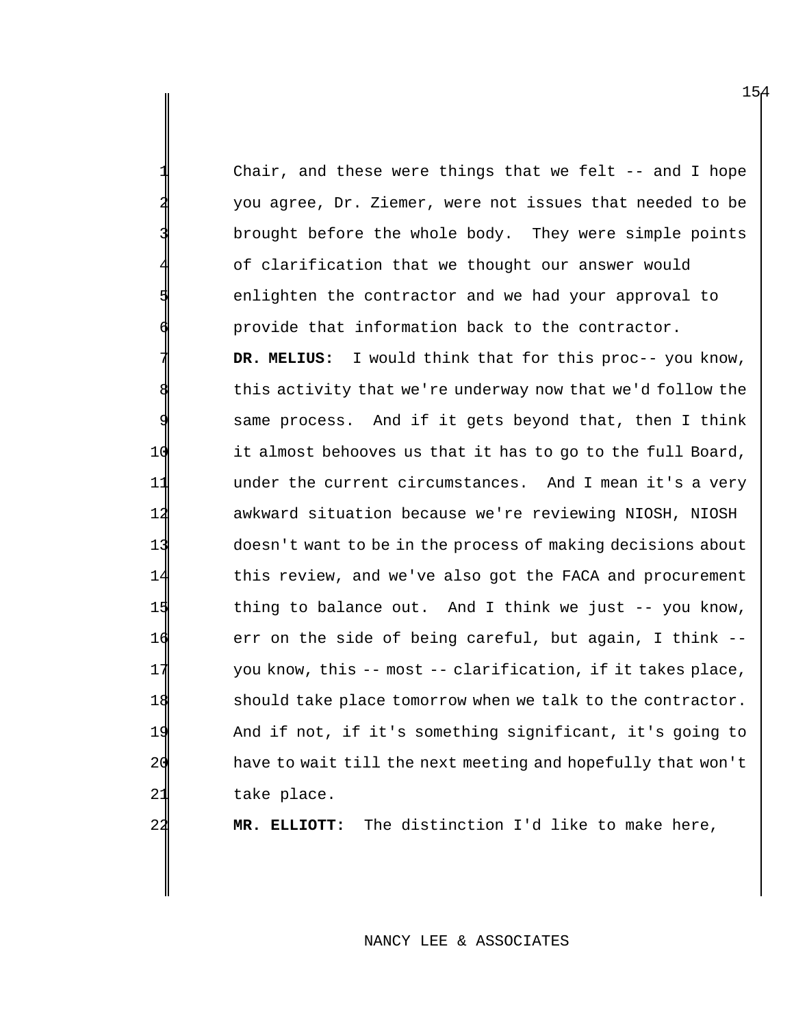Chair, and these were things that we felt  $-$ - and I hope 2 you agree, Dr. Ziemer, were not issues that needed to be brought before the whole body. They were simple points of clarification that we thought our answer would enlighten the contractor and we had your approval to provide that information back to the contractor. DR. MELIUS: I would think that for this proc-- you know, this activity that we're underway now that we'd follow the same process. And if it gets beyond that, then I think 10 it almost behooves us that it has to go to the full Board, 11 under the current circumstances. And I mean it's a very 12 awkward situation because we're reviewing NIOSH, NIOSH 13 doesn't want to be in the process of making decisions about 14 this review, and we've also got the FACA and procurement 15 thing to balance out. And I think we just -- you know, 16 err on the side of being careful, but again, I think -- 17 you know, this -- most -- clarification, if it takes place, 18 should take place tomorrow when we talk to the contractor. 19 And if not, if it's something significant, it's going to 20 have to wait till the next meeting and hopefully that won't 21 take place.

22 **MR. ELLIOTT:** The distinction I'd like to make here,

# NANCY LEE & ASSOCIATES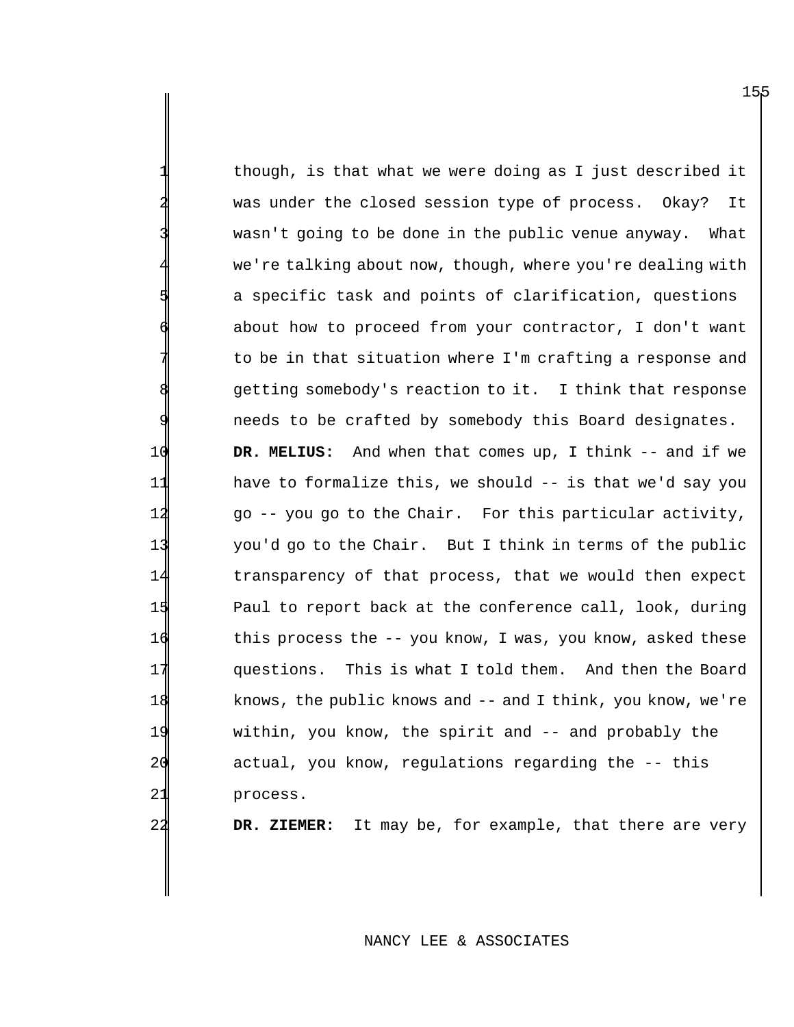though, is that what we were doing as I just described it was under the closed session type of process. Okay? It wasn't going to be done in the public venue anyway. What we're talking about now, though, where you're dealing with a specific task and points of clarification, questions about how to proceed from your contractor, I don't want to be in that situation where I'm crafting a response and getting somebody's reaction to it. I think that response needs to be crafted by somebody this Board designates. 10 **DR. MELIUS:** And when that comes up, I think -- and if we 11 have to formalize this, we should -- is that we'd say you 12 go -- you go to the Chair. For this particular activity, 13 you'd go to the Chair. But I think in terms of the public 14 transparency of that process, that we would then expect 15 Paul to report back at the conference call, look, during 16 this process the -- you know, I was, you know, asked these 17 questions. This is what I told them. And then the Board 18 knows, the public knows and -- and I think, you know, we're 19 within, you know, the spirit and -- and probably the 20 actual, you know, regulations regarding the -- this 21 process.

22 **DR. ZIEMER:** It may be, for example, that there are very

# NANCY LEE & ASSOCIATES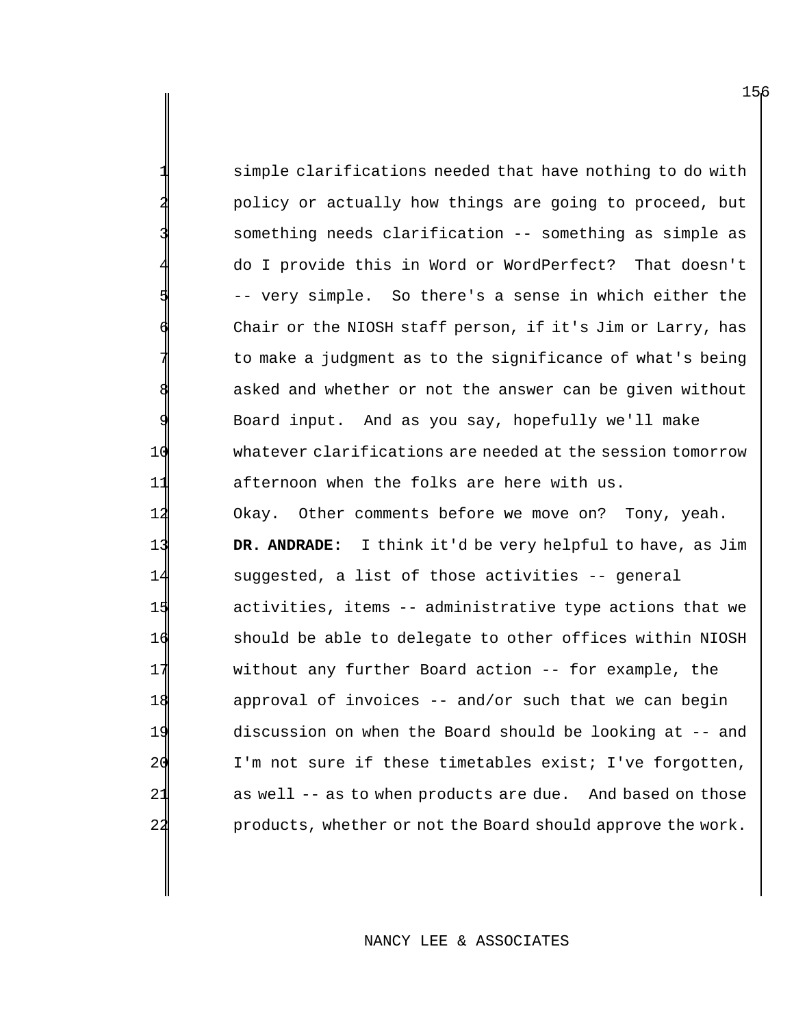simple clarifications needed that have nothing to do with policy or actually how things are going to proceed, but something needs clarification -- something as simple as do I provide this in Word or WordPerfect? That doesn't -- very simple. So there's a sense in which either the Chair or the NIOSH staff person, if it's Jim or Larry, has to make a judgment as to the significance of what's being asked and whether or not the answer can be given without Board input. And as you say, hopefully we'll make whatever clarifications are needed at the session tomorrow afternoon when the folks are here with us. Okay. Other comments before we move on? Tony, yeah. **DR. ANDRADE:** I think it'd be very helpful to have, as Jim suggested, a list of those activities -- general activities, items -- administrative type actions that we should be able to delegate to other offices within NIOSH without any further Board action -- for example, the approval of invoices -- and/or such that we can begin discussion on when the Board should be looking at -- and I'm not sure if these timetables exist; I've forgotten, 21 as well -- as to when products are due. And based on those products, whether or not the Board should approve the work.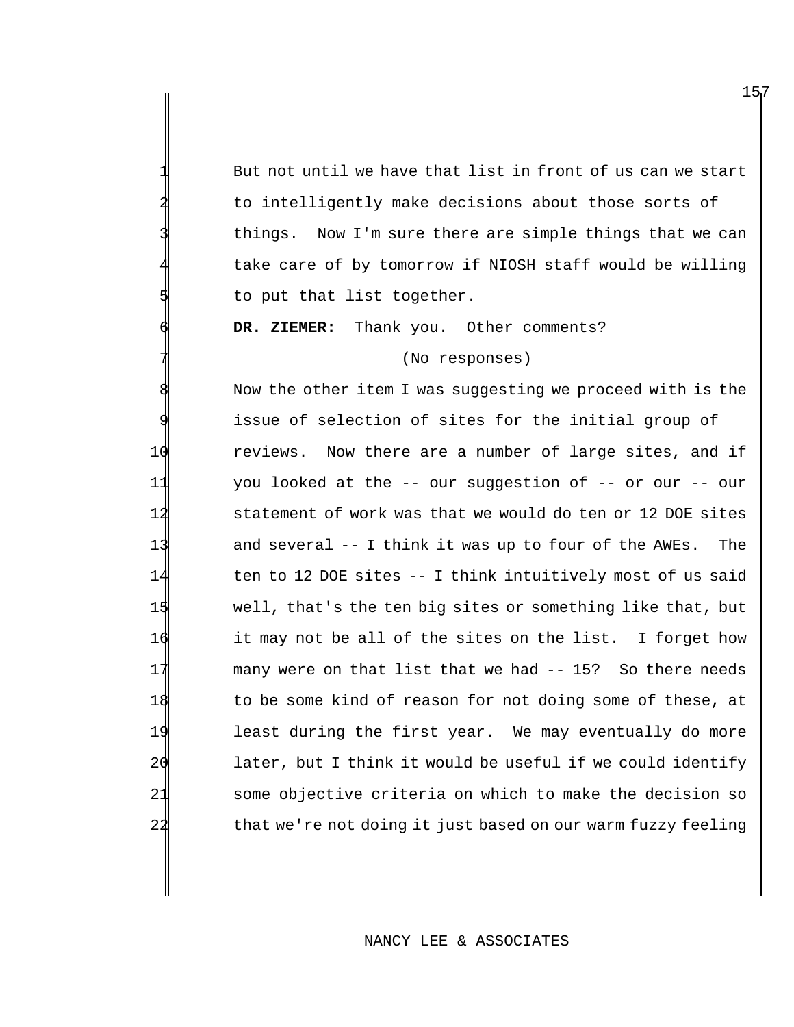But not until we have that list in front of us can we start to intelligently make decisions about those sorts of things. Now I'm sure there are simple things that we can take care of by tomorrow if NIOSH staff would be willing to put that list together.

DR. ZIEMER: Thank you. Other comments?

(No responses)

Now the other item I was suggesting we proceed with is the issue of selection of sites for the initial group of reviews. Now there are a number of large sites, and if you looked at the -- our suggestion of -- or our -- our statement of work was that we would do ten or 12 DOE sites and several -- I think it was up to four of the AWEs. The 14 ten to 12 DOE sites -- I think intuitively most of us said well, that's the ten big sites or something like that, but it may not be all of the sites on the list. I forget how many were on that list that we had -- 15? So there needs to be some kind of reason for not doing some of these, at least during the first year. We may eventually do more later, but I think it would be useful if we could identify some objective criteria on which to make the decision so 22 that we're not doing it just based on our warm fuzzy feeling

#### NANCY LEE & ASSOCIATES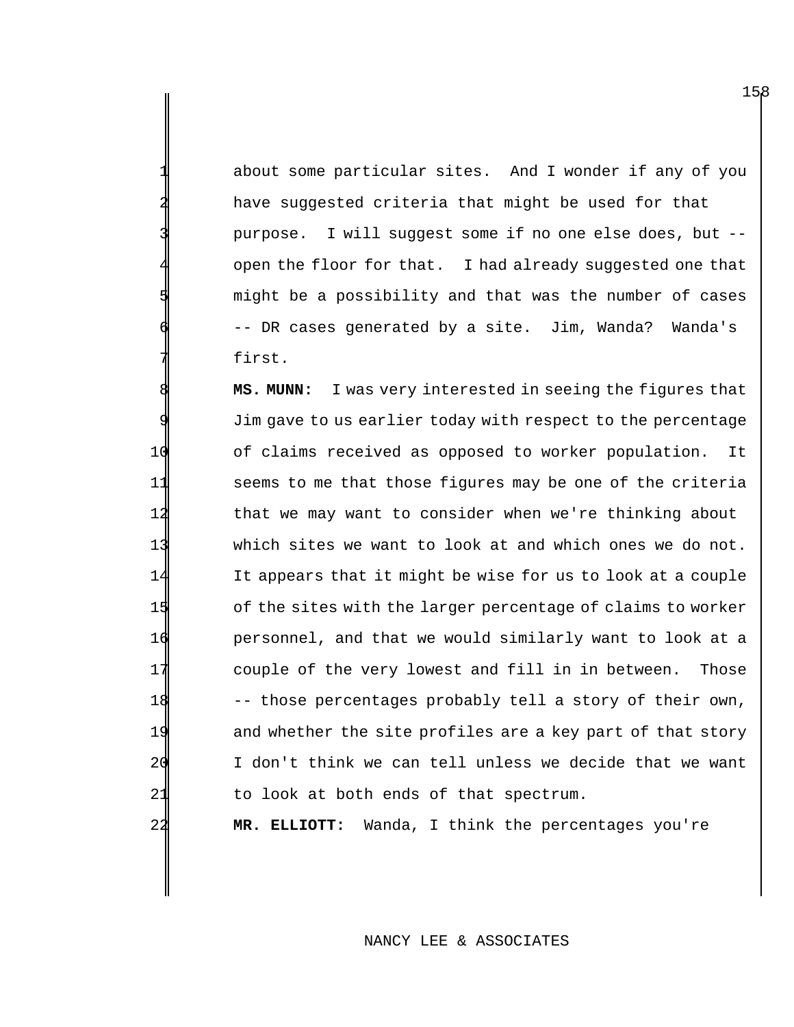about some particular sites. And I wonder if any of you have suggested criteria that might be used for that purpose. I will suggest some if no one else does, but -open the floor for that. I had already suggested one that might be a possibility and that was the number of cases -- DR cases generated by a site. Jim, Wanda? Wanda's first.

 **MS. MUNN:** I was very interested in seeing the figures that Jim gave to us earlier today with respect to the percentage of claims received as opposed to worker population. It seems to me that those figures may be one of the criteria 12 that we may want to consider when we're thinking about which sites we want to look at and which ones we do not. It appears that it might be wise for us to look at a couple 15 of the sites with the larger percentage of claims to worker 16 personnel, and that we would similarly want to look at a couple of the very lowest and fill in in between. Those -- those percentages probably tell a story of their own, and whether the site profiles are a key part of that story I don't think we can tell unless we decide that we want 21 to look at both ends of that spectrum.

22 **MR. ELLIOTT:** Wanda, I think the percentages you're

# NANCY LEE & ASSOCIATES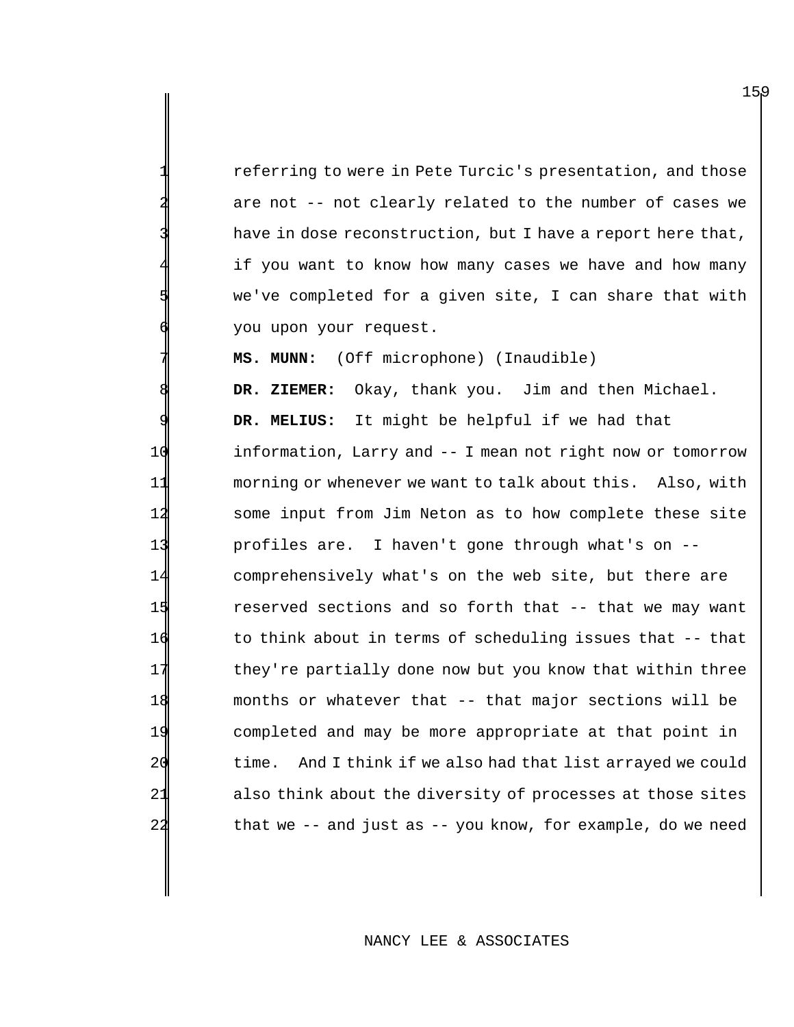referring to were in Pete Turcic's presentation, and those are not -- not clearly related to the number of cases we have in dose reconstruction, but I have a report here that, if you want to know how many cases we have and how many we've completed for a given site, I can share that with you upon your request.

**MS. MUNN:** (Off microphone) (Inaudible)

DR. ZIEMER: Okay, thank you. Jim and then Michael. DR. MELIUS: It might be helpful if we had that 10 information, Larry and -- I mean not right now or tomorrow 11 morning or whenever we want to talk about this. Also, with 12 some input from Jim Neton as to how complete these site 13 profiles are. I haven't gone through what's on -- 14 comprehensively what's on the web site, but there are 15 **reserved sections and so forth that -- that we may want** 16 to think about in terms of scheduling issues that -- that 17 they're partially done now but you know that within three 18 months or whatever that -- that major sections will be 19 completed and may be more appropriate at that point in 20 time. And I think if we also had that list arrayed we could 21 also think about the diversity of processes at those sites 22 that we -- and just as -- you know, for example, do we need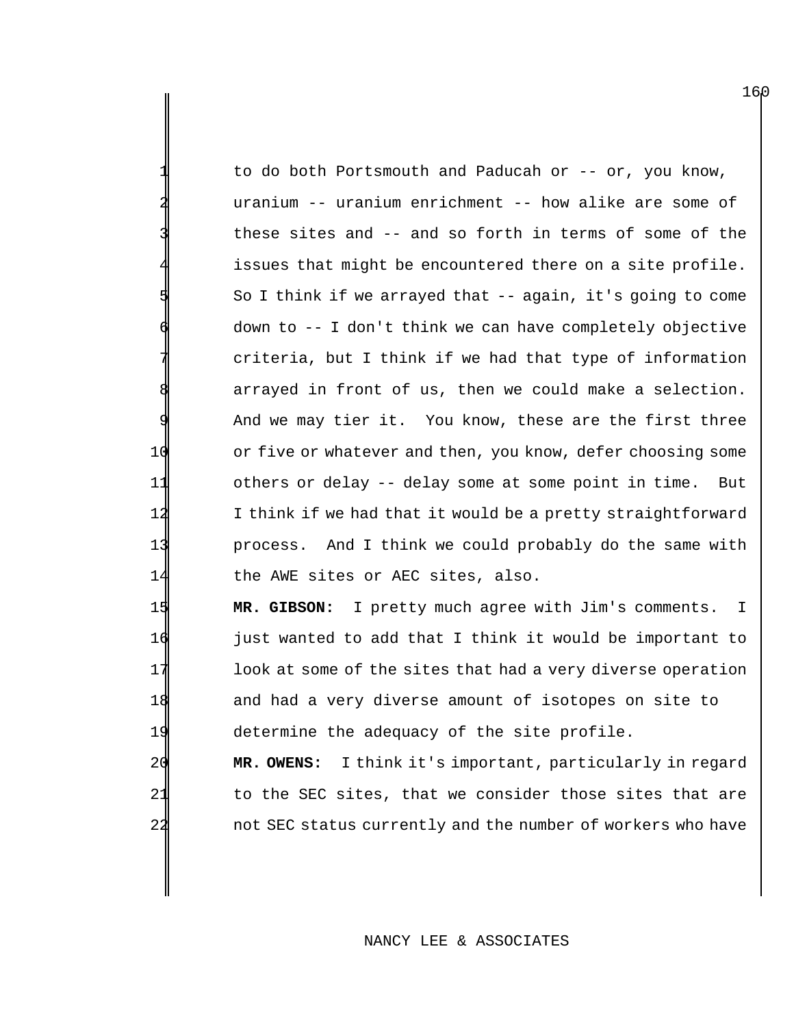to do both Portsmouth and Paducah or  $-$ - or, you know, uranium -- uranium enrichment -- how alike are some of these sites and -- and so forth in terms of some of the issues that might be encountered there on a site profile. 5 So I think if we arrayed that -- again, it's going to come down to -- I don't think we can have completely objective criteria, but I think if we had that type of information arrayed in front of us, then we could make a selection. And we may tier it. You know, these are the first three 10 or five or whatever and then, you know, defer choosing some 11 others or delay -- delay some at some point in time. But 12 I think if we had that it would be a pretty straightforward 13 process. And I think we could probably do the same with 14 the AWE sites or AEC sites, also.

 **MR. GIBSON:** I pretty much agree with Jim's comments. I 16 iust wanted to add that I think it would be important to look at some of the sites that had a very diverse operation and had a very diverse amount of isotopes on site to determine the adequacy of the site profile.

20 **MR. OWENS:** I think it's important, particularly in regard 21 to the SEC sites, that we consider those sites that are 22 not SEC status currently and the number of workers who have

#### NANCY LEE & ASSOCIATES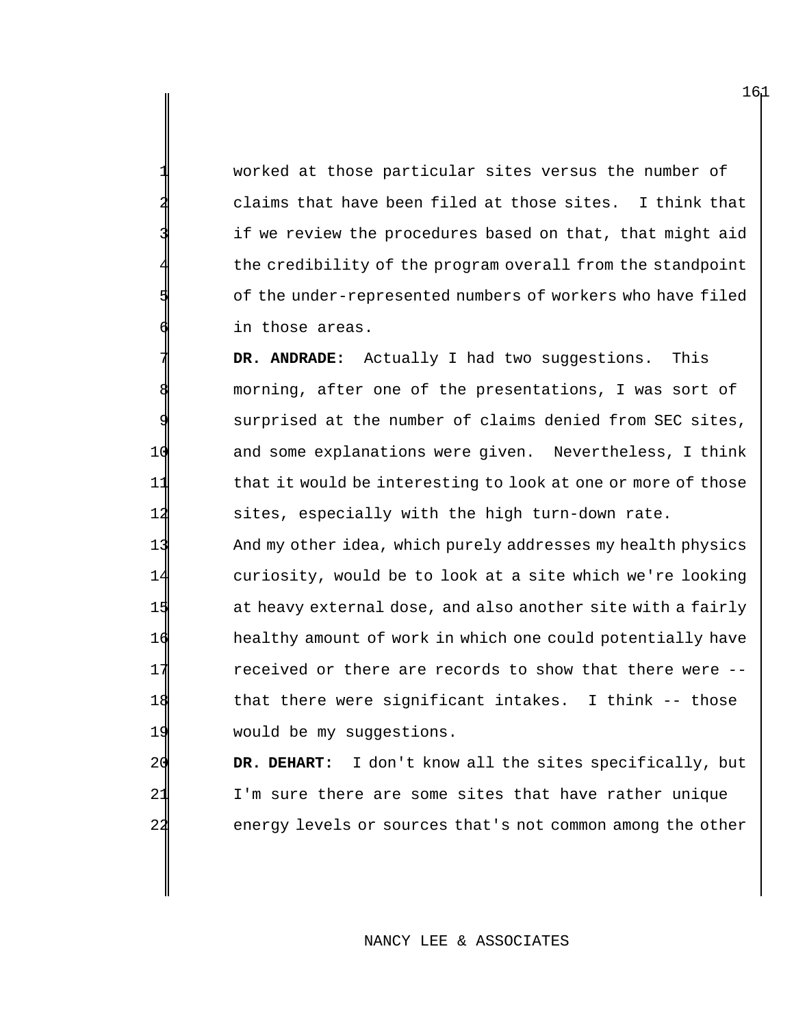worked at those particular sites versus the number of claims that have been filed at those sites. I think that if we review the procedures based on that, that might aid the credibility of the program overall from the standpoint of the under-represented numbers of workers who have filed in those areas.

DR. ANDRADE: Actually I had two suggestions. This morning, after one of the presentations, I was sort of surprised at the number of claims denied from SEC sites, 10 and some explanations were given. Nevertheless, I think 11 that it would be interesting to look at one or more of those 12 sites, especially with the high turn-down rate.

 And my other idea, which purely addresses my health physics curiosity, would be to look at a site which we're looking 15 at heavy external dose, and also another site with a fairly healthy amount of work in which one could potentially have received or there are records to show that there were -- that there were significant intakes. I think -- those 19 would be my suggestions.

20 **DR. DEHART:** I don't know all the sites specifically, but 21 I'm sure there are some sites that have rather unique 22 energy levels or sources that's not common among the other

### NANCY LEE & ASSOCIATES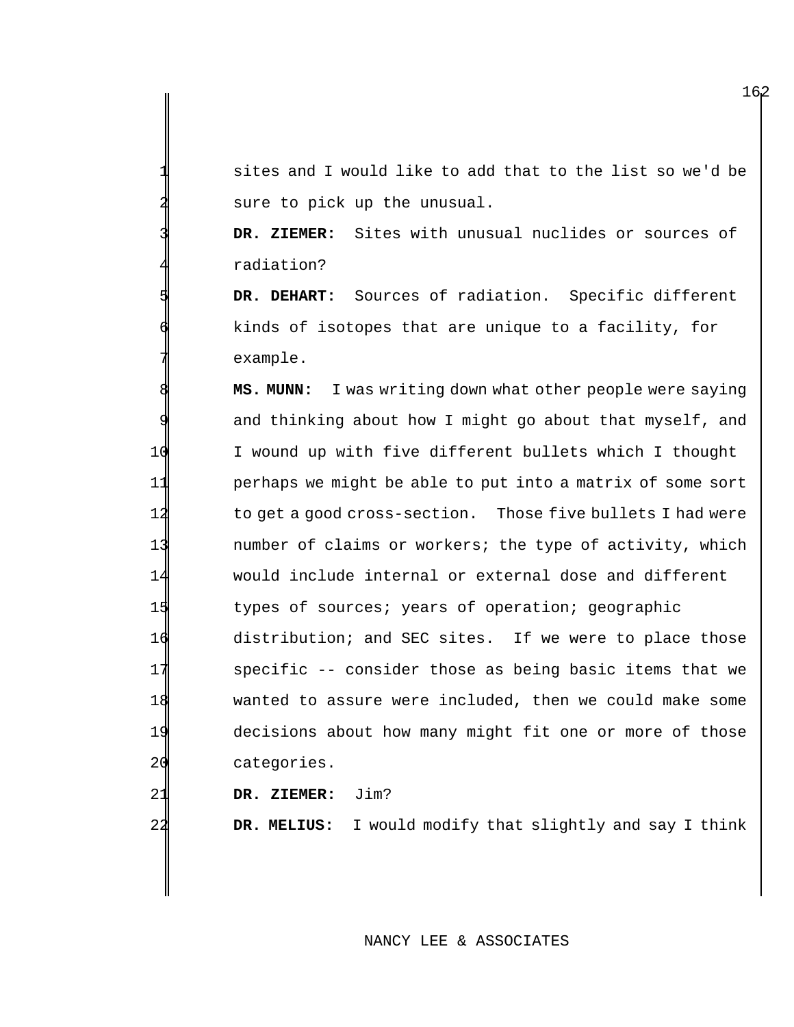sites and I would like to add that to the list so we'd be sure to pick up the unusual.

 **DR. ZIEMER:** Sites with unusual nuclides or sources of radiation?

DR. DEHART: Sources of radiation. Specific different kinds of isotopes that are unique to a facility, for example.

 **MS. MUNN:** I was writing down what other people were saying and thinking about how I might go about that myself, and I wound up with five different bullets which I thought perhaps we might be able to put into a matrix of some sort to get a good cross-section. Those five bullets I had were number of claims or workers; the type of activity, which would include internal or external dose and different types of sources; years of operation; geographic distribution; and SEC sites. If we were to place those specific -- consider those as being basic items that we wanted to assure were included, then we could make some decisions about how many might fit one or more of those 20 categories.

**DR. ZIEMER:** Jim?

**DR. MELIUS:** I would modify that slightly and say I think

### NANCY LEE & ASSOCIATES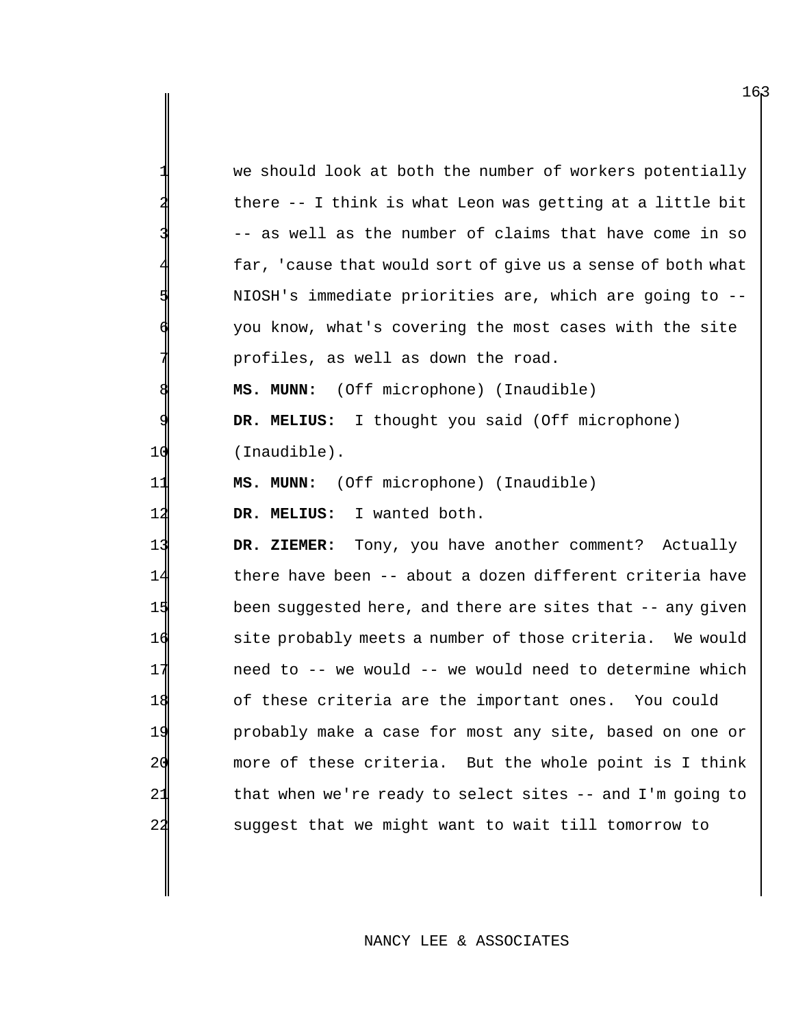|                | we should look at both the number of workers potentially    |
|----------------|-------------------------------------------------------------|
|                | there -- I think is what Leon was getting at a little bit   |
|                | -- as well as the number of claims that have come in so     |
|                | far, 'cause that would sort of give us a sense of both what |
|                | NIOSH's immediate priorities are, which are going to --     |
|                | you know, what's covering the most cases with the site      |
|                | profiles, as well as down the road.                         |
|                | (Off microphone) (Inaudible)<br>MS. MUNN:                   |
|                | DR. MELIUS: I thought you said (Off microphone)             |
| 10             | (Inaudible).                                                |
| 11             | MS. MUNN: (Off microphone) (Inaudible)                      |
| 12             | DR. MELIUS: I wanted both.                                  |
| 13             | DR. ZIEMER: Tony, you have another comment? Actually        |
| 14             | there have been -- about a dozen different criteria have    |
| 15             | been suggested here, and there are sites that -- any given  |
| 16             | site probably meets a number of those criteria. We would    |
| 17             | need to -- we would -- we would need to determine which     |
| 18             | of these criteria are the important ones. You could         |
| 19             | probably make a case for most any site, based on one or     |
| 20             | more of these criteria. But the whole point is I think      |
| 21             | that when we're ready to select sites -- and I'm going to   |
| 2 <sub>2</sub> | suggest that we might want to wait till tomorrow to         |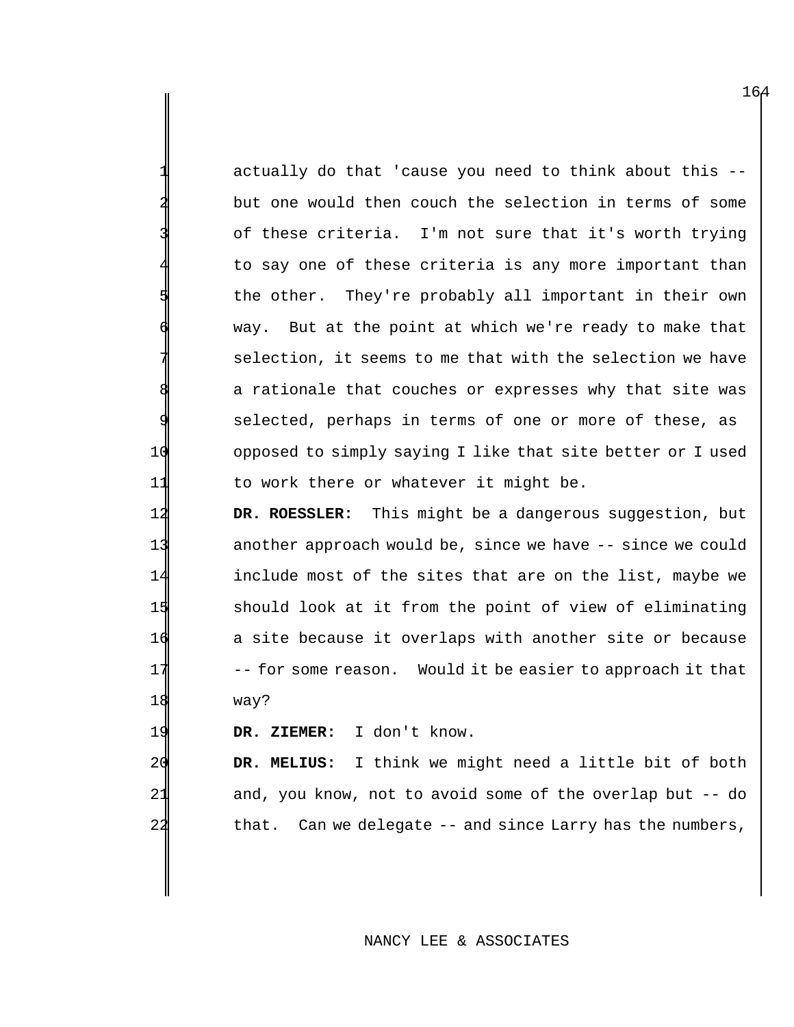actually do that 'cause you need to think about this -but one would then couch the selection in terms of some of these criteria. I'm not sure that it's worth trying to say one of these criteria is any more important than the other. They're probably all important in their own way. But at the point at which we're ready to make that selection, it seems to me that with the selection we have a rationale that couches or expresses why that site was selected, perhaps in terms of one or more of these, as 10 opposed to simply saying I like that site better or I used 11 to work there or whatever it might be.

 **DR. ROESSLER:** This might be a dangerous suggestion, but another approach would be, since we have -- since we could include most of the sites that are on the list, maybe we should look at it from the point of view of eliminating a site because it overlaps with another site or because -- for some reason. Would it be easier to approach it that 18 way?

19 **DR. ZIEMER:** I don't know.

20 **DR. MELIUS:** I think we might need a little bit of both 21 and, you know, not to avoid some of the overlap but -- do 22 that. Can we delegate -- and since Larry has the numbers,

### NANCY LEE & ASSOCIATES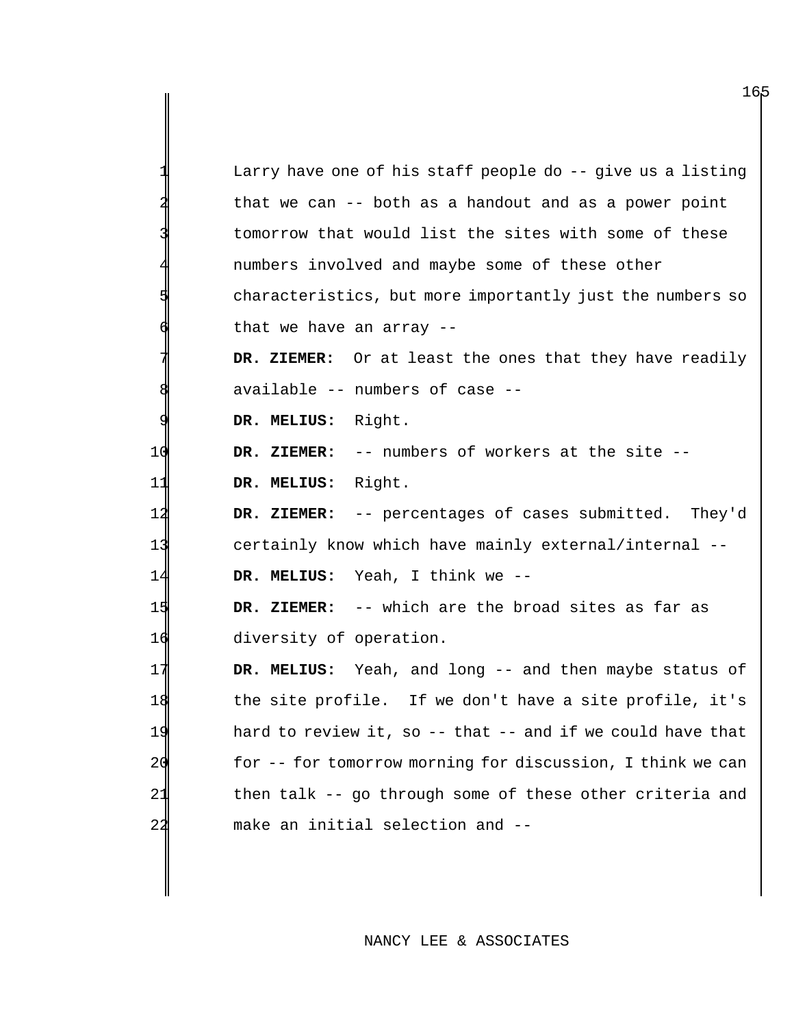|             | Larry have one of his staff people do -- give us a listing |
|-------------|------------------------------------------------------------|
|             | that we can -- both as a handout and as a power point      |
|             | tomorrow that would list the sites with some of these      |
|             | numbers involved and maybe some of these other             |
|             | characteristics, but more importantly just the numbers so  |
|             | that we have an array --                                   |
|             | DR. ZIEMER: Or at least the ones that they have readily    |
|             | available -- numbers of case --                            |
|             | DR. MELIUS: Right.                                         |
| 10          | DR. ZIEMER: -- numbers of workers at the site --           |
| 11          | DR. MELIUS: Right.                                         |
| 12          | DR. ZIEMER: -- percentages of cases submitted. They'd      |
| $\mathbf 1$ | certainly know which have mainly external/internal --      |
| 14          | DR. MELIUS: Yeah, I think we --                            |
| 15          | DR. ZIEMER: -- which are the broad sites as far as         |
| 16          | diversity of operation.                                    |
| 17          | DR. MELIUS: Yeah, and long -- and then maybe status of     |
| 18          | the site profile. If we don't have a site profile, it's    |
|             | hard to review it, so -- that -- and if we could have that |
| 20          | for -- for tomorrow morning for discussion, I think we can |
| 21          | then talk -- go through some of these other criteria and   |
| 22          | make an initial selection and --                           |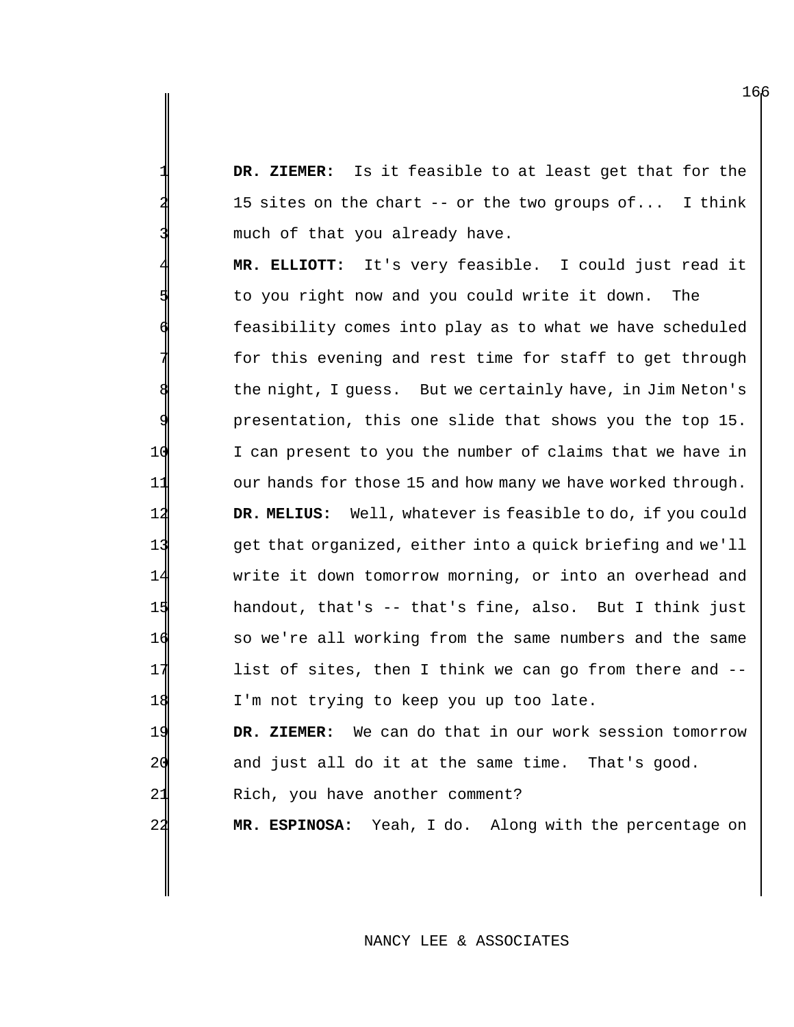DR. ZIEMER: Is it feasible to at least get that for the 15 sites on the chart  $--$  or the two groups of... I think much of that you already have.

 **MR. ELLIOTT:** It's very feasible. I could just read it to you right now and you could write it down. The feasibility comes into play as to what we have scheduled for this evening and rest time for staff to get through the night, I guess. But we certainly have, in Jim Neton's presentation, this one slide that shows you the top 15. I can present to you the number of claims that we have in 11 our hands for those 15 and how many we have worked through. **DR. MELIUS:** Well, whatever is feasible to do, if you could get that organized, either into a quick briefing and we'll write it down tomorrow morning, or into an overhead and handout, that's -- that's fine, also. But I think just so we're all working from the same numbers and the same list of sites, then I think we can go from there and -- I'm not trying to keep you up too late. **DR. ZIEMER:** We can do that in our work session tomorrow

20 and just all do it at the same time. That's good. 24 Rich, you have another comment?

22 **MR. ESPINOSA:** Yeah, I do. Along with the percentage on

NANCY LEE & ASSOCIATES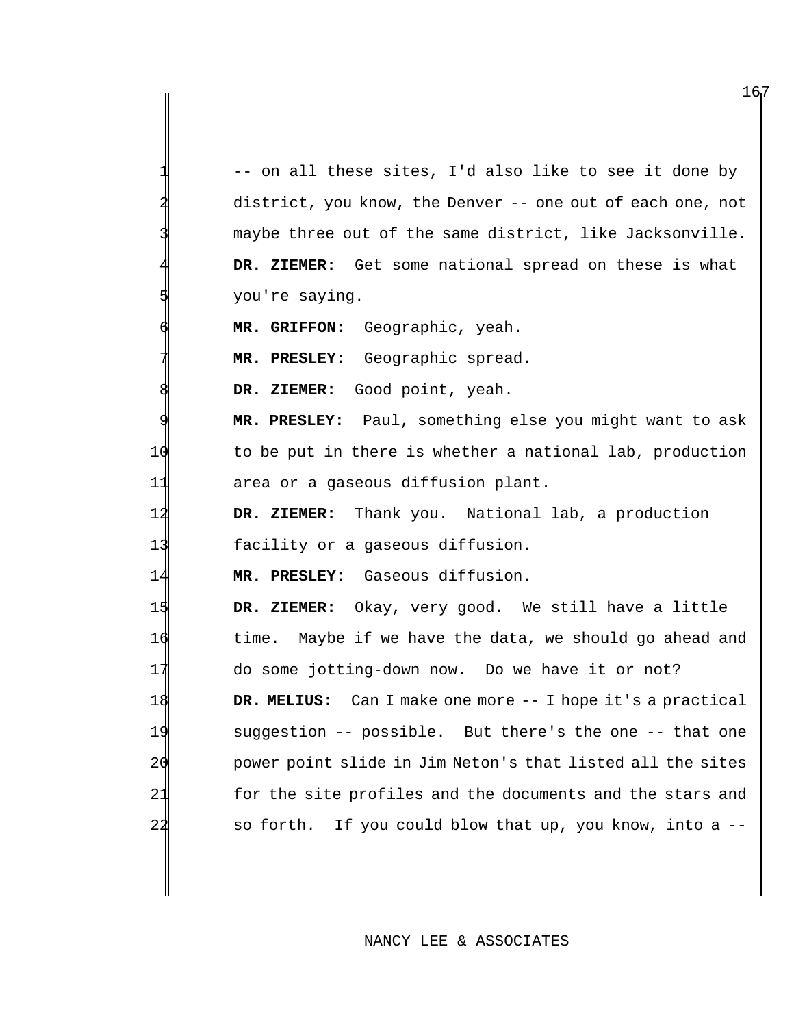|                | -- on all these sites, I'd also like to see it done by            |
|----------------|-------------------------------------------------------------------|
|                | district, you know, the Denver -- one out of each one, not        |
|                | maybe three out of the same district, like Jacksonville.          |
|                | DR. ZIEMER: Get some national spread on these is what             |
|                | you're saying.                                                    |
|                | MR. GRIFFON: Geographic, yeah.                                    |
|                | MR. PRESLEY: Geographic spread.                                   |
|                | Good point, yeah.<br>DR. ZIEMER:                                  |
|                | MR. PRESLEY: Paul, something else you might want to ask           |
| 1 C            | to be put in there is whether a national lab, production          |
| 11             | area or a gaseous diffusion plant.                                |
| 12             | Thank you. National lab, a production<br>DR. ZIEMER:              |
| 13             | facility or a gaseous diffusion.                                  |
| 14             | Gaseous diffusion.<br>MR. PRESLEY:                                |
| 15             | Okay, very good. We still have a little<br>DR. ZIEMER:            |
| 16             | Maybe if we have the data, we should go ahead and<br>time.        |
| 17             | do some jotting-down now. Do we have it or not?                   |
| 18             | <b>DR. MELIUS:</b> Can I make one more -- I hope it's a practical |
| 19             | suggestion -- possible. But there's the one -- that one           |
| 20             | power point slide in Jim Neton's that listed all the sites        |
| 21             | for the site profiles and the documents and the stars and         |
| 2 <sub>2</sub> | If you could blow that up, you know, into a --<br>so forth.       |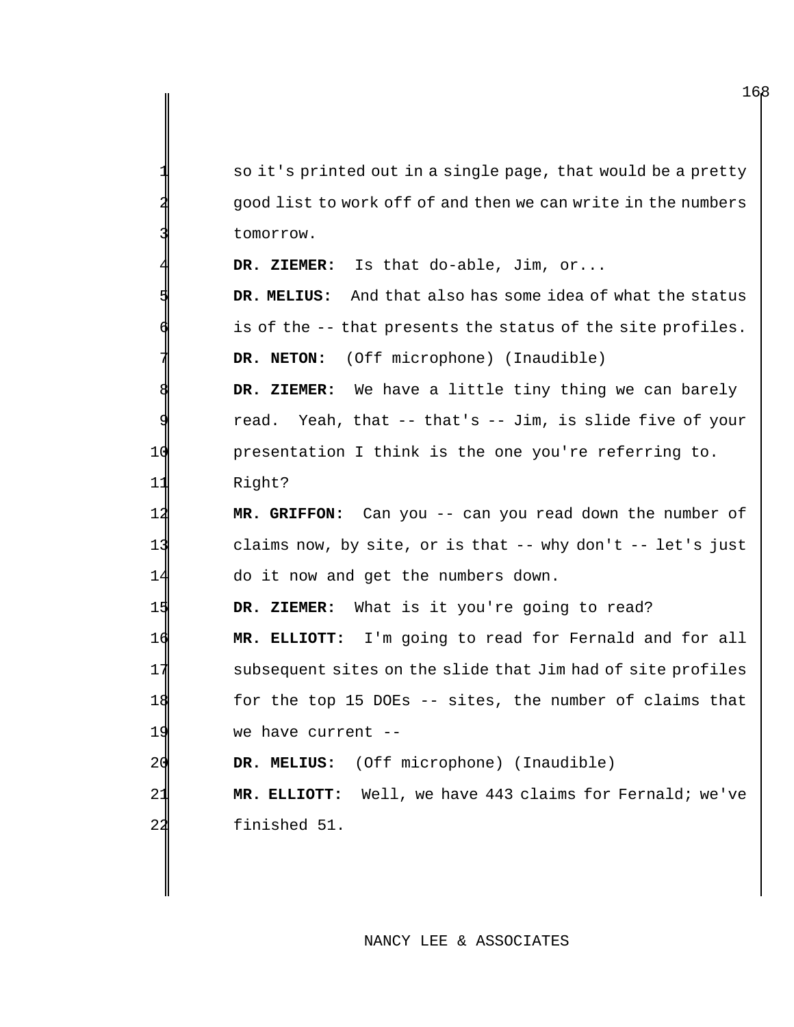so it's printed out in a single page, that would be a pretty good list to work off of and then we can write in the numbers tomorrow.

DR. ZIEMER: Is that do-able, Jim, or...

 **DR. MELIUS:** And that also has some idea of what the status is of the -- that presents the status of the site profiles. DR. NETON: (Off microphone) (Inaudible)

 **DR. ZIEMER:** We have a little tiny thing we can barely read. Yeah, that -- that's -- Jim, is slide five of your presentation I think is the one you're referring to.

Right?

14 MR. GRIFFON: Can you -- can you read down the number of claims now, by site, or is that -- why don't -- let's just 14 do it now and get the numbers down.

**DR. ZIEMER:** What is it you're going to read?

 **MR. ELLIOTT:** I'm going to read for Fernald and for all subsequent sites on the slide that Jim had of site profiles for the top 15 DOEs -- sites, the number of claims that we have current --

**DR. MELIUS:** (Off microphone) (Inaudible)

 **MR. ELLIOTT:** Well, we have 443 claims for Fernald; we've finished 51.

NANCY LEE & ASSOCIATES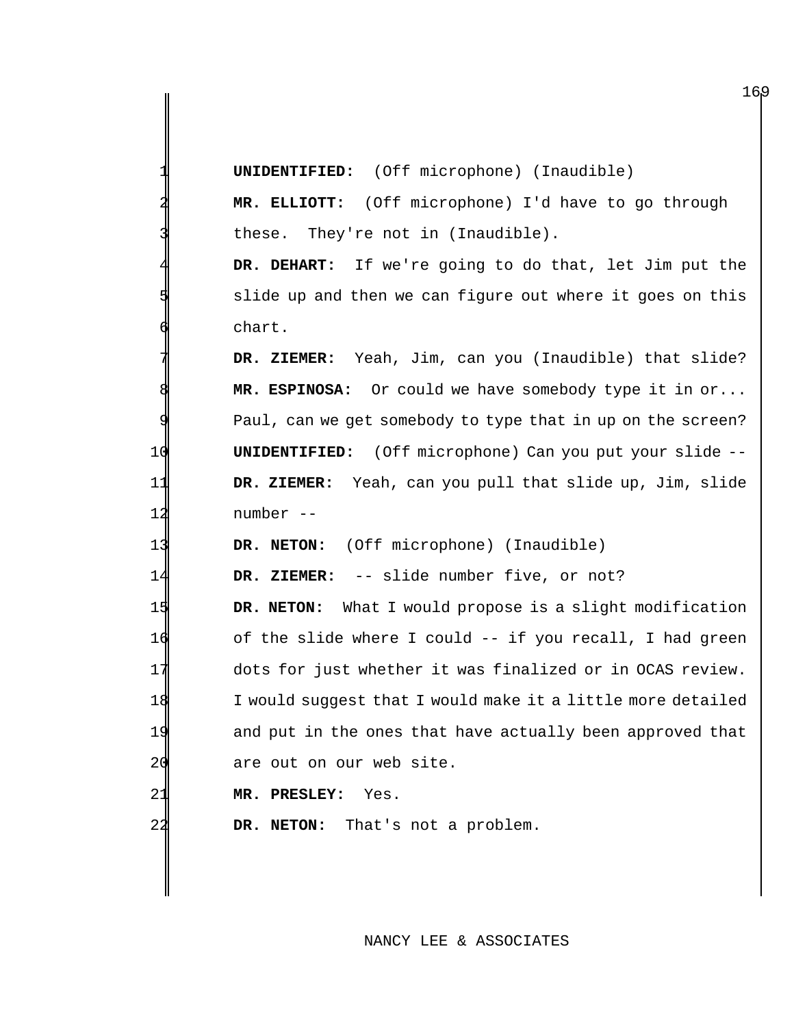|                | <b>UNIDENTIFIED:</b> (Off microphone) (Inaudible)               |
|----------------|-----------------------------------------------------------------|
|                | MR. ELLIOTT: (Off microphone) I'd have to go through            |
|                | They're not in (Inaudible).<br>these.                           |
|                | DR. DEHART: If we're going to do that, let Jim put the          |
|                | slide up and then we can figure out where it goes on this       |
|                | chart.                                                          |
|                | DR. ZIEMER: Yeah, Jim, can you (Inaudible) that slide?          |
|                | MR. ESPINOSA: Or could we have somebody type it in or           |
|                | Paul, can we get somebody to type that in up on the screen?     |
| 10             | <b>UNIDENTIFIED:</b> (Off microphone) Can you put your slide -- |
| 11             | DR. ZIEMER: Yeah, can you pull that slide up, Jim, slide        |
| 12             | number --                                                       |
| 13             | DR. NETON: (Off microphone) (Inaudible)                         |
| 14             | DR. ZIEMER: -- slide number five, or not?                       |
| 15             | DR. NETON: What I would propose is a slight modification        |
| 16             | of the slide where I could -- if you recall, I had green        |
| 17             | dots for just whether it was finalized or in OCAS review.       |
| 18             | I would suggest that I would make it a little more detailed     |
| 19             | and put in the ones that have actually been approved that       |
| 2 <sub>c</sub> | are out on our web site.                                        |
| 21             | MR. PRESLEY:<br>Yes.                                            |
| 2 <sub>2</sub> | That's not a problem.<br>DR. NETON:                             |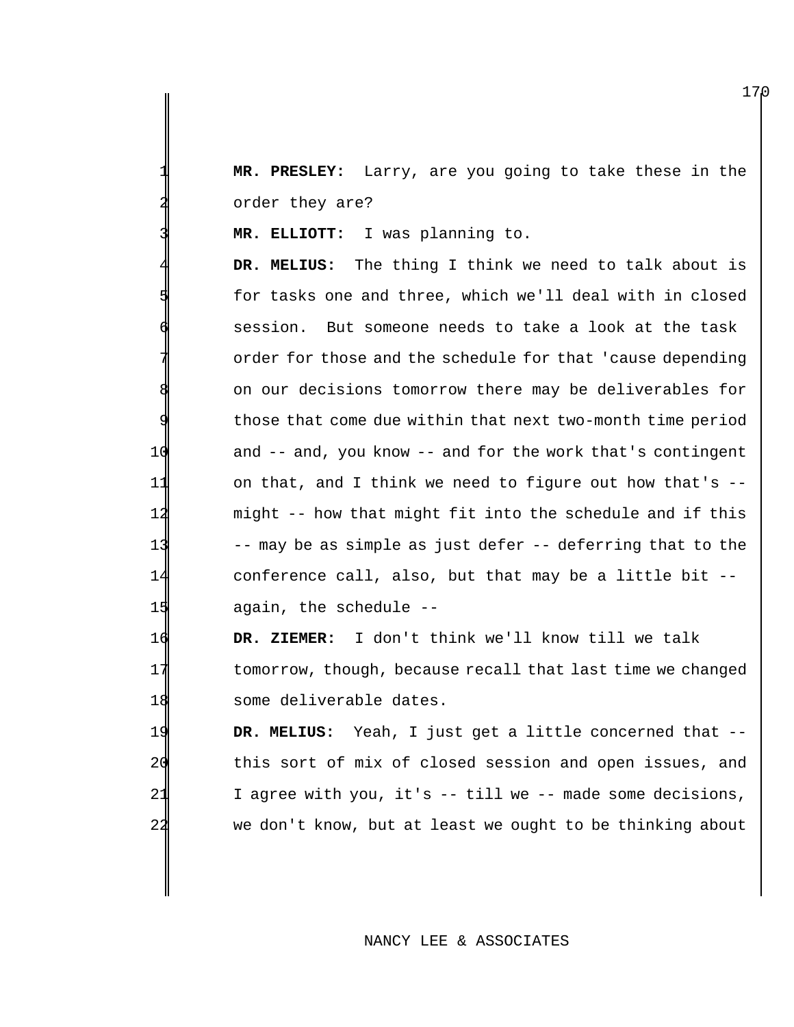**MR. PRESLEY:** Larry, are you going to take these in the order they are?

**MR. ELLIOTT:** I was planning to.

DR. MELIUS: The thing I think we need to talk about is for tasks one and three, which we'll deal with in closed session. But someone needs to take a look at the task order for those and the schedule for that 'cause depending on our decisions tomorrow there may be deliverables for those that come due within that next two-month time period and -- and, you know -- and for the work that's contingent on that, and I think we need to figure out how that's -- might -- how that might fit into the schedule and if this -- may be as simple as just defer -- deferring that to the conference call, also, but that may be a little bit -- again, the schedule --

 **DR. ZIEMER:** I don't think we'll know till we talk 17 tomorrow, though, because recall that last time we changed some deliverable dates.

 **DR. MELIUS:** Yeah, I just get a little concerned that -- this sort of mix of closed session and open issues, and I agree with you, it's -- till we -- made some decisions, we don't know, but at least we ought to be thinking about

### NANCY LEE & ASSOCIATES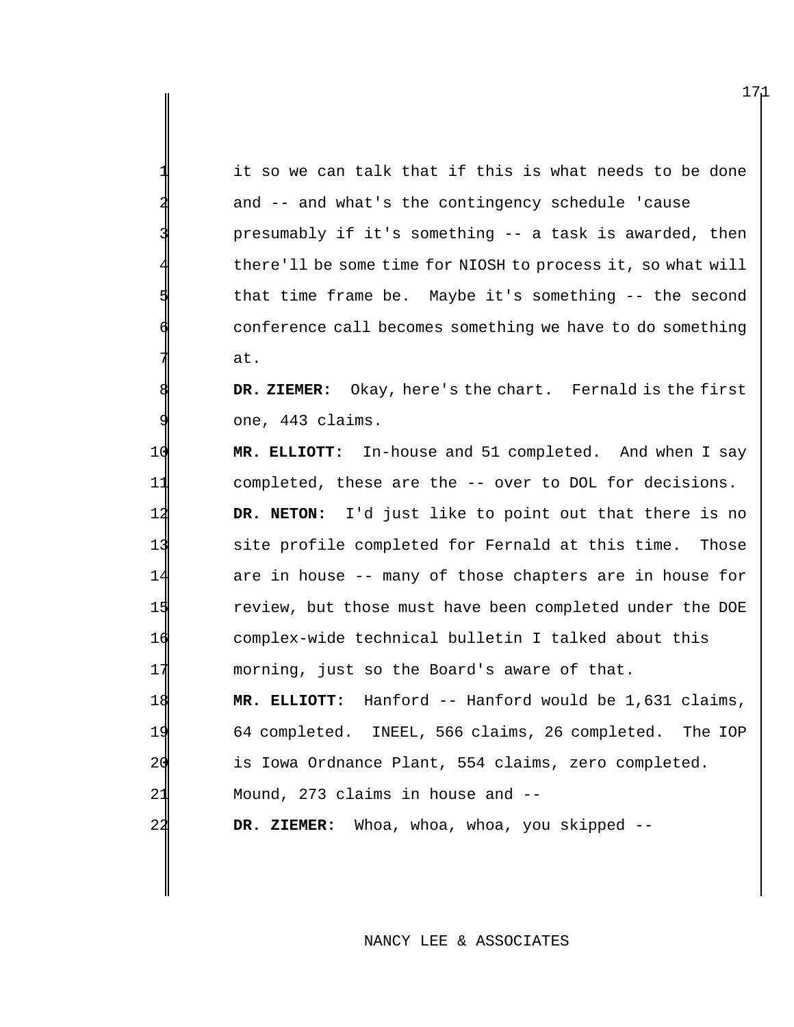|   | it so we can talk that if this is what needs to be done     |
|---|-------------------------------------------------------------|
|   | and -- and what's the contingency schedule 'cause           |
|   | presumably if it's something -- a task is awarded, then     |
|   | there'll be some time for NIOSH to process it, so what will |
| 9 | that time frame be. Maybe it's something -- the second      |
| ศ | conference call becomes something we have to do something   |
|   | at.                                                         |

 **DR. ZIEMER:** Okay, here's the chart. Fernald is the first one, 443 claims.

 **MR. ELLIOTT:** In-house and 51 completed. And when I say completed, these are the -- over to DOL for decisions. **DR. NETON:** I'd just like to point out that there is no site profile completed for Fernald at this time. Those are in house -- many of those chapters are in house for 15 review, but those must have been completed under the DOE complex-wide technical bulletin I talked about this morning, just so the Board's aware of that.

 **MR. ELLIOTT:** Hanford -- Hanford would be 1,631 claims, 64 completed. INEEL, 566 claims, 26 completed. The IOP is Iowa Ordnance Plant, 554 claims, zero completed. 21 Mound, 273 claims in house and --

**DR. ZIEMER:** Whoa, whoa, whoa, you skipped --

NANCY LEE & ASSOCIATES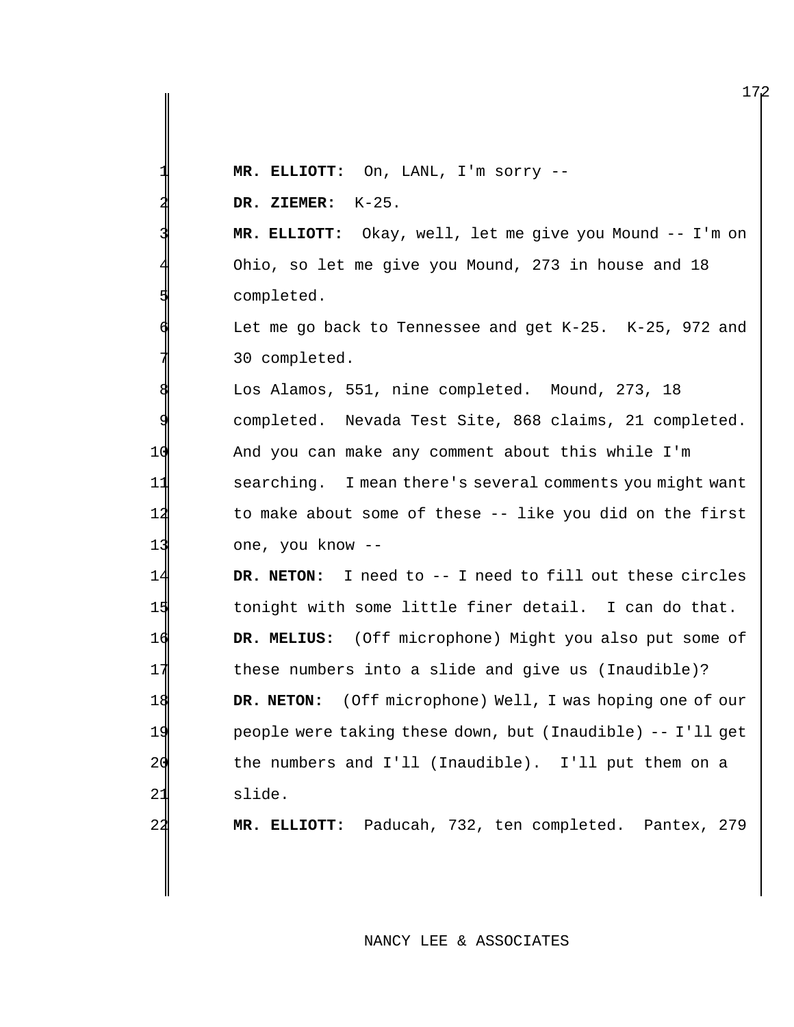|                | MR. ELLIOTT: On, LANL, I'm sorry --                           |
|----------------|---------------------------------------------------------------|
|                | DR. ZIEMER: $K-25$ .                                          |
|                | MR. ELLIOTT: Okay, well, let me give you Mound -- I'm on      |
|                | Ohio, so let me give you Mound, 273 in house and 18           |
|                | completed.                                                    |
|                | Let me go back to Tennessee and get $K-25$ . $K-25$ , 972 and |
|                | 30 completed.                                                 |
|                | Los Alamos, 551, nine completed. Mound, 273, 18               |
|                | completed. Nevada Test Site, 868 claims, 21 completed.        |
| 10             | And you can make any comment about this while I'm             |
| 11             | searching. I mean there's several comments you might want     |
| 12             | to make about some of these -- like you did on the first      |
| 13             | one, you know --                                              |
| 14             | DR. NETON: I need to -- I need to fill out these circles      |
| 15             | tonight with some little finer detail. I can do that.         |
| 16             | DR. MELIUS: (Off microphone) Might you also put some of       |
| 17             | these numbers into a slide and give us (Inaudible)?           |
| 18             | (Off microphone) Well, I was hoping one of our<br>DR. NETON:  |
| 19             | people were taking these down, but (Inaudible) -- I'll get    |
| 2 <sup>c</sup> | the numbers and I'll (Inaudible). I'll put them on a          |
| 21             | slide.                                                        |
| 2 <sup>2</sup> | Paducah, 732, ten completed. Pantex, 279<br>MR. ELLIOTT:      |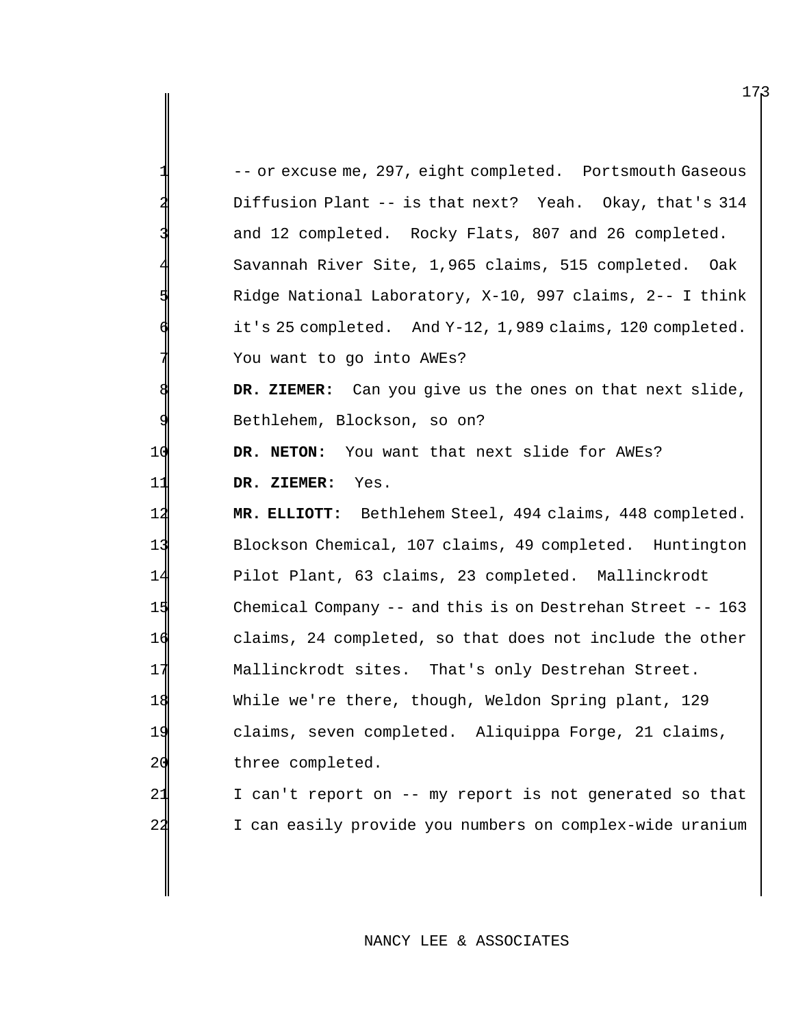|                                                          | -- or excuse me, 297, eight completed.  Portsmouth Gaseous |
|----------------------------------------------------------|------------------------------------------------------------|
|                                                          | Diffusion Plant -- is that next? Yeah. Okay, that's 314    |
|                                                          | and 12 completed. Rocky Flats, 807 and 26 completed.       |
|                                                          | Savannah River Site, 1,965 claims, 515 completed. Oak      |
|                                                          | Ridge National Laboratory, X-10, 997 claims, 2-- I think   |
|                                                          | it's 25 completed. And Y-12, 1,989 claims, 120 completed.  |
|                                                          | You want to go into AWEs?                                  |
|                                                          | DR. ZIEMER: Can you give us the ones on that next slide,   |
|                                                          | Bethlehem, Blockson, so on?                                |
| 1 d                                                      | DR. NETON: You want that next slide for AWEs?              |
| 11                                                       | DR. ZIEMER:<br>Yes.                                        |
|                                                          |                                                            |
|                                                          | MR. ELLIOTT: Bethlehem Steel, 494 claims, 448 completed.   |
|                                                          | Blockson Chemical, 107 claims, 49 completed. Huntington    |
|                                                          | Pilot Plant, 63 claims, 23 completed. Mallinckrodt         |
|                                                          | Chemical Company -- and this is on Destrehan Street -- 163 |
|                                                          | claims, 24 completed, so that does not include the other   |
|                                                          | Mallinckrodt sites. That's only Destrehan Street.          |
|                                                          | While we're there, though, Weldon Spring plant, 129        |
|                                                          | claims, seven completed. Aliquippa Forge, 21 claims,       |
|                                                          | three completed.                                           |
| 12<br>13<br>14<br>15<br>16<br>17<br>18<br>19<br>20<br>21 | I can't report on -- my report is not generated so that    |
| 22                                                       | I can easily provide you numbers on complex-wide uranium   |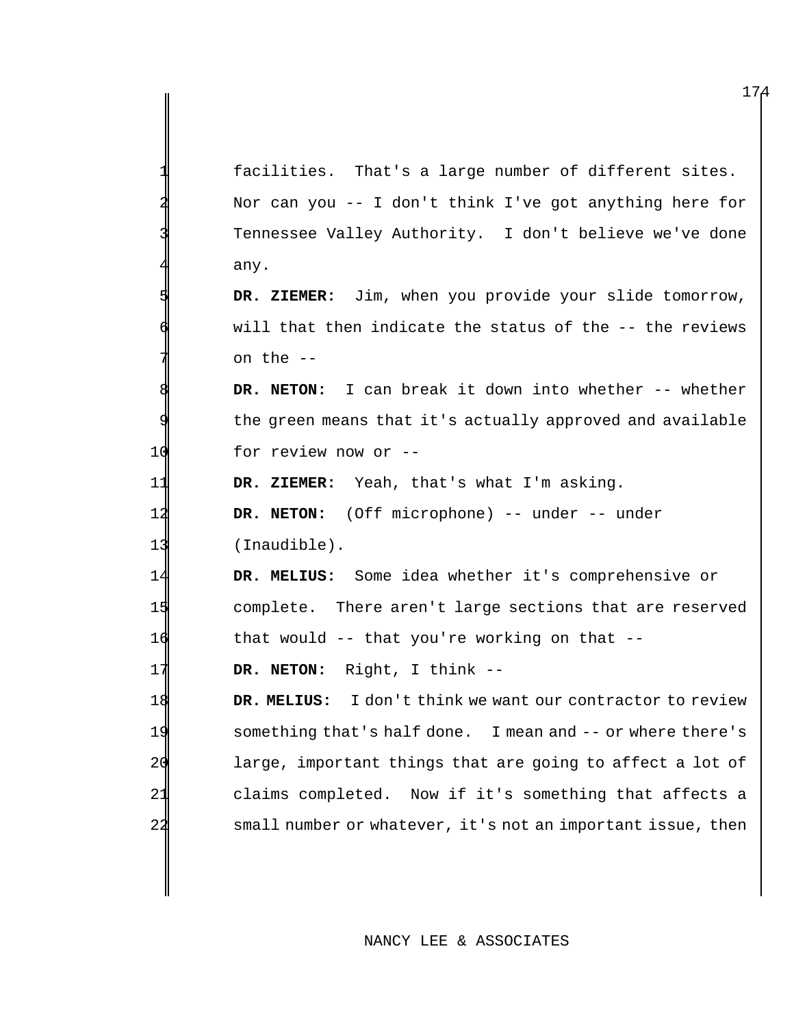facilities. That's a large number of different sites. Nor can you  $-$  I don't think I've got anything here for Tennessee Valley Authority. I don't believe we've done any. 5 **DR. ZIEMER:** Jim, when you provide your slide tomorrow, will that then indicate the status of the -- the reviews on the --**DR. NETON:** I can break it down into whether -- whether the green means that it's actually approved and available 10 for review now or -- 11 **DR. ZIEMER:** Yeah, that's what I'm asking. 12 **DR. NETON:** (Off microphone) -- under -- under 13 (Inaudible). 14 **DR. MELIUS:** Some idea whether it's comprehensive or 15 complete. There aren't large sections that are reserved 16 that would -- that you're working on that -- 17 DR. NETON: Right, I think --18 **DR. MELIUS:** I don't think we want our contractor to review 19 something that's half done. I mean and -- or where there's 20 large, important things that are going to affect a lot of 21 claims completed. Now if it's something that affects a 22 small number or whatever, it's not an important issue, then

NANCY LEE & ASSOCIATES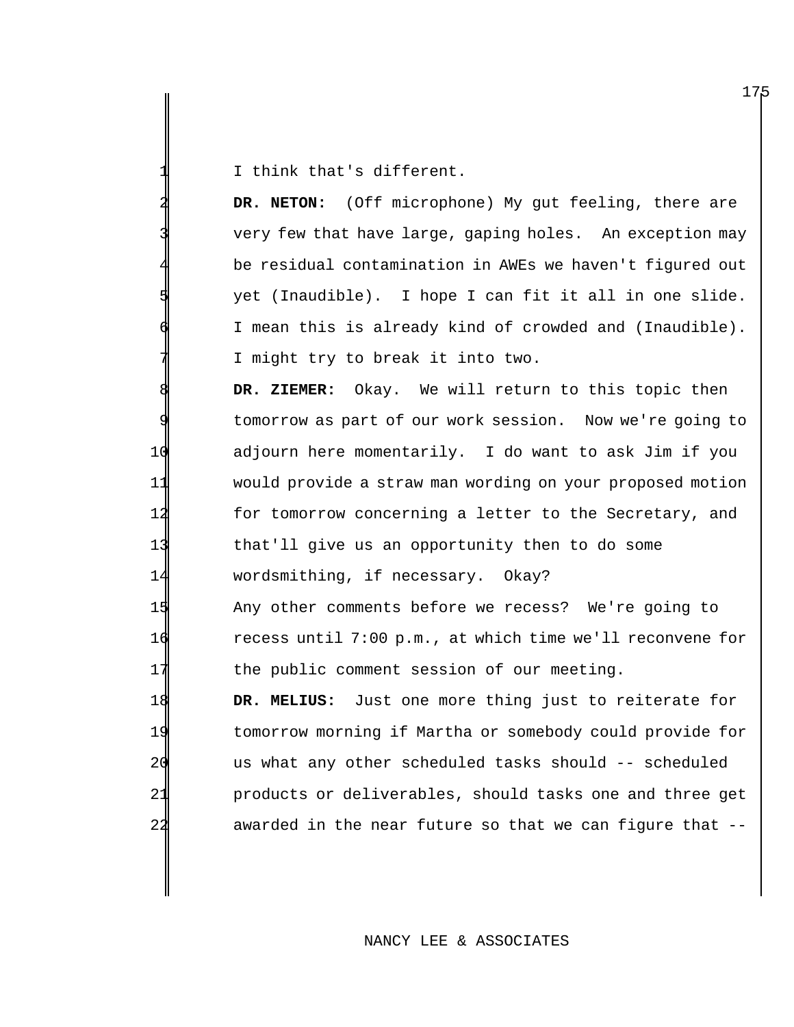I think that's different.

DR. NETON: (Off microphone) My gut feeling, there are very few that have large, gaping holes. An exception may be residual contamination in AWEs we haven't figured out yet (Inaudible). I hope I can fit it all in one slide. I mean this is already kind of crowded and (Inaudible). I might try to break it into two.

 **DR. ZIEMER:** Okay. We will return to this topic then tomorrow as part of our work session. Now we're going to adjourn here momentarily. I do want to ask Jim if you would provide a straw man wording on your proposed motion 12 for tomorrow concerning a letter to the Secretary, and that'll give us an opportunity then to do some wordsmithing, if necessary. Okay?

15 Any other comments before we recess? We're going to 16 recess until 7:00 p.m., at which time we'll reconvene for 17 the public comment session of our meeting.

 **DR. MELIUS:** Just one more thing just to reiterate for tomorrow morning if Martha or somebody could provide for us what any other scheduled tasks should -- scheduled products or deliverables, should tasks one and three get awarded in the near future so that we can figure that --

### NANCY LEE & ASSOCIATES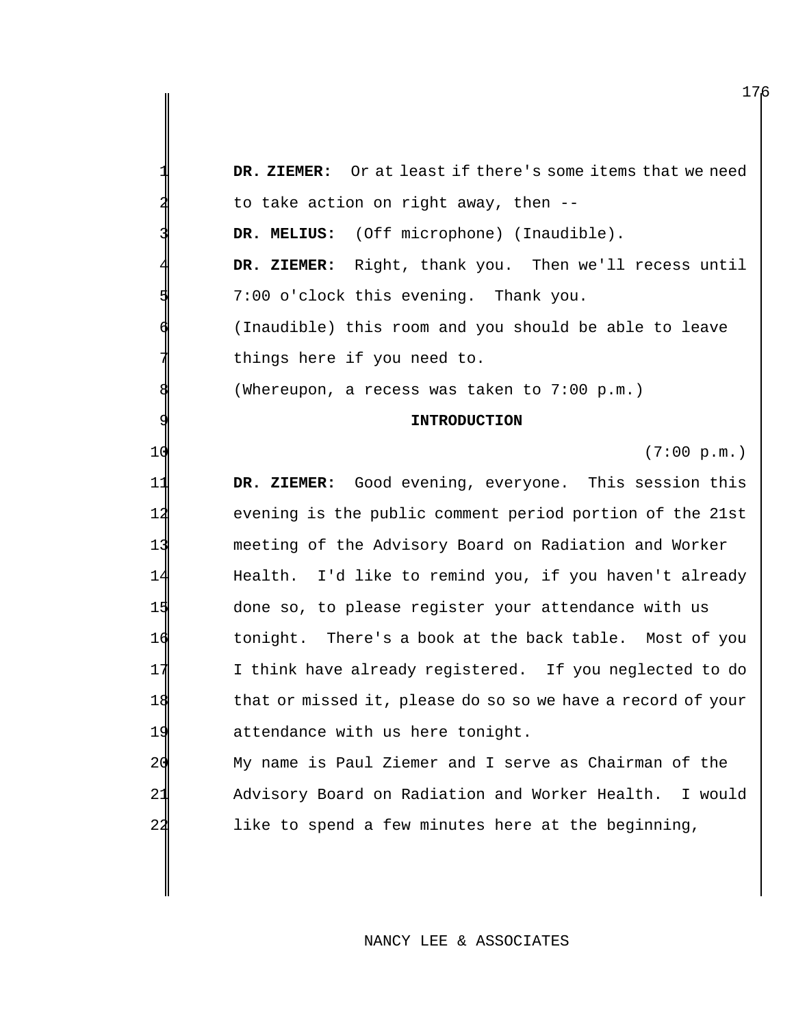|    | DR. ZIEMER: Or at least if there's some items that we need  |
|----|-------------------------------------------------------------|
|    | to take action on right away, then --                       |
|    | DR. MELIUS: (Off microphone) (Inaudible).                   |
|    | DR. ZIEMER: Right, thank you. Then we'll recess until       |
|    | 7:00 o'clock this evening. Thank you.                       |
|    | (Inaudible) this room and you should be able to leave       |
|    | things here if you need to.                                 |
|    | (Whereupon, a recess was taken to 7:00 p.m.)                |
| 9  | <b>INTRODUCTION</b>                                         |
| 10 | (7:00 p.m.)                                                 |
| 11 | DR. ZIEMER: Good evening, everyone. This session this       |
| 12 | evening is the public comment period portion of the 21st    |
| 13 | meeting of the Advisory Board on Radiation and Worker       |
| 14 | Health. I'd like to remind you, if you haven't already      |
| 15 | done so, to please register your attendance with us         |
| 16 | tonight. There's a book at the back table. Most of you      |
| 17 | I think have already registered. If you neglected to do     |
| 18 | that or missed it, please do so so we have a record of your |
| 19 | attendance with us here tonight.                            |
| 20 | My name is Paul Ziemer and I serve as Chairman of the       |
| 21 | Advisory Board on Radiation and Worker Health.<br>I would   |
| 22 | like to spend a few minutes here at the beginning,          |
|    |                                                             |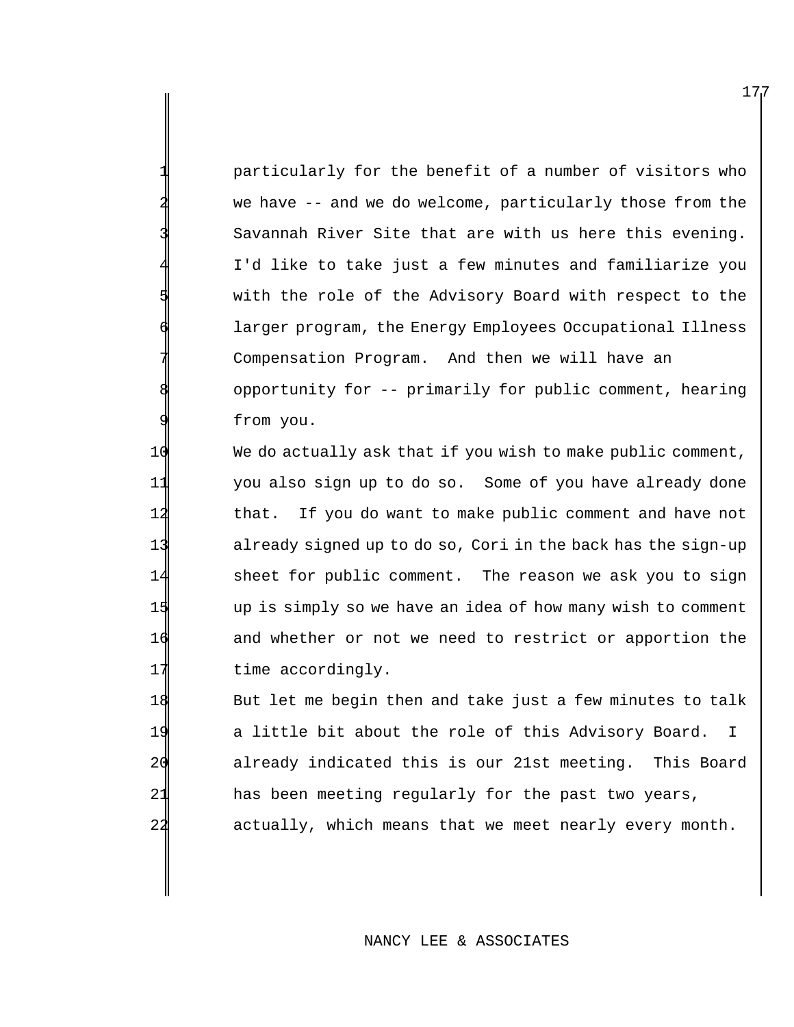particularly for the benefit of a number of visitors who we have -- and we do welcome, particularly those from the Savannah River Site that are with us here this evening. I'd like to take just a few minutes and familiarize you with the role of the Advisory Board with respect to the larger program, the Energy Employees Occupational Illness Compensation Program. And then we will have an opportunity for -- primarily for public comment, hearing from you.

 We do actually ask that if you wish to make public comment, you also sign up to do so. Some of you have already done 12 that. If you do want to make public comment and have not already signed up to do so, Cori in the back has the sign-up sheet for public comment. The reason we ask you to sign up is simply so we have an idea of how many wish to comment 16 and whether or not we need to restrict or apportion the 17 time accordingly.

 But let me begin then and take just a few minutes to talk a little bit about the role of this Advisory Board. I 20 already indicated this is our 21st meeting. This Board has been meeting regularly for the past two years, actually, which means that we meet nearly every month.

#### NANCY LEE & ASSOCIATES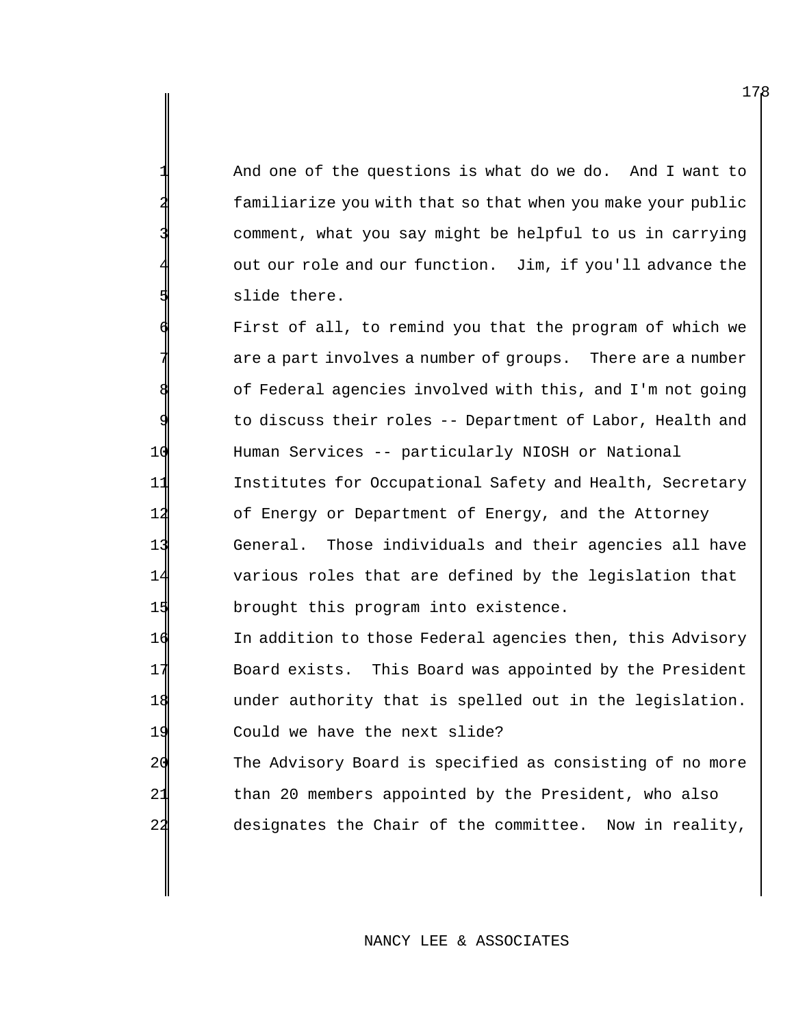And one of the questions is what do we do. And I want to familiarize you with that so that when you make your public comment, what you say might be helpful to us in carrying out our role and our function. Jim, if you'll advance the slide there.

First of all, to remind you that the program of which we are a part involves a number of groups. There are a number of Federal agencies involved with this, and I'm not going to discuss their roles -- Department of Labor, Health and Human Services -- particularly NIOSH or National Institutes for Occupational Safety and Health, Secretary 14 of Energy or Department of Energy, and the Attorney General. Those individuals and their agencies all have various roles that are defined by the legislation that brought this program into existence.

 In addition to those Federal agencies then, this Advisory Board exists. This Board was appointed by the President under authority that is spelled out in the legislation. Could we have the next slide?

 The Advisory Board is specified as consisting of no more than 20 members appointed by the President, who also designates the Chair of the committee. Now in reality,

#### NANCY LEE & ASSOCIATES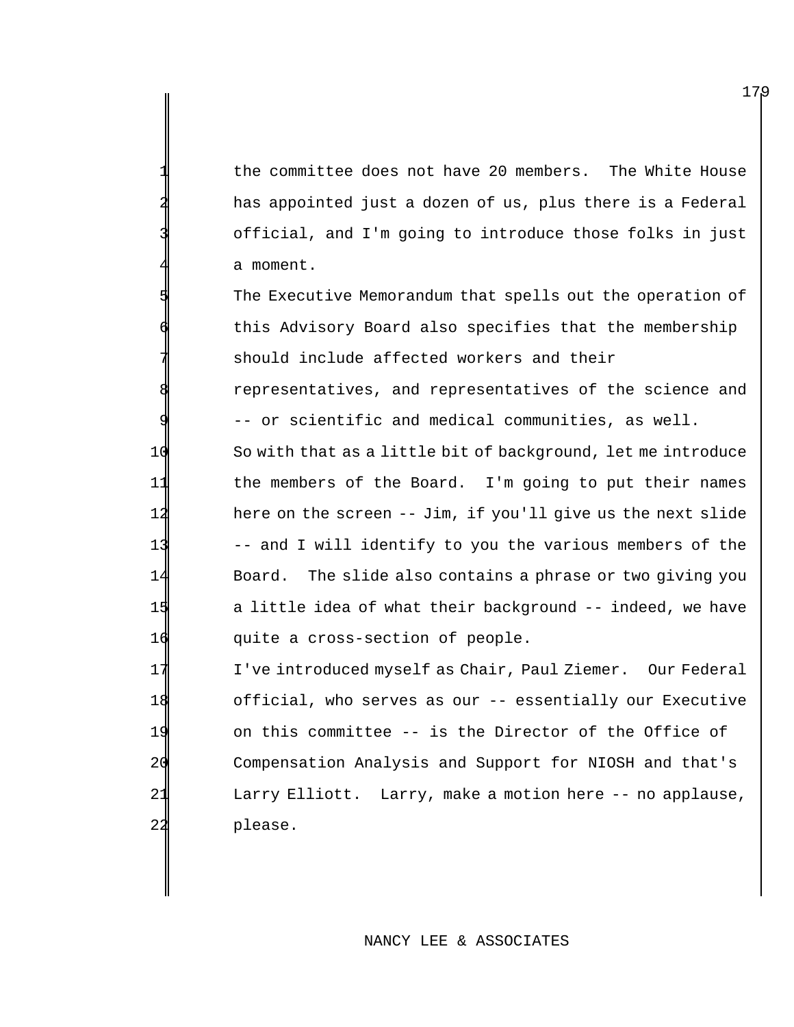the committee does not have 20 members. The White House has appointed just a dozen of us, plus there is a Federal official, and I'm going to introduce those folks in just a moment.

The Executive Memorandum that spells out the operation of this Advisory Board also specifies that the membership should include affected workers and their

representatives, and representatives of the science and -- or scientific and medical communities, as well.

 So with that as a little bit of background, let me introduce the members of the Board. I'm going to put their names 12 here on the screen -- Jim, if you'll give us the next slide -- and I will identify to you the various members of the Board. The slide also contains a phrase or two giving you a little idea of what their background -- indeed, we have 16 quite a cross-section of people.

17 I've introduced myself as Chair, Paul Ziemer. Our Federal official, who serves as our -- essentially our Executive on this committee -- is the Director of the Office of Compensation Analysis and Support for NIOSH and that's Larry Elliott. Larry, make a motion here -- no applause, 22 please.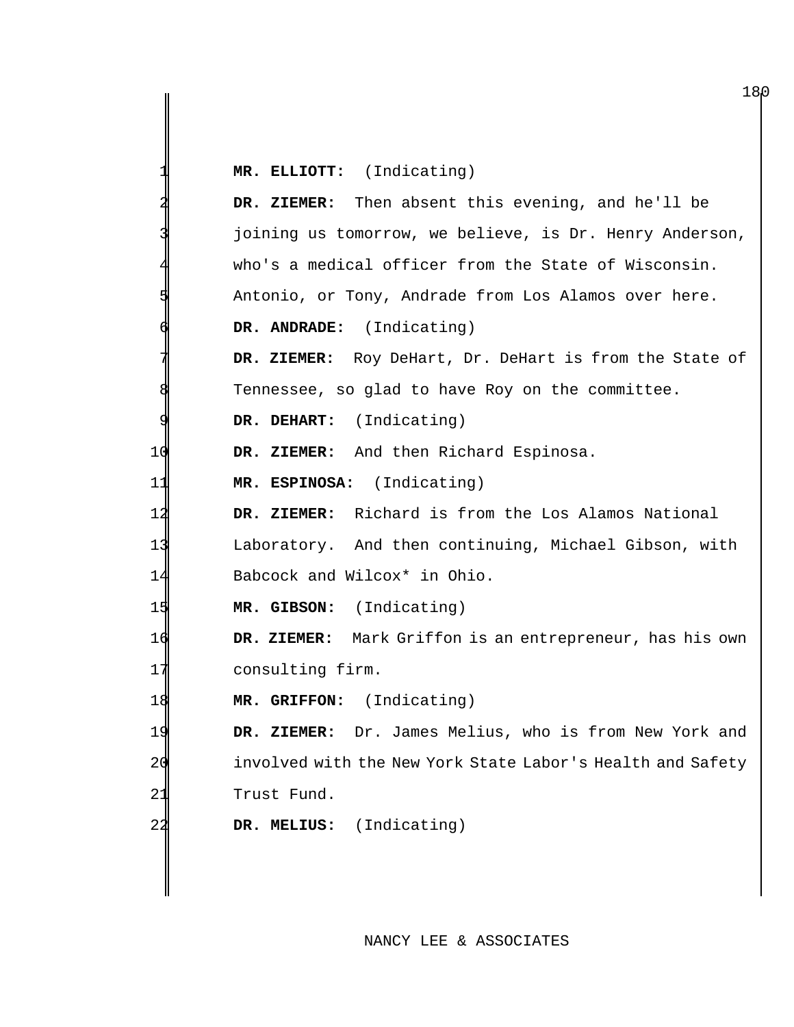|    | MR. ELLIOTT: (Indicating)                                  |
|----|------------------------------------------------------------|
|    | DR. ZIEMER: Then absent this evening, and he'll be         |
|    | joining us tomorrow, we believe, is Dr. Henry Anderson,    |
|    | who's a medical officer from the State of Wisconsin.       |
|    | Antonio, or Tony, Andrade from Los Alamos over here.       |
|    | (Indicating)<br>DR. ANDRADE:                               |
|    | DR. ZIEMER: Roy DeHart, Dr. DeHart is from the State of    |
|    | Tennessee, so glad to have Roy on the committee.           |
|    | DR. DEHART: (Indicating)                                   |
| 10 | DR. ZIEMER: And then Richard Espinosa.                     |
| 11 | MR. ESPINOSA: (Indicating)                                 |
| 12 | DR. ZIEMER: Richard is from the Los Alamos National        |
| 13 | Laboratory. And then continuing, Michael Gibson, with      |
| 14 | Babcock and Wilcox* in Ohio.                               |
| 15 | MR. GIBSON: (Indicating)                                   |
| 16 | DR. ZIEMER: Mark Griffon is an entrepreneur, has his own   |
| 17 | consulting firm.                                           |
| 18 | MR. GRIFFON: (Indicating)                                  |
| 19 | Dr. James Melius, who is from New York and<br>DR. ZIEMER:  |
| 20 | involved with the New York State Labor's Health and Safety |
| 21 | Trust Fund.                                                |
| 22 | (Indicating)<br>DR. MELIUS:                                |
|    |                                                            |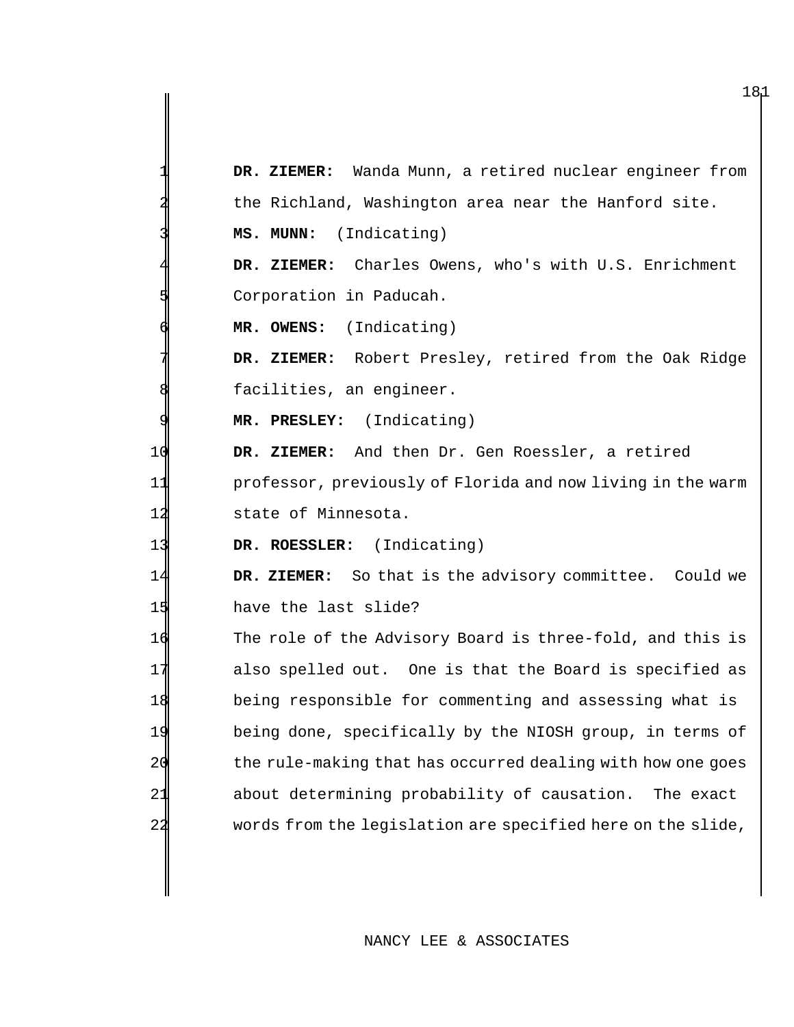|    | DR. ZIEMER: Wanda Munn, a retired nuclear engineer from     |
|----|-------------------------------------------------------------|
|    | the Richland, Washington area near the Hanford site.        |
|    | (Indicating)<br>MS. MUNN:                                   |
|    | DR. ZIEMER: Charles Owens, who's with U.S. Enrichment       |
|    | Corporation in Paducah.                                     |
|    | MR. OWENS: (Indicating)                                     |
|    | DR. ZIEMER: Robert Presley, retired from the Oak Ridge      |
|    | facilities, an engineer.                                    |
|    | MR. PRESLEY: (Indicating)                                   |
| 10 | DR. ZIEMER: And then Dr. Gen Roessler, a retired            |
| 11 | professor, previously of Florida and now living in the warm |
| 12 | state of Minnesota.                                         |
| 13 | (Indicating)<br>DR. ROESSLER:                               |
| 14 | DR. ZIEMER: So that is the advisory committee. Could we     |
| 15 | have the last slide?                                        |
| 16 | The role of the Advisory Board is three-fold, and this is   |
| 17 | also spelled out. One is that the Board is specified as     |
| 18 | being responsible for commenting and assessing what is      |
| 19 | being done, specifically by the NIOSH group, in terms of    |
| 20 | the rule-making that has occurred dealing with how one goes |
| 21 | about determining probability of causation.<br>The exact    |
| 22 | words from the legislation are specified here on the slide, |
|    |                                                             |

# NANCY LEE & ASSOCIATES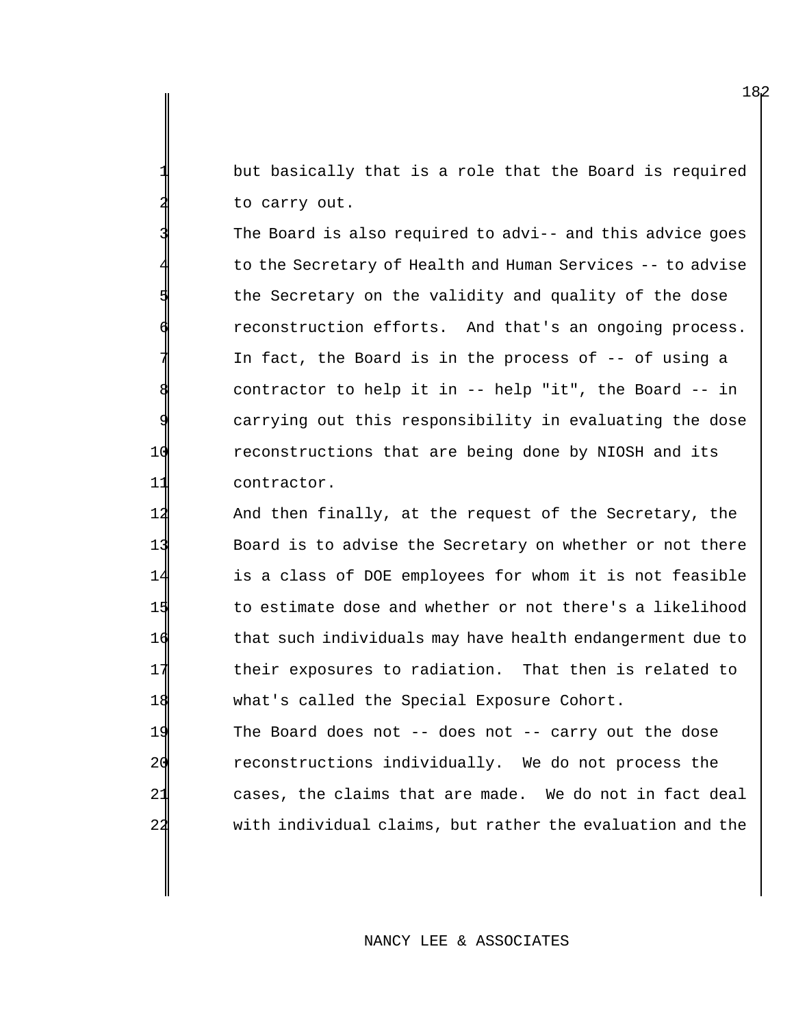but basically that is a role that the Board is required to carry out.

The Board is also required to advi-- and this advice goes to the Secretary of Health and Human Services -- to advise the Secretary on the validity and quality of the dose reconstruction efforts. And that's an ongoing process. In fact, the Board is in the process of  $-$ - of using a contractor to help it in -- help "it", the Board -- in carrying out this responsibility in evaluating the dose 10 reconstructions that are being done by NIOSH and its 11 contractor.

12 And then finally, at the request of the Secretary, the Board is to advise the Secretary on whether or not there is a class of DOE employees for whom it is not feasible to estimate dose and whether or not there's a likelihood that such individuals may have health endangerment due to their exposures to radiation. That then is related to what's called the Special Exposure Cohort.

 The Board does not -- does not -- carry out the dose reconstructions individually. We do not process the cases, the claims that are made. We do not in fact deal with individual claims, but rather the evaluation and the

## NANCY LEE & ASSOCIATES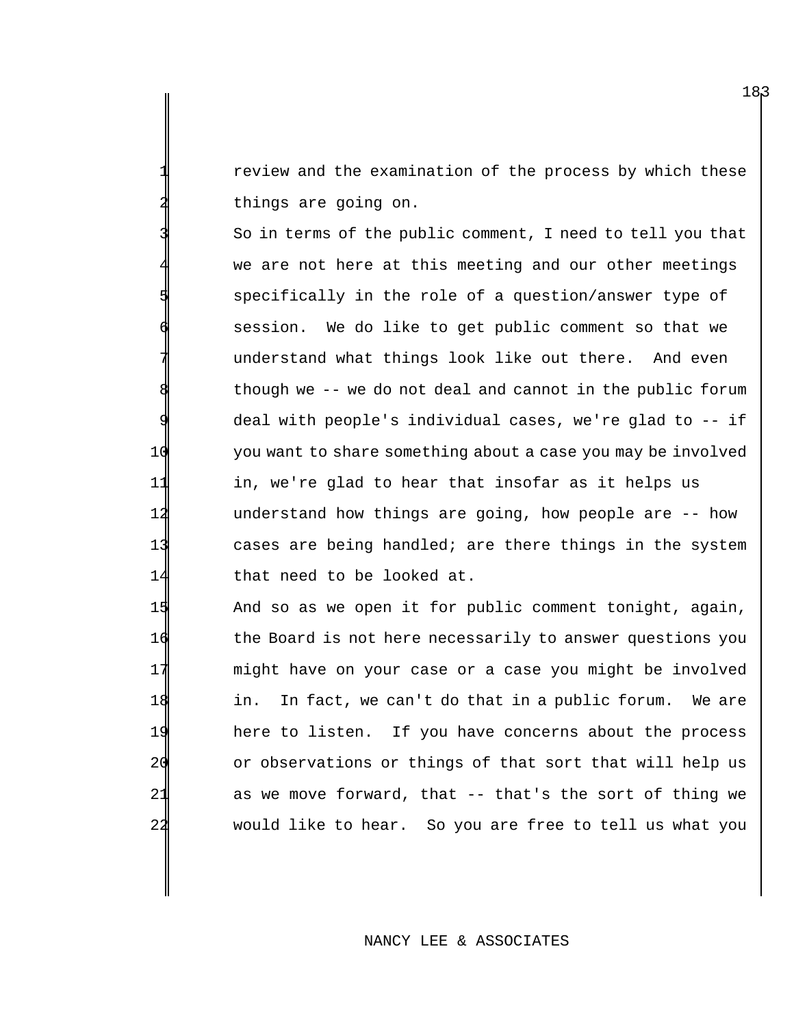review and the examination of the process by which these things are going on.

3 So in terms of the public comment, I need to tell you that we are not here at this meeting and our other meetings 5 specifically in the role of a question/answer type of session. We do like to get public comment so that we understand what things look like out there. And even though we -- we do not deal and cannot in the public forum deal with people's individual cases, we're glad to -- if 10 you want to share something about a case you may be involved 11 in, we're glad to hear that insofar as it helps us 12 understand how things are going, how people are -- how 13 cases are being handled; are there things in the system 14 that need to be looked at.

 And so as we open it for public comment tonight, again, the Board is not here necessarily to answer questions you might have on your case or a case you might be involved in. In fact, we can't do that in a public forum. We are here to listen. If you have concerns about the process or observations or things of that sort that will help us 21 as we move forward, that -- that's the sort of thing we would like to hear. So you are free to tell us what you

## NANCY LEE & ASSOCIATES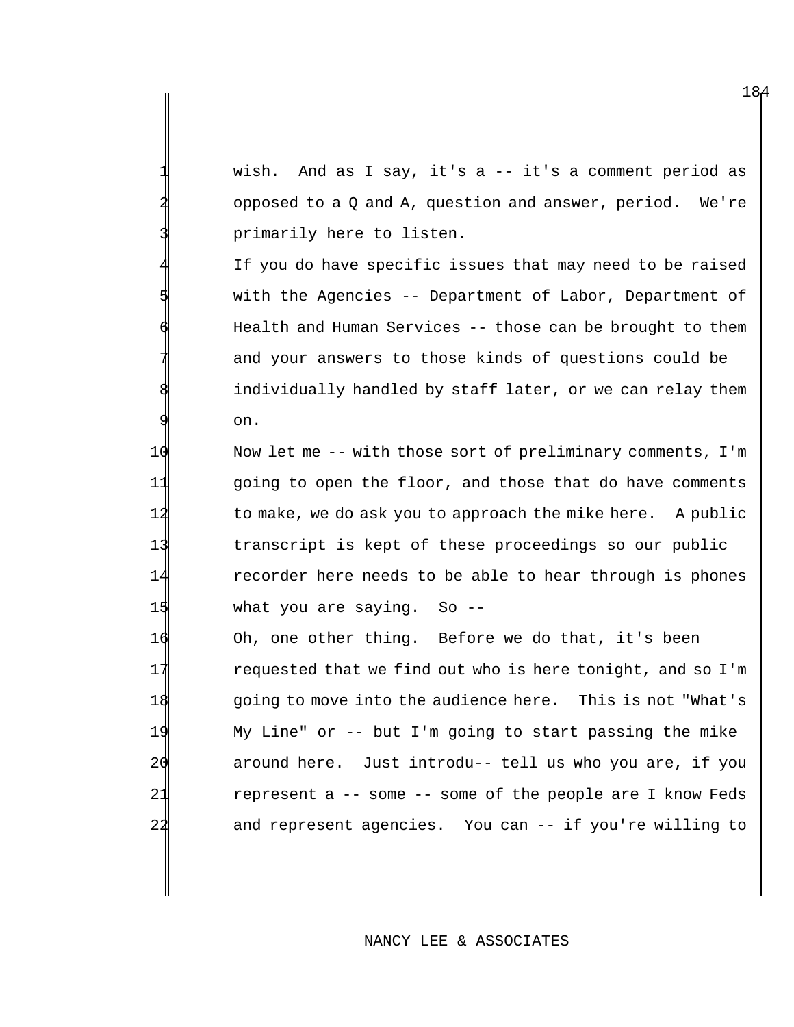wish. And as I say, it's a -- it's a comment period as opposed to a  $Q$  and  $A$ , question and answer, period. We're primarily here to listen.

If you do have specific issues that may need to be raised with the Agencies -- Department of Labor, Department of Health and Human Services -- those can be brought to them and your answers to those kinds of questions could be individually handled by staff later, or we can relay them 9 on.

 Now let me -- with those sort of preliminary comments, I'm going to open the floor, and those that do have comments to make, we do ask you to approach the mike here. A public transcript is kept of these proceedings so our public recorder here needs to be able to hear through is phones 15 What you are saying. So --

 Oh, one other thing. Before we do that, it's been requested that we find out who is here tonight, and so I'm going to move into the audience here. This is not "What's My Line" or -- but I'm going to start passing the mike around here. Just introdu-- tell us who you are, if you 21 represent a -- some -- some of the people are I know Feds and represent agencies. You can -- if you're willing to

## NANCY LEE & ASSOCIATES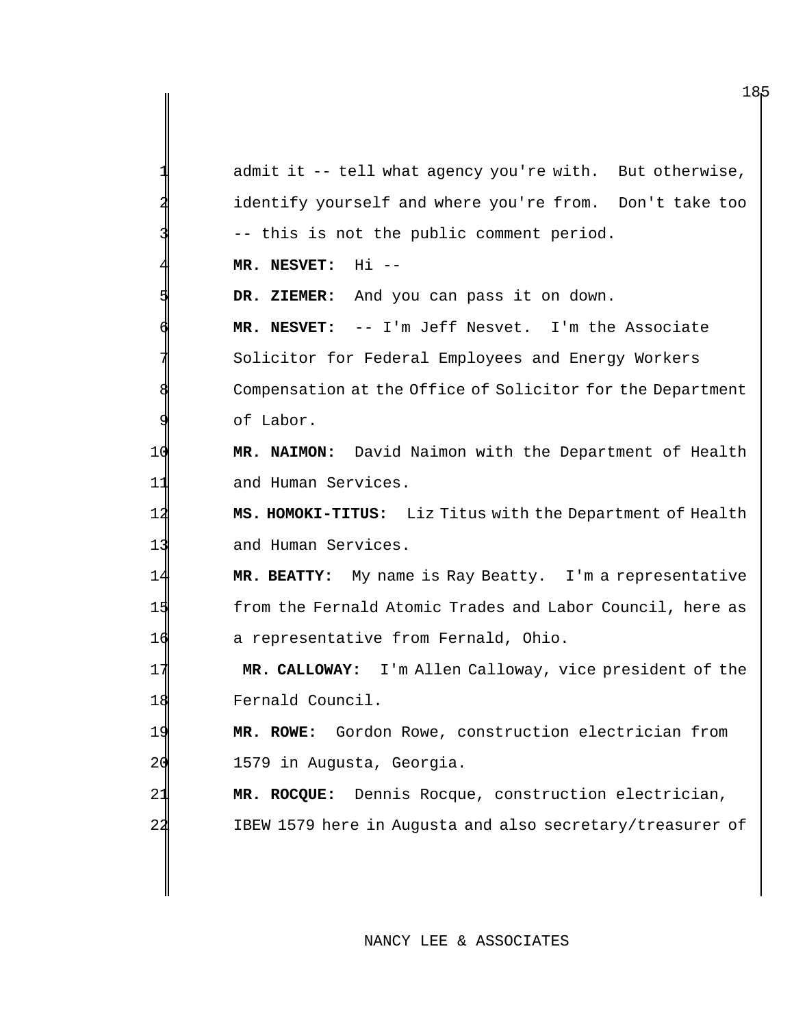admit it -- tell what agency you're with. But otherwise, identify yourself and where you're from. Don't take too -- this is not the public comment period. 4 **MR. NESVET:** Hi -- DR. ZIEMER: And you can pass it on down. 6 **MR. NESVET:** -- I'm Jeff Nesvet. I'm the Associate Solicitor for Federal Employees and Energy Workers Compensation at the Office of Solicitor for the Department of Labor. 10 **MR. NAIMON:** David Naimon with the Department of Health 11 and Human Services. 12 **MS. HOMOKI-TITUS:** Liz Titus with the Department of Health 13 and Human Services. 14 **MR. BEATTY:** My name is Ray Beatty. I'm a representative 15 from the Fernald Atomic Trades and Labor Council, here as 16 a representative from Fernald, Ohio. 17 **MR. CALLOWAY:** I'm Allen Calloway, vice president of the 18 Fernald Council. 19 **MR. ROWE:** Gordon Rowe, construction electrician from 20 1579 in Augusta, Georgia. 21 **MR. ROCQUE:** Dennis Rocque, construction electrician, 22 IBEW 1579 here in Augusta and also secretary/treasurer of

# NANCY LEE & ASSOCIATES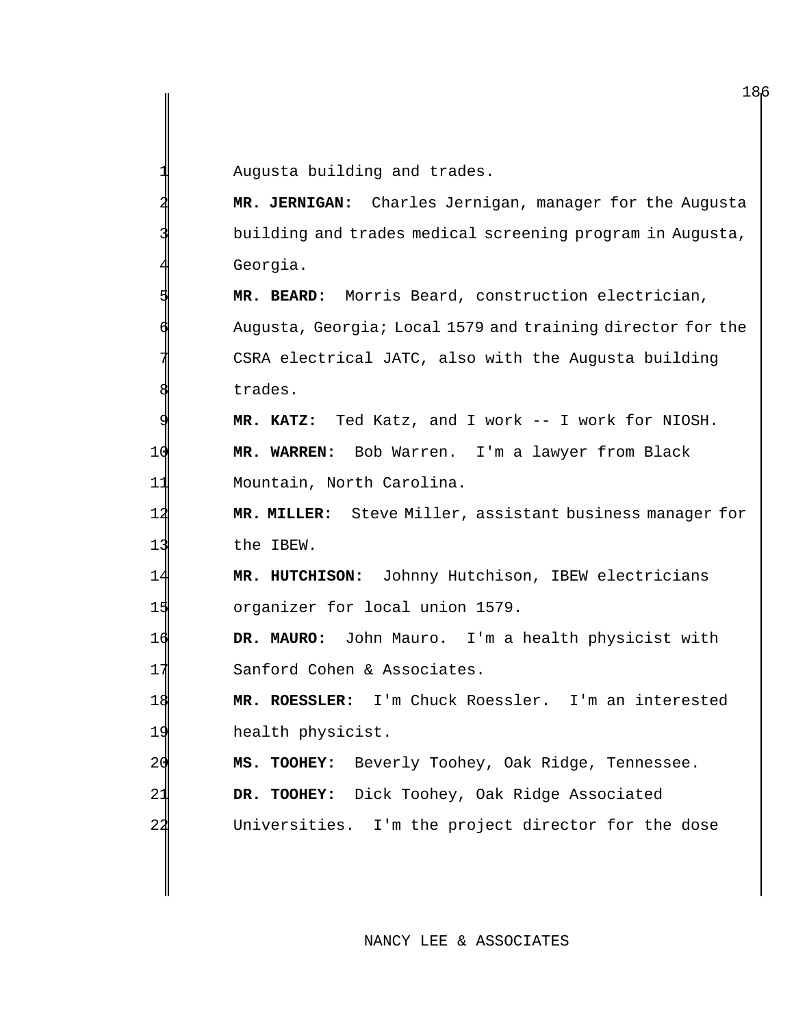Augusta building and trades.

2 **MR. JERNIGAN:** Charles Jernigan, manager for the Augusta building and trades medical screening program in Augusta, Georgia.

MR. BEARD: Morris Beard, construction electrician, Augusta, Georgia; Local 1579 and training director for the CSRA electrical JATC, also with the Augusta building trades.

9 **MR. KATZ:** Ted Katz, and I work -- I work for NIOSH. 10 **MR. WARREN:** Bob Warren. I'm a lawyer from Black 11 Mountain, North Carolina.

12 **MR. MILLER:** Steve Miller, assistant business manager for 13 the IBEW.

14 **MR. HUTCHISON:** Johnny Hutchison, IBEW electricians 15 organizer for local union 1579.

16 **DR. MAURO:** John Mauro. I'm a health physicist with 17 Sanford Cohen & Associates.

18 **MR. ROESSLER:** I'm Chuck Roessler. I'm an interested 19 health physicist.

20 **MS. TOOHEY:** Beverly Toohey, Oak Ridge, Tennessee. 21 **DR. TOOHEY:** Dick Toohey, Oak Ridge Associated 22 Universities. I'm the project director for the dose

# NANCY LEE & ASSOCIATES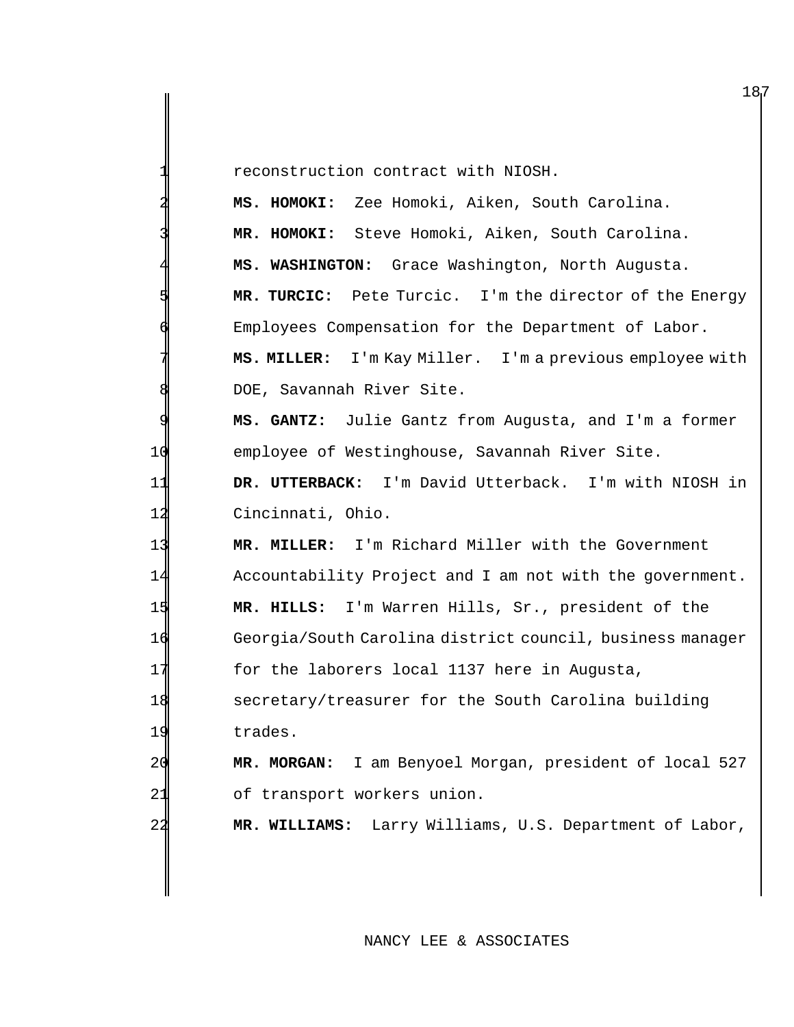reconstruction contract with NIOSH.

|                | MS. HOMOKI: Zee Homoki, Aiken, South Carolina.            |
|----------------|-----------------------------------------------------------|
|                | MR. HOMOKI: Steve Homoki, Aiken, South Carolina.          |
|                | MS. WASHINGTON: Grace Washington, North Augusta.          |
|                | MR. TURCIC: Pete Turcic. I'm the director of the Energy   |
|                | Employees Compensation for the Department of Labor.       |
|                | MS. MILLER: I'm Kay Miller. I'm a previous employee with  |
|                | DOE, Savannah River Site.                                 |
|                | MS. GANTZ: Julie Gantz from Augusta, and I'm a former     |
| 10             | employee of Westinghouse, Savannah River Site.            |
| 11             | DR. UTTERBACK: I'm David Utterback. I'm with NIOSH in     |
| 12             | Cincinnati, Ohio.                                         |
| 13             | MR. MILLER: I'm Richard Miller with the Government        |
| 14             | Accountability Project and I am not with the government.  |
| 15             | MR. HILLS: I'm Warren Hills, Sr., president of the        |
| 16             | Georgia/South Carolina district council, business manager |
| 17             | for the laborers local 1137 here in Augusta,              |
| 18             | secretary/treasurer for the South Carolina building       |
| 19             | trades.                                                   |
| 20             | MR. MORGAN: I am Benyoel Morgan, president of local 527   |
| 21             | of transport workers union.                               |
| 2 <sub>2</sub> | MR. WILLIAMS: Larry Williams, U.S. Department of Labor,   |

# NANCY LEE & ASSOCIATES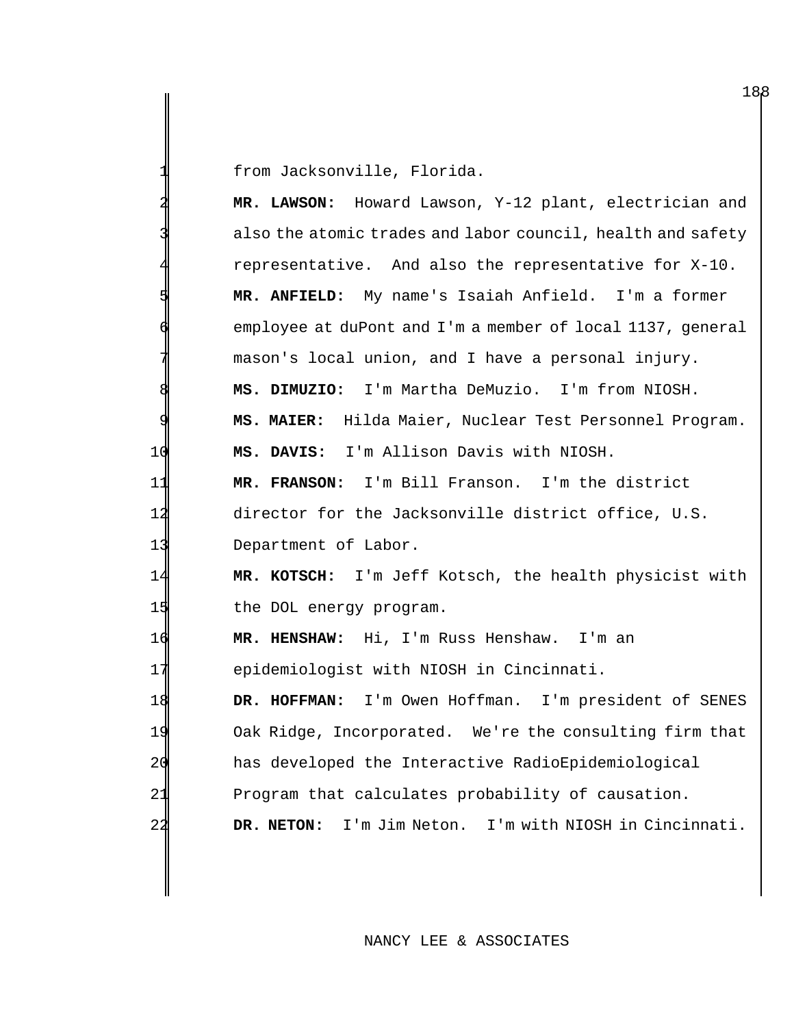from Jacksonville, Florida.

|                | MR. LAWSON: Howard Lawson, Y-12 plant, electrician and      |
|----------------|-------------------------------------------------------------|
|                | also the atomic trades and labor council, health and safety |
|                | representative. And also the representative for X-10.       |
|                | MR. ANFIELD: My name's Isaiah Anfield. I'm a former         |
|                | employee at duPont and I'm a member of local 1137, general  |
|                | mason's local union, and I have a personal injury.          |
|                | MS. DIMUZIO: I'm Martha DeMuzio. I'm from NIOSH.            |
|                | MS. MAIER: Hilda Maier, Nuclear Test Personnel Program.     |
| 10             | MS. DAVIS: I'm Allison Davis with NIOSH.                    |
| 11             | MR. FRANSON: I'm Bill Franson. I'm the district             |
| 12             | director for the Jacksonville district office, U.S.         |
| 13             | Department of Labor.                                        |
| 14             | MR. KOTSCH: I'm Jeff Kotsch, the health physicist with      |
| 15             | the DOL energy program.                                     |
| 16             | MR. HENSHAW: Hi, I'm Russ Henshaw. I'm an                   |
| 17             | epidemiologist with NIOSH in Cincinnati.                    |
| 18             | DR. HOFFMAN: I'm Owen Hoffman. I'm president of SENES       |
| 19             | Oak Ridge, Incorporated. We're the consulting firm that     |
| 20             | has developed the Interactive RadioEpidemiological          |
| 21             | Program that calculates probability of causation.           |
| 2 <sub>2</sub> | I'm Jim Neton. I'm with NIOSH in Cincinnati.<br>DR. NETON:  |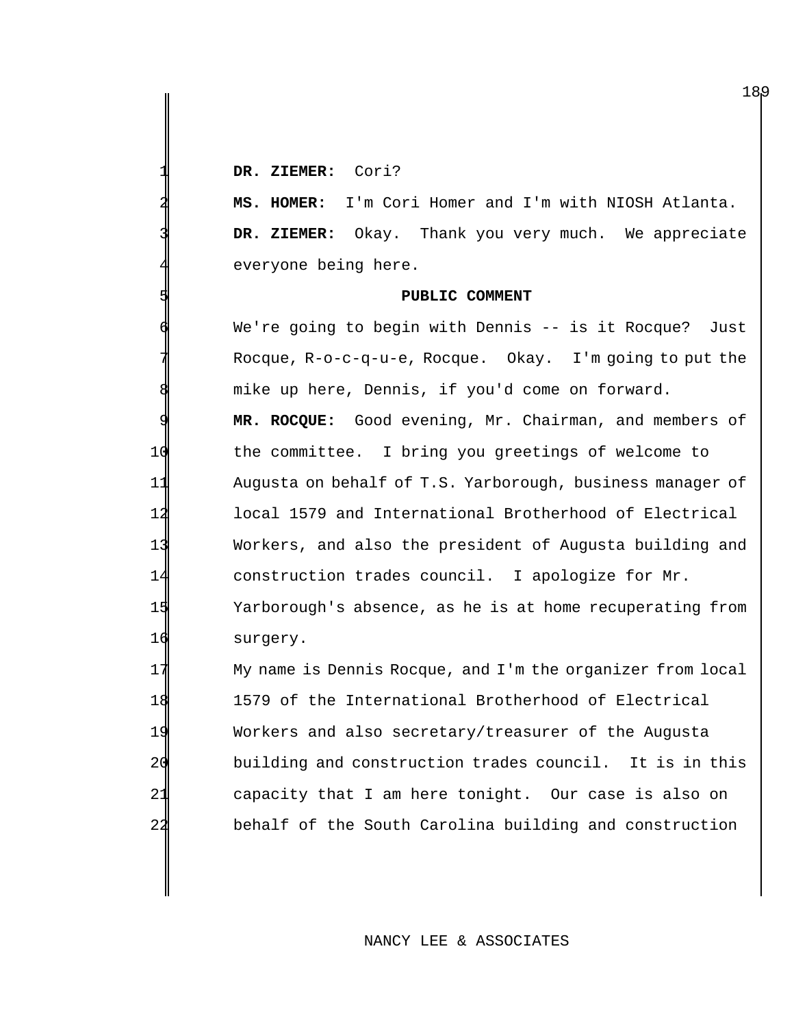**DR. ZIEMER:** Cori?

 **MS. HOMER:** I'm Cori Homer and I'm with NIOSH Atlanta. DR. ZIEMER: Okay. Thank you very much. We appreciate everyone being here.

#### **PUBLIC COMMENT**

We're going to begin with Dennis -- is it Rocque? Just Rocque,  $R-o-c-q-u-e$ , Rocque. Okay. I'm going to put the mike up here, Dennis, if you'd come on forward. **MR. ROCQUE:** Good evening, Mr. Chairman, and members of the committee. I bring you greetings of welcome to Augusta on behalf of T.S. Yarborough, business manager of local 1579 and International Brotherhood of Electrical Workers, and also the president of Augusta building and construction trades council. I apologize for Mr.

 Yarborough's absence, as he is at home recuperating from surgery.

17 My name is Dennis Rocque, and I'm the organizer from local 1579 of the International Brotherhood of Electrical Workers and also secretary/treasurer of the Augusta building and construction trades council. It is in this capacity that I am here tonight. Our case is also on behalf of the South Carolina building and construction

## NANCY LEE & ASSOCIATES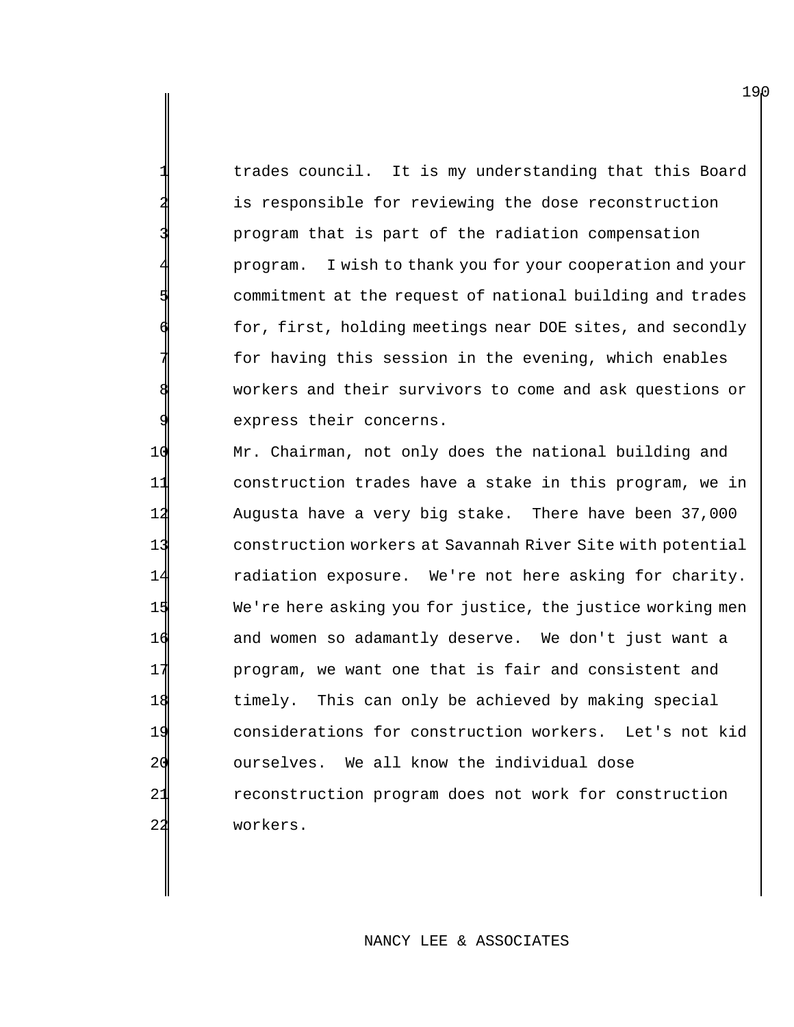trades council. It is my understanding that this Board is responsible for reviewing the dose reconstruction program that is part of the radiation compensation program. I wish to thank you for your cooperation and your commitment at the request of national building and trades for, first, holding meetings near DOE sites, and secondly for having this session in the evening, which enables workers and their survivors to come and ask questions or express their concerns.

 Mr. Chairman, not only does the national building and construction trades have a stake in this program, we in Augusta have a very big stake. There have been 37,000 construction workers at Savannah River Site with potential radiation exposure. We're not here asking for charity. We're here asking you for justice, the justice working men 16 and women so adamantly deserve. We don't just want a program, we want one that is fair and consistent and timely. This can only be achieved by making special considerations for construction workers. Let's not kid ourselves. We all know the individual dose reconstruction program does not work for construction 22 workers.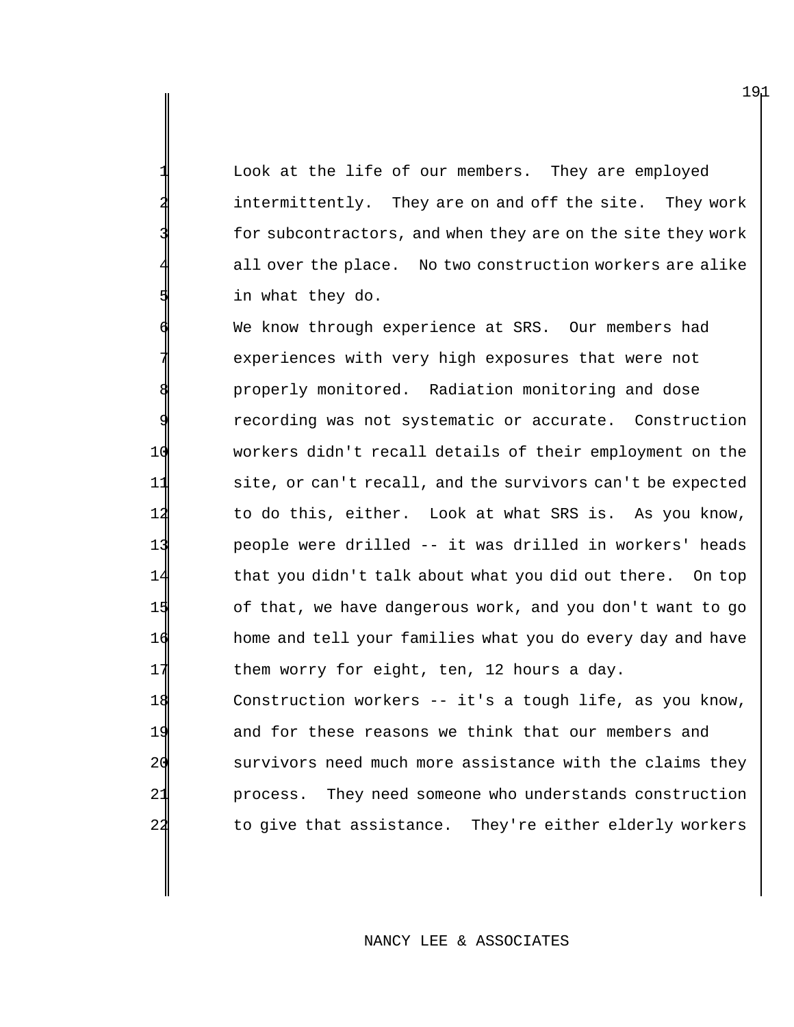Look at the life of our members. They are employed intermittently. They are on and off the site. They work for subcontractors, and when they are on the site they work all over the place. No two construction workers are alike in what they do.

We know through experience at SRS. Our members had experiences with very high exposures that were not properly monitored. Radiation monitoring and dose recording was not systematic or accurate. Construction workers didn't recall details of their employment on the site, or can't recall, and the survivors can't be expected to do this, either. Look at what SRS is. As you know, people were drilled -- it was drilled in workers' heads that you didn't talk about what you did out there. On top of that, we have dangerous work, and you don't want to go home and tell your families what you do every day and have 17 them worry for eight, ten, 12 hours a day. Construction workers -- it's a tough life, as you know,

 and for these reasons we think that our members and survivors need much more assistance with the claims they process. They need someone who understands construction to give that assistance. They're either elderly workers

#### NANCY LEE & ASSOCIATES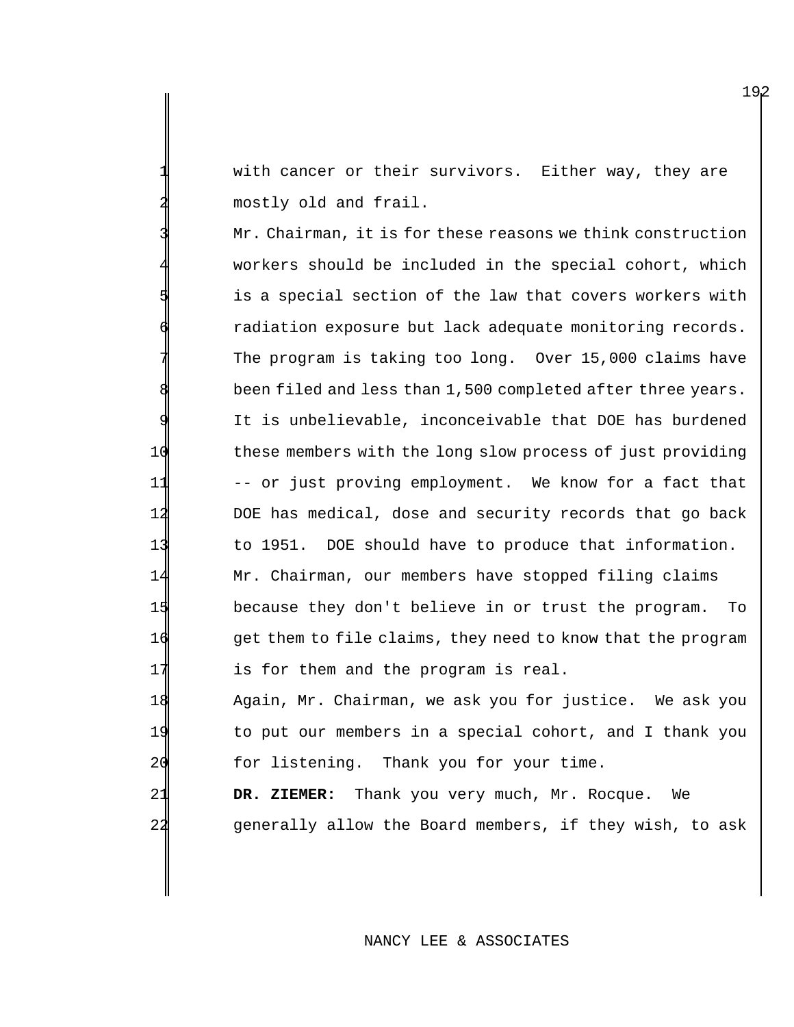with cancer or their survivors. Either way, they are mostly old and frail.

Mr. Chairman, it is for these reasons we think construction workers should be included in the special cohort, which is a special section of the law that covers workers with radiation exposure but lack adequate monitoring records. The program is taking too long. Over 15,000 claims have been filed and less than 1,500 completed after three years. It is unbelievable, inconceivable that DOE has burdened 10 these members with the long slow process of just providing 11 -- or just proving employment. We know for a fact that 12 DOE has medical, dose and security records that go back 13 to 1951. DOE should have to produce that information. 14 Mr. Chairman, our members have stopped filing claims 15 because they don't believe in or trust the program. To 16 get them to file claims, they need to know that the program 17 is for them and the program is real.

18 Again, Mr. Chairman, we ask you for justice. We ask you 19 to put our members in a special cohort, and I thank you 20 for listening. Thank you for your time.

21 **DR. ZIEMER:** Thank you very much, Mr. Rocque. We 22 generally allow the Board members, if they wish, to ask

NANCY LEE & ASSOCIATES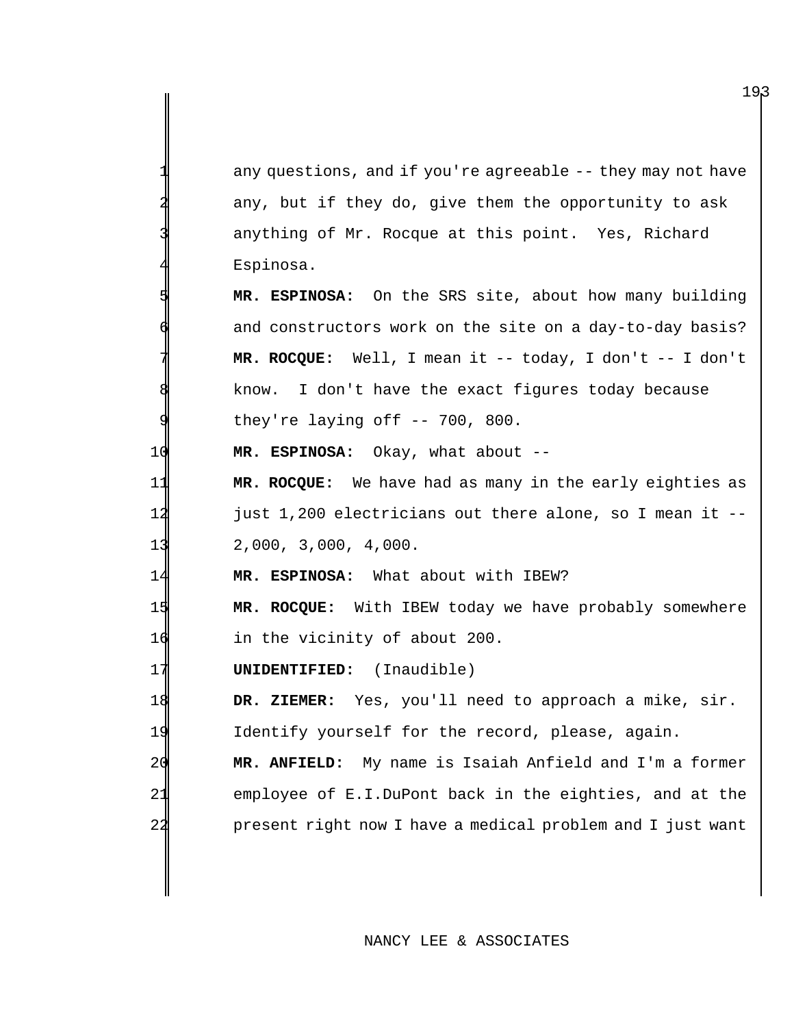any questions, and if you're agreeable -- they may not have any, but if they do, give them the opportunity to ask anything of Mr. Rocque at this point. Yes, Richard Espinosa.

5 **MR. ESPINOSA:** On the SRS site, about how many building and constructors work on the site on a day-to-day basis? 7 **MR. ROCQUE:** Well, I mean it -- today, I don't -- I don't know. I don't have the exact figures today because they're laying off  $-$ - 700, 800.

10 **MR. ESPINOSA:** Okay, what about --

11 **MR. ROCQUE:** We have had as many in the early eighties as 12 just 1,200 electricians out there alone, so I mean it -- 13 2,000, 3,000, 4,000.

14 **MR. ESPINOSA:** What about with IBEW?

15 **MR. ROCQUE:** With IBEW today we have probably somewhere 16 in the vicinity of about 200.

17 **UNIDENTIFIED:** (Inaudible)

18 **DR. ZIEMER:** Yes, you'll need to approach a mike, sir. 19 Identify yourself for the record, please, again.

20 **MR. ANFIELD:** My name is Isaiah Anfield and I'm a former 21 employee of E.I.DuPont back in the eighties, and at the 22 present right now I have a medical problem and I just want

## NANCY LEE & ASSOCIATES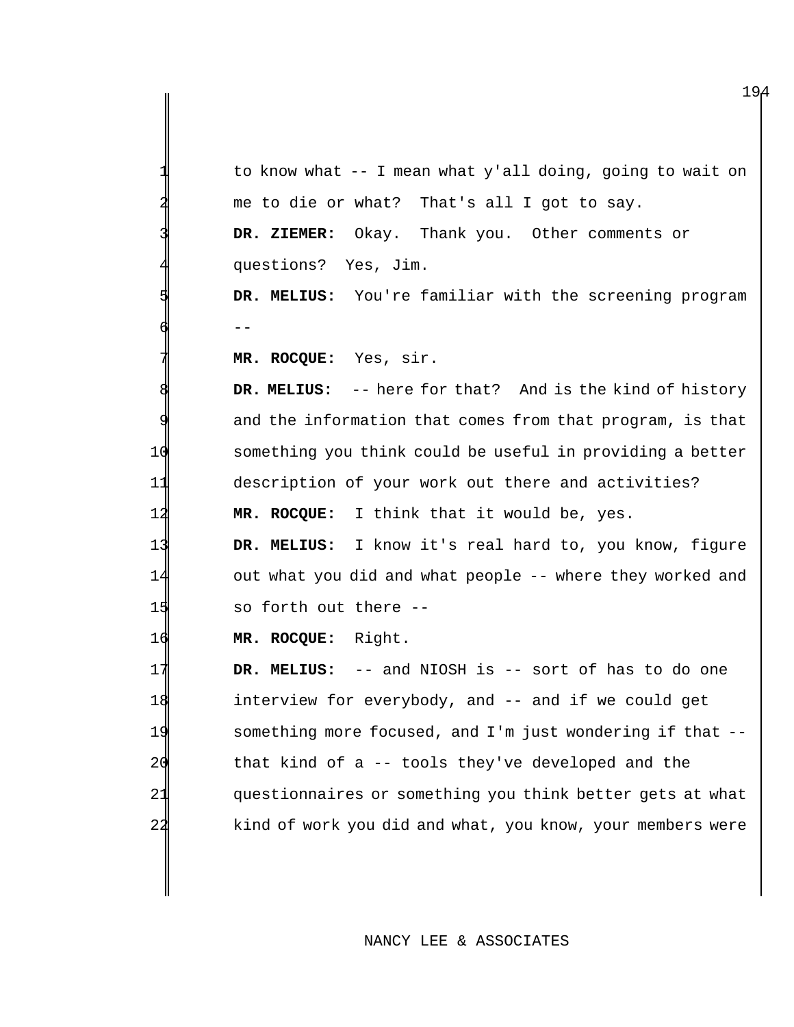|    | to know what -- I mean what y'all doing, going to wait on       |
|----|-----------------------------------------------------------------|
|    | me to die or what? That's all I got to say.                     |
|    | DR. ZIEMER: Okay. Thank you. Other comments or                  |
|    | questions? Yes, Jim.                                            |
|    | DR. MELIUS: You're familiar with the screening program          |
|    | $ -$                                                            |
|    | MR. ROCQUE: Yes, sir.                                           |
|    | <b>DR. MELIUS:</b> -- here for that? And is the kind of history |
|    | and the information that comes from that program, is that       |
| 10 | something you think could be useful in providing a better       |
| 11 | description of your work out there and activities?              |
| 12 | MR. ROCQUE: I think that it would be, yes.                      |
| 13 | DR. MELIUS: I know it's real hard to, you know, figure          |
| 14 | out what you did and what people -- where they worked and       |
| 15 | so forth out there --                                           |
| 16 | MR. ROCQUE: Right.                                              |
| 17 | DR. MELIUS: -- and NIOSH is -- sort of has to do one            |
| 18 | interview for everybody, and -- and if we could get             |
| 19 | something more focused, and I'm just wondering if that --       |
| 20 | that kind of a -- tools they've developed and the               |
| 21 | questionnaires or something you think better gets at what       |
|    | kind of work you did and what, you know, your members were      |
|    |                                                                 |

# NANCY LEE & ASSOCIATES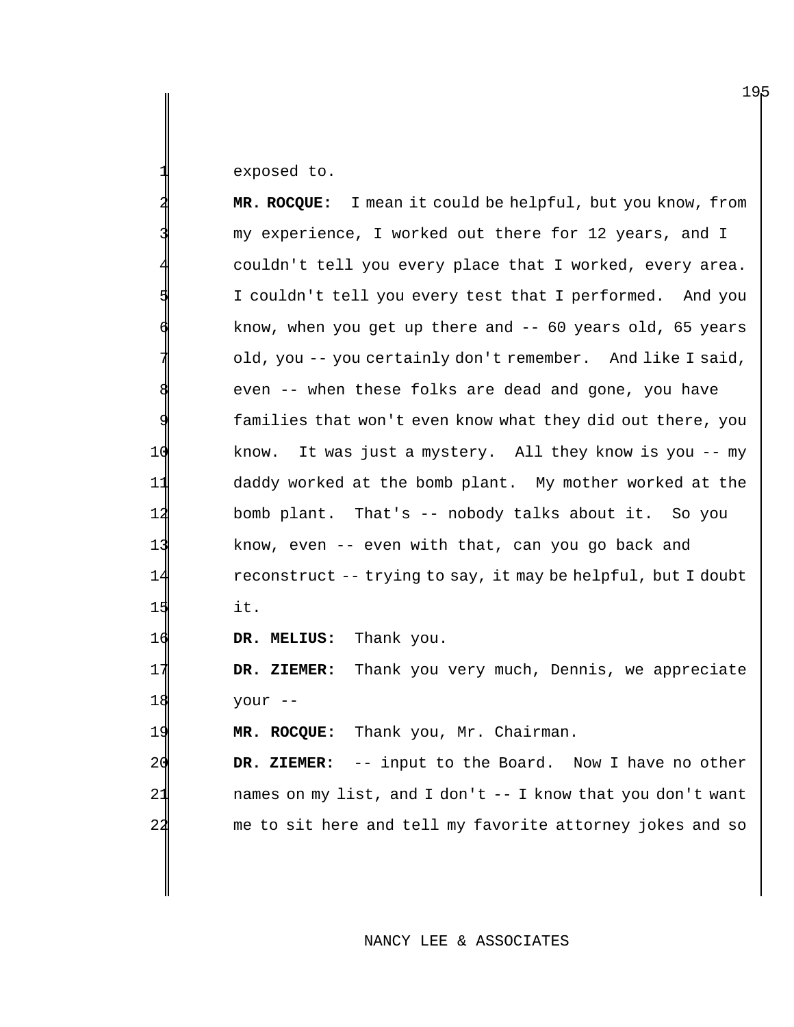exposed to.

 **MR. ROCQUE:** I mean it could be helpful, but you know, from my experience, I worked out there for 12 years, and I couldn't tell you every place that I worked, every area. I couldn't tell you every test that I performed. And you know, when you get up there and  $-$  60 years old, 65 years old, you -- you certainly don't remember. And like I said, even -- when these folks are dead and gone, you have families that won't even know what they did out there, you know. It was just a mystery. All they know is you -- my daddy worked at the bomb plant. My mother worked at the bomb plant. That's -- nobody talks about it. So you know, even -- even with that, can you go back and reconstruct -- trying to say, it may be helpful, but I doubt it. **DR. MELIUS:** Thank you. **DR. ZIEMER:** Thank you very much, Dennis, we appreciate your -- **MR. ROCQUE:** Thank you, Mr. Chairman. **DR. ZIEMER:** -- input to the Board. Now I have no other **names on my list, and I don't -- I know that you don't want** me to sit here and tell my favorite attorney jokes and so

## NANCY LEE & ASSOCIATES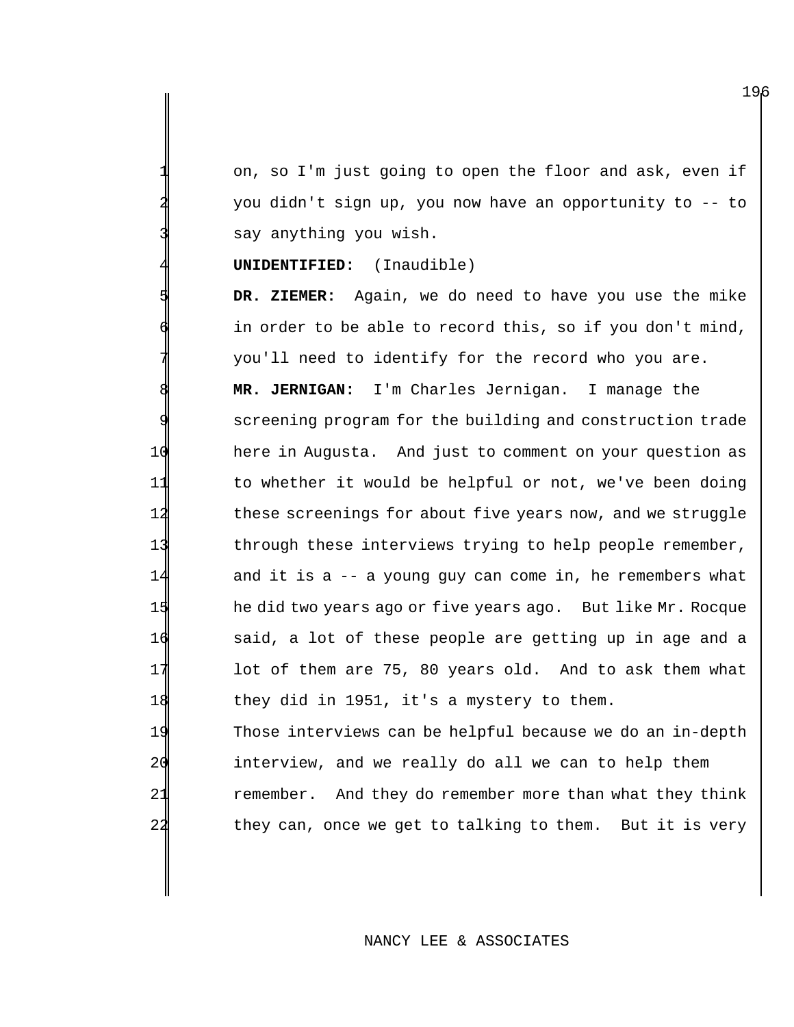on, so I'm just going to open the floor and ask, even if you didn't sign up, you now have an opportunity to -- to say anything you wish.

**UNIDENTIFIED:** (Inaudible)

 **DR. ZIEMER:** Again, we do need to have you use the mike in order to be able to record this, so if you don't mind, you'll need to identify for the record who you are. **MR. JERNIGAN:** I'm Charles Jernigan. I manage the screening program for the building and construction trade here in Augusta. And just to comment on your question as to whether it would be helpful or not, we've been doing these screenings for about five years now, and we struggle through these interviews trying to help people remember, and it is a -- a young guy can come in, he remembers what he did two years ago or five years ago. But like Mr. Rocque said, a lot of these people are getting up in age and a lot of them are 75, 80 years old. And to ask them what they did in 1951, it's a mystery to them.

 Those interviews can be helpful because we do an in-depth interview, and we really do all we can to help them 21 remember. And they do remember more than what they think 22 they can, once we get to talking to them. But it is very

## NANCY LEE & ASSOCIATES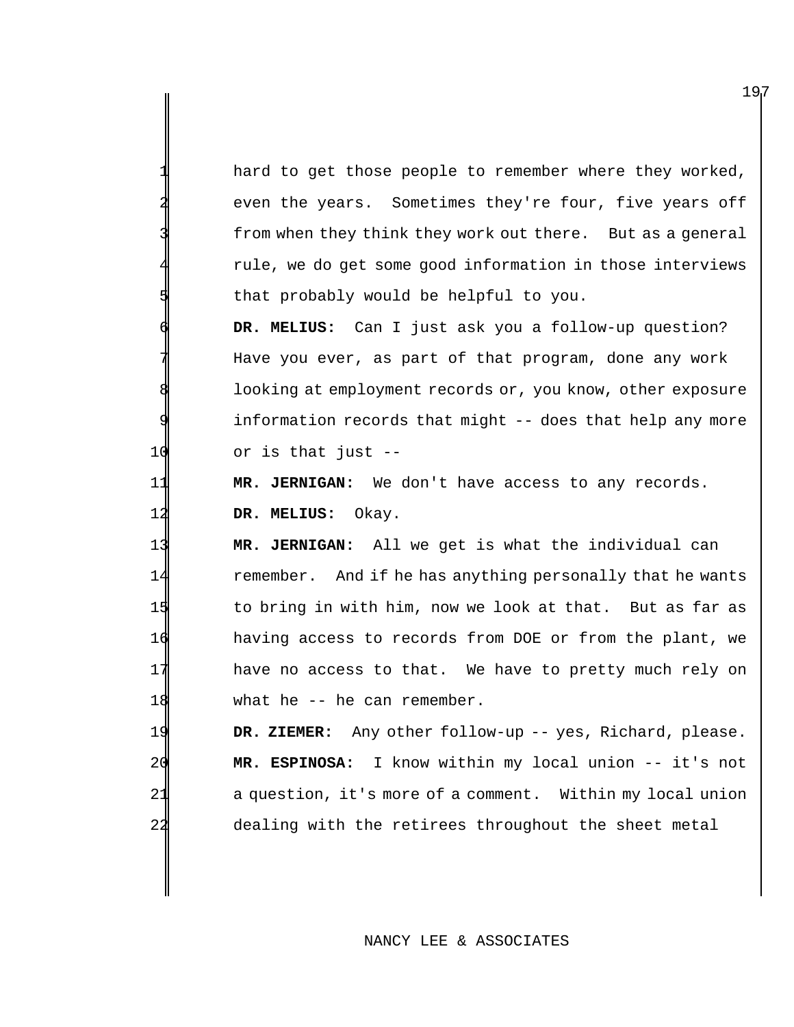hard to get those people to remember where they worked, even the years. Sometimes they're four, five years off from when they think they work out there. But as a general rule, we do get some good information in those interviews that probably would be helpful to you.

6 **DR. MELIUS:** Can I just ask you a follow-up question? Have you ever, as part of that program, done any work looking at employment records or, you know, other exposure information records that might -- does that help any more 10 or is that just --

11 **MR. JERNIGAN:** We don't have access to any records. 12 **DR. MELIUS:** Okay.

 **MR. JERNIGAN:** All we get is what the individual can remember. And if he has anything personally that he wants to bring in with him, now we look at that. But as far as having access to records from DOE or from the plant, we 17 have no access to that. We have to pretty much rely on what he -- he can remember.

 **DR. ZIEMER:** Any other follow-up -- yes, Richard, please. **MR. ESPINOSA:** I know within my local union -- it's not a question, it's more of a comment. Within my local union dealing with the retirees throughout the sheet metal

## NANCY LEE & ASSOCIATES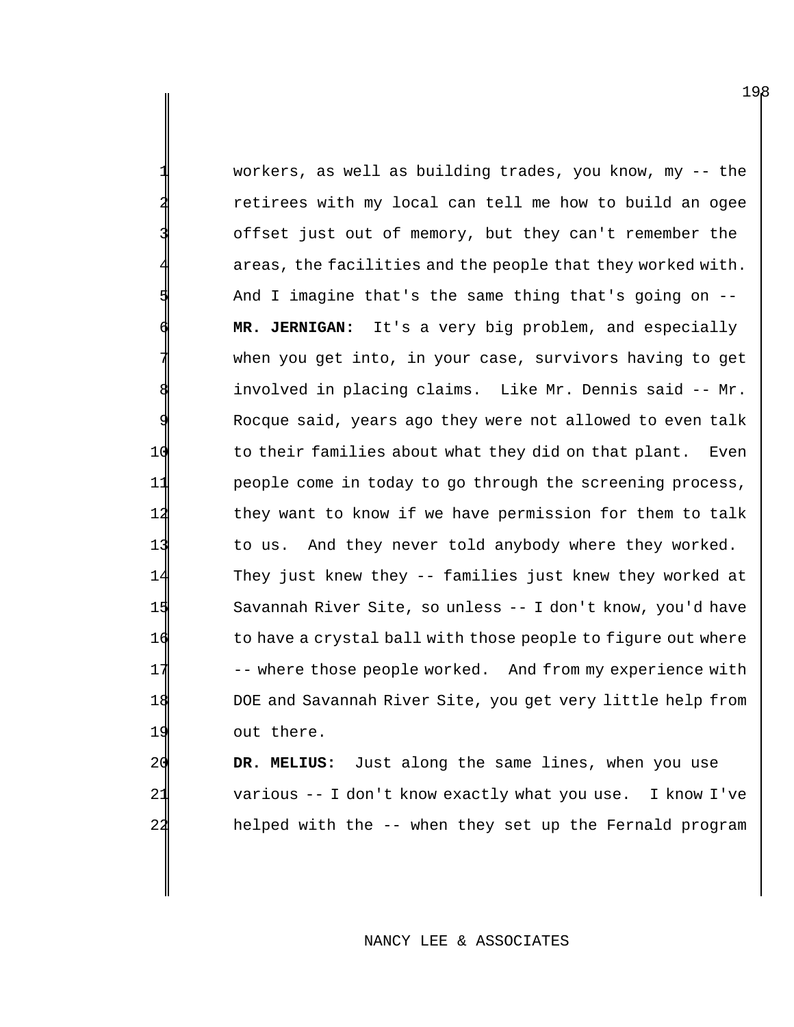workers, as well as building trades, you know, my  $-$ - the retirees with my local can tell me how to build an ogee offset just out of memory, but they can't remember the areas, the facilities and the people that they worked with. And I imagine that's the same thing that's going on --6 **MR. JERNIGAN:** It's a very big problem, and especially when you get into, in your case, survivors having to get involved in placing claims. Like Mr. Dennis said -- Mr. Rocque said, years ago they were not allowed to even talk 10 to their families about what they did on that plant. Even 11 people come in today to go through the screening process, 12 they want to know if we have permission for them to talk 13 to us. And they never told anybody where they worked. 14 They just knew they -- families just knew they worked at 15 Savannah River Site, so unless -- I don't know, you'd have 16 to have a crystal ball with those people to figure out where 17 -- where those people worked. And from my experience with 18 DOE and Savannah River Site, you get very little help from 19 out there.

20 **DR. MELIUS:** Just along the same lines, when you use 21 various -- I don't know exactly what you use. I know I've 22 helped with the -- when they set up the Fernald program

#### NANCY LEE & ASSOCIATES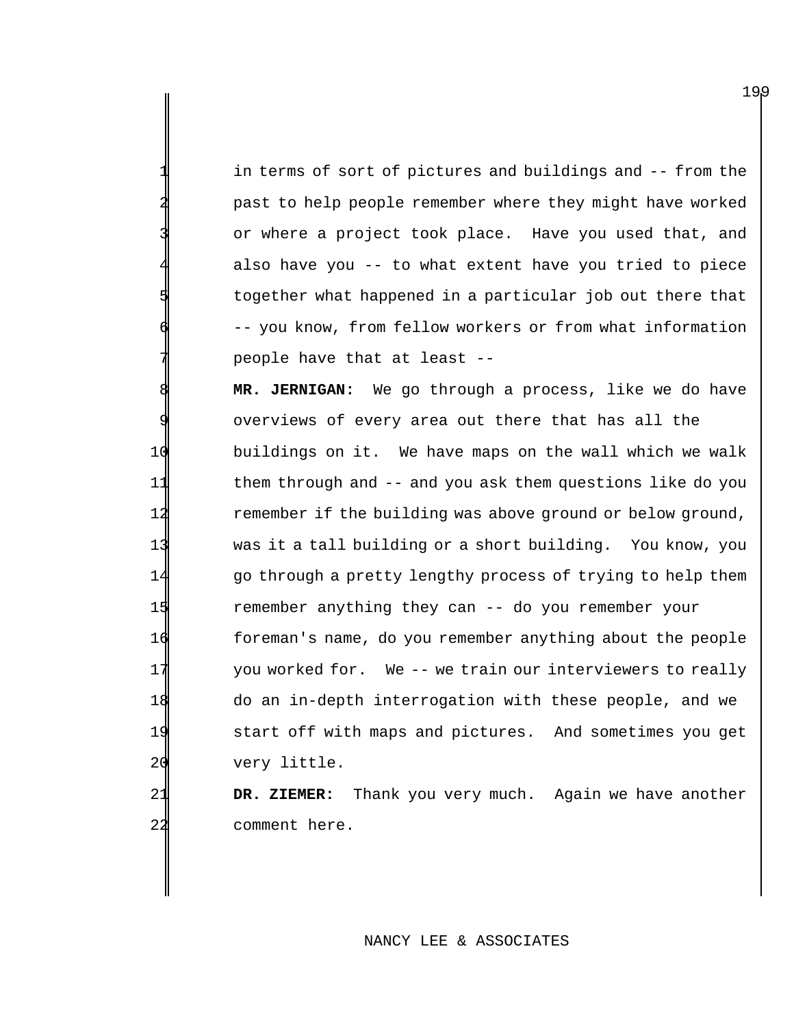in terms of sort of pictures and buildings and -- from the past to help people remember where they might have worked or where a project took place. Have you used that, and also have you -- to what extent have you tried to piece together what happened in a particular job out there that -- you know, from fellow workers or from what information people have that at least --

MR. JERNIGAN: We go through a process, like we do have overviews of every area out there that has all the buildings on it. We have maps on the wall which we walk them through and -- and you ask them questions like do you remember if the building was above ground or below ground, was it a tall building or a short building. You know, you 14 go through a pretty lengthy process of trying to help them remember anything they can -- do you remember your foreman's name, do you remember anything about the people you worked for. We -- we train our interviewers to really do an in-depth interrogation with these people, and we start off with maps and pictures. And sometimes you get 20 very little.

21 **DR. ZIEMER:** Thank you very much. Again we have another 22 comment here.

#### NANCY LEE & ASSOCIATES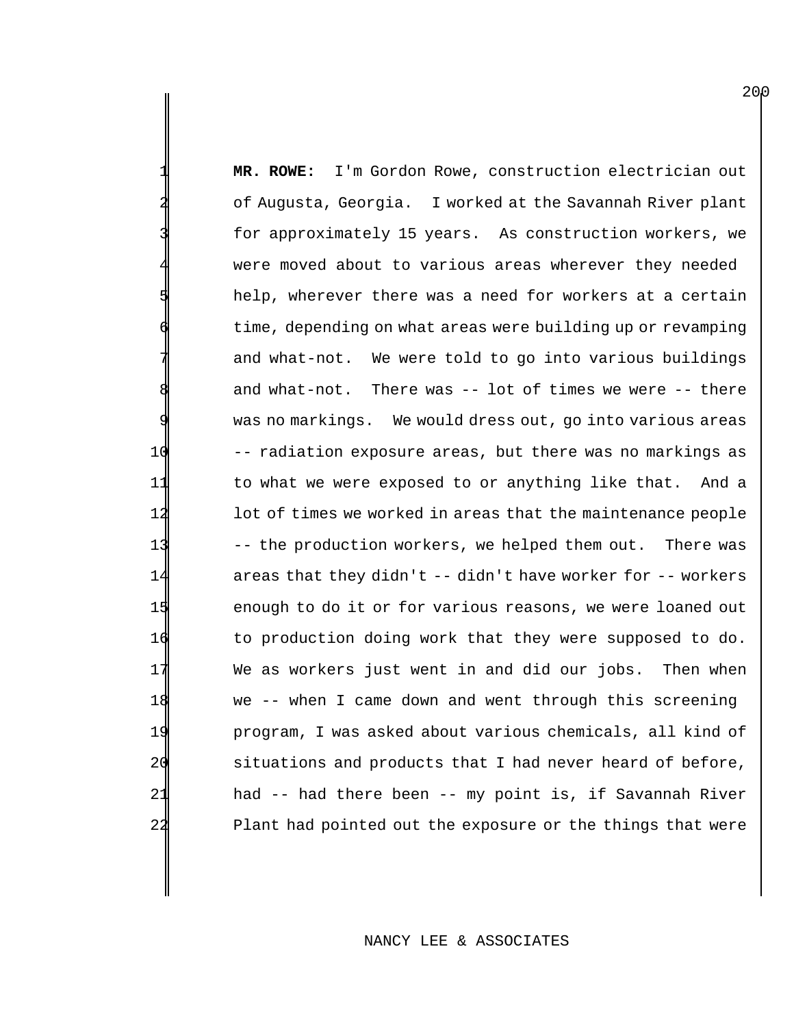1 **MR. ROWE:** I'm Gordon Rowe, construction electrician out 2 of Augusta, Georgia. I worked at the Savannah River plant for approximately 15 years. As construction workers, we were moved about to various areas wherever they needed help, wherever there was a need for workers at a certain time, depending on what areas were building up or revamping and what-not. We were told to go into various buildings and what-not. There was  $-$ - lot of times we were  $-$ - there was no markings. We would dress out, go into various areas 10 -- radiation exposure areas, but there was no markings as 11 to what we were exposed to or anything like that. And a 12 lot of times we worked in areas that the maintenance people 13 -- the production workers, we helped them out. There was 14 areas that they didn't -- didn't have worker for -- workers 15 enough to do it or for various reasons, we were loaned out 16 to production doing work that they were supposed to do. 17 We as workers just went in and did our jobs. Then when 18 we -- when I came down and went through this screening 19 program, I was asked about various chemicals, all kind of 20 situations and products that I had never heard of before, 21 had -- had there been -- my point is, if Savannah River 22 Plant had pointed out the exposure or the things that were

#### NANCY LEE & ASSOCIATES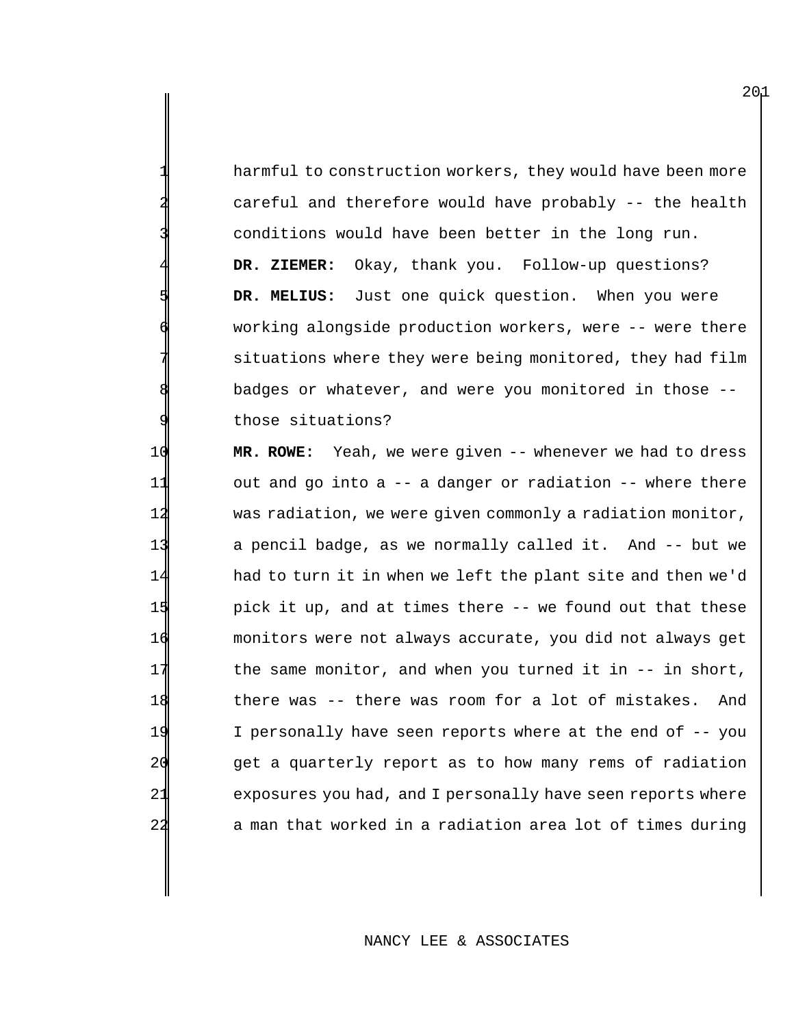harmful to construction workers, they would have been more careful and therefore would have probably -- the health conditions would have been better in the long run. 4 **DR. ZIEMER:** Okay, thank you. Follow-up questions? DR. MELIUS: Just one quick question. When you were working alongside production workers, were -- were there situations where they were being monitored, they had film badges or whatever, and were you monitored in those -those situations?

 **MR. ROWE:** Yeah, we were given -- whenever we had to dress out and go into a -- a danger or radiation -- where there was radiation, we were given commonly a radiation monitor, a pencil badge, as we normally called it. And -- but we had to turn it in when we left the plant site and then we'd pick it up, and at times there -- we found out that these monitors were not always accurate, you did not always get 17 the same monitor, and when you turned it in -- in short, there was -- there was room for a lot of mistakes. And I personally have seen reports where at the end of -- you get a quarterly report as to how many rems of radiation 21 exposures you had, and I personally have seen reports where 22 a man that worked in a radiation area lot of times during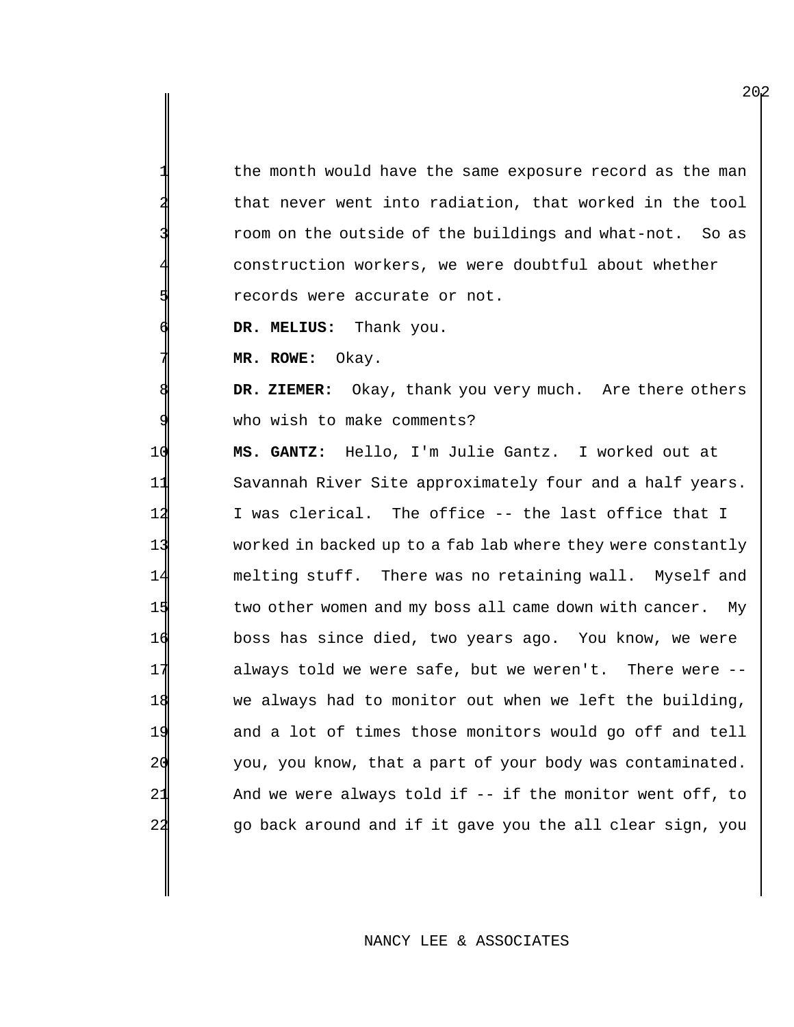the month would have the same exposure record as the man that never went into radiation, that worked in the tool room on the outside of the buildings and what-not. So as construction workers, we were doubtful about whether records were accurate or not.

**DR. MELIUS:** Thank you.

**MR. ROWE:** Okay.

 **DR. ZIEMER:** Okay, thank you very much. Are there others who wish to make comments?

 **MS. GANTZ:** Hello, I'm Julie Gantz. I worked out at Savannah River Site approximately four and a half years. 12 I was clerical. The office -- the last office that I worked in backed up to a fab lab where they were constantly melting stuff. There was no retaining wall. Myself and 15 two other women and my boss all came down with cancer. My boss has since died, two years ago. You know, we were always told we were safe, but we weren't. There were -- we always had to monitor out when we left the building, and a lot of times those monitors would go off and tell you, you know, that a part of your body was contaminated. And we were always told if -- if the monitor went off, to go back around and if it gave you the all clear sign, you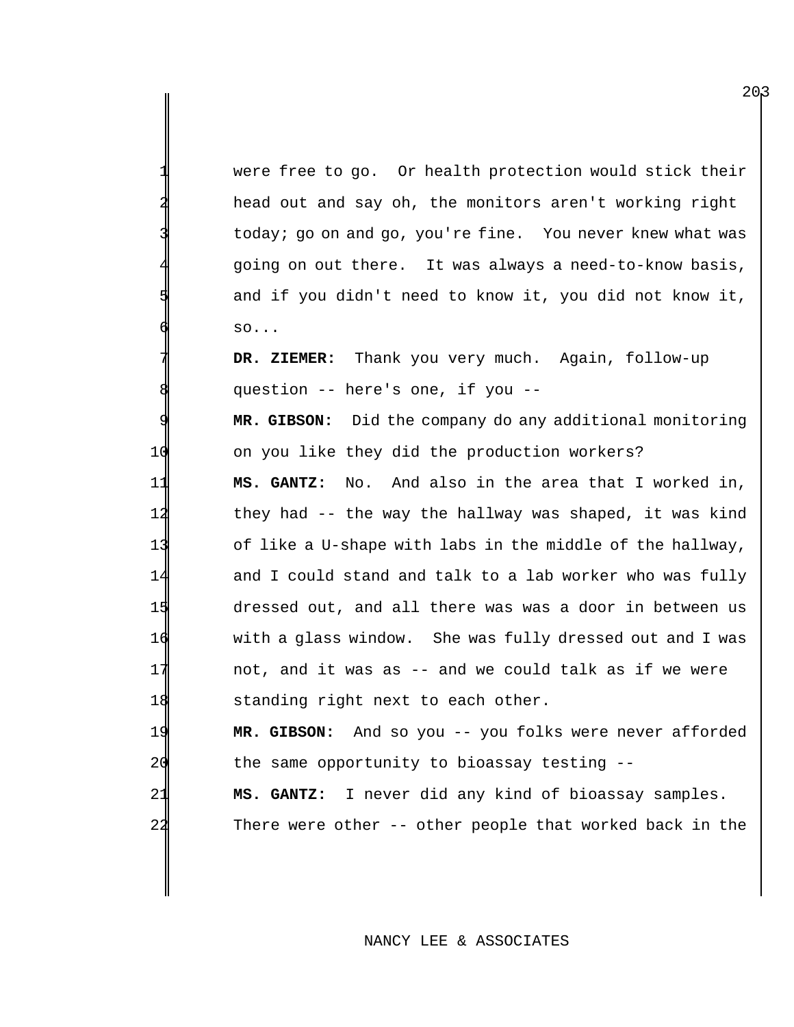were free to go. Or health protection would stick their head out and say oh, the monitors aren't working right today; go on and go, you're fine. You never knew what was 4 going on out there. It was always a need-to-know basis, and if you didn't need to know it, you did not know it,  $SO...$ 

DR. ZIEMER: Thank you very much. Again, follow-up question -- here's one, if you --

9 **MR. GIBSON:** Did the company do any additional monitoring 10 on you like they did the production workers?

 **MS. GANTZ:** No. And also in the area that I worked in, they had -- the way the hallway was shaped, it was kind of like a U-shape with labs in the middle of the hallway, 14 and I could stand and talk to a lab worker who was fully dressed out, and all there was was a door in between us with a glass window. She was fully dressed out and I was not, and it was as -- and we could talk as if we were 18 standing right next to each other.

19 **MR. GIBSON:** And so you -- you folks were never afforded 20 the same opportunity to bioassay testing --

21 **MS. GANTZ:** I never did any kind of bioassay samples.

22 There were other -- other people that worked back in the

NANCY LEE & ASSOCIATES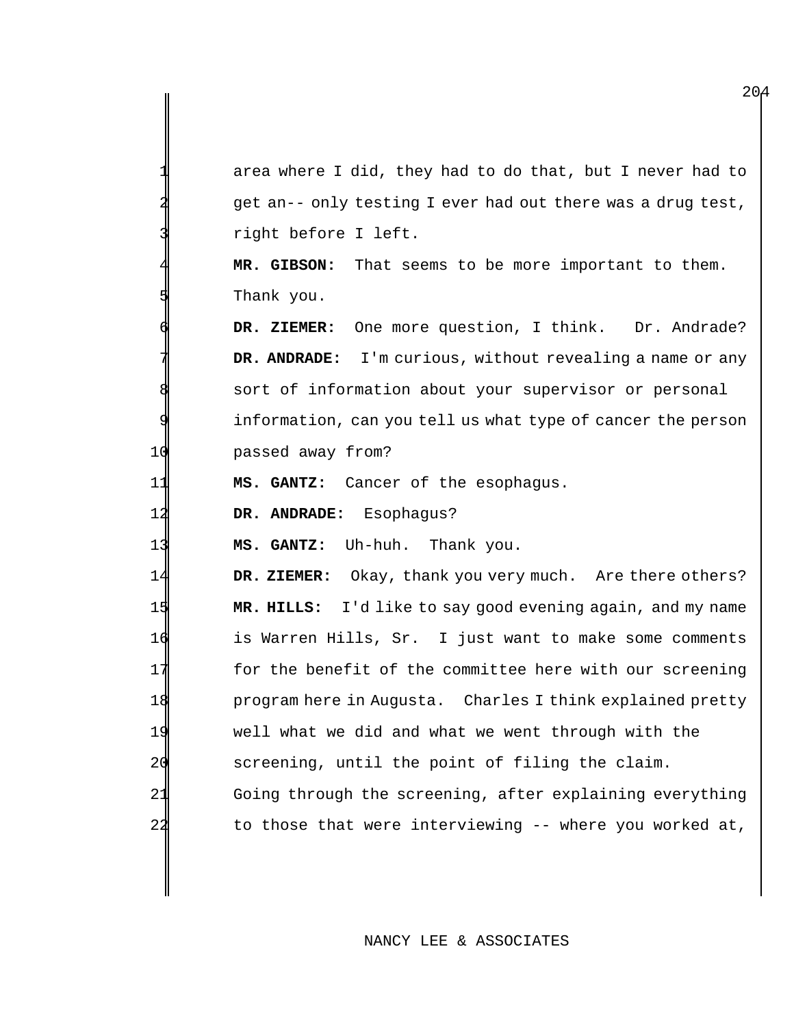area where I did, they had to do that, but I never had to 2 get an-- only testing I ever had out there was a drug test, right before I left.

MR. GIBSON: That seems to be more important to them. Thank you.

DR. ZIEMER: One more question, I think. Dr. Andrade? DR. ANDRADE: I'm curious, without revealing a name or any sort of information about your supervisor or personal information, can you tell us what type of cancer the person 10 passed away from?

11 **MS. GANTZ:** Cancer of the esophagus.

12 **DR. ANDRADE:** Esophagus?

13 **MS. GANTZ:** Uh-huh. Thank you.

 **DR. ZIEMER:** Okay, thank you very much. Are there others? **MR. HILLS:** I'd like to say good evening again, and my name is Warren Hills, Sr. I just want to make some comments 17 for the benefit of the committee here with our screening program here in Augusta. Charles I think explained pretty well what we did and what we went through with the 20 screening, until the point of filing the claim. Going through the screening, after explaining everything to those that were interviewing -- where you worked at,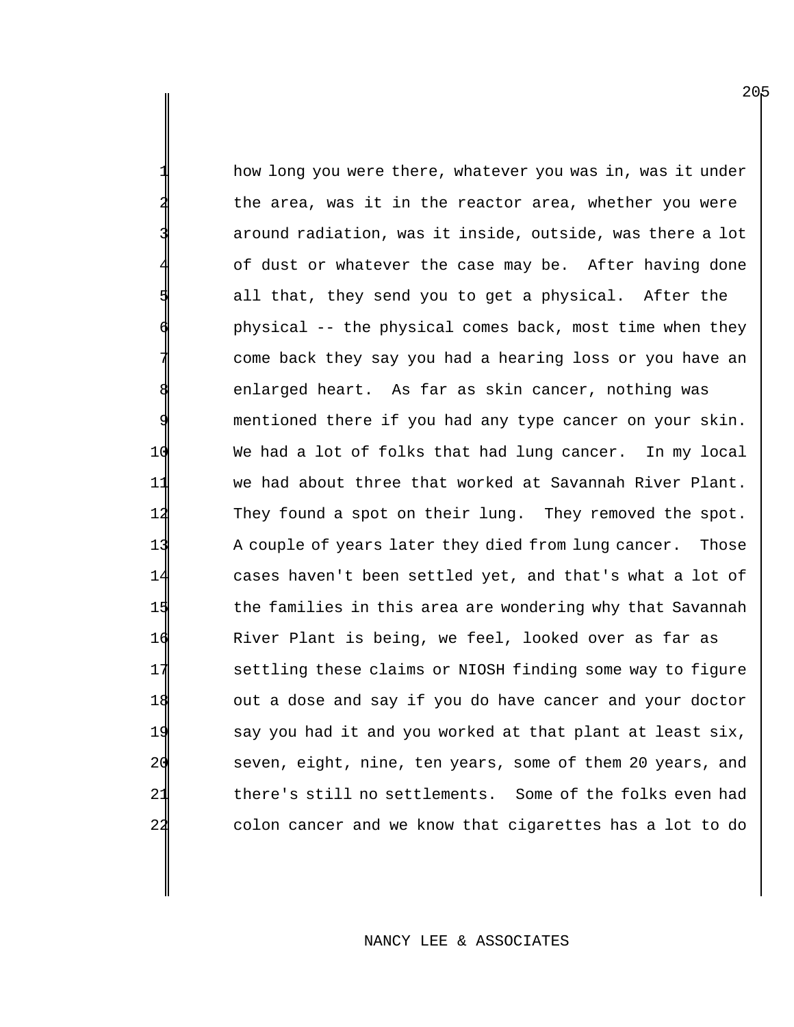how long you were there, whatever you was in, was it under the area, was it in the reactor area, whether you were around radiation, was it inside, outside, was there a lot of dust or whatever the case may be. After having done all that, they send you to get a physical. After the physical -- the physical comes back, most time when they come back they say you had a hearing loss or you have an enlarged heart. As far as skin cancer, nothing was mentioned there if you had any type cancer on your skin. 10 We had a lot of folks that had lung cancer. In my local 11 we had about three that worked at Savannah River Plant. 12 They found a spot on their lung. They removed the spot. 13 A couple of years later they died from lung cancer. Those 14 cases haven't been settled yet, and that's what a lot of 15 the families in this area are wondering why that Savannah 16 River Plant is being, we feel, looked over as far as 17 settling these claims or NIOSH finding some way to figure 18 out a dose and say if you do have cancer and your doctor 19 say you had it and you worked at that plant at least six, 20 seven, eight, nine, ten years, some of them 20 years, and 21 there's still no settlements. Some of the folks even had 22 colon cancer and we know that cigarettes has a lot to do

## NANCY LEE & ASSOCIATES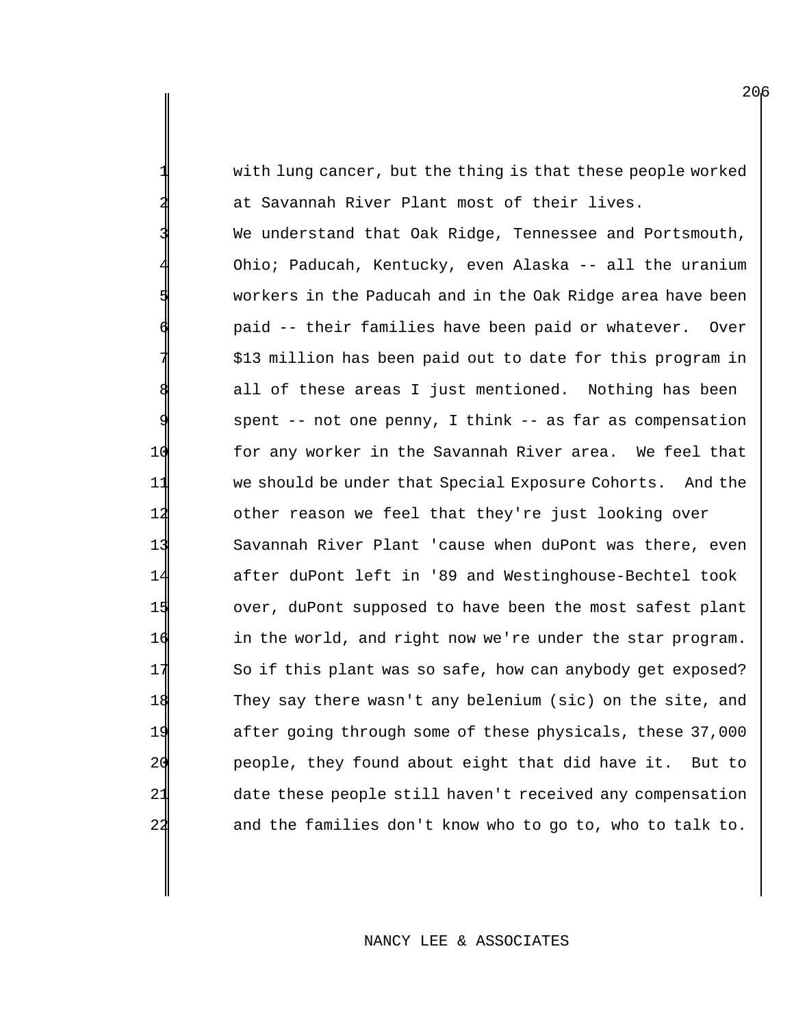with lung cancer, but the thing is that these people worked at Savannah River Plant most of their lives.

We understand that Oak Ridge, Tennessee and Portsmouth, 4 Ohio; Paducah, Kentucky, even Alaska -- all the uranium workers in the Paducah and in the Oak Ridge area have been paid -- their families have been paid or whatever. Over \$13 million has been paid out to date for this program in all of these areas I just mentioned. Nothing has been spent -- not one penny, I think -- as far as compensation 10 for any worker in the Savannah River area. We feel that 11 we should be under that Special Exposure Cohorts. And the 12 other reason we feel that they're just looking over 13 Savannah River Plant 'cause when duPont was there, even 14 after duPont left in '89 and Westinghouse-Bechtel took 15 over, duPont supposed to have been the most safest plant 16 in the world, and right now we're under the star program. 17 So if this plant was so safe, how can anybody get exposed? 18 They say there wasn't any belenium (sic) on the site, and 19 after going through some of these physicals, these 37,000 20 people, they found about eight that did have it. But to 21 date these people still haven't received any compensation 22 and the families don't know who to go to, who to talk to.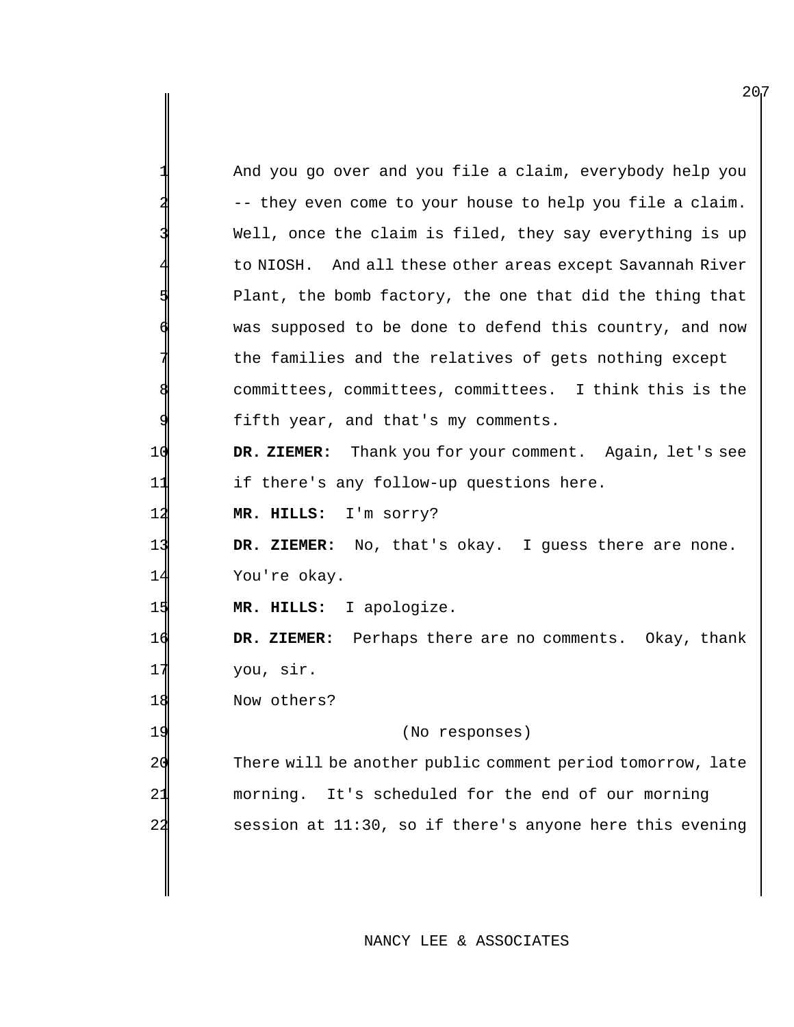|    | And you go over and you file a claim, everybody help you   |
|----|------------------------------------------------------------|
|    | -- they even come to your house to help you file a claim.  |
|    | Well, once the claim is filed, they say everything is up   |
|    | to NIOSH. And all these other areas except Savannah River  |
|    | Plant, the bomb factory, the one that did the thing that   |
|    | was supposed to be done to defend this country, and now    |
|    | the families and the relatives of gets nothing except      |
|    | committees, committees, committees. I think this is the    |
|    | fifth year, and that's my comments.                        |
| 10 | DR. ZIEMER: Thank you for your comment. Again, let's see   |
| 11 | if there's any follow-up questions here.                   |
| 12 | I'm sorry?<br>MR. HILLS:                                   |
| 13 | DR. ZIEMER: No, that's okay. I guess there are none.       |
| 14 | You're okay.                                               |
| 15 | MR. HILLS: I apologize.                                    |
| 16 | DR. ZIEMER: Perhaps there are no comments. Okay, thank     |
| 17 | you, sir.                                                  |
| 18 | Now others?                                                |
| 19 | (No responses)                                             |
| 20 | There will be another public comment period tomorrow, late |
| 21 | morning.<br>It's scheduled for the end of our morning      |
| 22 | session at 11:30, so if there's anyone here this evening   |
|    |                                                            |

NANCY LEE & ASSOCIATES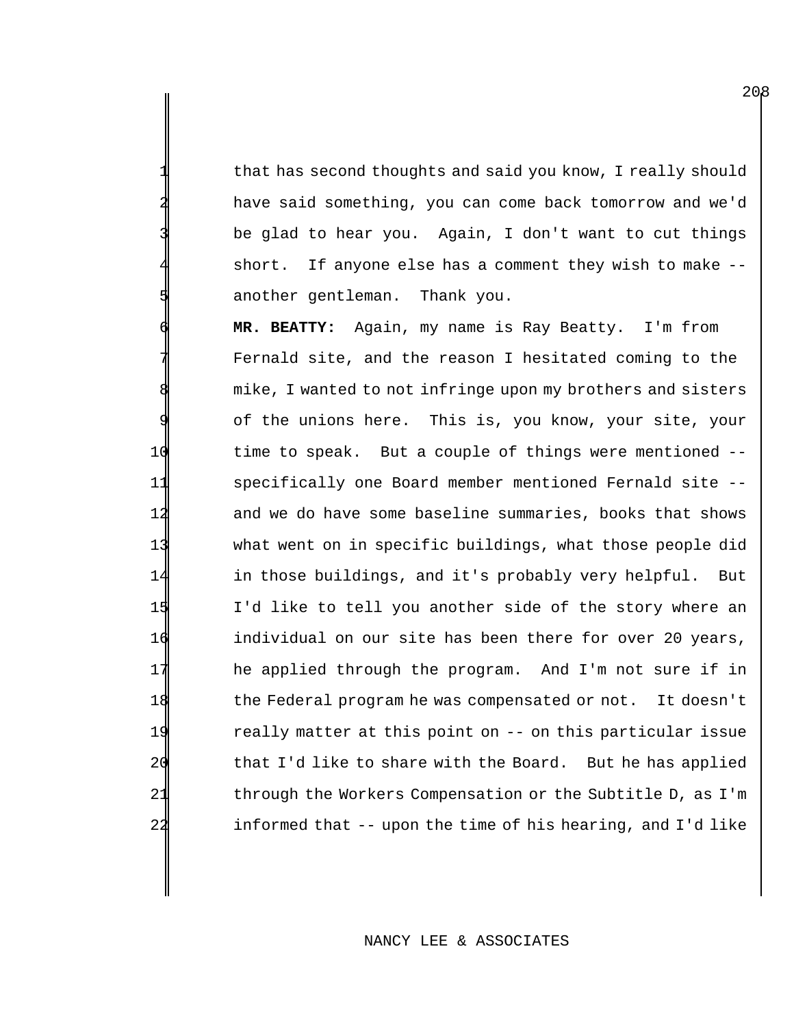that has second thoughts and said you know, I really should have said something, you can come back tomorrow and we'd be glad to hear you. Again, I don't want to cut things  $short.$  If anyone else has a comment they wish to make  $-$ another gentleman. Thank you.

 **MR. BEATTY:** Again, my name is Ray Beatty. I'm from Fernald site, and the reason I hesitated coming to the mike, I wanted to not infringe upon my brothers and sisters of the unions here. This is, you know, your site, your time to speak. But a couple of things were mentioned -- specifically one Board member mentioned Fernald site -- and we do have some baseline summaries, books that shows what went on in specific buildings, what those people did in those buildings, and it's probably very helpful. But I'd like to tell you another side of the story where an individual on our site has been there for over 20 years, he applied through the program. And I'm not sure if in the Federal program he was compensated or not. It doesn't really matter at this point on -- on this particular issue that I'd like to share with the Board. But he has applied 21 through the Workers Compensation or the Subtitle D, as I'm informed that -- upon the time of his hearing, and I'd like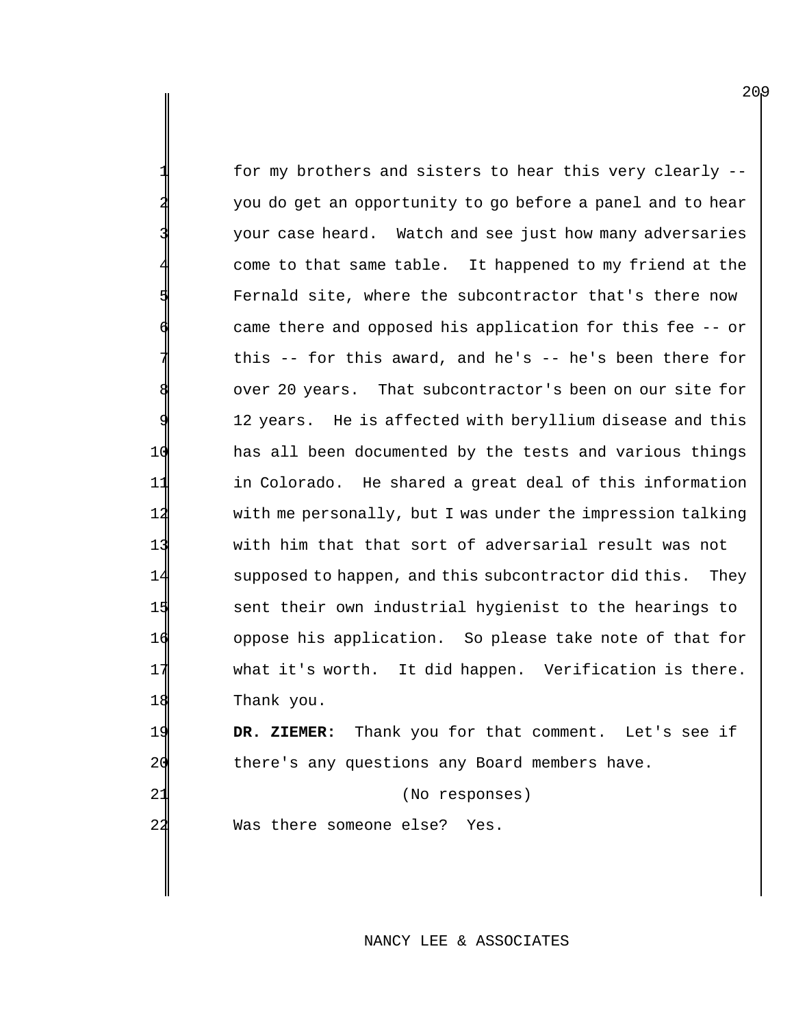for my brothers and sisters to hear this very clearly -you do get an opportunity to go before a panel and to hear your case heard. Watch and see just how many adversaries come to that same table. It happened to my friend at the 5 Fernald site, where the subcontractor that's there now came there and opposed his application for this fee -- or this  $-$ - for this award, and he's  $-$  he's been there for over 20 years. That subcontractor's been on our site for 12 years. He is affected with beryllium disease and this 10 has all been documented by the tests and various things 11 in Colorado. He shared a great deal of this information 12 with me personally, but I was under the impression talking 13 with him that that sort of adversarial result was not 14 supposed to happen, and this subcontractor did this. They 15 sent their own industrial hygienist to the hearings to 16 oppose his application. So please take note of that for 17 what it's worth. It did happen. Verification is there. 18 Thank you.

# 19 **DR. ZIEMER:** Thank you for that comment. Let's see if 20 there's any questions any Board members have.

21 (No responses)

22 Was there someone else? Yes.

NANCY LEE & ASSOCIATES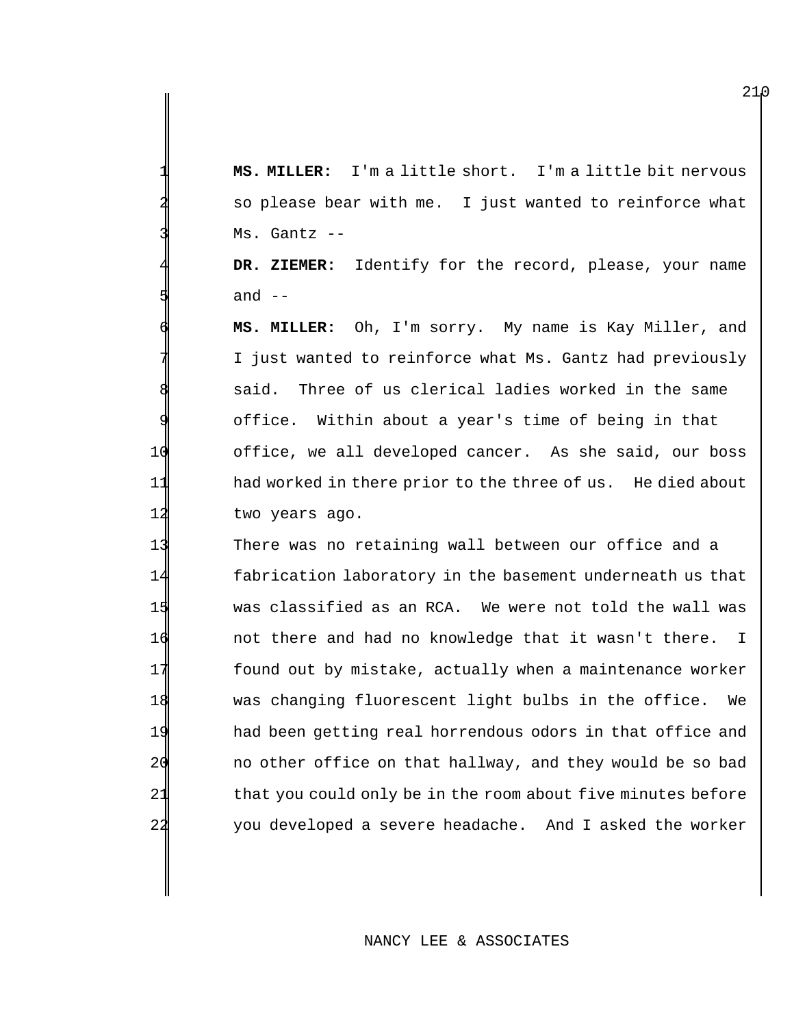1 **MS. MILLER:** I'm a little short. I'm a little bit nervous so please bear with me. I just wanted to reinforce what  $Ms.$  Gantz  $--$ 

DR. ZIEMER: Identify for the record, please, your name and  $-$ 

6 **MS. MILLER:** Oh, I'm sorry. My name is Kay Miller, and I just wanted to reinforce what Ms. Gantz had previously said. Three of us clerical ladies worked in the same office. Within about a year's time of being in that 10 office, we all developed cancer. As she said, our boss 11 had worked in there prior to the three of us. He died about 12 two years ago.

 There was no retaining wall between our office and a fabrication laboratory in the basement underneath us that was classified as an RCA. We were not told the wall was not there and had no knowledge that it wasn't there. I found out by mistake, actually when a maintenance worker was changing fluorescent light bulbs in the office. We had been getting real horrendous odors in that office and no other office on that hallway, and they would be so bad 21 that you could only be in the room about five minutes before you developed a severe headache. And I asked the worker

## NANCY LEE & ASSOCIATES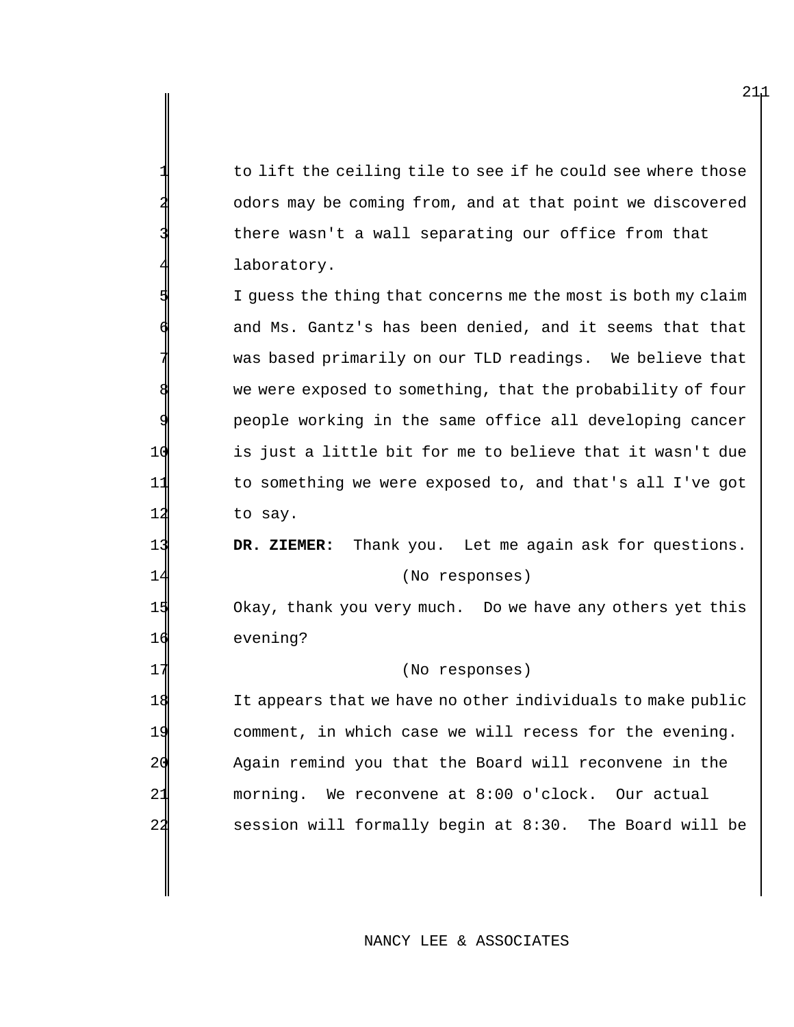to lift the ceiling tile to see if he could see where those odors may be coming from, and at that point we discovered there wasn't a wall separating our office from that laboratory.

I guess the thing that concerns me the most is both my claim and Ms. Gantz's has been denied, and it seems that that was based primarily on our TLD readings. We believe that we were exposed to something, that the probability of four 9 people working in the same office all developing cancer 10 is just a little bit for me to believe that it wasn't due 11 to something we were exposed to, and that's all I've got 12 to say.

13 **DR. ZIEMER:** Thank you. Let me again ask for questions. 14 (No responses)

15 Okay, thank you very much. Do we have any others yet this 16 evening?

#### 17 (No responses)

 It appears that we have no other individuals to make public comment, in which case we will recess for the evening. Again remind you that the Board will reconvene in the morning. We reconvene at 8:00 o'clock. Our actual session will formally begin at 8:30. The Board will be

## NANCY LEE & ASSOCIATES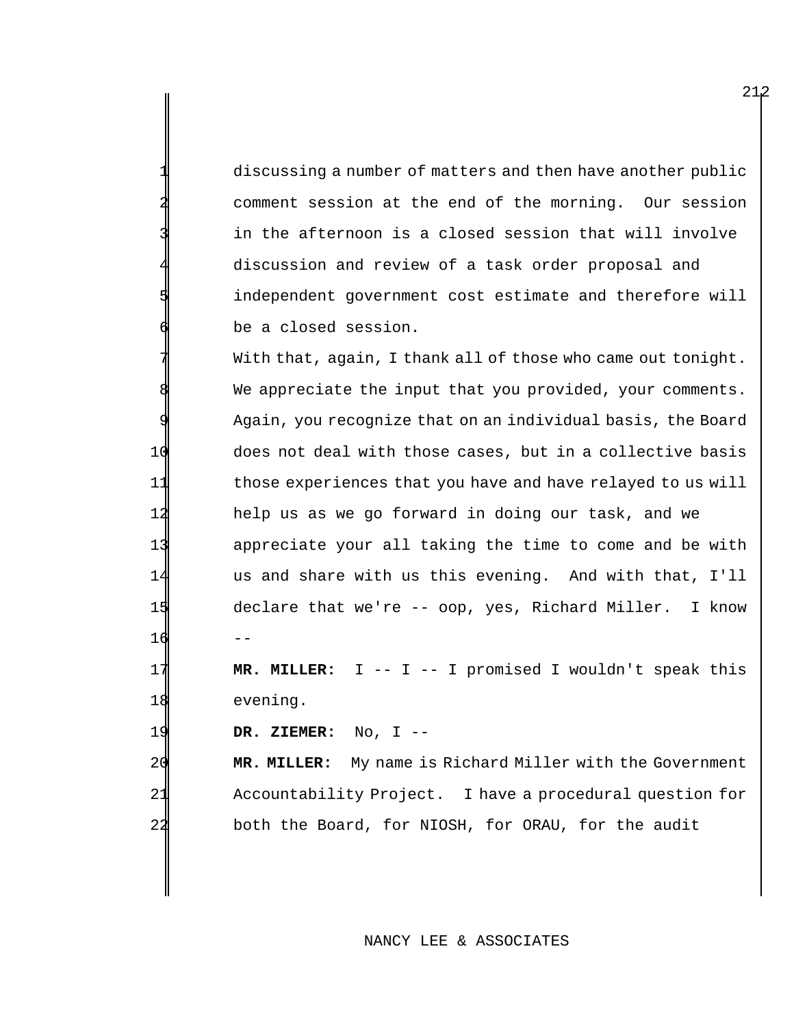discussing a number of matters and then have another public comment session at the end of the morning. Our session in the afternoon is a closed session that will involve discussion and review of a task order proposal and independent government cost estimate and therefore will be a closed session.

With that, again, I thank all of those who came out tonight. We appreciate the input that you provided, your comments. Again, you recognize that on an individual basis, the Board 10 does not deal with those cases, but in a collective basis 11 those experiences that you have and have relayed to us will 12 help us as we go forward in doing our task, and we 13 appreciate your all taking the time to come and be with 14 us and share with us this evening. And with that, I'll 15 declare that we're -- oop, yes, Richard Miller. I know 16 --

17 **MR. MILLER:** I -- I -- I promised I wouldn't speak this 18 evening.

19 **DR. ZIEMER:** No, I --

20 **MR. MILLER:** My name is Richard Miller with the Government 21 Accountability Project. I have a procedural question for 22 both the Board, for NIOSH, for ORAU, for the audit

## NANCY LEE & ASSOCIATES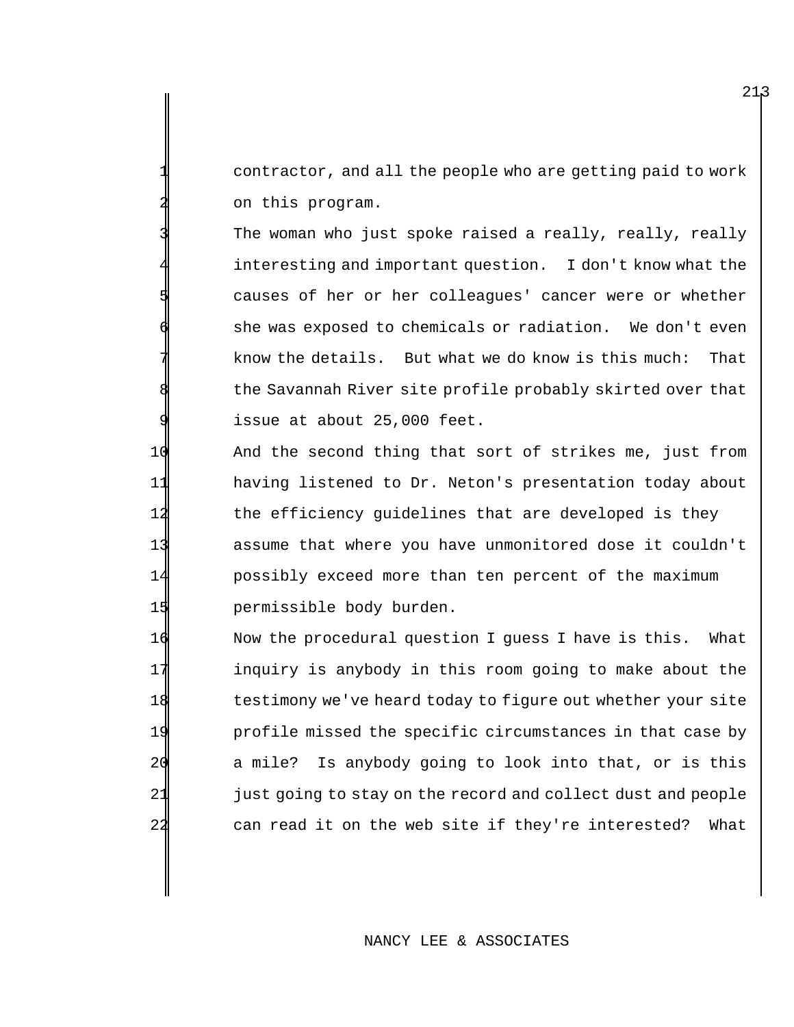contractor, and all the people who are getting paid to work on this program.

The woman who just spoke raised a really, really, really interesting and important question. I don't know what the causes of her or her colleagues' cancer were or whether she was exposed to chemicals or radiation. We don't even know the details. But what we do know is this much: That the Savannah River site profile probably skirted over that issue at about 25,000 feet.

 And the second thing that sort of strikes me, just from having listened to Dr. Neton's presentation today about 12 the efficiency guidelines that are developed is they assume that where you have unmonitored dose it couldn't possibly exceed more than ten percent of the maximum permissible body burden.

 Now the procedural question I guess I have is this. What inquiry is anybody in this room going to make about the testimony we've heard today to figure out whether your site profile missed the specific circumstances in that case by a mile? Is anybody going to look into that, or is this 21 just going to stay on the record and collect dust and people can read it on the web site if they're interested? What

## NANCY LEE & ASSOCIATES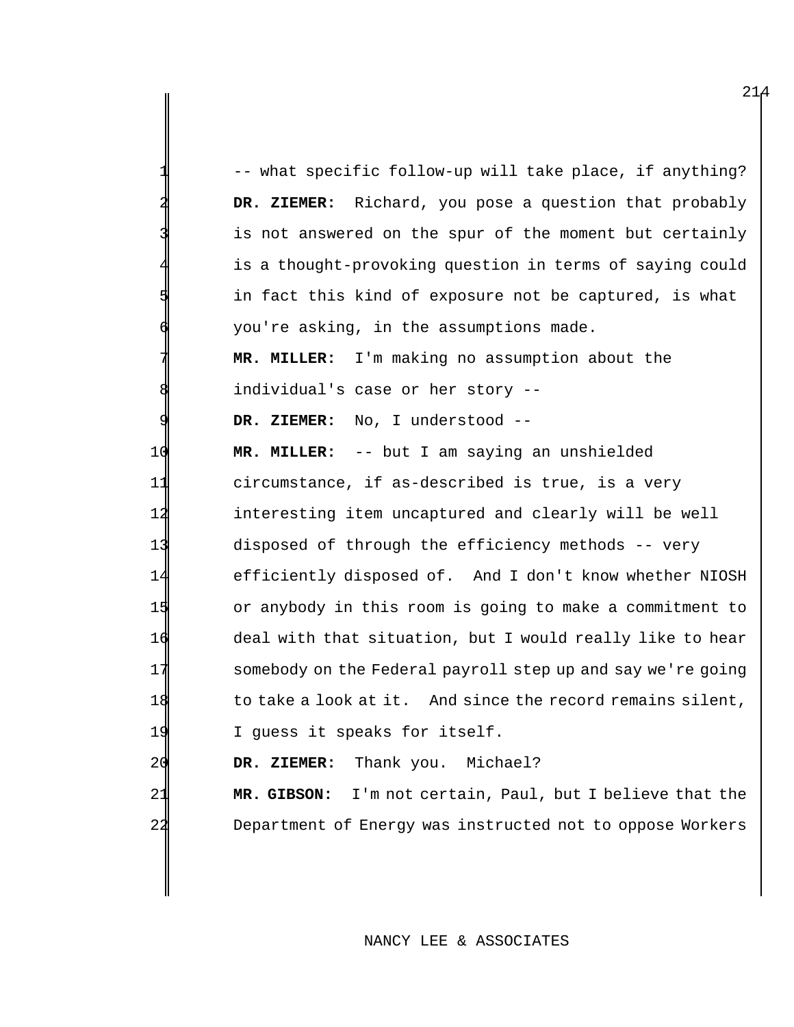|    | -- what specific follow-up will take place, if anything?     |
|----|--------------------------------------------------------------|
|    | DR. ZIEMER: Richard, you pose a question that probably       |
|    | is not answered on the spur of the moment but certainly      |
|    | is a thought-provoking question in terms of saying could     |
|    | in fact this kind of exposure not be captured, is what       |
|    | you're asking, in the assumptions made.                      |
|    | MR. MILLER: I'm making no assumption about the               |
|    | individual's case or her story --                            |
|    | No, I understood --<br>DR. ZIEMER:                           |
| 10 | MR. MILLER: -- but I am saying an unshielded                 |
| 11 | circumstance, if as-described is true, is a very             |
| 1  | interesting item uncaptured and clearly will be well         |
| 13 | disposed of through the efficiency methods -- very           |
| 14 | efficiently disposed of. And I don't know whether NIOSH      |
| 15 | or anybody in this room is going to make a commitment to     |
| 16 | deal with that situation, but I would really like to hear    |
| 1  | somebody on the Federal payroll step up and say we're going  |
| 18 | to take a look at it. And since the record remains silent,   |
| 19 | I guess it speaks for itself.                                |
| 2d | DR. ZIEMER: Thank you. Michael?                              |
| 21 | MR. GIBSON:<br>I'm not certain, Paul, but I believe that the |
| 22 | Department of Energy was instructed not to oppose Workers    |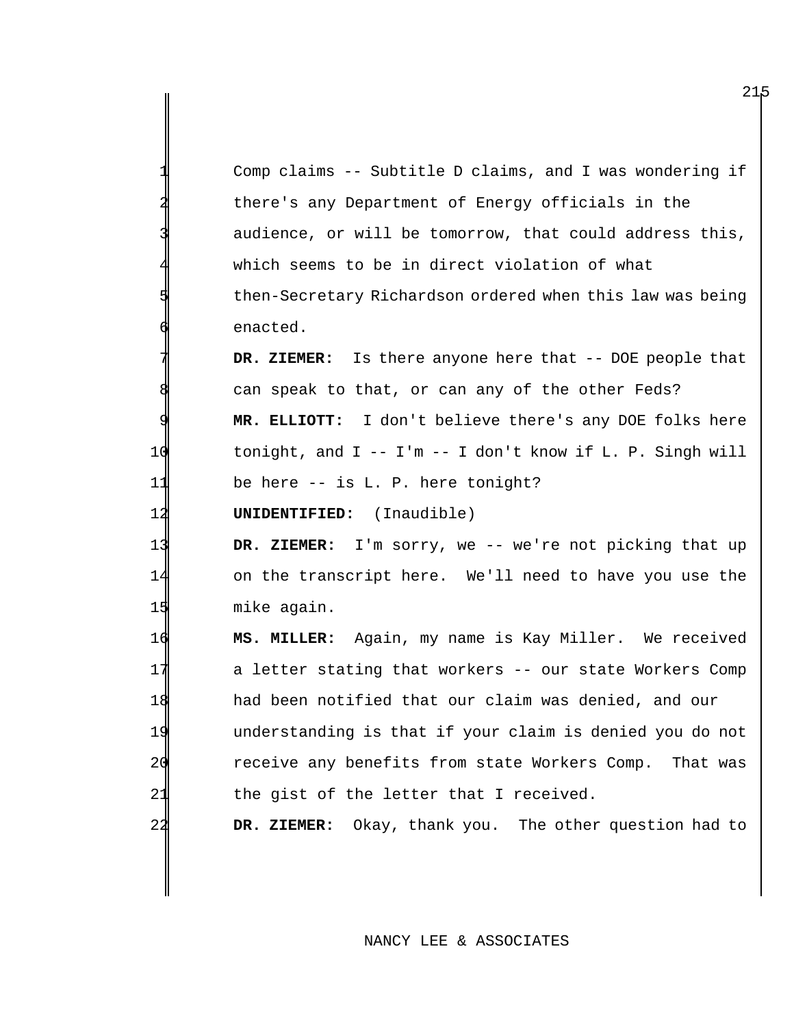| ╢ | Comp claims -- Subtitle D claims, and I was wondering if    |
|---|-------------------------------------------------------------|
|   | there's any Department of Energy officials in the           |
|   | audience, or will be tomorrow, that could address this,     |
|   | which seems to be in direct violation of what               |
| 데 | then-Secretary Richardson ordered when this law was being   |
| ศ | enacted.                                                    |
|   | Is there anyone here that -- DOE people that<br>DR. ZIEMER: |

can speak to that, or can any of the other Feds? **MR. ELLIOTT:** I don't believe there's any DOE folks here tonight, and I -- I'm -- I don't know if L. P. Singh will 11 be here -- is L. P. here tonight?

**UNIDENTIFIED:** (Inaudible)

**DR. ZIEMER:** I'm sorry, we -- we're not picking that up on the transcript here. We'll need to have you use the mike again.

 **MS. MILLER:** Again, my name is Kay Miller. We received a letter stating that workers -- our state Workers Comp had been notified that our claim was denied, and our understanding is that if your claim is denied you do not 20 receive any benefits from state Workers Comp. That was 21 the gist of the letter that I received.

**DR. ZIEMER:** Okay, thank you. The other question had to

## NANCY LEE & ASSOCIATES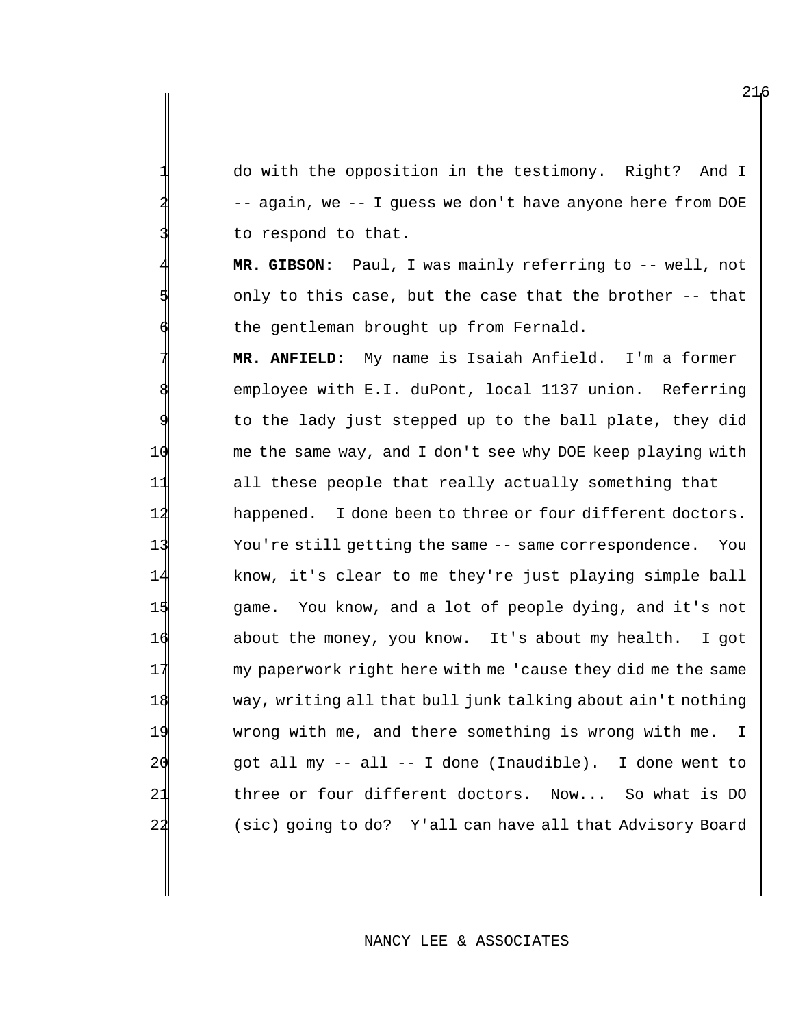do with the opposition in the testimony. Right? And I -- again, we -- I guess we don't have anyone here from DOE to respond to that.

MR. GIBSON: Paul, I was mainly referring to -- well, not only to this case, but the case that the brother -- that the gentleman brought up from Fernald.

 **MR. ANFIELD:** My name is Isaiah Anfield. I'm a former employee with E.I. duPont, local 1137 union. Referring to the lady just stepped up to the ball plate, they did me the same way, and I don't see why DOE keep playing with all these people that really actually something that 12 happened. I done been to three or four different doctors. You're still getting the same -- same correspondence. You know, it's clear to me they're just playing simple ball game. You know, and a lot of people dying, and it's not about the money, you know. It's about my health. I got my paperwork right here with me 'cause they did me the same way, writing all that bull junk talking about ain't nothing wrong with me, and there something is wrong with me. I got all my -- all -- I done (Inaudible). I done went to three or four different doctors. Now... So what is DO (sic) going to do? Y'all can have all that Advisory Board

## NANCY LEE & ASSOCIATES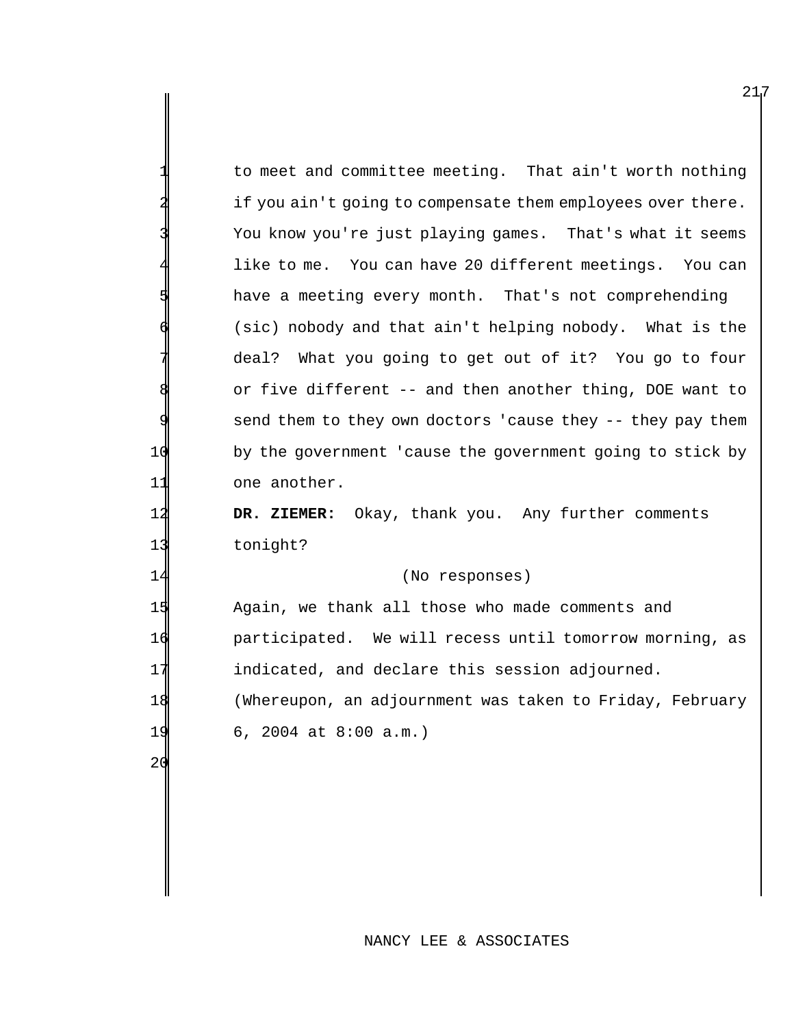|    | to meet and committee meeting. That ain't worth nothing     |
|----|-------------------------------------------------------------|
|    | if you ain't going to compensate them employees over there. |
|    | You know you're just playing games. That's what it seems    |
|    | like to me. You can have 20 different meetings. You can     |
|    | have a meeting every month. That's not comprehending        |
|    | (sic) nobody and that ain't helping nobody. What is the     |
|    | deal? What you going to get out of it? You go to four       |
|    | or five different -- and then another thing, DOE want to    |
|    | send them to they own doctors 'cause they -- they pay them  |
| 10 | by the government 'cause the government going to stick by   |
|    | one another.                                                |
|    | DR. ZIEMER: Okay, thank you. Any further comments           |
| 13 | tonight?                                                    |
|    |                                                             |

## 14 (No responses)

15 Again, we thank all those who made comments and 1 $\frac{d}{dx}$  participated. We will recess until tomorrow morning, as 17 indicated, and declare this session adjourned. (Whereupon, an adjournment was taken to Friday, February 6, 2004 at 8:00 a.m.)

# NANCY LEE & ASSOCIATES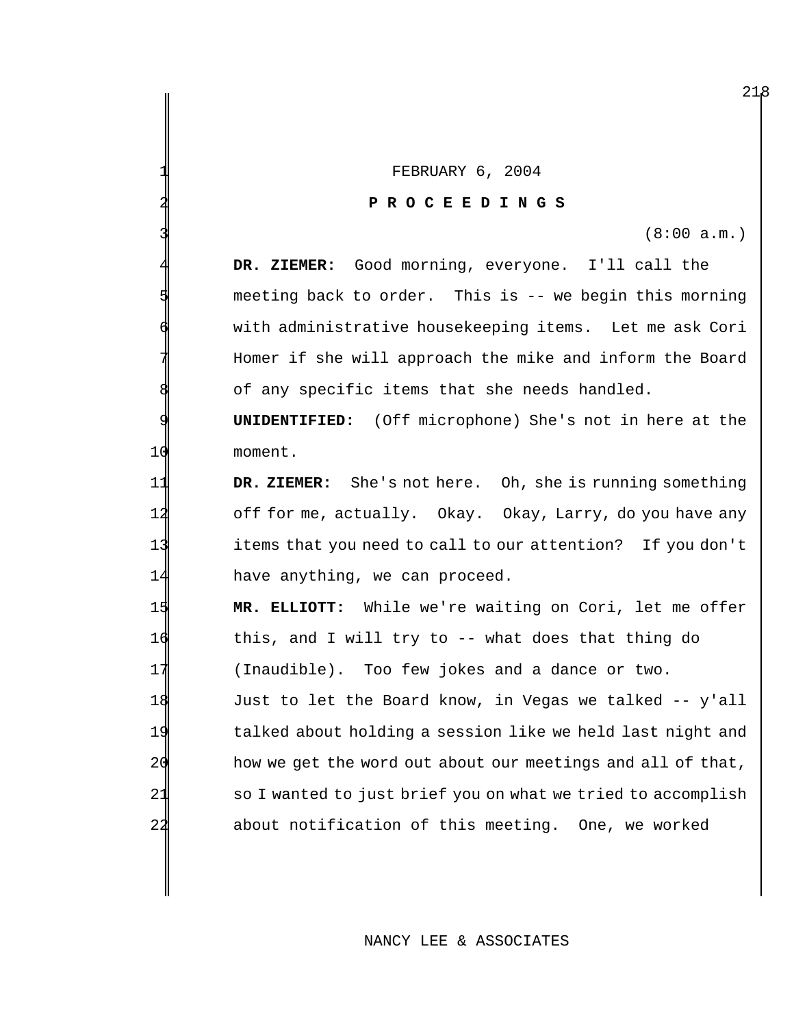FEBRUARY 6, 2004

#### **P R O C E E D I N G S**

 $(8:00 a.m.)$ 

 **DR. ZIEMER:** Good morning, everyone. I'll call the meeting back to order. This is -- we begin this morning with administrative housekeeping items. Let me ask Cori Homer if she will approach the mike and inform the Board of any specific items that she needs handled.

 **UNIDENTIFIED:** (Off microphone) She's not in here at the moment.

 **DR. ZIEMER:** She's not here. Oh, she is running something off for me, actually. Okay. Okay, Larry, do you have any items that you need to call to our attention? If you don't have anything, we can proceed.

 **MR. ELLIOTT:** While we're waiting on Cori, let me offer this, and I will try to -- what does that thing do (Inaudible). Too few jokes and a dance or two. Just to let the Board know, in Vegas we talked -- y'all talked about holding a session like we held last night and 20 how we get the word out about our meetings and all of that, 21 so I wanted to just brief you on what we tried to accomplish about notification of this meeting. One, we worked

## NANCY LEE & ASSOCIATES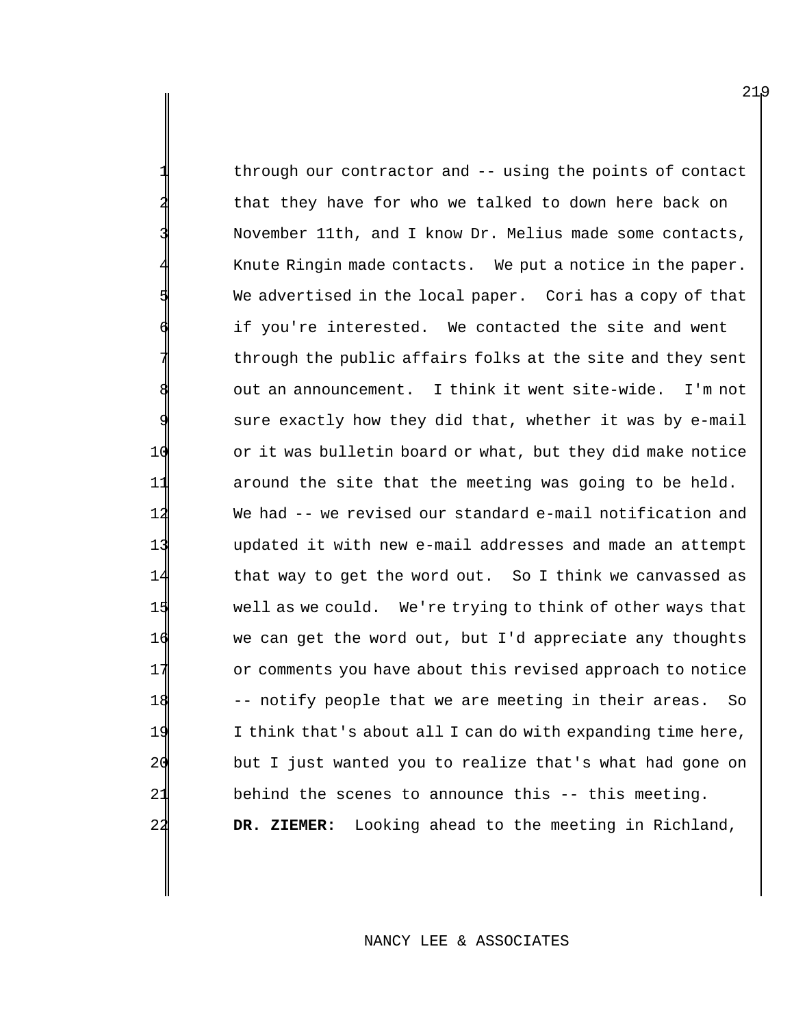through our contractor and -- using the points of contact that they have for who we talked to down here back on November 11th, and I know Dr. Melius made some contacts, Knute Ringin made contacts. We put a notice in the paper. We advertised in the local paper. Cori has a copy of that if you're interested. We contacted the site and went through the public affairs folks at the site and they sent out an announcement. I think it went site-wide. I'm not sure exactly how they did that, whether it was by e-mail 10 or it was bulletin board or what, but they did make notice 11 around the site that the meeting was going to be held. 12 We had -- we revised our standard e-mail notification and 13 updated it with new e-mail addresses and made an attempt 14 that way to get the word out. So I think we canvassed as 15 well as we could. We're trying to think of other ways that 16 we can get the word out, but I'd appreciate any thoughts 17 or comments you have about this revised approach to notice 18 -- notify people that we are meeting in their areas. So 19 I think that's about all I can do with expanding time here, 20 but I just wanted you to realize that's what had gone on 21 behind the scenes to announce this -- this meeting. 22 **DR. ZIEMER:** Looking ahead to the meeting in Richland,

## NANCY LEE & ASSOCIATES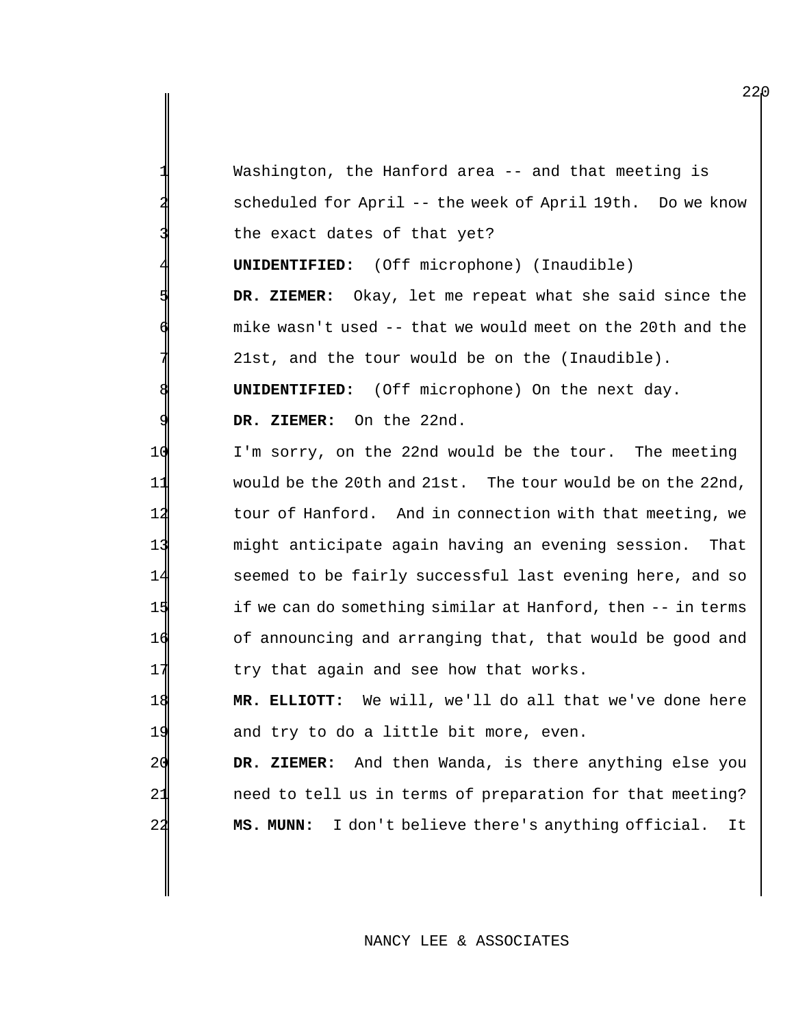Washington, the Hanford area  $-$ - and that meeting is scheduled for April -- the week of April 19th. Do we know the exact dates of that yet?

**UNIDENTIFIED:** (Off microphone) (Inaudible)

 **DR. ZIEMER:** Okay, let me repeat what she said since the mike wasn't used -- that we would meet on the 20th and the 21st, and the tour would be on the (Inaudible). **UNIDENTIFIED:** (Off microphone) On the next day.

**DR. ZIEMER:** On the 22nd.

 I'm sorry, on the 22nd would be the tour. The meeting would be the 20th and 21st. The tour would be on the 22nd, 12 tour of Hanford. And in connection with that meeting, we might anticipate again having an evening session. That seemed to be fairly successful last evening here, and so if we can do something similar at Hanford, then -- in terms of announcing and arranging that, that would be good and 17 try that again and see how that works.

 **MR. ELLIOTT:** We will, we'll do all that we've done here and try to do a little bit more, even.

 **DR. ZIEMER:** And then Wanda, is there anything else you **need to tell us in terms of preparation for that meeting? MS. MUNN:** I don't believe there's anything official. It

NANCY LEE & ASSOCIATES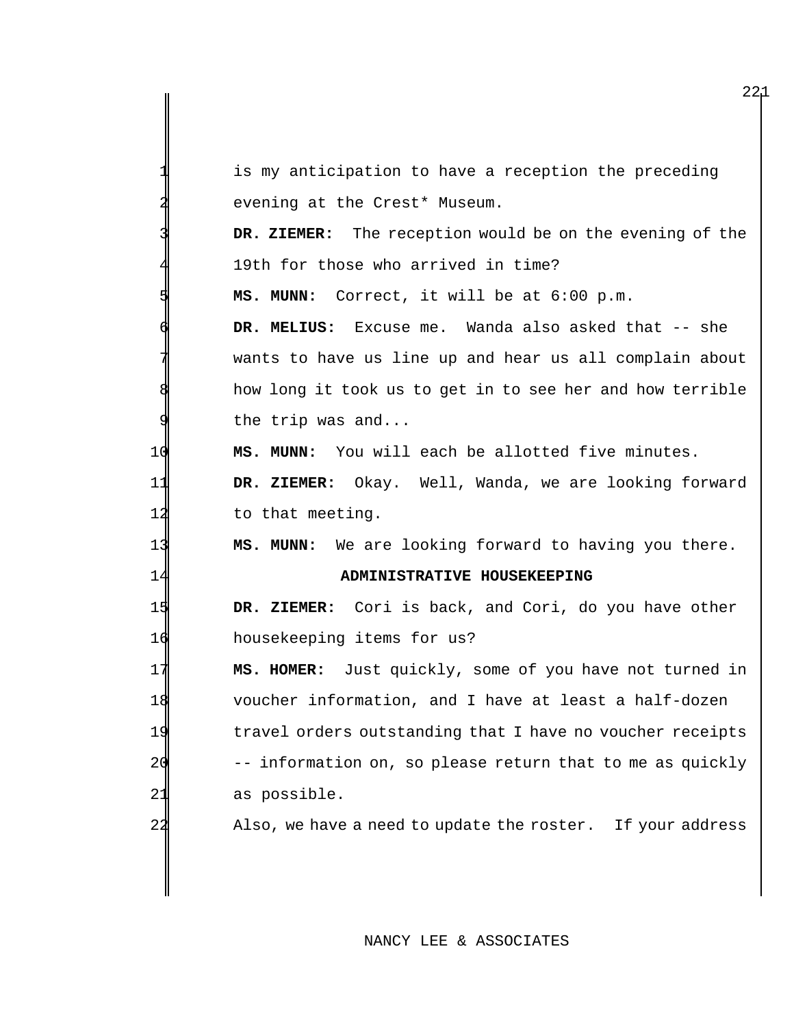|        | is my anticipation to have a reception the preceding       |
|--------|------------------------------------------------------------|
|        | evening at the Crest* Museum.                              |
|        | DR. ZIEMER: The reception would be on the evening of the   |
|        | 19th for those who arrived in time?                        |
|        | MS. MUNN: Correct, it will be at 6:00 p.m.                 |
|        | DR. MELIUS: Excuse me. Wanda also asked that -- she        |
|        | wants to have us line up and hear us all complain about    |
|        | how long it took us to get in to see her and how terrible  |
|        | the trip was and                                           |
| 10     | MS. MUNN: You will each be allotted five minutes.          |
| 11     | DR. ZIEMER: Okay. Well, Wanda, we are looking forward      |
| $12 \$ | to that meeting.                                           |
| 13     | MS. MUNN: We are looking forward to having you there.      |
| 14     | ADMINISTRATIVE HOUSEKEEPING                                |
| 15     | DR. ZIEMER: Cori is back, and Cori, do you have other      |
| 16     | housekeeping items for us?                                 |
| 17     | MS. HOMER: Just quickly, some of you have not turned in    |
| 18     | voucher information, and I have at least a half-dozen      |
| 19     | travel orders outstanding that I have no voucher receipts  |
| 20     | information on, so please return that to me as quickly     |
| 21     | as possible.                                               |
| 22     | Also, we have a need to update the roster. If your address |
|        |                                                            |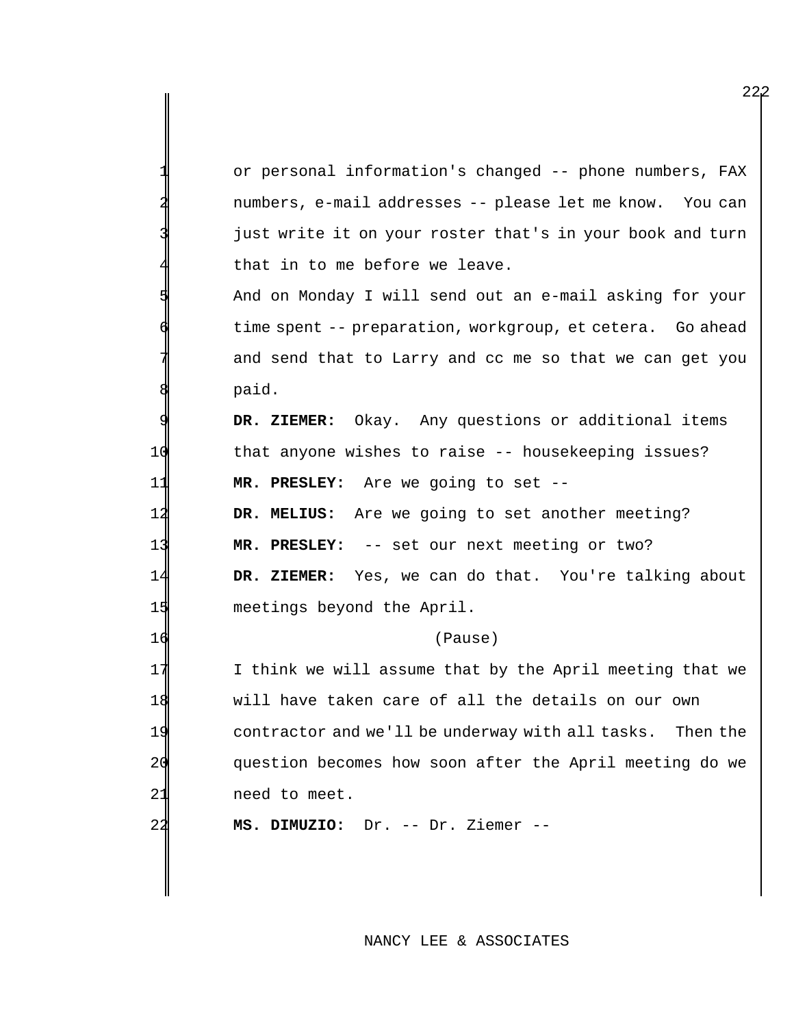or personal information's changed -- phone numbers, FAX numbers, e-mail addresses -- please let me know. You can just write it on your roster that's in your book and turn that in to me before we leave.

And on Monday I will send out an e-mail asking for your time spent -- preparation, workgroup, et cetera. Go ahead and send that to Larry and cc me so that we can get you paid.

9 **DR. ZIEMER:** Okay. Any questions or additional items 10 that anyone wishes to raise -- housekeeping issues? 11 **MR. PRESLEY:** Are we going to set --

 **DR. MELIUS:** Are we going to set another meeting? **MR. PRESLEY:** -- set our next meeting or two? **DR. ZIEMER:** Yes, we can do that. You're talking about meetings beyond the April.

#### 16 (Pause)

17 I think we will assume that by the April meeting that we 18 will have taken care of all the details on our own 19 contractor and we'll be underway with all tasks. Then the 20 question becomes how soon after the April meeting do we 21 need to meet.

22 **MS. DIMUZIO:** Dr. -- Dr. Ziemer --

NANCY LEE & ASSOCIATES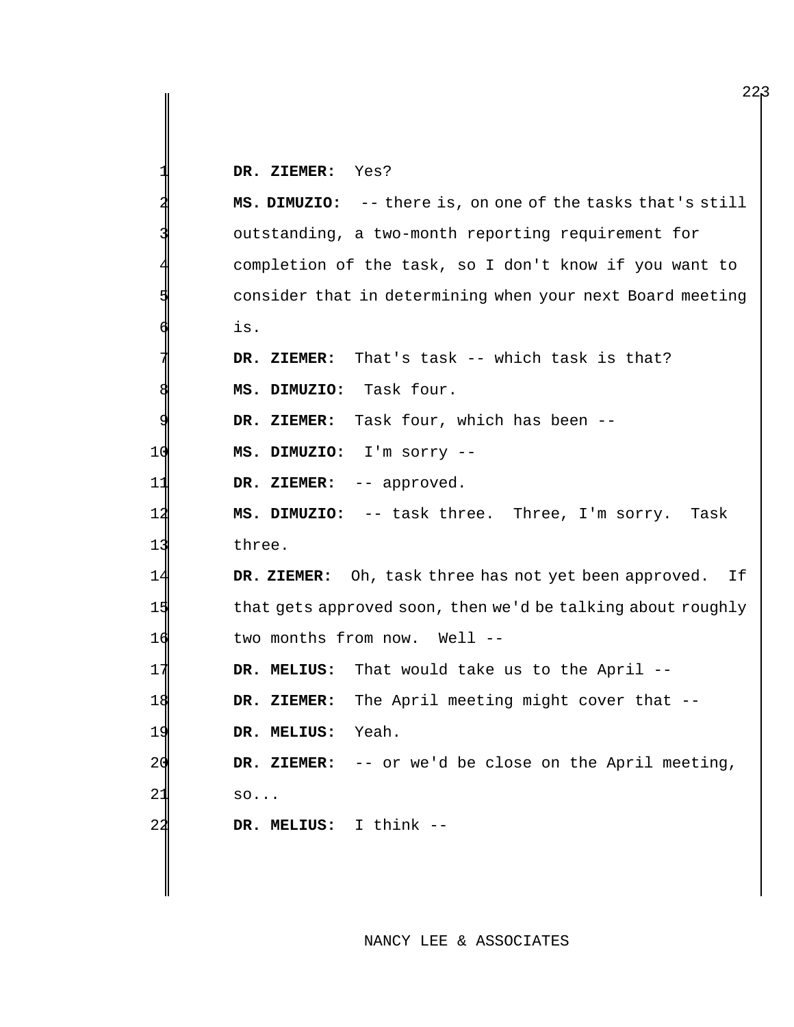|                | Yes?<br>DR. ZIEMER:                                         |
|----------------|-------------------------------------------------------------|
|                | MS. DIMUZIO: -- there is, on one of the tasks that's still  |
|                | outstanding, a two-month reporting requirement for          |
|                | completion of the task, so I don't know if you want to      |
|                | consider that in determining when your next Board meeting   |
|                | is.                                                         |
|                | DR. ZIEMER: That's task -- which task is that?              |
|                | MS. DIMUZIO: Task four.                                     |
|                | DR. ZIEMER: Task four, which has been --                    |
| 1 C            | MS. DIMUZIO: I'm sorry --                                   |
| 11             | DR. ZIEMER: -- approved.                                    |
| 12             | MS. DIMUZIO: -- task three. Three, I'm sorry. Task          |
| 13             | three.                                                      |
| 14             | DR. ZIEMER: Oh, task three has not yet been approved.<br>If |
| 15             | that gets approved soon, then we'd be talking about roughly |
| 16             | two months from now. Well --                                |
| 17             | That would take us to the April --<br>DR. MELIUS:           |
| 18             | The April meeting might cover that --<br>DR. ZIEMER:        |
| 19             | Yeah.<br>DR. MELIUS:                                        |
| 2 <sub>c</sub> | -- or we'd be close on the April meeting,<br>DR. ZIEMER:    |
| 21             | SO                                                          |
| $^{22}$        | I think --<br>DR. MELIUS:                                   |
|                |                                                             |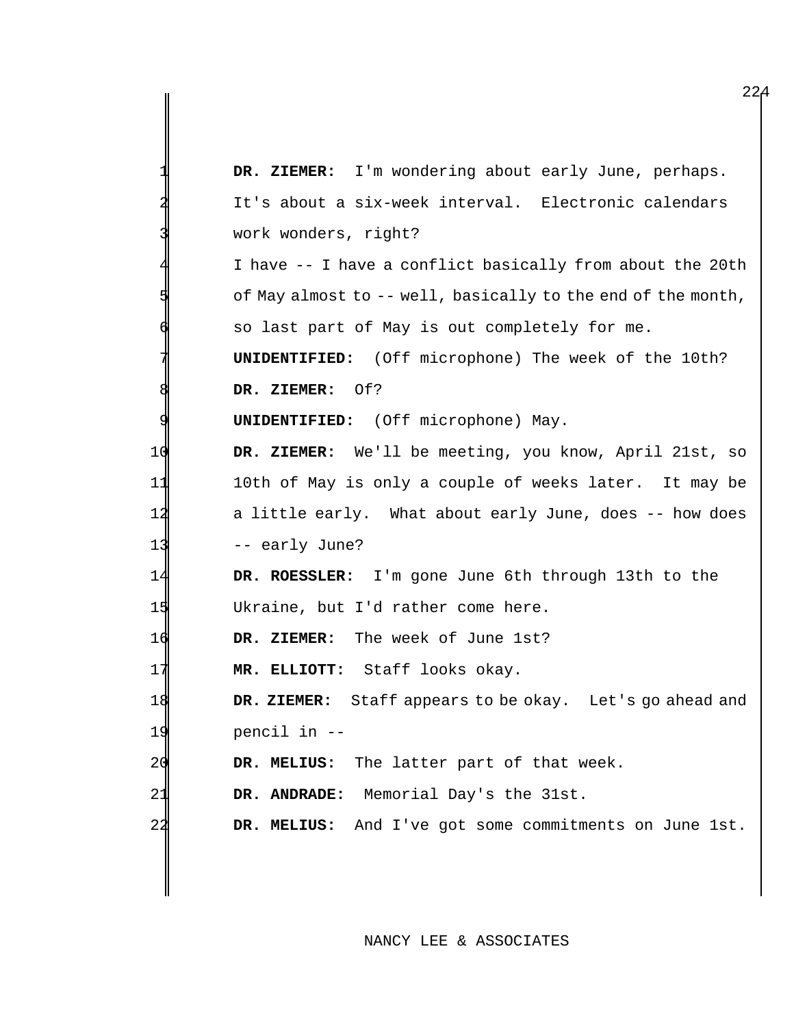|                | DR. ZIEMER: I'm wondering about early June, perhaps.         |
|----------------|--------------------------------------------------------------|
|                | It's about a six-week interval. Electronic calendars         |
|                | work wonders, right?                                         |
|                | I have -- I have a conflict basically from about the 20th    |
|                | of May almost to -- well, basically to the end of the month, |
|                | so last part of May is out completely for me.                |
|                | <b>UNIDENTIFIED:</b> (Off microphone) The week of the 10th?  |
|                | DR. ZIEMER: Of?                                              |
| 9              | <b>UNIDENTIFIED:</b> (Off microphone) May.                   |
| 10             | DR. ZIEMER: We'll be meeting, you know, April 21st, so       |
| 11             | 10th of May is only a couple of weeks later. It may be       |
| 12             | a little early. What about early June, does -- how does      |
| 13             | -- early June?                                               |
| 14             | DR. ROESSLER: I'm gone June 6th through 13th to the          |
| 15             | Ukraine, but I'd rather come here.                           |
| 16             | DR. ZIEMER: The week of June 1st?                            |
| 17             | MR. ELLIOTT: Staff looks okay.                               |
| 18             | DR. ZIEMER: Staff appears to be okay. Let's go ahead and     |
| 19             | pencil in --                                                 |
| 20             | The latter part of that week.<br>DR. MELIUS:                 |
| 21             | Memorial Day's the 31st.<br>DR. ANDRADE:                     |
| 2 <sub>4</sub> | And I've got some commitments on June 1st.<br>DR. MELIUS:    |
|                |                                                              |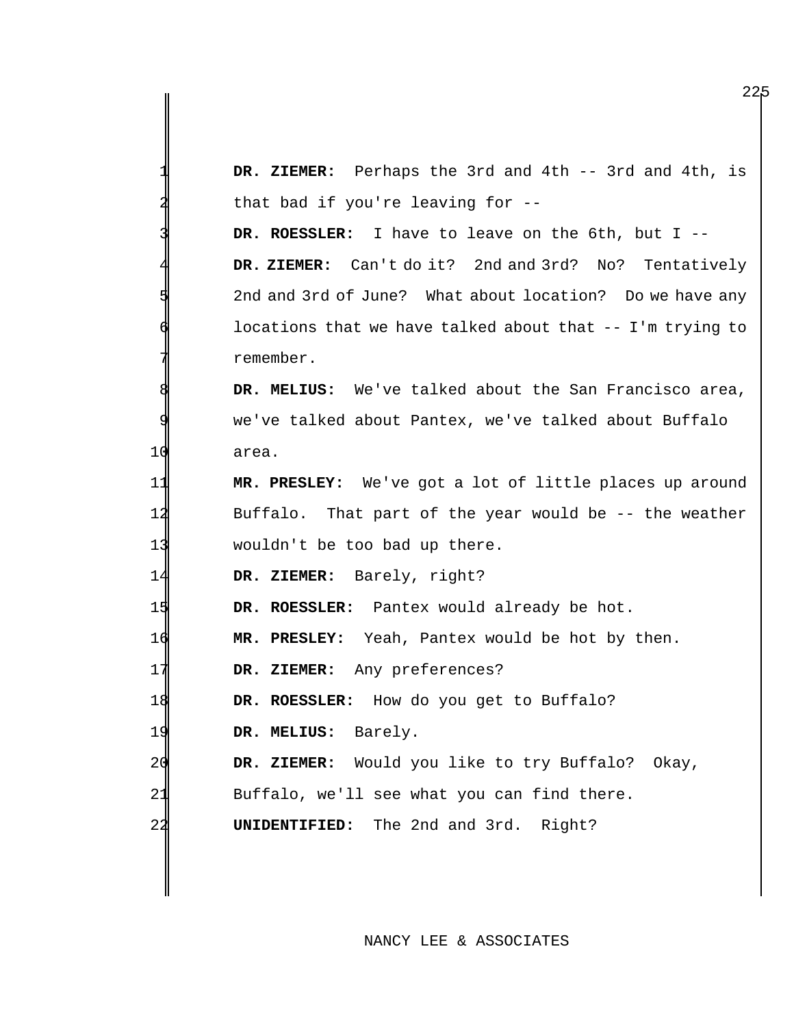|                | DR. ZIEMER: Perhaps the 3rd and 4th -- 3rd and 4th, is    |
|----------------|-----------------------------------------------------------|
|                | that bad if you're leaving for --                         |
|                | DR. ROESSLER: I have to leave on the 6th, but I --        |
|                | DR. ZIEMER: Can't do it? 2nd and 3rd? No? Tentatively     |
|                | 2nd and 3rd of June? What about location? Do we have any  |
|                | locations that we have talked about that -- I'm trying to |
|                | remember.                                                 |
|                | DR. MELIUS: We've talked about the San Francisco area,    |
| 9              | we've talked about Pantex, we've talked about Buffalo     |
| 10             | area.                                                     |
| 11             | MR. PRESLEY: We've got a lot of little places up around   |
| 12             | Buffalo. That part of the year would be -- the weather    |
| 13             | wouldn't be too bad up there.                             |
| 14             | DR. ZIEMER: Barely, right?                                |
| 15             | DR. ROESSLER: Pantex would already be hot.                |
| 16             | MR. PRESLEY: Yeah, Pantex would be hot by then.           |
| 17             | DR. ZIEMER: Any preferences?                              |
| 18             | DR. ROESSLER: How do you get to Buffalo?                  |
| 19             | Barely.<br>DR. MELIUS:                                    |
| 2 <sub>q</sub> | DR. ZIEMER: Would you like to try Buffalo?<br>Okay,       |
| $^{21}$        | Buffalo, we'll see what you can find there.               |
| 2 <sub>4</sub> | The 2nd and 3rd. Right?<br>UNIDENTIFIED:                  |
|                |                                                           |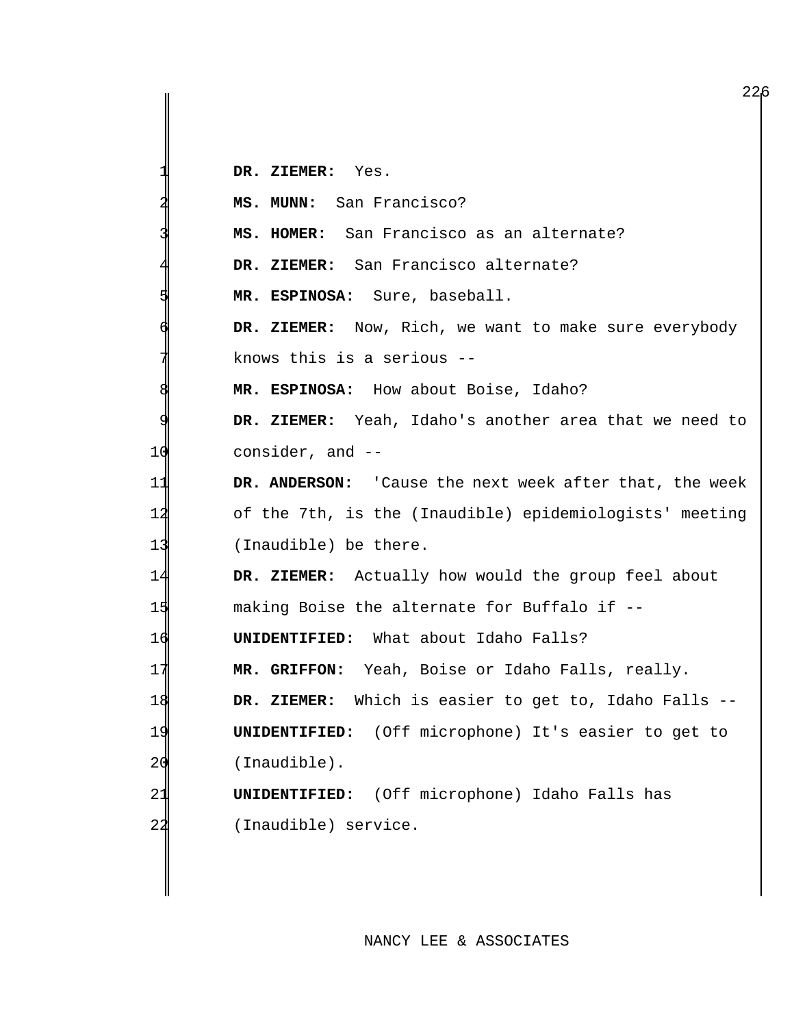**DR. ZIEMER:** Yes. **MS. MUNN:** San Francisco? MS. HOMER: San Francisco as an alternate? DR. ZIEMER: San Francisco alternate? **MR. ESPINOSA:** Sure, baseball. DR. ZIEMER: Now, Rich, we want to make sure everybody knows this is a serious  $-$ - **MR. ESPINOSA:** How about Boise, Idaho? **DR. ZIEMER:** Yeah, Idaho's another area that we need to 10 consider, and -- **DR. ANDERSON:** 'Cause the next week after that, the week of the 7th, is the (Inaudible) epidemiologists' meeting (Inaudible) be there. **DR. ZIEMER:** Actually how would the group feel about making Boise the alternate for Buffalo if -- **UNIDENTIFIED:** What about Idaho Falls? **MR. GRIFFON:** Yeah, Boise or Idaho Falls, really. **DR. ZIEMER:** Which is easier to get to, Idaho Falls -- **UNIDENTIFIED:** (Off microphone) It's easier to get to 20 (Inaudible). **UNIDENTIFIED:** (Off microphone) Idaho Falls has (Inaudible) service.

## NANCY LEE & ASSOCIATES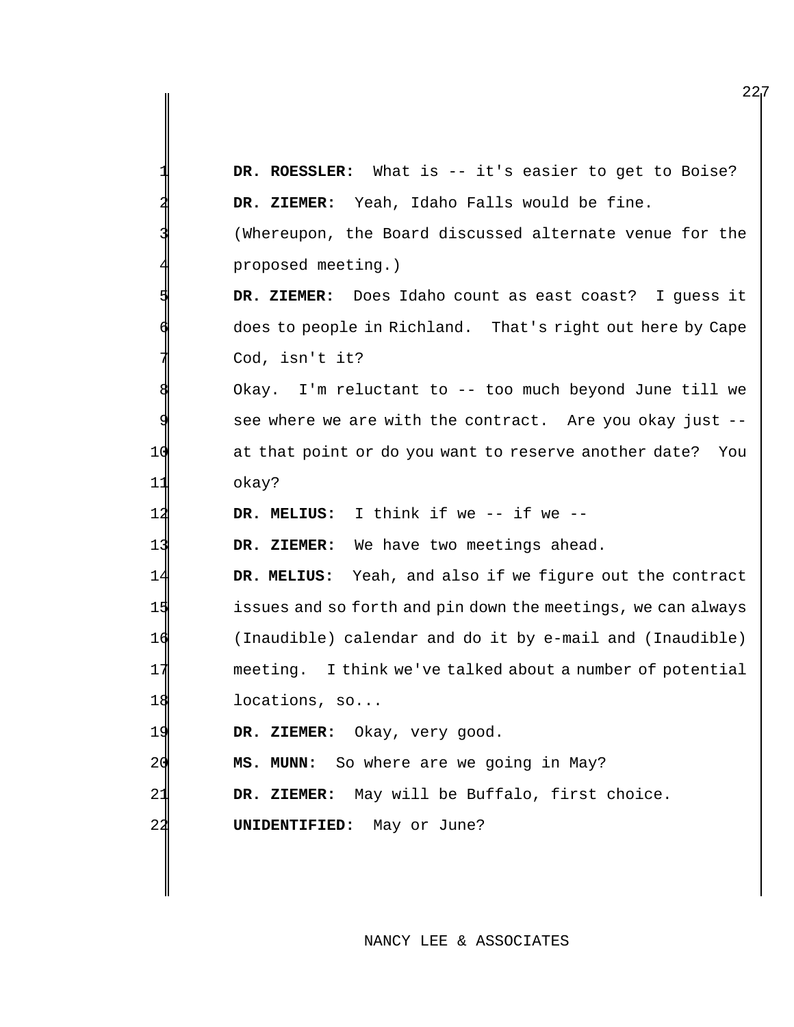|    | DR. ROESSLER: What is -- it's easier to get to Boise?        |
|----|--------------------------------------------------------------|
|    | DR. ZIEMER: Yeah, Idaho Falls would be fine.                 |
|    | (Whereupon, the Board discussed alternate venue for the      |
|    | proposed meeting.)                                           |
|    | DR. ZIEMER: Does Idaho count as east coast? I guess it       |
|    | does to people in Richland. That's right out here by Cape    |
|    | Cod, isn't it?                                               |
|    | Okay. I'm reluctant to -- too much beyond June till we       |
|    | see where we are with the contract. Are you okay just --     |
| 10 | at that point or do you want to reserve another date? You    |
| 11 | okay?                                                        |
| 12 | DR. MELIUS: I think if we -- if we --                        |
| 13 | DR. ZIEMER: We have two meetings ahead.                      |
| 14 | DR. MELIUS: Yeah, and also if we figure out the contract     |
| 15 | issues and so forth and pin down the meetings, we can always |
| 16 | (Inaudible) calendar and do it by e-mail and (Inaudible)     |
| 17 | meeting. I think we've talked about a number of potential    |
| 18 | locations, so                                                |
| 19 | DR. ZIEMER: Okay, very good.                                 |
| 20 | MS. MUNN: So where are we going in May?                      |
| 21 | DR. ZIEMER: May will be Buffalo, first choice.               |
| 22 | <b>UNIDENTIFIED:</b> May or June?                            |
|    |                                                              |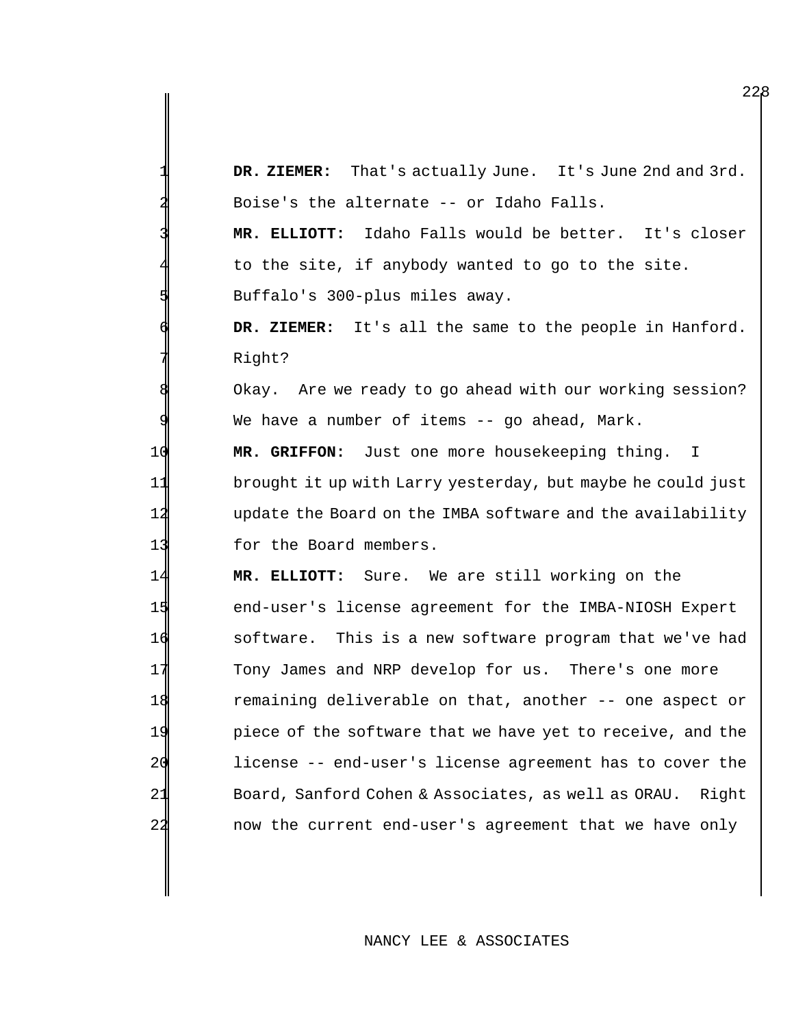DR. ZIEMER: That's actually June. It's June 2nd and 3rd. Boise's the alternate -- or Idaho Falls.

 **MR. ELLIOTT:** Idaho Falls would be better. It's closer to the site, if anybody wanted to go to the site. Buffalo's 300-plus miles away.

 **DR. ZIEMER:** It's all the same to the people in Hanford. Right?

Okay. Are we ready to go ahead with our working session? We have a number of items -- go ahead, Mark.

 **MR. GRIFFON:** Just one more housekeeping thing. I brought it up with Larry yesterday, but maybe he could just 12 update the Board on the IMBA software and the availability for the Board members.

 **MR. ELLIOTT:** Sure. We are still working on the end-user's license agreement for the IMBA-NIOSH Expert software. This is a new software program that we've had Tony James and NRP develop for us. There's one more remaining deliverable on that, another -- one aspect or piece of the software that we have yet to receive, and the license -- end-user's license agreement has to cover the Board, Sanford Cohen & Associates, as well as ORAU. Right now the current end-user's agreement that we have only

## NANCY LEE & ASSOCIATES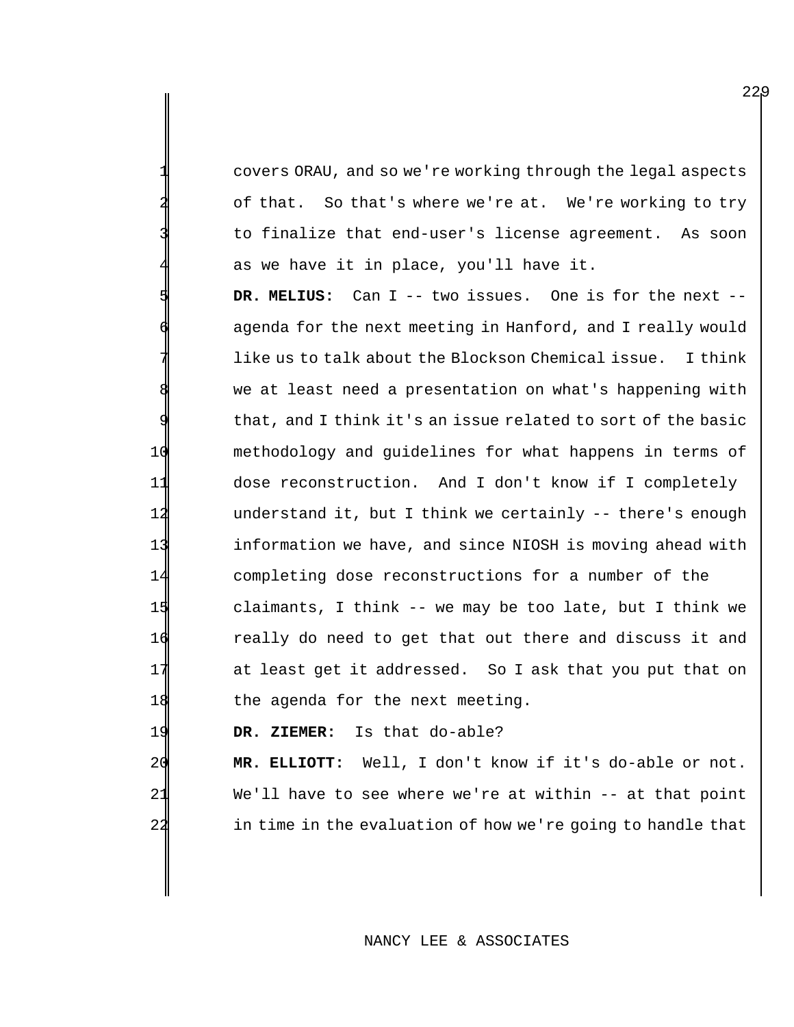covers ORAU, and so we're working through the legal aspects of that. So that's where we're at. We're working to try to finalize that end-user's license agreement. As soon as we have it in place, you'll have it.

 **DR. MELIUS:** Can I -- two issues. One is for the next - agenda for the next meeting in Hanford, and I really would like us to talk about the Blockson Chemical issue. I think we at least need a presentation on what's happening with that, and I think it's an issue related to sort of the basic methodology and guidelines for what happens in terms of dose reconstruction. And I don't know if I completely understand it, but I think we certainly -- there's enough information we have, and since NIOSH is moving ahead with completing dose reconstructions for a number of the claimants, I think -- we may be too late, but I think we really do need to get that out there and discuss it and at least get it addressed. So I ask that you put that on 18 the agenda for the next meeting.

19 **DR. ZIEMER:** Is that do-able?

20 **MR. ELLIOTT:** Well, I don't know if it's do-able or not. 21 We'll have to see where we're at within -- at that point 22 in time in the evaluation of how we're going to handle that

#### NANCY LEE & ASSOCIATES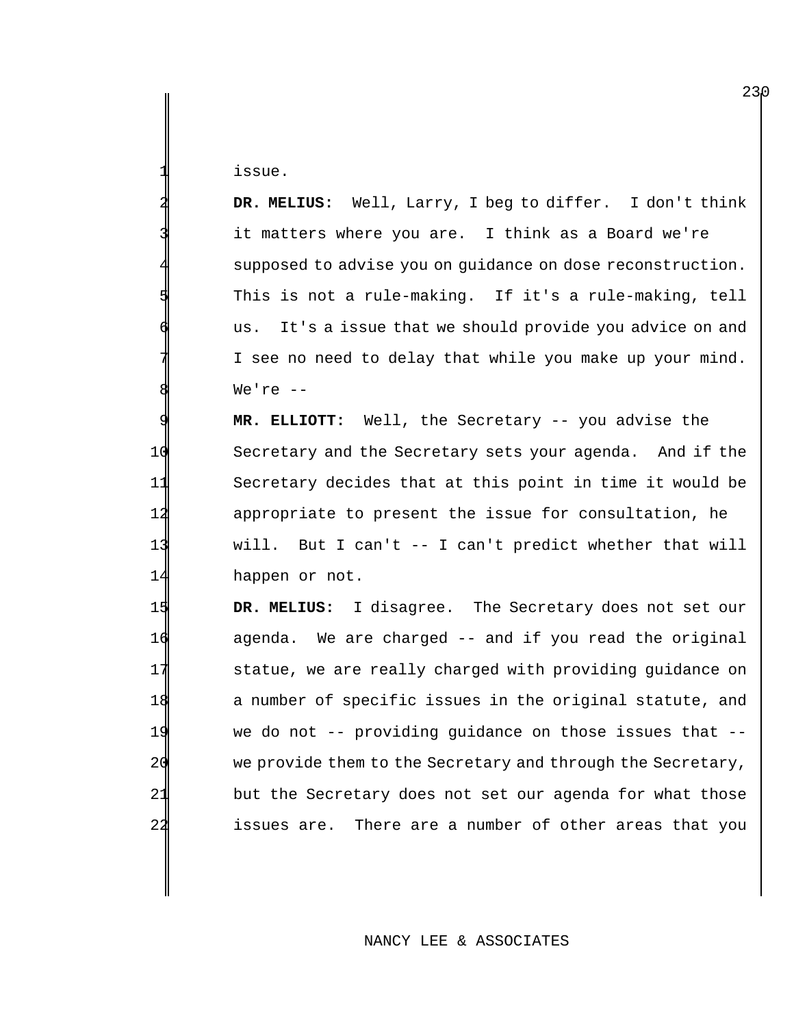1 issue.

2 **DR. MELIUS:** Well, Larry, I beg to differ. I don't think it matters where you are. I think as a Board we're supposed to advise you on guidance on dose reconstruction. This is not a rule-making. If it's a rule-making, tell us. It's a issue that we should provide you advice on and I see no need to delay that while you make up your mind. We're  $--$ 

 **MR. ELLIOTT:** Well, the Secretary -- you advise the Secretary and the Secretary sets your agenda. And if the Secretary decides that at this point in time it would be appropriate to present the issue for consultation, he will. But I can't -- I can't predict whether that will happen or not.

 **DR. MELIUS:** I disagree. The Secretary does not set our agenda. We are charged -- and if you read the original 17 statue, we are really charged with providing guidance on a number of specific issues in the original statute, and we do not -- providing guidance on those issues that -- 20 we provide them to the Secretary and through the Secretary, 21 but the Secretary does not set our agenda for what those issues are. There are a number of other areas that you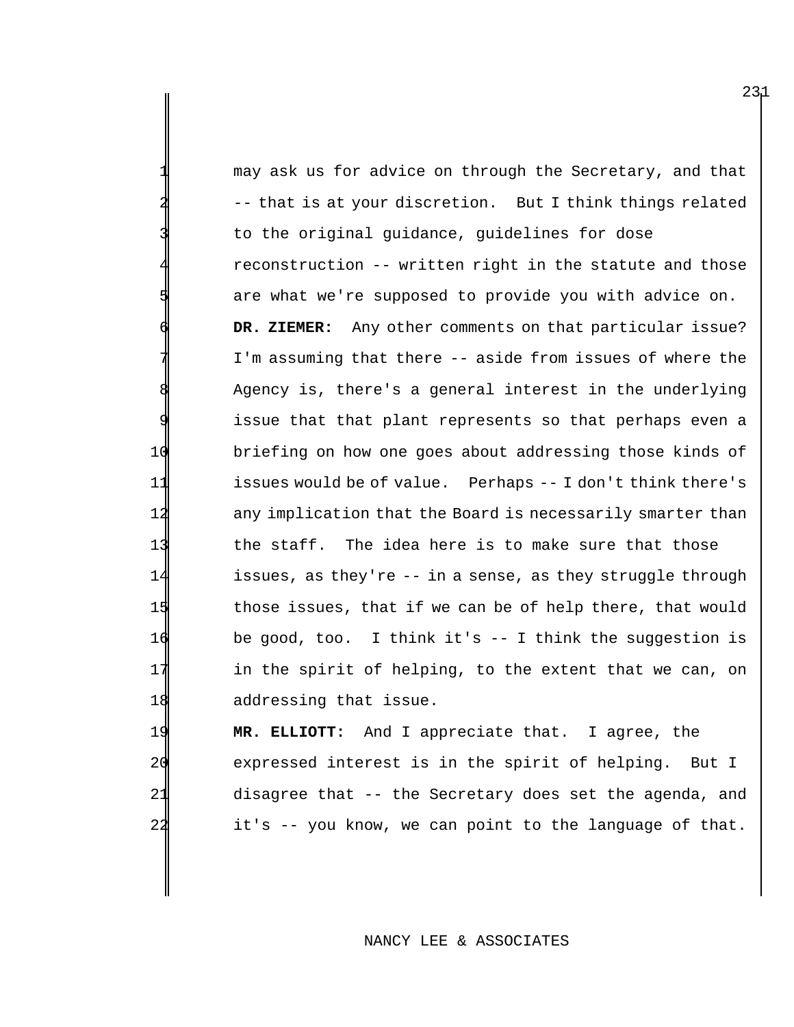may ask us for advice on through the Secretary, and that -- that is at your discretion. But I think things related to the original guidance, guidelines for dose reconstruction -- written right in the statute and those are what we're supposed to provide you with advice on. 6 **DR. ZIEMER:** Any other comments on that particular issue? I'm assuming that there -- aside from issues of where the Agency is, there's a general interest in the underlying issue that that plant represents so that perhaps even a 10 briefing on how one goes about addressing those kinds of 11 issues would be of value. Perhaps -- I don't think there's 12 any implication that the Board is necessarily smarter than 13 the staff. The idea here is to make sure that those 14 issues, as they're -- in a sense, as they struggle through 15 those issues, that if we can be of help there, that would 16 be good, too. I think it's -- I think the suggestion is 17 in the spirit of helping, to the extent that we can, on 18 addressing that issue.

 **MR. ELLIOTT:** And I appreciate that. I agree, the expressed interest is in the spirit of helping. But I disagree that -- the Secretary does set the agenda, and it's -- you know, we can point to the language of that.

#### NANCY LEE & ASSOCIATES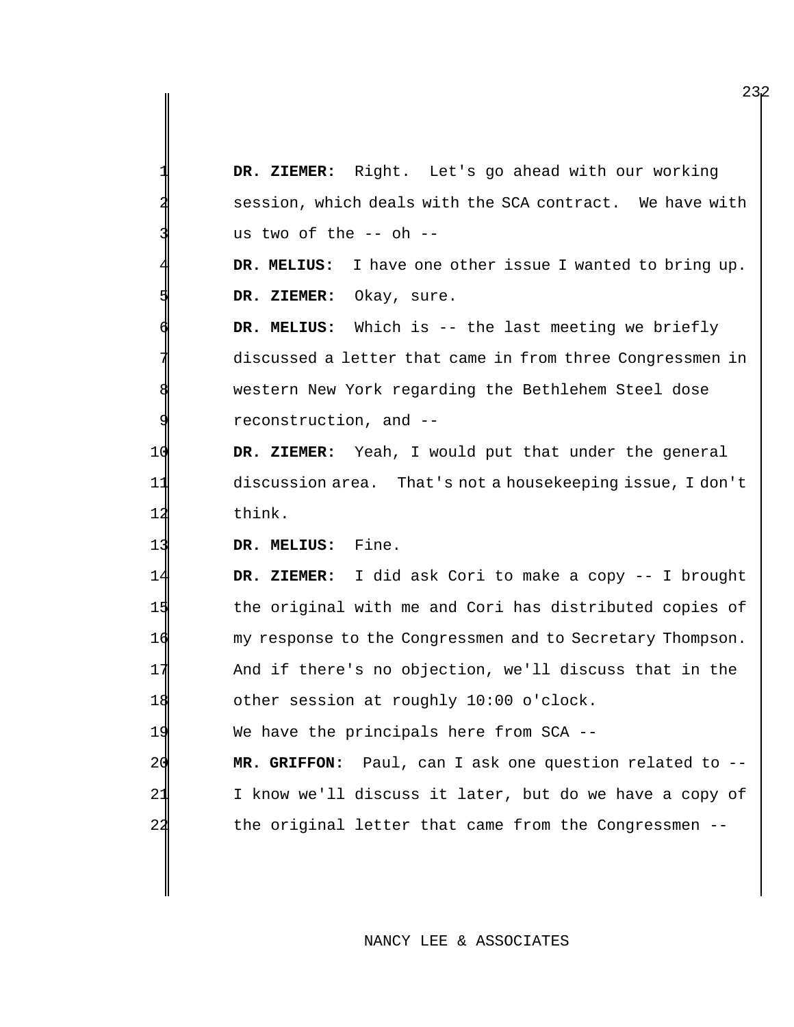|                      | DR. ZIEMER: Right. Let's go ahead with our working          |
|----------------------|-------------------------------------------------------------|
|                      | session, which deals with the SCA contract. We have with    |
|                      | us two of the $--$ oh $--$                                  |
|                      | DR. MELIUS:<br>I have one other issue I wanted to bring up. |
|                      | Okay, sure.<br>DR. ZIEMER:                                  |
|                      | DR. MELIUS: Which is -- the last meeting we briefly         |
|                      | discussed a letter that came in from three Congressmen in   |
|                      | western New York regarding the Bethlehem Steel dose         |
|                      | reconstruction, and --                                      |
| 10                   | DR. ZIEMER: Yeah, I would put that under the general        |
| 11                   | discussion area. That's not a housekeeping issue, I don't   |
| 12                   | think.                                                      |
|                      |                                                             |
| 13                   | Fine.<br>DR. MELIUS:                                        |
|                      | DR. ZIEMER: I did ask Cori to make a copy -- I brought      |
| 14<br>15             | the original with me and Cori has distributed copies of     |
|                      | my response to the Congressmen and to Secretary Thompson.   |
|                      | And if there's no objection, we'll discuss that in the      |
|                      | other session at roughly 10:00 o'clock.                     |
| 16<br>17<br>18<br>19 | We have the principals here from SCA --                     |
| 20                   | Paul, can I ask one question related to --<br>MR. GRIFFON:  |
| 21                   | I know we'll discuss it later, but do we have a copy of     |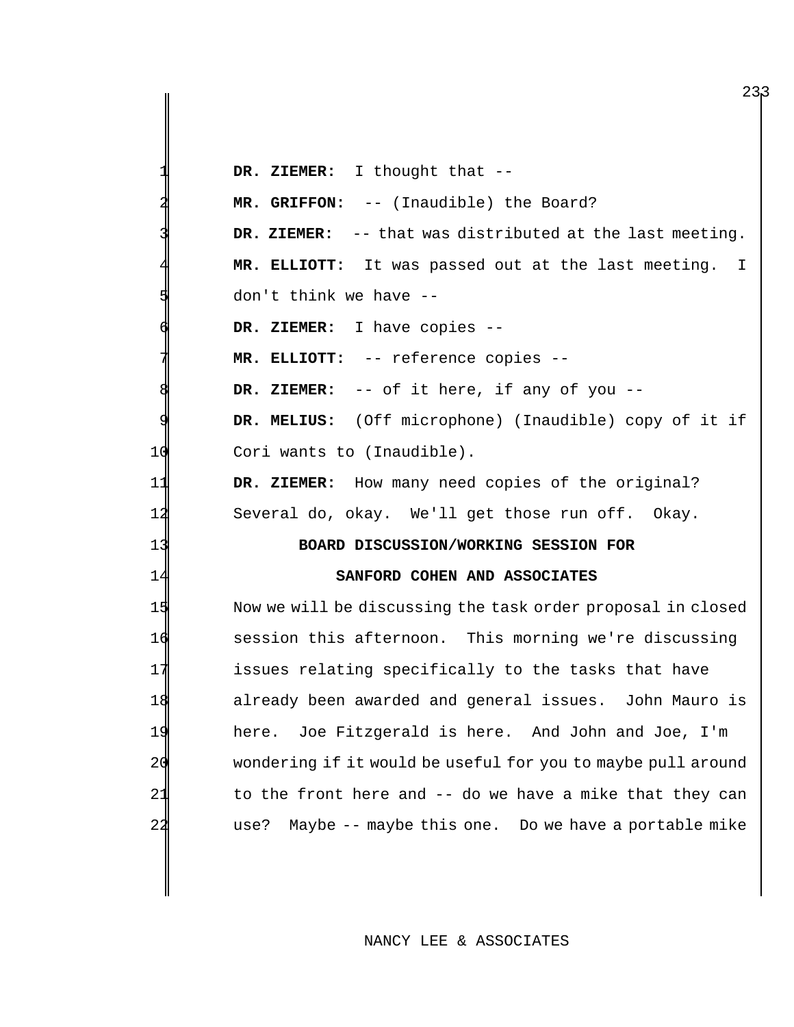|    | DR. ZIEMER: I thought that --                                |
|----|--------------------------------------------------------------|
|    | MR. GRIFFON: -- (Inaudible) the Board?                       |
|    | DR. ZIEMER: -- that was distributed at the last meeting.     |
|    | MR. ELLIOTT: It was passed out at the last meeting. I        |
|    | don't think we have --                                       |
|    | DR. ZIEMER: I have copies --                                 |
|    | MR. ELLIOTT: -- reference copies --                          |
|    | DR. ZIEMER: -- of it here, if any of you --                  |
|    | DR. MELIUS: (Off microphone) (Inaudible) copy of it if       |
| 10 | Cori wants to (Inaudible).                                   |
| 11 | DR. ZIEMER: How many need copies of the original?            |
| 12 | Several do, okay. We'll get those run off. Okay.             |
| 1  | BOARD DISCUSSION/WORKING SESSION FOR                         |
| 14 | SANFORD COHEN AND ASSOCIATES                                 |
| 15 | Now we will be discussing the task order proposal in closed  |
| 16 | session this afternoon. This morning we're discussing        |
| 1  | issues relating specifically to the tasks that have          |
| 18 | already been awarded and general issues. John Mauro is       |
| 19 | Joe Fitzgerald is here. And John and Joe, I'm<br>here.       |
| 20 | wondering if it would be useful for you to maybe pull around |
| 21 | to the front here and -- do we have a mike that they can     |
| 22 | Maybe -- maybe this one. Do we have a portable mike<br>use?  |
|    |                                                              |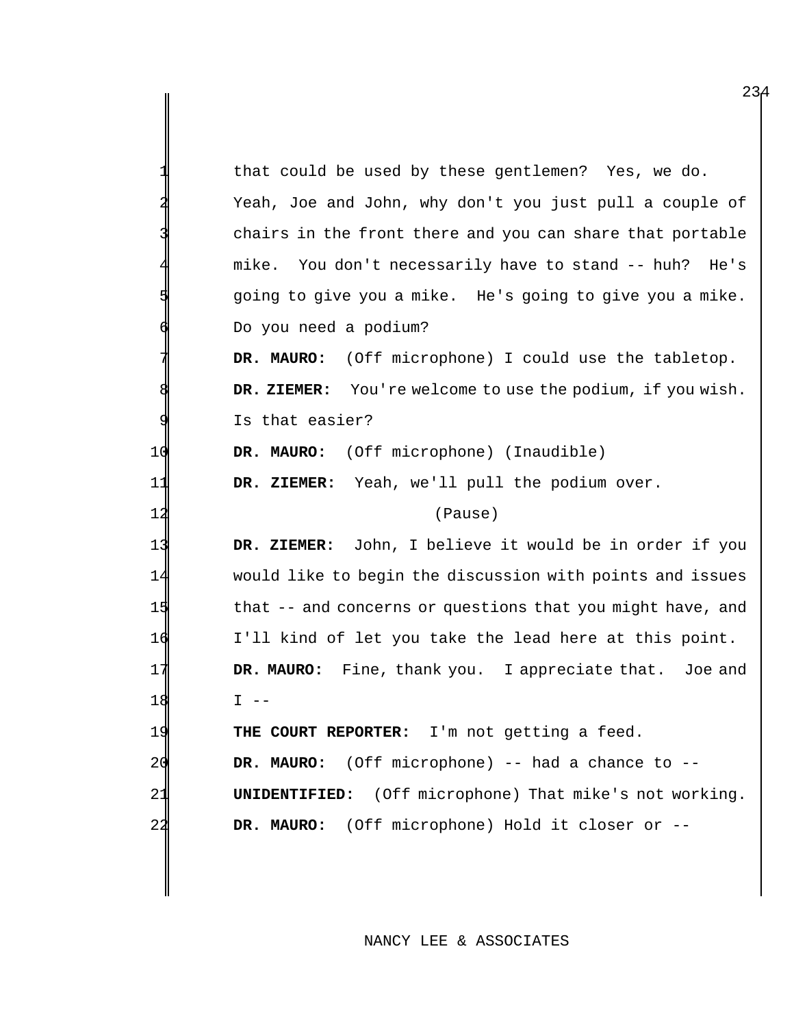|     | that could be used by these gentlemen? Yes, we do.         |
|-----|------------------------------------------------------------|
|     | Yeah, Joe and John, why don't you just pull a couple of    |
|     | chairs in the front there and you can share that portable  |
|     | You don't necessarily have to stand -- huh? He's<br>mike.  |
|     | going to give you a mike. He's going to give you a mike.   |
|     | Do you need a podium?                                      |
|     | (Off microphone) I could use the tabletop.<br>DR. MAURO:   |
|     | DR. ZIEMER: You're welcome to use the podium, if you wish. |
|     | Is that easier?                                            |
| 1 d | DR. MAURO: (Off microphone) (Inaudible)                    |
| 11  | DR. ZIEMER: Yeah, we'll pull the podium over.              |
| 12  | (Pause)                                                    |
| 13  | DR. ZIEMER: John, I believe it would be in order if you    |
| 14  | would like to begin the discussion with points and issues  |
| 15  | that -- and concerns or questions that you might have, and |
| 16  | I'll kind of let you take the lead here at this point.     |
| 17  | DR. MAURO: Fine, thank you. I appreciate that. Joe and     |
| 18  | $\perp$                                                    |
| 19  | I'm not getting a feed.<br>THE COURT REPORTER:             |
| 20  | (Off microphone) -- had a chance to --<br>DR. MAURO:       |
|     |                                                            |
| 21  | (Off microphone) That mike's not working.<br>UNIDENTIFIED: |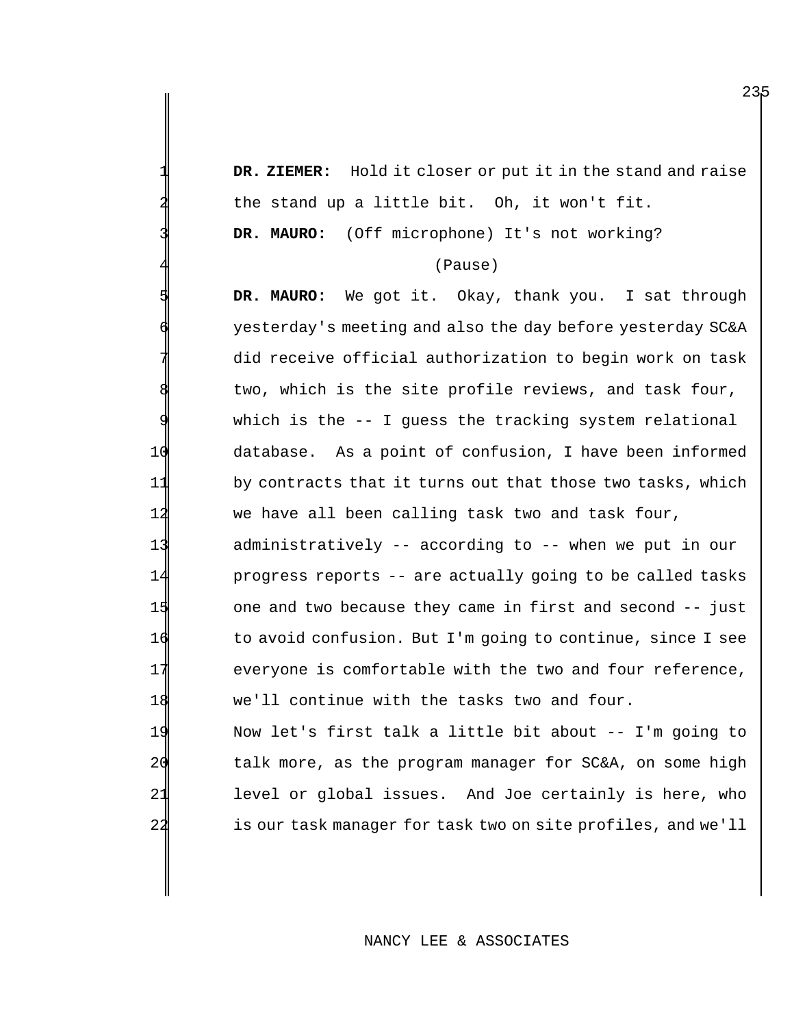DR. ZIEMER: Hold it closer or put it in the stand and raise the stand up a little bit. Oh, it won't fit.

DR. MAURO: (Off microphone) It's not working?

#### (Pause)

DR. MAURO: We got it. Okay, thank you. I sat through yesterday's meeting and also the day before yesterday SC&A did receive official authorization to begin work on task two, which is the site profile reviews, and task four, which is the -- I guess the tracking system relational database. As a point of confusion, I have been informed by contracts that it turns out that those two tasks, which we have all been calling task two and task four, administratively -- according to -- when we put in our progress reports -- are actually going to be called tasks 15 one and two because they came in first and second -- just to avoid confusion. But I'm going to continue, since I see everyone is comfortable with the two and four reference, we'll continue with the tasks two and four.

 Now let's first talk a little bit about -- I'm going to talk more, as the program manager for SC&A, on some high level or global issues. And Joe certainly is here, who is our task manager for task two on site profiles, and we'll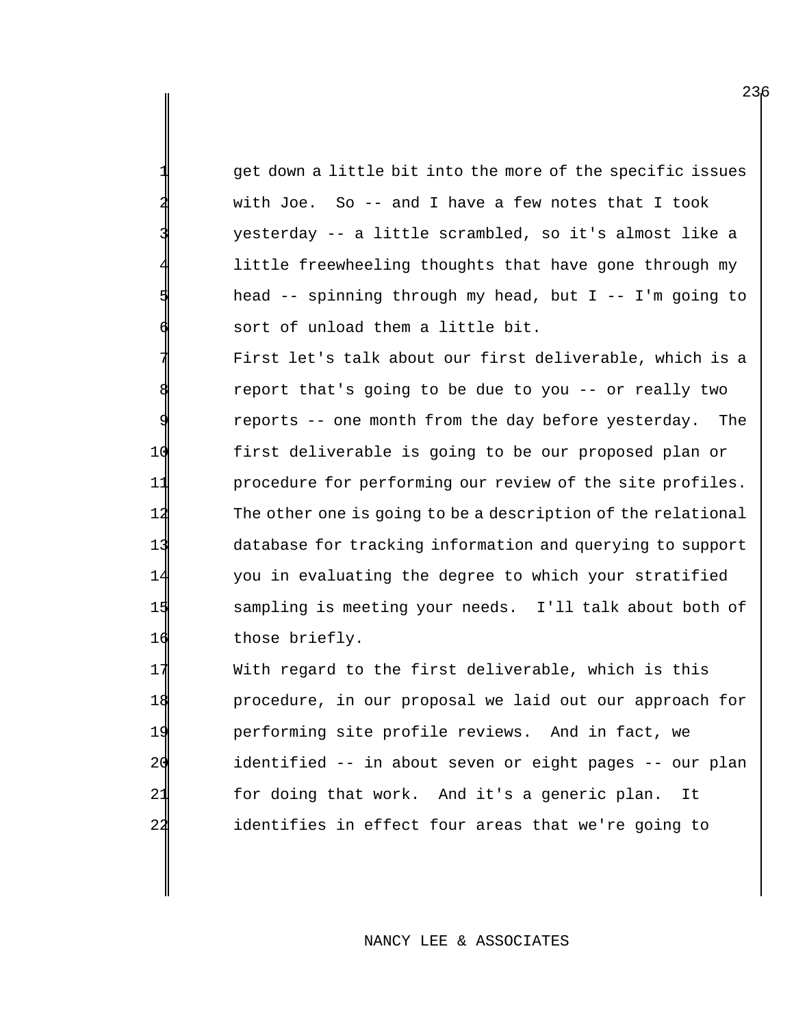get down a little bit into the more of the specific issues with Joe. So  $-$ - and I have a few notes that I took 3 yesterday -- a little scrambled, so it's almost like a little freewheeling thoughts that have gone through my head  $-$  spinning through my head, but I  $-$ - I'm going to sort of unload them a little bit.

First let's talk about our first deliverable, which is a report that's going to be due to you -- or really two reports -- one month from the day before yesterday. The 10 first deliverable is going to be our proposed plan or 11 procedure for performing our review of the site profiles. 12 The other one is going to be a description of the relational 13 database for tracking information and querying to support 14 you in evaluating the degree to which your stratified 15 sampling is meeting your needs. I'll talk about both of 16 those briefly.

 With regard to the first deliverable, which is this procedure, in our proposal we laid out our approach for performing site profile reviews. And in fact, we identified -- in about seven or eight pages -- our plan for doing that work. And it's a generic plan. It 22 identifies in effect four areas that we're going to

## NANCY LEE & ASSOCIATES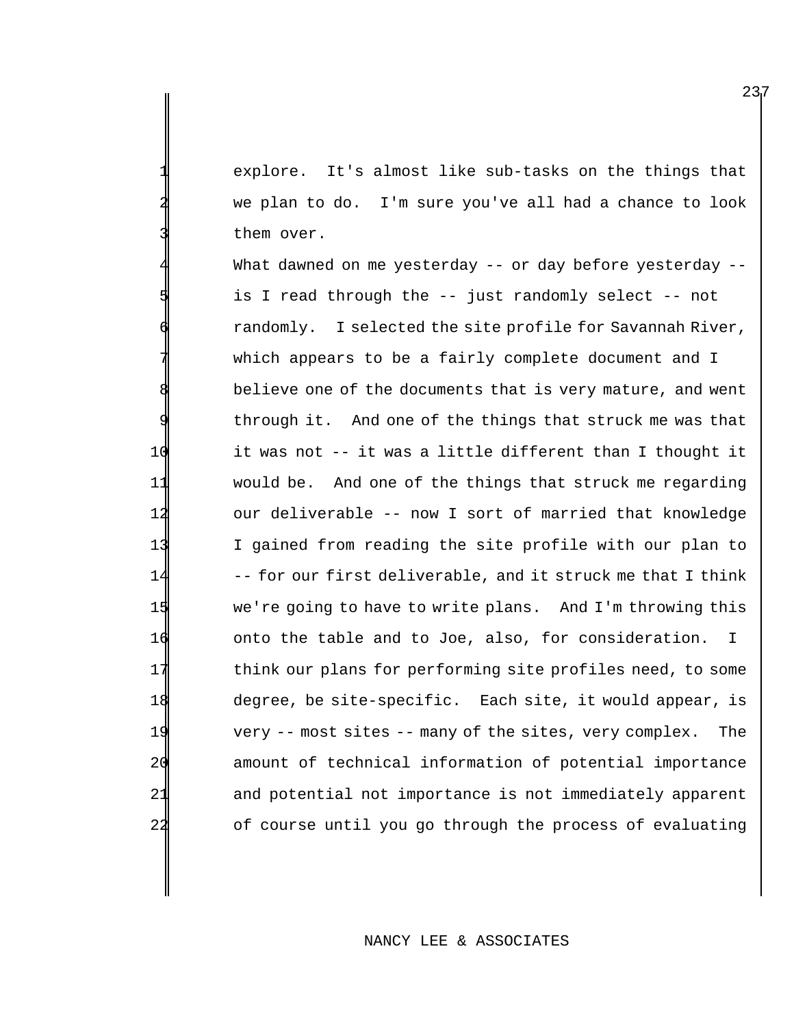explore. It's almost like sub-tasks on the things that we plan to do. I'm sure you've all had a chance to look them over.

What dawned on me yesterday -- or day before yesterday -is I read through the -- just randomly select -- not randomly. I selected the site profile for Savannah River, which appears to be a fairly complete document and I believe one of the documents that is very mature, and went through it. And one of the things that struck me was that 10 it was not -- it was a little different than I thought it 11 would be. And one of the things that struck me regarding 12 our deliverable -- now I sort of married that knowledge 13 I gained from reading the site profile with our plan to 14 -- for our first deliverable, and it struck me that I think 15 We're going to have to write plans. And I'm throwing this 16 onto the table and to Joe, also, for consideration. I 17 think our plans for performing site profiles need, to some 18 degree, be site-specific. Each site, it would appear, is 19 very -- most sites -- many of the sites, very complex. The 20 amount of technical information of potential importance 21 and potential not importance is not immediately apparent 22 of course until you go through the process of evaluating

## NANCY LEE & ASSOCIATES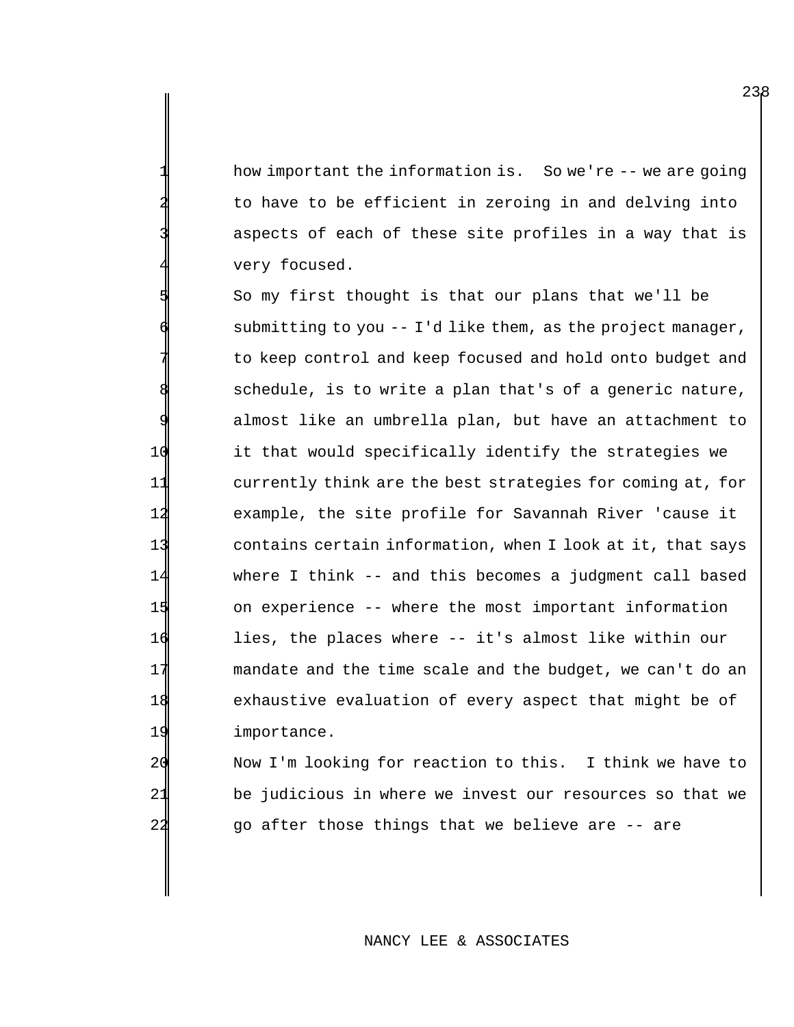how important the information is. So we're -- we are going to have to be efficient in zeroing in and delving into aspects of each of these site profiles in a way that is very focused.

 So my first thought is that our plans that we'll be submitting to you  $- - 1$ 'd like them, as the project manager, to keep control and keep focused and hold onto budget and schedule, is to write a plan that's of a generic nature, almost like an umbrella plan, but have an attachment to it that would specifically identify the strategies we currently think are the best strategies for coming at, for example, the site profile for Savannah River 'cause it contains certain information, when I look at it, that says where I think -- and this becomes a judgment call based on experience -- where the most important information 16 lies, the places where -- it's almost like within our mandate and the time scale and the budget, we can't do an exhaustive evaluation of every aspect that might be of importance.

 Now I'm looking for reaction to this. I think we have to be judicious in where we invest our resources so that we go after those things that we believe are -- are

## NANCY LEE & ASSOCIATES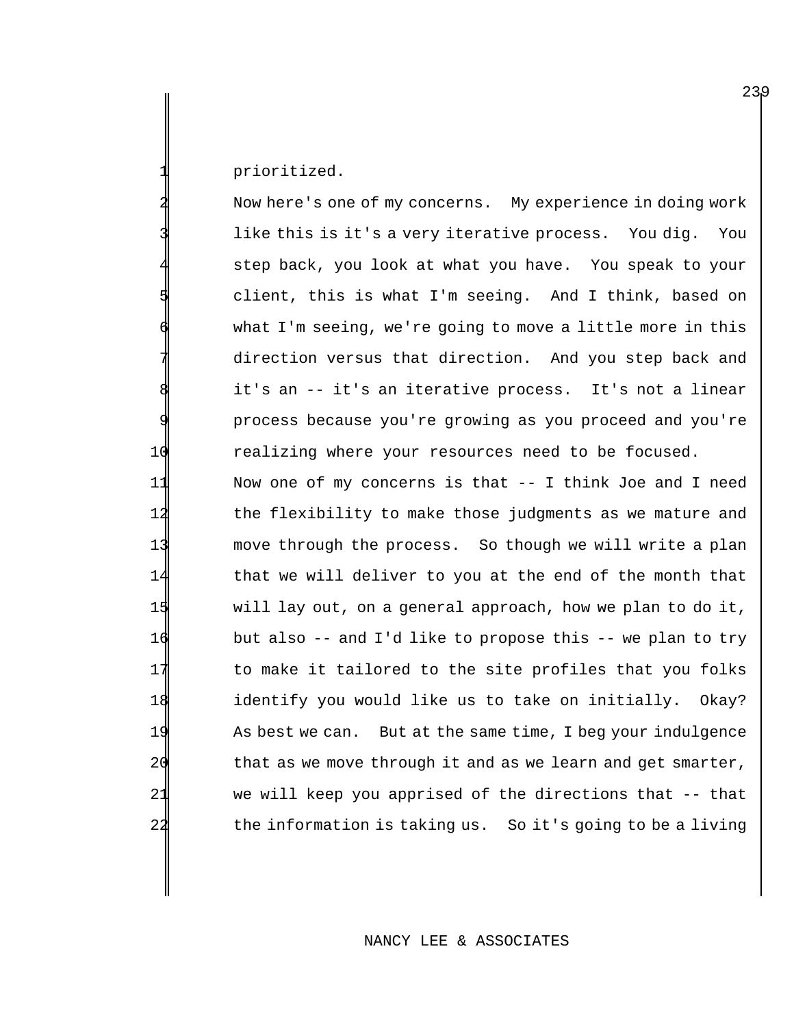prioritized.

Now here's one of my concerns. My experience in doing work like this is it's a very iterative process. You dig. You step back, you look at what you have. You speak to your client, this is what I'm seeing. And I think, based on what I'm seeing, we're going to move a little more in this direction versus that direction. And you step back and it's an -- it's an iterative process. It's not a linear 9 process because you're growing as you proceed and you're 10 realizing where your resources need to be focused.

 Now one of my concerns is that -- I think Joe and I need the flexibility to make those judgments as we mature and move through the process. So though we will write a plan that we will deliver to you at the end of the month that will lay out, on a general approach, how we plan to do it, but also -- and I'd like to propose this -- we plan to try to make it tailored to the site profiles that you folks 18 identify you would like us to take on initially. Okay? As best we can. But at the same time, I beg your indulgence 20 that as we move through it and as we learn and get smarter, we will keep you apprised of the directions that -- that the information is taking us. So it's going to be a living

## NANCY LEE & ASSOCIATES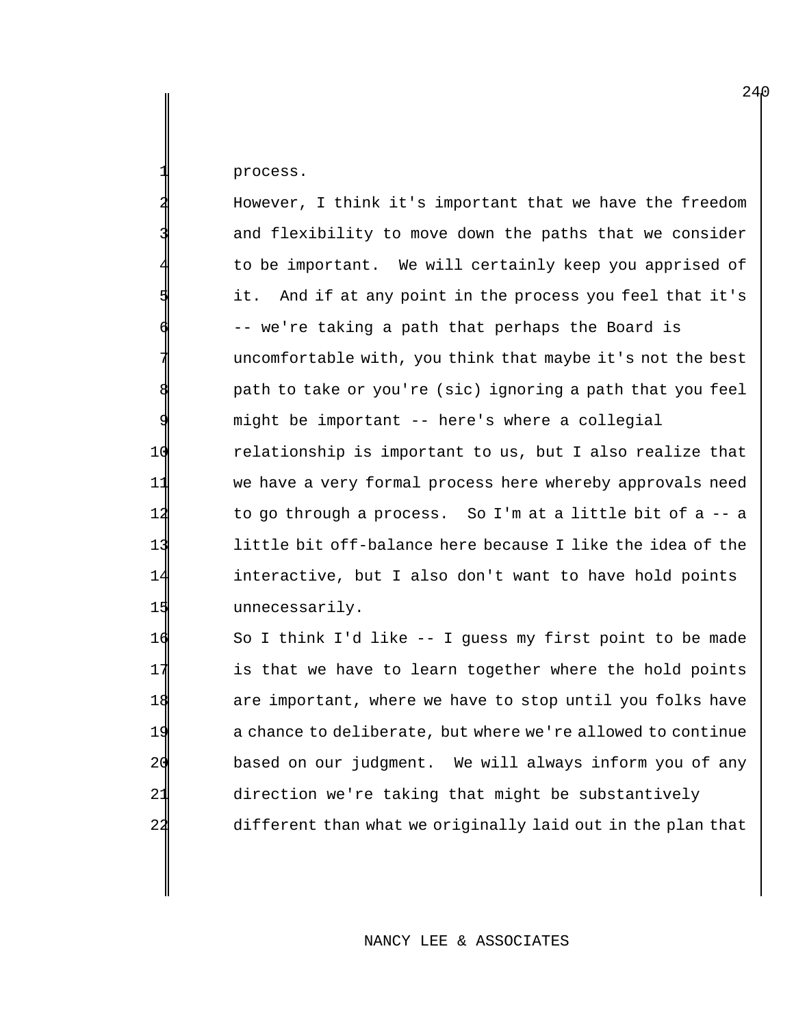process.

However, I think it's important that we have the freedom and flexibility to move down the paths that we consider to be important. We will certainly keep you apprised of it. And if at any point in the process you feel that it's -- we're taking a path that perhaps the Board is uncomfortable with, you think that maybe it's not the best path to take or you're (sic) ignoring a path that you feel might be important -- here's where a collegial relationship is important to us, but I also realize that we have a very formal process here whereby approvals need to go through a process. So I'm at a little bit of a -- a little bit off-balance here because I like the idea of the interactive, but I also don't want to have hold points unnecessarily.

 So I think I'd like -- I guess my first point to be made is that we have to learn together where the hold points are important, where we have to stop until you folks have a chance to deliberate, but where we're allowed to continue based on our judgment. We will always inform you of any direction we're taking that might be substantively different than what we originally laid out in the plan that

## NANCY LEE & ASSOCIATES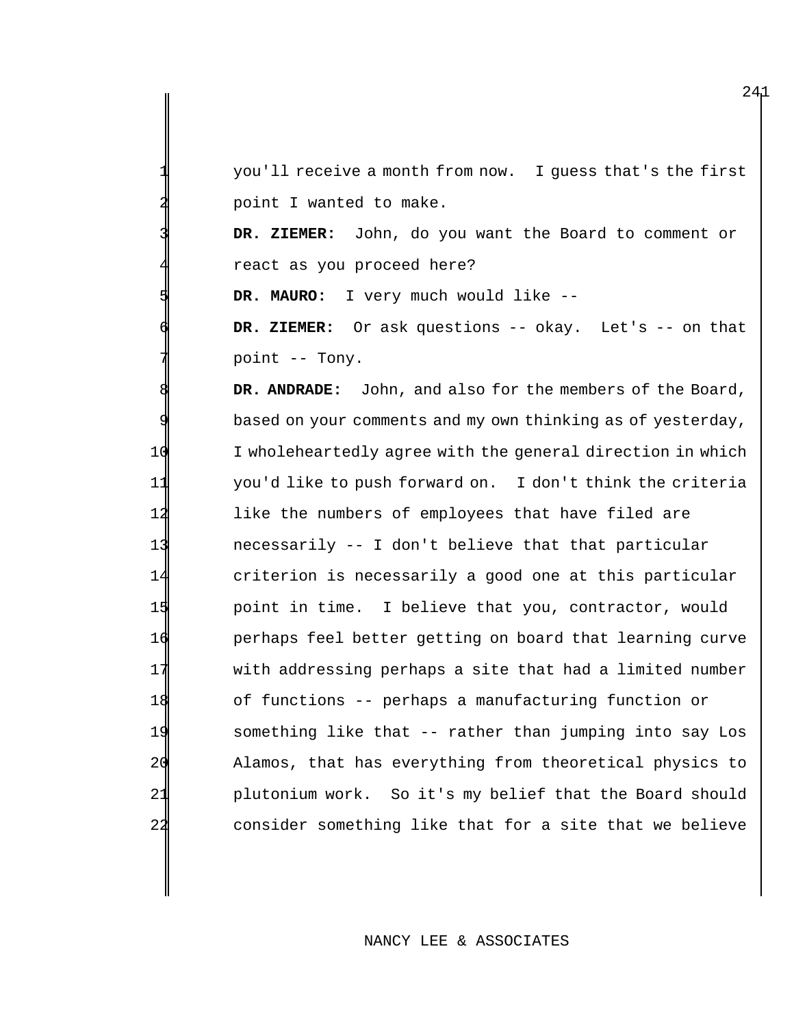you'll receive a month from now. I guess that's the first point I wanted to make.

 **DR. ZIEMER:** John, do you want the Board to comment or react as you proceed here?

DR. MAURO: I very much would like --

 **DR. ZIEMER:** Or ask questions -- okay. Let's -- on that point  $--$  Tony.

**DR. ANDRADE:** John, and also for the members of the Board, based on your comments and my own thinking as of yesterday, I wholeheartedly agree with the general direction in which you'd like to push forward on. I don't think the criteria like the numbers of employees that have filed are necessarily -- I don't believe that that particular criterion is necessarily a good one at this particular point in time. I believe that you, contractor, would perhaps feel better getting on board that learning curve with addressing perhaps a site that had a limited number of functions -- perhaps a manufacturing function or something like that -- rather than jumping into say Los Alamos, that has everything from theoretical physics to plutonium work. So it's my belief that the Board should consider something like that for a site that we believe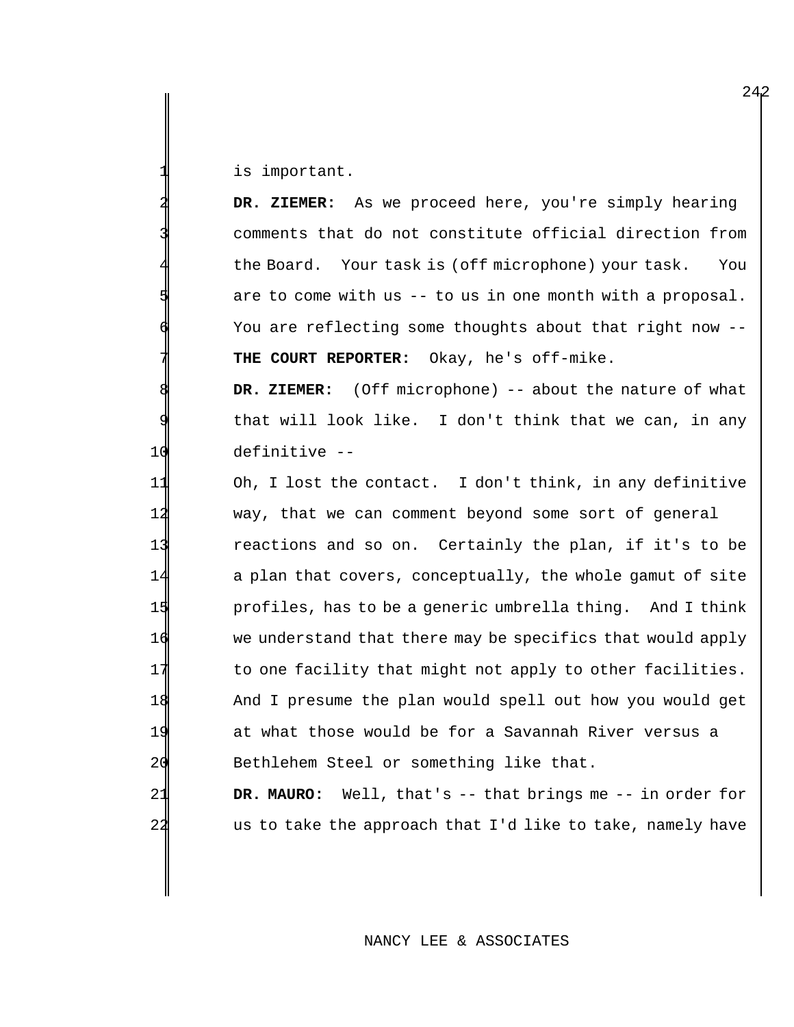is important.

2 **DR. ZIEMER:** As we proceed here, you're simply hearing comments that do not constitute official direction from the Board. Your task is (off microphone) your task. You are to come with us  $--$  to us in one month with a proposal. You are reflecting some thoughts about that right now --7 **THE COURT REPORTER:** Okay, he's off-mike.

**DR. ZIEMER:** (Off microphone) -- about the nature of what that will look like. I don't think that we can, in any 10 definitive --

 Oh, I lost the contact. I don't think, in any definitive way, that we can comment beyond some sort of general reactions and so on. Certainly the plan, if it's to be a plan that covers, conceptually, the whole gamut of site profiles, has to be a generic umbrella thing. And I think we understand that there may be specifics that would apply 17 to one facility that might not apply to other facilities. And I presume the plan would spell out how you would get at what those would be for a Savannah River versus a 20 Bethlehem Steel or something like that.

21 **DR. MAURO:** Well, that's -- that brings me -- in order for 22 **us to take the approach that I'd like to take, namely have** 

NANCY LEE & ASSOCIATES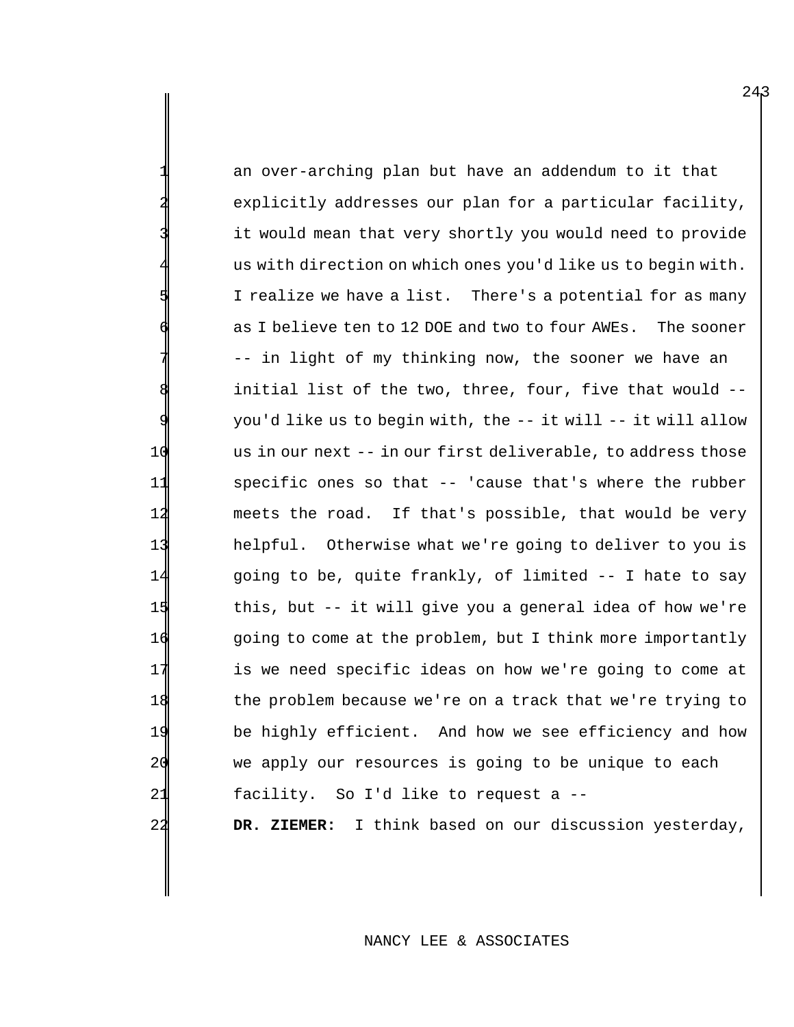an over-arching plan but have an addendum to it that explicitly addresses our plan for a particular facility, it would mean that very shortly you would need to provide us with direction on which ones you'd like us to begin with. I realize we have a list. There's a potential for as many as I believe ten to 12 DOE and two to four AWEs. The sooner -- in light of my thinking now, the sooner we have an initial list of the two, three, four, five that would --9 you'd like us to begin with, the -- it will -- it will allow 10 us in our next -- in our first deliverable, to address those 11 specific ones so that -- 'cause that's where the rubber 12 meets the road. If that's possible, that would be very 13 helpful. Otherwise what we're going to deliver to you is 14 going to be, quite frankly, of limited -- I hate to say 15 this, but -- it will give you a general idea of how we're 16 Going to come at the problem, but I think more importantly 17 is we need specific ideas on how we're going to come at 18 the problem because we're on a track that we're trying to 19 be highly efficient. And how we see efficiency and how 20 we apply our resources is going to be unique to each 21 facility. So I'd like to request a -- 22 **DR. ZIEMER:** I think based on our discussion yesterday,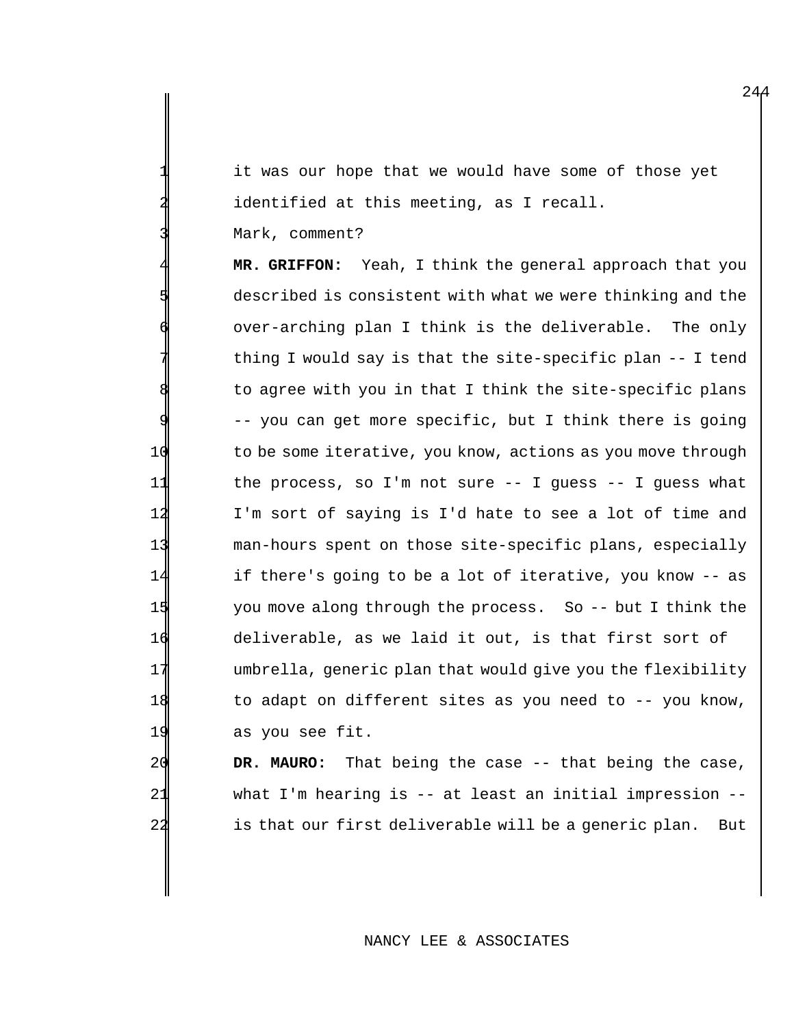it was our hope that we would have some of those yet identified at this meeting, as I recall.

Mark, comment?

MR. GRIFFON: Yeah, I think the general approach that you described is consistent with what we were thinking and the over-arching plan I think is the deliverable. The only thing I would say is that the site-specific plan  $-$ - I tend to agree with you in that I think the site-specific plans -- you can get more specific, but I think there is going to be some iterative, you know, actions as you move through the process, so I'm not sure -- I guess -- I guess what I'm sort of saying is I'd hate to see a lot of time and man-hours spent on those site-specific plans, especially if there's going to be a lot of iterative, you know -- as you move along through the process. So -- but I think the deliverable, as we laid it out, is that first sort of umbrella, generic plan that would give you the flexibility to adapt on different sites as you need to -- you know, as you see fit.

 **DR. MAURO:** That being the case -- that being the case, what I'm hearing is -- at least an initial impression -- is that our first deliverable will be a generic plan. But

#### NANCY LEE & ASSOCIATES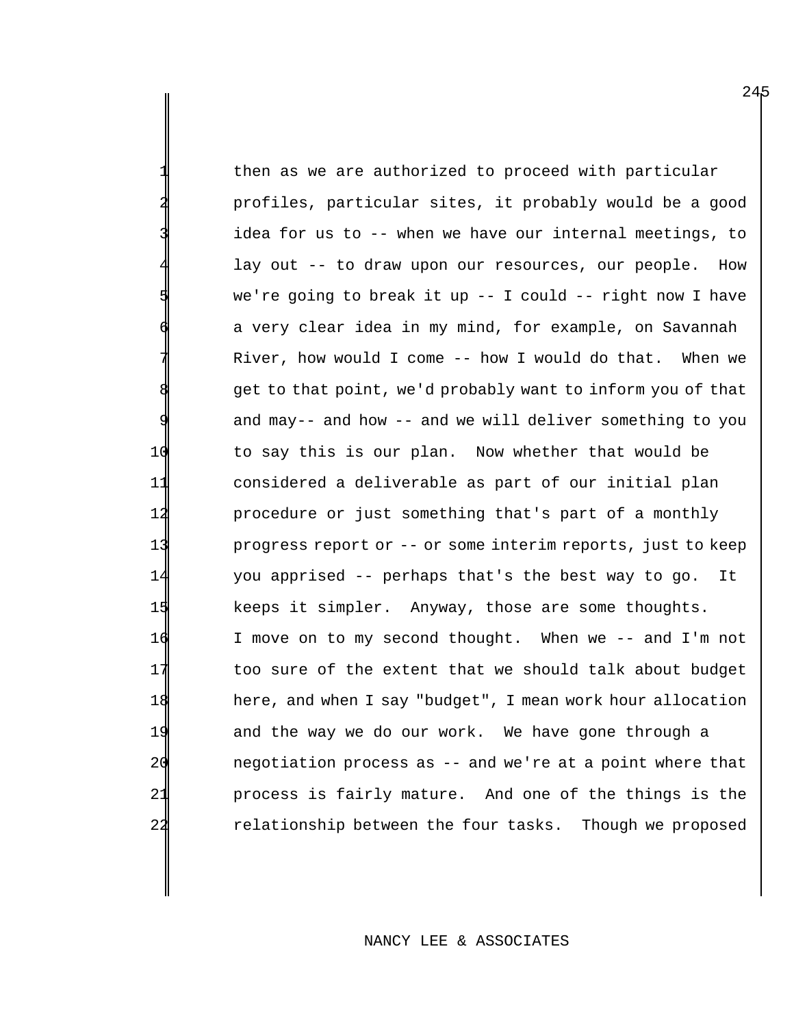then as we are authorized to proceed with particular 2 profiles, particular sites, it probably would be a good idea for us to -- when we have our internal meetings, to lay out -- to draw upon our resources, our people. How we're going to break it up  $--$  I could  $--$  right now I have a very clear idea in my mind, for example, on Savannah River, how would I come -- how I would do that. When we get to that point, we'd probably want to inform you of that and may-- and how -- and we will deliver something to you 10 to say this is our plan. Now whether that would be 11 considered a deliverable as part of our initial plan 12 procedure or just something that's part of a monthly 13 progress report or -- or some interim reports, just to keep 14 you apprised -- perhaps that's the best way to go. It 15 keeps it simpler. Anyway, those are some thoughts. 16 I move on to my second thought. When we -- and I'm not 17 too sure of the extent that we should talk about budget 18 here, and when I say "budget", I mean work hour allocation 19 and the way we do our work. We have gone through a 20 negotiation process as -- and we're at a point where that 21 process is fairly mature. And one of the things is the 22 relationship between the four tasks. Though we proposed

#### NANCY LEE & ASSOCIATES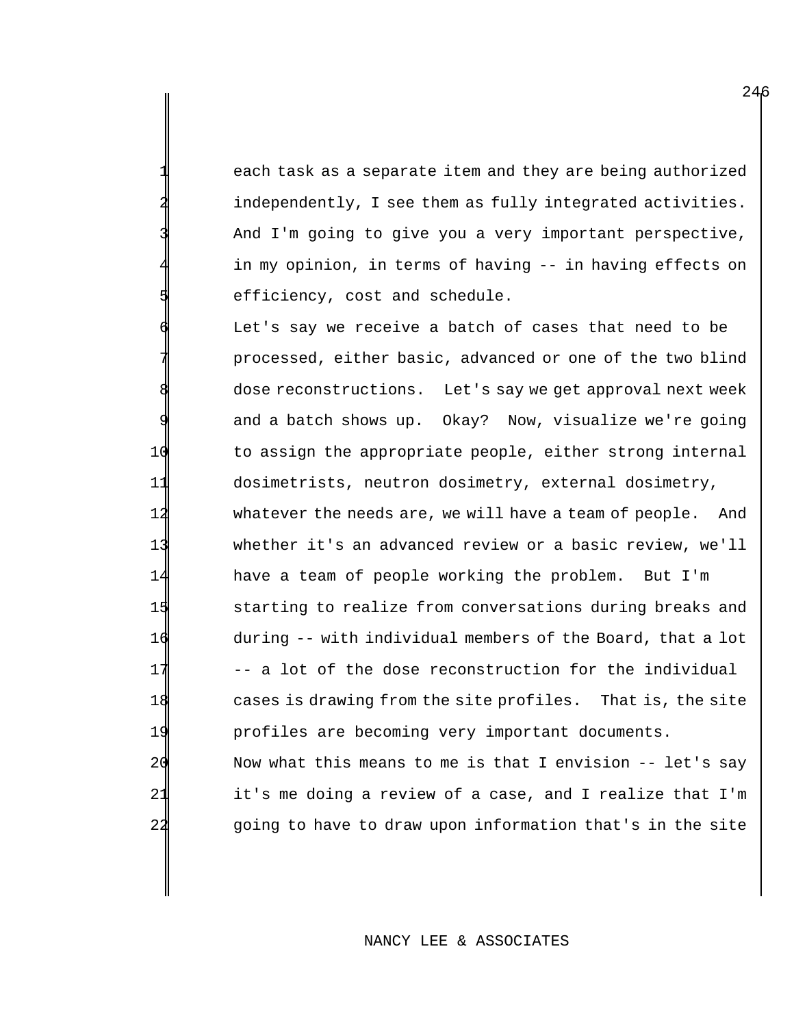each task as a separate item and they are being authorized independently, I see them as fully integrated activities. And I'm going to give you a very important perspective, in my opinion, in terms of having -- in having effects on efficiency, cost and schedule.

Let's say we receive a batch of cases that need to be processed, either basic, advanced or one of the two blind dose reconstructions. Let's say we get approval next week and a batch shows up. Okay? Now, visualize we're going 10 to assign the appropriate people, either strong internal 11 dosimetrists, neutron dosimetry, external dosimetry, 12 whatever the needs are, we will have a team of people. And 13 whether it's an advanced review or a basic review, we'll 14 have a team of people working the problem. But I'm 15 Starting to realize from conversations during breaks and 16 during -- with individual members of the Board, that a lot 17 -- a lot of the dose reconstruction for the individual 18 cases is drawing from the site profiles. That is, the site 19 profiles are becoming very important documents.

20 Now what this means to me is that I envision -- let's say 21 it's me doing a review of a case, and I realize that I'm 22 going to have to draw upon information that's in the site

#### NANCY LEE & ASSOCIATES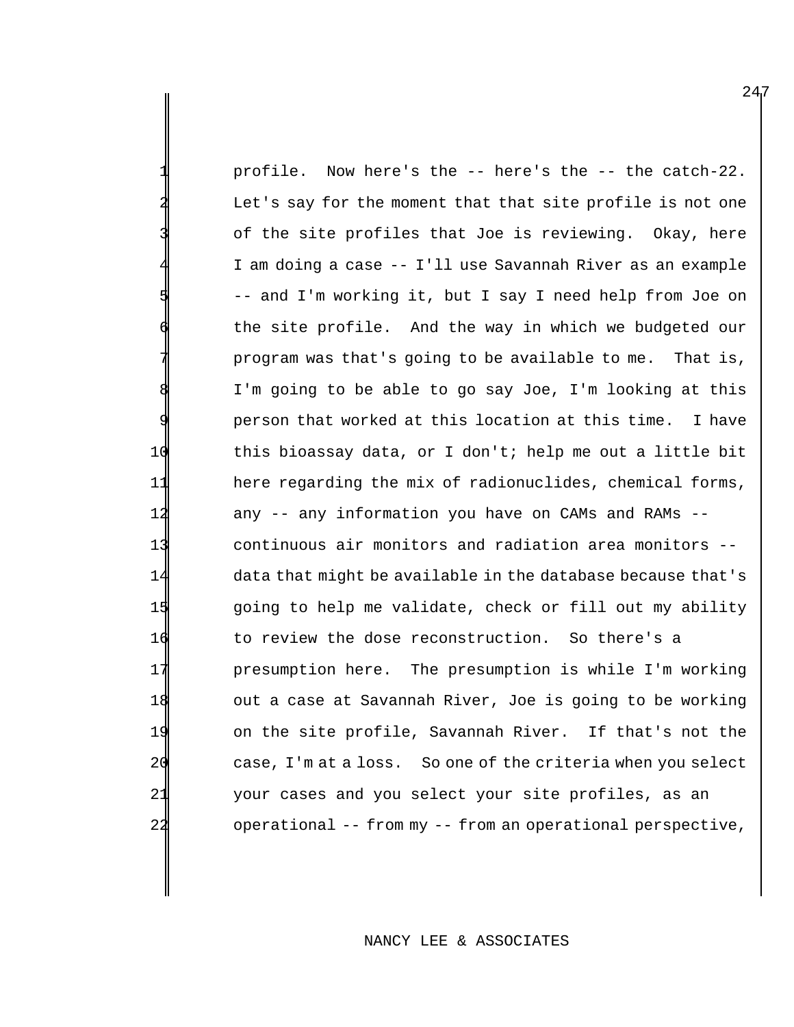profile. Now here's the -- here's the -- the catch-22. Let's say for the moment that that site profile is not one of the site profiles that Joe is reviewing. Okay, here I am doing a case -- I'll use Savannah River as an example 5 -- and I'm working it, but I say I need help from Joe on the site profile. And the way in which we budgeted our program was that's going to be available to me. That is, I'm going to be able to go say Joe, I'm looking at this person that worked at this location at this time. I have 10 this bioassay data, or I don't; help me out a little bit 11 here regarding the mix of radionuclides, chemical forms, 12 any -- any information you have on CAMs and RAMs --13 continuous air monitors and radiation area monitors -- 14 data that might be available in the database because that's 15 Going to help me validate, check or fill out my ability 16 to review the dose reconstruction. So there's a 17 presumption here. The presumption is while I'm working 18 out a case at Savannah River, Joe is going to be working 19 on the site profile, Savannah River. If that's not the 20 case, I'm at a loss. So one of the criteria when you select 21 your cases and you select your site profiles, as an 22 operational -- from my -- from an operational perspective,

#### NANCY LEE & ASSOCIATES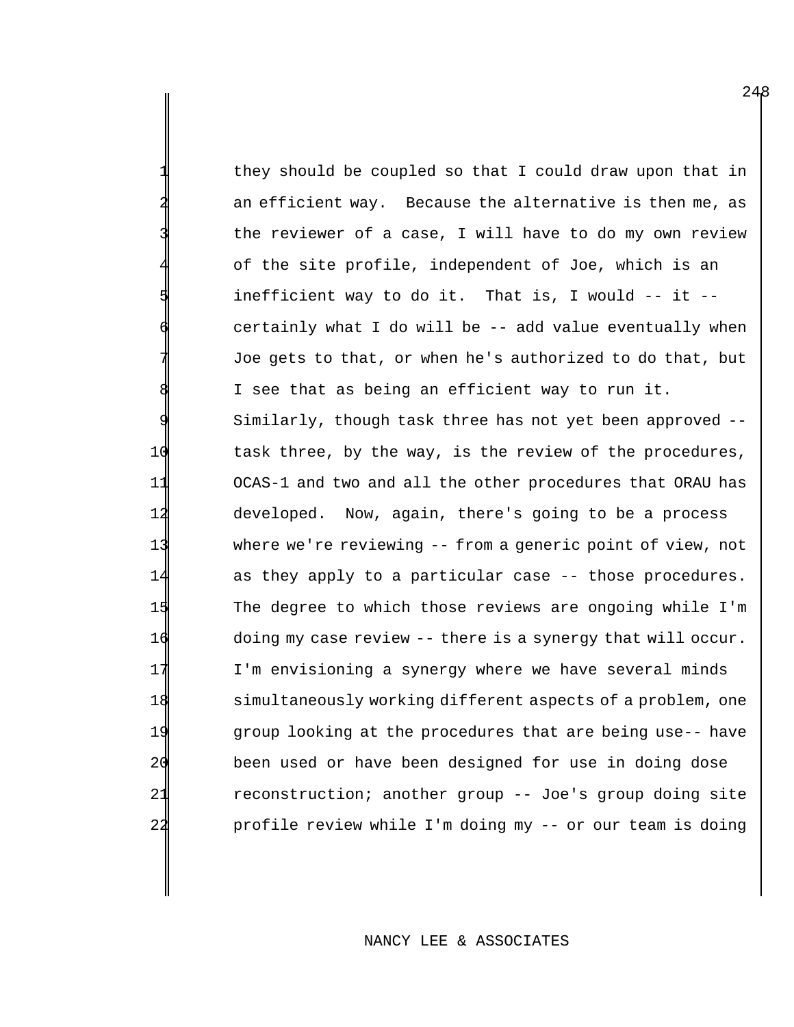they should be coupled so that I could draw upon that in an efficient way. Because the alternative is then me, as the reviewer of a case, I will have to do my own review of the site profile, independent of Joe, which is an inefficient way to do it. That is, I would  $--$  it  $-$ certainly what I do will be  $-$ - add value eventually when Joe gets to that, or when he's authorized to do that, but I see that as being an efficient way to run it. Similarly, though task three has not yet been approved -- task three, by the way, is the review of the procedures, OCAS-1 and two and all the other procedures that ORAU has developed. Now, again, there's going to be a process where we're reviewing -- from a generic point of view, not as they apply to a particular case -- those procedures. The degree to which those reviews are ongoing while I'm doing my case review -- there is a synergy that will occur. I'm envisioning a synergy where we have several minds simultaneously working different aspects of a problem, one group looking at the procedures that are being use-- have been used or have been designed for use in doing dose reconstruction; another group -- Joe's group doing site profile review while I'm doing my -- or our team is doing

#### NANCY LEE & ASSOCIATES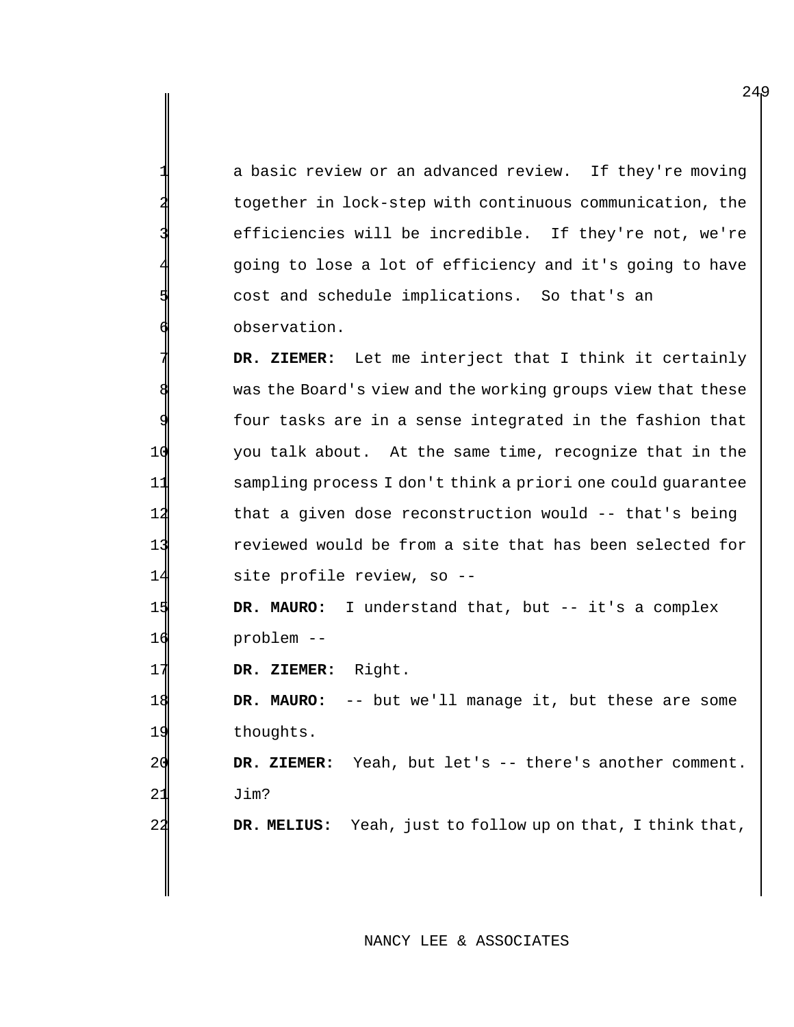a basic review or an advanced review. If they're moving together in lock-step with continuous communication, the efficiencies will be incredible. If they're not, we're going to lose a lot of efficiency and it's going to have cost and schedule implications. So that's an observation.

DR. ZIEMER: Let me interject that I think it certainly was the Board's view and the working groups view that these four tasks are in a sense integrated in the fashion that you talk about. At the same time, recognize that in the sampling process I don't think a priori one could guarantee that a given dose reconstruction would -- that's being reviewed would be from a site that has been selected for site profile review, so --

 **DR. MAURO:** I understand that, but -- it's a complex problem --

**DR. ZIEMER:** Right.

 **DR. MAURO:** -- but we'll manage it, but these are some thoughts.

 **DR. ZIEMER:** Yeah, but let's -- there's another comment. Jim?

**DR. MELIUS:** Yeah, just to follow up on that, I think that,

## NANCY LEE & ASSOCIATES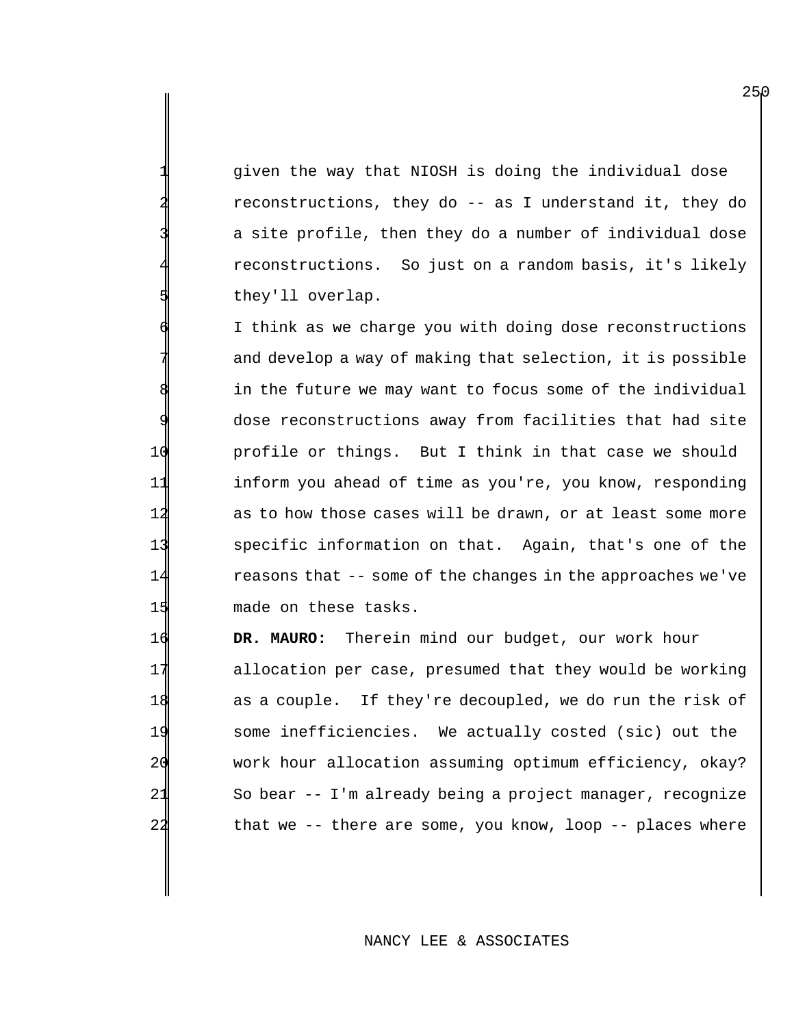given the way that NIOSH is doing the individual dose reconstructions, they do -- as I understand it, they do a site profile, then they do a number of individual dose reconstructions. So just on a random basis, it's likely they'll overlap.

I think as we charge you with doing dose reconstructions and develop a way of making that selection, it is possible in the future we may want to focus some of the individual dose reconstructions away from facilities that had site profile or things. But I think in that case we should inform you ahead of time as you're, you know, responding as to how those cases will be drawn, or at least some more specific information on that. Again, that's one of the reasons that -- some of the changes in the approaches we've made on these tasks.

 **DR. MAURO:** Therein mind our budget, our work hour allocation per case, presumed that they would be working as a couple. If they're decoupled, we do run the risk of some inefficiencies. We actually costed (sic) out the work hour allocation assuming optimum efficiency, okay? So bear -- I'm already being a project manager, recognize that we -- there are some, you know, loop -- places where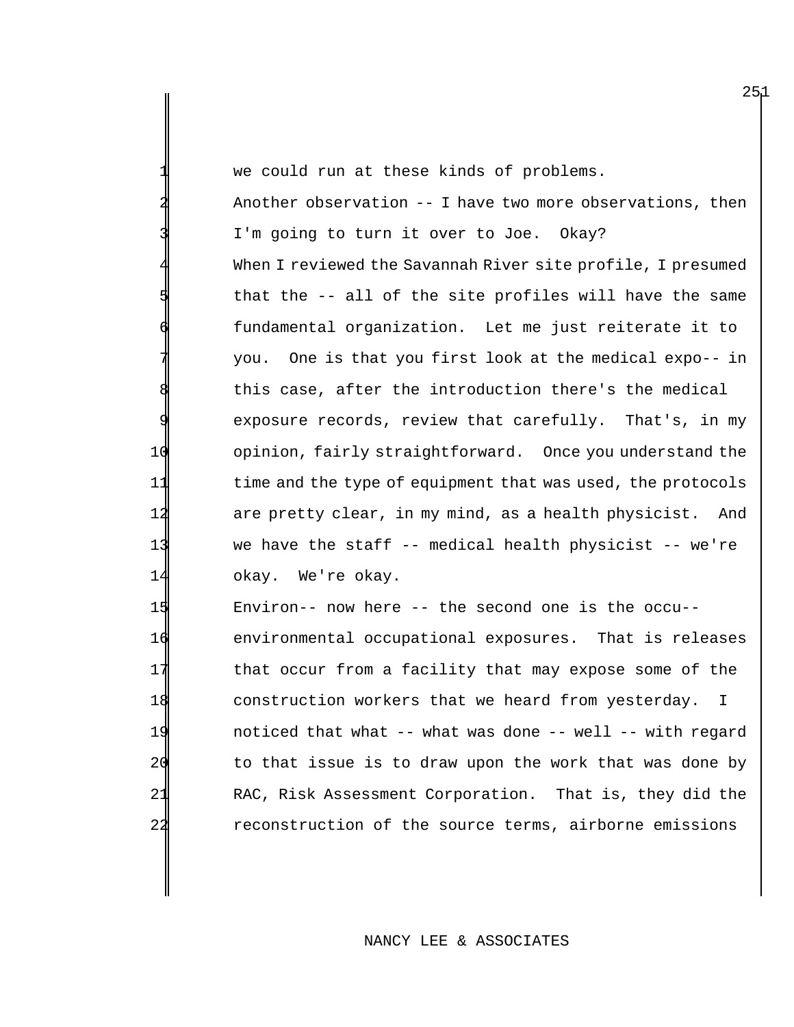we could run at these kinds of problems.

Another observation -- I have two more observations, then I'm going to turn it over to Joe. Okay? When I reviewed the Savannah River site profile, I presumed that the -- all of the site profiles will have the same fundamental organization. Let me just reiterate it to 7 you. One is that you first look at the medical expo-- in this case, after the introduction there's the medical exposure records, review that carefully. That's, in my 10 opinion, fairly straightforward. Once you understand the 11 time and the type of equipment that was used, the protocols 12 are pretty clear, in my mind, as a health physicist. And 13 we have the staff -- medical health physicist -- we're 14 okay. We're okay.

 Environ-- now here -- the second one is the occu-- environmental occupational exposures. That is releases 17 that occur from a facility that may expose some of the construction workers that we heard from yesterday. I noticed that what -- what was done -- well -- with regard to that issue is to draw upon the work that was done by RAC, Risk Assessment Corporation. That is, they did the reconstruction of the source terms, airborne emissions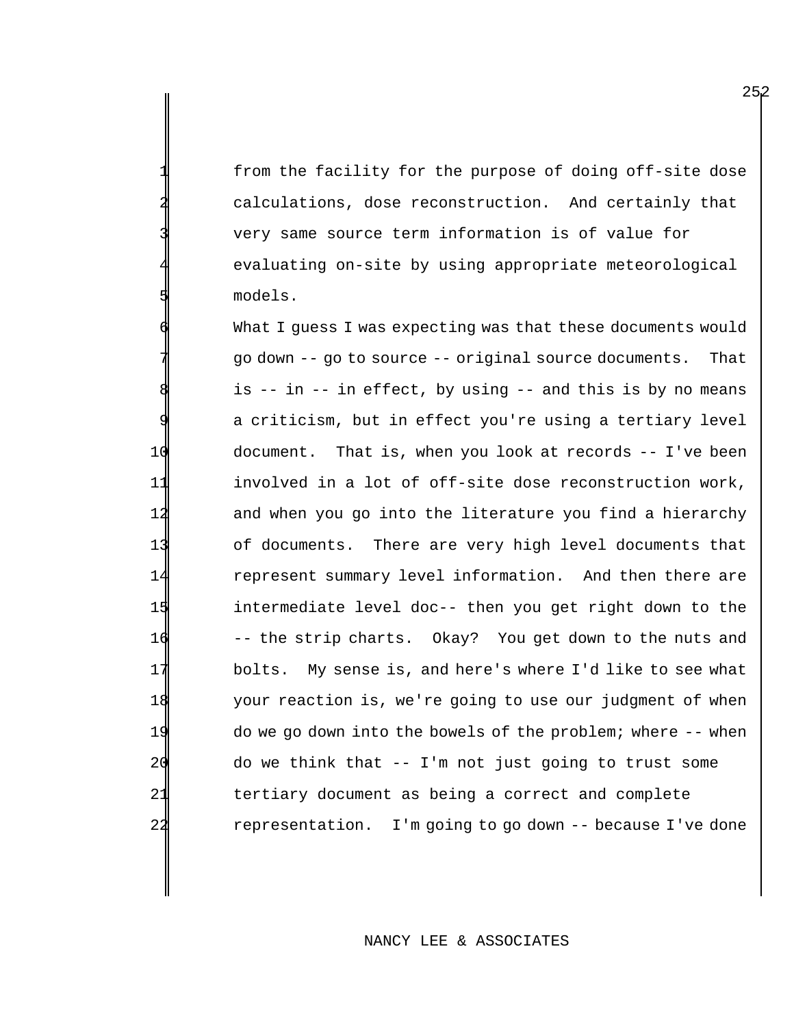from the facility for the purpose of doing off-site dose calculations, dose reconstruction. And certainly that very same source term information is of value for evaluating on-site by using appropriate meteorological models.

What I guess I was expecting was that these documents would go down -- go to source -- original source documents. That is -- in -- in effect, by using -- and this is by no means a criticism, but in effect you're using a tertiary level document. That is, when you look at records -- I've been involved in a lot of off-site dose reconstruction work, and when you go into the literature you find a hierarchy of documents. There are very high level documents that 14 represent summary level information. And then there are intermediate level doc-- then you get right down to the -- the strip charts. Okay? You get down to the nuts and bolts. My sense is, and here's where I'd like to see what your reaction is, we're going to use our judgment of when do we go down into the bowels of the problem; where -- when do we think that -- I'm not just going to trust some tertiary document as being a correct and complete representation. I'm going to go down -- because I've done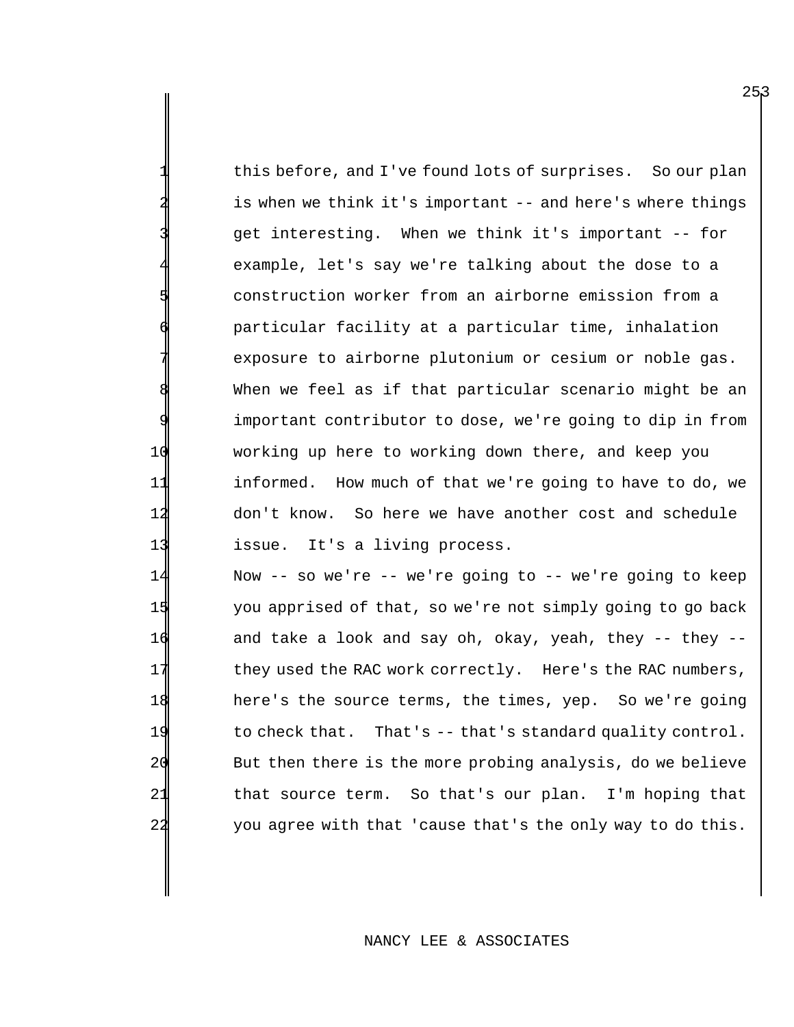this before, and I've found lots of surprises. So our plan is when we think it's important -- and here's where things get interesting. When we think it's important -- for example, let's say we're talking about the dose to a 5 construction worker from an airborne emission from a particular facility at a particular time, inhalation exposure to airborne plutonium or cesium or noble gas. When we feel as if that particular scenario might be an important contributor to dose, we're going to dip in from 10 working up here to working down there, and keep you 11 informed. How much of that we're going to have to do, we 12 don't know. So here we have another cost and schedule 13 issue. It's a living process.

 Now -- so we're -- we're going to -- we're going to keep you apprised of that, so we're not simply going to go back and take a look and say oh, okay, yeah, they -- they -- 17 they used the RAC work correctly. Here's the RAC numbers, here's the source terms, the times, yep. So we're going to check that. That's -- that's standard quality control. But then there is the more probing analysis, do we believe 21 that source term. So that's our plan. I'm hoping that you agree with that 'cause that's the only way to do this.

### NANCY LEE & ASSOCIATES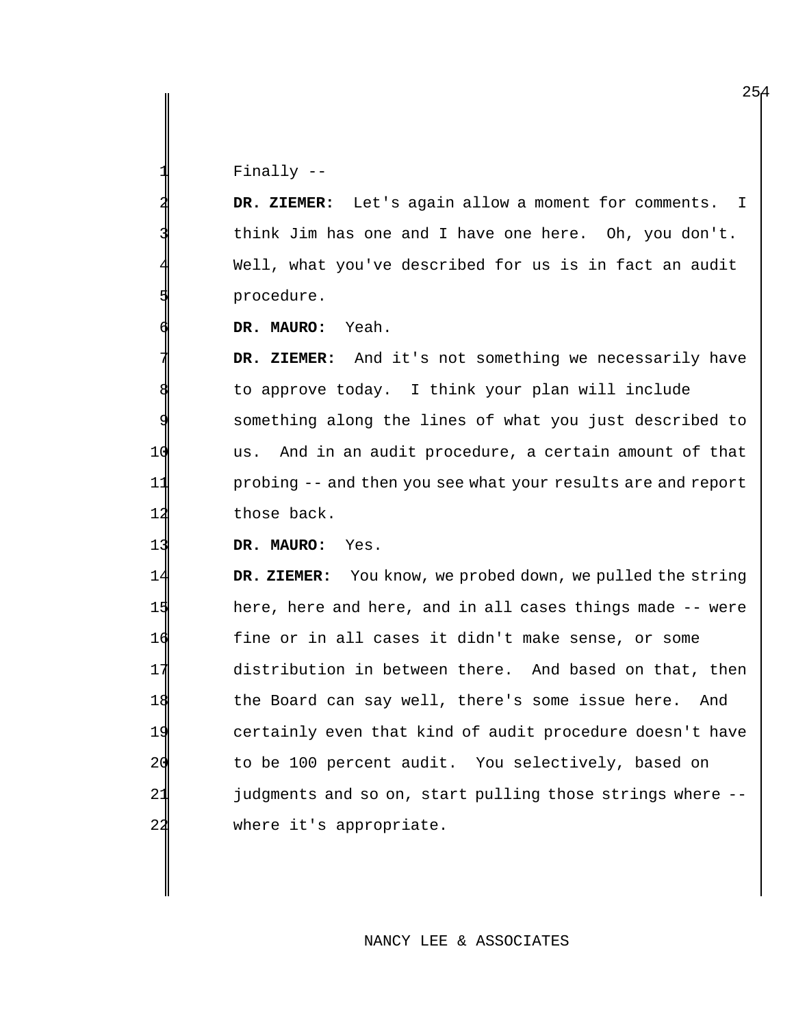Finally --

 **DR. ZIEMER:** Let's again allow a moment for comments. I think Jim has one and I have one here. Oh, you don't. Well, what you've described for us is in fact an audit procedure.

**DR. MAURO:** Yeah.

DR. ZIEMER: And it's not something we necessarily have to approve today. I think your plan will include something along the lines of what you just described to us. And in an audit procedure, a certain amount of that probing -- and then you see what your results are and report those back.

**DR. MAURO:** Yes.

 **DR. ZIEMER:** You know, we probed down, we pulled the string here, here and here, and in all cases things made -- were fine or in all cases it didn't make sense, or some distribution in between there. And based on that, then the Board can say well, there's some issue here. And certainly even that kind of audit procedure doesn't have 20 to be 100 percent audit. You selectively, based on 21 judgments and so on, start pulling those strings where --where it's appropriate.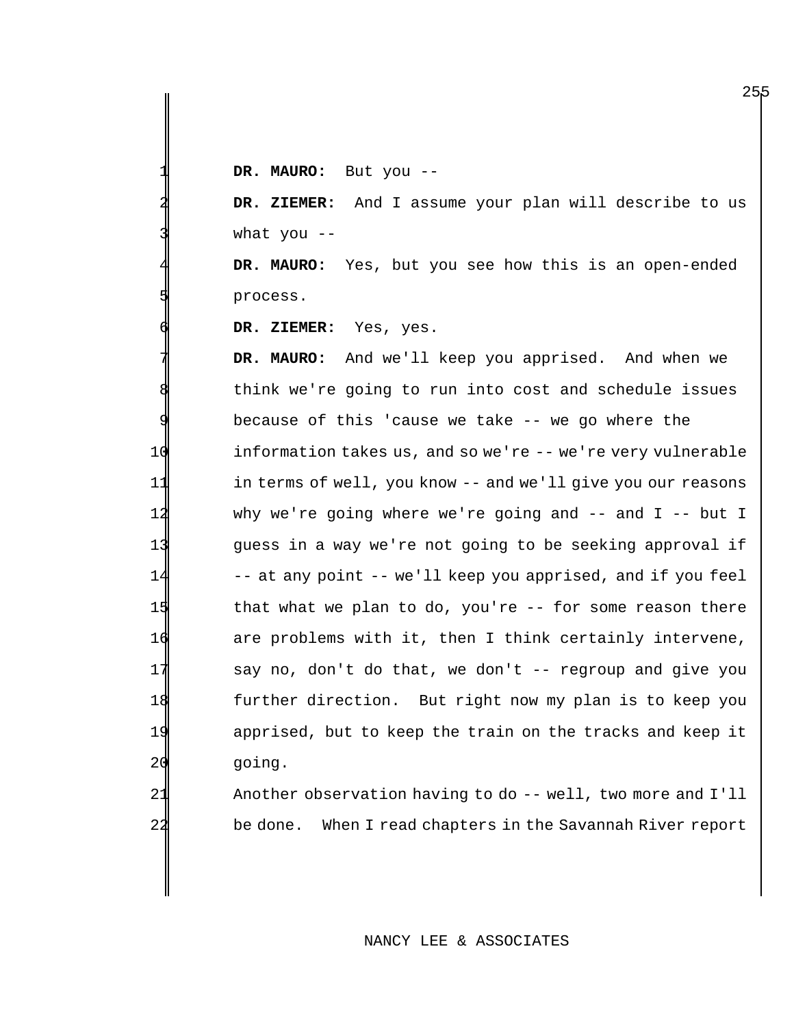DR. MAURO: But you --

 **DR. ZIEMER:** And I assume your plan will describe to us what you  $--$ 

DR. MAURO: Yes, but you see how this is an open-ended process.

**DR. ZIEMER:** Yes, yes.

DR. MAURO: And we'll keep you apprised. And when we think we're going to run into cost and schedule issues because of this 'cause we take  $-$ - we go where the information takes us, and so we're -- we're very vulnerable in terms of well, you know -- and we'll give you our reasons why we're going where we're going and -- and I -- but I guess in a way we're not going to be seeking approval if 14 -- at any point -- we'll keep you apprised, and if you feel that what we plan to do, you're -- for some reason there are problems with it, then I think certainly intervene, say no, don't do that, we don't -- regroup and give you further direction. But right now my plan is to keep you apprised, but to keep the train on the tracks and keep it going.

 Another observation having to do -- well, two more and I'll be done. When I read chapters in the Savannah River report

## NANCY LEE & ASSOCIATES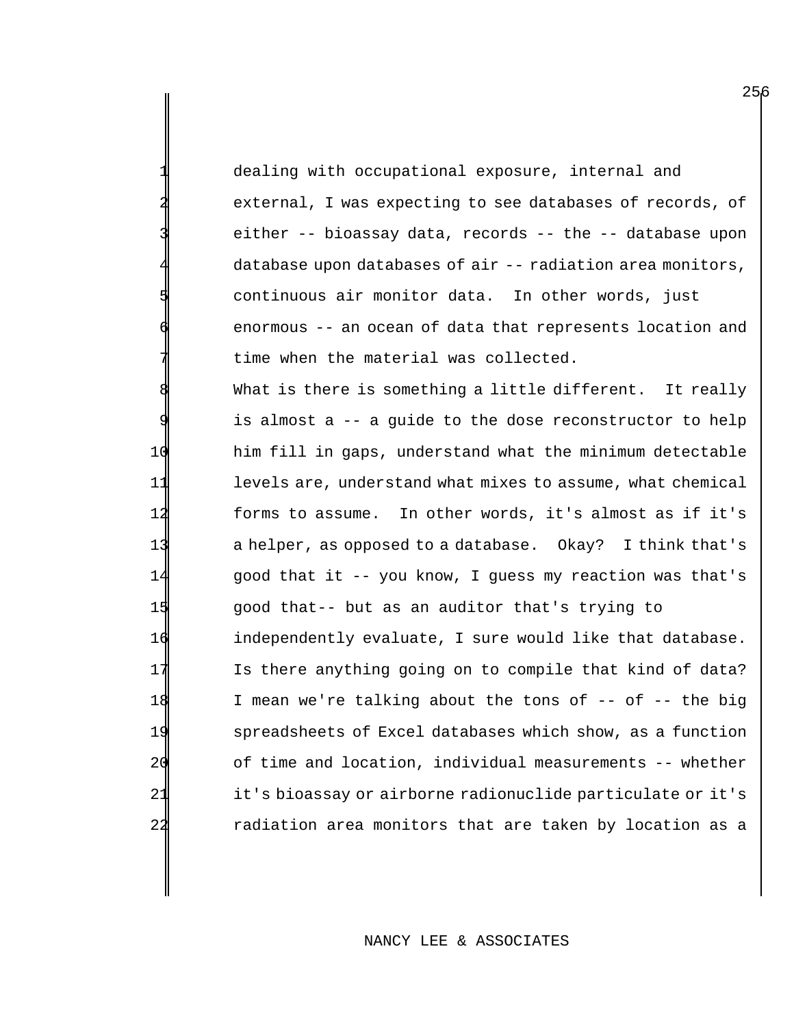dealing with occupational exposure, internal and external, I was expecting to see databases of records, of either -- bioassay data, records -- the -- database upon database upon databases of air -- radiation area monitors, continuous air monitor data. In other words, just enormous -- an ocean of data that represents location and time when the material was collected.

What is there is something a little different. It really is almost a -- a guide to the dose reconstructor to help him fill in gaps, understand what the minimum detectable 11 levels are, understand what mixes to assume, what chemical forms to assume. In other words, it's almost as if it's a helper, as opposed to a database. Okay? I think that's good that it -- you know, I guess my reaction was that's good that-- but as an auditor that's trying to independently evaluate, I sure would like that database. Is there anything going on to compile that kind of data? I mean we're talking about the tons of -- of -- the big spreadsheets of Excel databases which show, as a function of time and location, individual measurements -- whether it's bioassay or airborne radionuclide particulate or it's radiation area monitors that are taken by location as a

### NANCY LEE & ASSOCIATES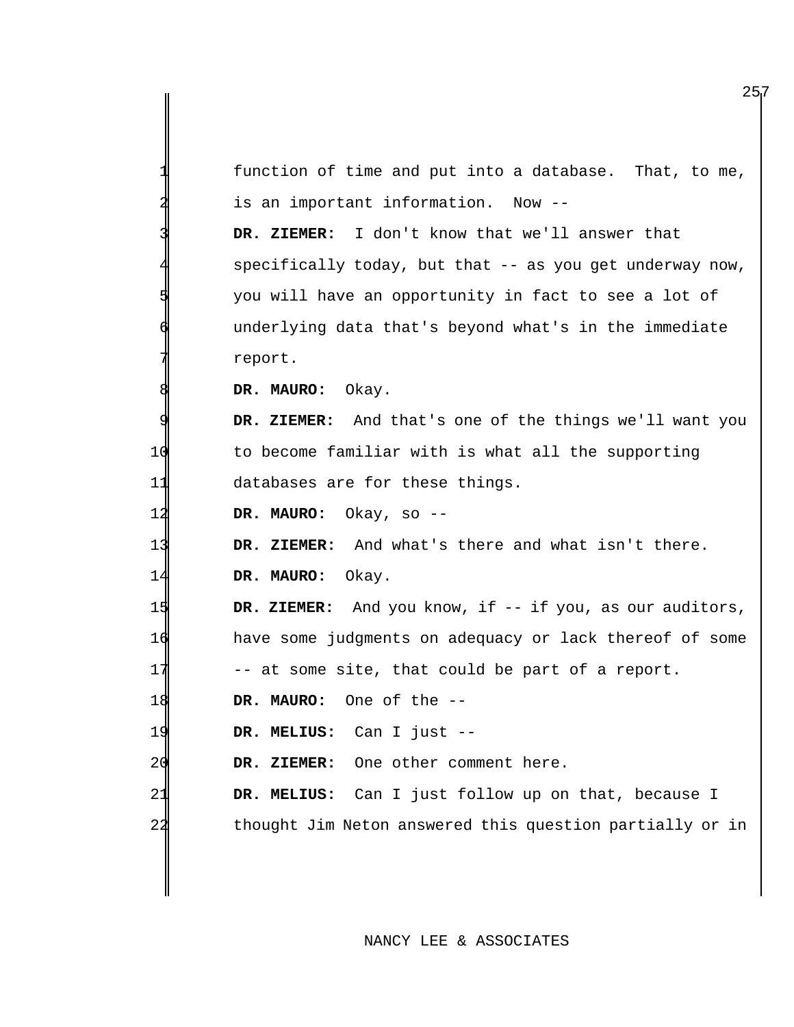|    | function of time and put into a database. That, to me,   |
|----|----------------------------------------------------------|
|    | is an important information. Now --                      |
|    | DR. ZIEMER: I don't know that we'll answer that          |
|    | specifically today, but that -- as you get underway now, |
|    | you will have an opportunity in fact to see a lot of     |
|    | underlying data that's beyond what's in the immediate    |
|    | report.                                                  |
|    | DR. MAURO:<br>Okay.                                      |
|    | DR. ZIEMER: And that's one of the things we'll want you  |
| 10 | to become familiar with is what all the supporting       |
| 11 | databases are for these things.                          |
| 12 | DR. MAURO: Okay, so                                      |
| 13 | DR. ZIEMER: And what's there and what isn't there.       |
| 14 | DR. MAURO:<br>Okay.                                      |
| 15 | DR. ZIEMER: And you know, if -- if you, as our auditors, |
| 16 | have some judgments on adequacy or lack thereof of some  |
| 17 | -- at some site, that could be part of a report.         |
| 18 | One of the --<br>DR. MAURO:                              |
| 19 | Can I just --<br>DR. MELIUS:                             |
| 20 | DR. ZIEMER:<br>One other comment here.                   |
| 21 | Can I just follow up on that, because I<br>DR. MELIUS:   |
| 22 | thought Jim Neton answered this question partially or in |
|    |                                                          |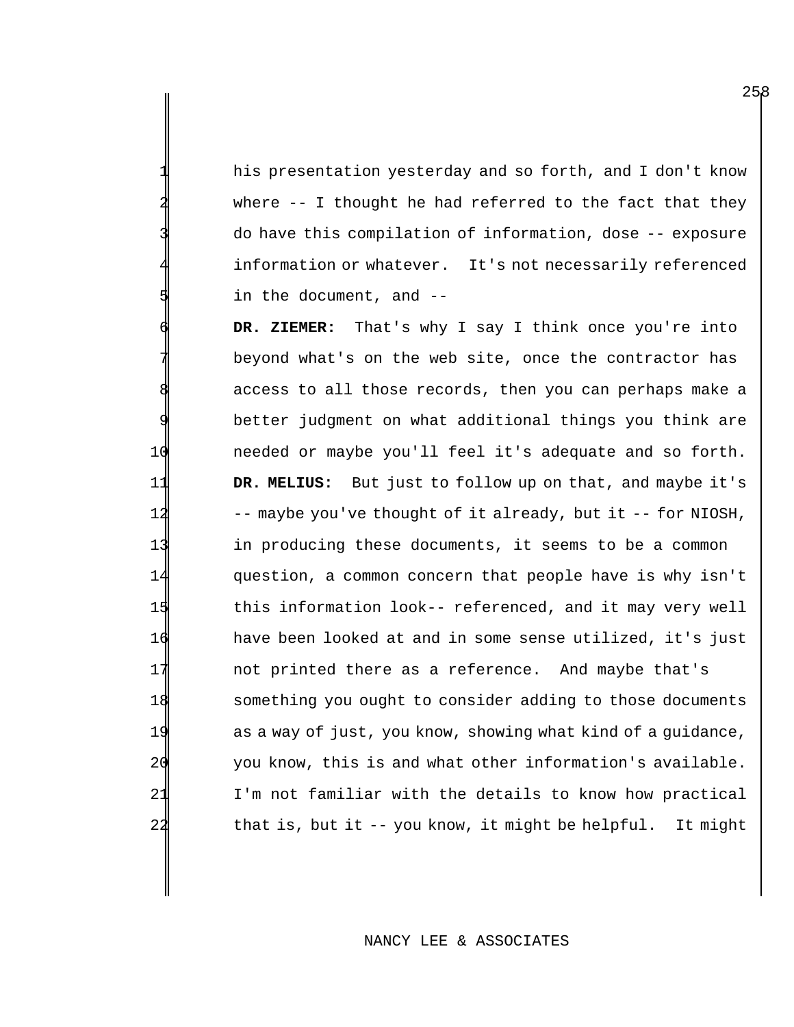his presentation yesterday and so forth, and I don't know where  $--$  I thought he had referred to the fact that they do have this compilation of information, dose -- exposure information or whatever. It's not necessarily referenced in the document, and  $-$ -

 **DR. ZIEMER:** That's why I say I think once you're into beyond what's on the web site, once the contractor has access to all those records, then you can perhaps make a better judgment on what additional things you think are needed or maybe you'll feel it's adequate and so forth. **DR. MELIUS:** But just to follow up on that, and maybe it's -- maybe you've thought of it already, but it -- for NIOSH, in producing these documents, it seems to be a common question, a common concern that people have is why isn't 15 this information look-- referenced, and it may very well have been looked at and in some sense utilized, it's just not printed there as a reference. And maybe that's something you ought to consider adding to those documents as a way of just, you know, showing what kind of a guidance, you know, this is and what other information's available. I'm not familiar with the details to know how practical that is, but it -- you know, it might be helpful. It might

## NANCY LEE & ASSOCIATES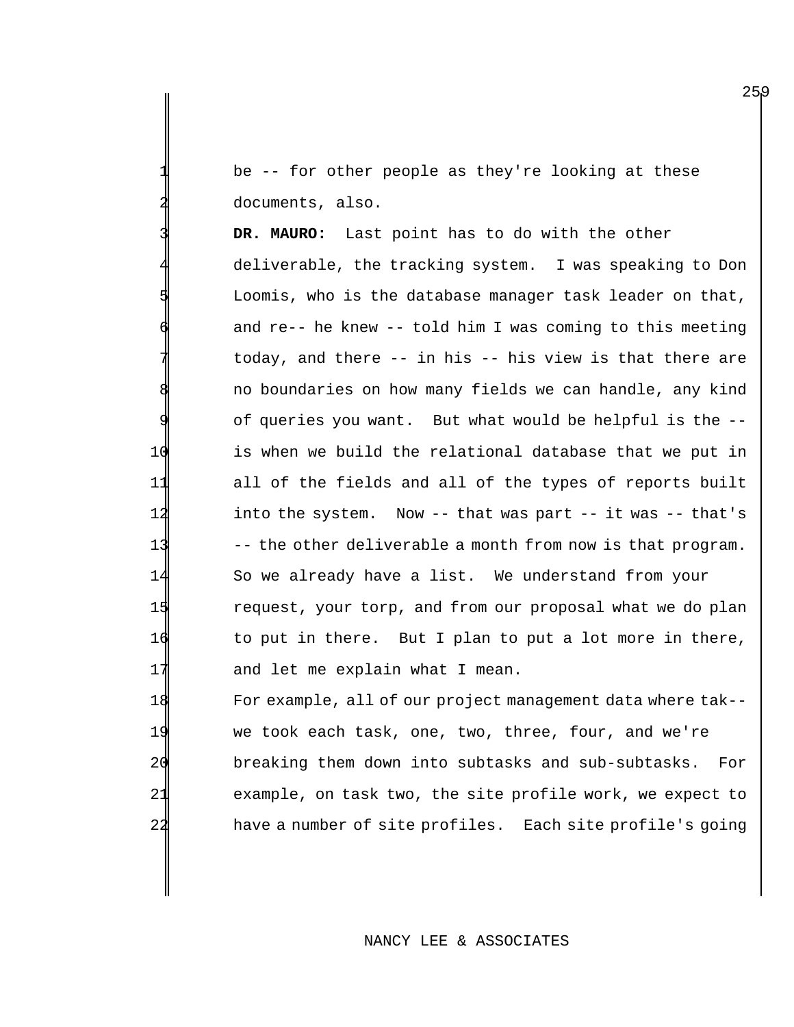be -- for other people as they're looking at these documents, also.

DR. MAURO: Last point has to do with the other 4 deliverable, the tracking system. I was speaking to Don Loomis, who is the database manager task leader on that, and re-- he knew  $-$  told him I was coming to this meeting  $today$ , and there  $--$  in his  $--$  his view is that there are no boundaries on how many fields we can handle, any kind of queries you want. But what would be helpful is the --10 is when we build the relational database that we put in 11 all of the fields and all of the types of reports built 12 into the system. Now -- that was part -- it was -- that's 13 -- the other deliverable a month from now is that program. 14 So we already have a list. We understand from your 15 request, your torp, and from our proposal what we do plan 16 to put in there. But I plan to put a lot more in there, 17 and let me explain what I mean.

 For example, all of our project management data where tak-- we took each task, one, two, three, four, and we're 20 breaking them down into subtasks and sub-subtasks. For example, on task two, the site profile work, we expect to have a number of site profiles. Each site profile's going

## NANCY LEE & ASSOCIATES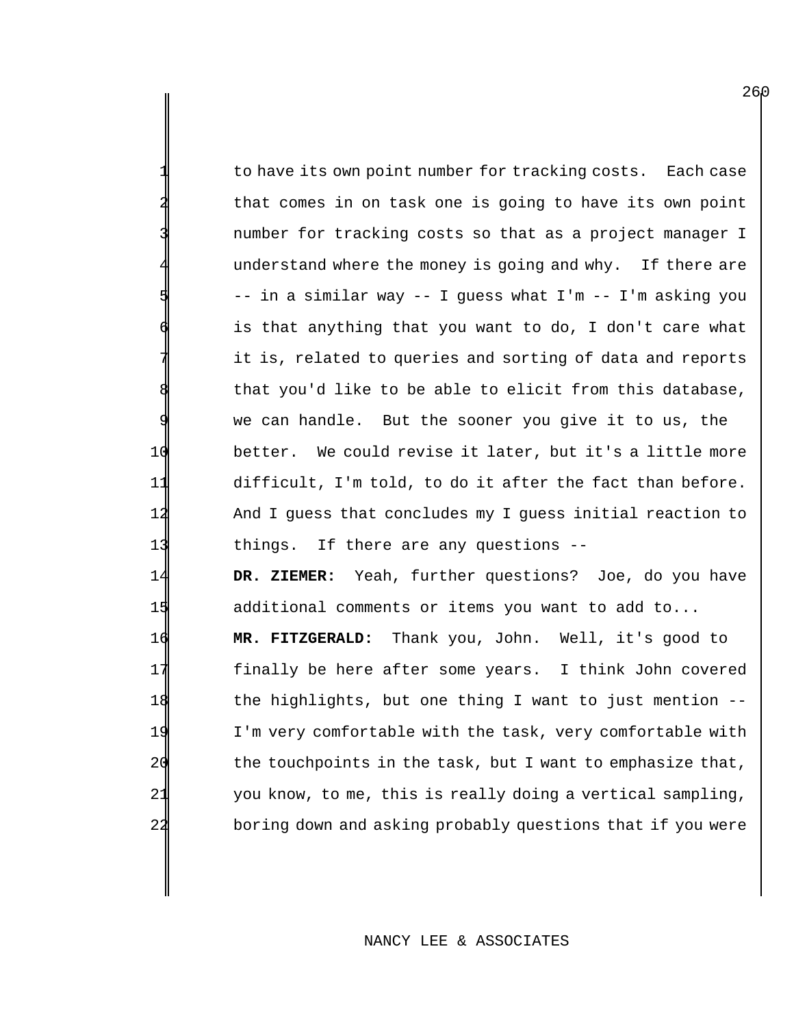to have its own point number for tracking costs. Each case that comes in on task one is going to have its own point number for tracking costs so that as a project manager I understand where the money is going and why. If there are 5 -- in a similar way -- I guess what I'm -- I'm asking you is that anything that you want to do, I don't care what it is, related to queries and sorting of data and reports that you'd like to be able to elicit from this database, we can handle. But the sooner you give it to us, the 10 better. We could revise it later, but it's a little more 11 difficult, I'm told, to do it after the fact than before. 12 And I guess that concludes my I guess initial reaction to 13 things. If there are any questions --

14 **DR. ZIEMER:** Yeah, further questions? Joe, do you have 15 additional comments or items you want to add to...

 **MR. FITZGERALD:** Thank you, John. Well, it's good to 17 finally be here after some years. I think John covered the highlights, but one thing I want to just mention -- I'm very comfortable with the task, very comfortable with 20 the touchpoints in the task, but I want to emphasize that, you know, to me, this is really doing a vertical sampling, boring down and asking probably questions that if you were

### NANCY LEE & ASSOCIATES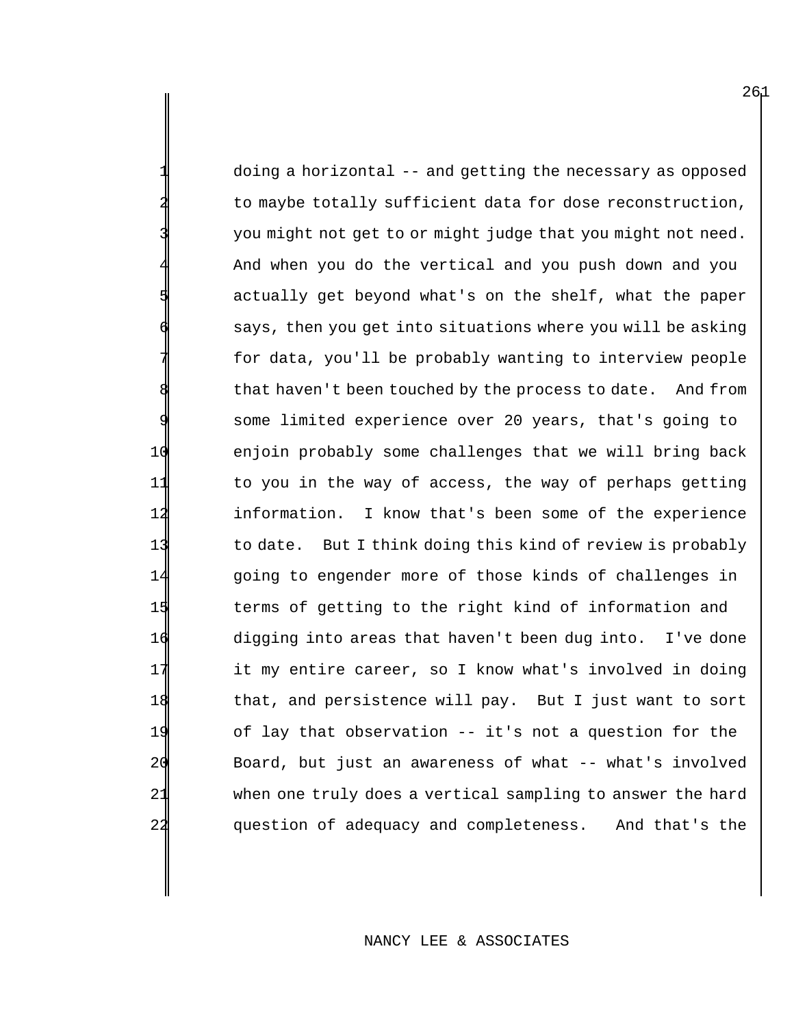doing a horizontal -- and getting the necessary as opposed to maybe totally sufficient data for dose reconstruction, you might not get to or might judge that you might not need. 4 And when you do the vertical and you push down and you actually get beyond what's on the shelf, what the paper says, then you get into situations where you will be asking for data, you'll be probably wanting to interview people that haven't been touched by the process to date. And from some limited experience over 20 years, that's going to 10 enjoin probably some challenges that we will bring back 11 to you in the way of access, the way of perhaps getting 12 information. I know that's been some of the experience 13 to date. But I think doing this kind of review is probably 14 going to engender more of those kinds of challenges in 15 terms of getting to the right kind of information and 16 digging into areas that haven't been dug into. I've done 17 it my entire career, so I know what's involved in doing 18 that, and persistence will pay. But I just want to sort 19 of lay that observation -- it's not a question for the 20 Board, but just an awareness of what -- what's involved 21 when one truly does a vertical sampling to answer the hard 22 question of adequacy and completeness. And that's the

## NANCY LEE & ASSOCIATES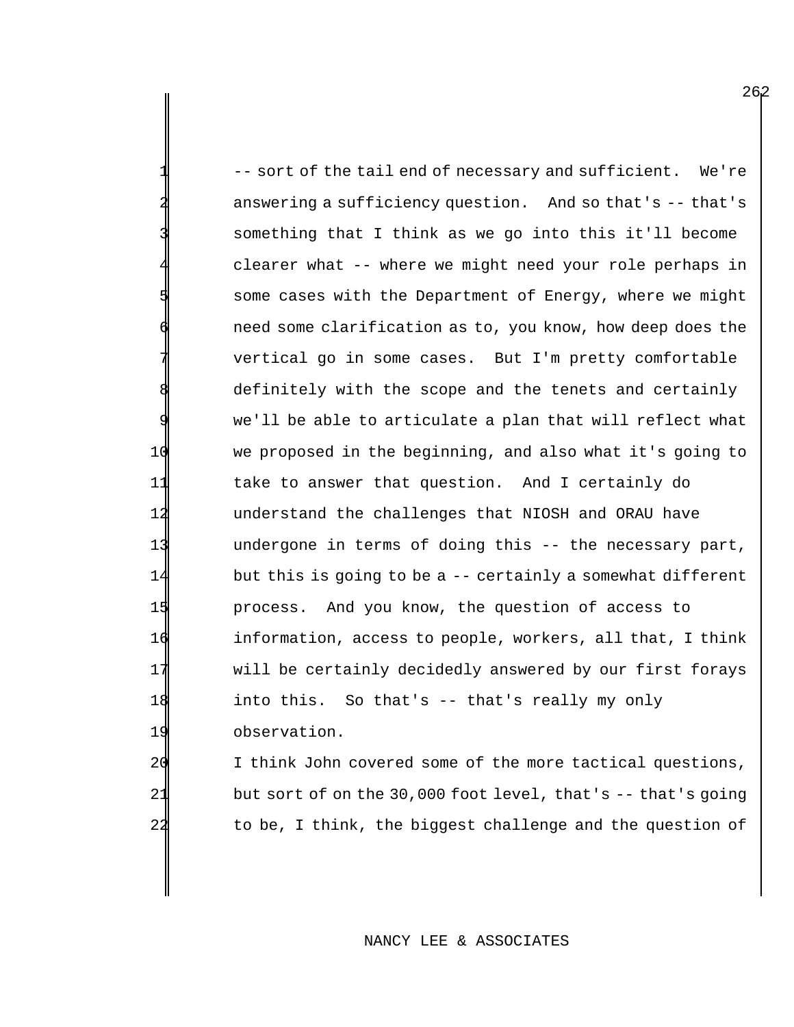-- sort of the tail end of necessary and sufficient. We're answering a sufficiency question. And so that's -- that's something that I think as we go into this it'll become clearer what -- where we might need your role perhaps in 5 some cases with the Department of Energy, where we might need some clarification as to, you know, how deep does the vertical go in some cases. But I'm pretty comfortable definitely with the scope and the tenets and certainly we'll be able to articulate a plan that will reflect what 10 we proposed in the beginning, and also what it's going to 11 take to answer that question. And I certainly do 12 understand the challenges that NIOSH and ORAU have 13 undergone in terms of doing this -- the necessary part, 14 but this is going to be a -- certainly a somewhat different 15 process. And you know, the question of access to 16 information, access to people, workers, all that, I think 17 will be certainly decidedly answered by our first forays 18 into this. So that's -- that's really my only 19 observation.

20 I think John covered some of the more tactical questions, 21 but sort of on the 30,000 foot level, that's -- that's going 22 to be, I think, the biggest challenge and the question of

### NANCY LEE & ASSOCIATES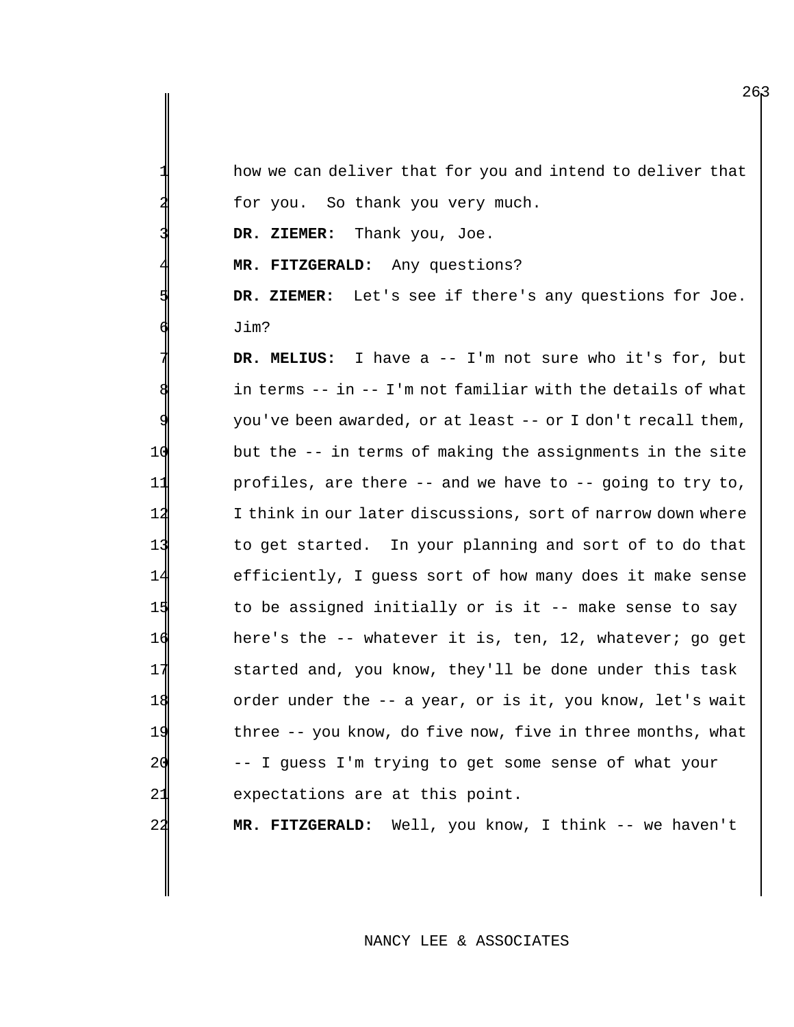how we can deliver that for you and intend to deliver that for you. So thank you very much.

DR. ZIEMER: Thank you, Joe.

**MR. FITZGERALD:** Any questions?

 **DR. ZIEMER:** Let's see if there's any questions for Joe. Jim?

 **DR. MELIUS:** I have a -- I'm not sure who it's for, but in terms -- in -- I'm not familiar with the details of what you've been awarded, or at least -- or I don't recall them, but the -- in terms of making the assignments in the site profiles, are there -- and we have to -- going to try to, 12 I think in our later discussions, sort of narrow down where to get started. In your planning and sort of to do that efficiently, I guess sort of how many does it make sense to be assigned initially or is it -- make sense to say here's the -- whatever it is, ten, 12, whatever; go get started and, you know, they'll be done under this task 18 order under the -- a year, or is it, you know, let's wait 19 three -- you know, do five now, five in three months, what -- I guess I'm trying to get some sense of what your 21 expectations are at this point.

**MR. FITZGERALD:** Well, you know, I think -- we haven't

# NANCY LEE & ASSOCIATES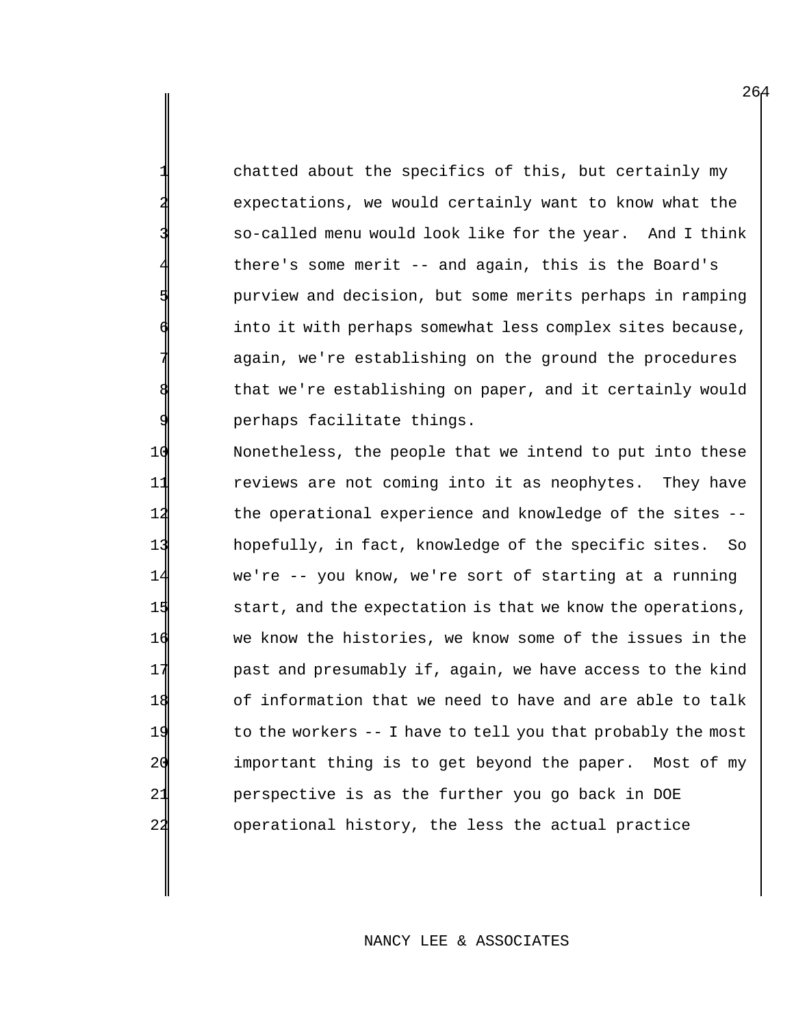chatted about the specifics of this, but certainly my expectations, we would certainly want to know what the 3 so-called menu would look like for the year. And I think there's some merit  $-$ - and again, this is the Board's purview and decision, but some merits perhaps in ramping into it with perhaps somewhat less complex sites because, again, we're establishing on the ground the procedures that we're establishing on paper, and it certainly would perhaps facilitate things.

 Nonetheless, the people that we intend to put into these reviews are not coming into it as neophytes. They have the operational experience and knowledge of the sites -- hopefully, in fact, knowledge of the specific sites. So we're -- you know, we're sort of starting at a running 15 start, and the expectation is that we know the operations, we know the histories, we know some of the issues in the **past and presumably if, again, we have access to the kind**  of information that we need to have and are able to talk to the workers -- I have to tell you that probably the most important thing is to get beyond the paper. Most of my perspective is as the further you go back in DOE operational history, the less the actual practice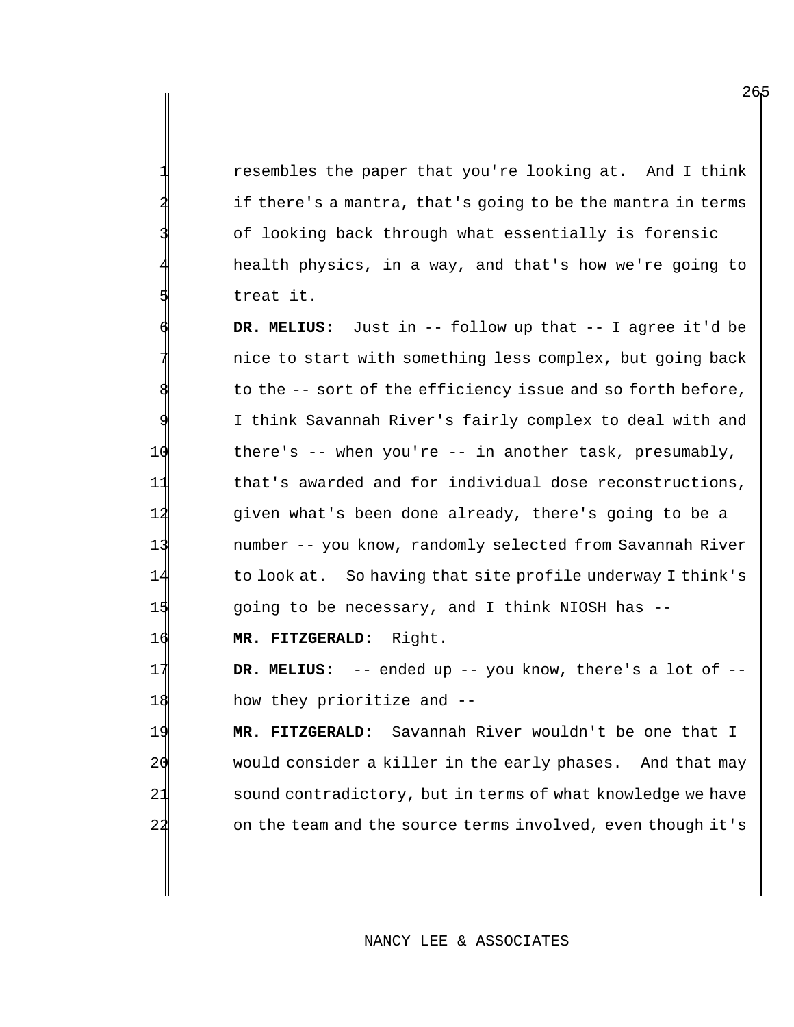resembles the paper that you're looking at. And I think if there's a mantra, that's going to be the mantra in terms of looking back through what essentially is forensic health physics, in a way, and that's how we're going to treat it.

 **DR. MELIUS:** Just in -- follow up that -- I agree it'd be nice to start with something less complex, but going back to the -- sort of the efficiency issue and so forth before, I think Savannah River's fairly complex to deal with and there's -- when you're -- in another task, presumably, that's awarded and for individual dose reconstructions, given what's been done already, there's going to be a number -- you know, randomly selected from Savannah River to look at. So having that site profile underway I think's going to be necessary, and I think NIOSH has --

16 **MR. FITZGERALD:** Right.

17 **DR. MELIUS:** -- ended up -- you know, there's a lot of -- 18 how they prioritize and --

 **MR. FITZGERALD:** Savannah River wouldn't be one that I would consider a killer in the early phases. And that may 21 sound contradictory, but in terms of what knowledge we have on the team and the source terms involved, even though it's

## NANCY LEE & ASSOCIATES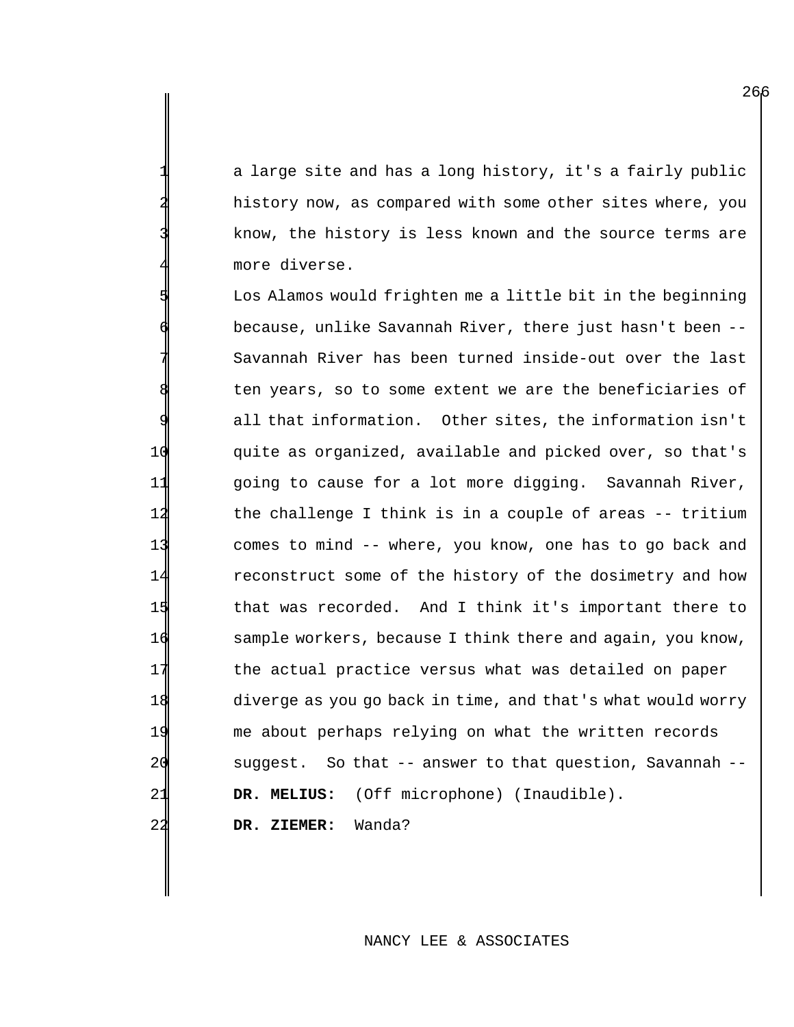a large site and has a long history, it's a fairly public history now, as compared with some other sites where, you know, the history is less known and the source terms are more diverse.

Los Alamos would frighten me a little bit in the beginning 6 because, unlike Savannah River, there just hasn't been -- Savannah River has been turned inside-out over the last ten years, so to some extent we are the beneficiaries of all that information. Other sites, the information isn't 10 quite as organized, available and picked over, so that's 11 going to cause for a lot more digging. Savannah River, 12 the challenge I think is in a couple of areas -- tritium 13 comes to mind -- where, you know, one has to go back and 14 reconstruct some of the history of the dosimetry and how 15 that was recorded. And I think it's important there to 16 sample workers, because I think there and again, you know, 17 the actual practice versus what was detailed on paper 18 diverge as you go back in time, and that's what would worry 19 me about perhaps relying on what the written records 20 suggest. So that -- answer to that question, Savannah -- 21 **DR. MELIUS:** (Off microphone) (Inaudible). 22 **DR. ZIEMER:** Wanda?

NANCY LEE & ASSOCIATES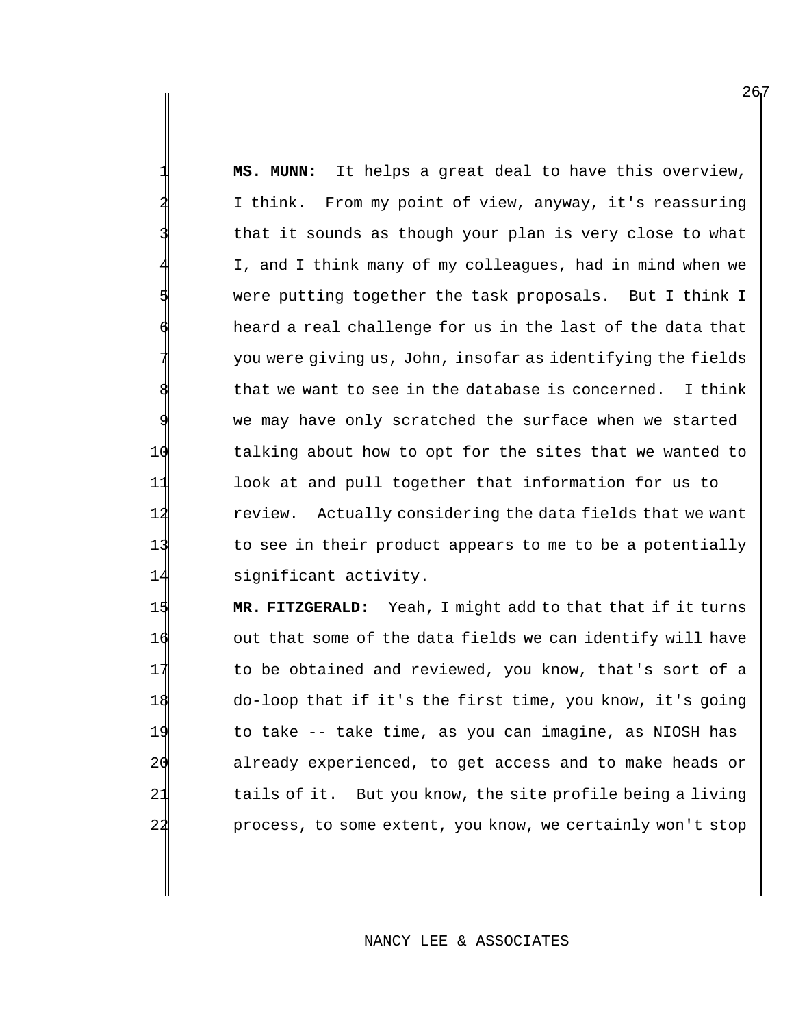1 **MS. MUNN:** It helps a great deal to have this overview, I think. From my point of view, anyway, it's reassuring that it sounds as though your plan is very close to what I, and I think many of my colleagues, had in mind when we were putting together the task proposals. But I think I heard a real challenge for us in the last of the data that you were giving us, John, insofar as identifying the fields that we want to see in the database is concerned. I think we may have only scratched the surface when we started 10 talking about how to opt for the sites that we wanted to 11 look at and pull together that information for us to 12 review. Actually considering the data fields that we want 13 to see in their product appears to me to be a potentially 14 significant activity.

 **MR. FITZGERALD:** Yeah, I might add to that that if it turns 16 out that some of the data fields we can identify will have 17 to be obtained and reviewed, you know, that's sort of a do-loop that if it's the first time, you know, it's going to take -- take time, as you can imagine, as NIOSH has already experienced, to get access and to make heads or 21 tails of it. But you know, the site profile being a living process, to some extent, you know, we certainly won't stop

### NANCY LEE & ASSOCIATES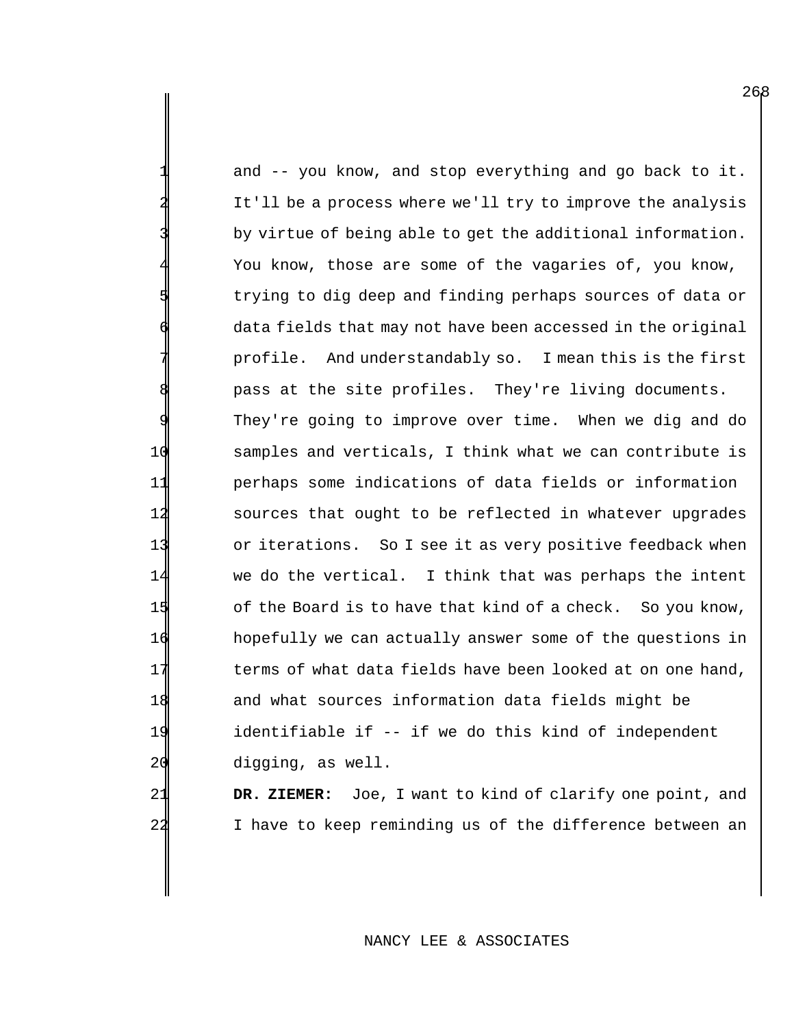and  $-$ - you know, and stop everything and go back to it. It'll be a process where we'll try to improve the analysis by virtue of being able to get the additional information. 4 You know, those are some of the vagaries of, you know, trying to dig deep and finding perhaps sources of data or data fields that may not have been accessed in the original profile. And understandably so. I mean this is the first pass at the site profiles. They're living documents. They're going to improve over time. When we dig and do 10 samples and verticals, I think what we can contribute is 11 perhaps some indications of data fields or information 12 sources that ought to be reflected in whatever upgrades 13 or iterations. So I see it as very positive feedback when 14 we do the vertical. I think that was perhaps the intent 15 of the Board is to have that kind of a check. So you know, 16 hopefully we can actually answer some of the questions in 17 terms of what data fields have been looked at on one hand, 18 and what sources information data fields might be 19 identifiable if -- if we do this kind of independent 20 digging, as well.

21 **DR. ZIEMER:** Joe, I want to kind of clarify one point, and 22 I have to keep reminding us of the difference between an

### NANCY LEE & ASSOCIATES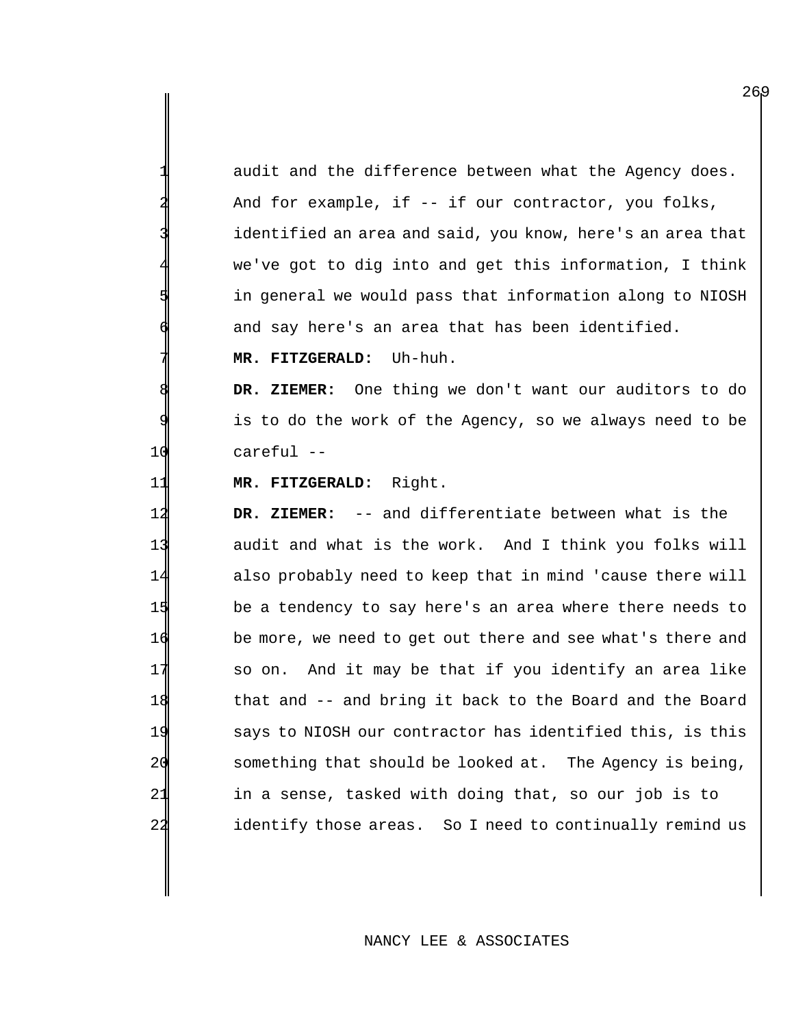audit and the difference between what the Agency does. And for example, if -- if our contractor, you folks, identified an area and said, you know, here's an area that we've got to dig into and get this information, I think in general we would pass that information along to NIOSH and say here's an area that has been identified.

**MR. FITZGERALD:** Uh-huh.

 **DR. ZIEMER:** One thing we don't want our auditors to do is to do the work of the Agency, so we always need to be careful --

**MR. FITZGERALD:** Right.

 **DR. ZIEMER:** -- and differentiate between what is the audit and what is the work. And I think you folks will also probably need to keep that in mind 'cause there will be a tendency to say here's an area where there needs to 16 be more, we need to get out there and see what's there and so on. And it may be that if you identify an area like that and -- and bring it back to the Board and the Board says to NIOSH our contractor has identified this, is this something that should be looked at. The Agency is being, in a sense, tasked with doing that, so our job is to identify those areas. So I need to continually remind us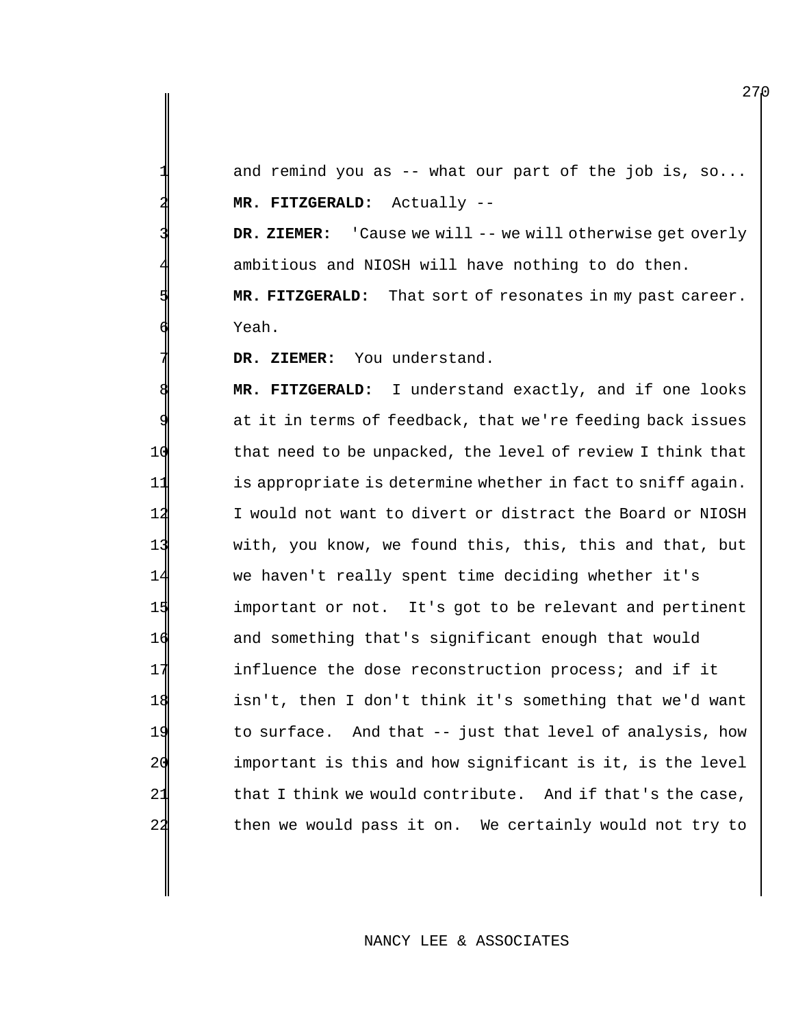and remind you as  $-$  what our part of the job is, so... 2 **MR. FITZGERALD:** Actually --

DR. ZIEMER: 'Cause we will -- we will otherwise get overly ambitious and NIOSH will have nothing to do then. 5 **MR. FITZGERALD:** That sort of resonates in my past career. Yeah.

DR. ZIEMER: You understand.

 **MR. FITZGERALD:** I understand exactly, and if one looks at it in terms of feedback, that we're feeding back issues 10 that need to be unpacked, the level of review I think that is appropriate is determine whether in fact to sniff again. I would not want to divert or distract the Board or NIOSH with, you know, we found this, this, this and that, but we haven't really spent time deciding whether it's important or not. It's got to be relevant and pertinent and something that's significant enough that would influence the dose reconstruction process; and if it isn't, then I don't think it's something that we'd want to surface. And that -- just that level of analysis, how 20 important is this and how significant is it, is the level  $2\mathbb{1}$  that I think we would contribute. And if that's the case, then we would pass it on. We certainly would not try to

## NANCY LEE & ASSOCIATES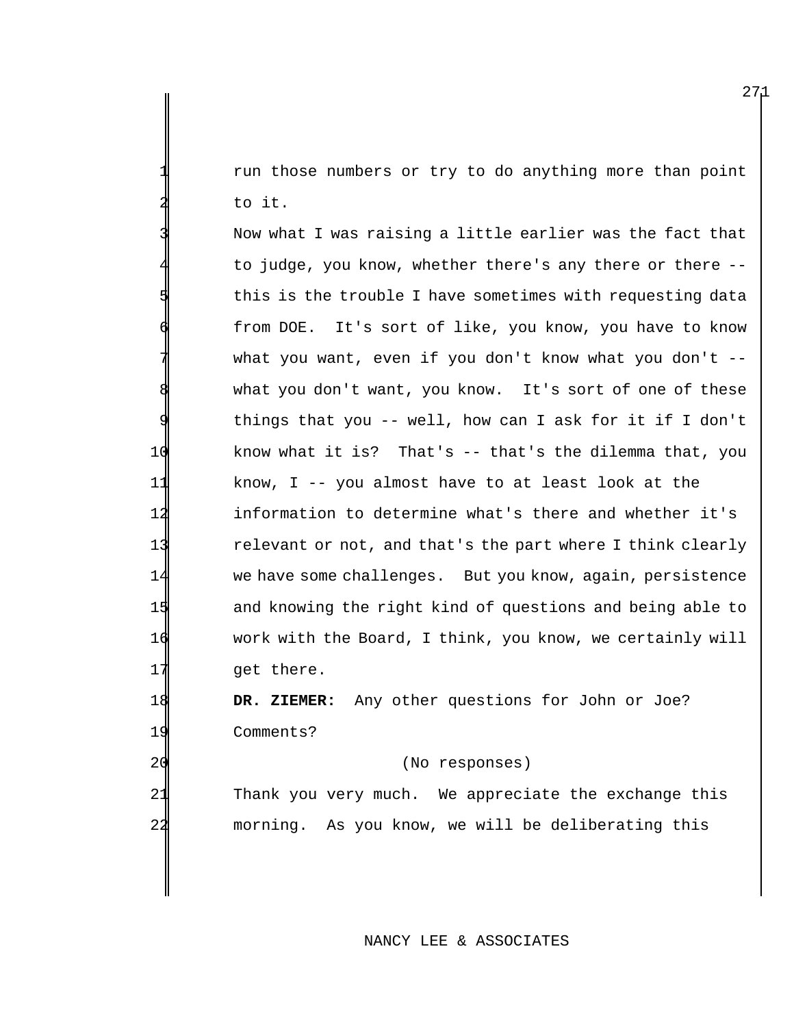run those numbers or try to do anything more than point to it.

Now what I was raising a little earlier was the fact that to judge, you know, whether there's any there or there -this is the trouble I have sometimes with requesting data from DOE. It's sort of like, you know, you have to know what you want, even if you don't know what you don't -what you don't want, you know. It's sort of one of these things that you -- well, how can I ask for it if I don't 10 know what it is? That's -- that's the dilemma that, you 11 know, I -- you almost have to at least look at the 12 information to determine what's there and whether it's 13 relevant or not, and that's the part where I think clearly 14 we have some challenges. But you know, again, persistence 15 and knowing the right kind of questions and being able to 16 work with the Board, I think, you know, we certainly will 17 get there.

18 **DR. ZIEMER:** Any other questions for John or Joe? 19 Comments?

# 20 (No responses)

21 Thank you very much. We appreciate the exchange this 22 morning. As you know, we will be deliberating this

NANCY LEE & ASSOCIATES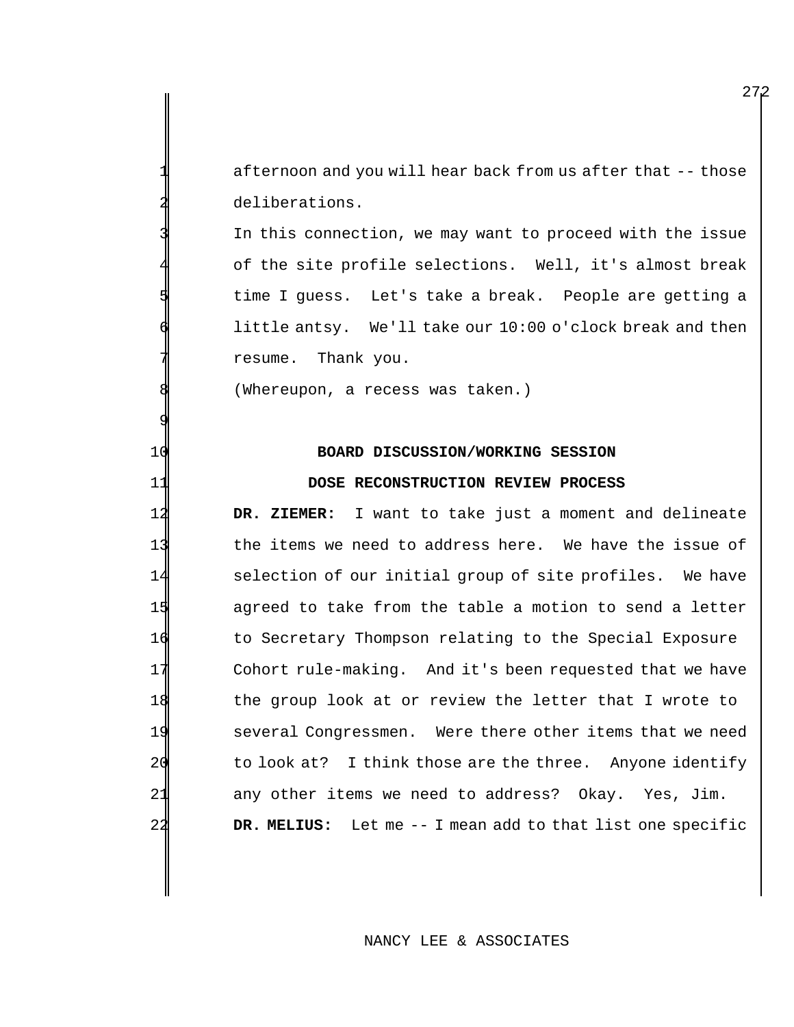afternoon and you will hear back from us after that -- those deliberations.

In this connection, we may want to proceed with the issue of the site profile selections. Well, it's almost break time I guess. Let's take a break. People are getting a little antsy. We'll take our 10:00 o'clock break and then resume. Thank you.

(Whereupon, a recess was taken.)

#### **BOARD DISCUSSION/WORKING SESSION**

#### **DOSE RECONSTRUCTION REVIEW PROCESS**

 **DR. ZIEMER:** I want to take just a moment and delineate the items we need to address here. We have the issue of selection of our initial group of site profiles. We have agreed to take from the table a motion to send a letter to Secretary Thompson relating to the Special Exposure Cohort rule-making. And it's been requested that we have the group look at or review the letter that I wrote to several Congressmen. Were there other items that we need 20 to look at? I think those are the three. Anyone identify any other items we need to address? Okay. Yes, Jim. **DR. MELIUS:** Let me -- I mean add to that list one specific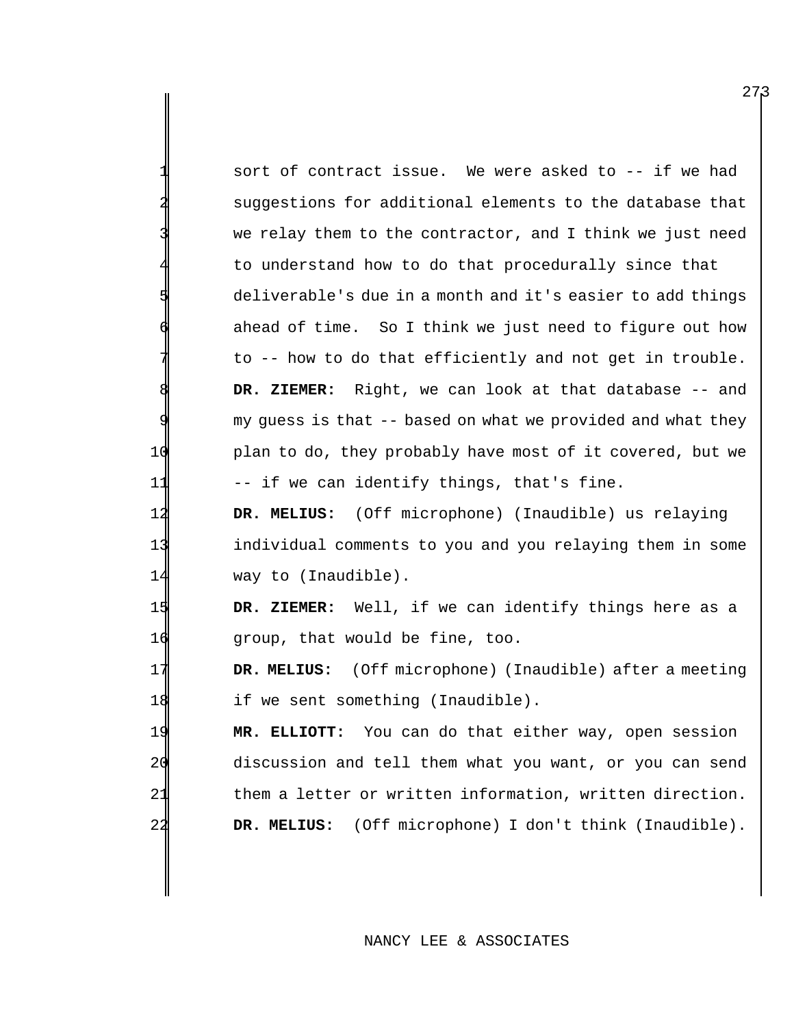sort of contract issue. We were asked to -- if we had suggestions for additional elements to the database that we relay them to the contractor, and I think we just need 4 to understand how to do that procedurally since that deliverable's due in a month and it's easier to add things ahead of time. So I think we just need to figure out how to -- how to do that efficiently and not get in trouble. 8 **DR. ZIEMER:** Right, we can look at that database -- and my guess is that -- based on what we provided and what they 10 plan to do, they probably have most of it covered, but we 11 -- if we can identify things, that's fine.

12 **DR. MELIUS:** (Off microphone) (Inaudible) us relaying 13 individual comments to you and you relaying them in some 14 way to (Inaudible).

15 **DR. ZIEMER:** Well, if we can identify things here as a 16 group, that would be fine, too.

17 **DR. MELIUS:** (Off microphone) (Inaudible) after a meeting 18 if we sent something (Inaudible).

 **MR. ELLIOTT:** You can do that either way, open session discussion and tell them what you want, or you can send 21 bthem a letter or written information, written direction. **DR. MELIUS:** (Off microphone) I don't think (Inaudible).

## NANCY LEE & ASSOCIATES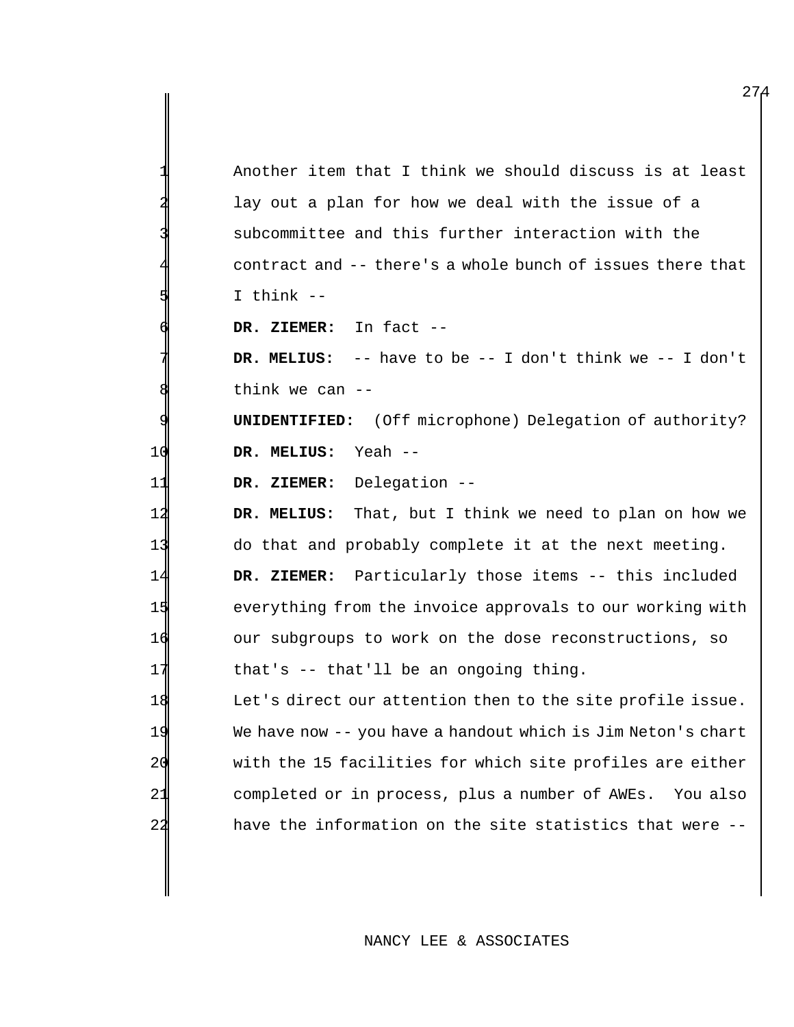| Another item that I think we should discuss is at least            |
|--------------------------------------------------------------------|
| lay out a plan for how we deal with the issue of a                 |
| subcommittee and this further interaction with the                 |
| contract and -- there's a whole bunch of issues there that         |
| I think $--$                                                       |
| DR. ZIEMER: In fact --                                             |
| <b>DR. MELIUS:</b> $-$ have to be $-$ I don't think we $-$ I don't |
| think we can $-$ -                                                 |
| (Off microphone) Delegation of authority?<br>UNIDENTIFIED:         |
| 10<br>Yeah --<br>DR. MELIUS:                                       |
| 11<br>DR. ZIEMER: Delegation --                                    |
| 12<br>DR. MELIUS: That, but I think we need to plan on how we      |
| 13<br>do that and probably complete it at the next meeting.        |
| 14<br>DR. ZIEMER: Particularly those items -- this included        |
| 15<br>everything from the invoice approvals to our working with    |
| 16<br>our subgroups to work on the dose reconstructions, so        |
| 17<br>that's -- that'll be an ongoing thing.                       |
| 18<br>Let's direct our attention then to the site profile issue.   |
| 19<br>We have now -- you have a handout which is Jim Neton's chart |
| 20<br>with the 15 facilities for which site profiles are either    |
| 21<br>completed or in process, plus a number of AWEs.<br>You also  |
| have the information on the site statistics that were --<br>22     |
|                                                                    |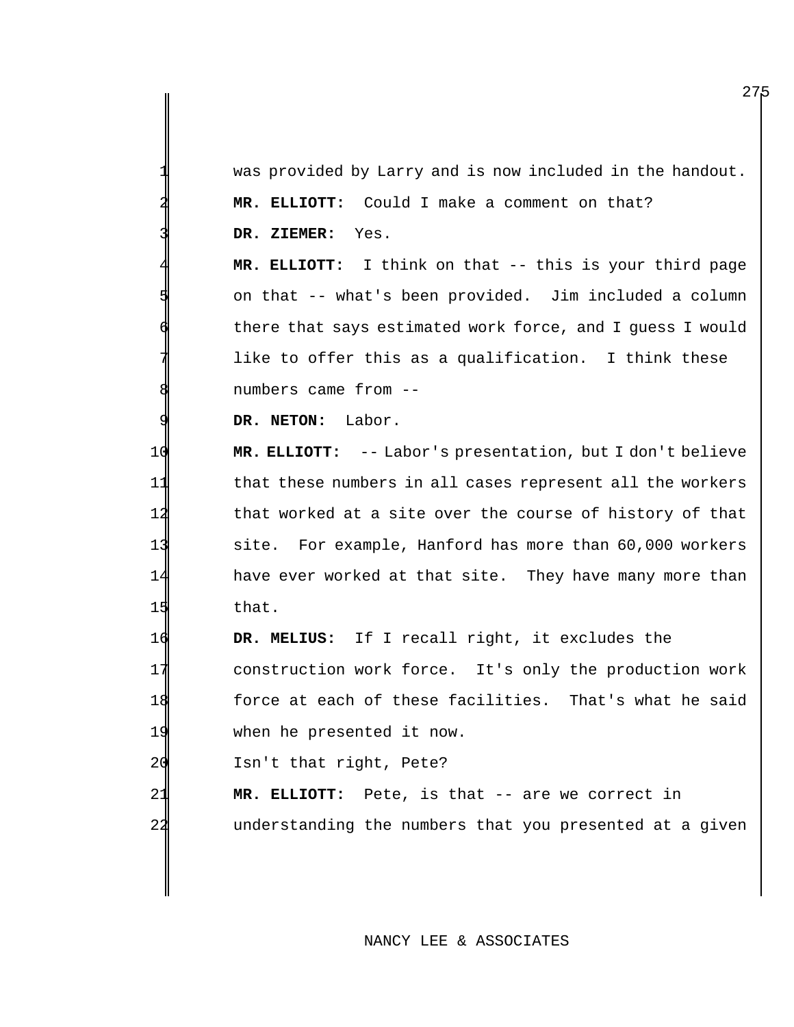|        | was provided by Larry and is now included in the handout. |
|--------|-----------------------------------------------------------|
|        | MR. ELLIOTT: Could I make a comment on that?              |
|        | DR. ZIEMER: Yes.                                          |
|        | MR. ELLIOTT: I think on that -- this is your third page   |
|        | on that -- what's been provided. Jim included a column    |
|        | there that says estimated work force, and I guess I would |
|        | like to offer this as a qualification. I think these      |
|        | numbers came from --                                      |
|        | DR. NETON: Labor.                                         |
| 10     | MR. ELLIOTT: -- Labor's presentation, but I don't believe |
| 11     | that these numbers in all cases represent all the workers |
| 12     | that worked at a site over the course of history of that  |
| 13     | site. For example, Hanford has more than 60,000 workers   |
| 14     | have ever worked at that site. They have many more than   |
| 15     | that.                                                     |
| 16     | DR. MELIUS: If I recall right, it excludes the            |
| 17     | construction work force. It's only the production work    |
| 18     | force at each of these facilities. That's what he said    |
| 19     | when he presented it now.                                 |
| 20     | Isn't that right, Pete?                                   |
| 21     | MR. ELLIOTT: Pete, is that -- are we correct in           |
| $^{2}$ | understanding the numbers that you presented at a given   |
|        |                                                           |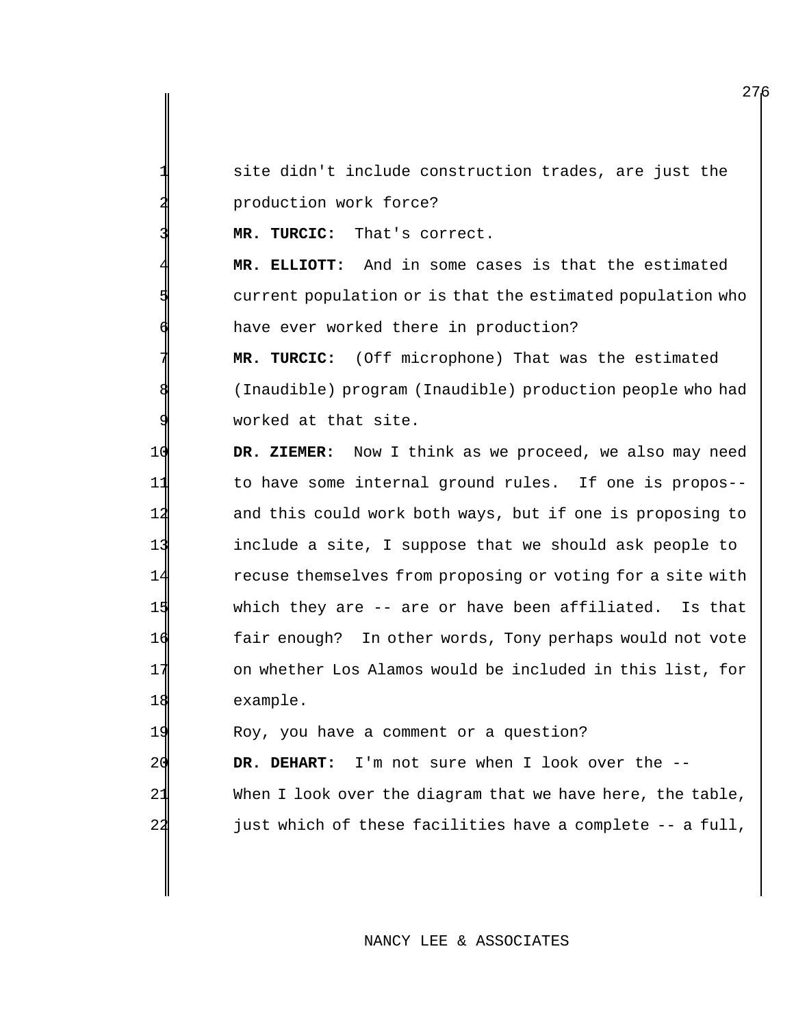site didn't include construction trades, are just the production work force?

MR. TURCIC: That's correct.

 **MR. ELLIOTT:** And in some cases is that the estimated current population or is that the estimated population who have ever worked there in production?

MR. TURCIC: (Off microphone) That was the estimated (Inaudible) program (Inaudible) production people who had worked at that site.

 **DR. ZIEMER:** Now I think as we proceed, we also may need to have some internal ground rules. If one is propos-- and this could work both ways, but if one is proposing to include a site, I suppose that we should ask people to recuse themselves from proposing or voting for a site with which they are -- are or have been affiliated. Is that fair enough? In other words, Tony perhaps would not vote on whether Los Alamos would be included in this list, for example.

Roy, you have a comment or a question?

**DR. DEHART:** I'm not sure when I look over the --

21 When I look over the diagram that we have here, the table, just which of these facilities have a complete -- a full,

## NANCY LEE & ASSOCIATES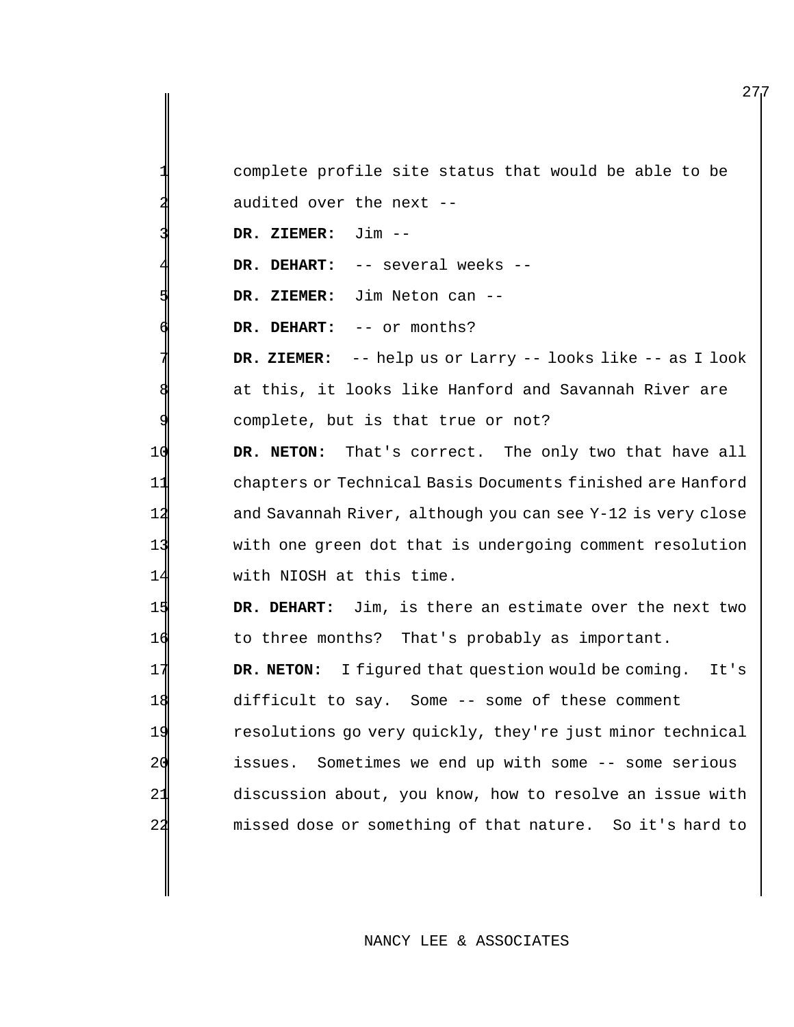|    | complete profile site status that would be able to be       |
|----|-------------------------------------------------------------|
|    | audited over the next --                                    |
|    | DR. ZIEMER: Jim --                                          |
|    | DR. DEHART: -- several weeks --                             |
|    | DR. ZIEMER: Jim Neton can --                                |
|    | DR. DEHART: -- or months?                                   |
|    | DR. ZIEMER: -- help us or Larry -- looks like -- as I look  |
|    | at this, it looks like Hanford and Savannah River are       |
|    | complete, but is that true or not?                          |
| 10 | DR. NETON: That's correct. The only two that have all       |
| 11 | chapters or Technical Basis Documents finished are Hanford  |
| 12 | and Savannah River, although you can see Y-12 is very close |
| 13 | with one green dot that is undergoing comment resolution    |
| 14 | with NIOSH at this time.                                    |
| 15 | DR. DEHART: Jim, is there an estimate over the next two     |
| 16 | to three months? That's probably as important.              |
| 17 | DR. NETON: I figured that question would be coming. It's    |
| 18 | difficult to say. Some -- some of these comment             |
| 19 | resolutions go very quickly, they're just minor technical   |
| 20 | Sometimes we end up with some -- some serious<br>issues.    |
| 21 | discussion about, you know, how to resolve an issue with    |
| 22 | missed dose or something of that nature. So it's hard to    |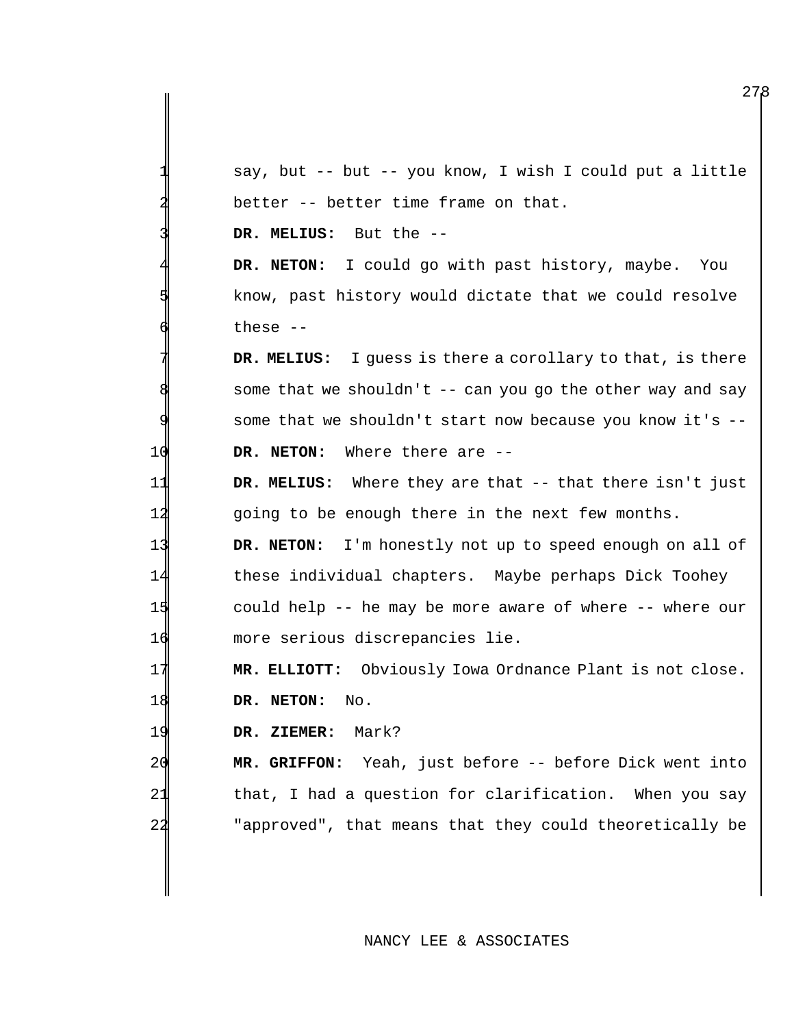say, but -- but -- you know, I wish I could put a little better -- better time frame on that.

3 **DR. MELIUS:** But the --

DR. NETON: I could go with past history, maybe. You know, past history would dictate that we could resolve these  $-$ 

DR. MELIUS: I guess is there a corollary to that, is there some that we shouldn't  $-$  can you go the other way and say some that we shouldn't start now because you know it's --10 **DR. NETON:** Where there are --

11 **DR. MELIUS:** Where they are that -- that there isn't just 12 a going to be enough there in the next few months.

 **DR. NETON:** I'm honestly not up to speed enough on all of these individual chapters. Maybe perhaps Dick Toohey could help -- he may be more aware of where -- where our more serious discrepancies lie.

17 **MR. ELLIOTT:** Obviously Iowa Ordnance Plant is not close. 18 **DR. NETON:** No.

19 **DR. ZIEMER:** Mark?

20 **MR. GRIFFON:** Yeah, just before -- before Dick went into 21 that, I had a question for clarification. When you say 24 "approved", that means that they could theoretically be

# NANCY LEE & ASSOCIATES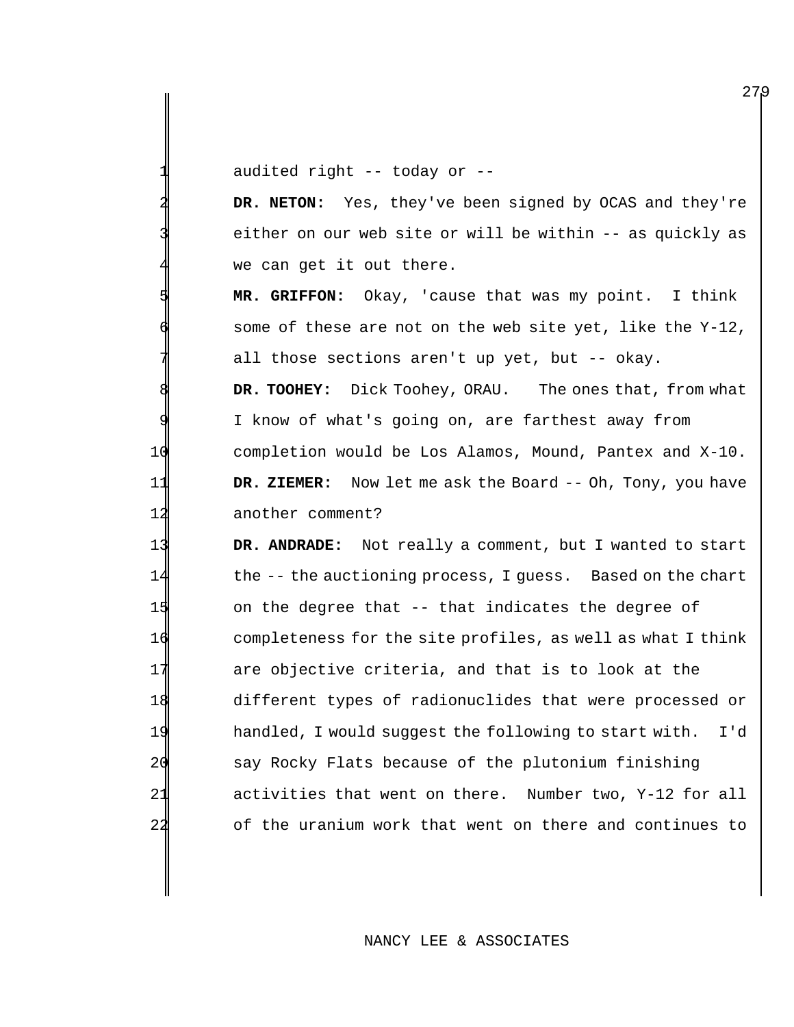audited right -- today or --

DR. NETON: Yes, they've been signed by OCAS and they're either on our web site or will be within -- as quickly as we can get it out there.

5 **MR. GRIFFON:** Okay, 'cause that was my point. I think some of these are not on the web site yet, like the  $Y-12$ , all those sections aren't up yet, but -- okay.

**DR. TOOHEY:** Dick Toohey, ORAU. The ones that, from what I know of what's going on, are farthest away from 10 completion would be Los Alamos, Mound, Pantex and X-10. 11 **DR. ZIEMER:** Now let me ask the Board -- Oh, Tony, you have 12 another comment?

 **DR. ANDRADE:** Not really a comment, but I wanted to start the -- the auctioning process, I guess. Based on the chart 15 on the degree that -- that indicates the degree of completeness for the site profiles, as well as what I think 17 are objective criteria, and that is to look at the different types of radionuclides that were processed or handled, I would suggest the following to start with. I'd say Rocky Flats because of the plutonium finishing activities that went on there. Number two, Y-12 for all of the uranium work that went on there and continues to

## NANCY LEE & ASSOCIATES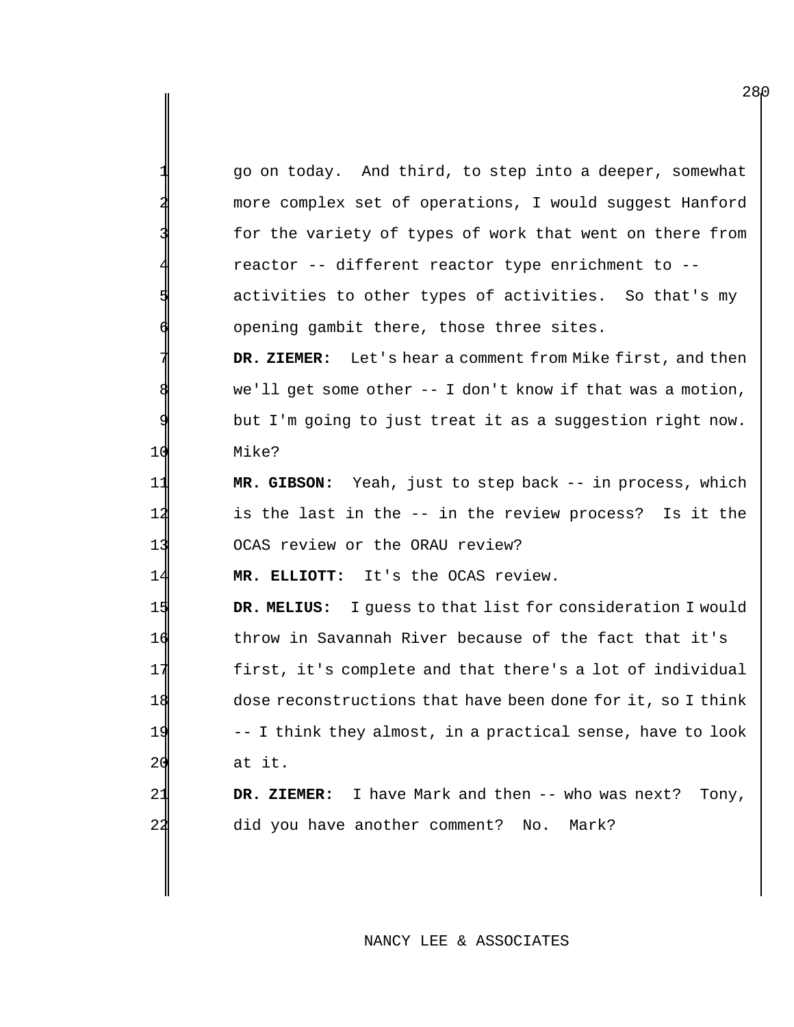go on today. And third, to step into a deeper, somewhat more complex set of operations, I would suggest Hanford for the variety of types of work that went on there from reactor -- different reactor type enrichment to -activities to other types of activities. So that's my opening gambit there, those three sites.

DR. ZIEMER: Let's hear a comment from Mike first, and then we'll get some other -- I don't know if that was a motion, but I'm going to just treat it as a suggestion right now. 10 Mike?

11 **MR. GIBSON:** Yeah, just to step back -- in process, which 12 is the last in the -- in the review process? Is it the 13 OCAS review or the ORAU review?

14 **MR. ELLIOTT:** It's the OCAS review.

 **DR. MELIUS:** I guess to that list for consideration I would 16 throw in Savannah River because of the fact that it's first, it's complete and that there's a lot of individual dose reconstructions that have been done for it, so I think -- I think they almost, in a practical sense, have to look 20 at it.

21 **DR. ZIEMER:** I have Mark and then -- who was next? Tony, 22 did you have another comment? No. Mark?

## NANCY LEE & ASSOCIATES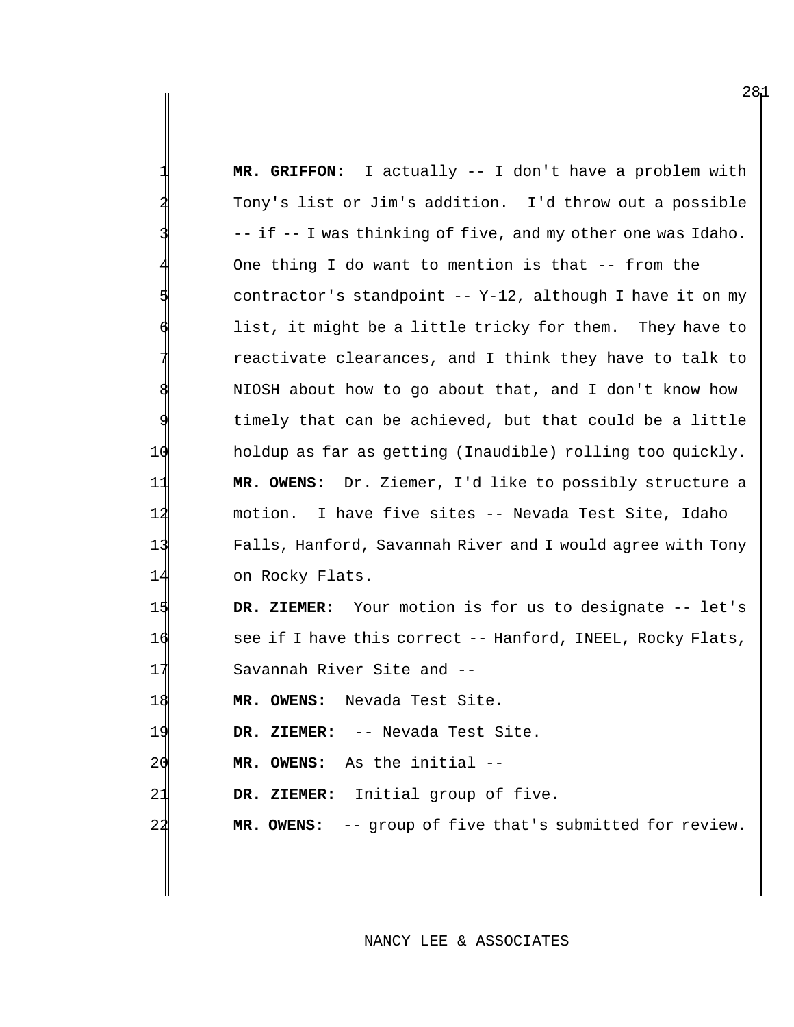|                | MR. GRIFFON: I actually -- I don't have a problem with       |
|----------------|--------------------------------------------------------------|
|                | Tony's list or Jim's addition. I'd throw out a possible      |
|                | -- if -- I was thinking of five, and my other one was Idaho. |
|                | One thing I do want to mention is that -- from the           |
|                | contractor's standpoint -- Y-12, although I have it on my    |
|                | list, it might be a little tricky for them. They have to     |
|                | reactivate clearances, and I think they have to talk to      |
|                | NIOSH about how to go about that, and I don't know how       |
|                | timely that can be achieved, but that could be a little      |
| 10             | holdup as far as getting (Inaudible) rolling too quickly.    |
| 11             | MR. OWENS: Dr. Ziemer, I'd like to possibly structure a      |
| 12             | I have five sites -- Nevada Test Site, Idaho<br>motion.      |
| 13             | Falls, Hanford, Savannah River and I would agree with Tony   |
| 14             | on Rocky Flats.                                              |
| 15             | DR. ZIEMER: Your motion is for us to designate -- let's      |
| 16             | see if I have this correct -- Hanford, INEEL, Rocky Flats,   |
| 17             | Savannah River Site and --                                   |
| 18             | Nevada Test Site.<br>MR. OWENS:                              |
| 19             | -- Nevada Test Site.<br>DR. ZIEMER:                          |
| 20             | MR. OWENS: As the initial --                                 |
| 21             | Initial group of five.<br>DR. ZIEMER:                        |
| 2 <sub>2</sub> | -- group of five that's submitted for review.<br>MR. OWENS:  |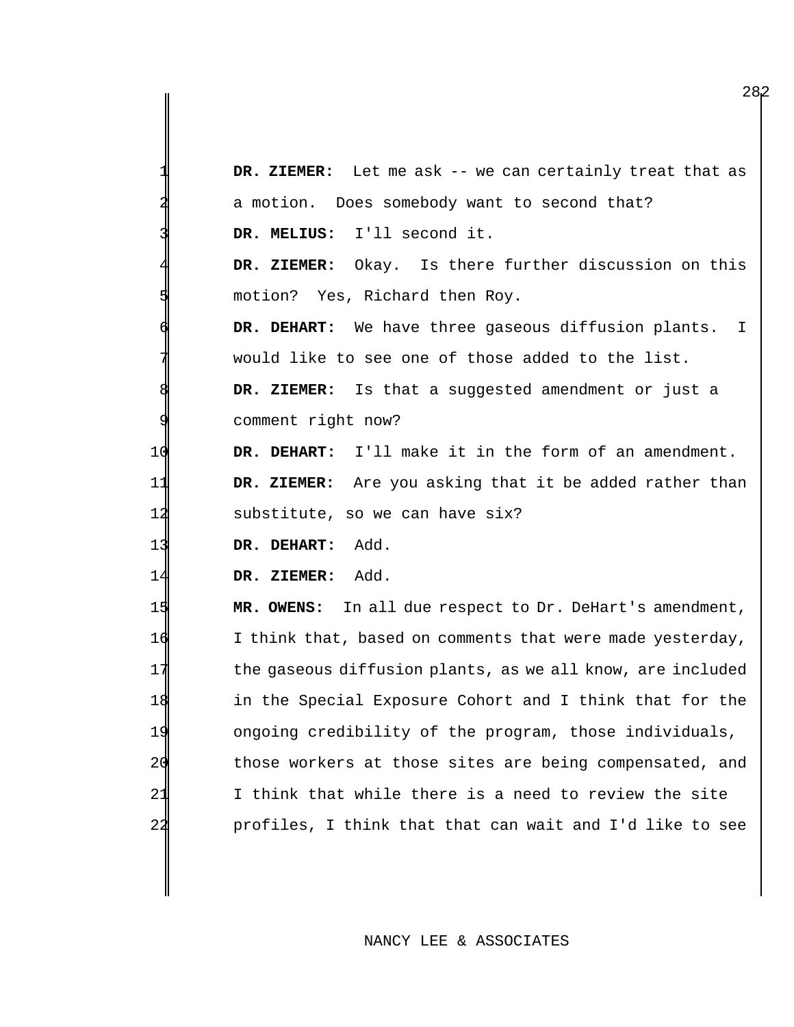|                | DR. ZIEMER: Let me ask -- we can certainly treat that as   |
|----------------|------------------------------------------------------------|
|                | a motion. Does somebody want to second that?               |
|                | DR. MELIUS: I'll second it.                                |
|                | Okay. Is there further discussion on this<br>DR. ZIEMER:   |
|                | motion? Yes, Richard then Roy.                             |
|                | DR. DEHART: We have three gaseous diffusion plants. I      |
|                | would like to see one of those added to the list.          |
|                | DR. ZIEMER: Is that a suggested amendment or just a        |
|                | comment right now?                                         |
| 1 d            | DR. DEHART: I'll make it in the form of an amendment.      |
| 11             | DR. ZIEMER: Are you asking that it be added rather than    |
| 12             | substitute, so we can have six?                            |
| 13             | Add.<br>DR. DEHART:                                        |
| 14             | Add.<br>DR. ZIEMER:                                        |
| 15             | MR. OWENS: In all due respect to Dr. DeHart's amendment,   |
| 16             | I think that, based on comments that were made yesterday,  |
| 1              | the gaseous diffusion plants, as we all know, are included |
| 18             | in the Special Exposure Cohort and I think that for the    |
| 19             | ongoing credibility of the program, those individuals,     |
| 20             | those workers at those sites are being compensated, and    |
| 21             | I think that while there is a need to review the site      |
| 2 <sub>2</sub> | profiles, I think that that can wait and I'd like to see   |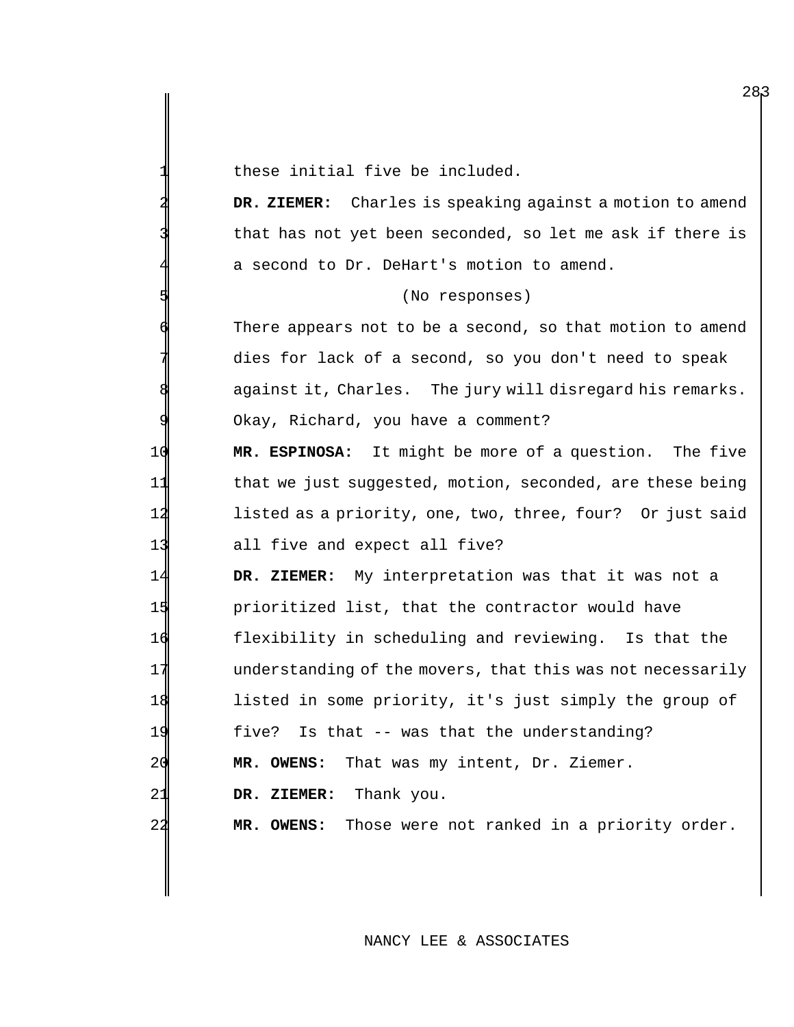these initial five be included.

2 **DR. ZIEMER:** Charles is speaking against a motion to amend that has not yet been seconded, so let me ask if there is a second to Dr. DeHart's motion to amend.

#### (No responses)

There appears not to be a second, so that motion to amend dies for lack of a second, so you don't need to speak against it, Charles. The jury will disregard his remarks. Okay, Richard, you have a comment?

 **MR. ESPINOSA:** It might be more of a question. The five that we just suggested, motion, seconded, are these being listed as a priority, one, two, three, four? Or just said 13 all five and expect all five?

 **DR. ZIEMER:** My interpretation was that it was not a prioritized list, that the contractor would have flexibility in scheduling and reviewing. Is that the understanding of the movers, that this was not necessarily listed in some priority, it's just simply the group of five? Is that -- was that the understanding? **MR. OWENS:** That was my intent, Dr. Ziemer. 2<sup>1</sup> DR. ZIEMER: Thank you. **MR. OWENS:** Those were not ranked in a priority order.

### NANCY LEE & ASSOCIATES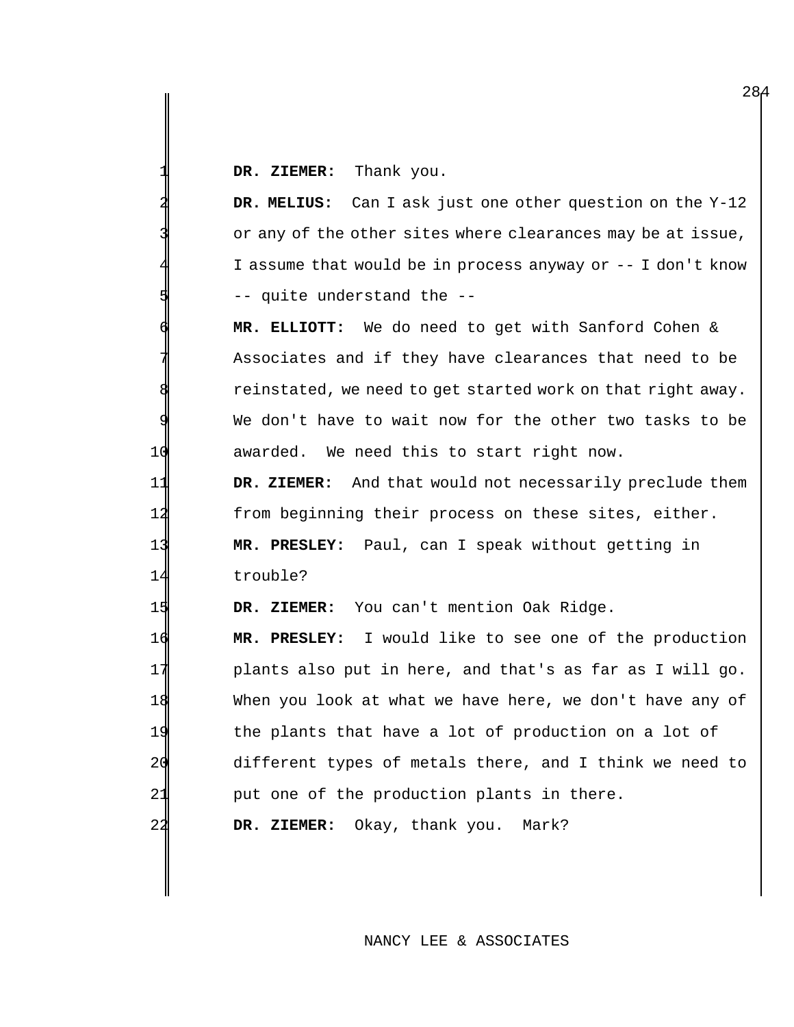DR. ZIEMER: Thank you.

 **DR. MELIUS:** Can I ask just one other question on the Y-12 or any of the other sites where clearances may be at issue, I assume that would be in process anyway or  $-$ - I don't know -- quite understand the --

 **MR. ELLIOTT:** We do need to get with Sanford Cohen & Associates and if they have clearances that need to be reinstated, we need to get started work on that right away. We don't have to wait now for the other two tasks to be awarded. We need this to start right now.

 **DR. ZIEMER:** And that would not necessarily preclude them from beginning their process on these sites, either. **MR. PRESLEY:** Paul, can I speak without getting in trouble?

**DR. ZIEMER:** You can't mention Oak Ridge.

 **MR. PRESLEY:** I would like to see one of the production plants also put in here, and that's as far as I will go. When you look at what we have here, we don't have any of the plants that have a lot of production on a lot of different types of metals there, and I think we need to 21 put one of the production plants in there. **DR. ZIEMER:** Okay, thank you. Mark?

NANCY LEE & ASSOCIATES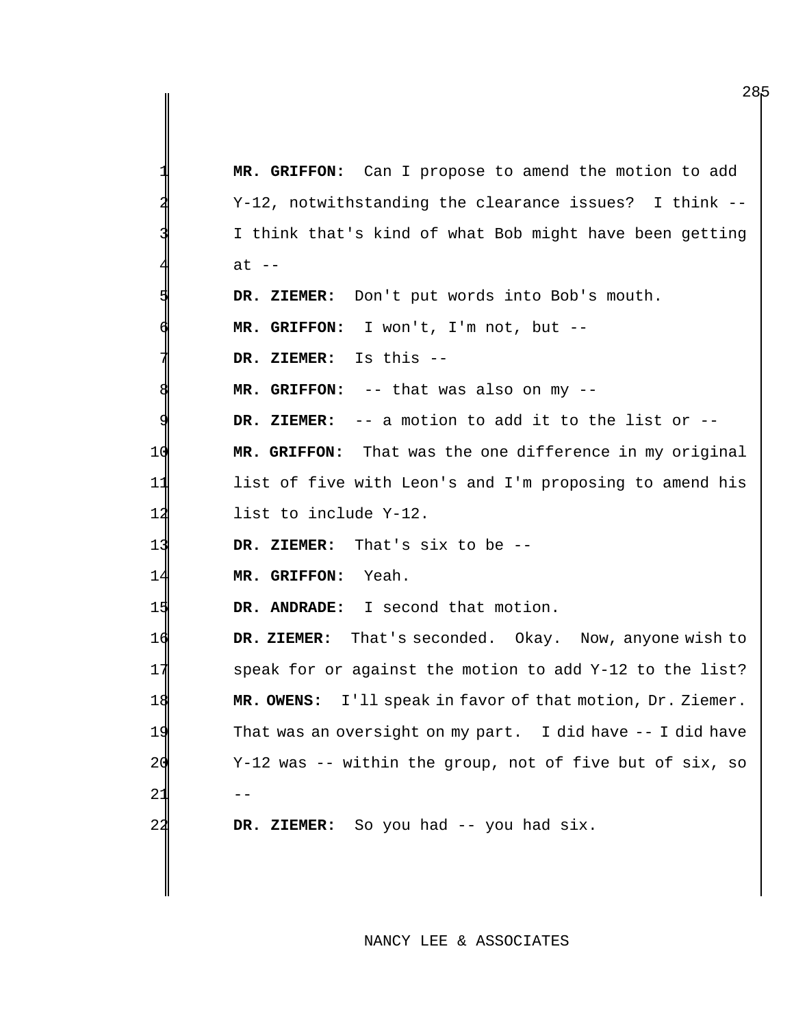|    | MR. GRIFFON: Can I propose to amend the motion to add      |
|----|------------------------------------------------------------|
|    | Y-12, notwithstanding the clearance issues? I think --     |
|    | I think that's kind of what Bob might have been getting    |
|    | $at$ --                                                    |
|    | DR. ZIEMER: Don't put words into Bob's mouth.              |
|    | MR. GRIFFON: I won't, I'm not, but --                      |
|    | DR. ZIEMER: Is this --                                     |
|    | MR. GRIFFON: -- that was also on my --                     |
|    | DR. ZIEMER: -- a motion to add it to the list or --        |
| 10 | MR. GRIFFON: That was the one difference in my original    |
| 11 | list of five with Leon's and I'm proposing to amend his    |
| 12 | list to include Y-12.                                      |
| 13 | DR. ZIEMER: That's six to be --                            |
| 14 | MR. GRIFFON: Yeah.                                         |
| 15 | DR. ANDRADE: I second that motion.                         |
| 16 | DR. ZIEMER: That's seconded. Okay. Now, anyone wish to     |
| 17 | speak for or against the motion to add Y-12 to the list?   |
| 18 | MR. OWENS: I'll speak in favor of that motion, Dr. Ziemer. |
|    | That was an oversight on my part. I did have -- I did have |
| 20 | Y-12 was -- within the group, not of five but of six, so   |
| 21 |                                                            |
|    | DR. ZIEMER: So you had -- you had six.                     |
|    |                                                            |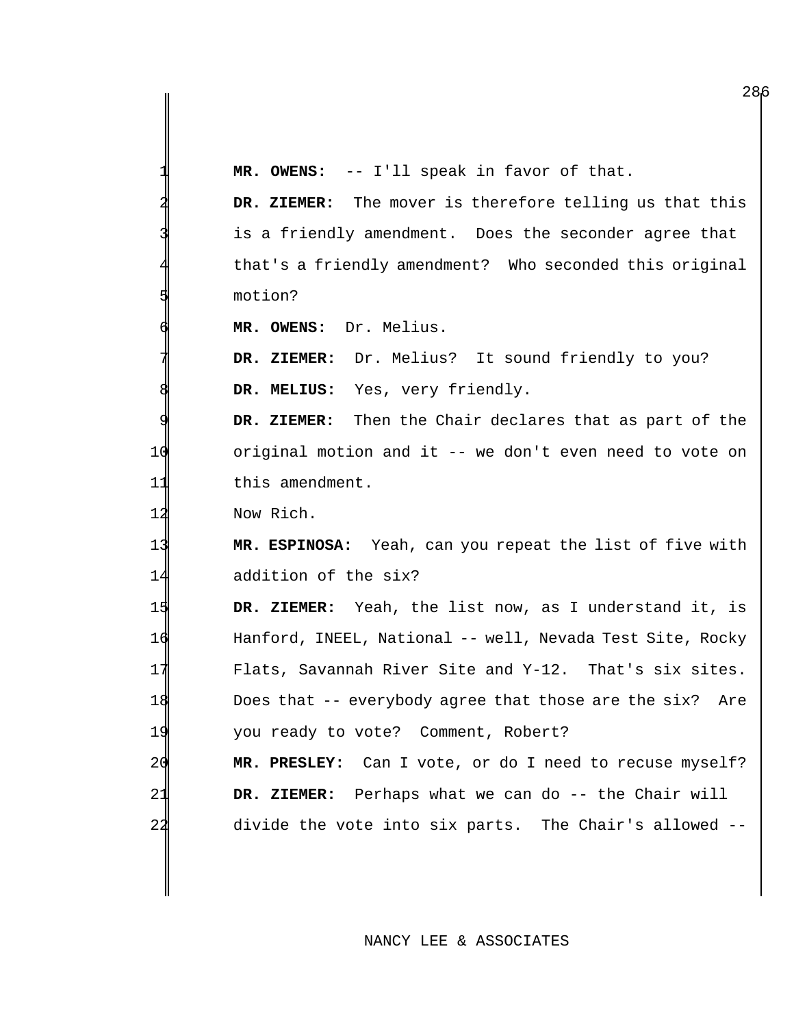|     | MR. OWENS: -- I'll speak in favor of that.                 |
|-----|------------------------------------------------------------|
|     | DR. ZIEMER: The mover is therefore telling us that this    |
|     | is a friendly amendment. Does the seconder agree that      |
|     | that's a friendly amendment? Who seconded this original    |
|     | motion?                                                    |
|     | Dr. Melius.<br>MR. OWENS:                                  |
|     | DR. ZIEMER: Dr. Melius? It sound friendly to you?          |
|     | DR. MELIUS: Yes, very friendly.                            |
|     | DR. ZIEMER: Then the Chair declares that as part of the    |
| 1 C | original motion and it -- we don't even need to vote on    |
| 11  | this amendment.                                            |
| 12  | Now Rich.                                                  |
| 1   | MR. ESPINOSA: Yeah, can you repeat the list of five with   |
| 14  | addition of the six?                                       |
| 15  | DR. ZIEMER: Yeah, the list now, as I understand it, is     |
| 16  | Hanford, INEEL, National -- well, Nevada Test Site, Rocky  |
| 17  | Flats, Savannah River Site and Y-12. That's six sites.     |
| 18  | Does that -- everybody agree that those are the six? Are   |
| 19  | you ready to vote? Comment, Robert?                        |
| 20  | Can I vote, or do I need to recuse myself?<br>MR. PRESLEY: |
| 21  | DR. ZIEMER: Perhaps what we can do -- the Chair will       |
| 22  | divide the vote into six parts. The Chair's allowed --     |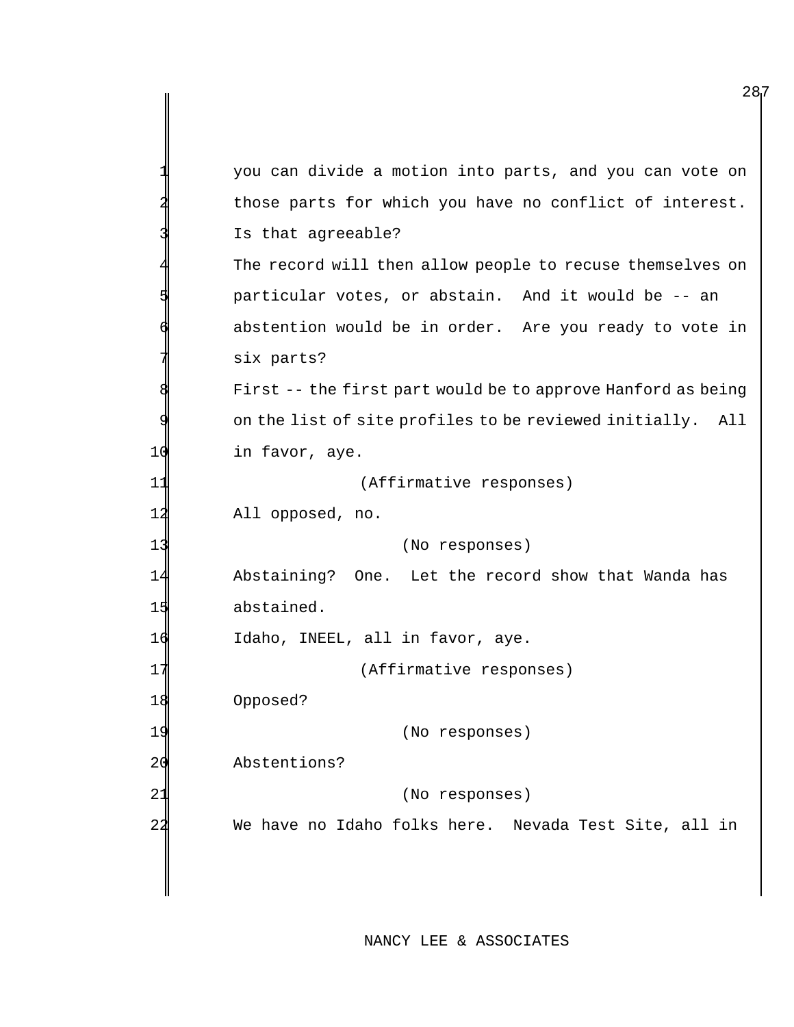|                | you can divide a motion into parts, and you can vote on      |
|----------------|--------------------------------------------------------------|
|                | those parts for which you have no conflict of interest.      |
|                | Is that agreeable?                                           |
|                | The record will then allow people to recuse themselves on    |
|                | particular votes, or abstain. And it would be -- an          |
|                | abstention would be in order. Are you ready to vote in       |
|                | six parts?                                                   |
|                | First -- the first part would be to approve Hanford as being |
|                | on the list of site profiles to be reviewed initially. All   |
| 10             | in favor, aye.                                               |
| 11             | (Affirmative responses)                                      |
| 12             | All opposed, no.                                             |
| 13             | (No responses)                                               |
| 14             | Abstaining? One. Let the record show that Wanda has          |
| 15             | abstained.                                                   |
| 16             | Idaho, INEEL, all in favor, aye.                             |
| 17             | (Affirmative responses)                                      |
| 18             | Opposed?                                                     |
| 19             | (No responses)                                               |
| 20             | Abstentions?                                                 |
| 21             | (No responses)                                               |
| 2 <sub>2</sub> | We have no Idaho folks here. Nevada Test Site, all in        |
|                |                                                              |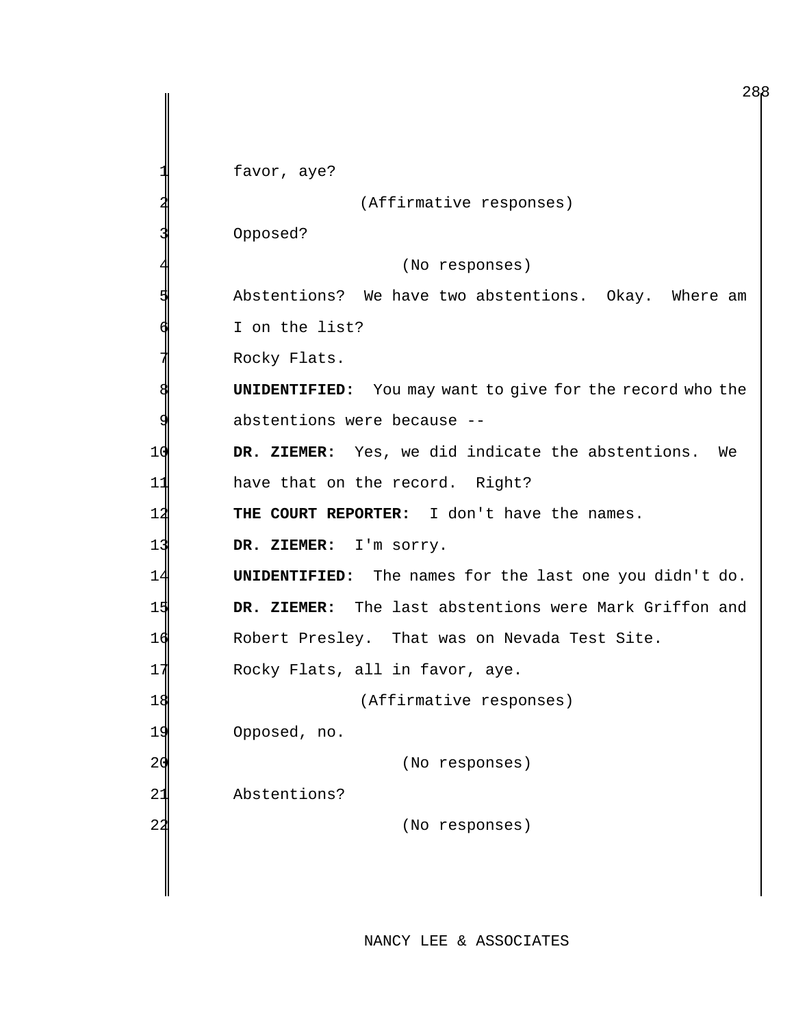favor, aye? (Affirmative responses) Opposed? 4 (No responses) Abstentions? We have two abstentions. Okay. Where am I on the list? Rocky Flats. **UNIDENTIFIED:** You may want to give for the record who the abstentions were because --10 **DR. ZIEMER:** Yes, we did indicate the abstentions. We 11 have that on the record. Right? 12 **THE COURT REPORTER:** I don't have the names. 13 **DR. ZIEMER:** I'm sorry. 14 **UNIDENTIFIED:** The names for the last one you didn't do. 15 **DR. ZIEMER:** The last abstentions were Mark Griffon and 16 Robert Presley. That was on Nevada Test Site. 17 Rocky Flats, all in favor, aye. 18 (Affirmative responses) 19 Opposed, no. 20 (No responses) 21 Abstentions? 22 (No responses)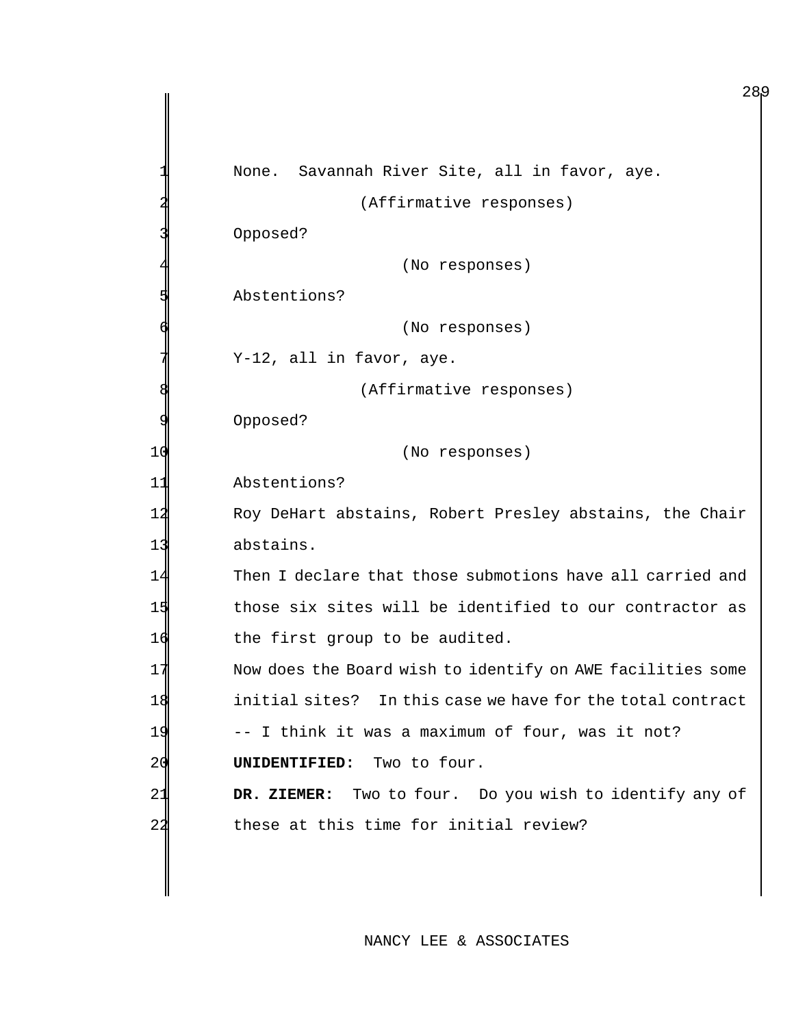|                | None. Savannah River Site, all in favor, aye.              |
|----------------|------------------------------------------------------------|
|                | (Affirmative responses)                                    |
|                | Opposed?                                                   |
|                | (No responses)                                             |
|                | Abstentions?                                               |
|                | (No responses)                                             |
|                | Y-12, all in favor, aye.                                   |
|                | (Affirmative responses)                                    |
|                | Opposed?                                                   |
| 1 <sub>C</sub> | (No responses)                                             |
| 11             | Abstentions?                                               |
| 12             | Roy DeHart abstains, Robert Presley abstains, the Chair    |
| 13             | abstains.                                                  |
| 14             | Then I declare that those submotions have all carried and  |
| 15             | those six sites will be identified to our contractor as    |
| 16             | the first group to be audited.                             |
| 17             | Now does the Board wish to identify on AWE facilities some |
| 18             | initial sites? In this case we have for the total contract |
| 19             | -- I think it was a maximum of four, was it not?           |
| 20             | Two to four.<br>UNIDENTIFIED:                              |
| 21             | Two to four. Do you wish to identify any of<br>DR. ZIEMER: |
| 22             | these at this time for initial review?                     |
|                |                                                            |

NANCY LEE & ASSOCIATES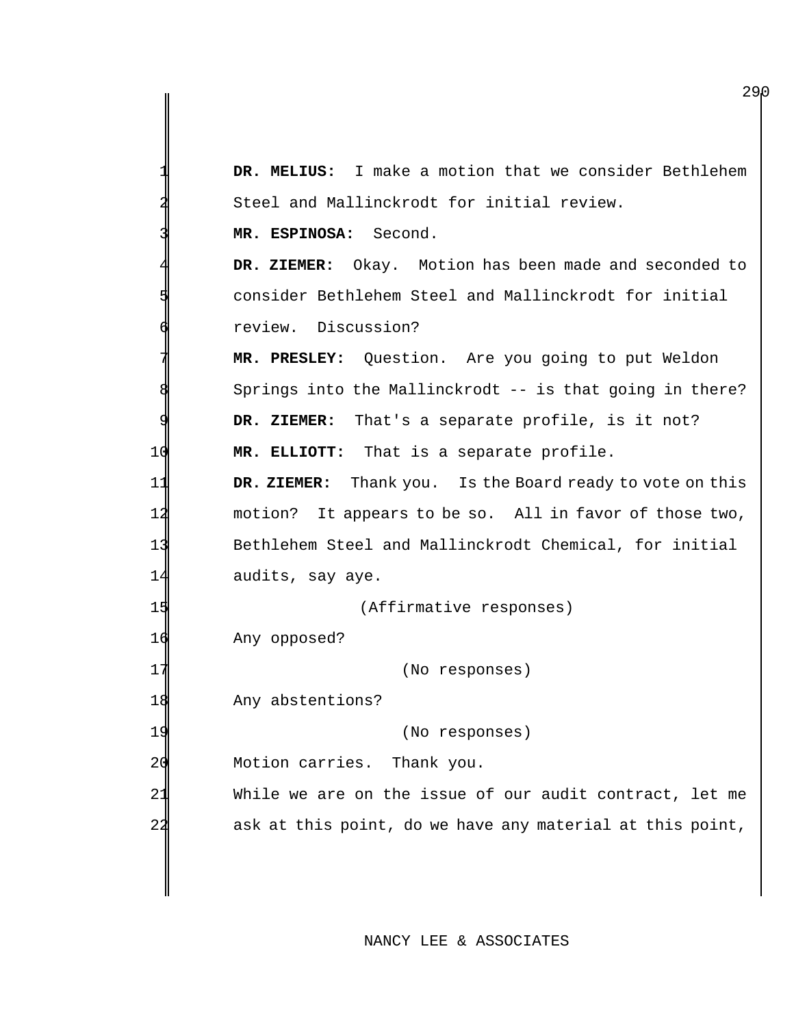**DR. MELIUS:** I make a motion that we consider Bethlehem Steel and Mallinckrodt for initial review. **MR. ESPINOSA:** Second. DR. ZIEMER: Okay. Motion has been made and seconded to consider Bethlehem Steel and Mallinckrodt for initial review. Discussion? **MR. PRESLEY:** Question. Are you going to put Weldon Springs into the Mallinckrodt -- is that going in there? DR. ZIEMER: That's a separate profile, is it not? **MR. ELLIOTT:** That is a separate profile. **DR. ZIEMER:** Thank you. Is the Board ready to vote on this motion? It appears to be so. All in favor of those two, Bethlehem Steel and Mallinckrodt Chemical, for initial audits, say aye. (Affirmative responses) Any opposed? 17 (No responses) 18 Any abstentions? (No responses) 20 Motion carries. Thank you. While we are on the issue of our audit contract, let me 22 ask at this point, do we have any material at this point,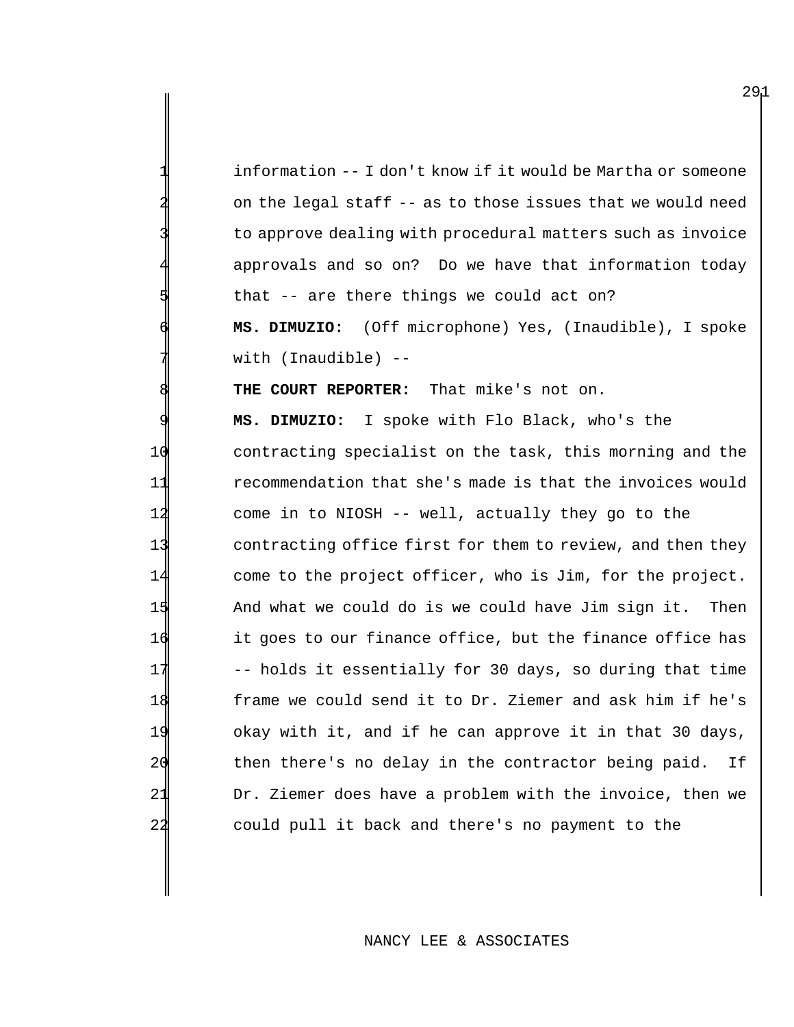information -- I don't know if it would be Martha or someone on the legal staff -- as to those issues that we would need to approve dealing with procedural matters such as invoice approvals and so on? Do we have that information today that -- are there things we could act on? **MS. DIMUZIO:** (Off microphone) Yes, (Inaudible), I spoke with (Inaudible)  $--$ 

**THE COURT REPORTER:** That mike's not on.

 **MS. DIMUZIO:** I spoke with Flo Black, who's the contracting specialist on the task, this morning and the recommendation that she's made is that the invoices would come in to NIOSH -- well, actually they go to the contracting office first for them to review, and then they come to the project officer, who is Jim, for the project. And what we could do is we could have Jim sign it. Then it goes to our finance office, but the finance office has -- holds it essentially for 30 days, so during that time frame we could send it to Dr. Ziemer and ask him if he's okay with it, and if he can approve it in that 30 days, then there's no delay in the contractor being paid. If Dr. Ziemer does have a problem with the invoice, then we could pull it back and there's no payment to the

## NANCY LEE & ASSOCIATES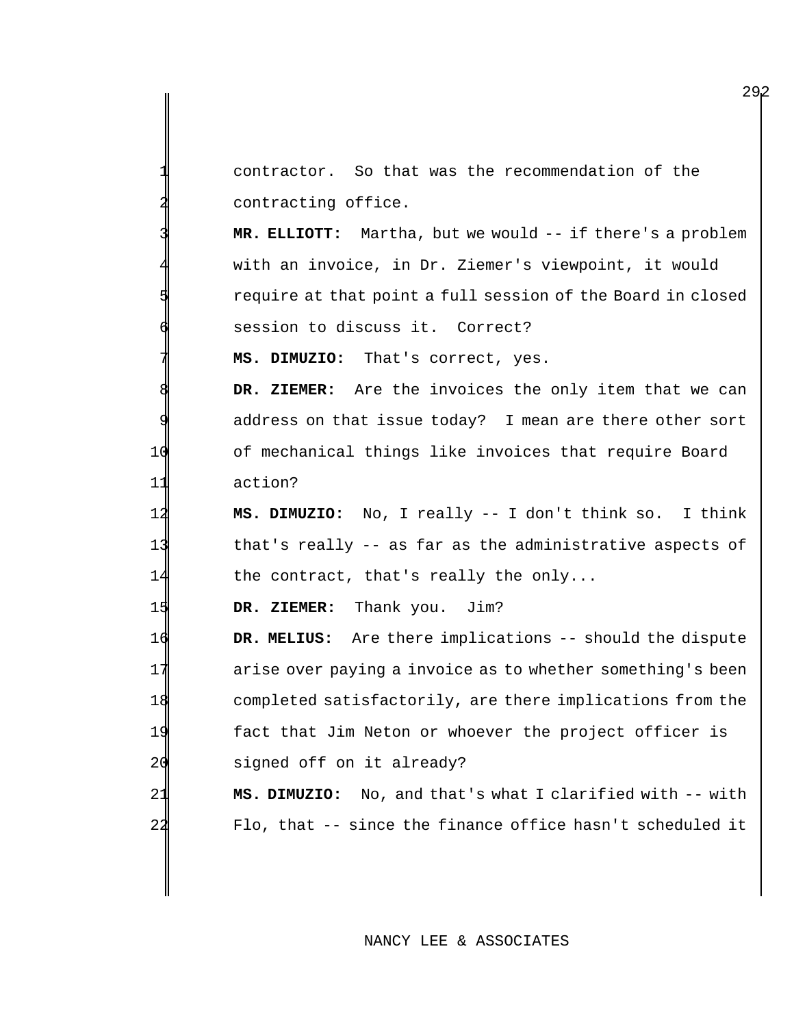contractor. So that was the recommendation of the contracting office.

3 **MR. ELLIOTT:** Martha, but we would -- if there's a problem with an invoice, in Dr. Ziemer's viewpoint, it would require at that point a full session of the Board in closed session to discuss it. Correct?

7 **MS. DIMUZIO:** That's correct, yes.

**DR. ZIEMER:** Are the invoices the only item that we can address on that issue today? I mean are there other sort 10 of mechanical things like invoices that require Board 11 action?

12 **MS. DIMUZIO:** No, I really -- I don't think so. I think 13 that's really -- as far as the administrative aspects of 14 the contract, that's really the only...

15 **DR. ZIEMER:** Thank you. Jim?

 **DR. MELIUS:** Are there implications -- should the dispute arise over paying a invoice as to whether something's been completed satisfactorily, are there implications from the fact that Jim Neton or whoever the project officer is 20 signed off on it already? **MS. DIMUZIO:** No, and that's what I clarified with -- with

22 Flo, that -- since the finance office hasn't scheduled it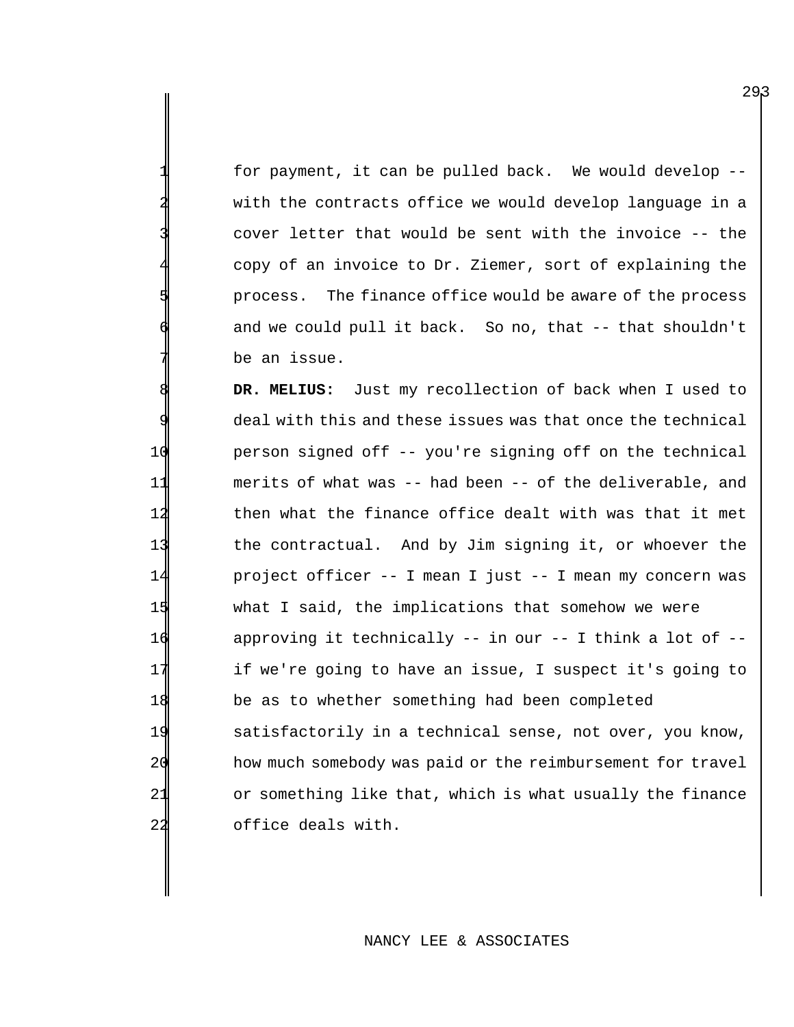for payment, it can be pulled back. We would develop - with the contracts office we would develop language in a cover letter that would be sent with the invoice -- the copy of an invoice to Dr. Ziemer, sort of explaining the process. The finance office would be aware of the process and we could pull it back. So no, that -- that shouldn't be an issue.

 **DR. MELIUS:** Just my recollection of back when I used to deal with this and these issues was that once the technical person signed off -- you're signing off on the technical merits of what was -- had been -- of the deliverable, and 12 then what the finance office dealt with was that it met the contractual. And by Jim signing it, or whoever the project officer -- I mean I just -- I mean my concern was what I said, the implications that somehow we were approving it technically -- in our -- I think a lot of -- if we're going to have an issue, I suspect it's going to be as to whether something had been completed satisfactorily in a technical sense, not over, you know, how much somebody was paid or the reimbursement for travel or something like that, which is what usually the finance office deals with.

#### NANCY LEE & ASSOCIATES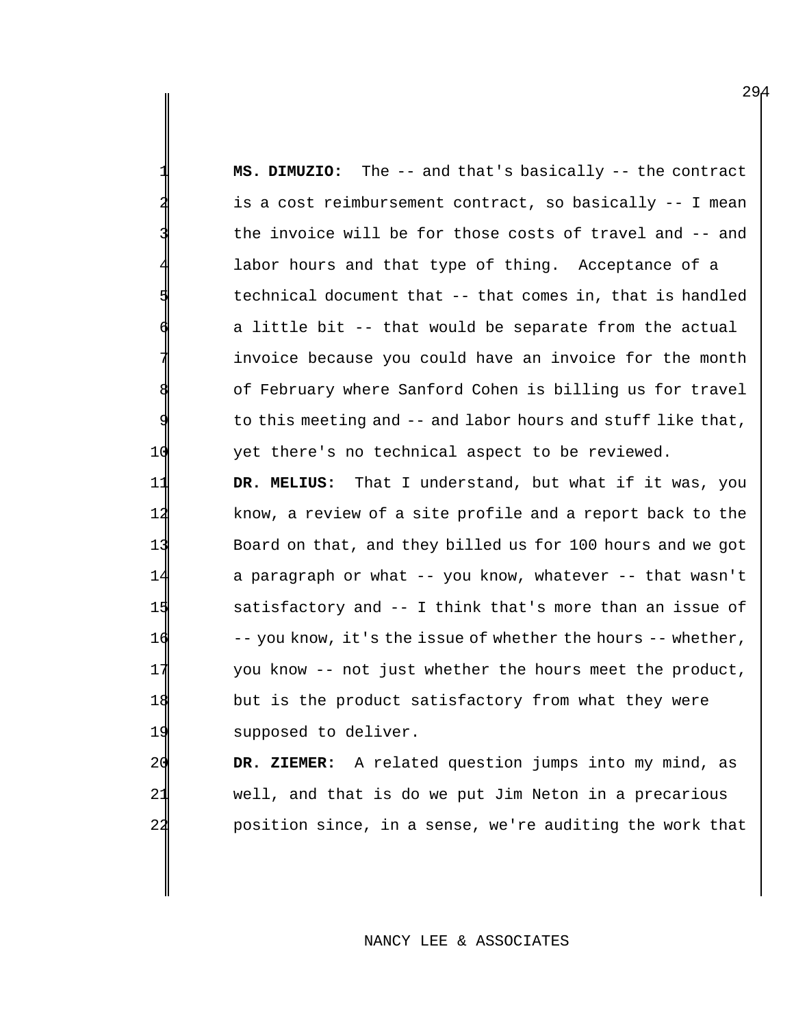1 **MS. DIMUZIO:** The -- and that's basically -- the contract is a cost reimbursement contract, so basically -- I mean the invoice will be for those costs of travel and -- and labor hours and that type of thing. Acceptance of a technical document that -- that comes in, that is handled a little bit -- that would be separate from the actual invoice because you could have an invoice for the month of February where Sanford Cohen is billing us for travel to this meeting and -- and labor hours and stuff like that, 10 yet there's no technical aspect to be reviewed.

 **DR. MELIUS:** That I understand, but what if it was, you know, a review of a site profile and a report back to the Board on that, and they billed us for 100 hours and we got a paragraph or what -- you know, whatever -- that wasn't satisfactory and -- I think that's more than an issue of 16 -- you know, it's the issue of whether the hours -- whether, you know -- not just whether the hours meet the product, but is the product satisfactory from what they were supposed to deliver.

20 **DR. ZIEMER:** A related question jumps into my mind, as 21 well, and that is do we put Jim Neton in a precarious 22 position since, in a sense, we're auditing the work that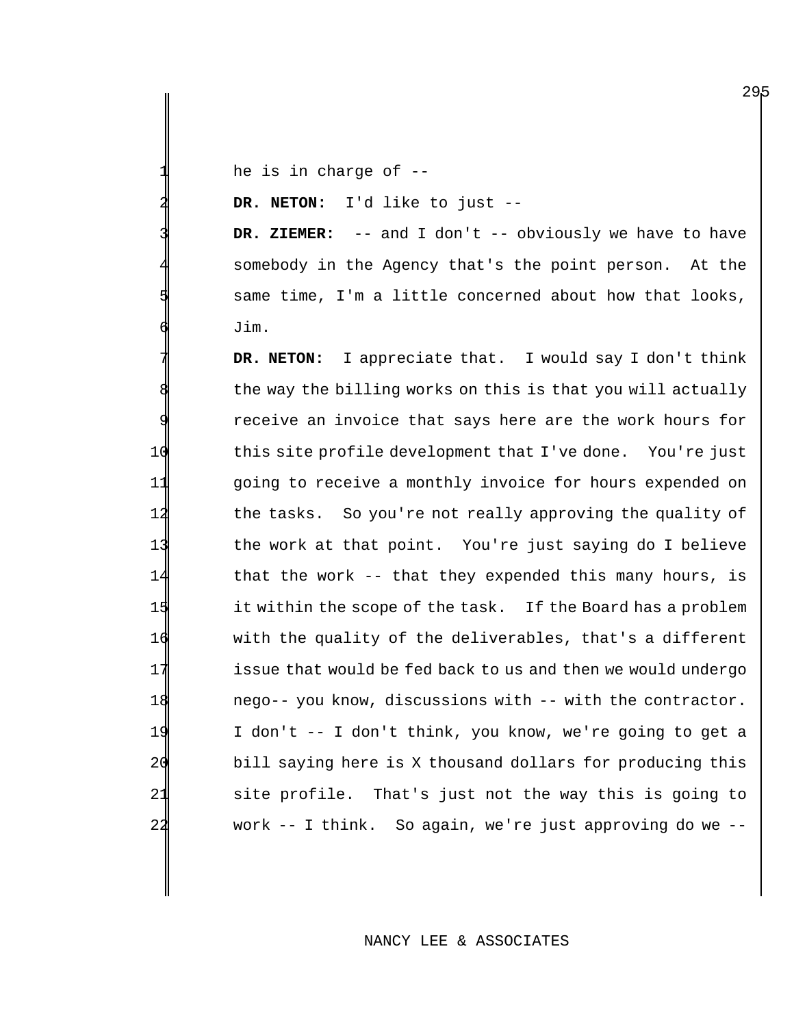he is in charge of  $-$ -

**DR. NETON:** I'd like to just --

**DR. ZIEMER:**  $--$  and I don't  $--$  obviously we have to have somebody in the Agency that's the point person. At the same time, I'm a little concerned about how that looks, Jim.

DR. NETON: I appreciate that. I would say I don't think the way the billing works on this is that you will actually receive an invoice that says here are the work hours for this site profile development that I've done. You're just going to receive a monthly invoice for hours expended on the tasks. So you're not really approving the quality of the work at that point. You're just saying do I believe 14 that the work -- that they expended this many hours, is it within the scope of the task. If the Board has a problem with the quality of the deliverables, that's a different **issue that would be fed back to us and then we would undergo**  nego-- you know, discussions with -- with the contractor. I don't -- I don't think, you know, we're going to get a bill saying here is X thousand dollars for producing this site profile. That's just not the way this is going to work -- I think. So again, we're just approving do we --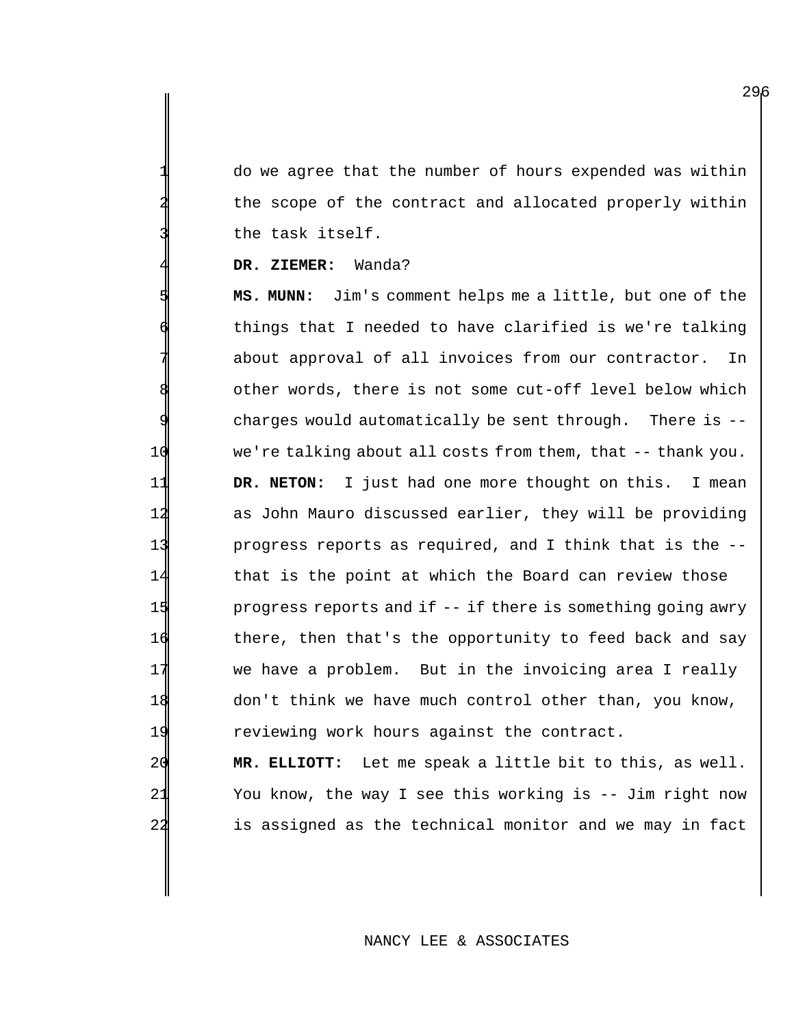do we agree that the number of hours expended was within the scope of the contract and allocated properly within the task itself.

#### **DR. ZIEMER:** Wanda?

 **MS. MUNN:** Jim's comment helps me a little, but one of the things that I needed to have clarified is we're talking about approval of all invoices from our contractor. In other words, there is not some cut-off level below which charges would automatically be sent through. There is -- we're talking about all costs from them, that -- thank you. **DR. NETON:** I just had one more thought on this. I mean as John Mauro discussed earlier, they will be providing progress reports as required, and I think that is the -- that is the point at which the Board can review those **progress reports and if** -- if there is something going awry there, then that's the opportunity to feed back and say we have a problem. But in the invoicing area I really don't think we have much control other than, you know, reviewing work hours against the contract.

 **MR. ELLIOTT:** Let me speak a little bit to this, as well. You know, the way I see this working is -- Jim right now is assigned as the technical monitor and we may in fact

#### NANCY LEE & ASSOCIATES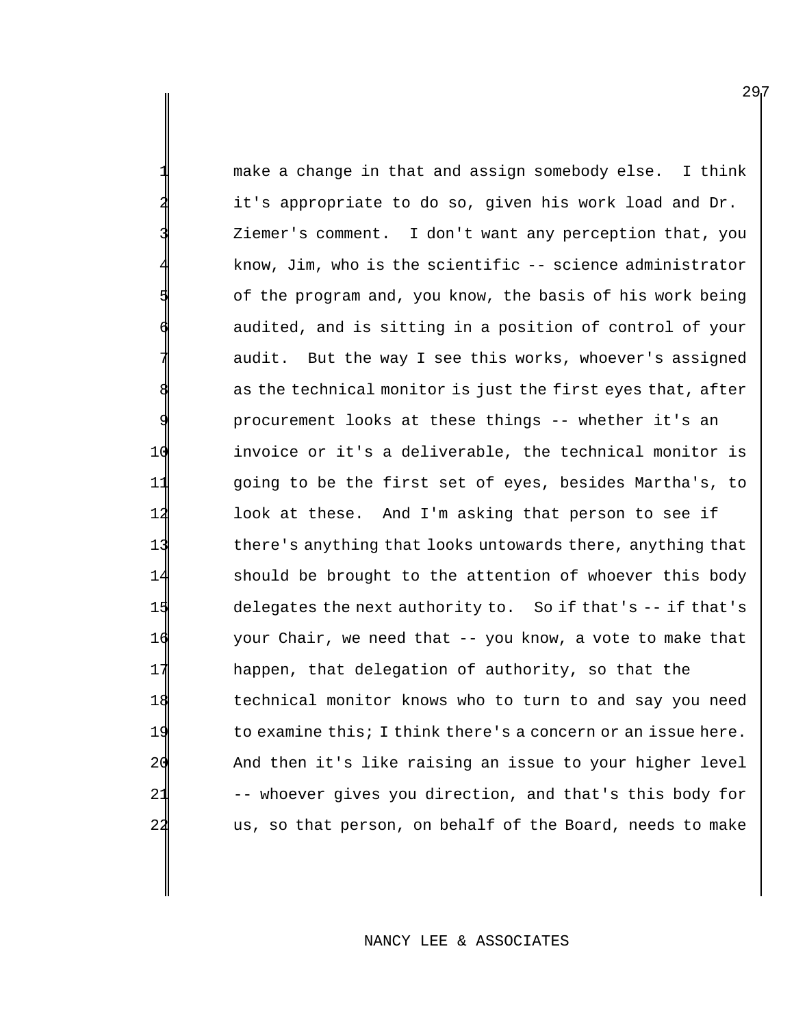make a change in that and assign somebody else. I think it's appropriate to do so, given his work load and Dr. 3 Ziemer's comment. I don't want any perception that, you know, Jim, who is the scientific -- science administrator of the program and, you know, the basis of his work being audited, and is sitting in a position of control of your audit. But the way I see this works, whoever's assigned as the technical monitor is just the first eyes that, after procurement looks at these things -- whether it's an 10 invoice or it's a deliverable, the technical monitor is 11 going to be the first set of eyes, besides Martha's, to 12 look at these. And I'm asking that person to see if 13 there's anything that looks untowards there, anything that 14 should be brought to the attention of whoever this body 15 delegates the next authority to. So if that's -- if that's 16 your Chair, we need that -- you know, a vote to make that 17 happen, that delegation of authority, so that the 18 technical monitor knows who to turn to and say you need 19 to examine this; I think there's a concern or an issue here. 20 And then it's like raising an issue to your higher level 21 -- whoever gives you direction, and that's this body for 22 us, so that person, on behalf of the Board, needs to make

#### NANCY LEE & ASSOCIATES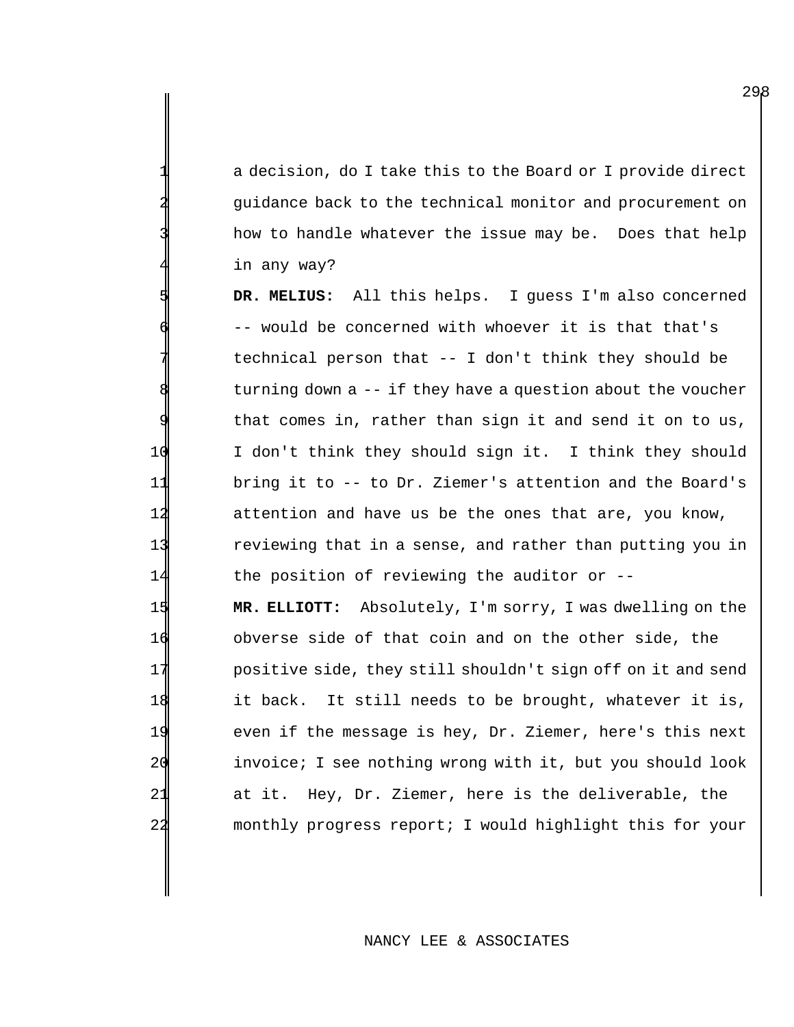a decision, do I take this to the Board or I provide direct guidance back to the technical monitor and procurement on how to handle whatever the issue may be. Does that help in any way?

 **DR. MELIUS:** All this helps. I guess I'm also concerned -- would be concerned with whoever it is that that's technical person that -- I don't think they should be turning down  $a - - i f$  they have a question about the voucher that comes in, rather than sign it and send it on to us, I don't think they should sign it. I think they should bring it to -- to Dr. Ziemer's attention and the Board's attention and have us be the ones that are, you know, reviewing that in a sense, and rather than putting you in the position of reviewing the auditor or --

 **MR. ELLIOTT:** Absolutely, I'm sorry, I was dwelling on the obverse side of that coin and on the other side, the positive side, they still shouldn't sign off on it and send it back. It still needs to be brought, whatever it is, even if the message is hey, Dr. Ziemer, here's this next invoice; I see nothing wrong with it, but you should look at it. Hey, Dr. Ziemer, here is the deliverable, the monthly progress report; I would highlight this for your

#### NANCY LEE & ASSOCIATES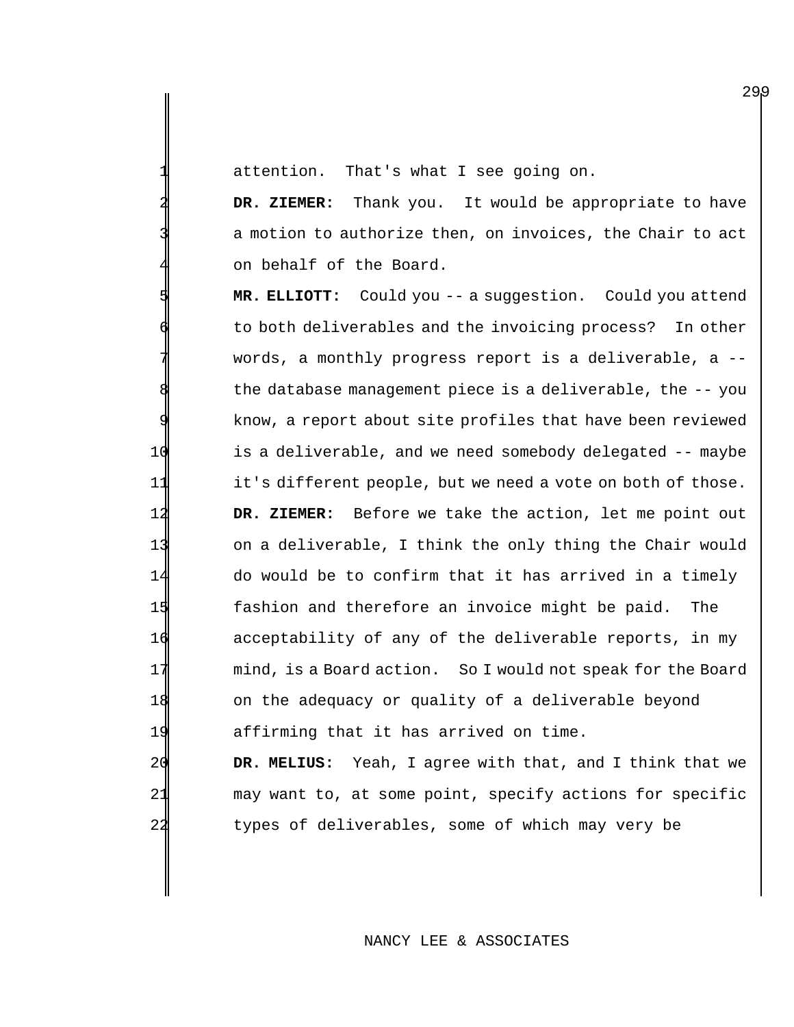attention. That's what I see going on.

DR. ZIEMER: Thank you. It would be appropriate to have a motion to authorize then, on invoices, the Chair to act on behalf of the Board.

 **MR. ELLIOTT:** Could you -- a suggestion. Could you attend to both deliverables and the invoicing process? In other words, a monthly progress report is a deliverable, a -the database management piece is a deliverable, the -- you know, a report about site profiles that have been reviewed is a deliverable, and we need somebody delegated -- maybe it's different people, but we need a vote on both of those. **DR. ZIEMER:** Before we take the action, let me point out on a deliverable, I think the only thing the Chair would do would be to confirm that it has arrived in a timely fashion and therefore an invoice might be paid. The acceptability of any of the deliverable reports, in my mind, is a Board action. So I would not speak for the Board on the adequacy or quality of a deliverable beyond affirming that it has arrived on time.

20 **DR. MELIUS:** Yeah, I agree with that, and I think that we 21 may want to, at some point, specify actions for specific 24 types of deliverables, some of which may very be

## NANCY LEE & ASSOCIATES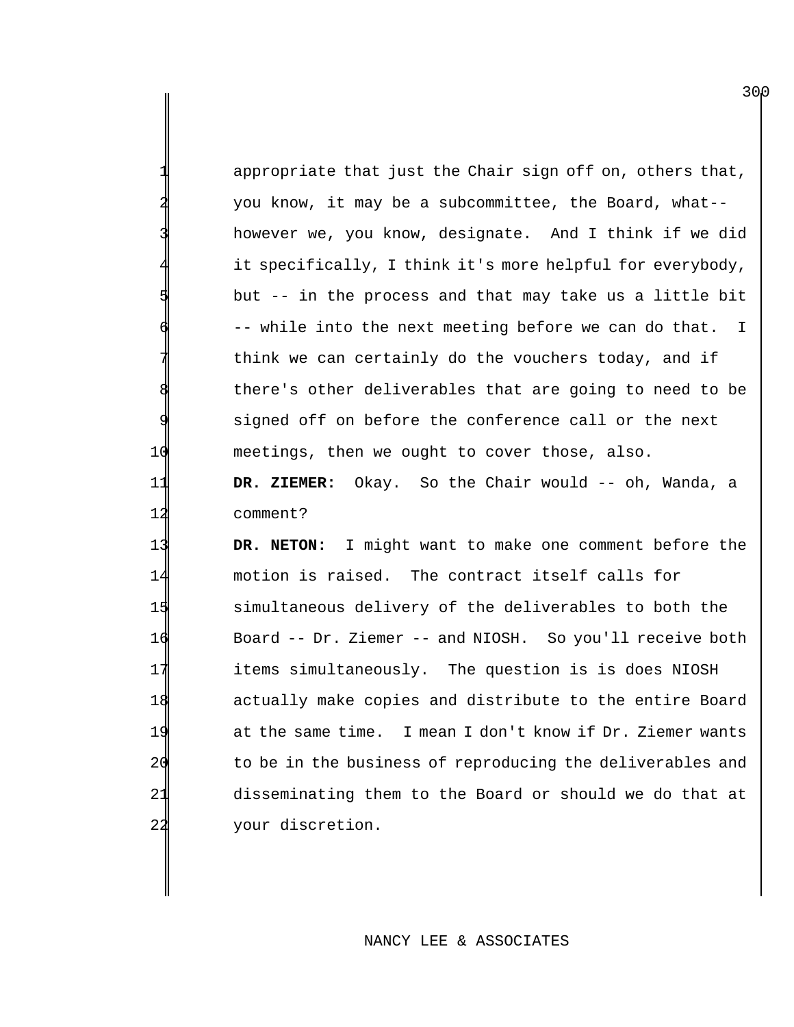appropriate that just the Chair sign off on, others that, 2 you know, it may be a subcommittee, the Board, what- however we, you know, designate. And I think if we did it specifically, I think it's more helpful for everybody, but -- in the process and that may take us a little bit -- while into the next meeting before we can do that. I think we can certainly do the vouchers today, and if there's other deliverables that are going to need to be signed off on before the conference call or the next 10 meetings, then we ought to cover those, also. 11 **DR. ZIEMER:** Okay. So the Chair would -- oh, Wanda, a

12 comment?

 **DR. NETON:** I might want to make one comment before the motion is raised. The contract itself calls for simultaneous delivery of the deliverables to both the Board -- Dr. Ziemer -- and NIOSH. So you'll receive both items simultaneously. The question is is does NIOSH actually make copies and distribute to the entire Board at the same time. I mean I don't know if Dr. Ziemer wants 20 to be in the business of reproducing the deliverables and disseminating them to the Board or should we do that at your discretion.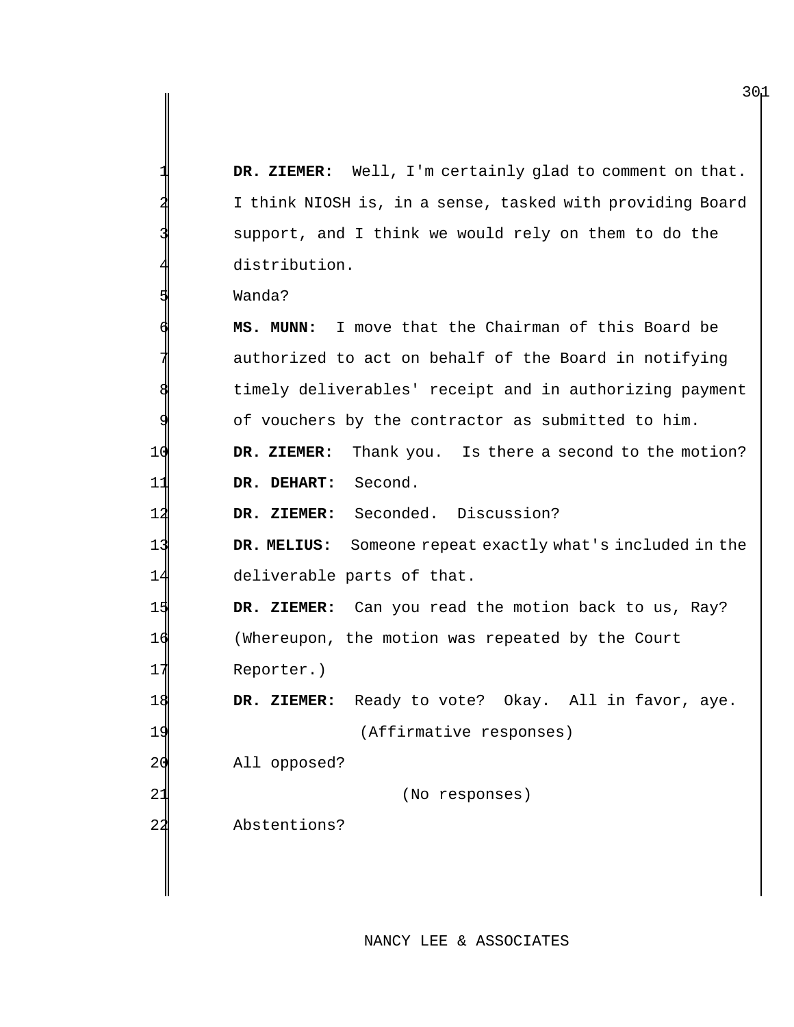DR. ZIEMER: Well, I'm certainly glad to comment on that. 2 I think NIOSH is, in a sense, tasked with providing Board support, and I think we would rely on them to do the distribution.

Wanda?

 **MS. MUNN:** I move that the Chairman of this Board be authorized to act on behalf of the Board in notifying timely deliverables' receipt and in authorizing payment of vouchers by the contractor as submitted to him. **DR. ZIEMER:** Thank you. Is there a second to the motion? **DR. DEHART:** Second. 12 DR. ZIEMER: Seconded. Discussion? **DR. MELIUS:** Someone repeat exactly what's included in the deliverable parts of that. **DR. ZIEMER:** Can you read the motion back to us, Ray? (Whereupon, the motion was repeated by the Court Reporter.) **DR. ZIEMER:** Ready to vote? Okay. All in favor, aye. (Affirmative responses) All opposed? 21 (No responses) Abstentions?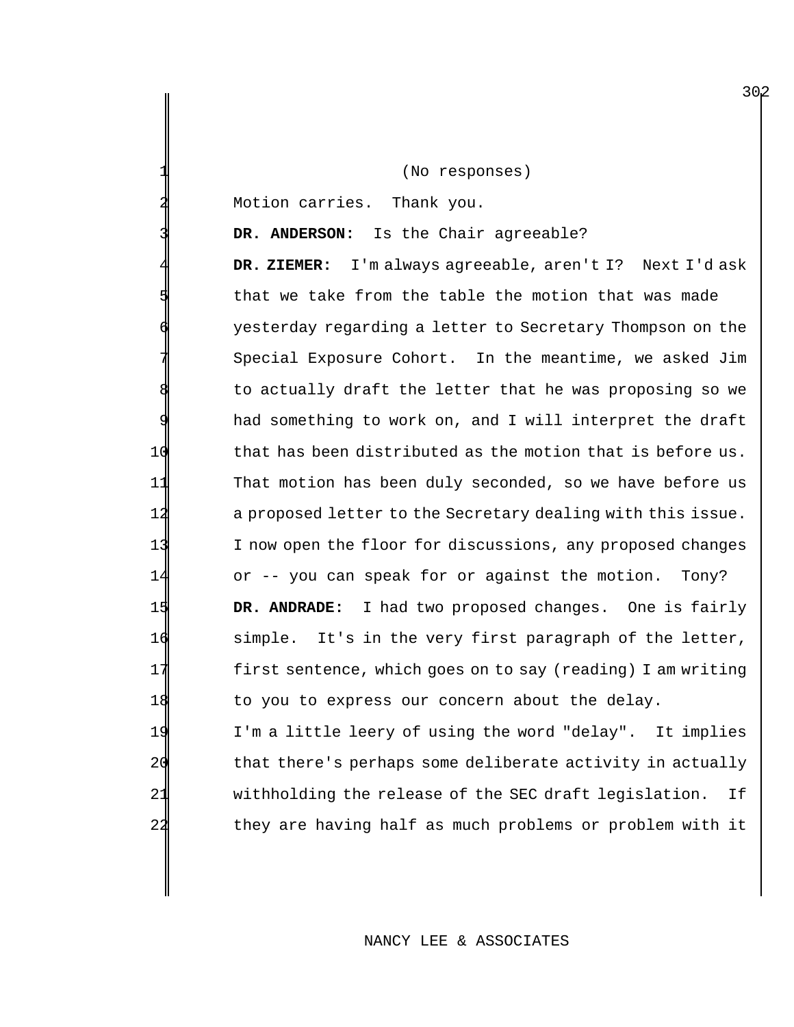(No responses)

Motion carries. Thank you.

DR. ANDERSON: Is the Chair agreeable?

 **DR. ZIEMER:** I'm always agreeable, aren't I? Next I'd ask that we take from the table the motion that was made yesterday regarding a letter to Secretary Thompson on the Special Exposure Cohort. In the meantime, we asked Jim to actually draft the letter that he was proposing so we had something to work on, and I will interpret the draft that has been distributed as the motion that is before us. That motion has been duly seconded, so we have before us a proposed letter to the Secretary dealing with this issue. I now open the floor for discussions, any proposed changes or -- you can speak for or against the motion. Tony? **DR. ANDRADE:** I had two proposed changes. One is fairly simple. It's in the very first paragraph of the letter, first sentence, which goes on to say (reading) I am writing 18 to you to express our concern about the delay. I'm a little leery of using the word "delay". It implies

20 that there's perhaps some deliberate activity in actually 21 withholding the release of the SEC draft legislation. If 22 they are having half as much problems or problem with it

## NANCY LEE & ASSOCIATES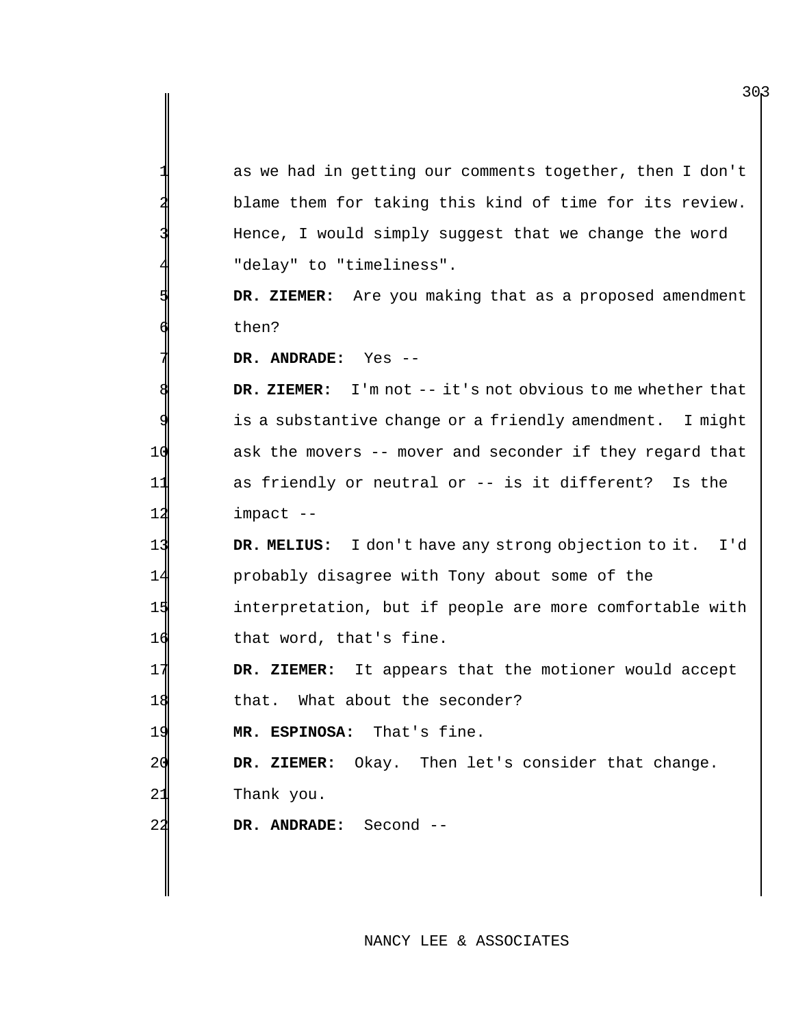| 1 | as we had in getting our comments together, then I don't |
|---|----------------------------------------------------------|
|   | blame them for taking this kind of time for its review.  |
|   | Hence, I would simply suggest that we change the word    |
| 4 | "delay" to "timeliness".                                 |

 **DR. ZIEMER:** Are you making that as a proposed amendment then?

**DR. ANDRADE:** Yes --

**DR. ZIEMER:** I'm not -- it's not obvious to me whether that is a substantive change or a friendly amendment. I might ask the movers -- mover and seconder if they regard that as friendly or neutral or -- is it different? Is the impact --

 **DR. MELIUS:** I don't have any strong objection to it. I'd probably disagree with Tony about some of the interpretation, but if people are more comfortable with 16 that word, that's fine.

 **DR. ZIEMER:** It appears that the motioner would accept 18 that. What about the seconder?

**MR. ESPINOSA:** That's fine.

**DR. ZIEMER:** Okay. Then let's consider that change. Thank you.

**DR. ANDRADE:** Second --

# NANCY LEE & ASSOCIATES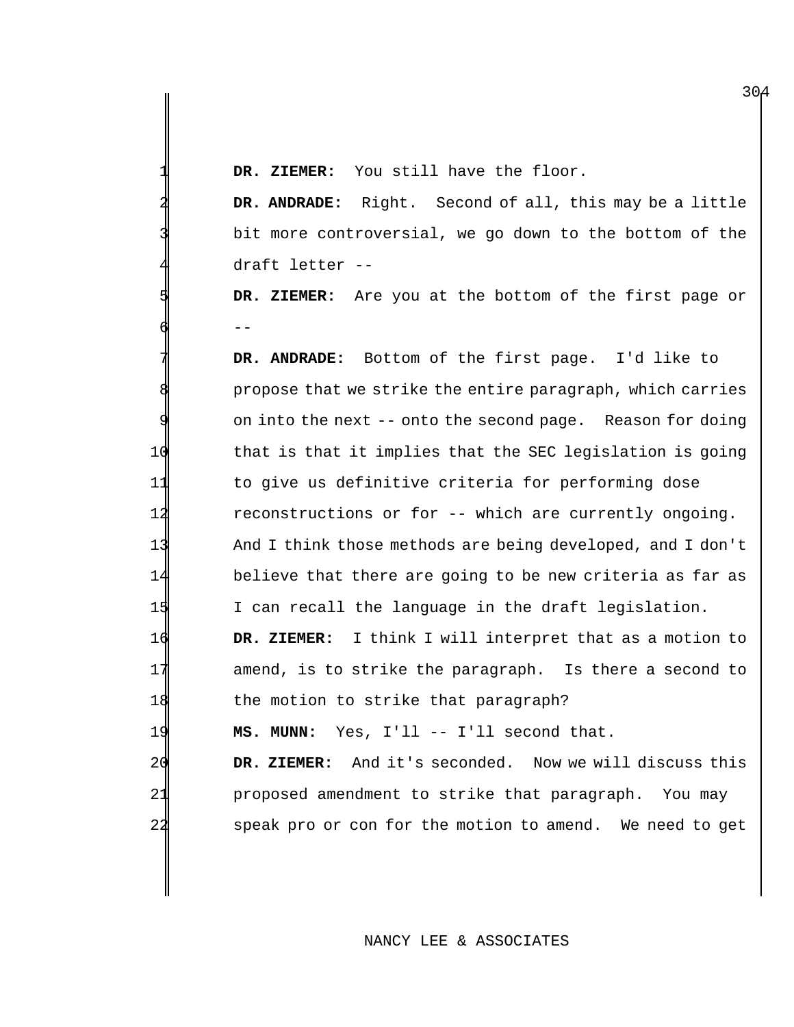DR. ZIEMER: You still have the floor.

 **DR. ANDRADE:** Right. Second of all, this may be a little bit more controversial, we go down to the bottom of the draft letter --

 **DR. ZIEMER:** Are you at the bottom of the first page or 6 --

 **DR. ANDRADE:** Bottom of the first page. I'd like to propose that we strike the entire paragraph, which carries on into the next -- onto the second page. Reason for doing that is that it implies that the SEC legislation is going to give us definitive criteria for performing dose reconstructions or for -- which are currently ongoing. And I think those methods are being developed, and I don't believe that there are going to be new criteria as far as I can recall the language in the draft legislation.

 **DR. ZIEMER:** I think I will interpret that as a motion to amend, is to strike the paragraph. Is there a second to 18 the motion to strike that paragraph?

**MS. MUNN:** Yes, I'll -- I'll second that.

 **DR. ZIEMER:** And it's seconded. Now we will discuss this proposed amendment to strike that paragraph. You may speak pro or con for the motion to amend. We need to get

## NANCY LEE & ASSOCIATES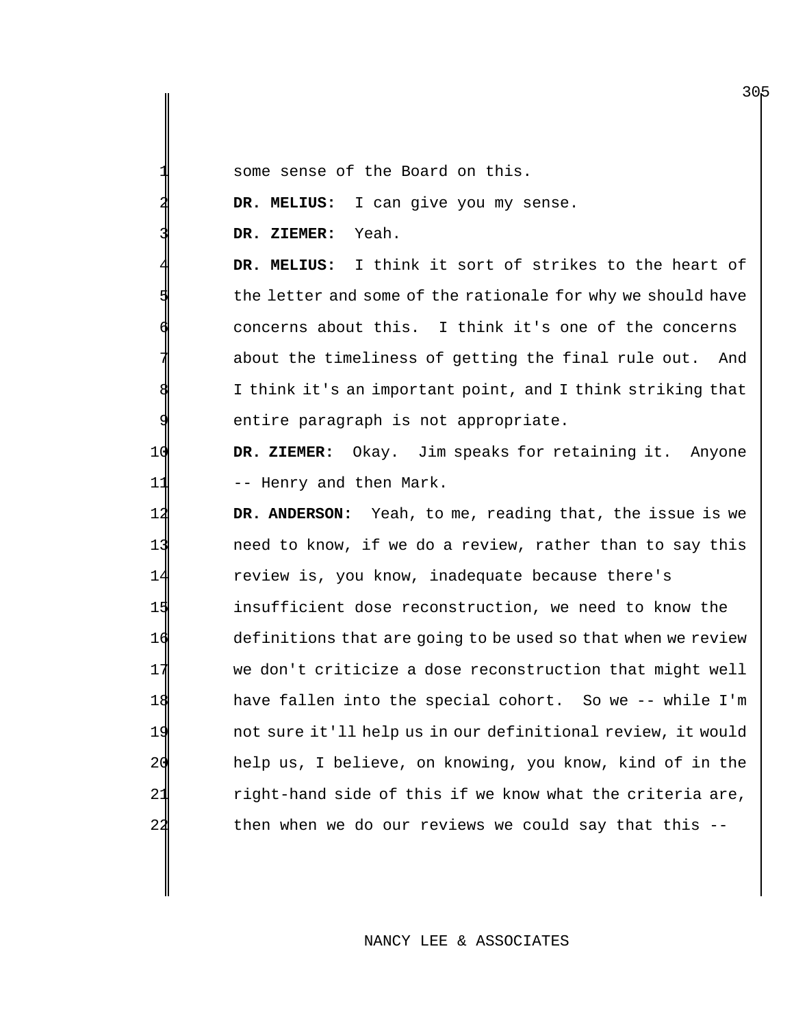some sense of the Board on this.

DR. MELIUS: I can give you my sense.

**DR. ZIEMER:** Yeah.

 **DR. MELIUS:** I think it sort of strikes to the heart of the letter and some of the rationale for why we should have concerns about this. I think it's one of the concerns about the timeliness of getting the final rule out. And I think it's an important point, and I think striking that entire paragraph is not appropriate.

 **DR. ZIEMER:** Okay. Jim speaks for retaining it. Anyone 11 -- Henry and then Mark.

 **DR. ANDERSON:** Yeah, to me, reading that, the issue is we need to know, if we do a review, rather than to say this review is, you know, inadequate because there's insufficient dose reconstruction, we need to know the definitions that are going to be used so that when we review we don't criticize a dose reconstruction that might well have fallen into the special cohort. So we -- while I'm not sure it'll help us in our definitional review, it would help us, I believe, on knowing, you know, kind of in the 21 right-hand side of this if we know what the criteria are, then when we do our reviews we could say that this --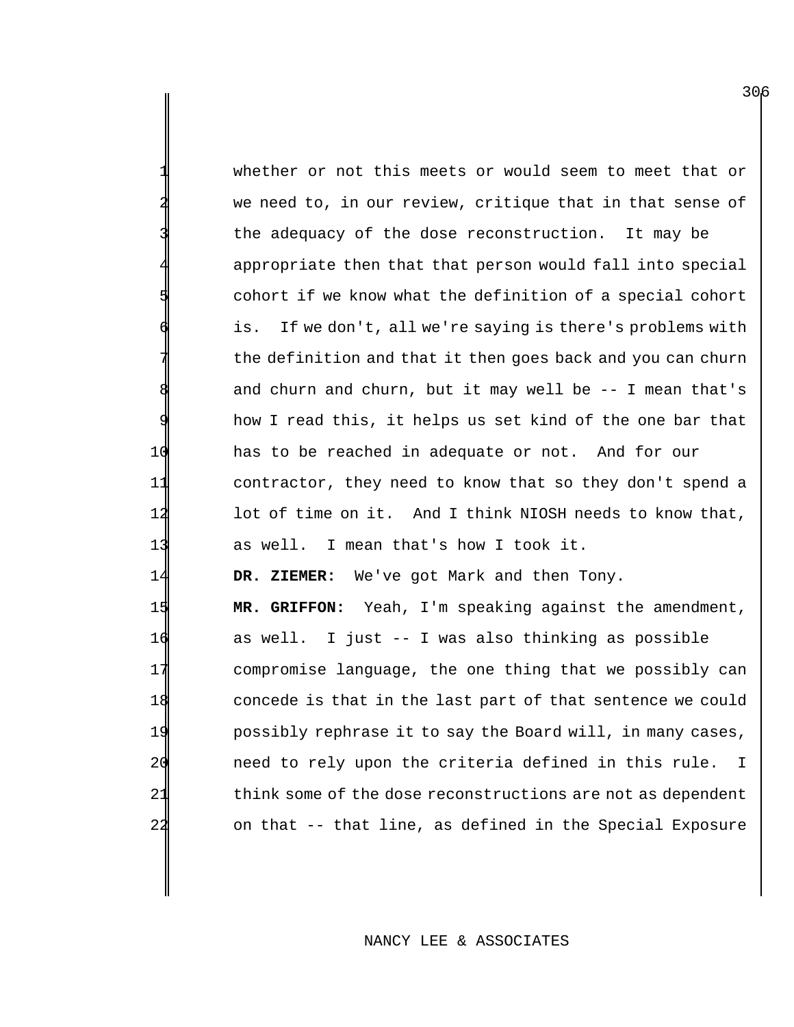whether or not this meets or would seem to meet that or we need to, in our review, critique that in that sense of the adequacy of the dose reconstruction. It may be appropriate then that that person would fall into special cohort if we know what the definition of a special cohort is. If we don't, all we're saying is there's problems with the definition and that it then goes back and you can churn and churn and churn, but it may well be  $-$ - I mean that's how I read this, it helps us set kind of the one bar that 10 has to be reached in adequate or not. And for our 11 contractor, they need to know that so they don't spend a 12 lot of time on it. And I think NIOSH needs to know that, 13 as well. I mean that's how I took it. 14 **DR. ZIEMER:** We've got Mark and then Tony. 15 **MR. GRIFFON:** Yeah, I'm speaking against the amendment, 16 as well. I just -- I was also thinking as possible 17 compromise language, the one thing that we possibly can 18 concede is that in the last part of that sentence we could 19 possibly rephrase it to say the Board will, in many cases, 20 need to rely upon the criteria defined in this rule. I

22 on that -- that line, as defined in the Special Exposure

21 think some of the dose reconstructions are not as dependent

## NANCY LEE & ASSOCIATES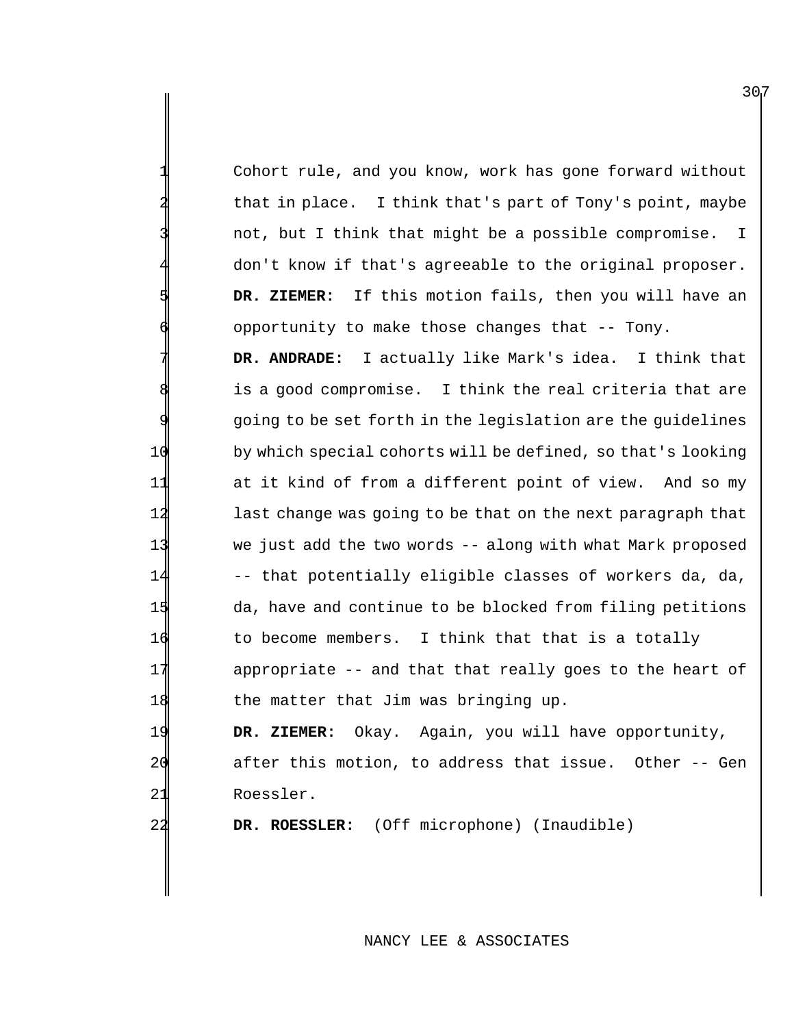Cohort rule, and you know, work has gone forward without that in place. I think that's part of Tony's point, maybe not, but I think that might be a possible compromise. I don't know if that's agreeable to the original proposer. **DR. ZIEMER:** If this motion fails, then you will have an opportunity to make those changes that -- Tony.

DR. ANDRADE: I actually like Mark's idea. I think that is a good compromise. I think the real criteria that are going to be set forth in the legislation are the guidelines by which special cohorts will be defined, so that's looking at it kind of from a different point of view. And so my last change was going to be that on the next paragraph that we just add the two words -- along with what Mark proposed -- that potentially eligible classes of workers da, da, da, have and continue to be blocked from filing petitions 16 to become members. I think that that is a totally appropriate -- and that that really goes to the heart of 18 the matter that Jim was bringing up.

 **DR. ZIEMER:** Okay. Again, you will have opportunity, after this motion, to address that issue. Other -- Gen Roessler.

**DR. ROESSLER:** (Off microphone) (Inaudible)

## NANCY LEE & ASSOCIATES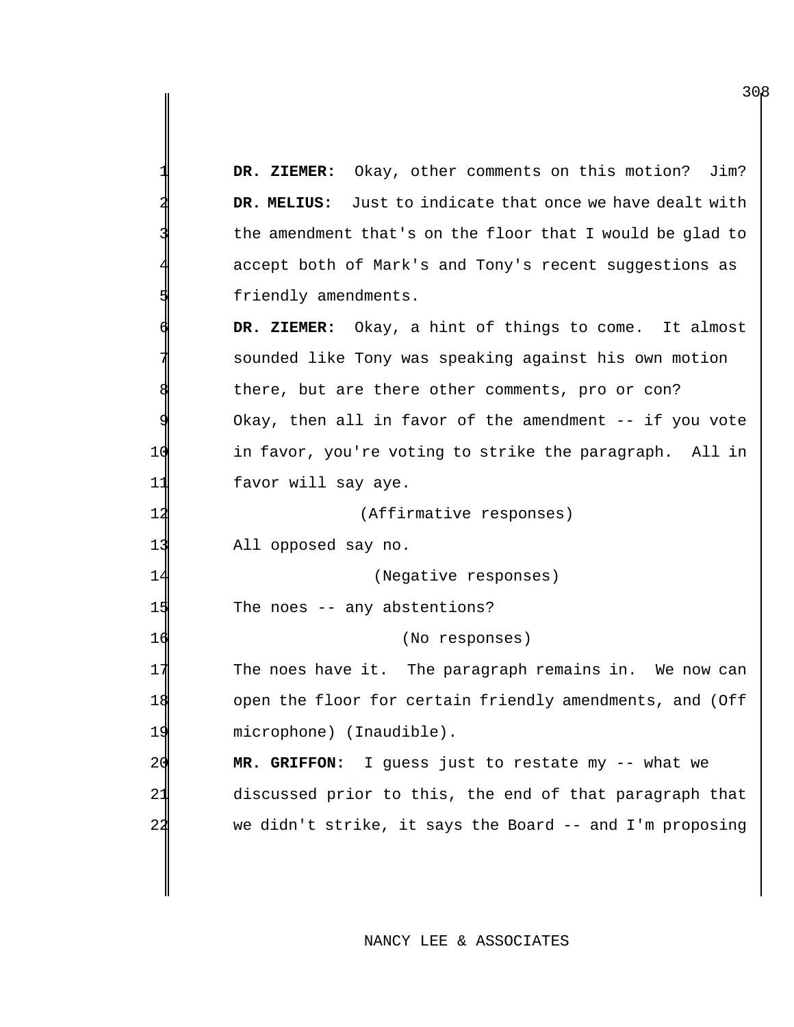|    | DR. ZIEMER: Okay, other comments on this motion? Jim?     |
|----|-----------------------------------------------------------|
|    | DR. MELIUS: Just to indicate that once we have dealt with |
|    | the amendment that's on the floor that I would be glad to |
|    | accept both of Mark's and Tony's recent suggestions as    |
|    | friendly amendments.                                      |
|    | DR. ZIEMER: Okay, a hint of things to come. It almost     |
|    | sounded like Tony was speaking against his own motion     |
|    | there, but are there other comments, pro or con?          |
|    | Okay, then all in favor of the amendment -- if you vote   |
| 10 | in favor, you're voting to strike the paragraph. All in   |
| 11 | favor will say aye.                                       |
| 12 | (Affirmative responses)                                   |
| 13 | All opposed say no.                                       |
| 14 | (Negative responses)                                      |
| 15 | The noes $--$ any abstentions?                            |
| 16 | (No responses)                                            |
| 17 | The noes have it. The paragraph remains in. We now can    |
| 18 | open the floor for certain friendly amendments, and (Off  |
| 19 | microphone) (Inaudible).                                  |
| 20 | MR. GRIFFON:<br>I guess just to restate my -- what we     |
| 21 | discussed prior to this, the end of that paragraph that   |
| 22 | we didn't strike, it says the Board -- and I'm proposing  |
|    |                                                           |

NANCY LEE & ASSOCIATES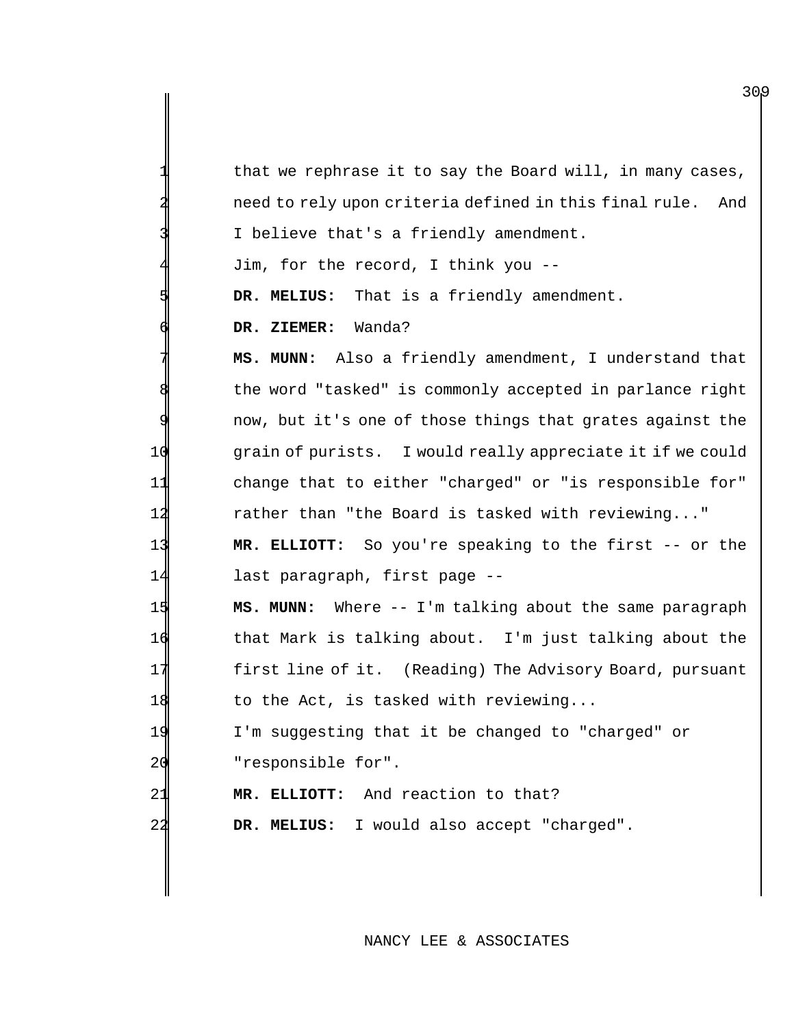that we rephrase it to say the Board will, in many cases, need to rely upon criteria defined in this final rule. And I believe that's a friendly amendment. Jim, for the record, I think you --DR. MELIUS: That is a friendly amendment. 6 **DR. ZIEMER:** Wanda? 7 **MS. MUNN:** Also a friendly amendment, I understand that the word "tasked" is commonly accepted in parlance right now, but it's one of those things that grates against the 10 grain of purists. I would really appreciate it if we could 11 change that to either "charged" or "is responsible for" 12 rather than "the Board is tasked with reviewing..." 13 **MR. ELLIOTT:** So you're speaking to the first -- or the 14 last paragraph, first page -- 15 **MS. MUNN:** Where -- I'm talking about the same paragraph 16 that Mark is talking about. I'm just talking about the 17 first line of it. (Reading) The Advisory Board, pursuant 18 to the Act, is tasked with reviewing... 19 I'm suggesting that it be changed to "charged" or 20 "responsible for". 21 MR. ELLIOTT: And reaction to that? 22 **DR. MELIUS:** I would also accept "charged".

NANCY LEE & ASSOCIATES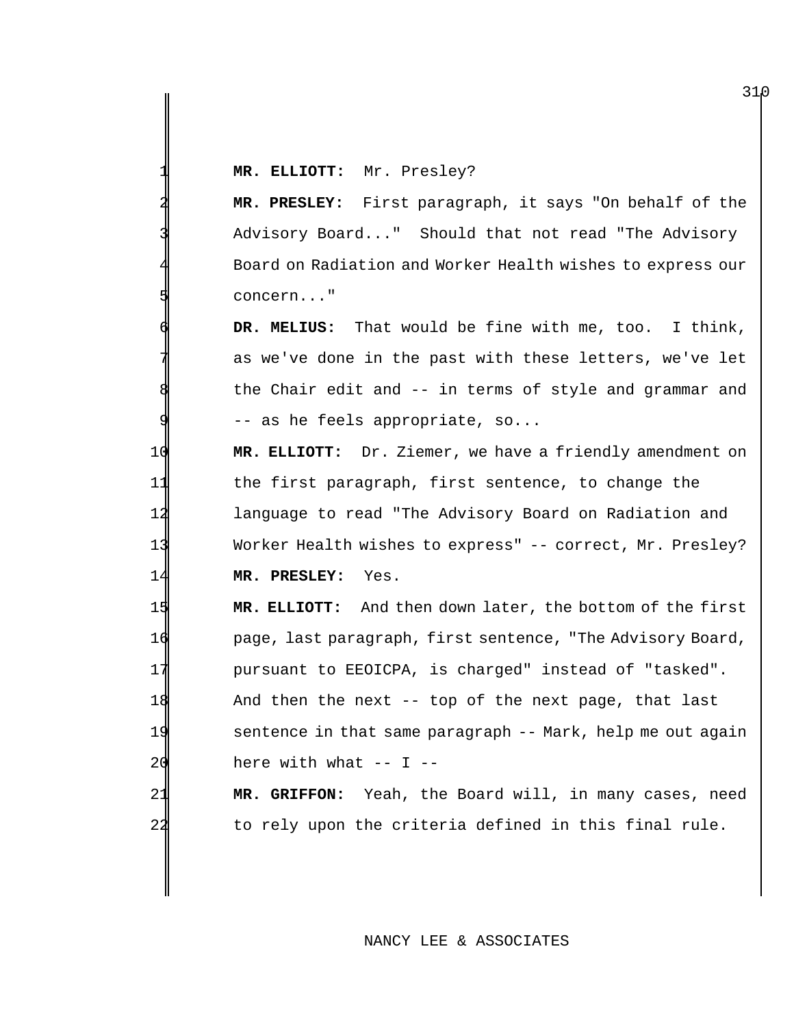**MR. ELLIOTT:** Mr. Presley?

 **MR. PRESLEY:** First paragraph, it says "On behalf of the Advisory Board..." Should that not read "The Advisory Board on Radiation and Worker Health wishes to express our concern..."

 **DR. MELIUS:** That would be fine with me, too. I think, as we've done in the past with these letters, we've let the Chair edit and -- in terms of style and grammar and -- as he feels appropriate, so...

 **MR. ELLIOTT:** Dr. Ziemer, we have a friendly amendment on the first paragraph, first sentence, to change the language to read "The Advisory Board on Radiation and Worker Health wishes to express" -- correct, Mr. Presley? **MR. PRESLEY:** Yes.

 **MR. ELLIOTT:** And then down later, the bottom of the first page, last paragraph, first sentence, "The Advisory Board, pursuant to EEOICPA, is charged" instead of "tasked". And then the next -- top of the next page, that last sentence in that same paragraph -- Mark, help me out again here with what  $--$  I  $--$ 

 **MR. GRIFFON:** Yeah, the Board will, in many cases, need to rely upon the criteria defined in this final rule.

## NANCY LEE & ASSOCIATES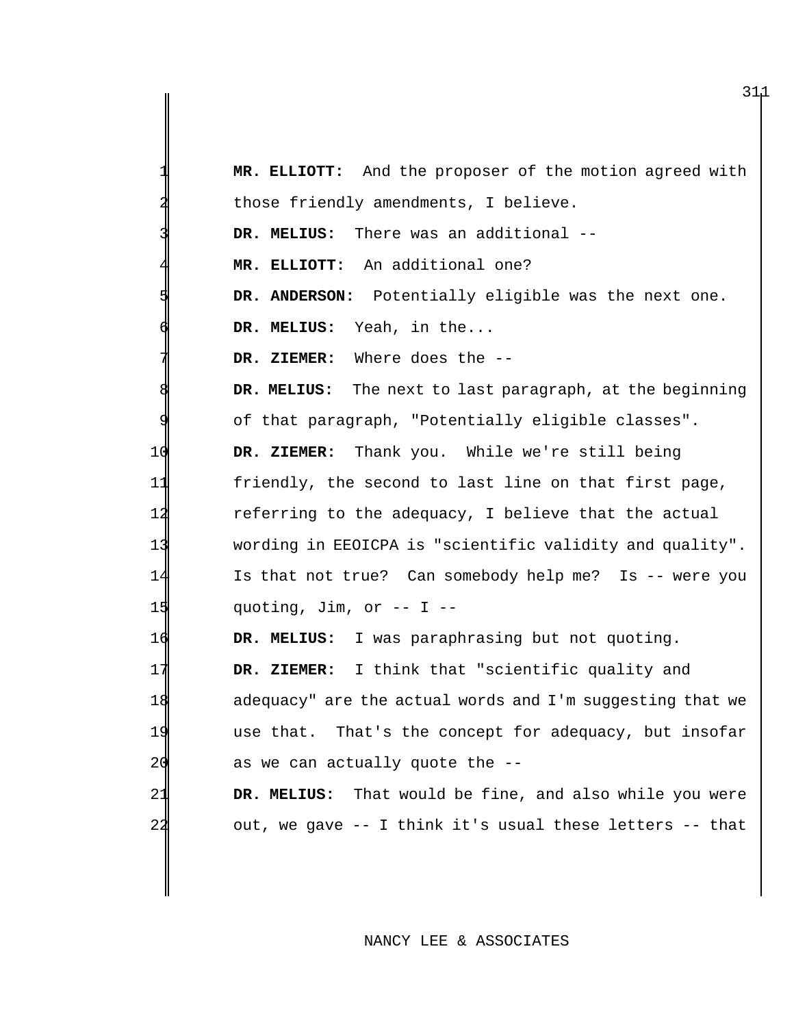|                | MR. ELLIOTT: And the proposer of the motion agreed with    |
|----------------|------------------------------------------------------------|
|                | those friendly amendments, I believe.                      |
|                | DR. MELIUS: There was an additional --                     |
|                | MR. ELLIOTT: An additional one?                            |
|                | DR. ANDERSON: Potentially eligible was the next one.       |
|                | DR. MELIUS: Yeah, in the                                   |
|                | DR. ZIEMER: Where does the --                              |
|                | DR. MELIUS: The next to last paragraph, at the beginning   |
|                | of that paragraph, "Potentially eligible classes".         |
| 1 C            | DR. ZIEMER: Thank you. While we're still being             |
| 11             | friendly, the second to last line on that first page,      |
| 12             | referring to the adequacy, I believe that the actual       |
| 13             | wording in EEOICPA is "scientific validity and quality".   |
| 14             | Is that not true? Can somebody help me? Is -- were you     |
| 15             | quoting, Jim, or $--$ I $--$                               |
| 16             | DR. MELIUS: I was paraphrasing but not quoting.            |
| 17             | DR. ZIEMER: I think that "scientific quality and           |
| 18             | adequacy" are the actual words and I'm suggesting that we  |
| 19             | use that. That's the concept for adequacy, but insofar     |
| 2 <sub>q</sub> | as we can actually quote the --                            |
| 21             | That would be fine, and also while you were<br>DR. MELIUS: |
| 2 <sub>2</sub> | out, we gave -- I think it's usual these letters -- that   |

NANCY LEE & ASSOCIATES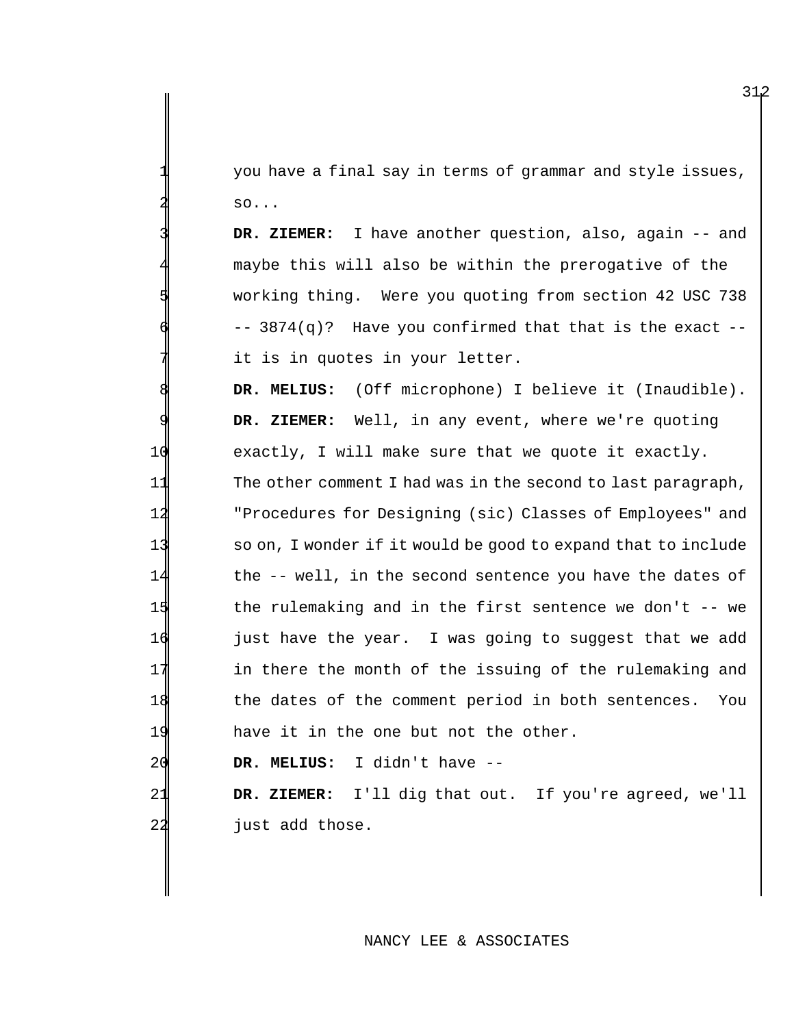you have a final say in terms of grammar and style issues,  $SO.$ ..

DR. ZIEMER: I have another question, also, again -- and maybe this will also be within the prerogative of the working thing. Were you quoting from section 42 USC 738  $-$  3874(q)? Have you confirmed that that is the exact  $$ it is in quotes in your letter.

 **DR. MELIUS:** (Off microphone) I believe it (Inaudible). **DR. ZIEMER:** Well, in any event, where we're quoting exactly, I will make sure that we quote it exactly. The other comment I had was in the second to last paragraph, "Procedures for Designing (sic) Classes of Employees" and so on, I wonder if it would be good to expand that to include 14 the -- well, in the second sentence you have the dates of the rulemaking and in the first sentence we don't -- we **just have the year.** I was going to suggest that we add in there the month of the issuing of the rulemaking and the dates of the comment period in both sentences. You 19 have it in the one but not the other.

20 **DR. MELIUS:** I didn't have --

21 **DR. ZIEMER:** I'll dig that out. If you're agreed, we'll 22 **just** add those.

#### NANCY LEE & ASSOCIATES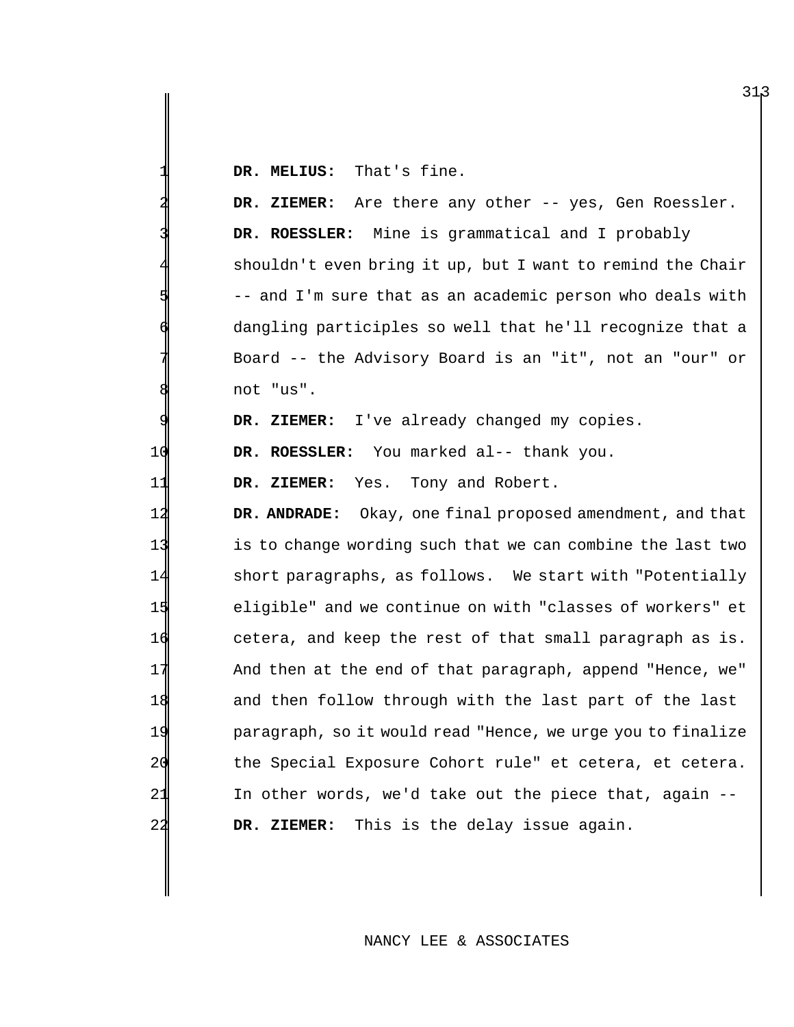DR. MELIUS: That's fine.

|    | DR. ZIEMER: Are there any other -- yes, Gen Roessler.       |
|----|-------------------------------------------------------------|
|    | DR. ROESSLER: Mine is grammatical and I probably            |
|    | shouldn't even bring it up, but I want to remind the Chair  |
|    | -- and I'm sure that as an academic person who deals with   |
|    | dangling participles so well that he'll recognize that a    |
|    | Board -- the Advisory Board is an "it", not an "our" or     |
|    | not "us".                                                   |
|    | DR. ZIEMER: I've already changed my copies.                 |
| 10 | You marked al-- thank you.<br>DR. ROESSLER:                 |
| 11 | Tony and Robert.<br>DR. ZIEMER:<br>Yes.                     |
| 12 | DR. ANDRADE: Okay, one final proposed amendment, and that   |
| 13 | is to change wording such that we can combine the last two  |
| 14 | short paragraphs, as follows. We start with "Potentially    |
| 15 | eligible" and we continue on with "classes of workers" et   |
| 16 | cetera, and keep the rest of that small paragraph as is.    |
| 17 | And then at the end of that paragraph, append "Hence, we"   |
| 18 | and then follow through with the last part of the last      |
| 19 | paragraph, so it would read "Hence, we urge you to finalize |
| 20 | the Special Exposure Cohort rule" et cetera, et cetera.     |
| 21 | In other words, we'd take out the piece that, again --      |
| 22 | This is the delay issue again.<br>DR. ZIEMER:               |

NANCY LEE & ASSOCIATES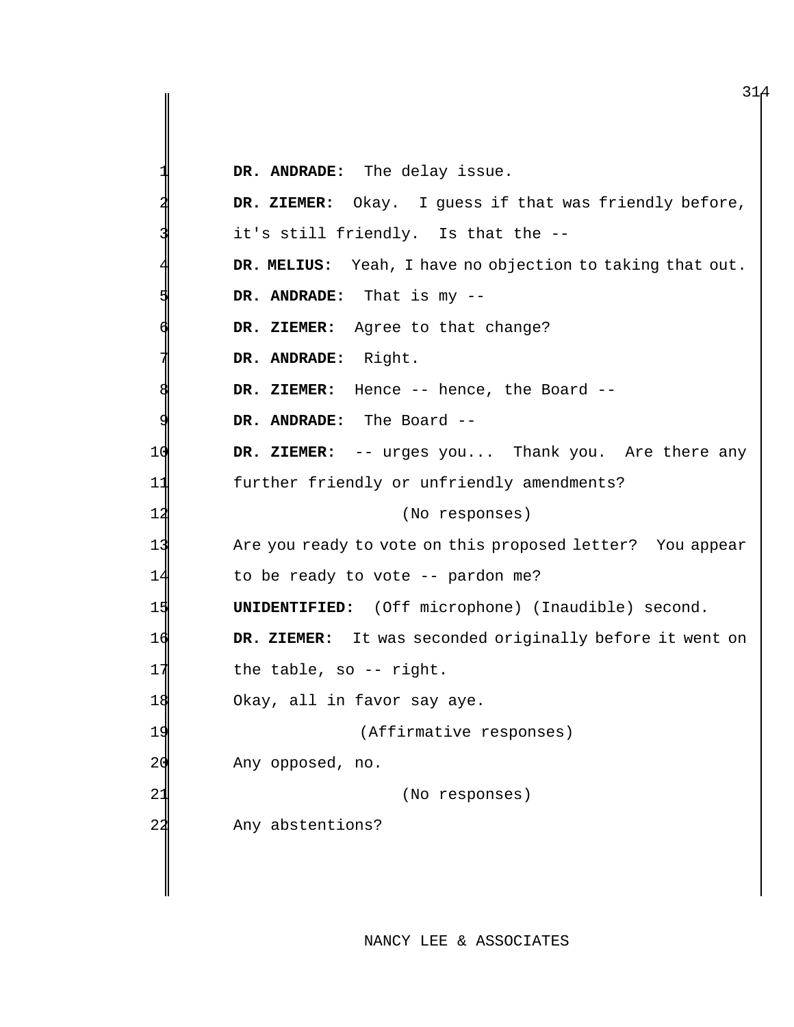|                | DR. ANDRADE: The delay issue.                             |
|----------------|-----------------------------------------------------------|
|                | DR. ZIEMER: Okay. I guess if that was friendly before,    |
|                | it's still friendly. Is that the --                       |
|                | DR. MELIUS: Yeah, I have no objection to taking that out. |
|                | DR. ANDRADE: That is my --                                |
|                | DR. ZIEMER: Agree to that change?                         |
|                | DR. ANDRADE: Right.                                       |
|                | DR. ZIEMER: Hence -- hence, the Board --                  |
|                | DR. ANDRADE: The Board --                                 |
| 10             | DR. ZIEMER: -- urges you Thank you. Are there any         |
| 11             | further friendly or unfriendly amendments?                |
| 12             | (No responses)                                            |
| 13             | Are you ready to vote on this proposed letter? You appear |
| 14             | to be ready to vote -- pardon me?                         |
| 15             | <b>UNIDENTIFIED:</b> (Off microphone) (Inaudible) second. |
| 16             | DR. ZIEMER: It was seconded originally before it went on  |
| 1              | the table, so $-$ - right.                                |
| 18             | Okay, all in favor say aye.                               |
| 19             | (Affirmative responses)                                   |
| 2 <sub>C</sub> | Any opposed, no.                                          |
| 21             | (No responses)                                            |
| 22             | Any abstentions?                                          |
|                |                                                           |
|                |                                                           |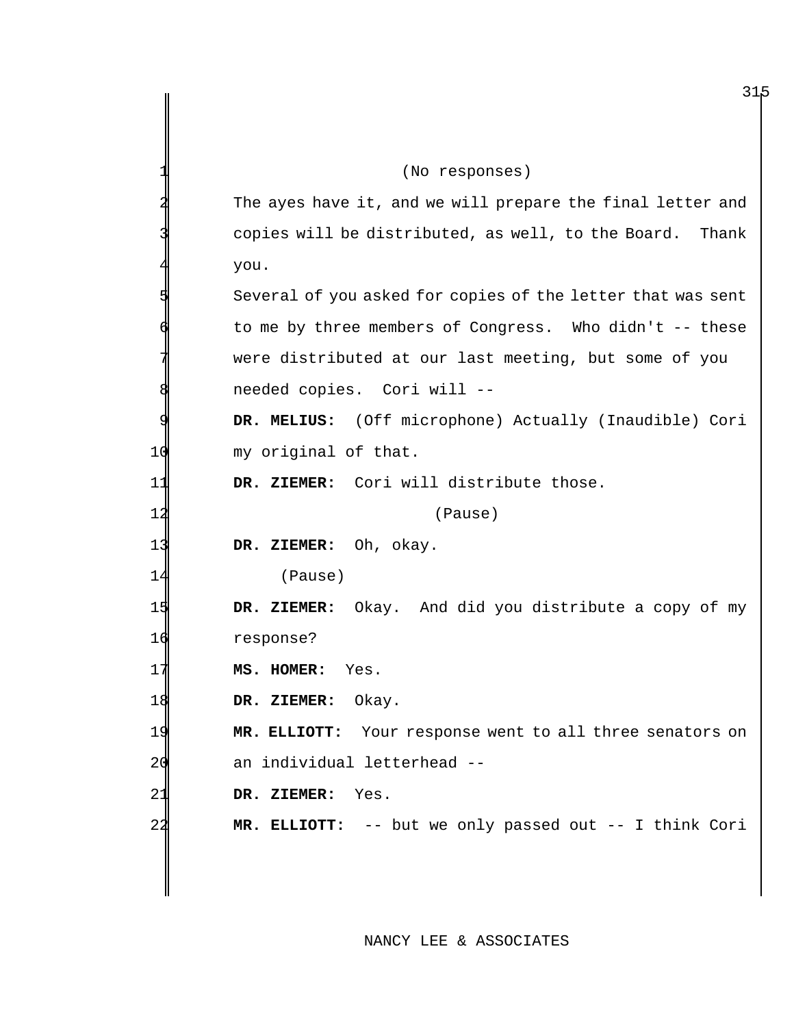|                | (No responses)                                              |
|----------------|-------------------------------------------------------------|
|                | The ayes have it, and we will prepare the final letter and  |
|                | copies will be distributed, as well, to the Board.<br>Thank |
|                | you.                                                        |
|                | Several of you asked for copies of the letter that was sent |
|                | to me by three members of Congress. Who didn't -- these     |
|                | were distributed at our last meeting, but some of you       |
|                | needed copies. Cori will --                                 |
|                | DR. MELIUS: (Off microphone) Actually (Inaudible) Cori      |
| 10             | my original of that.                                        |
| 1              | DR. ZIEMER: Cori will distribute those.                     |
| 1              | (Pause)                                                     |
| 1              | Oh, okay.<br>DR. ZIEMER:                                    |
| 14             | (Pause)                                                     |
| 15             | DR. ZIEMER: Okay. And did you distribute a copy of my       |
| 16             | response?                                                   |
| 17             | MS. HOMER:<br>Yes.                                          |
| 18             | DR. ZIEMER:<br>Okay.                                        |
| 19             | MR. ELLIOTT: Your response went to all three senators on    |
| 2 <sub>q</sub> | an individual letterhead --                                 |
| 21             | DR. ZIEMER:<br>Yes.                                         |
| 22             | MR. ELLIOTT: -- but we only passed out -- I think Cori      |
|                |                                                             |
|                |                                                             |

 $\mathsf I$ 

# NANCY LEE & ASSOCIATES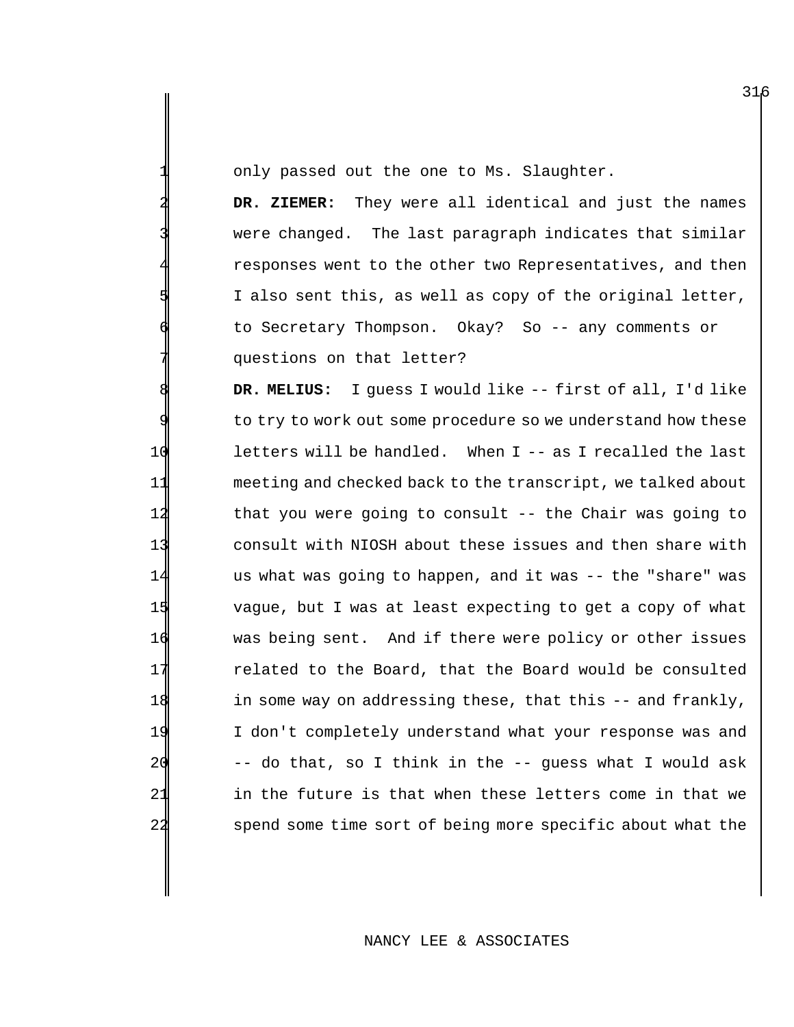only passed out the one to Ms. Slaughter.

2 **DR. ZIEMER:** They were all identical and just the names were changed. The last paragraph indicates that similar responses went to the other two Representatives, and then I also sent this, as well as copy of the original letter, to Secretary Thompson. Okay? So -- any comments or questions on that letter?

 **DR. MELIUS:** I guess I would like -- first of all, I'd like to try to work out some procedure so we understand how these letters will be handled. When I -- as I recalled the last meeting and checked back to the transcript, we talked about 12 that you were going to consult -- the Chair was going to consult with NIOSH about these issues and then share with us what was going to happen, and it was -- the "share" was vague, but I was at least expecting to get a copy of what was being sent. And if there were policy or other issues 17 related to the Board, that the Board would be consulted in some way on addressing these, that this -- and frankly, I don't completely understand what your response was and -- do that, so I think in the -- guess what I would ask in the future is that when these letters come in that we spend some time sort of being more specific about what the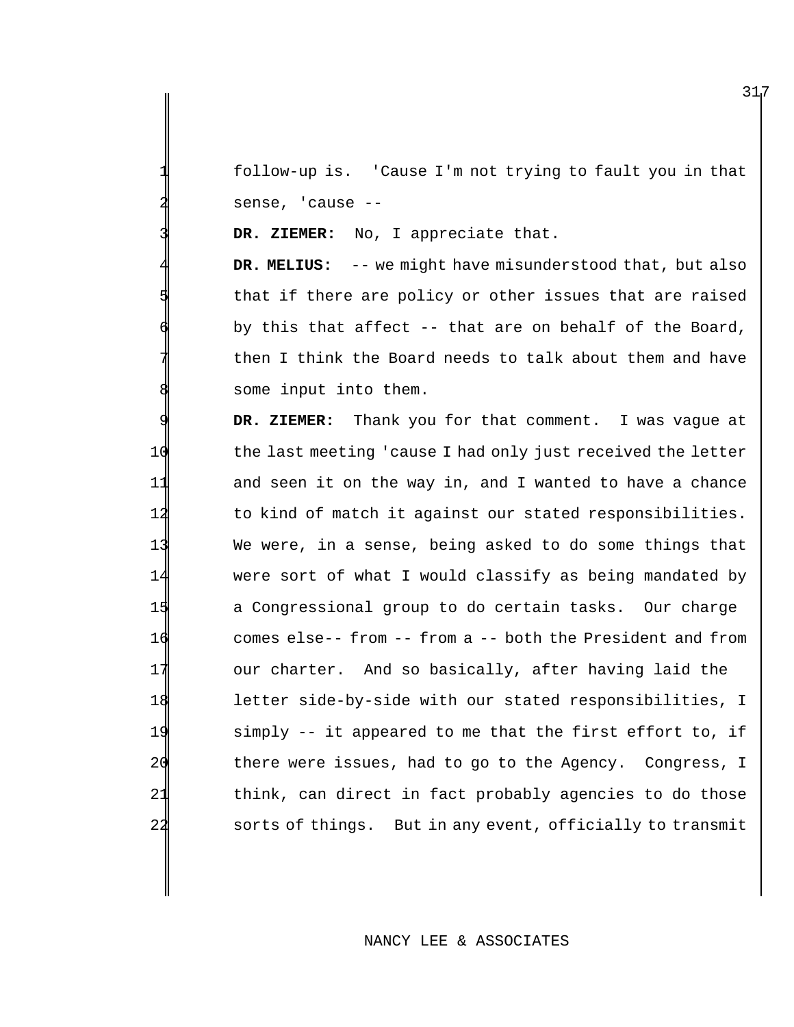1 follow-up is. 'Cause I'm not trying to fault you in that sense, 'cause --

DR. ZIEMER: No, I appreciate that.

**DR. MELIUS:** -- we might have misunderstood that, but also that if there are policy or other issues that are raised by this that affect  $-$ - that are on behalf of the Board, then I think the Board needs to talk about them and have some input into them.

DR. ZIEMER: Thank you for that comment. I was vague at 10 the last meeting 'cause I had only just received the letter and seen it on the way in, and I wanted to have a chance to kind of match it against our stated responsibilities. We were, in a sense, being asked to do some things that were sort of what I would classify as being mandated by a Congressional group to do certain tasks. Our charge comes else-- from -- from a -- both the President and from our charter. And so basically, after having laid the letter side-by-side with our stated responsibilities, I simply -- it appeared to me that the first effort to, if there were issues, had to go to the Agency. Congress, I think, can direct in fact probably agencies to do those sorts of things. But in any event, officially to transmit

## NANCY LEE & ASSOCIATES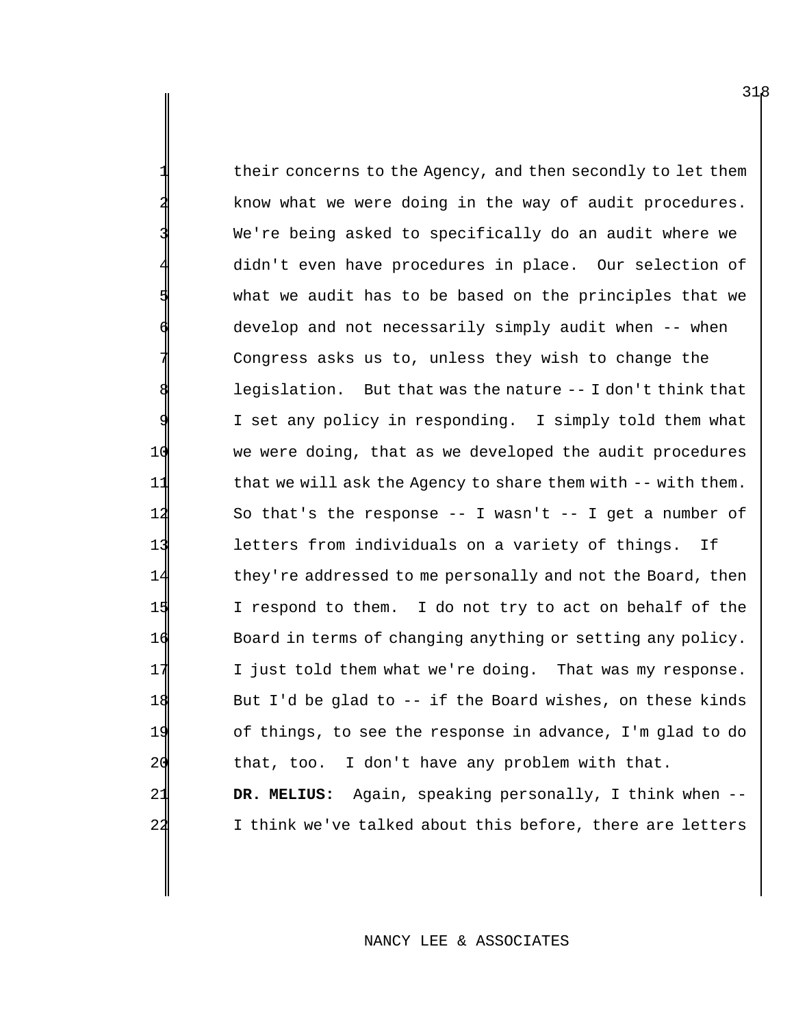their concerns to the Agency, and then secondly to let them know what we were doing in the way of audit procedures. We're being asked to specifically do an audit where we didn't even have procedures in place. Our selection of what we audit has to be based on the principles that we develop and not necessarily simply audit when -- when Congress asks us to, unless they wish to change the legislation. But that was the nature -- I don't think that I set any policy in responding. I simply told them what 10 we were doing, that as we developed the audit procedures 11 that we will ask the Agency to share them with -- with them. 12 So that's the response -- I wasn't -- I get a number of 13 letters from individuals on a variety of things. If 14 they're addressed to me personally and not the Board, then 15 I respond to them. I do not try to act on behalf of the 16 Board in terms of changing anything or setting any policy. 17 I just told them what we're doing. That was my response. 18 But I'd be glad to -- if the Board wishes, on these kinds 19 of things, to see the response in advance, I'm glad to do 20 that, too. I don't have any problem with that. 21 **DR. MELIUS:** Again, speaking personally, I think when --

## NANCY LEE & ASSOCIATES

22 I think we've talked about this before, there are letters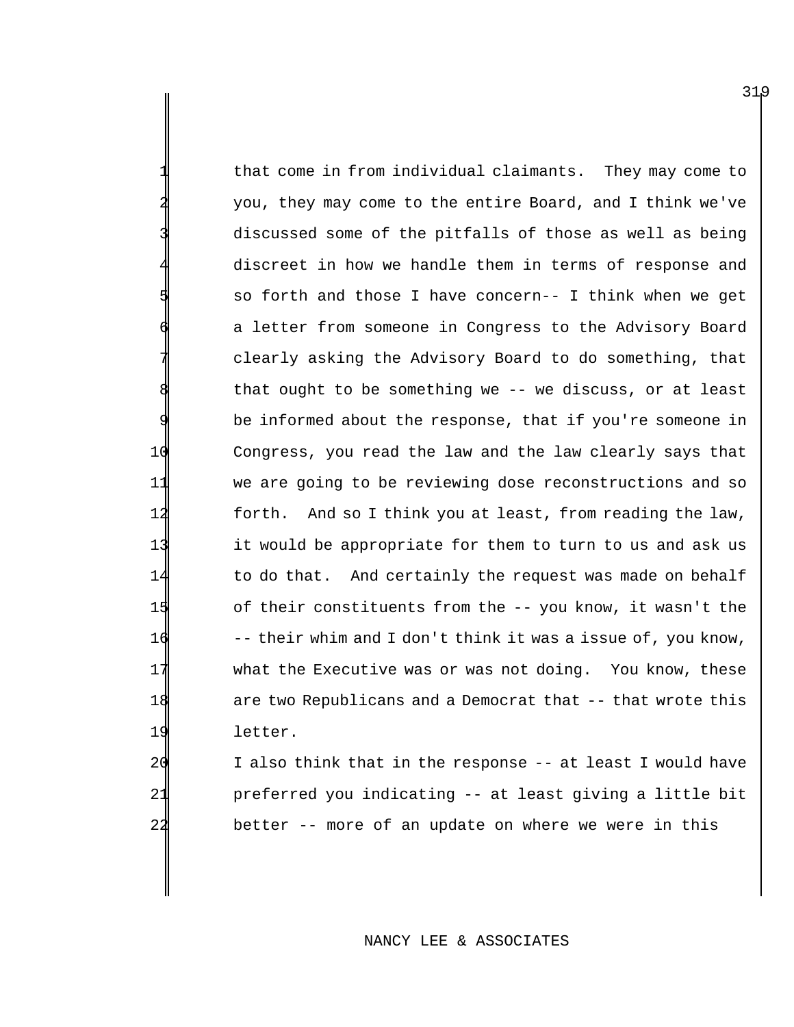that come in from individual claimants. They may come to you, they may come to the entire Board, and I think we've discussed some of the pitfalls of those as well as being discreet in how we handle them in terms of response and so forth and those I have concern-- I think when we get a letter from someone in Congress to the Advisory Board clearly asking the Advisory Board to do something, that that ought to be something we  $-$ - we discuss, or at least be informed about the response, that if you're someone in Congress, you read the law and the law clearly says that we are going to be reviewing dose reconstructions and so forth. And so I think you at least, from reading the law, it would be appropriate for them to turn to us and ask us to do that. And certainly the request was made on behalf of their constituents from the -- you know, it wasn't the -- their whim and I don't think it was a issue of, you know, what the Executive was or was not doing. You know, these are two Republicans and a Democrat that -- that wrote this letter.

 I also think that in the response -- at least I would have preferred you indicating -- at least giving a little bit better -- more of an update on where we were in this

## NANCY LEE & ASSOCIATES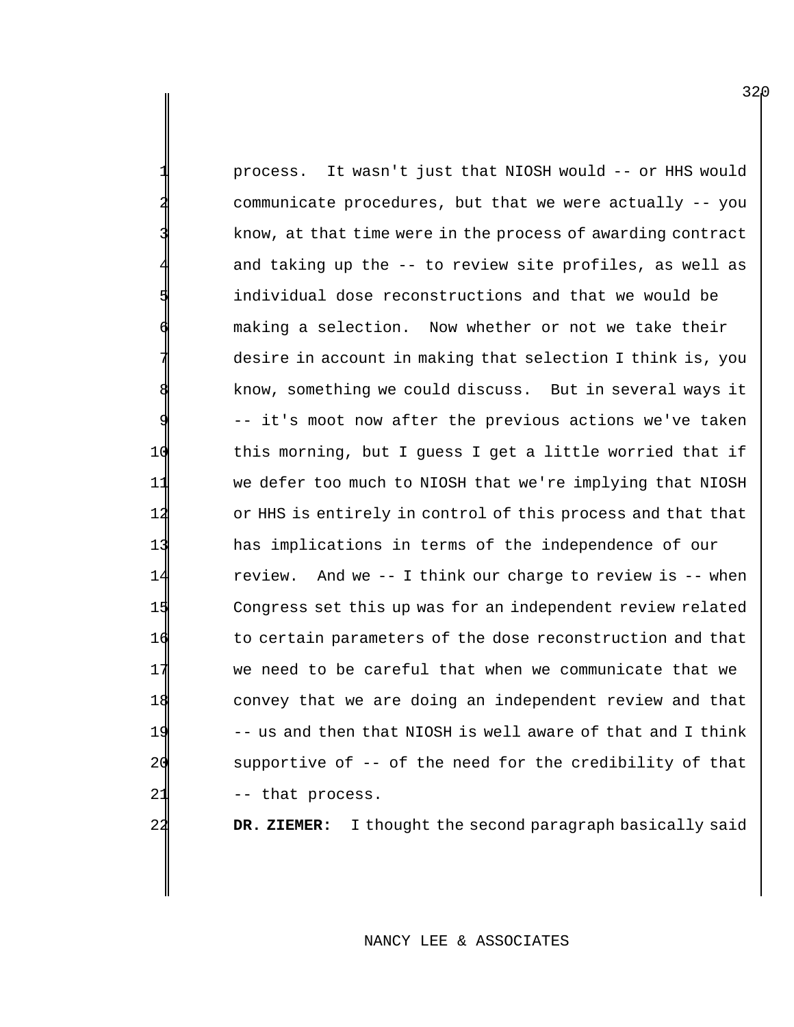process. It wasn't just that NIOSH would -- or HHS would communicate procedures, but that we were actually -- you know, at that time were in the process of awarding contract and taking up the -- to review site profiles, as well as individual dose reconstructions and that we would be making a selection. Now whether or not we take their desire in account in making that selection I think is, you know, something we could discuss. But in several ways it 9 -- it's moot now after the previous actions we've taken 10 this morning, but I guess I get a little worried that if 11 we defer too much to NIOSH that we're implying that NIOSH 12 or HHS is entirely in control of this process and that that 13 has implications in terms of the independence of our 14 review. And we -- I think our charge to review is -- when 15 Congress set this up was for an independent review related 16 to certain parameters of the dose reconstruction and that 17 we need to be careful that when we communicate that we 18 convey that we are doing an independent review and that 19 -- us and then that NIOSH is well aware of that and I think 20 supportive of -- of the need for the credibility of that 21 -- that process.

22 **DR. ZIEMER:** I thought the second paragraph basically said

# NANCY LEE & ASSOCIATES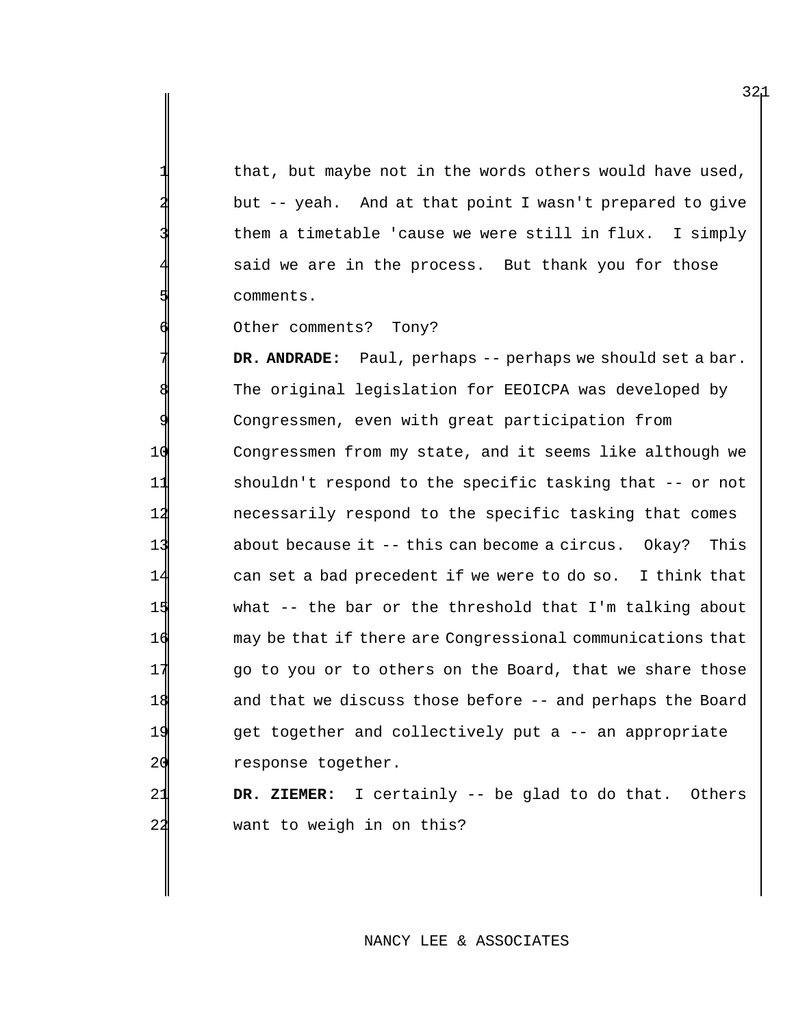that, but maybe not in the words others would have used, but -- yeah. And at that point I wasn't prepared to give them a timetable 'cause we were still in flux. I simply said we are in the process. But thank you for those 5 comments.

Other comments? Tony?

DR. ANDRADE: Paul, perhaps -- perhaps we should set a bar. The original legislation for EEOICPA was developed by Congressmen, even with great participation from Congressmen from my state, and it seems like although we shouldn't respond to the specific tasking that -- or not necessarily respond to the specific tasking that comes about because it -- this can become a circus. Okay? This can set a bad precedent if we were to do so. I think that what -- the bar or the threshold that I'm talking about may be that if there are Congressional communications that 17 go to you or to others on the Board, that we share those and that we discuss those before -- and perhaps the Board get together and collectively put a -- an appropriate 20 response together.

21 **DR. ZIEMER:** I certainly -- be glad to do that. Others 22 want to weigh in on this?

NANCY LEE & ASSOCIATES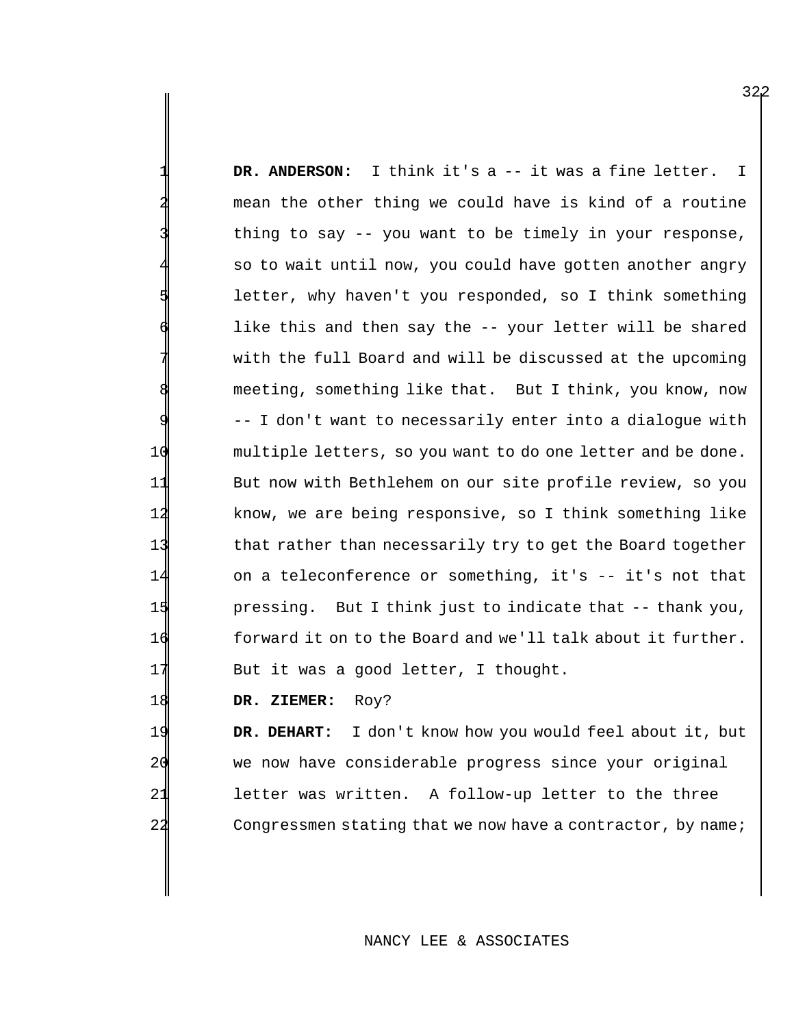DR. ANDERSON: I think it's a -- it was a fine letter. I mean the other thing we could have is kind of a routine thing to say -- you want to be timely in your response, so to wait until now, you could have gotten another angry letter, why haven't you responded, so I think something like this and then say the -- your letter will be shared with the full Board and will be discussed at the upcoming meeting, something like that. But I think, you know, now 9 -- I don't want to necessarily enter into a dialogue with 10 multiple letters, so you want to do one letter and be done. 11 But now with Bethlehem on our site profile review, so you 12 know, we are being responsive, so I think something like 13 that rather than necessarily try to get the Board together 14 on a teleconference or something, it's -- it's not that 15 pressing. But I think just to indicate that -- thank you, 16 forward it on to the Board and we'll talk about it further. 17 But it was a good letter, I thought.

18 **DR. ZIEMER:** Roy?

 **DR. DEHART:** I don't know how you would feel about it, but we now have considerable progress since your original letter was written. A follow-up letter to the three 22 Congressmen stating that we now have a contractor, by name;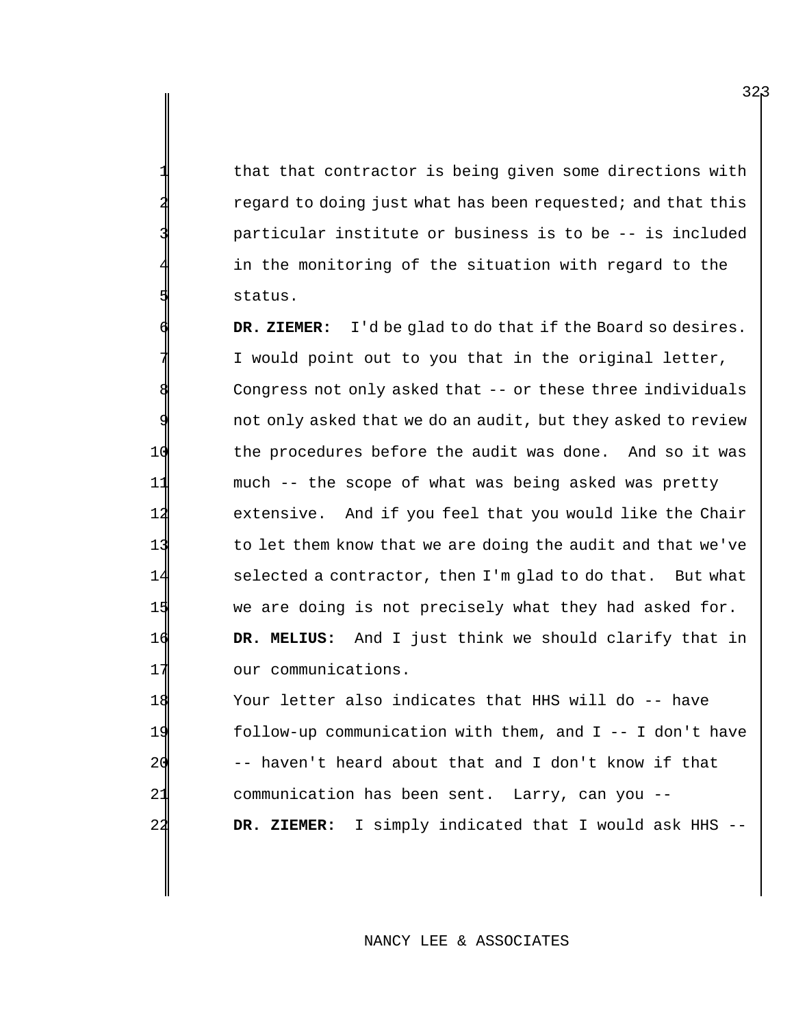that that contractor is being given some directions with regard to doing just what has been requested; and that this particular institute or business is to be -- is included in the monitoring of the situation with regard to the status.

 **DR. ZIEMER:** I'd be glad to do that if the Board so desires. I would point out to you that in the original letter, Congress not only asked that  $-$  or these three individuals not only asked that we do an audit, but they asked to review the procedures before the audit was done. And so it was much -- the scope of what was being asked was pretty extensive. And if you feel that you would like the Chair to let them know that we are doing the audit and that we've selected a contractor, then I'm glad to do that. But what we are doing is not precisely what they had asked for. **DR. MELIUS:** And I just think we should clarify that in 17 our communications.

 Your letter also indicates that HHS will do -- have follow-up communication with them, and I -- I don't have -- haven't heard about that and I don't know if that communication has been sent. Larry, can you -- **DR. ZIEMER:** I simply indicated that I would ask HHS --

NANCY LEE & ASSOCIATES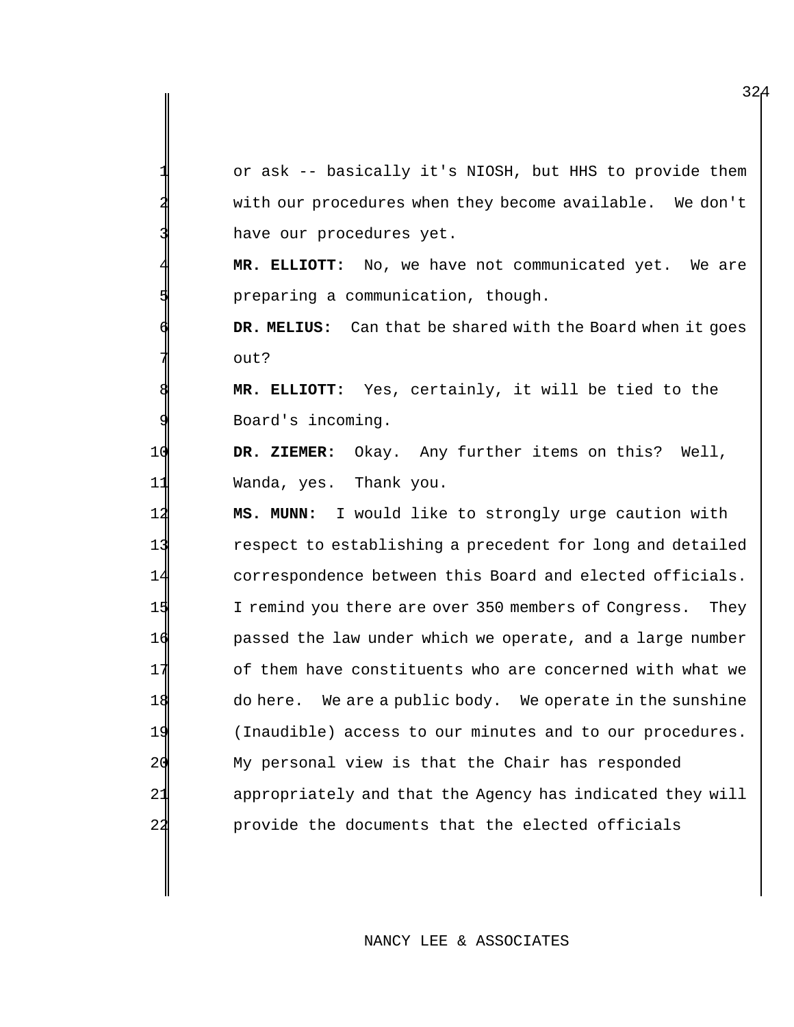or ask -- basically it's NIOSH, but HHS to provide them with our procedures when they become available. We don't have our procedures yet.

 **MR. ELLIOTT:** No, we have not communicated yet. We are preparing a communication, though.

**DR. MELIUS:** Can that be shared with the Board when it goes out?

 **MR. ELLIOTT:** Yes, certainly, it will be tied to the Board's incoming.

 **DR. ZIEMER:** Okay. Any further items on this? Well, Wanda, yes. Thank you.

 **MS. MUNN:** I would like to strongly urge caution with respect to establishing a precedent for long and detailed correspondence between this Board and elected officials. I remind you there are over 350 members of Congress. They **passed the law under which we operate, and a large number** 17 of them have constituents who are concerned with what we do here. We are a public body. We operate in the sunshine (Inaudible) access to our minutes and to our procedures. My personal view is that the Chair has responded appropriately and that the Agency has indicated they will provide the documents that the elected officials

## NANCY LEE & ASSOCIATES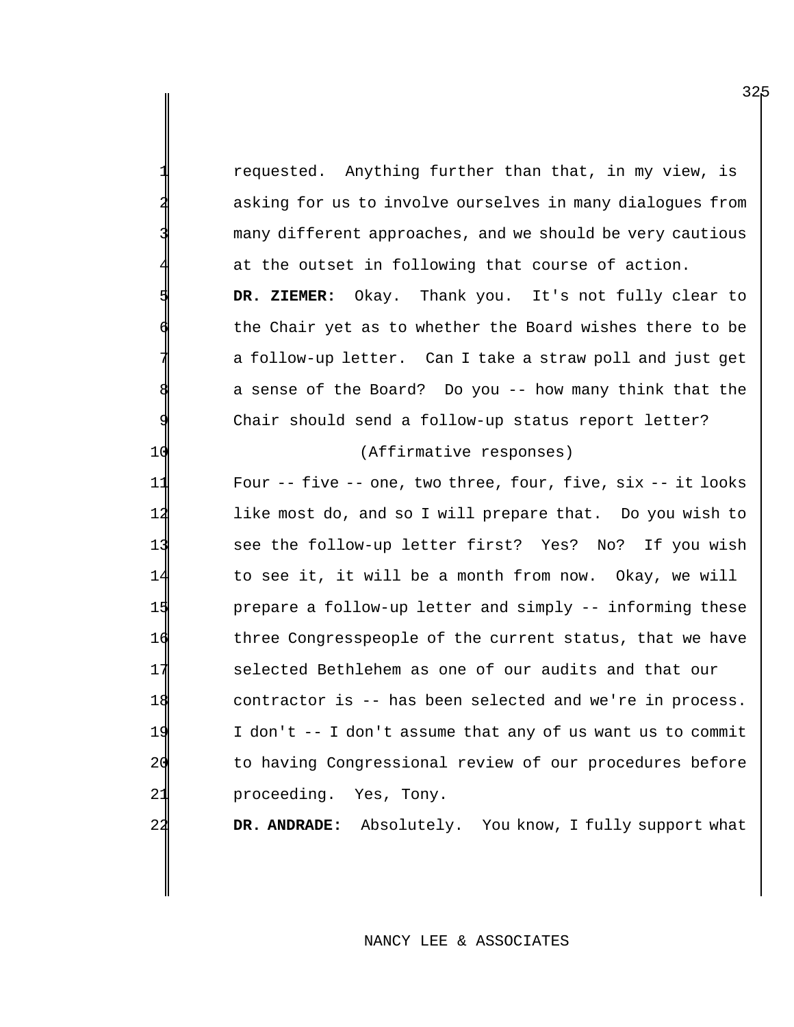|    | requested. Anything further than that, in my view, is       |
|----|-------------------------------------------------------------|
|    | asking for us to involve ourselves in many dialogues from   |
|    | many different approaches, and we should be very cautious   |
|    | at the outset in following that course of action.           |
|    | DR. ZIEMER: Okay. Thank you. It's not fully clear to        |
|    | the Chair yet as to whether the Board wishes there to be    |
|    | a follow-up letter. Can I take a straw poll and just get    |
|    | a sense of the Board? Do you -- how many think that the     |
|    | Chair should send a follow-up status report letter?         |
| 10 | (Affirmative responses)                                     |
| 11 | Four -- five -- one, two three, four, five, six -- it looks |
| 12 | like most do, and so I will prepare that. Do you wish to    |
| 13 | see the follow-up letter first? Yes? No? If you wish        |
| 14 | to see it, it will be a month from now. Okay, we will       |
| 15 | prepare a follow-up letter and simply -- informing these    |
| 16 | three Congresspeople of the current status, that we have    |
| 17 | selected Bethlehem as one of our audits and that our        |
| 18 | contractor is -- has been selected and we're in process.    |
| 19 | I don't -- I don't assume that any of us want us to commit  |
| 20 | to having Congressional review of our procedures before     |
| 21 | proceeding. Yes, Tony.                                      |

**DR. ANDRADE:** Absolutely. You know, I fully support what

# NANCY LEE & ASSOCIATES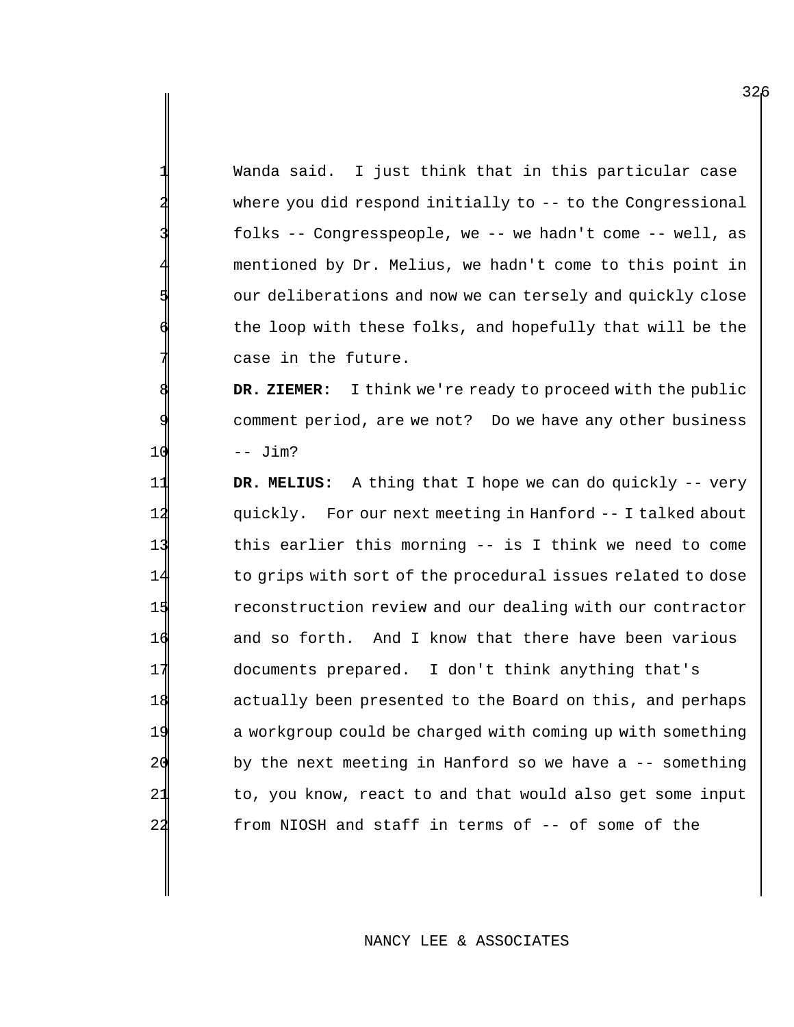Wanda said. I just think that in this particular case where you did respond initially to -- to the Congressional 3 folks -- Congresspeople, we -- we hadn't come -- well, as mentioned by Dr. Melius, we hadn't come to this point in our deliberations and now we can tersely and quickly close the loop with these folks, and hopefully that will be the case in the future.

**DR. ZIEMER:** I think we're ready to proceed with the public comment period, are we not? Do we have any other business  $10 - - Jim?$ 

 **DR. MELIUS:** A thing that I hope we can do quickly -- very quickly. For our next meeting in Hanford -- I talked about this earlier this morning -- is I think we need to come 14 to grips with sort of the procedural issues related to dose reconstruction review and our dealing with our contractor 16 and so forth. And I know that there have been various documents prepared. I don't think anything that's 18 actually been presented to the Board on this, and perhaps a workgroup could be charged with coming up with something by the next meeting in Hanford so we have a -- something 21 to, you know, react to and that would also get some input from NIOSH and staff in terms of -- of some of the

### NANCY LEE & ASSOCIATES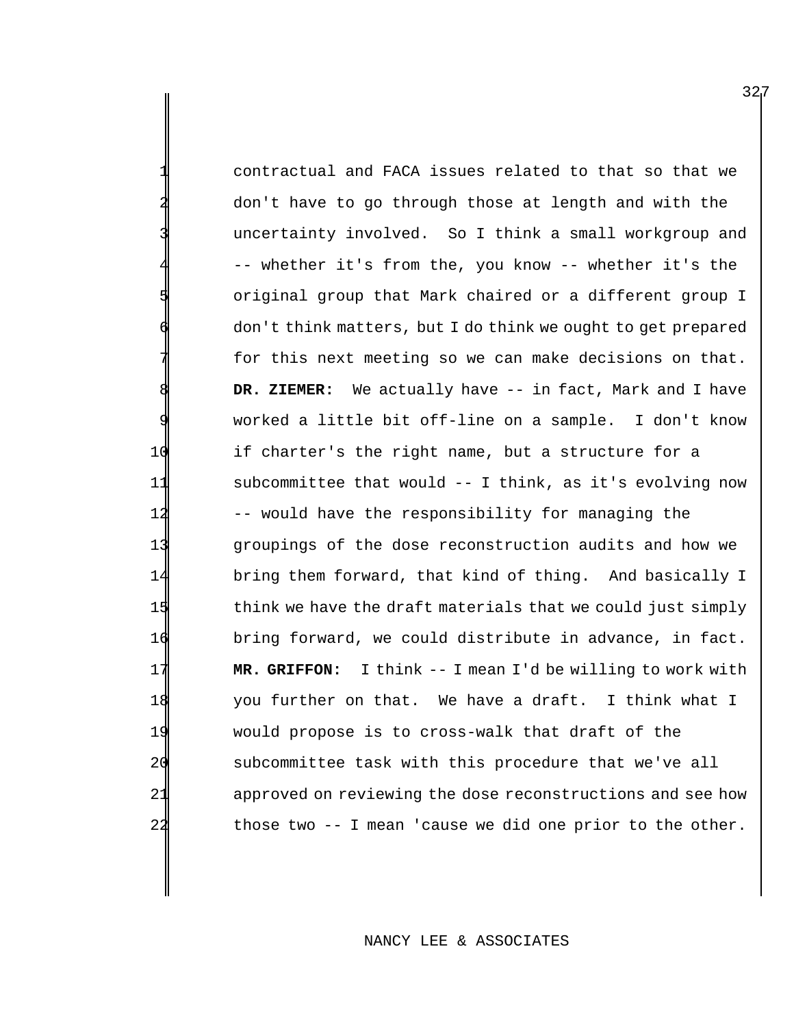contractual and FACA issues related to that so that we don't have to go through those at length and with the uncertainty involved. So I think a small workgroup and 4 -- whether it's from the, you know -- whether it's the original group that Mark chaired or a different group I 6 don't think matters, but I do think we ought to get prepared for this next meeting so we can make decisions on that. DR. ZIEMER: We actually have -- in fact, Mark and I have worked a little bit off-line on a sample. I don't know 10 if charter's the right name, but a structure for a 11 subcommittee that would -- I think, as it's evolving now 12 -- would have the responsibility for managing the 13 groupings of the dose reconstruction audits and how we 14 bring them forward, that kind of thing. And basically I 15 think we have the draft materials that we could just simply 16 bring forward, we could distribute in advance, in fact. 17 **MR. GRIFFON:** I think -- I mean I'd be willing to work with 18 you further on that. We have a draft. I think what I 19 would propose is to cross-walk that draft of the 20 subcommittee task with this procedure that we've all 21 approved on reviewing the dose reconstructions and see how 22 those two -- I mean 'cause we did one prior to the other.

### NANCY LEE & ASSOCIATES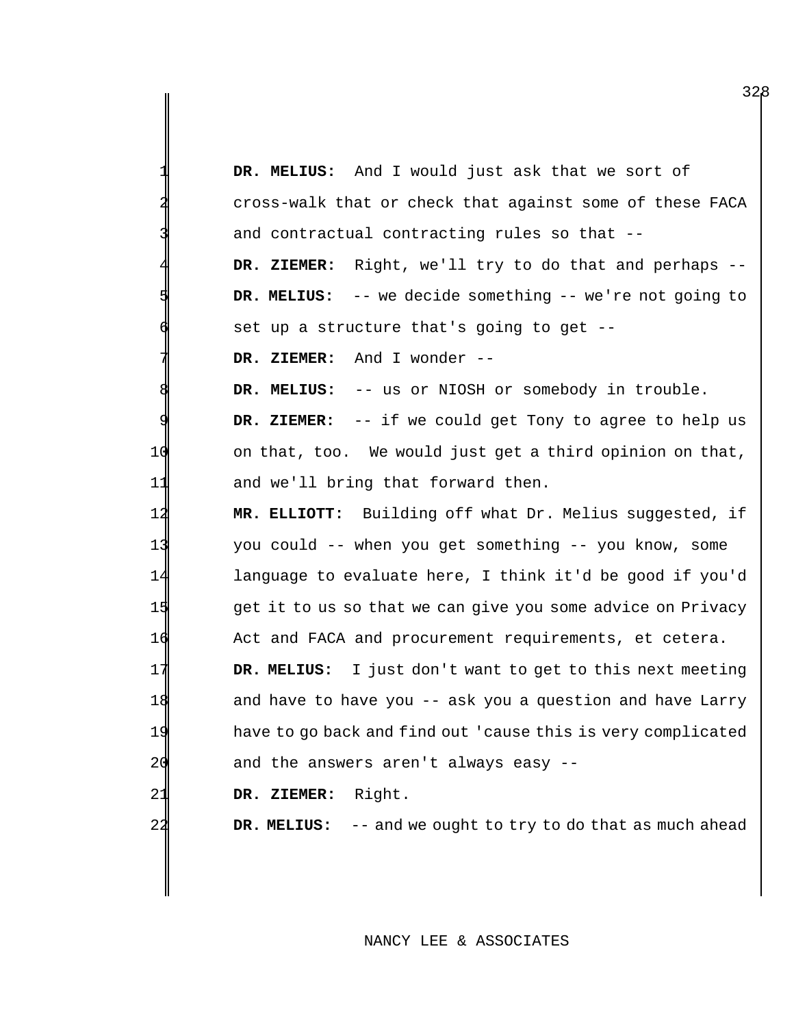|     | DR. MELIUS: And I would just ask that we sort of             |
|-----|--------------------------------------------------------------|
|     | cross-walk that or check that against some of these FACA     |
|     | and contractual contracting rules so that --                 |
|     | Right, we'll try to do that and perhaps --<br>DR. ZIEMER:    |
|     | DR. MELIUS: -- we decide something -- we're not going to     |
|     | set up a structure that's going to get --                    |
|     | And I wonder $--$<br>DR. ZIEMER:                             |
|     | -- us or NIOSH or somebody in trouble.<br>DR. MELIUS:        |
|     | -- if we could get Tony to agree to help us<br>DR. ZIEMER:   |
| 1 C | on that, too. We would just get a third opinion on that,     |
| 11  | and we'll bring that forward then.                           |
|     |                                                              |
| 12  | Building off what Dr. Melius suggested, if<br>MR. ELLIOTT:   |
| 13  | you could -- when you get something -- you know, some        |
| 14  | language to evaluate here, I think it'd be good if you'd     |
| 15  | get it to us so that we can give you some advice on Privacy  |
| 16  | Act and FACA and procurement requirements, et cetera.        |
| 17  | I just don't want to get to this next meeting<br>DR. MELIUS: |
| 18  | and have to have you -- ask you a question and have Larry    |
| 19  | have to go back and find out 'cause this is very complicated |
| 20  | and the answers aren't always easy --                        |
| 21  | Right.<br>DR. ZIEMER:                                        |

# NANCY LEE & ASSOCIATES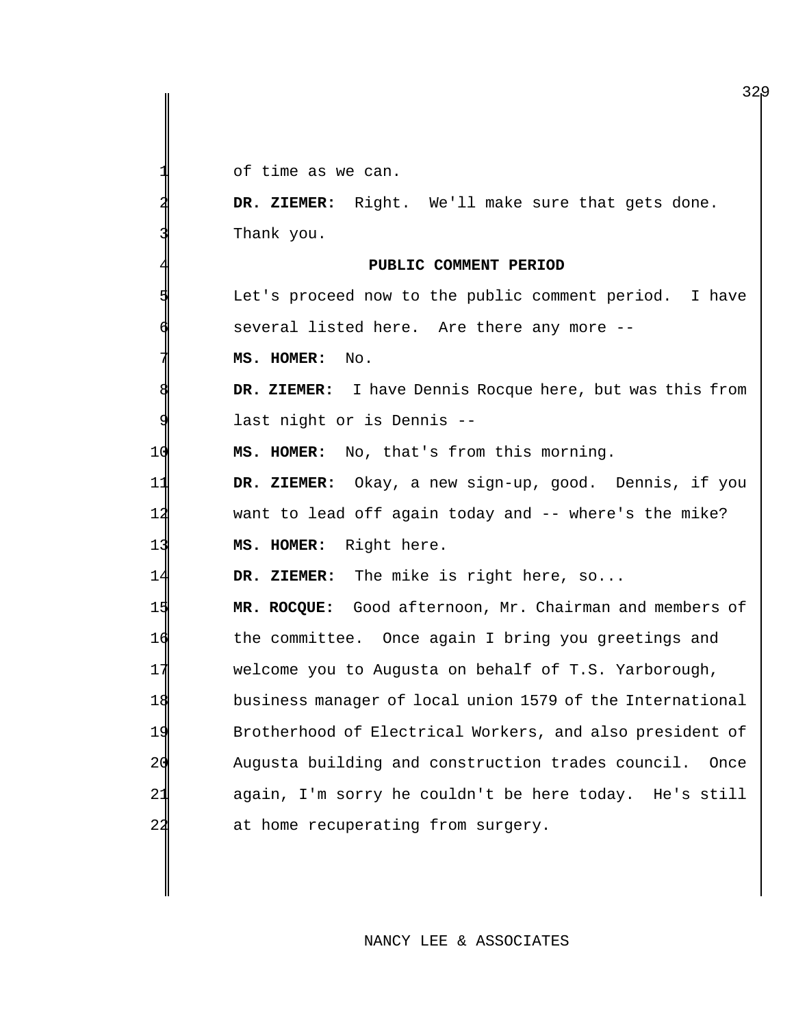of time as we can.

DR. ZIEMER: Right. We'll make sure that gets done. Thank you.

### 4 **PUBLIC COMMENT PERIOD**

Let's proceed now to the public comment period. I have several listed here. Are there any more --

7 **MS. HOMER:** No.

8 **DR. ZIEMER:** I have Dennis Rocque here, but was this from last night or is Dennis --

10 **MS. HOMER:** No, that's from this morning.

11 **DR. ZIEMER:** Okay, a new sign-up, good. Dennis, if you 12 want to lead off again today and -- where's the mike? 13 **MS. HOMER:** Right here.

14 **DR. ZIEMER:** The mike is right here, so...

 **MR. ROCQUE:** Good afternoon, Mr. Chairman and members of 14 the committee. Once again I bring you greetings and welcome you to Augusta on behalf of T.S. Yarborough, business manager of local union 1579 of the International Brotherhood of Electrical Workers, and also president of Augusta building and construction trades council. Once again, I'm sorry he couldn't be here today. He's still 22 at home recuperating from surgery.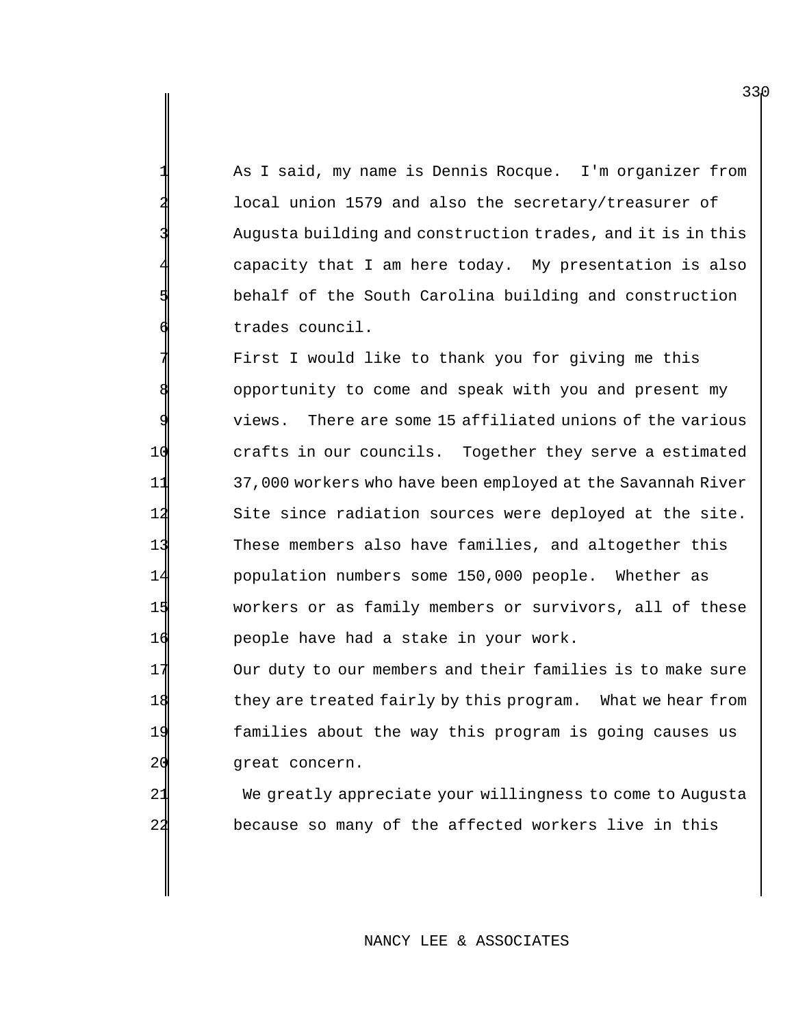1 As I said, my name is Dennis Rocque. I'm organizer from local union 1579 and also the secretary/treasurer of Augusta building and construction trades, and it is in this capacity that I am here today. My presentation is also behalf of the South Carolina building and construction trades council.

First I would like to thank you for giving me this opportunity to come and speak with you and present my views. There are some 15 affiliated unions of the various crafts in our councils. Together they serve a estimated 37,000 workers who have been employed at the Savannah River Site since radiation sources were deployed at the site. These members also have families, and altogether this population numbers some 150,000 people. Whether as workers or as family members or survivors, all of these people have had a stake in your work.

17 Our duty to our members and their families is to make sure 18 they are treated fairly by this program. What we hear from 19 families about the way this program is going causes us 20 great concern.

21 We greatly appreciate your willingness to come to Augusta 22 because so many of the affected workers live in this

### NANCY LEE & ASSOCIATES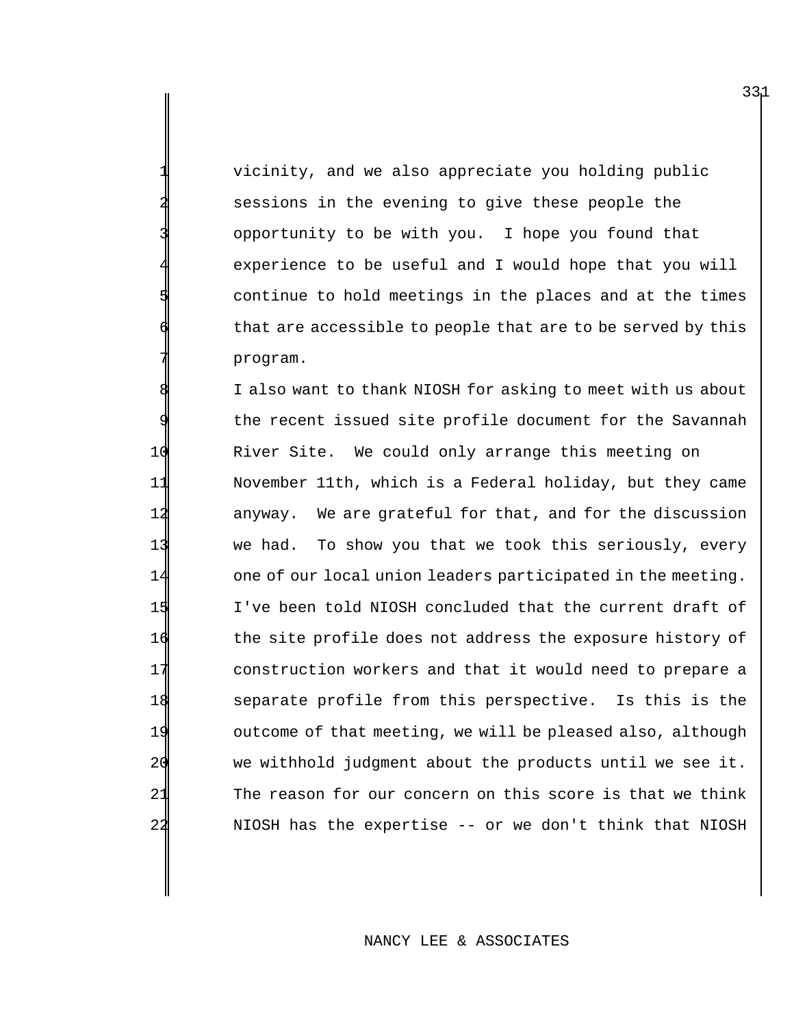vicinity, and we also appreciate you holding public sessions in the evening to give these people the 3 opportunity to be with you. I hope you found that experience to be useful and I would hope that you will continue to hold meetings in the places and at the times that are accessible to people that are to be served by this program.

I also want to thank NIOSH for asking to meet with us about the recent issued site profile document for the Savannah River Site. We could only arrange this meeting on November 11th, which is a Federal holiday, but they came anyway. We are grateful for that, and for the discussion we had. To show you that we took this seriously, every 14 one of our local union leaders participated in the meeting. I've been told NIOSH concluded that the current draft of 16 the site profile does not address the exposure history of construction workers and that it would need to prepare a separate profile from this perspective. Is this is the outcome of that meeting, we will be pleased also, although 20 we withhold judgment about the products until we see it. The reason for our concern on this score is that we think NIOSH has the expertise -- or we don't think that NIOSH

### NANCY LEE & ASSOCIATES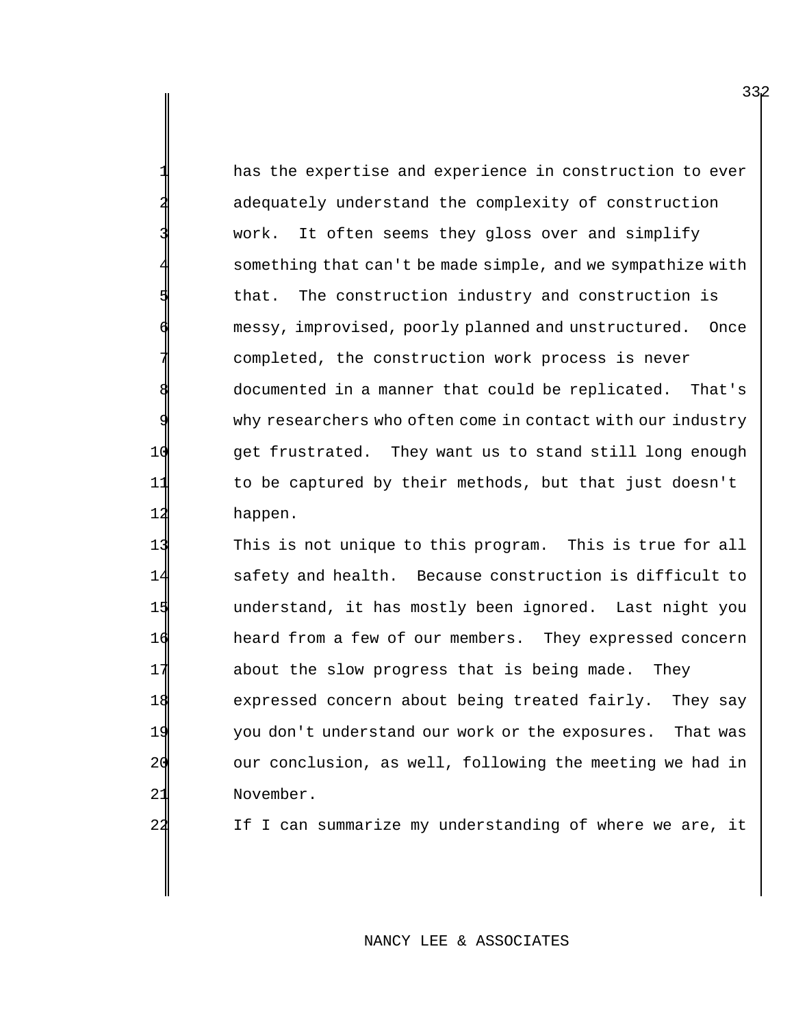has the expertise and experience in construction to ever adequately understand the complexity of construction work. It often seems they gloss over and simplify something that can't be made simple, and we sympathize with that. The construction industry and construction is messy, improvised, poorly planned and unstructured. Once completed, the construction work process is never documented in a manner that could be replicated. That's why researchers who often come in contact with our industry 10 get frustrated. They want us to stand still long enough 11 to be captured by their methods, but that just doesn't 12 happen.

 This is not unique to this program. This is true for all safety and health. Because construction is difficult to understand, it has mostly been ignored. Last night you heard from a few of our members. They expressed concern about the slow progress that is being made. They expressed concern about being treated fairly. They say you don't understand our work or the exposures. That was our conclusion, as well, following the meeting we had in November.

22 If I can summarize my understanding of where we are, it

## NANCY LEE & ASSOCIATES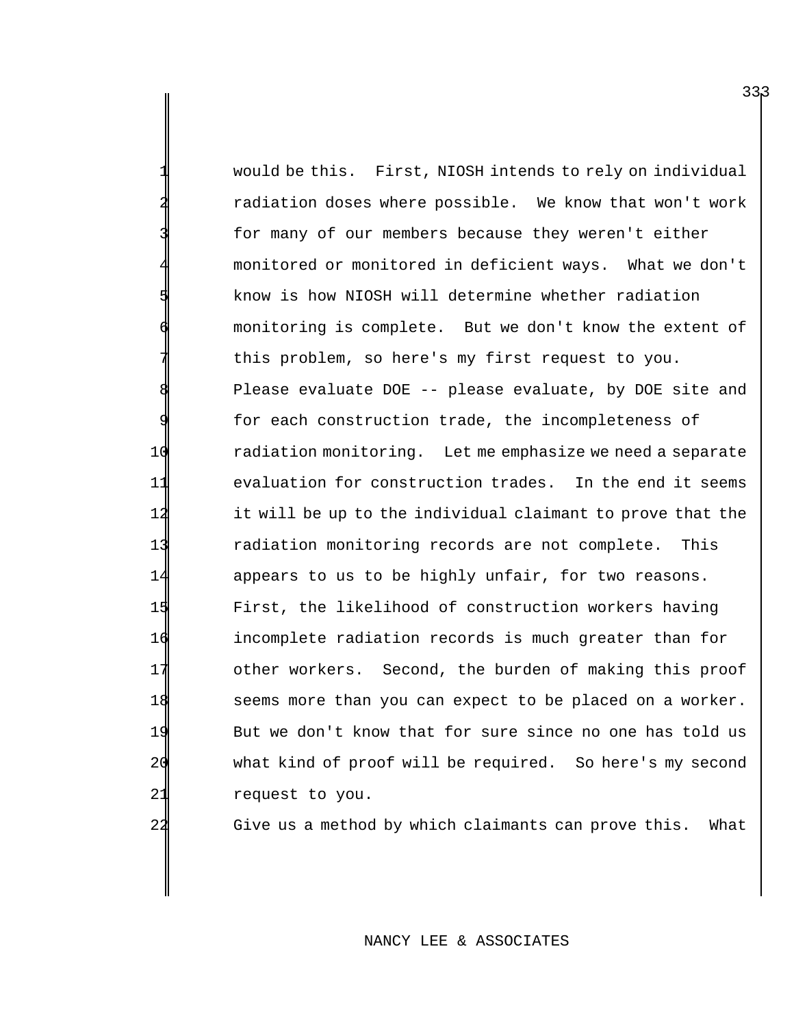would be this. First, NIOSH intends to rely on individual radiation doses where possible. We know that won't work for many of our members because they weren't either monitored or monitored in deficient ways. What we don't know is how NIOSH will determine whether radiation monitoring is complete. But we don't know the extent of this problem, so here's my first request to you. 8 Please evaluate DOE -- please evaluate, by DOE site and for each construction trade, the incompleteness of 10 radiation monitoring. Let me emphasize we need a separate 11 evaluation for construction trades. In the end it seems 12 it will be up to the individual claimant to prove that the 13 radiation monitoring records are not complete. This 14 appears to us to be highly unfair, for two reasons. 15 First, the likelihood of construction workers having 16 incomplete radiation records is much greater than for 17 other workers. Second, the burden of making this proof 18 seems more than you can expect to be placed on a worker. 19 But we don't know that for sure since no one has told us 20 what kind of proof will be required. So here's my second 21 request to you.

22 Give us a method by which claimants can prove this. What

## NANCY LEE & ASSOCIATES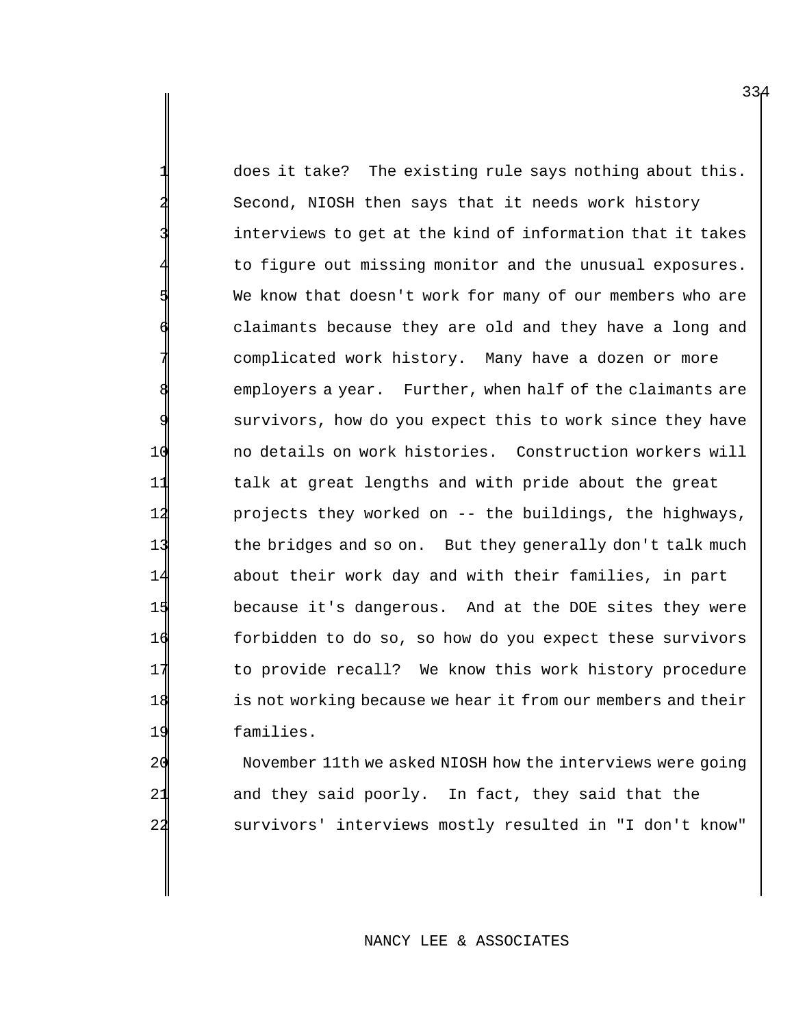does it take? The existing rule says nothing about this. Second, NIOSH then says that it needs work history interviews to get at the kind of information that it takes to figure out missing monitor and the unusual exposures. We know that doesn't work for many of our members who are claimants because they are old and they have a long and complicated work history. Many have a dozen or more employers a year. Further, when half of the claimants are survivors, how do you expect this to work since they have 10 no details on work histories. Construction workers will 11 talk at great lengths and with pride about the great 12 projects they worked on -- the buildings, the highways, 13 the bridges and so on. But they generally don't talk much 14 about their work day and with their families, in part 15 because it's dangerous. And at the DOE sites they were 16 forbidden to do so, so how do you expect these survivors 17 to provide recall? We know this work history procedure 18 is not working because we hear it from our members and their 19 families.

20 November 11th we asked NIOSH how the interviews were going 21 and they said poorly. In fact, they said that the 22 survivors' interviews mostly resulted in "I don't know"

### NANCY LEE & ASSOCIATES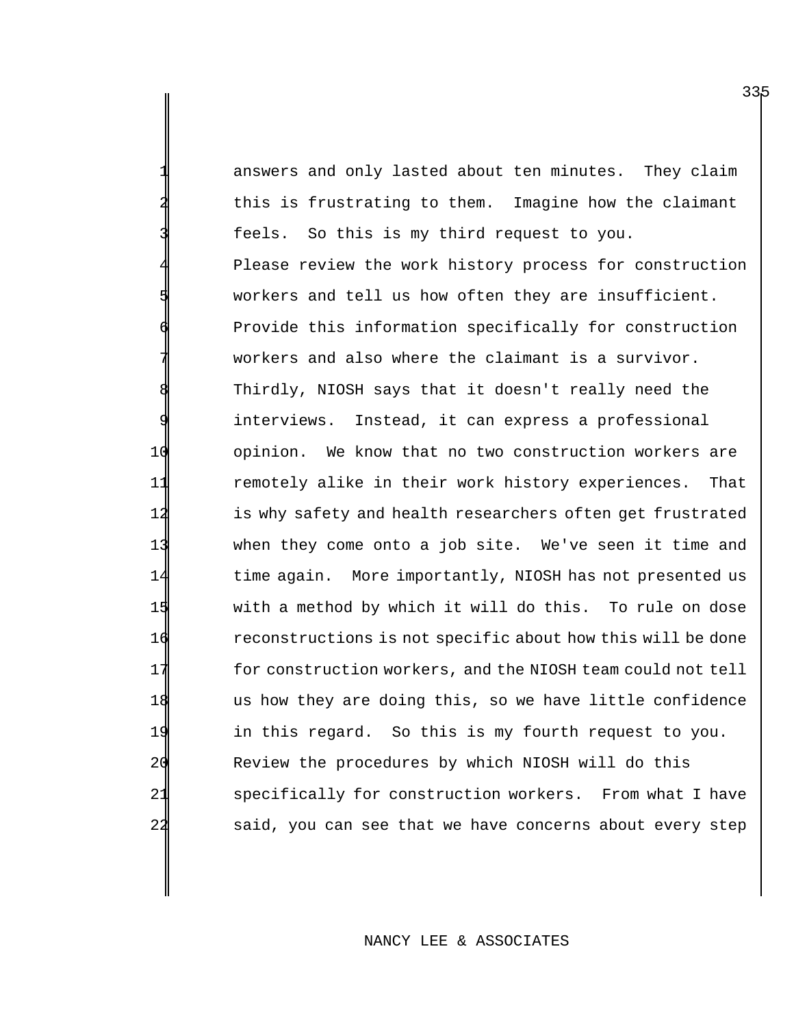answers and only lasted about ten minutes. They claim this is frustrating to them. Imagine how the claimant feels. So this is my third request to you. Please review the work history process for construction workers and tell us how often they are insufficient. Provide this information specifically for construction workers and also where the claimant is a survivor. Thirdly, NIOSH says that it doesn't really need the interviews. Instead, it can express a professional 10 opinion. We know that no two construction workers are 11 remotely alike in their work history experiences. That 12 is why safety and health researchers often get frustrated 13 when they come onto a job site. We've seen it time and 14 time again. More importantly, NIOSH has not presented us 15 with a method by which it will do this. To rule on dose 16 reconstructions is not specific about how this will be done 17 for construction workers, and the NIOSH team could not tell 18 us how they are doing this, so we have little confidence 19 in this regard. So this is my fourth request to you. 20 Review the procedures by which NIOSH will do this 21 specifically for construction workers. From what I have 22 said, you can see that we have concerns about every step

### NANCY LEE & ASSOCIATES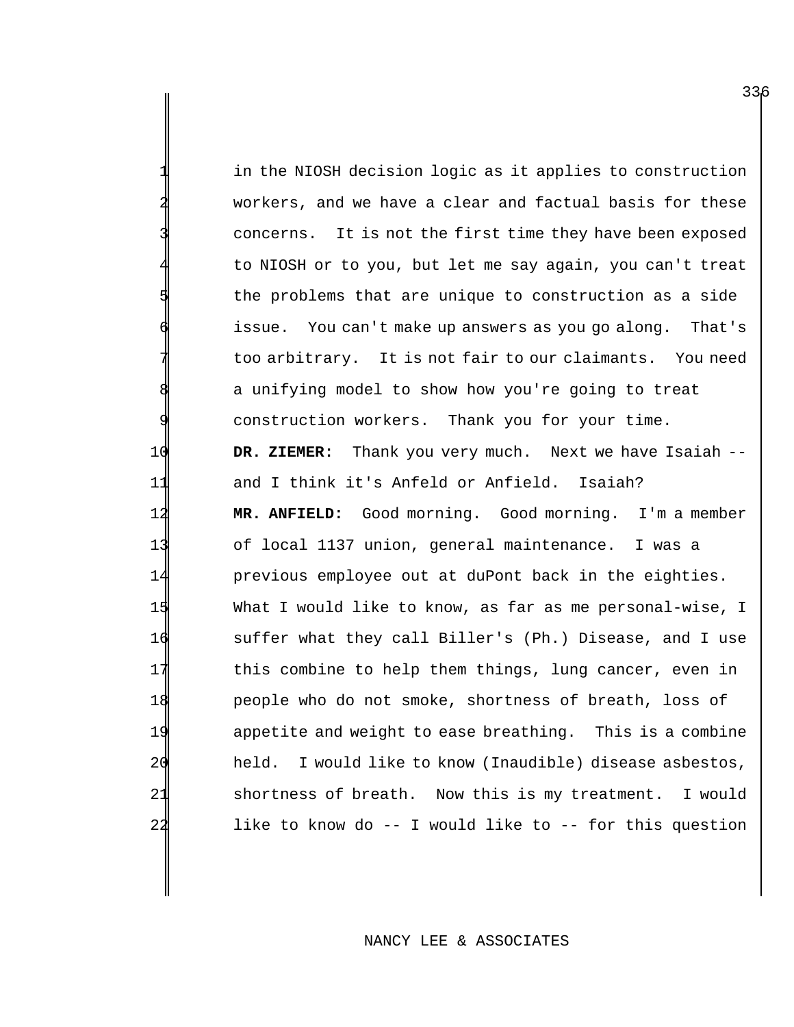in the NIOSH decision logic as it applies to construction workers, and we have a clear and factual basis for these concerns. It is not the first time they have been exposed to NIOSH or to you, but let me say again, you can't treat the problems that are unique to construction as a side issue. You can't make up answers as you go along. That's too arbitrary. It is not fair to our claimants. You need a unifying model to show how you're going to treat construction workers. Thank you for your time. **DR. ZIEMER:** Thank you very much. Next we have Isaiah -- and I think it's Anfeld or Anfield. Isaiah? **MR. ANFIELD:** Good morning. Good morning. I'm a member of local 1137 union, general maintenance. I was a previous employee out at duPont back in the eighties. What I would like to know, as far as me personal-wise, I suffer what they call Biller's (Ph.) Disease, and I use this combine to help them things, lung cancer, even in people who do not smoke, shortness of breath, loss of appetite and weight to ease breathing. This is a combine held. I would like to know (Inaudible) disease asbestos, shortness of breath. Now this is my treatment. I would like to know do -- I would like to -- for this question

### NANCY LEE & ASSOCIATES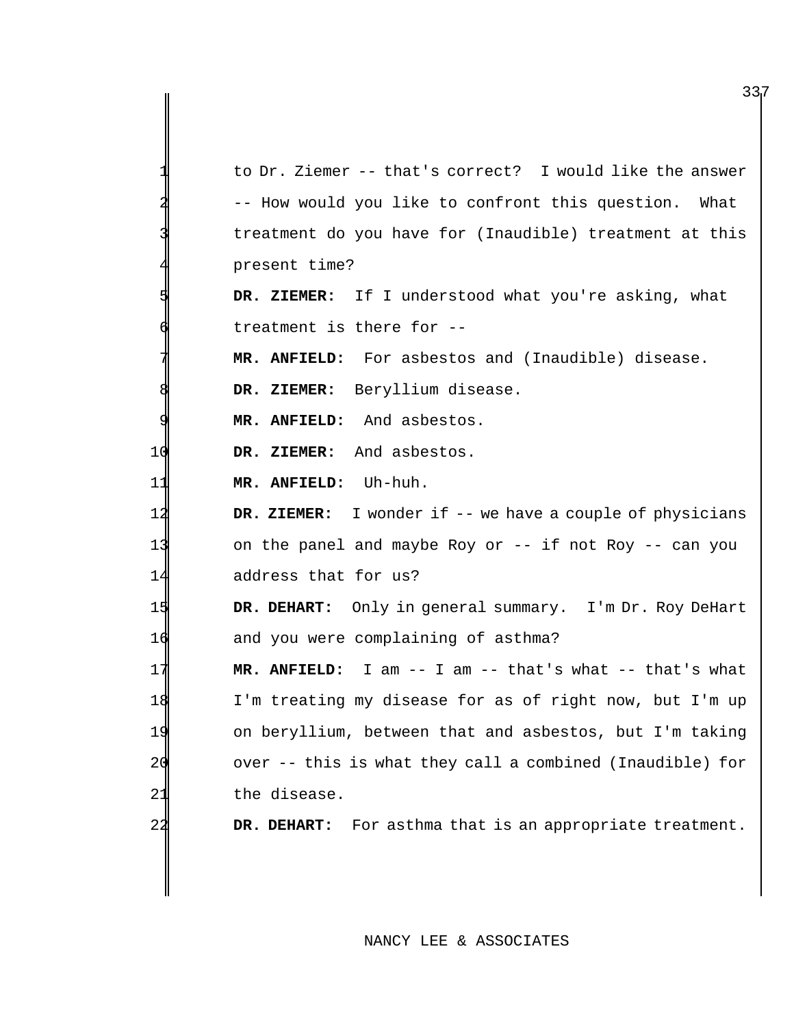|                | to Dr. Ziemer -- that's correct? I would like the answer          |
|----------------|-------------------------------------------------------------------|
|                | -- How would you like to confront this question. What             |
|                | treatment do you have for (Inaudible) treatment at this           |
|                | present time?                                                     |
|                | DR. ZIEMER: If I understood what you're asking, what              |
|                | treatment is there for --                                         |
|                | MR. ANFIELD: For asbestos and (Inaudible) disease.                |
|                | DR. ZIEMER: Beryllium disease.                                    |
|                | MR. ANFIELD: And asbestos.                                        |
| 10             | DR. ZIEMER: And asbestos.                                         |
| 11             | MR. ANFIELD: Uh-huh.                                              |
| 12             | <b>DR. ZIEMER:</b> I wonder if -- we have a couple of physicians  |
| 13             | on the panel and maybe Roy or $-$ if not Roy $-$ can you          |
| 14             | address that for us?                                              |
| 15             | DR. DEHART: Only in general summary. I'm Dr. Roy DeHart           |
| 16             | and you were complaining of asthma?                               |
| 11             | <b>MR. ANFIELD:</b> I am $-$ I am $-$ that's what $-$ that's what |
| 18             | I'm treating my disease for as of right now, but I'm up           |
| 19             | on beryllium, between that and asbestos, but I'm taking           |
| 2 <sub>q</sub> | over -- this is what they call a combined (Inaudible) for         |
| 21             | the disease.                                                      |
|                | For asthma that is an appropriate treatment.<br>DR. DEHART:       |
|                |                                                                   |

# NANCY LEE & ASSOCIATES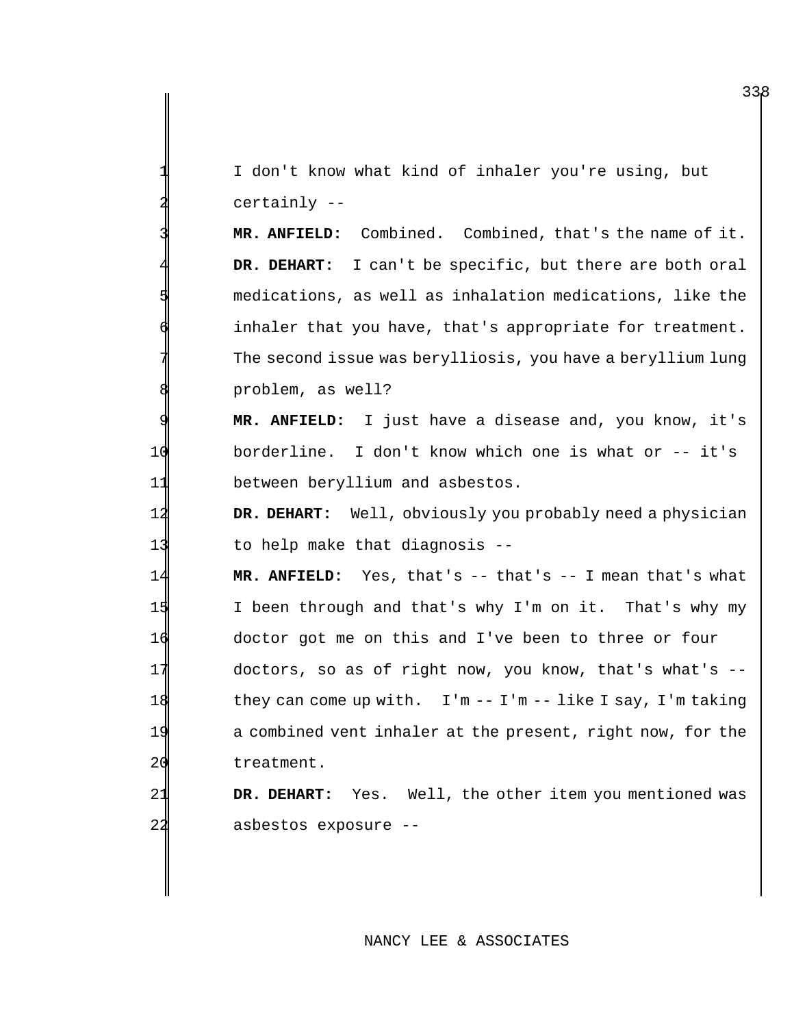I don't know what kind of inhaler you're using, but certainly --

 **MR. ANFIELD:** Combined. Combined, that's the name of it. DR. DEHART: I can't be specific, but there are both oral medications, as well as inhalation medications, like the inhaler that you have, that's appropriate for treatment. The second issue was berylliosis, you have a beryllium lung problem, as well?

 **MR. ANFIELD:** I just have a disease and, you know, it's borderline. I don't know which one is what or -- it's between beryllium and asbestos.

**DR. DEHART:** Well, obviously you probably need a physician to help make that diagnosis --

 **MR. ANFIELD:** Yes, that's -- that's -- I mean that's what I been through and that's why I'm on it. That's why my doctor got me on this and I've been to three or four doctors, so as of right now, you know, that's what's -- they can come up with. I'm -- I'm -- like I say, I'm taking a combined vent inhaler at the present, right now, for the treatment.

 **DR. DEHART:** Yes. Well, the other item you mentioned was asbestos exposure --

### NANCY LEE & ASSOCIATES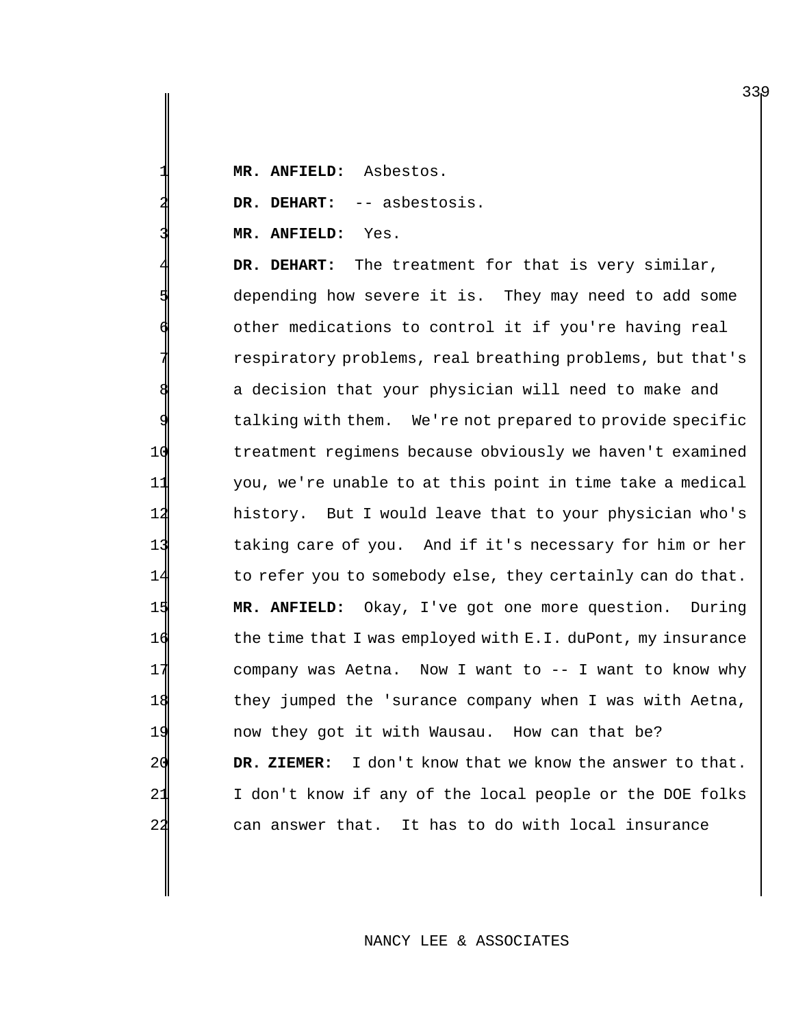**MR. ANFIELD:** Asbestos.

DR. DEHART: -- asbestosis.

**MR. ANFIELD:** Yes.

DR. DEHART: The treatment for that is very similar, depending how severe it is. They may need to add some other medications to control it if you're having real respiratory problems, real breathing problems, but that's a decision that your physician will need to make and talking with them. We're not prepared to provide specific treatment regimens because obviously we haven't examined you, we're unable to at this point in time take a medical history. But I would leave that to your physician who's taking care of you. And if it's necessary for him or her 14 to refer you to somebody else, they certainly can do that. **MR. ANFIELD:** Okay, I've got one more question. During 16 the time that I was employed with E.I. duPont, my insurance company was Aetna. Now I want to -- I want to know why they jumped the 'surance company when I was with Aetna, now they got it with Wausau. How can that be? **DR. ZIEMER:** I don't know that we know the answer to that. I don't know if any of the local people or the DOE folks can answer that. It has to do with local insurance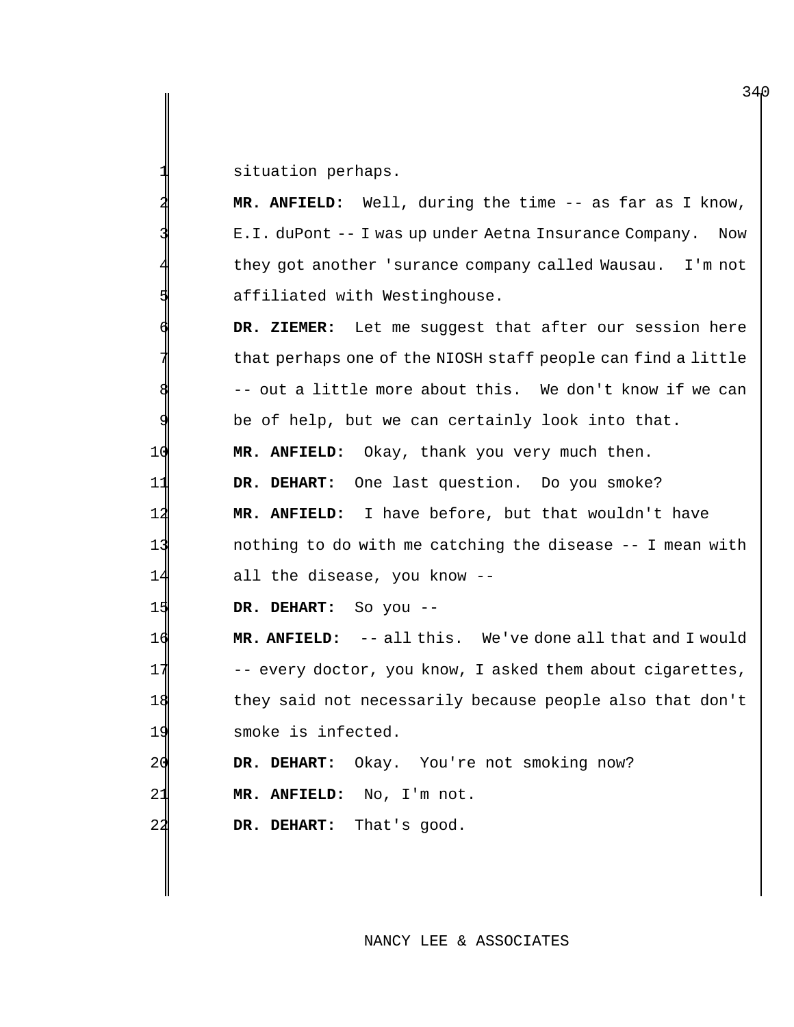situation perhaps.

2 **MR. ANFIELD:** Well, during the time -- as far as I know, E.I. duPont -- I was up under Aetna Insurance Company. Now they got another 'surance company called Wausau. I'm not affiliated with Westinghouse.

DR. ZIEMER: Let me suggest that after our session here that perhaps one of the NIOSH staff people can find a little -- out a little more about this. We don't know if we can be of help, but we can certainly look into that. **MR. ANFIELD:** Okay, thank you very much then. **DR. DEHART:** One last question. Do you smoke? **MR. ANFIELD:** I have before, but that wouldn't have nothing to do with me catching the disease -- I mean with all the disease, you know -- **DR. DEHART:** So you -- **MR. ANFIELD:** -- all this. We've done all that and I would 17 -- every doctor, you know, I asked them about cigarettes,

18 they said not necessarily because people also that don't 19 smoke is infected.

20 **DR. DEHART:** Okay. You're not smoking now? 2<sup>1</sup> MR. ANFIELD: No, I'm not.

22 **DR. DEHART:** That's good.

NANCY LEE & ASSOCIATES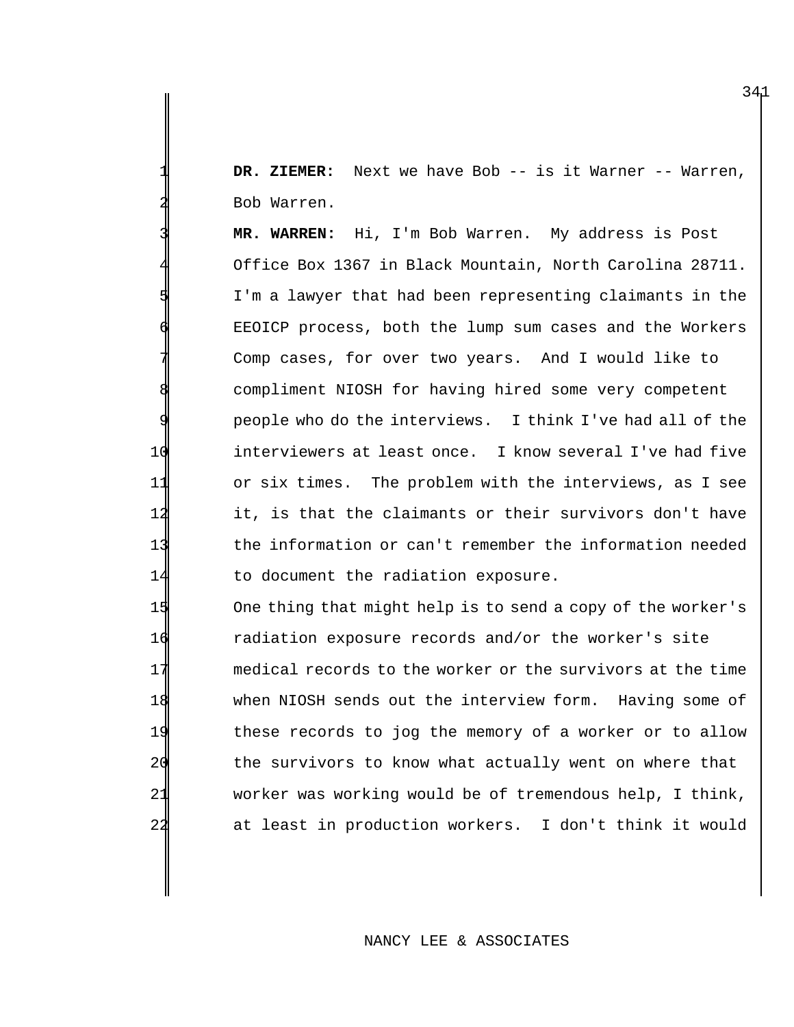**DR. ZIEMER:** Next we have Bob -- is it Warner -- Warren, Bob Warren.

 **MR. WARREN:** Hi, I'm Bob Warren. My address is Post Office Box 1367 in Black Mountain, North Carolina 28711. I'm a lawyer that had been representing claimants in the EEOICP process, both the lump sum cases and the Workers Comp cases, for over two years. And I would like to compliment NIOSH for having hired some very competent people who do the interviews. I think I've had all of the interviewers at least once. I know several I've had five or six times. The problem with the interviews, as I see it, is that the claimants or their survivors don't have the information or can't remember the information needed 14 to document the radiation exposure.

 One thing that might help is to send a copy of the worker's radiation exposure records and/or the worker's site medical records to the worker or the survivors at the time when NIOSH sends out the interview form. Having some of these records to jog the memory of a worker or to allow 20 the survivors to know what actually went on where that worker was working would be of tremendous help, I think, at least in production workers. I don't think it would

### NANCY LEE & ASSOCIATES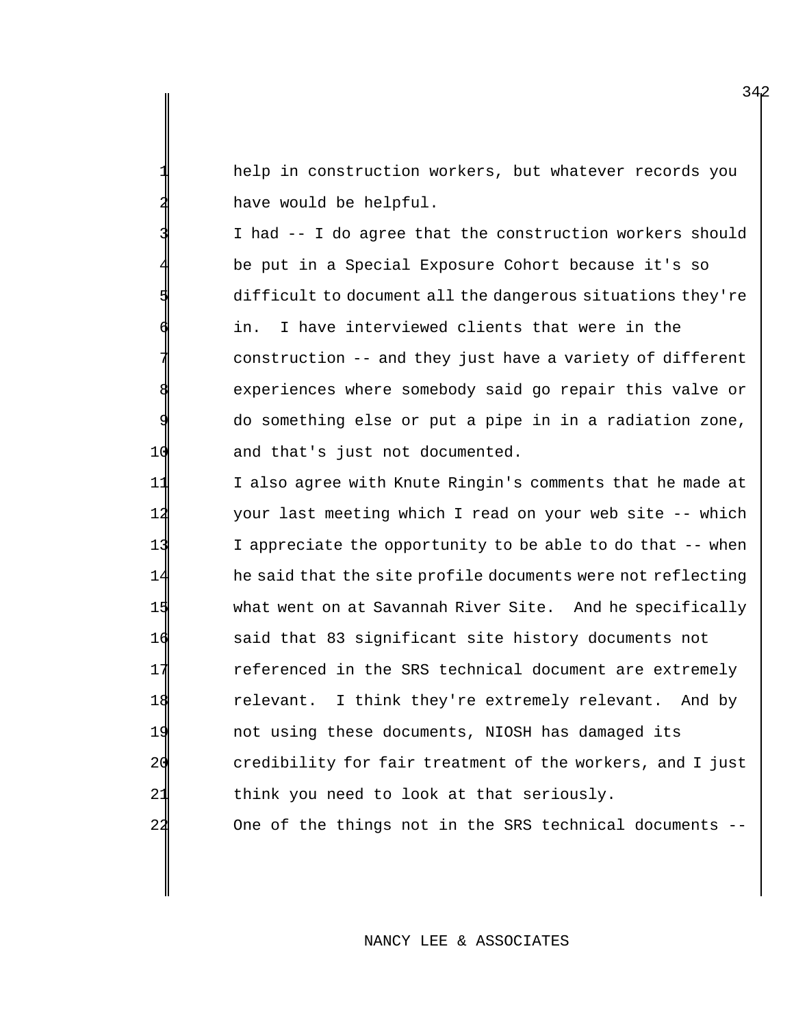help in construction workers, but whatever records you have would be helpful.

I had -- I do agree that the construction workers should be put in a Special Exposure Cohort because it's so difficult to document all the dangerous situations they're in. I have interviewed clients that were in the construction -- and they just have a variety of different experiences where somebody said go repair this valve or 9 do something else or put a pipe in in a radiation zone, 10 and that's just not documented.

 I also agree with Knute Ringin's comments that he made at 12 your last meeting which I read on your web site -- which I appreciate the opportunity to be able to do that -- when he said that the site profile documents were not reflecting what went on at Savannah River Site. And he specifically said that 83 significant site history documents not referenced in the SRS technical document are extremely relevant. I think they're extremely relevant. And by not using these documents, NIOSH has damaged its credibility for fair treatment of the workers, and I just think you need to look at that seriously. One of the things not in the SRS technical documents --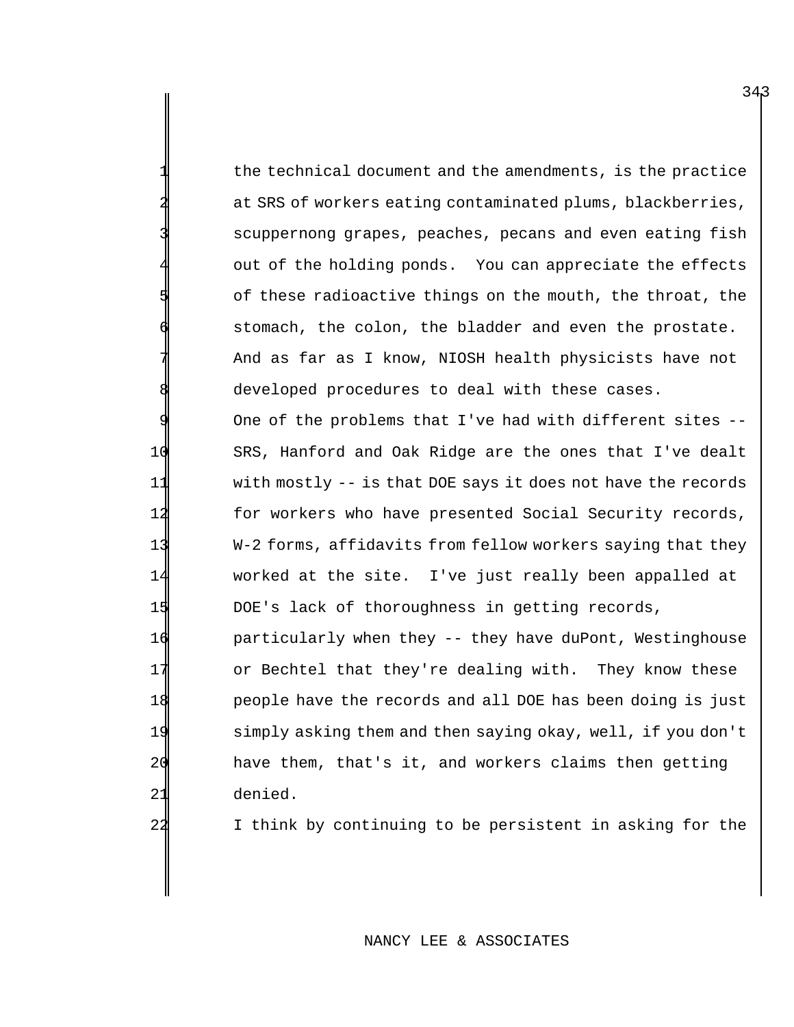the technical document and the amendments, is the practice at SRS of workers eating contaminated plums, blackberries, scuppernong grapes, peaches, pecans and even eating fish out of the holding ponds. You can appreciate the effects of these radioactive things on the mouth, the throat, the stomach, the colon, the bladder and even the prostate. And as far as I know, NIOSH health physicists have not developed procedures to deal with these cases.

One of the problems that I've had with different sites -- SRS, Hanford and Oak Ridge are the ones that I've dealt with mostly -- is that DOE says it does not have the records for workers who have presented Social Security records, W-2 forms, affidavits from fellow workers saying that they worked at the site. I've just really been appalled at 15 DOE's lack of thoroughness in getting records,

 particularly when they -- they have duPont, Westinghouse or Bechtel that they're dealing with. They know these people have the records and all DOE has been doing is just simply asking them and then saying okay, well, if you don't have them, that's it, and workers claims then getting 21 denied.

22 I think by continuing to be persistent in asking for the

## NANCY LEE & ASSOCIATES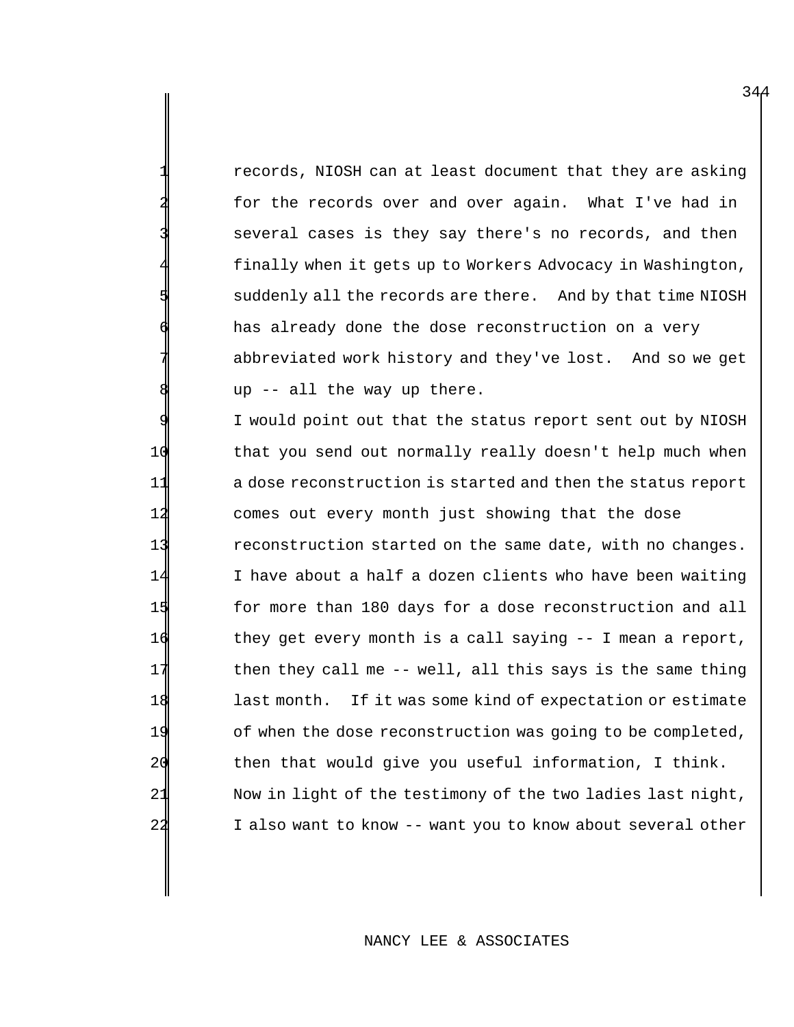records, NIOSH can at least document that they are asking for the records over and over again. What I've had in several cases is they say there's no records, and then finally when it gets up to Workers Advocacy in Washington, suddenly all the records are there. And by that time NIOSH has already done the dose reconstruction on a very abbreviated work history and they've lost. And so we get up  $-$  all the way up there.

I would point out that the status report sent out by NIOSH that you send out normally really doesn't help much when a dose reconstruction is started and then the status report comes out every month just showing that the dose reconstruction started on the same date, with no changes. I have about a half a dozen clients who have been waiting 15 for more than 180 days for a dose reconstruction and all they get every month is a call saying -- I mean a report, 17 then they call me -- well, all this says is the same thing last month. If it was some kind of expectation or estimate 19 of when the dose reconstruction was going to be completed, then that would give you useful information, I think. 21 Now in light of the testimony of the two ladies last night, I also want to know -- want you to know about several other

### NANCY LEE & ASSOCIATES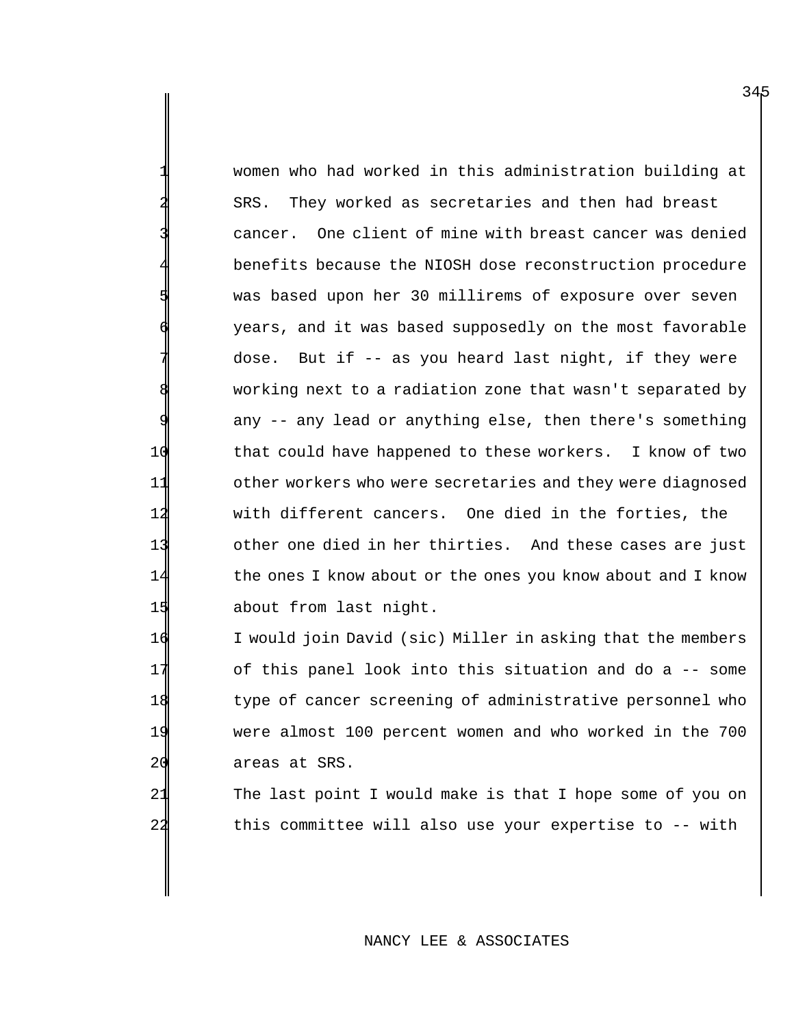women who had worked in this administration building at SRS. They worked as secretaries and then had breast cancer. One client of mine with breast cancer was denied benefits because the NIOSH dose reconstruction procedure was based upon her 30 millirems of exposure over seven years, and it was based supposedly on the most favorable dose. But if -- as you heard last night, if they were working next to a radiation zone that wasn't separated by any -- any lead or anything else, then there's something 10 that could have happened to these workers. I know of two 11 other workers who were secretaries and they were diagnosed 12 with different cancers. One died in the forties, the 13 other one died in her thirties. And these cases are just 14 the ones I know about or the ones you know about and I know 15 about from last night.

 I would join David (sic) Miller in asking that the members of this panel look into this situation and do a -- some type of cancer screening of administrative personnel who were almost 100 percent women and who worked in the 700 20 areas at SRS.

21 The last point I would make is that I hope some of you on 22 this committee will also use your expertise to -- with

### NANCY LEE & ASSOCIATES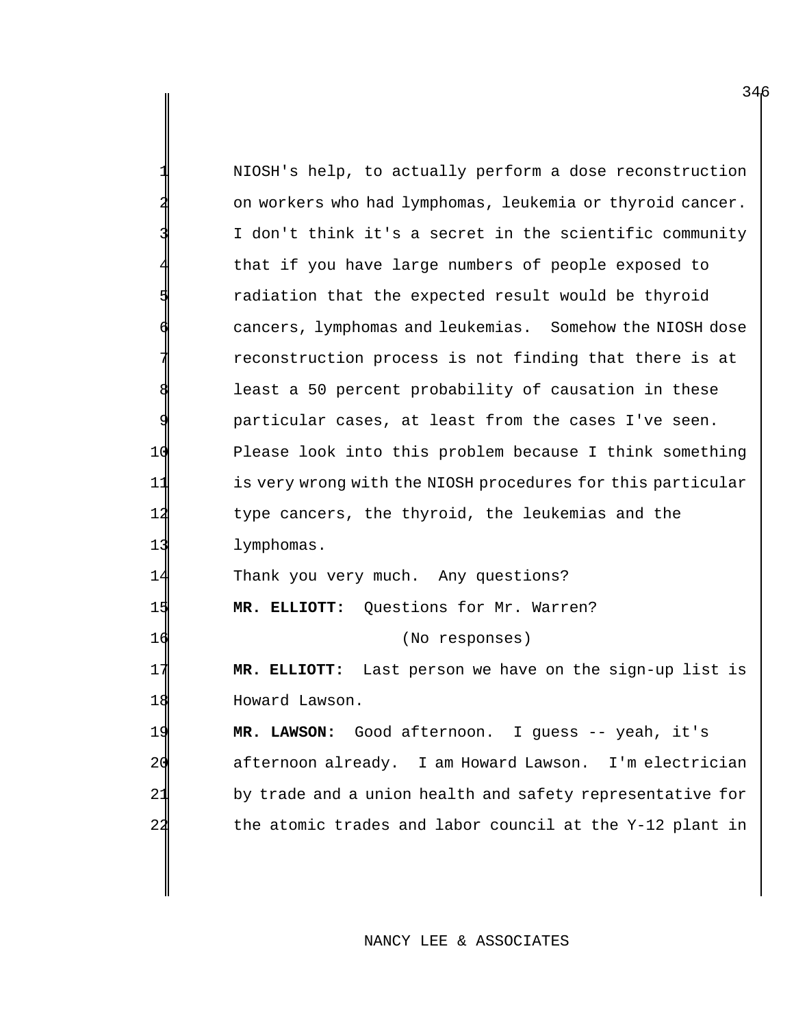1 NIOSH's help, to actually perform a dose reconstruction 2 on workers who had lymphomas, leukemia or thyroid cancer. I don't think it's a secret in the scientific community that if you have large numbers of people exposed to radiation that the expected result would be thyroid cancers, lymphomas and leukemias. Somehow the NIOSH dose reconstruction process is not finding that there is at least a 50 percent probability of causation in these particular cases, at least from the cases I've seen. 10 Please look into this problem because I think something 11 is very wrong with the NIOSH procedures for this particular 12 type cancers, the thyroid, the leukemias and the 13 lymphomas. 14 Thank you very much. Any questions? 15 **MR. ELLIOTT:** Questions for Mr. Warren? 16 (No responses) 17 **MR. ELLIOTT:** Last person we have on the sign-up list is 18 Howard Lawson. 19 **MR. LAWSON:** Good afternoon. I guess -- yeah, it's 20 afternoon already. I am Howard Lawson. I'm electrician 21 by trade and a union health and safety representative for 22 the atomic trades and labor council at the Y-12 plant in

NANCY LEE & ASSOCIATES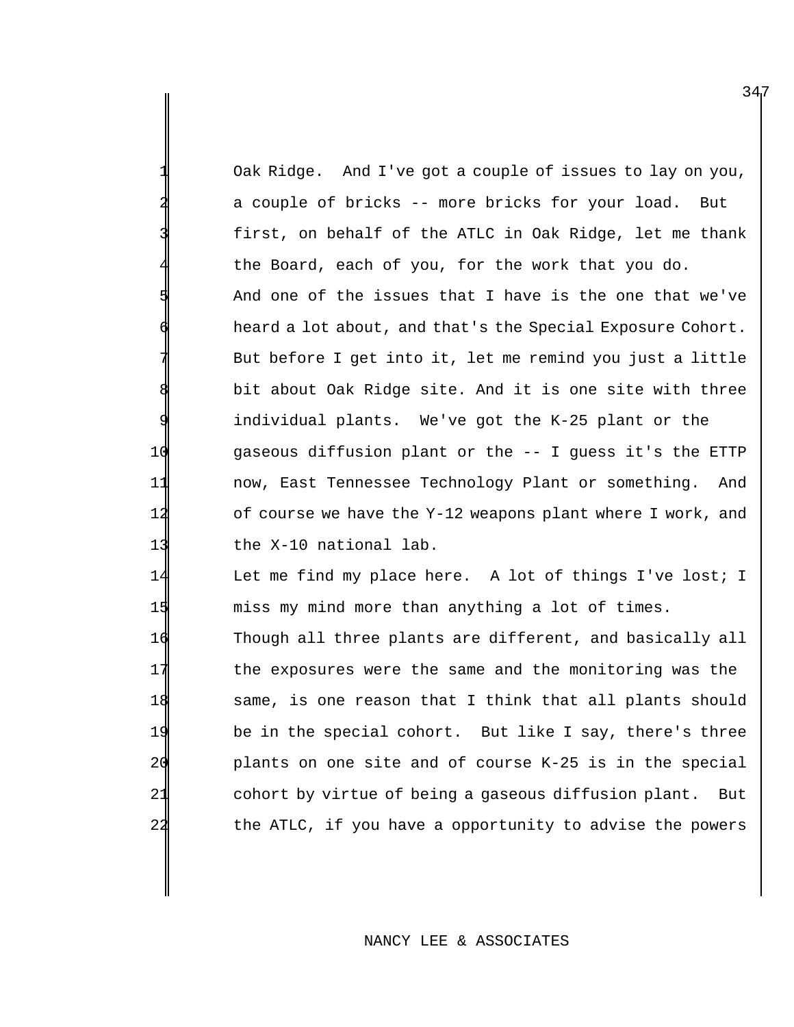0ak Ridge. And I've got a couple of issues to lay on you, a couple of bricks -- more bricks for your load. But first, on behalf of the ATLC in Oak Ridge, let me thank the Board, each of you, for the work that you do. And one of the issues that I have is the one that we've heard a lot about, and that's the Special Exposure Cohort. But before I get into it, let me remind you just a little bit about Oak Ridge site. And it is one site with three individual plants. We've got the K-25 plant or the 10 gaseous diffusion plant or the -- I guess it's the ETTP 11 now, East Tennessee Technology Plant or something. And 12 of course we have the Y-12 weapons plant where I work, and 13 the X-10 national lab.

 Let me find my place here. A lot of things I've lost; I miss my mind more than anything a lot of times. Though all three plants are different, and basically all the exposures were the same and the monitoring was the 18 same, is one reason that I think that all plants should be in the special cohort. But like I say, there's three plants on one site and of course K-25 is in the special cohort by virtue of being a gaseous diffusion plant. But 22 the ATLC, if you have a opportunity to advise the powers

### NANCY LEE & ASSOCIATES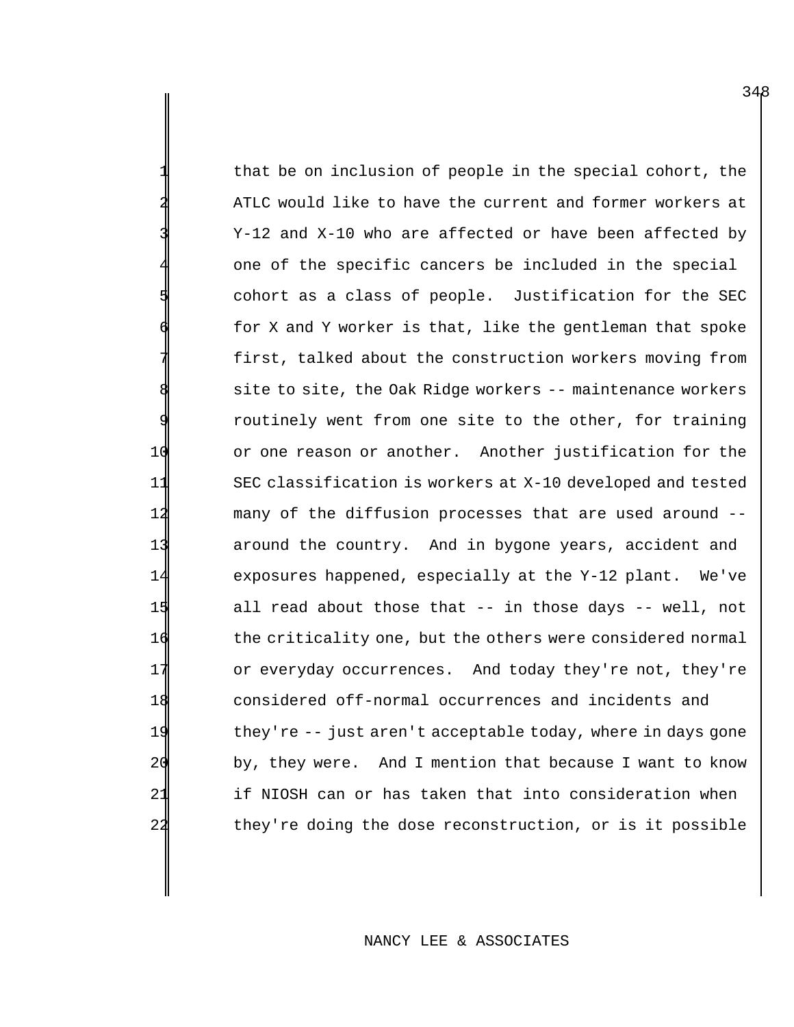that be on inclusion of people in the special cohort, the ATLC would like to have the current and former workers at Y-12 and X-10 who are affected or have been affected by one of the specific cancers be included in the special cohort as a class of people. Justification for the SEC for X and Y worker is that, like the gentleman that spoke first, talked about the construction workers moving from site to site, the Oak Ridge workers -- maintenance workers routinely went from one site to the other, for training or one reason or another. Another justification for the SEC classification is workers at X-10 developed and tested many of the diffusion processes that are used around -- around the country. And in bygone years, accident and exposures happened, especially at the Y-12 plant. We've all read about those that -- in those days -- well, not 16 the criticality one, but the others were considered normal or everyday occurrences. And today they're not, they're considered off-normal occurrences and incidents and they're -- just aren't acceptable today, where in days gone by, they were. And I mention that because I want to know if NIOSH can or has taken that into consideration when they're doing the dose reconstruction, or is it possible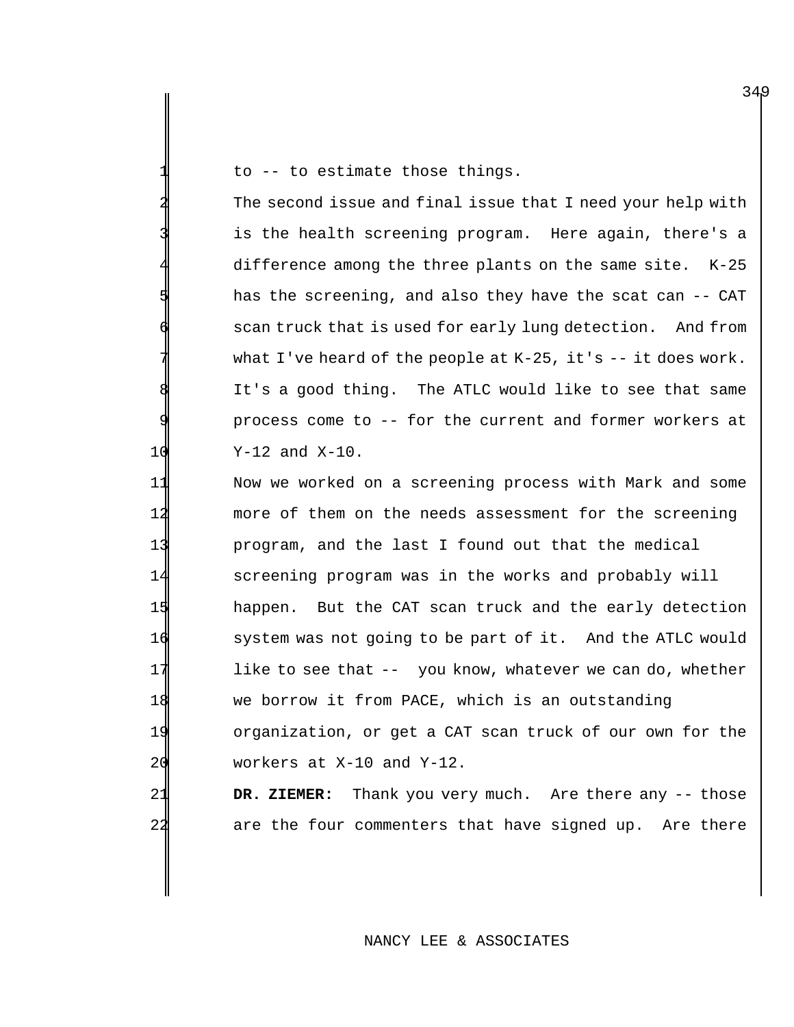to  $-$  to estimate those things.

The second issue and final issue that I need your help with is the health screening program. Here again, there's a difference among the three plants on the same site. K-25 has the screening, and also they have the scat can -- CAT scan truck that is used for early lung detection. And from what I've heard of the people at  $K-25$ , it's  $-$ - it does work. It's a good thing. The ATLC would like to see that same 9 process come to -- for the current and former workers at  $10$   $Y-12$  and  $X-10$ .

 Now we worked on a screening process with Mark and some more of them on the needs assessment for the screening program, and the last I found out that the medical screening program was in the works and probably will happen. But the CAT scan truck and the early detection system was not going to be part of it. And the ATLC would 17 like to see that -- you know, whatever we can do, whether we borrow it from PACE, which is an outstanding organization, or get a CAT scan truck of our own for the workers at X-10 and Y-12.

21 DR. ZIEMER: Thank you very much. Are there any -- those 22 are the four commenters that have signed up. Are there

### NANCY LEE & ASSOCIATES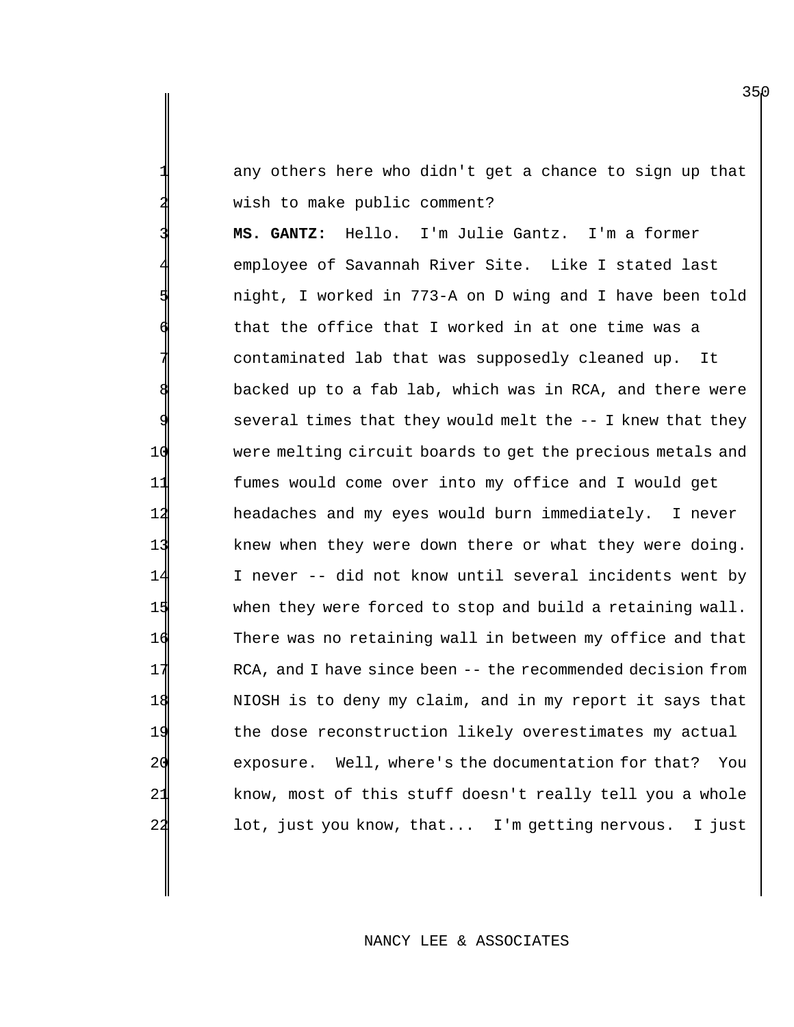any others here who didn't get a chance to sign up that wish to make public comment?

 **MS. GANTZ:** Hello. I'm Julie Gantz. I'm a former employee of Savannah River Site. Like I stated last night, I worked in 773-A on D wing and I have been told that the office that I worked in at one time was a contaminated lab that was supposedly cleaned up. It backed up to a fab lab, which was in RCA, and there were several times that they would melt the -- I knew that they were melting circuit boards to get the precious metals and fumes would come over into my office and I would get 12 headaches and my eyes would burn immediately. I never knew when they were down there or what they were doing. 14 I never -- did not know until several incidents went by when they were forced to stop and build a retaining wall. There was no retaining wall in between my office and that RCA, and I have since been -- the recommended decision from NIOSH is to deny my claim, and in my report it says that the dose reconstruction likely overestimates my actual exposure. Well, where's the documentation for that? You know, most of this stuff doesn't really tell you a whole lot, just you know, that... I'm getting nervous. I just

### NANCY LEE & ASSOCIATES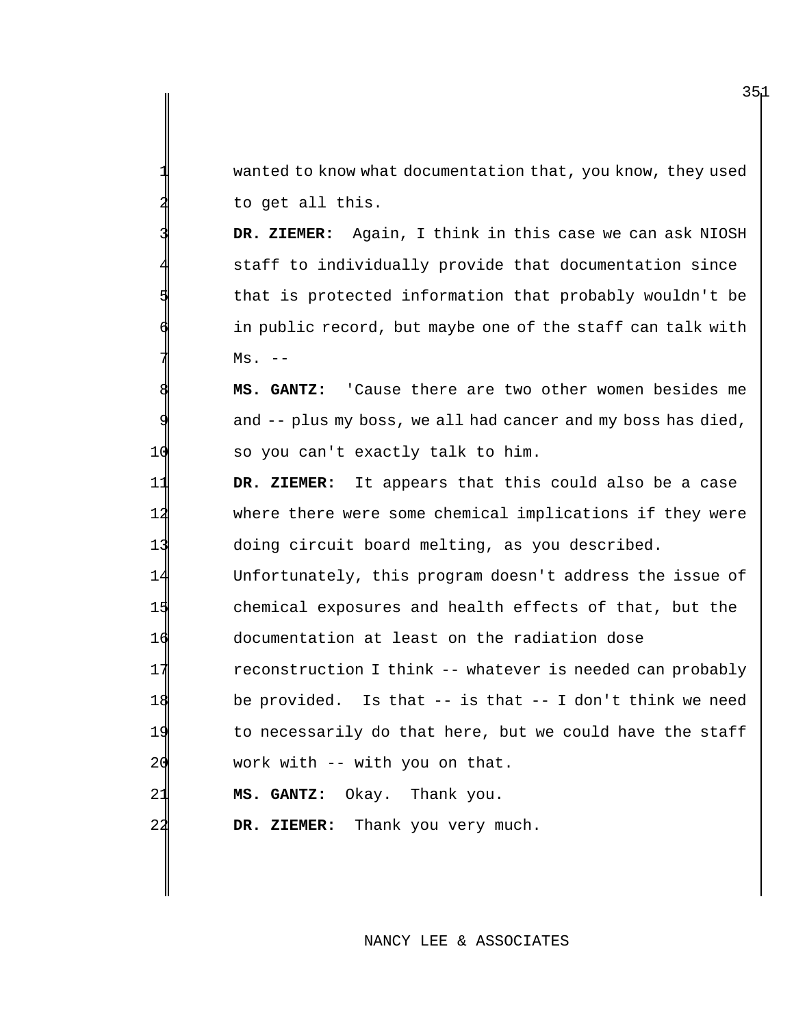wanted to know what documentation that, you know, they used to get all this.

DR. ZIEMER: Again, I think in this case we can ask NIOSH staff to individually provide that documentation since that is protected information that probably wouldn't be in public record, but maybe one of the staff can talk with  $MS.$   $--$ 

8 **MS. GANTZ:** 'Cause there are two other women besides me and -- plus my boss, we all had cancer and my boss has died, 10 so you can't exactly talk to him.

11 **DR. ZIEMER:** It appears that this could also be a case 12 where there were some chemical implications if they were 13 doing circuit board melting, as you described.

14 Unfortunately, this program doesn't address the issue of 15 chemical exposures and health effects of that, but the 16 documentation at least on the radiation dose

 reconstruction I think -- whatever is needed can probably be provided. Is that -- is that -- I don't think we need to necessarily do that here, but we could have the staff 20 work with -- with you on that.

21 **MS. GANTZ:** Okay. Thank you.

22 **DR. ZIEMER:** Thank you very much.

### NANCY LEE & ASSOCIATES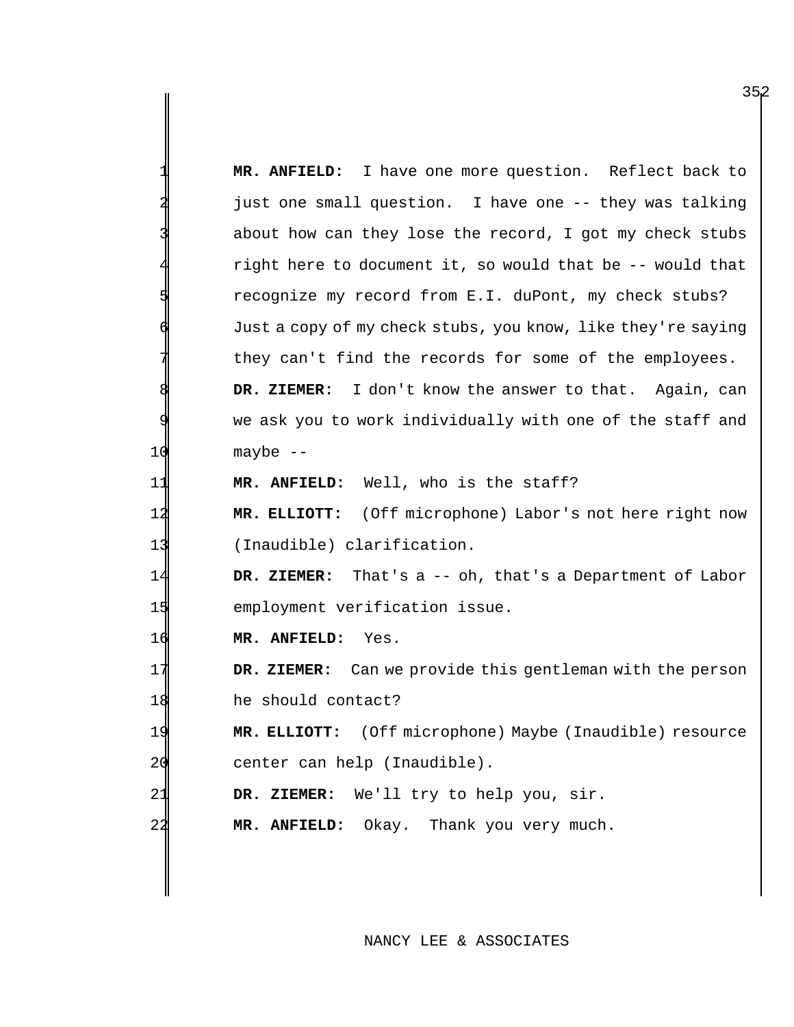1 **MR. ANFIELD:** I have one more question. Reflect back to just one small question. I have one -- they was talking about how can they lose the record, I got my check stubs right here to document it, so would that be -- would that 5 recognize my record from E.I. duPont, my check stubs? Just a copy of my check stubs, you know, like they're saying they can't find the records for some of the employees. DR. ZIEMER: I don't know the answer to that. Again, can we ask you to work individually with one of the staff and 10 maybe -- 11 **MR. ANFIELD:** Well, who is the staff? 12 **MR. ELLIOTT:** (Off microphone) Labor's not here right now 13 (Inaudible) clarification. 14 **DR. ZIEMER:** That's a -- oh, that's a Department of Labor 15 employment verification issue. 16 **MR. ANFIELD:** Yes. 17 **DR. ZIEMER:** Can we provide this gentleman with the person 18 he should contact? 19 **MR. ELLIOTT:** (Off microphone) Maybe (Inaudible) resource 20 center can help (Inaudible). 21 DR. ZIEMER: We'll try to help you, sir. 22 **MR. ANFIELD:** Okay. Thank you very much.

NANCY LEE & ASSOCIATES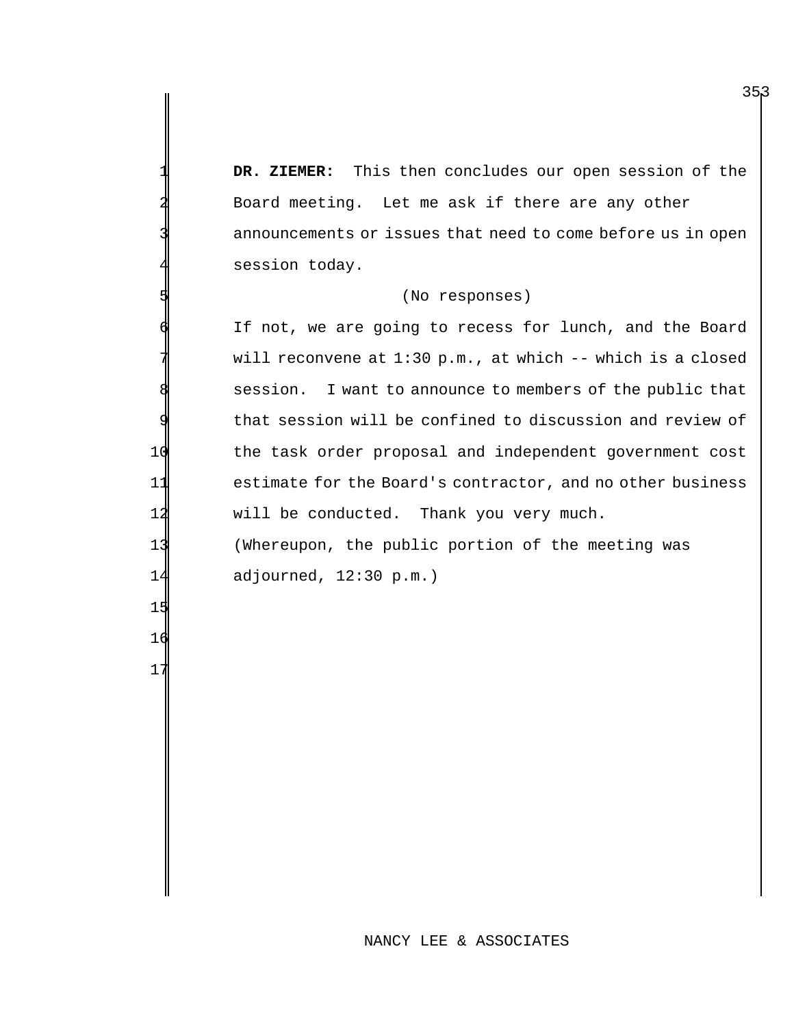DR. ZIEMER: This then concludes our open session of the Board meeting. Let me ask if there are any other announcements or issues that need to come before us in open session today.

### (No responses)

If not, we are going to recess for lunch, and the Board will reconvene at  $1:30$  p.m., at which -- which is a closed session. I want to announce to members of the public that that session will be confined to discussion and review of 10 the task order proposal and independent government cost 11 estimate for the Board's contractor, and no other business 12 will be conducted. Thank you very much. 13 (Whereupon, the public portion of the meeting was 14 adjourned, 12:30 p.m.)

17

15